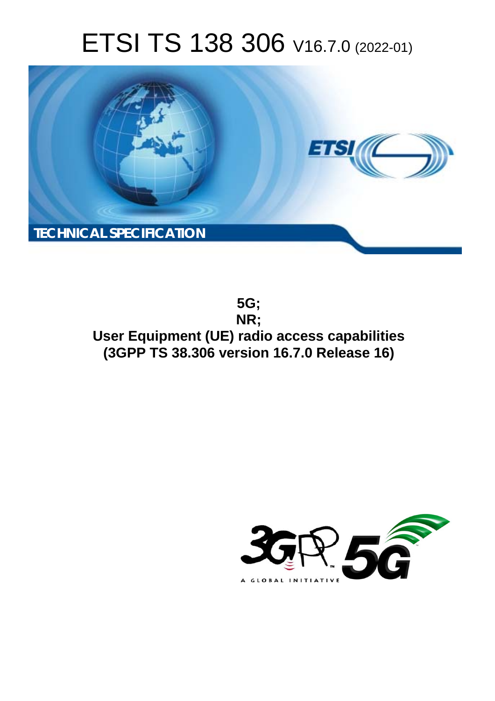# ETSI TS 138 306 V16.7.0 (2022-01)



**5G; NR; User Equipment (UE) radio access capabilities (3GPP TS 38.306 version 16.7.0 Release 16)** 

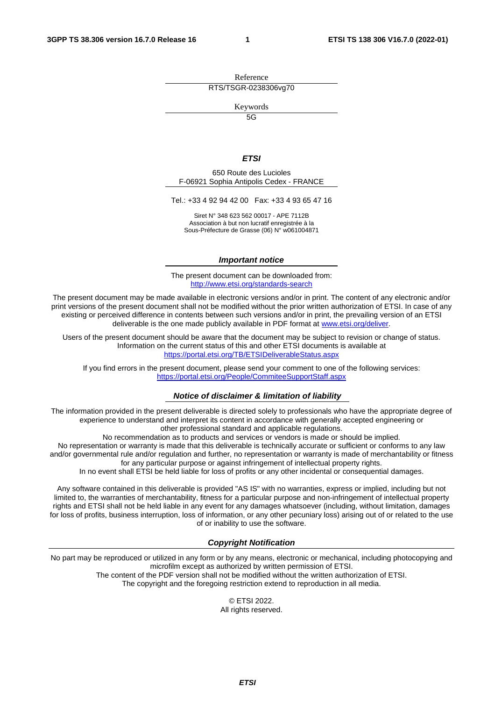Reference RTS/TSGR-0238306vg70

Keywords

 $\overline{5G}$ 

#### *ETSI*

650 Route des Lucioles F-06921 Sophia Antipolis Cedex - FRANCE

Tel.: +33 4 92 94 42 00 Fax: +33 4 93 65 47 16

Siret N° 348 623 562 00017 - APE 7112B Association à but non lucratif enregistrée à la Sous-Préfecture de Grasse (06) N° w061004871

#### *Important notice*

The present document can be downloaded from: <http://www.etsi.org/standards-search>

The present document may be made available in electronic versions and/or in print. The content of any electronic and/or print versions of the present document shall not be modified without the prior written authorization of ETSI. In case of any existing or perceived difference in contents between such versions and/or in print, the prevailing version of an ETSI deliverable is the one made publicly available in PDF format at [www.etsi.org/deliver](http://www.etsi.org/deliver).

Users of the present document should be aware that the document may be subject to revision or change of status. Information on the current status of this and other ETSI documents is available at <https://portal.etsi.org/TB/ETSIDeliverableStatus.aspx>

If you find errors in the present document, please send your comment to one of the following services: <https://portal.etsi.org/People/CommiteeSupportStaff.aspx>

#### *Notice of disclaimer & limitation of liability*

The information provided in the present deliverable is directed solely to professionals who have the appropriate degree of experience to understand and interpret its content in accordance with generally accepted engineering or other professional standard and applicable regulations.

No recommendation as to products and services or vendors is made or should be implied.

No representation or warranty is made that this deliverable is technically accurate or sufficient or conforms to any law and/or governmental rule and/or regulation and further, no representation or warranty is made of merchantability or fitness for any particular purpose or against infringement of intellectual property rights.

In no event shall ETSI be held liable for loss of profits or any other incidental or consequential damages.

Any software contained in this deliverable is provided "AS IS" with no warranties, express or implied, including but not limited to, the warranties of merchantability, fitness for a particular purpose and non-infringement of intellectual property rights and ETSI shall not be held liable in any event for any damages whatsoever (including, without limitation, damages for loss of profits, business interruption, loss of information, or any other pecuniary loss) arising out of or related to the use of or inability to use the software.

#### *Copyright Notification*

No part may be reproduced or utilized in any form or by any means, electronic or mechanical, including photocopying and microfilm except as authorized by written permission of ETSI. The content of the PDF version shall not be modified without the written authorization of ETSI.

The copyright and the foregoing restriction extend to reproduction in all media.

© ETSI 2022. All rights reserved.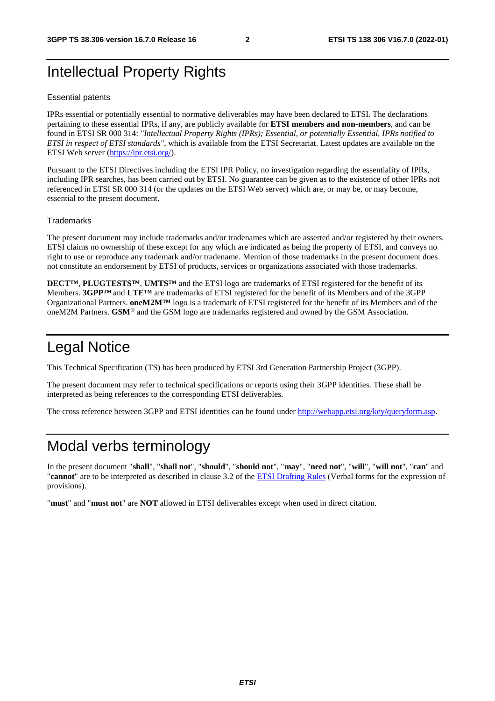# Intellectual Property Rights

#### Essential patents

IPRs essential or potentially essential to normative deliverables may have been declared to ETSI. The declarations pertaining to these essential IPRs, if any, are publicly available for **ETSI members and non-members**, and can be found in ETSI SR 000 314: *"Intellectual Property Rights (IPRs); Essential, or potentially Essential, IPRs notified to ETSI in respect of ETSI standards"*, which is available from the ETSI Secretariat. Latest updates are available on the ETSI Web server ([https://ipr.etsi.org/\)](https://ipr.etsi.org/).

Pursuant to the ETSI Directives including the ETSI IPR Policy, no investigation regarding the essentiality of IPRs, including IPR searches, has been carried out by ETSI. No guarantee can be given as to the existence of other IPRs not referenced in ETSI SR 000 314 (or the updates on the ETSI Web server) which are, or may be, or may become, essential to the present document.

#### **Trademarks**

The present document may include trademarks and/or tradenames which are asserted and/or registered by their owners. ETSI claims no ownership of these except for any which are indicated as being the property of ETSI, and conveys no right to use or reproduce any trademark and/or tradename. Mention of those trademarks in the present document does not constitute an endorsement by ETSI of products, services or organizations associated with those trademarks.

**DECT™**, **PLUGTESTS™**, **UMTS™** and the ETSI logo are trademarks of ETSI registered for the benefit of its Members. **3GPP™** and **LTE™** are trademarks of ETSI registered for the benefit of its Members and of the 3GPP Organizational Partners. **oneM2M™** logo is a trademark of ETSI registered for the benefit of its Members and of the oneM2M Partners. **GSM**® and the GSM logo are trademarks registered and owned by the GSM Association.

# Legal Notice

This Technical Specification (TS) has been produced by ETSI 3rd Generation Partnership Project (3GPP).

The present document may refer to technical specifications or reports using their 3GPP identities. These shall be interpreted as being references to the corresponding ETSI deliverables.

The cross reference between 3GPP and ETSI identities can be found under<http://webapp.etsi.org/key/queryform.asp>.

### Modal verbs terminology

In the present document "**shall**", "**shall not**", "**should**", "**should not**", "**may**", "**need not**", "**will**", "**will not**", "**can**" and "**cannot**" are to be interpreted as described in clause 3.2 of the [ETSI Drafting Rules](https://portal.etsi.org/Services/editHelp!/Howtostart/ETSIDraftingRules.aspx) (Verbal forms for the expression of provisions).

"**must**" and "**must not**" are **NOT** allowed in ETSI deliverables except when used in direct citation.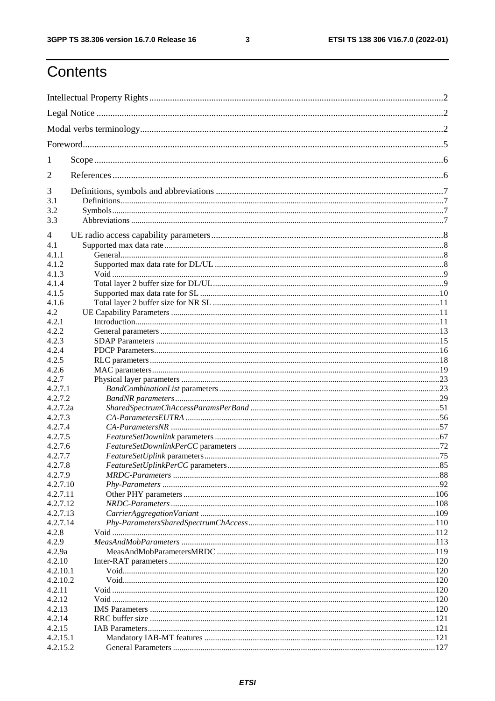$\mathbf{3}$ 

# Contents

| 1              |  |  |  |
|----------------|--|--|--|
| 2              |  |  |  |
| 3              |  |  |  |
| 3.1            |  |  |  |
| 3.2<br>3.3     |  |  |  |
| $\overline{4}$ |  |  |  |
| 4.1            |  |  |  |
| 4.1.1          |  |  |  |
| 4.1.2          |  |  |  |
| 4.1.3          |  |  |  |
| 4.1.4          |  |  |  |
| 4.1.5          |  |  |  |
| 4.1.6          |  |  |  |
| 4.2            |  |  |  |
| 4.2.1          |  |  |  |
| 4.2.2          |  |  |  |
| 4.2.3          |  |  |  |
| 4.2.4          |  |  |  |
| 4.2.5          |  |  |  |
| 4.2.6          |  |  |  |
| 4.2.7          |  |  |  |
| 4.2.7.1        |  |  |  |
| 4.2.7.2        |  |  |  |
| 4.2.7.2a       |  |  |  |
| 4.2.7.3        |  |  |  |
| 4.2.7.4        |  |  |  |
| 4.2.7.5        |  |  |  |
| 4.2.7.6        |  |  |  |
| 4.2.7.7        |  |  |  |
| 4.2.7.8        |  |  |  |
| 4.2.7.9        |  |  |  |
| 4.2.7.10       |  |  |  |
| 4.2.7.11       |  |  |  |
| 4.2.7.12       |  |  |  |
| 4.2.7.13       |  |  |  |
| 4.2.7.14       |  |  |  |
| 4.2.8          |  |  |  |
| 4.2.9          |  |  |  |
| 4.2.9a         |  |  |  |
| 4.2.10         |  |  |  |
| 4.2.10.1       |  |  |  |
| 4.2.10.2       |  |  |  |
| 4.2.11         |  |  |  |
| 4.2.12         |  |  |  |
| 4.2.13         |  |  |  |
| 4.2.14         |  |  |  |
| 4.2.15         |  |  |  |
| 4.2.15.1       |  |  |  |
| 4.2.15.2       |  |  |  |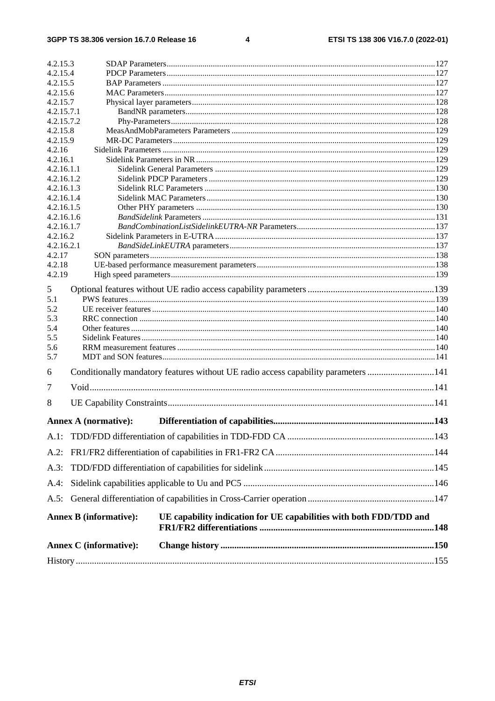#### $\overline{\mathbf{4}}$

|                          | Annex C (informative):        |                                                                                    |  |
|--------------------------|-------------------------------|------------------------------------------------------------------------------------|--|
|                          | <b>Annex B (informative):</b> | UE capability indication for UE capabilities with both FDD/TDD and                 |  |
| A.5:                     |                               |                                                                                    |  |
| $A.4$ :                  |                               |                                                                                    |  |
| A.3:                     |                               |                                                                                    |  |
| $A.2$ :                  |                               |                                                                                    |  |
| $A.1$ :                  |                               |                                                                                    |  |
|                          |                               |                                                                                    |  |
|                          | <b>Annex A (normative):</b>   |                                                                                    |  |
| 8                        |                               |                                                                                    |  |
| 7                        |                               |                                                                                    |  |
| 6                        |                               | Conditionally mandatory features without UE radio access capability parameters 141 |  |
| 5.7                      |                               |                                                                                    |  |
| 5.6                      |                               |                                                                                    |  |
| 5.5                      |                               |                                                                                    |  |
| 5.3<br>5.4               |                               |                                                                                    |  |
| 5.2                      |                               |                                                                                    |  |
| 5.1                      |                               |                                                                                    |  |
| 5                        |                               |                                                                                    |  |
| 4.2.19                   |                               |                                                                                    |  |
| 4.2.18                   |                               |                                                                                    |  |
| 4.2.17                   |                               |                                                                                    |  |
| 4.2.16.2<br>4.2.16.2.1   |                               |                                                                                    |  |
| 4.2.16.1.7               |                               |                                                                                    |  |
| 4.2.16.1.6               |                               |                                                                                    |  |
| 4.2.16.1.5               |                               |                                                                                    |  |
| 4.2.16.1.3<br>4.2.16.1.4 |                               |                                                                                    |  |
| 4.2.16.1.2               |                               |                                                                                    |  |
| 4.2.16.1.1               |                               |                                                                                    |  |
| 4.2.16.1                 |                               |                                                                                    |  |
| 4.2.16                   |                               |                                                                                    |  |
| 4.2.15.8<br>4.2.15.9     |                               |                                                                                    |  |
| 4.2.15.7.2               |                               |                                                                                    |  |
| 4.2.15.7.1               |                               |                                                                                    |  |
| 4.2.15.7                 |                               |                                                                                    |  |
| 4.2.15.5<br>4.2.15.6     |                               |                                                                                    |  |
| 4.2.15.4                 |                               |                                                                                    |  |
| 4.2.15.3                 |                               |                                                                                    |  |
|                          |                               |                                                                                    |  |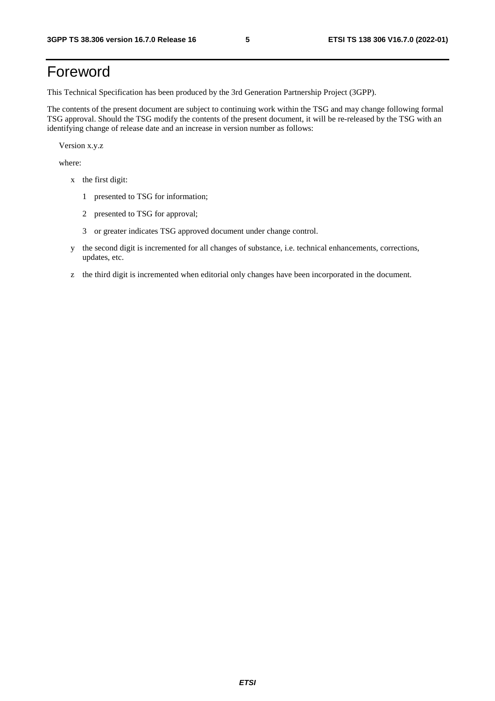# Foreword

This Technical Specification has been produced by the 3rd Generation Partnership Project (3GPP).

The contents of the present document are subject to continuing work within the TSG and may change following formal TSG approval. Should the TSG modify the contents of the present document, it will be re-released by the TSG with an identifying change of release date and an increase in version number as follows:

Version x.y.z

where:

- x the first digit:
	- 1 presented to TSG for information;
	- 2 presented to TSG for approval;
	- 3 or greater indicates TSG approved document under change control.
- y the second digit is incremented for all changes of substance, i.e. technical enhancements, corrections, updates, etc.
- z the third digit is incremented when editorial only changes have been incorporated in the document.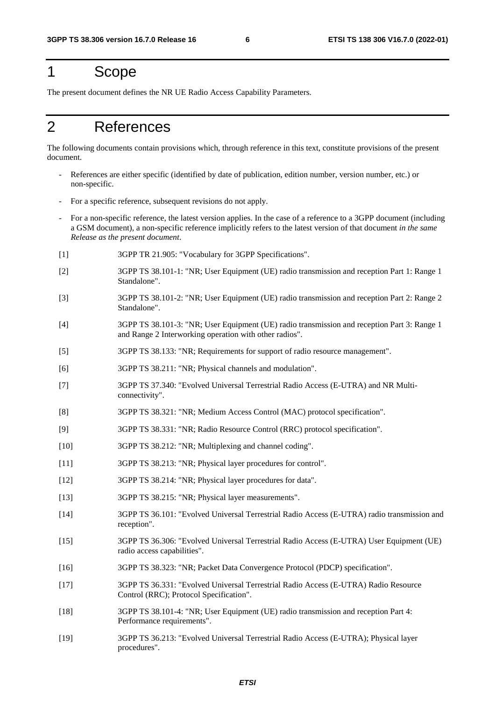# 1 Scope

The present document defines the NR UE Radio Access Capability Parameters.

# 2 References

The following documents contain provisions which, through reference in this text, constitute provisions of the present document.

- References are either specific (identified by date of publication, edition number, version number, etc.) or non-specific.
- For a specific reference, subsequent revisions do not apply.
- For a non-specific reference, the latest version applies. In the case of a reference to a 3GPP document (including a GSM document), a non-specific reference implicitly refers to the latest version of that document *in the same Release as the present document*.
- [1] 3GPP TR 21.905: "Vocabulary for 3GPP Specifications".
- [2] 3GPP TS 38.101-1: "NR; User Equipment (UE) radio transmission and reception Part 1: Range 1 Standalone".
- [3] 3GPP TS 38.101-2: "NR; User Equipment (UE) radio transmission and reception Part 2: Range 2 Standalone".
- [4] 3GPP TS 38.101-3: "NR; User Equipment (UE) radio transmission and reception Part 3: Range 1 and Range 2 Interworking operation with other radios".
- [5] 3GPP TS 38.133: "NR; Requirements for support of radio resource management".
- [6] 3GPP TS 38.211: "NR; Physical channels and modulation".
- [7] 3GPP TS 37.340: "Evolved Universal Terrestrial Radio Access (E-UTRA) and NR Multiconnectivity".
- [8] 3GPP TS 38.321: "NR; Medium Access Control (MAC) protocol specification".
- [9] 3GPP TS 38.331: "NR; Radio Resource Control (RRC) protocol specification".
- [10] 3GPP TS 38.212: "NR; Multiplexing and channel coding".
- [11] 3GPP TS 38.213: "NR; Physical layer procedures for control".
- [12] 3GPP TS 38.214: "NR; Physical layer procedures for data".
- [13] 3GPP TS 38.215: "NR; Physical layer measurements".
- [14] 3GPP TS 36.101: "Evolved Universal Terrestrial Radio Access (E-UTRA) radio transmission and reception".
- [15] 3GPP TS 36.306: "Evolved Universal Terrestrial Radio Access (E-UTRA) User Equipment (UE) radio access capabilities".
- [16] 3GPP TS 38.323: "NR; Packet Data Convergence Protocol (PDCP) specification".
- [17] 3GPP TS 36.331: "Evolved Universal Terrestrial Radio Access (E-UTRA) Radio Resource Control (RRC); Protocol Specification".
- [18] 3GPP TS 38.101-4: "NR; User Equipment (UE) radio transmission and reception Part 4: Performance requirements".
- [19] 3GPP TS 36.213: "Evolved Universal Terrestrial Radio Access (E-UTRA); Physical layer procedures".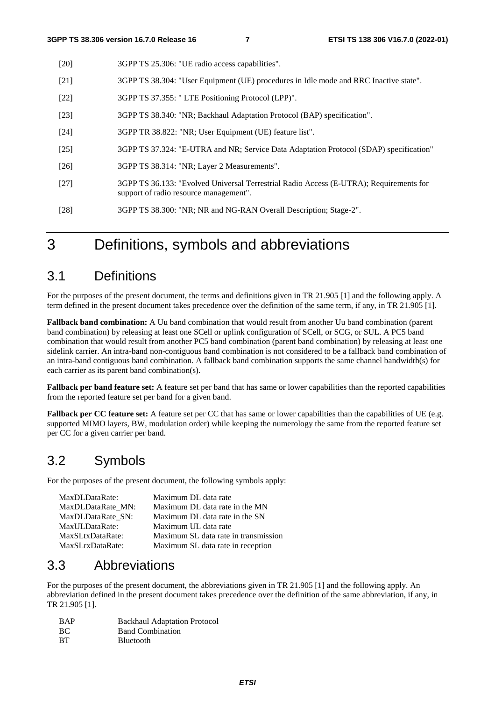- [20] 3GPP TS 25.306: "UE radio access capabilities".
- [21] 3GPP TS 38.304: "User Equipment (UE) procedures in Idle mode and RRC Inactive state".
- [22] 3GPP TS 37.355: " LTE Positioning Protocol (LPP)".
- [23] 3GPP TS 38.340: "NR; Backhaul Adaptation Protocol (BAP) specification".
- [24] 3GPP TR 38.822: "NR; User Equipment (UE) feature list".
- [25] 3GPP TS 37.324: "E-UTRA and NR; Service Data Adaptation Protocol (SDAP) specification"
- [26] 3GPP TS 38.314: "NR; Layer 2 Measurements".
- [27] 3GPP TS 36.133: "Evolved Universal Terrestrial Radio Access (E-UTRA); Requirements for support of radio resource management".
- [28] 3GPP TS 38.300: "NR; NR and NG-RAN Overall Description; Stage-2".

3 Definitions, symbols and abbreviations

### 3.1 Definitions

For the purposes of the present document, the terms and definitions given in TR 21.905 [1] and the following apply. A term defined in the present document takes precedence over the definition of the same term, if any, in TR 21.905 [1].

**Fallback band combination:** A Uu band combination that would result from another Uu band combination (parent band combination) by releasing at least one SCell or uplink configuration of SCell, or SCG, or SUL. A PC5 band combination that would result from another PC5 band combination (parent band combination) by releasing at least one sidelink carrier. An intra-band non-contiguous band combination is not considered to be a fallback band combination of an intra-band contiguous band combination. A fallback band combination supports the same channel bandwidth(s) for each carrier as its parent band combination(s).

**Fallback per band feature set:** A feature set per band that has same or lower capabilities than the reported capabilities from the reported feature set per band for a given band.

**Fallback per CC feature set:** A feature set per CC that has same or lower capabilities than the capabilities of UE (e.g. supported MIMO layers, BW, modulation order) while keeping the numerology the same from the reported feature set per CC for a given carrier per band.

### 3.2 Symbols

For the purposes of the present document, the following symbols apply:

| MaxDLDataRate:    | Maximum DL data rate                 |
|-------------------|--------------------------------------|
| MaxDLDataRate MN: | Maximum DL data rate in the MN       |
| MaxDLDataRate SN: | Maximum DL data rate in the SN       |
| MaxULDataRate:    | Maximum UL data rate                 |
| MaxSLtxDataRate:  | Maximum SL data rate in transmission |
| MaxSLrxDataRate:  | Maximum SL data rate in reception    |

### 3.3 Abbreviations

For the purposes of the present document, the abbreviations given in TR 21.905 [1] and the following apply. An abbreviation defined in the present document takes precedence over the definition of the same abbreviation, if any, in TR 21.905 [1].

| <b>BAP</b> | <b>Backhaul Adaptation Protocol</b> |
|------------|-------------------------------------|
| BС         | <b>Band Combination</b>             |
| BT         | <b>B</b> luetooth                   |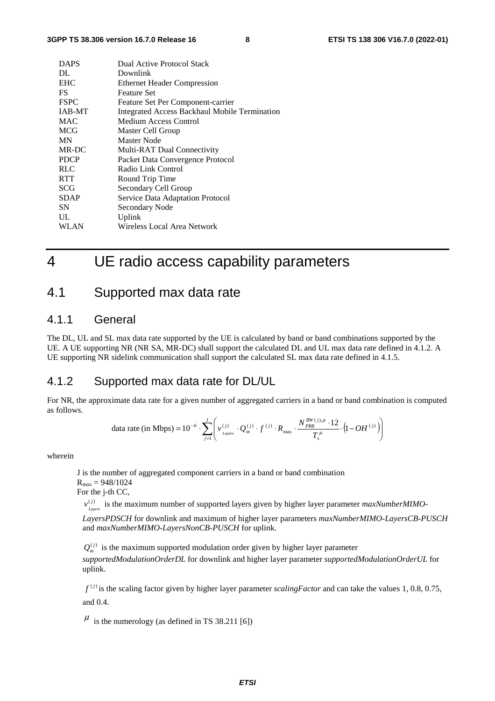| <b>DAPS</b>   | Dual Active Protocol Stack                    |
|---------------|-----------------------------------------------|
| DL.           | Downlink                                      |
| <b>EHC</b>    | <b>Ethernet Header Compression</b>            |
| <b>FS</b>     | <b>Feature Set</b>                            |
| <b>FSPC</b>   | Feature Set Per Component-carrier             |
| <b>IAB-MT</b> | Integrated Access Backhaul Mobile Termination |
| <b>MAC</b>    | Medium Access Control                         |
| <b>MCG</b>    | Master Cell Group                             |
| MN            | Master Node                                   |
| MR-DC         | Multi-RAT Dual Connectivity                   |
| <b>PDCP</b>   | Packet Data Convergence Protocol              |
| <b>RLC</b>    | Radio Link Control                            |
| <b>RTT</b>    | Round Trip Time                               |
| <b>SCG</b>    | Secondary Cell Group                          |
| <b>SDAP</b>   | Service Data Adaptation Protocol              |
| <b>SN</b>     | Secondary Node                                |
| UL            | Uplink                                        |
| WLAN          | Wireless Local Area Network                   |

# 4 UE radio access capability parameters

### 4.1 Supported max data rate

### 4.1.1 General

The DL, UL and SL max data rate supported by the UE is calculated by band or band combinations supported by the UE. A UE supporting NR (NR SA, MR-DC) shall support the calculated DL and UL max data rate defined in 4.1.2. A UE supporting NR sidelink communication shall support the calculated SL max data rate defined in 4.1.5.

### 4.1.2 Supported max data rate for DL/UL

For NR, the approximate data rate for a given number of aggregated carriers in a band or band combination is computed as follows.

data rate (in Mbps) = 
$$
10^{-6} \cdot \sum_{j=1}^{J} \left( v_{Layers}^{(j)} \cdot Q_m^{(j)} \cdot f^{(j)} \cdot R_{max} \cdot \frac{N_{PRB}^{BW(j), \mu} \cdot 12}{T_s^{\mu}} \cdot (1 - OH^{(j)}) \right)
$$

wherein

J is the number of aggregated component carriers in a band or band combination  $R_{\text{max}} = 948/1024$ 

For the j-th CC,

 $v_{Lapers}^{(j)}$  is the maximum number of supported layers given by higher layer parameter *maxNumberMIMO*-

*LayersPDSCH* for downlink and maximum of higher layer parameters *maxNumberMIMO-LayersCB-PUSCH* and *maxNumberMIMO-LayersNonCB-PUSCH* for uplink.

 $Q_m^{(j)}$  is the maximum supported modulation order given by higher layer parameter *supportedModulationOrderDL* for downlink and higher layer parameter *supportedModulationOrderUL* for uplink.

 $f^{(j)}$  is the scaling factor given by higher layer parameter *scalingFactor* and can take the values 1, 0.8, 0.75, and 0.4.

 $\mu$  is the numerology (as defined in TS 38.211 [6])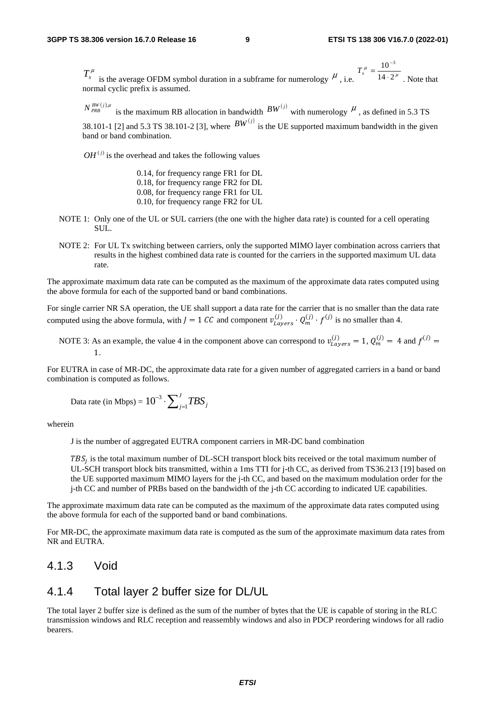$T_s^{\mu}$  is the average OFDM symbol duration in a subframe for numerology  $\mu$ , i.e.  $T_s^{\mu} = \frac{18}{14 \cdot 2^{\mu}}$  $T_s^{\mu} = \frac{10^{-3}}{14 \cdot 2}$ . Note that normal cyclic prefix is assumed.

 $N_{PRB}^{BW(j),\mu}$  is the maximum RB allocation in bandwidth  $BW^{(j)}$  with numerology  $\mu$ , as defined in 5.3 TS

38.101-1 [2] and 5.3 TS 38.101-2 [3], where  $BW^{(j)}$  is the UE supported maximum bandwidth in the given band or band combination.

 $OH<sup>(j)</sup>$  is the overhead and takes the following values

0.14, for frequency range FR1 for DL 0.18, for frequency range FR2 for DL 0.08, for frequency range FR1 for UL 0.10, for frequency range FR2 for UL

- NOTE 1: Only one of the UL or SUL carriers (the one with the higher data rate) is counted for a cell operating SUL.
- NOTE 2: For UL Tx switching between carriers, only the supported MIMO layer combination across carriers that results in the highest combined data rate is counted for the carriers in the supported maximum UL data rate.

The approximate maximum data rate can be computed as the maximum of the approximate data rates computed using the above formula for each of the supported band or band combinations.

For single carrier NR SA operation, the UE shall support a data rate for the carrier that is no smaller than the data rate computed using the above formula, with  $J = 1$  CC and component  $v_{Layers}^{(J)} \cdot Q_m^{(J)} \cdot f^{(J)}$  is no smaller than 4.

NOTE 3: As an example, the value 4 in the component above can correspond to  $v_{Layers}^{(1)} = 1$ ,  $Q_m^{(1)} = 4$  and  $f^{(1)} =$ 1.

For EUTRA in case of MR-DC, the approximate data rate for a given number of aggregated carriers in a band or band combination is computed as follows.

Data rate (in Mbps) = 
$$
10^{-3} \cdot \sum_{j=1}^{J} TBS_j
$$

wherein

J is the number of aggregated EUTRA component carriers in MR-DC band combination

 $TBS_i$  is the total maximum number of DL-SCH transport block bits received or the total maximum number of UL-SCH transport block bits transmitted, within a 1ms TTI for j-th CC, as derived from TS36.213 [19] based on the UE supported maximum MIMO layers for the j-th CC, and based on the maximum modulation order for the j-th CC and number of PRBs based on the bandwidth of the j-th CC according to indicated UE capabilities.

The approximate maximum data rate can be computed as the maximum of the approximate data rates computed using the above formula for each of the supported band or band combinations.

For MR-DC, the approximate maximum data rate is computed as the sum of the approximate maximum data rates from NR and EUTRA.

### 4.1.3 Void

### 4.1.4 Total layer 2 buffer size for DL/UL

The total layer 2 buffer size is defined as the sum of the number of bytes that the UE is capable of storing in the RLC transmission windows and RLC reception and reassembly windows and also in PDCP reordering windows for all radio bearers.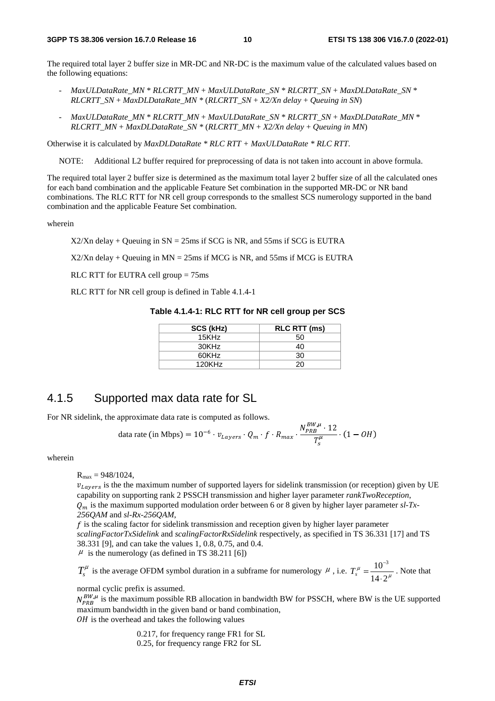The required total layer 2 buffer size in MR-DC and NR-DC is the maximum value of the calculated values based on the following equations:

- *MaxULDataRate\_MN* \* *RLCRTT\_MN* + *MaxULDataRate\_SN* \* *RLCRTT\_SN* + *MaxDLDataRate\_SN* \* *RLCRTT\_SN* + *MaxDLDataRate\_MN \** (*RLCRTT\_SN* + *X2/Xn delay* + *Queuing in SN*)
- *MaxULDataRate\_MN* \* *RLCRTT\_MN* + *MaxULDataRate\_SN* \* *RLCRTT\_SN* + *MaxDLDataRate\_MN* \* *RLCRTT\_MN* + *MaxDLDataRate\_SN \** (*RLCRTT\_MN* + *X2/Xn delay* + *Queuing in MN*)

Otherwise it is calculated by *MaxDLDataRate \* RLC RTT + MaxULDataRate \* RLC RTT*.

NOTE: Additional L2 buffer required for preprocessing of data is not taken into account in above formula.

The required total layer 2 buffer size is determined as the maximum total layer 2 buffer size of all the calculated ones for each band combination and the applicable Feature Set combination in the supported MR-DC or NR band combinations. The RLC RTT for NR cell group corresponds to the smallest SCS numerology supported in the band combination and the applicable Feature Set combination.

wherein

 $X2/Xn$  delay + Queuing in  $SN = 25$ ms if SCG is NR, and 55ms if SCG is EUTRA

 $X2/Xn$  delay + Queuing in MN = 25ms if MCG is NR, and 55ms if MCG is EUTRA

RLC RTT for EUTRA cell group = 75ms

RLC RTT for NR cell group is defined in Table 4.1.4-1

| Table 4.1.4-1: RLC RTT for NR cell group per SCS |  |  |  |  |
|--------------------------------------------------|--|--|--|--|
|--------------------------------------------------|--|--|--|--|

| SCS (kHz) | <b>RLC RTT (ms)</b> |
|-----------|---------------------|
| 15KHz     | 50                  |
| 30KHz     | 40                  |
| 60KHz     | 30                  |
| 120KHz    | 20.                 |

### 4.1.5 Supported max data rate for SL

For NR sidelink, the approximate data rate is computed as follows.

data rate (in Mbps) = 
$$
10^{-6} \cdot v_{Layers} \cdot Q_m \cdot f \cdot R_{max} \cdot \frac{N_{PRB}^{BW,\mu} \cdot 12}{T_s^{\mu}}
$$
 (1 - *OH*)

 $\overline{a}$ 

wherein

 $R_{\text{max}} = 948/1024$ .

 $v_{Layers}$  is the the maximum number of supported layers for sidelink transmission (or reception) given by UE capability on supporting rank 2 PSSCH transmission and higher layer parameter *rankTwoReception*, is the maximum supported modulation order between 6 or 8 given by higher layer parameter *sl-Tx-256QAM* and *sl-Rx-256QAM*,

 $\hat{f}$  is the scaling factor for sidelink transmission and reception given by higher layer parameter *scalingFactorTxSidelink* and *scalingFactorRxSidelink* respectively, as specified in TS 36.331 [17] and TS 38.331 [9], and can take the values 1, 0.8, 0.75, and 0.4.  $\mu$  is the numerology (as defined in TS 38.211 [6])

 $T_s^{\mu}$  is the average OFDM symbol duration in a subframe for numerology  $\mu$ , i.e.  $T_s^{\mu} = \frac{10}{14.2 \mu}$ μ  $14.2$  $10^{-3}$  $=\frac{10}{14}$ −  $T_s^{\mu} = \frac{10}{14.2 \mu}$ . Note that

normal cyclic prefix is assumed.

 $N_{PRB}^{BW,\mu}$  is the maximum possible RB allocation in bandwidth BW for PSSCH, where BW is the UE supported maximum bandwidth in the given band or band combination,  $OH$  is the overhead and takes the following values

> 0.217, for frequency range FR1 for SL 0.25, for frequency range FR2 for SL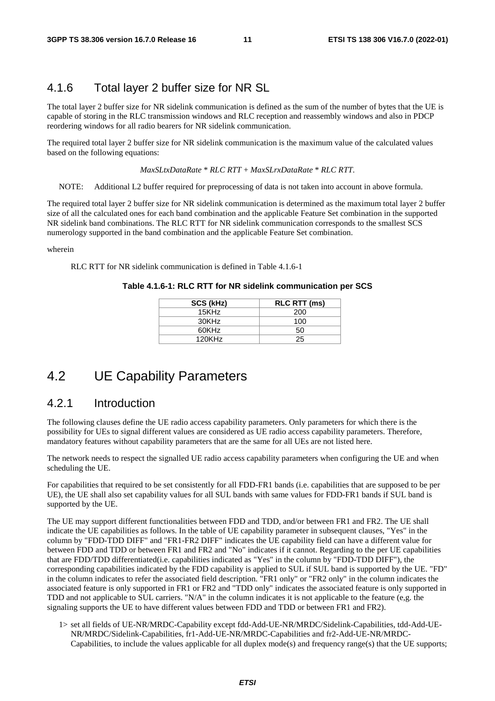### 4.1.6 Total layer 2 buffer size for NR SL

The total layer 2 buffer size for NR sidelink communication is defined as the sum of the number of bytes that the UE is capable of storing in the RLC transmission windows and RLC reception and reassembly windows and also in PDCP reordering windows for all radio bearers for NR sidelink communication.

The required total layer 2 buffer size for NR sidelink communication is the maximum value of the calculated values based on the following equations:

*MaxSLtxDataRate* \* *RLC RTT* + *MaxSLrxDataRate* \* *RLC RTT*.

NOTE: Additional L2 buffer required for preprocessing of data is not taken into account in above formula.

The required total layer 2 buffer size for NR sidelink communication is determined as the maximum total layer 2 buffer size of all the calculated ones for each band combination and the applicable Feature Set combination in the supported NR sidelink band combinations. The RLC RTT for NR sidelink communication corresponds to the smallest SCS numerology supported in the band combination and the applicable Feature Set combination.

wherein

RLC RTT for NR sidelink communication is defined in Table 4.1.6-1

| SCS (kHz) | <b>RLC RTT (ms)</b> |
|-----------|---------------------|
| 15KHz     | 200                 |
| 30KHz     | 100                 |
| 60KHz     | 50                  |
| 120KHz    | 25                  |

#### **Table 4.1.6-1: RLC RTT for NR sidelink communication per SCS**

### 4.2 UE Capability Parameters

#### 4.2.1 Introduction

The following clauses define the UE radio access capability parameters. Only parameters for which there is the possibility for UEs to signal different values are considered as UE radio access capability parameters. Therefore, mandatory features without capability parameters that are the same for all UEs are not listed here.

The network needs to respect the signalled UE radio access capability parameters when configuring the UE and when scheduling the UE.

For capabilities that required to be set consistently for all FDD-FR1 bands (i.e. capabilities that are supposed to be per UE), the UE shall also set capability values for all SUL bands with same values for FDD-FR1 bands if SUL band is supported by the UE.

The UE may support different functionalities between FDD and TDD, and/or between FR1 and FR2. The UE shall indicate the UE capabilities as follows. In the table of UE capability parameter in subsequent clauses, "Yes" in the column by "FDD-TDD DIFF" and "FR1-FR2 DIFF" indicates the UE capability field can have a different value for between FDD and TDD or between FR1 and FR2 and "No" indicates if it cannot. Regarding to the per UE capabilities that are FDD/TDD differentiated(i.e. capabilities indicated as "Yes" in the column by "FDD-TDD DIFF"), the corresponding capabilities indicated by the FDD capability is applied to SUL if SUL band is supported by the UE. "FD" in the column indicates to refer the associated field description. "FR1 only" or "FR2 only" in the column indicates the associated feature is only supported in FR1 or FR2 and "TDD only" indicates the associated feature is only supported in TDD and not applicable to SUL carriers. "N/A" in the column indicates it is not applicable to the feature (e,g. the signaling supports the UE to have different values between FDD and TDD or between FR1 and FR2).

1> set all fields of UE-NR/MRDC-Capability except fdd-Add-UE-NR/MRDC/Sidelink-Capabilities, tdd-Add-UE-NR/MRDC/Sidelink-Capabilities, fr1-Add-UE-NR/MRDC-Capabilities and fr2-Add-UE-NR/MRDC-Capabilities, to include the values applicable for all duplex  $mode(s)$  and frequency range(s) that the UE supports;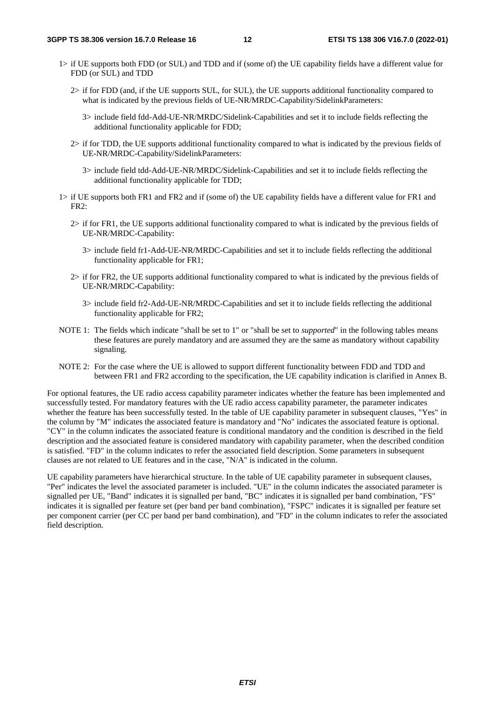- 1> if UE supports both FDD (or SUL) and TDD and if (some of) the UE capability fields have a different value for FDD (or SUL) and TDD
	- 2> if for FDD (and, if the UE supports SUL, for SUL), the UE supports additional functionality compared to what is indicated by the previous fields of UE-NR/MRDC-Capability/SidelinkParameters:
		- 3> include field fdd-Add-UE-NR/MRDC/Sidelink-Capabilities and set it to include fields reflecting the additional functionality applicable for FDD;
	- 2> if for TDD, the UE supports additional functionality compared to what is indicated by the previous fields of UE-NR/MRDC-Capability/SidelinkParameters:
		- 3> include field tdd-Add-UE-NR/MRDC/Sidelink-Capabilities and set it to include fields reflecting the additional functionality applicable for TDD;
- 1> if UE supports both FR1 and FR2 and if (some of) the UE capability fields have a different value for FR1 and FR2:
	- 2> if for FR1, the UE supports additional functionality compared to what is indicated by the previous fields of UE-NR/MRDC-Capability:
		- 3> include field fr1-Add-UE-NR/MRDC-Capabilities and set it to include fields reflecting the additional functionality applicable for FR1;
	- 2> if for FR2, the UE supports additional functionality compared to what is indicated by the previous fields of UE-NR/MRDC-Capability:
		- 3> include field fr2-Add-UE-NR/MRDC-Capabilities and set it to include fields reflecting the additional functionality applicable for FR2;
- NOTE 1: The fields which indicate "shall be set to 1" or "shall be set to *supported*" in the following tables means these features are purely mandatory and are assumed they are the same as mandatory without capability signaling.
- NOTE 2: For the case where the UE is allowed to support different functionality between FDD and TDD and between FR1 and FR2 according to the specification, the UE capability indication is clarified in Annex B.

For optional features, the UE radio access capability parameter indicates whether the feature has been implemented and successfully tested. For mandatory features with the UE radio access capability parameter, the parameter indicates whether the feature has been successfully tested. In the table of UE capability parameter in subsequent clauses, "Yes" in the column by "M" indicates the associated feature is mandatory and "No" indicates the associated feature is optional. "CY" in the column indicates the associated feature is conditional mandatory and the condition is described in the field description and the associated feature is considered mandatory with capability parameter, when the described condition is satisfied. "FD" in the column indicates to refer the associated field description. Some parameters in subsequent clauses are not related to UE features and in the case, "N/A" is indicated in the column.

UE capability parameters have hierarchical structure. In the table of UE capability parameter in subsequent clauses, "Per" indicates the level the associated parameter is included. "UE" in the column indicates the associated parameter is signalled per UE, "Band" indicates it is signalled per band, "BC" indicates it is signalled per band combination, "FS" indicates it is signalled per feature set (per band per band combination), "FSPC" indicates it is signalled per feature set per component carrier (per CC per band per band combination), and "FD" in the column indicates to refer the associated field description.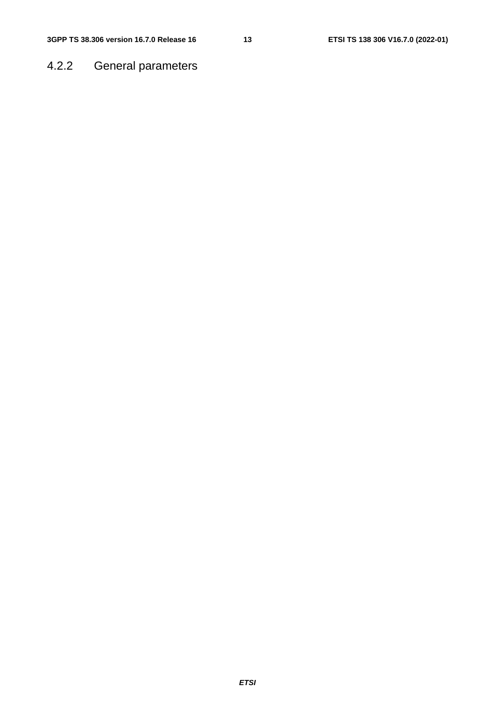### 4.2.2 General parameters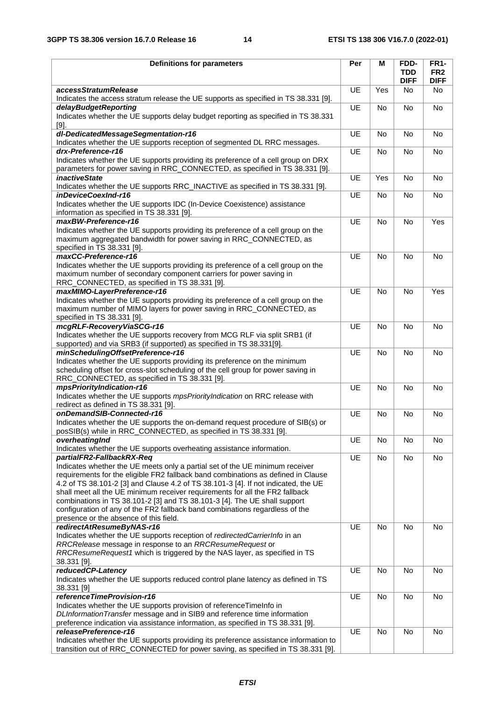| <b>Definitions for parameters</b>                                                                                                                                       | Per       | M         | FDD-                      | <b>FR1-</b>                    |
|-------------------------------------------------------------------------------------------------------------------------------------------------------------------------|-----------|-----------|---------------------------|--------------------------------|
|                                                                                                                                                                         |           |           | <b>TDD</b><br><b>DIFF</b> | FR <sub>2</sub><br><b>DIFF</b> |
| accessStratumRelease                                                                                                                                                    | UE        | Yes       | <b>No</b>                 | <b>No</b>                      |
| Indicates the access stratum release the UE supports as specified in TS 38.331 [9].<br>delayBudgetReporting                                                             | UE        | <b>No</b> | No                        | No                             |
| Indicates whether the UE supports delay budget reporting as specified in TS 38.331<br>$[9]$ .                                                                           |           |           |                           |                                |
| dl-DedicatedMessageSegmentation-r16<br>Indicates whether the UE supports reception of segmented DL RRC messages.                                                        | UE        | No        | No                        | No                             |
| drx-Preference-r16                                                                                                                                                      | UE        | No        | No                        | No                             |
| Indicates whether the UE supports providing its preference of a cell group on DRX<br>parameters for power saving in RRC_CONNECTED, as specified in TS 38.331 [9].       |           |           |                           |                                |
| <i>inactiveState</i><br>Indicates whether the UE supports RRC_INACTIVE as specified in TS 38.331 [9].                                                                   | UE        | Yes       | <b>No</b>                 | No                             |
| inDeviceCoexInd-r16                                                                                                                                                     | UE        | No        | No                        | No                             |
| Indicates whether the UE supports IDC (In-Device Coexistence) assistance<br>information as specified in TS 38.331 [9].                                                  |           |           |                           |                                |
| maxBW-Preference-r16                                                                                                                                                    | UE        | No        | No                        | Yes                            |
| Indicates whether the UE supports providing its preference of a cell group on the<br>maximum aggregated bandwidth for power saving in RRC_CONNECTED, as                 |           |           |                           |                                |
| specified in TS 38.331 [9].                                                                                                                                             |           |           |                           |                                |
| maxCC-Preference-r16                                                                                                                                                    | <b>UE</b> | <b>No</b> | <b>No</b>                 | No                             |
| Indicates whether the UE supports providing its preference of a cell group on the<br>maximum number of secondary component carriers for power saving in                 |           |           |                           |                                |
| RRC_CONNECTED, as specified in TS 38.331 [9].                                                                                                                           |           |           |                           |                                |
| maxMIMO-LayerPreference-r16                                                                                                                                             | UE        | No        | <b>No</b>                 | Yes                            |
| Indicates whether the UE supports providing its preference of a cell group on the<br>maximum number of MIMO layers for power saving in RRC_CONNECTED, as                |           |           |                           |                                |
| specified in TS 38.331 [9].                                                                                                                                             |           |           |                           |                                |
| mcgRLF-RecoveryViaSCG-r16                                                                                                                                               | <b>UE</b> | <b>No</b> | <b>No</b>                 | No                             |
| Indicates whether the UE supports recovery from MCG RLF via split SRB1 (if                                                                                              |           |           |                           |                                |
| supported) and via SRB3 (if supported) as specified in TS 38.331[9].<br>minSchedulingOffsetPreference-r16                                                               | UE        | <b>No</b> | <b>No</b>                 | <b>No</b>                      |
| Indicates whether the UE supports providing its preference on the minimum                                                                                               |           |           |                           |                                |
| scheduling offset for cross-slot scheduling of the cell group for power saving in<br>RRC_CONNECTED, as specified in TS 38.331 [9].                                      |           |           |                           |                                |
| mpsPriorityIndication-r16                                                                                                                                               | UE        | <b>No</b> | <b>No</b>                 | <b>No</b>                      |
| Indicates whether the UE supports mpsPriorityIndication on RRC release with<br>redirect as defined in TS 38.331 [9].                                                    |           |           |                           |                                |
| onDemandSIB-Connected-r16                                                                                                                                               | UE        | <b>No</b> | <b>No</b>                 | No                             |
| Indicates whether the UE supports the on-demand request procedure of SIB(s) or<br>posSIB(s) while in RRC_CONNECTED, as specified in TS 38.331 [9].                      |           |           |                           |                                |
| overheatingInd<br>Indicates whether the UE supports overheating assistance information.                                                                                 | UE        | No        | No                        | No                             |
| partialFR2-FallbackRX-Req                                                                                                                                               | UE        | No        | No                        | No                             |
| Indicates whether the UE meets only a partial set of the UE minimum receiver                                                                                            |           |           |                           |                                |
| requirements for the eligible FR2 fallback band combinations as defined in Clause<br>4.2 of TS 38.101-2 [3] and Clause 4.2 of TS 38.101-3 [4]. If not indicated, the UE |           |           |                           |                                |
| shall meet all the UE minimum receiver requirements for all the FR2 fallback                                                                                            |           |           |                           |                                |
| combinations in TS 38.101-2 [3] and TS 38.101-3 [4]. The UE shall support                                                                                               |           |           |                           |                                |
| configuration of any of the FR2 fallback band combinations regardless of the<br>presence or the absence of this field.                                                  |           |           |                           |                                |
| redirectAtResumeByNAS-r16                                                                                                                                               | UE        | No        | No                        | <b>No</b>                      |
| Indicates whether the UE supports reception of redirectedCarrierInfo in an                                                                                              |           |           |                           |                                |
| RRCRelease message in response to an RRCResumeRequest or<br>RRCResumeRequest1 which is triggered by the NAS layer, as specified in TS                                   |           |           |                           |                                |
| 38.331 [9].                                                                                                                                                             |           |           |                           |                                |
| reducedCP-Latency                                                                                                                                                       | UE        | No        | No                        | No                             |
| Indicates whether the UE supports reduced control plane latency as defined in TS                                                                                        |           |           |                           |                                |
| 38.331 [9]<br>referenceTimeProvision-r16                                                                                                                                | UE        | No        | No                        | No                             |
| Indicates whether the UE supports provision of referenceTimeInfo in                                                                                                     |           |           |                           |                                |
| DLInformation Transfer message and in SIB9 and reference time information<br>preference indication via assistance information, as specified in TS 38.331 [9].           |           |           |                           |                                |
| releasePreference-r16                                                                                                                                                   | UE        | <b>No</b> | <b>No</b>                 | <b>No</b>                      |
| Indicates whether the UE supports providing its preference assistance information to                                                                                    |           |           |                           |                                |
| transition out of RRC_CONNECTED for power saving, as specified in TS 38.331 [9].                                                                                        |           |           |                           |                                |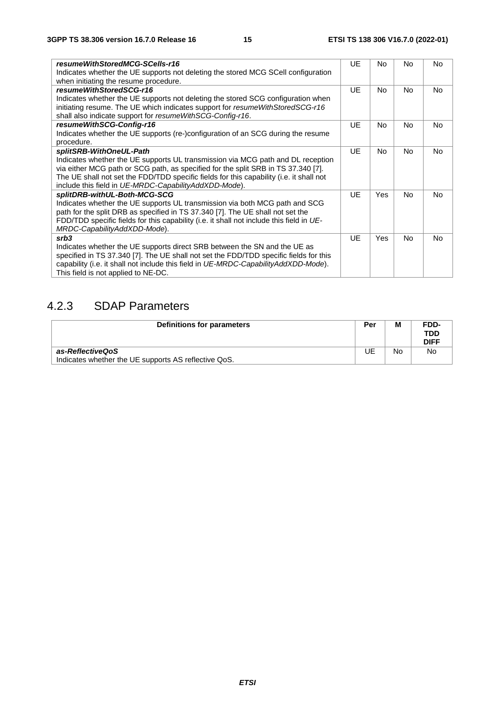| resumeWithStoredMCG-SCells-r16                                                           | UE        | No.        | Nο             | No        |
|------------------------------------------------------------------------------------------|-----------|------------|----------------|-----------|
| Indicates whether the UE supports not deleting the stored MCG SCell configuration        |           |            |                |           |
| when initiating the resume procedure.                                                    |           |            |                |           |
| resumeWithStoredSCG-r16                                                                  | <b>UE</b> | No         | N <sub>o</sub> | No.       |
| Indicates whether the UE supports not deleting the stored SCG configuration when         |           |            |                |           |
| initiating resume. The UE which indicates support for resumeWithStoredSCG-r16            |           |            |                |           |
| shall also indicate support for resume WithSCG-Config-r16.                               |           |            |                |           |
| resumeWithSCG-Config-r16                                                                 | <b>UE</b> | <b>No</b>  | <b>No</b>      | No.       |
| Indicates whether the UE supports (re-)configuration of an SCG during the resume         |           |            |                |           |
| procedure.                                                                               |           |            |                |           |
| splitSRB-WithOneUL-Path                                                                  | <b>UE</b> | No.        | <b>No</b>      | <b>No</b> |
| Indicates whether the UE supports UL transmission via MCG path and DL reception          |           |            |                |           |
| via either MCG path or SCG path, as specified for the split SRB in TS 37.340 [7].        |           |            |                |           |
| The UE shall not set the FDD/TDD specific fields for this capability (i.e. it shall not  |           |            |                |           |
| include this field in UE-MRDC-CapabilityAddXDD-Mode).                                    |           |            |                |           |
| splitDRB-withUL-Both-MCG-SCG                                                             | UE        | Yes        | <b>No</b>      | No.       |
| Indicates whether the UE supports UL transmission via both MCG path and SCG              |           |            |                |           |
| path for the split DRB as specified in TS 37.340 [7]. The UE shall not set the           |           |            |                |           |
| FDD/TDD specific fields for this capability (i.e. it shall not include this field in UE- |           |            |                |           |
| MRDC-CapabilityAddXDD-Mode).                                                             |           |            |                |           |
| srb3                                                                                     | UF        | <b>Yes</b> | <b>No</b>      | <b>No</b> |
| Indicates whether the UE supports direct SRB between the SN and the UE as                |           |            |                |           |
| specified in TS 37.340 [7]. The UE shall not set the FDD/TDD specific fields for this    |           |            |                |           |
| capability (i.e. it shall not include this field in UE-MRDC-CapabilityAddXDD-Mode).      |           |            |                |           |
| This field is not applied to NE-DC.                                                      |           |            |                |           |

### 4.2.3 SDAP Parameters

| Definitions for parameters                           | Per | M  | FDD-<br>TDD<br><b>DIFF</b> |
|------------------------------------------------------|-----|----|----------------------------|
| as-ReflectiveQoS                                     | JE  | No | No                         |
| Indicates whether the UE supports AS reflective QoS. |     |    |                            |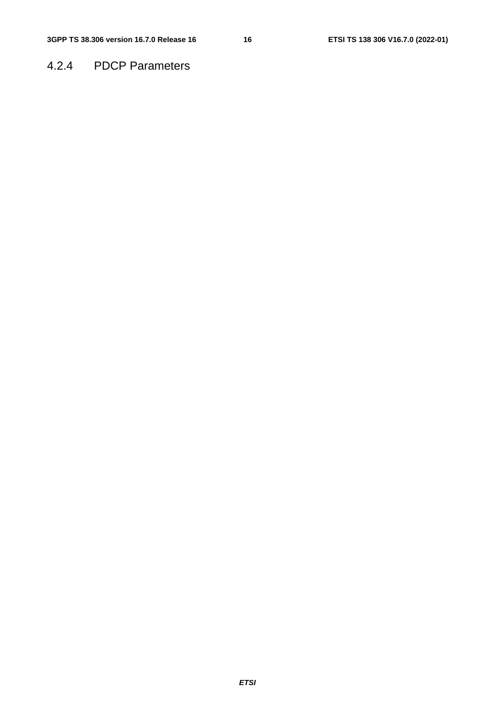### 4.2.4 PDCP Parameters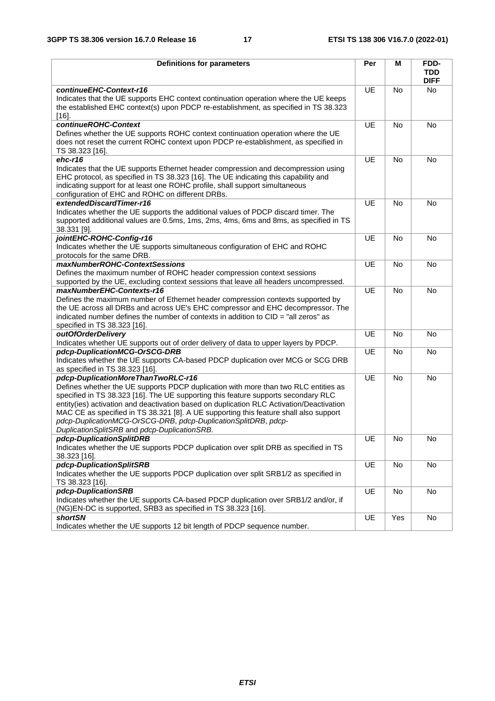| <b>Definitions for parameters</b>                                                                                                                                                                                                                                                                                                                                                                                                                                                                                      | Per       | м         | FDD-<br><b>TDD</b><br><b>DIFF</b> |
|------------------------------------------------------------------------------------------------------------------------------------------------------------------------------------------------------------------------------------------------------------------------------------------------------------------------------------------------------------------------------------------------------------------------------------------------------------------------------------------------------------------------|-----------|-----------|-----------------------------------|
| continueEHC-Context-r16<br>Indicates that the UE supports EHC context continuation operation where the UE keeps<br>the established EHC context(s) upon PDCP re-establishment, as specified in TS 38.323<br>$[16]$ .                                                                                                                                                                                                                                                                                                    | UE        | No        | No                                |
| continueROHC-Context<br>Defines whether the UE supports ROHC context continuation operation where the UE<br>does not reset the current ROHC context upon PDCP re-establishment, as specified in<br>TS 38.323 [16].                                                                                                                                                                                                                                                                                                     | UE        | No        | No                                |
| $ehc-r16$<br>Indicates that the UE supports Ethernet header compression and decompression using<br>EHC protocol, as specified in TS 38.323 [16]. The UE indicating this capability and<br>indicating support for at least one ROHC profile, shall support simultaneous<br>configuration of EHC and ROHC on different DRBs.                                                                                                                                                                                             | UE        | <b>No</b> | No                                |
| extendedDiscardTimer-r16<br>Indicates whether the UE supports the additional values of PDCP discard timer. The<br>supported additional values are 0.5ms, 1ms, 2ms, 4ms, 6ms and 8ms, as specified in TS<br>38.331 [9].                                                                                                                                                                                                                                                                                                 | UE        | No        | No                                |
| jointEHC-ROHC-Config-r16<br>Indicates whether the UE supports simultaneous configuration of EHC and ROHC<br>protocols for the same DRB.                                                                                                                                                                                                                                                                                                                                                                                | UE        | No        | No                                |
| maxNumberROHC-ContextSessions<br>Defines the maximum number of ROHC header compression context sessions<br>supported by the UE, excluding context sessions that leave all headers uncompressed.                                                                                                                                                                                                                                                                                                                        | UE        | No        | No                                |
| maxNumberEHC-Contexts-r16<br>Defines the maximum number of Ethernet header compression contexts supported by<br>the UE across all DRBs and across UE's EHC compressor and EHC decompressor. The<br>indicated number defines the number of contexts in addition to $CID = "all zeros"$ as<br>specified in TS 38.323 [16].                                                                                                                                                                                               | UE        | No        | No                                |
| outOfOrderDelivery<br>Indicates whether UE supports out of order delivery of data to upper layers by PDCP.                                                                                                                                                                                                                                                                                                                                                                                                             | <b>UE</b> | <b>No</b> | No                                |
| pdcp-DuplicationMCG-OrSCG-DRB<br>Indicates whether the UE supports CA-based PDCP duplication over MCG or SCG DRB<br>as specified in TS 38.323 [16].                                                                                                                                                                                                                                                                                                                                                                    | UE        | No        | No                                |
| pdcp-DuplicationMoreThanTwoRLC-r16<br>Defines whether the UE supports PDCP duplication with more than two RLC entities as<br>specified in TS 38.323 [16]. The UE supporting this feature supports secondary RLC<br>entity(ies) activation and deactivation based on duplication RLC Activation/Deactivation<br>MAC CE as specified in TS 38.321 [8]. A UE supporting this feature shall also support<br>pdcp-DuplicationMCG-OrSCG-DRB, pdcp-DuplicationSplitDRB, pdcp-<br>DuplicationSplitSRB and pdcp-DuplicationSRB. | UE        | No        | No                                |
| pdcp-DuplicationSplitDRB<br>Indicates whether the UE supports PDCP duplication over split DRB as specified in TS<br>38.323 [16].                                                                                                                                                                                                                                                                                                                                                                                       | UE        | No        | No                                |
| pdcp-DuplicationSplitSRB<br>Indicates whether the UE supports PDCP duplication over split SRB1/2 as specified in<br>TS 38.323 [16].                                                                                                                                                                                                                                                                                                                                                                                    | UE        | No        | No                                |
| pdcp-DuplicationSRB<br>Indicates whether the UE supports CA-based PDCP duplication over SRB1/2 and/or, if<br>(NG)EN-DC is supported, SRB3 as specified in TS 38.323 [16].                                                                                                                                                                                                                                                                                                                                              | UE        | No        | No                                |
| <b>shortSN</b><br>Indicates whether the UE supports 12 bit length of PDCP sequence number.                                                                                                                                                                                                                                                                                                                                                                                                                             | UE        | Yes       | No                                |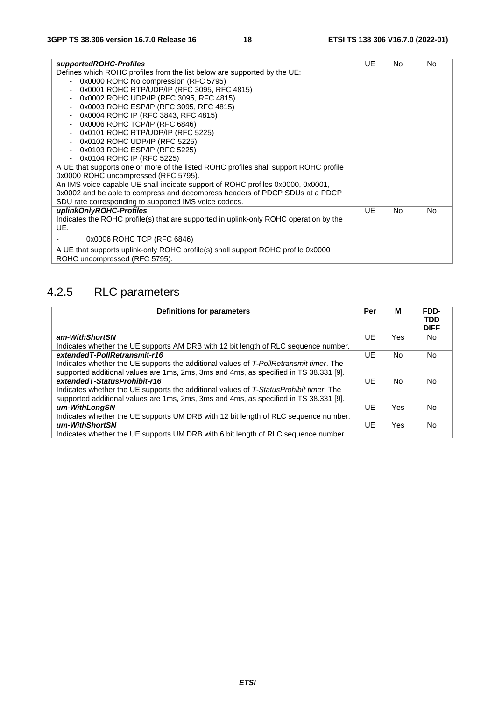| supportedROHC-Profiles                                                                                            | UE  | No             | <b>No</b> |
|-------------------------------------------------------------------------------------------------------------------|-----|----------------|-----------|
| Defines which ROHC profiles from the list below are supported by the UE:                                          |     |                |           |
| 0x0000 ROHC No compression (RFC 5795)                                                                             |     |                |           |
| 0x0001 ROHC RTP/UDP/IP (RFC 3095, RFC 4815)                                                                       |     |                |           |
| 0x0002 ROHC UDP/IP (RFC 3095, RFC 4815)                                                                           |     |                |           |
| 0x0003 ROHC ESP/IP (RFC 3095, RFC 4815)                                                                           |     |                |           |
| 0x0004 ROHC IP (RFC 3843, RFC 4815)<br>$\blacksquare$                                                             |     |                |           |
| 0x0006 ROHC TCP/IP (RFC 6846)                                                                                     |     |                |           |
| 0x0101 ROHC RTP/UDP/IP (RFC 5225)                                                                                 |     |                |           |
| 0x0102 ROHC UDP/IP (RFC 5225)<br>$\overline{\phantom{a}}$                                                         |     |                |           |
| 0x0103 ROHC ESP/IP (RFC 5225)                                                                                     |     |                |           |
| 0x0104 ROHC IP (RFC 5225)<br>- 1                                                                                  |     |                |           |
| A UE that supports one or more of the listed ROHC profiles shall support ROHC profile                             |     |                |           |
| 0x0000 ROHC uncompressed (RFC 5795).                                                                              |     |                |           |
| An IMS voice capable UE shall indicate support of ROHC profiles 0x0000, 0x0001,                                   |     |                |           |
| 0x0002 and be able to compress and decompress headers of PDCP SDUs at a PDCP                                      |     |                |           |
| SDU rate corresponding to supported IMS voice codecs.                                                             |     |                |           |
| uplinkOnlyROHC-Profiles                                                                                           | UE. | N <sub>o</sub> | No.       |
| Indicates the ROHC profile(s) that are supported in uplink-only ROHC operation by the                             |     |                |           |
| UE.                                                                                                               |     |                |           |
| 0x0006 ROHC TCP (RFC 6846)                                                                                        |     |                |           |
| A UE that supports uplink-only ROHC profile(s) shall support ROHC profile 0x0000<br>ROHC uncompressed (RFC 5795). |     |                |           |

# 4.2.5 RLC parameters

| <b>Definitions for parameters</b>                                                      | Per | М   | FDD-<br><b>TDD</b><br><b>DIFF</b> |
|----------------------------------------------------------------------------------------|-----|-----|-----------------------------------|
| am-WithShortSN                                                                         | UE  | Yes | No.                               |
| Indicates whether the UE supports AM DRB with 12 bit length of RLC sequence number.    |     |     |                                   |
| extendedT-PollRetransmit-r16                                                           | UE  | No  | <b>No</b>                         |
| Indicates whether the UE supports the additional values of T-PollRetransmit timer. The |     |     |                                   |
| supported additional values are 1ms, 2ms, 3ms and 4ms, as specified in TS 38.331 [9].  |     |     |                                   |
| extendedT-StatusProhibit-r16                                                           | UE  | No. | No.                               |
| Indicates whether the UE supports the additional values of T-StatusProhibit timer. The |     |     |                                   |
| supported additional values are 1ms, 2ms, 3ms and 4ms, as specified in TS 38.331 [9].  |     |     |                                   |
| um-WithLongSN                                                                          | UE  | Yes | <b>No</b>                         |
| Indicates whether the UE supports UM DRB with 12 bit length of RLC sequence number.    |     |     |                                   |
| um-WithShortSN                                                                         | UE  | Yes | No.                               |
| Indicates whether the UE supports UM DRB with 6 bit length of RLC sequence number.     |     |     |                                   |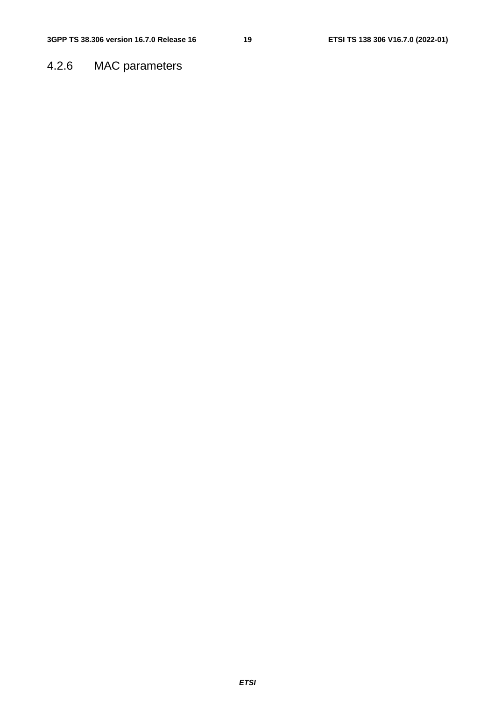### 4.2.6 MAC parameters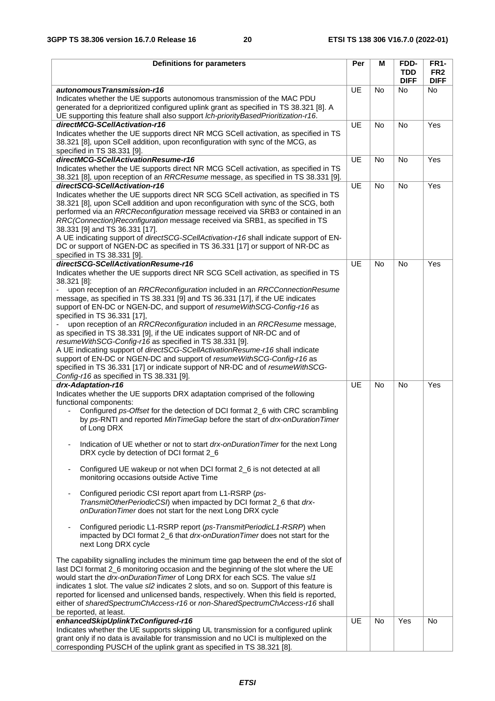| <b>Definitions for parameters</b>                                                                                                                                                                                                                                                                                                                                                                                                                                                                                                                                                                                                                                                                                                                                                                                                                                                              | Per       | M         | FDD-<br><b>TDD</b> | <b>FR1-</b><br>FR <sub>2</sub> |
|------------------------------------------------------------------------------------------------------------------------------------------------------------------------------------------------------------------------------------------------------------------------------------------------------------------------------------------------------------------------------------------------------------------------------------------------------------------------------------------------------------------------------------------------------------------------------------------------------------------------------------------------------------------------------------------------------------------------------------------------------------------------------------------------------------------------------------------------------------------------------------------------|-----------|-----------|--------------------|--------------------------------|
|                                                                                                                                                                                                                                                                                                                                                                                                                                                                                                                                                                                                                                                                                                                                                                                                                                                                                                |           |           | <b>DIFF</b>        | <b>DIFF</b>                    |
| autonomousTransmission-r16<br>Indicates whether the UE supports autonomous transmission of the MAC PDU<br>generated for a deprioritized configured uplink grant as specified in TS 38.321 [8]. A<br>UE supporting this feature shall also support Ich-priorityBasedPrioritization-r16.                                                                                                                                                                                                                                                                                                                                                                                                                                                                                                                                                                                                         | <b>UE</b> | No        | <b>No</b>          | No                             |
| directMCG-SCellActivation-r16<br>Indicates whether the UE supports direct NR MCG SCell activation, as specified in TS<br>38.321 [8], upon SCell addition, upon reconfiguration with sync of the MCG, as<br>specified in TS 38.331 [9].                                                                                                                                                                                                                                                                                                                                                                                                                                                                                                                                                                                                                                                         | <b>UE</b> | <b>No</b> | <b>No</b>          | Yes                            |
| directMCG-SCellActivationResume-r16<br>Indicates whether the UE supports direct NR MCG SCell activation, as specified in TS<br>38.321 [8], upon reception of an RRCResume message, as specified in TS 38.331 [9].                                                                                                                                                                                                                                                                                                                                                                                                                                                                                                                                                                                                                                                                              | <b>UE</b> | No        | <b>No</b>          | Yes                            |
| directSCG-SCellActivation-r16<br>Indicates whether the UE supports direct NR SCG SCell activation, as specified in TS<br>38.321 [8], upon SCell addition and upon reconfiguration with sync of the SCG, both<br>performed via an RRCReconfiguration message received via SRB3 or contained in an<br>RRC(Connection)Reconfiguration message received via SRB1, as specified in TS<br>38.331 [9] and TS 36.331 [17].<br>A UE indicating support of directSCG-SCellActivation-r16 shall indicate support of EN-<br>DC or support of NGEN-DC as specified in TS 36.331 [17] or support of NR-DC as<br>specified in TS 38.331 [9].                                                                                                                                                                                                                                                                  | UE        | <b>No</b> | <b>No</b>          | Yes                            |
| directSCG-SCellActivationResume-r16                                                                                                                                                                                                                                                                                                                                                                                                                                                                                                                                                                                                                                                                                                                                                                                                                                                            | UE        | <b>No</b> | <b>No</b>          | Yes                            |
| Indicates whether the UE supports direct NR SCG SCell activation, as specified in TS<br>38.321 [8]:<br>upon reception of an RRCReconfiguration included in an RRCConnectionResume<br>message, as specified in TS 38.331 [9] and TS 36.331 [17], if the UE indicates<br>support of EN-DC or NGEN-DC, and support of resumeWithSCG-Config-r16 as<br>specified in TS 36.331 [17],<br>upon reception of an RRCReconfiguration included in an RRCResume message,<br>as specified in TS 38.331 [9], if the UE indicates support of NR-DC and of<br>resumeWithSCG-Config-r16 as specified in TS 38.331 [9].<br>A UE indicating support of directSCG-SCellActivationResume-r16 shall indicate<br>support of EN-DC or NGEN-DC and support of resumeWithSCG-Config-r16 as<br>specified in TS 36.331 [17] or indicate support of NR-DC and of resumeWithSCG-<br>Config-r16 as specified in TS 38.331 [9]. |           |           |                    |                                |
| drx-Adaptation-r16<br>Indicates whether the UE supports DRX adaptation comprised of the following<br>functional components:<br>Configured ps-Offset for the detection of DCI format 2_6 with CRC scrambling<br>by ps-RNTI and reported MinTimeGap before the start of drx-onDurationTimer<br>of Long DRX                                                                                                                                                                                                                                                                                                                                                                                                                                                                                                                                                                                       | <b>UE</b> | <b>No</b> | <b>No</b>          | Yes                            |
| Indication of UE whether or not to start drx-onDurationTimer for the next Long<br>DRX cycle by detection of DCI format 2_6                                                                                                                                                                                                                                                                                                                                                                                                                                                                                                                                                                                                                                                                                                                                                                     |           |           |                    |                                |
| Configured UE wakeup or not when DCI format 2_6 is not detected at all<br>monitoring occasions outside Active Time                                                                                                                                                                                                                                                                                                                                                                                                                                                                                                                                                                                                                                                                                                                                                                             |           |           |                    |                                |
| Configured periodic CSI report apart from L1-RSRP (ps-<br>TransmitOtherPeriodicCSI) when impacted by DCI format 2_6 that drx-<br>onDurationTimer does not start for the next Long DRX cycle                                                                                                                                                                                                                                                                                                                                                                                                                                                                                                                                                                                                                                                                                                    |           |           |                    |                                |
| Configured periodic L1-RSRP report (ps-TransmitPeriodicL1-RSRP) when<br>impacted by DCI format 2_6 that drx-onDuration Timer does not start for the<br>next Long DRX cycle                                                                                                                                                                                                                                                                                                                                                                                                                                                                                                                                                                                                                                                                                                                     |           |           |                    |                                |
| The capability signalling includes the minimum time gap between the end of the slot of<br>last DCI format 2_6 monitoring occasion and the beginning of the slot where the UE<br>would start the drx-onDurationTimer of Long DRX for each SCS. The value s/1<br>indicates 1 slot. The value s/2 indicates 2 slots, and so on. Support of this feature is<br>reported for licensed and unlicensed bands, respectively. When this field is reported,<br>either of sharedSpectrumChAccess-r16 or non-SharedSpectrumChAccess-r16 shall<br>be reported, at least.                                                                                                                                                                                                                                                                                                                                    |           |           |                    |                                |
| enhancedSkipUplinkTxConfigured-r16                                                                                                                                                                                                                                                                                                                                                                                                                                                                                                                                                                                                                                                                                                                                                                                                                                                             | UE        | <b>No</b> | Yes                | <b>No</b>                      |
| Indicates whether the UE supports skipping UL transmission for a configured uplink<br>grant only if no data is available for transmission and no UCI is multiplexed on the<br>corresponding PUSCH of the uplink grant as specified in TS 38.321 [8].                                                                                                                                                                                                                                                                                                                                                                                                                                                                                                                                                                                                                                           |           |           |                    |                                |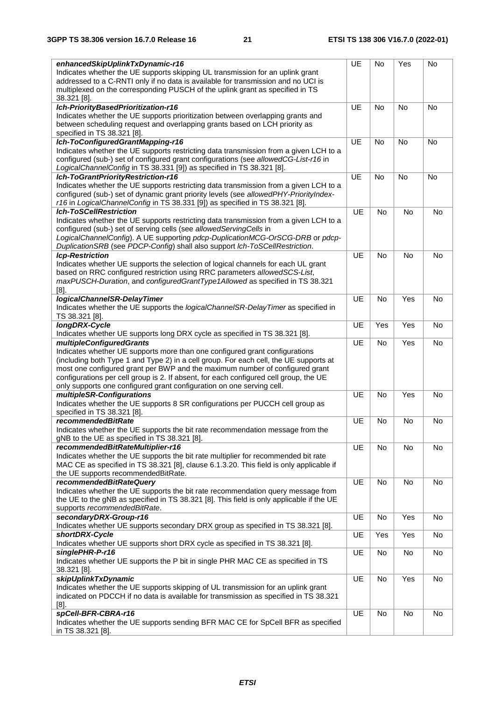| enhancedSkipUplinkTxDynamic-r16                                                          | UE        | No        | Yes       | No        |
|------------------------------------------------------------------------------------------|-----------|-----------|-----------|-----------|
| Indicates whether the UE supports skipping UL transmission for an uplink grant           |           |           |           |           |
| addressed to a C-RNTI only if no data is available for transmission and no UCI is        |           |           |           |           |
| multiplexed on the corresponding PUSCH of the uplink grant as specified in TS            |           |           |           |           |
| 38.321 [8].                                                                              |           |           |           |           |
| Ich-PriorityBasedPrioritization-r16                                                      | <b>UE</b> | <b>No</b> | <b>No</b> | No        |
| Indicates whether the UE supports prioritization between overlapping grants and          |           |           |           |           |
| between scheduling request and overlapping grants based on LCH priority as               |           |           |           |           |
| specified in TS 38.321 [8].                                                              |           |           |           |           |
| Ich-ToConfiguredGrantMapping-r16                                                         | UE        | <b>No</b> | No        | No        |
| Indicates whether the UE supports restricting data transmission from a given LCH to a    |           |           |           |           |
| configured (sub-) set of configured grant configurations (see allowedCG-List-r16 in      |           |           |           |           |
|                                                                                          |           |           |           |           |
| LogicalChannelConfig in TS 38.331 [9]) as specified in TS 38.321 [8].                    |           |           |           |           |
| Ich-ToGrantPriorityRestriction-r16                                                       | UE        | <b>No</b> | No        | No        |
| Indicates whether the UE supports restricting data transmission from a given LCH to a    |           |           |           |           |
| configured (sub-) set of dynamic grant priority levels (see allowedPHY-PriorityIndex-    |           |           |           |           |
| r16 in LogicalChannelConfig in TS 38.331 [9]) as specified in TS 38.321 [8].             |           |           |           |           |
| <b>Ich-ToSCellRestriction</b>                                                            | <b>UE</b> | <b>No</b> | No        | No        |
| Indicates whether the UE supports restricting data transmission from a given LCH to a    |           |           |           |           |
| configured (sub-) set of serving cells (see allowedServingCells in                       |           |           |           |           |
| LogicalChannelConfig). A UE supporting pdcp-DuplicationMCG-OrSCG-DRB or pdcp-            |           |           |           |           |
| DuplicationSRB (see PDCP-Config) shall also support Ich-ToSCellRestriction.              |           |           |           |           |
| <b>Icp-Restriction</b>                                                                   | <b>UE</b> | <b>No</b> | <b>No</b> | <b>No</b> |
| Indicates whether UE supports the selection of logical channels for each UL grant        |           |           |           |           |
| based on RRC configured restriction using RRC parameters allowedSCS-List,                |           |           |           |           |
|                                                                                          |           |           |           |           |
| maxPUSCH-Duration, and configuredGrantType1Allowed as specified in TS 38.321             |           |           |           |           |
| $[8]$ .                                                                                  |           |           |           |           |
| logicalChannelSR-DelayTimer                                                              | <b>UE</b> | <b>No</b> | Yes       | No        |
| Indicates whether the UE supports the logicalChannelSR-DelayTimer as specified in        |           |           |           |           |
| TS 38.321 [8].                                                                           |           |           |           |           |
| longDRX-Cycle                                                                            | <b>UE</b> | Yes       | Yes       | <b>No</b> |
| Indicates whether UE supports long DRX cycle as specified in TS 38.321 [8].              |           |           |           |           |
| <b>multipleConfiguredGrants</b>                                                          | <b>UE</b> | No        | Yes       | No        |
| Indicates whether UE supports more than one configured grant configurations              |           |           |           |           |
| (including both Type 1 and Type 2) in a cell group. For each cell, the UE supports at    |           |           |           |           |
| most one configured grant per BWP and the maximum number of configured grant             |           |           |           |           |
| configurations per cell group is 2. If absent, for each configured cell group, the UE    |           |           |           |           |
| only supports one configured grant configuration on one serving cell.                    |           |           |           |           |
| multipleSR-Configurations                                                                | UE        | <b>No</b> | Yes       | <b>No</b> |
| Indicates whether the UE supports 8 SR configurations per PUCCH cell group as            |           |           |           |           |
| specified in TS 38.321 [8].                                                              |           |           |           |           |
|                                                                                          | UE        |           |           |           |
| <i>recommendedBitRate</i>                                                                |           | No        | No        | No        |
| Indicates whether the UE supports the bit rate recommendation message from the           |           |           |           |           |
| gNB to the UE as specified in TS 38.321 [8].                                             |           |           |           |           |
| recommendedBitRateMultiplier-r16                                                         | <b>UE</b> | No        | No        | No        |
| Indicates whether the UE supports the bit rate multiplier for recommended bit rate       |           |           |           |           |
| MAC CE as specified in TS 38.321 [8], clause 6.1.3.20. This field is only applicable if  |           |           |           |           |
| the UE supports recommendedBitRate.                                                      |           |           |           |           |
| recommendedBitRateQuery                                                                  | <b>UE</b> | No        | No        | No        |
| Indicates whether the UE supports the bit rate recommendation query message from         |           |           |           |           |
| the UE to the gNB as specified in TS 38.321 [8]. This field is only applicable if the UE |           |           |           |           |
| supports recommendedBitRate.                                                             |           |           |           |           |
| secondaryDRX-Group-r16                                                                   | UE        | No        | Yes       | No        |
| Indicates whether UE supports secondary DRX group as specified in TS 38.321 [8].         |           |           |           |           |
| shortDRX-Cycle                                                                           | <b>UE</b> | Yes       | Yes       | No        |
| Indicates whether UE supports short DRX cycle as specified in TS 38.321 [8].             |           |           |           |           |
|                                                                                          |           |           |           |           |
| singlePHR-P-r16                                                                          | UE        | No        | No        | No        |
| Indicates whether UE supports the P bit in single PHR MAC CE as specified in TS          |           |           |           |           |
| 38.321 [8].                                                                              |           |           |           |           |
| skipUplinkTxDynamic                                                                      | <b>UE</b> | No        | Yes       | No        |
| Indicates whether the UE supports skipping of UL transmission for an uplink grant        |           |           |           |           |
| indicated on PDCCH if no data is available for transmission as specified in TS 38.321    |           |           |           |           |
| $[8]$ .                                                                                  |           |           |           |           |
| spCell-BFR-CBRA-r16                                                                      | <b>UE</b> | No        | No        | No        |
| Indicates whether the UE supports sending BFR MAC CE for SpCell BFR as specified         |           |           |           |           |
| in TS 38.321 [8].                                                                        |           |           |           |           |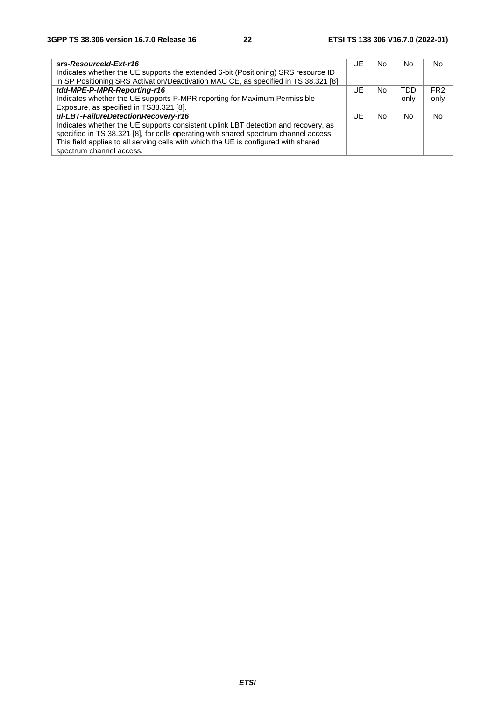| srs-ResourceId-Ext-r16                                                               | UE | No. | No.        | No.             |
|--------------------------------------------------------------------------------------|----|-----|------------|-----------------|
| Indicates whether the UE supports the extended 6-bit (Positioning) SRS resource ID   |    |     |            |                 |
| in SP Positioning SRS Activation/Deactivation MAC CE, as specified in TS 38.321 [8]. |    |     |            |                 |
| tdd-MPE-P-MPR-Reporting-r16                                                          | UE | No. | <b>TDD</b> | FR <sub>2</sub> |
| Indicates whether the UE supports P-MPR reporting for Maximum Permissible            |    |     | only       | only            |
| Exposure, as specified in TS38.321 [8].                                              |    |     |            |                 |
| ul-LBT-FailureDetectionRecovery-r16                                                  | UE | No. | No         | N <sub>o</sub>  |
| Indicates whether the UE supports consistent uplink LBT detection and recovery, as   |    |     |            |                 |
| specified in TS 38.321 [8], for cells operating with shared spectrum channel access. |    |     |            |                 |
| This field applies to all serving cells with which the UE is configured with shared  |    |     |            |                 |
| spectrum channel access.                                                             |    |     |            |                 |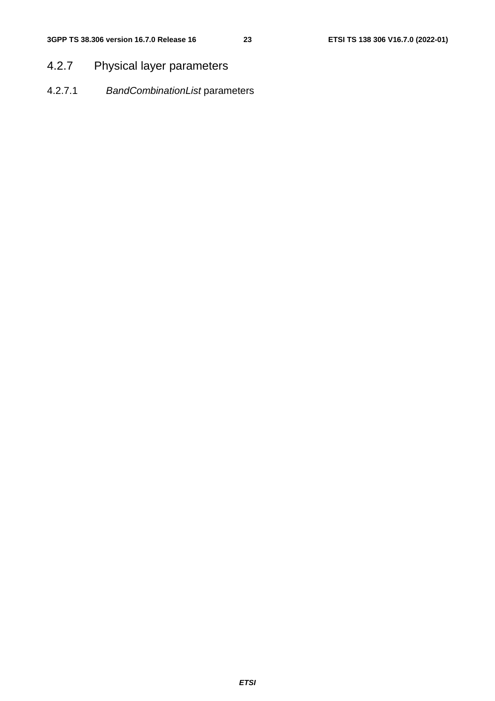### 4.2.7 Physical layer parameters

4.2.7.1 *BandCombinationList* parameters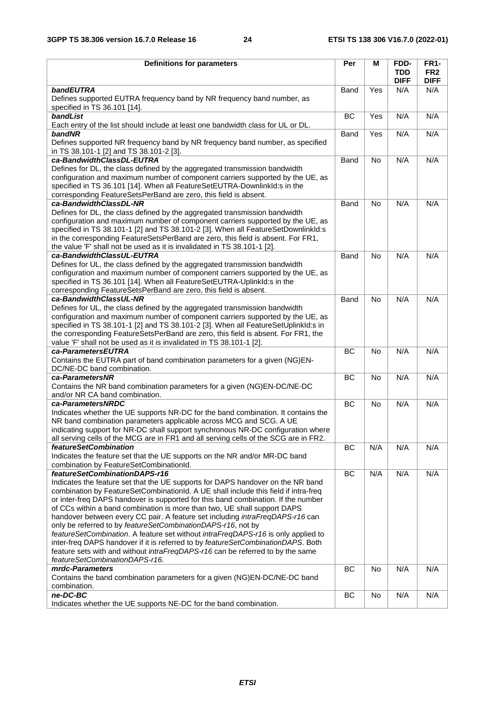| <b>Definitions for parameters</b>                                                                                                                                                                                                                                                                                                                                                                                                                                                                                                                                             | Per       | М         | <b>FDD-</b>               | <b>FR1-</b>                    |
|-------------------------------------------------------------------------------------------------------------------------------------------------------------------------------------------------------------------------------------------------------------------------------------------------------------------------------------------------------------------------------------------------------------------------------------------------------------------------------------------------------------------------------------------------------------------------------|-----------|-----------|---------------------------|--------------------------------|
|                                                                                                                                                                                                                                                                                                                                                                                                                                                                                                                                                                               |           |           | <b>TDD</b><br><b>DIFF</b> | FR <sub>2</sub><br><b>DIFF</b> |
| bandEUTRA                                                                                                                                                                                                                                                                                                                                                                                                                                                                                                                                                                     | Band      | Yes       | N/A                       | N/A                            |
| Defines supported EUTRA frequency band by NR frequency band number, as<br>specified in TS 36.101 [14].                                                                                                                                                                                                                                                                                                                                                                                                                                                                        |           |           |                           |                                |
| bandList                                                                                                                                                                                                                                                                                                                                                                                                                                                                                                                                                                      | <b>BC</b> | Yes       | N/A                       | N/A                            |
| Each entry of the list should include at least one bandwidth class for UL or DL.                                                                                                                                                                                                                                                                                                                                                                                                                                                                                              |           |           |                           |                                |
| bandNR                                                                                                                                                                                                                                                                                                                                                                                                                                                                                                                                                                        | Band      | Yes       | N/A                       | N/A                            |
| Defines supported NR frequency band by NR frequency band number, as specified<br>in TS 38.101-1 [2] and TS 38.101-2 [3].                                                                                                                                                                                                                                                                                                                                                                                                                                                      |           |           |                           |                                |
| ca-BandwidthClassDL-EUTRA                                                                                                                                                                                                                                                                                                                                                                                                                                                                                                                                                     | Band      | <b>No</b> | N/A                       | N/A                            |
| Defines for DL, the class defined by the aggregated transmission bandwidth                                                                                                                                                                                                                                                                                                                                                                                                                                                                                                    |           |           |                           |                                |
| configuration and maximum number of component carriers supported by the UE, as<br>specified in TS 36.101 [14]. When all FeatureSetEUTRA-DownlinkId:s in the                                                                                                                                                                                                                                                                                                                                                                                                                   |           |           |                           |                                |
| corresponding FeatureSetsPerBand are zero, this field is absent.                                                                                                                                                                                                                                                                                                                                                                                                                                                                                                              |           |           |                           |                                |
| ca-BandwidthClassDL-NR<br>Defines for DL, the class defined by the aggregated transmission bandwidth<br>configuration and maximum number of component carriers supported by the UE, as<br>specified in TS 38.101-1 [2] and TS 38.101-2 [3]. When all FeatureSetDownlinkId:s<br>in the corresponding FeatureSetsPerBand are zero, this field is absent. For FR1,<br>the value 'F' shall not be used as it is invalidated in TS 38.101-1 [2].                                                                                                                                   | Band      | No        | N/A                       | N/A                            |
| ca-BandwidthClassUL-EUTRA                                                                                                                                                                                                                                                                                                                                                                                                                                                                                                                                                     | Band      | <b>No</b> | N/A                       | N/A                            |
| Defines for UL, the class defined by the aggregated transmission bandwidth<br>configuration and maximum number of component carriers supported by the UE, as<br>specified in TS 36.101 [14]. When all FeatureSetEUTRA-UplinkId:s in the<br>corresponding FeatureSetsPerBand are zero, this field is absent.                                                                                                                                                                                                                                                                   |           |           |                           |                                |
| ca-BandwidthClassUL-NR                                                                                                                                                                                                                                                                                                                                                                                                                                                                                                                                                        | Band      | <b>No</b> | N/A                       | N/A                            |
| Defines for UL, the class defined by the aggregated transmission bandwidth<br>configuration and maximum number of component carriers supported by the UE, as<br>specified in TS 38.101-1 [2] and TS 38.101-2 [3]. When all FeatureSetUplinkId:s in<br>the corresponding FeatureSetsPerBand are zero, this field is absent. For FR1, the<br>value 'F' shall not be used as it is invalidated in TS 38.101-1 [2].                                                                                                                                                               |           |           |                           |                                |
| ca-ParametersEUTRA                                                                                                                                                                                                                                                                                                                                                                                                                                                                                                                                                            | <b>BC</b> | No        | N/A                       | N/A                            |
| Contains the EUTRA part of band combination parameters for a given (NG)EN-                                                                                                                                                                                                                                                                                                                                                                                                                                                                                                    |           |           |                           |                                |
| DC/NE-DC band combination.                                                                                                                                                                                                                                                                                                                                                                                                                                                                                                                                                    |           |           |                           |                                |
| ca-ParametersNR                                                                                                                                                                                                                                                                                                                                                                                                                                                                                                                                                               | <b>BC</b> | No        | N/A                       | N/A                            |
| Contains the NR band combination parameters for a given (NG)EN-DC/NE-DC<br>and/or NR CA band combination.                                                                                                                                                                                                                                                                                                                                                                                                                                                                     |           |           |                           |                                |
| ca-ParametersNRDC                                                                                                                                                                                                                                                                                                                                                                                                                                                                                                                                                             | <b>BC</b> | No        | N/A                       | N/A                            |
| Indicates whether the UE supports NR-DC for the band combination. It contains the<br>NR band combination parameters applicable across MCG and SCG. A UE<br>indicating support for NR-DC shall support synchronous NR-DC configuration where<br>all serving cells of the MCG are in FR1 and all serving cells of the SCG are in FR2.                                                                                                                                                                                                                                           |           |           |                           |                                |
| <i>featureSetCombination</i>                                                                                                                                                                                                                                                                                                                                                                                                                                                                                                                                                  | ВC        | N/A       | N/A                       | N/A                            |
| Indicates the feature set that the UE supports on the NR and/or MR-DC band<br>combination by FeatureSetCombinationId.                                                                                                                                                                                                                                                                                                                                                                                                                                                         |           |           |                           |                                |
| featureSetCombinationDAPS-r16                                                                                                                                                                                                                                                                                                                                                                                                                                                                                                                                                 | <b>BC</b> | N/A       | N/A                       | N/A                            |
| Indicates the feature set that the UE supports for DAPS handover on the NR band<br>combination by FeatureSetCombinationId. A UE shall include this field if intra-freq<br>or inter-freq DAPS handover is supported for this band combination. If the number<br>of CCs within a band combination is more than two, UE shall support DAPS<br>handover between every CC pair. A feature set including intraFreqDAPS-r16 can<br>only be referred to by featureSetCombinationDAPS-r16, not by<br>featureSetCombination. A feature set without intraFreqDAPS-r16 is only applied to |           |           |                           |                                |
| inter-freq DAPS handover if it is referred to by featureSetCombinationDAPS. Both<br>feature sets with and without intraFreqDAPS-r16 can be referred to by the same                                                                                                                                                                                                                                                                                                                                                                                                            |           |           |                           |                                |
| featureSetCombinationDAPS-r16.                                                                                                                                                                                                                                                                                                                                                                                                                                                                                                                                                |           |           |                           |                                |
| mrdc-Parameters<br>Contains the band combination parameters for a given (NG)EN-DC/NE-DC band<br>combination.                                                                                                                                                                                                                                                                                                                                                                                                                                                                  | BC        | No        | N/A                       | N/A                            |
| ne-DC-BC                                                                                                                                                                                                                                                                                                                                                                                                                                                                                                                                                                      | BC        | No        | N/A                       | N/A                            |
| Indicates whether the UE supports NE-DC for the band combination.                                                                                                                                                                                                                                                                                                                                                                                                                                                                                                             |           |           |                           |                                |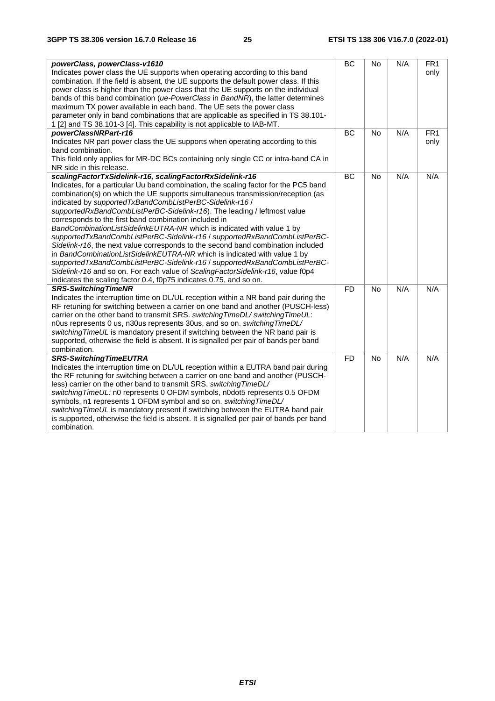| powerClass, powerClass-v1610                                                                                                                                               | BC        | No        | N/A | FR <sub>1</sub> |
|----------------------------------------------------------------------------------------------------------------------------------------------------------------------------|-----------|-----------|-----|-----------------|
| Indicates power class the UE supports when operating according to this band                                                                                                |           |           |     | only            |
| combination. If the field is absent, the UE supports the default power class. If this<br>power class is higher than the power class that the UE supports on the individual |           |           |     |                 |
| bands of this band combination (ue-PowerClass in BandNR), the latter determines                                                                                            |           |           |     |                 |
| maximum TX power available in each band. The UE sets the power class                                                                                                       |           |           |     |                 |
| parameter only in band combinations that are applicable as specified in TS 38.101-                                                                                         |           |           |     |                 |
| 1 [2] and TS 38.101-3 [4]. This capability is not applicable to IAB-MT.                                                                                                    |           |           |     |                 |
| powerClassNRPart-r16                                                                                                                                                       | <b>BC</b> | <b>No</b> | N/A | FR <sub>1</sub> |
| Indicates NR part power class the UE supports when operating according to this                                                                                             |           |           |     | only            |
| band combination.                                                                                                                                                          |           |           |     |                 |
| This field only applies for MR-DC BCs containing only single CC or intra-band CA in                                                                                        |           |           |     |                 |
| NR side in this release.                                                                                                                                                   |           |           |     |                 |
| scalingFactorTxSidelink-r16, scalingFactorRxSidelink-r16                                                                                                                   | BC        | <b>No</b> | N/A | N/A             |
| Indicates, for a particular Uu band combination, the scaling factor for the PC5 band                                                                                       |           |           |     |                 |
| combination(s) on which the UE supports simultaneous transmission/reception (as                                                                                            |           |           |     |                 |
| indicated by supportedTxBandCombListPerBC-Sidelink-r16 /                                                                                                                   |           |           |     |                 |
| supportedRxBandCombListPerBC-Sidelink-r16). The leading / leftmost value                                                                                                   |           |           |     |                 |
| corresponds to the first band combination included in                                                                                                                      |           |           |     |                 |
| BandCombinationListSidelinkEUTRA-NR which is indicated with value 1 by                                                                                                     |           |           |     |                 |
| supportedTxBandCombListPerBC-Sidelink-r16 / supportedRxBandCombListPerBC-                                                                                                  |           |           |     |                 |
| Sidelink-r16, the next value corresponds to the second band combination included                                                                                           |           |           |     |                 |
| in BandCombinationListSidelinkEUTRA-NR which is indicated with value 1 by<br>supportedTxBandCombListPerBC-Sidelink-r16 / supportedRxBandCombListPerBC-                     |           |           |     |                 |
| Sidelink-r16 and so on. For each value of ScalingFactorSidelink-r16, value f0p4                                                                                            |           |           |     |                 |
| indicates the scaling factor 0.4, f0p75 indicates 0.75, and so on.                                                                                                         |           |           |     |                 |
| <b>SRS-SwitchingTimeNR</b>                                                                                                                                                 | <b>FD</b> | <b>No</b> | N/A | N/A             |
| Indicates the interruption time on DL/UL reception within a NR band pair during the                                                                                        |           |           |     |                 |
| RF retuning for switching between a carrier on one band and another (PUSCH-less)                                                                                           |           |           |     |                 |
| carrier on the other band to transmit SRS. switching TimeDL/ switching TimeUL:                                                                                             |           |           |     |                 |
| n0us represents 0 us, n30us represents 30us, and so on. switching TimeDL/                                                                                                  |           |           |     |                 |
| switching TimeUL is mandatory present if switching between the NR band pair is                                                                                             |           |           |     |                 |
| supported, otherwise the field is absent. It is signalled per pair of bands per band                                                                                       |           |           |     |                 |
| combination.                                                                                                                                                               |           |           |     |                 |
| <b>SRS-SwitchingTimeEUTRA</b>                                                                                                                                              | <b>FD</b> | <b>No</b> | N/A | N/A             |
| Indicates the interruption time on DL/UL reception within a EUTRA band pair during                                                                                         |           |           |     |                 |
| the RF retuning for switching between a carrier on one band and another (PUSCH-                                                                                            |           |           |     |                 |
| less) carrier on the other band to transmit SRS. switching TimeDL/                                                                                                         |           |           |     |                 |
| switchingTimeUL: n0 represents 0 OFDM symbols, n0dot5 represents 0.5 OFDM                                                                                                  |           |           |     |                 |
| symbols, n1 represents 1 OFDM symbol and so on. switching TimeDL/                                                                                                          |           |           |     |                 |
| switching TimeUL is mandatory present if switching between the EUTRA band pair                                                                                             |           |           |     |                 |
| is supported, otherwise the field is absent. It is signalled per pair of bands per band                                                                                    |           |           |     |                 |
| combination.                                                                                                                                                               |           |           |     |                 |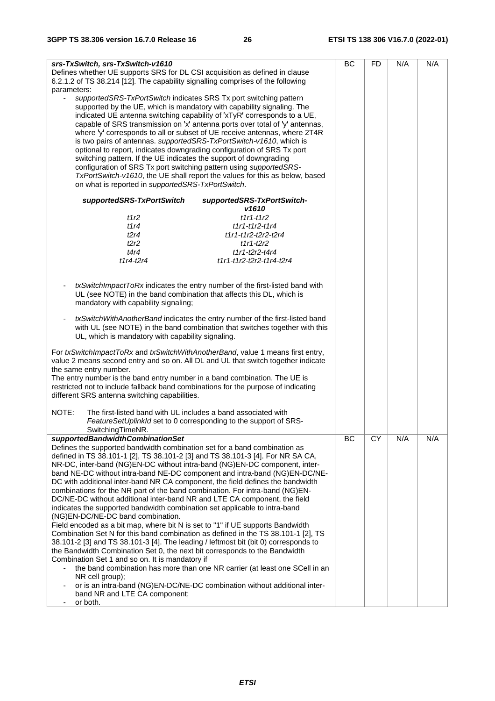| srs-TxSwitch, srs-TxSwitch-v1610<br>Defines whether UE supports SRS for DL CSI acquisition as defined in clause |                                                                             | BC | FD. | N/A | N/A |
|-----------------------------------------------------------------------------------------------------------------|-----------------------------------------------------------------------------|----|-----|-----|-----|
| 6.2.1.2 of TS 38.214 [12]. The capability signalling comprises of the following                                 |                                                                             |    |     |     |     |
| parameters:                                                                                                     |                                                                             |    |     |     |     |
| supportedSRS-TxPortSwitch indicates SRS Tx port switching pattern                                               |                                                                             |    |     |     |     |
| supported by the UE, which is mandatory with capability signaling. The                                          |                                                                             |    |     |     |     |
| indicated UE antenna switching capability of 'xTyR' corresponds to a UE,                                        |                                                                             |    |     |     |     |
|                                                                                                                 |                                                                             |    |     |     |     |
| capable of SRS transmission on 'x' antenna ports over total of 'y' antennas,                                    |                                                                             |    |     |     |     |
| where 'y' corresponds to all or subset of UE receive antennas, where 2T4R                                       |                                                                             |    |     |     |     |
| is two pairs of antennas. supportedSRS-TxPortSwitch-v1610, which is                                             |                                                                             |    |     |     |     |
| optional to report, indicates downgrading configuration of SRS Tx port                                          |                                                                             |    |     |     |     |
| switching pattern. If the UE indicates the support of downgrading                                               |                                                                             |    |     |     |     |
| configuration of SRS Tx port switching pattern using supportedSRS-                                              |                                                                             |    |     |     |     |
| TxPortSwitch-v1610, the UE shall report the values for this as below, based                                     |                                                                             |    |     |     |     |
| on what is reported in supportedSRS-TxPortSwitch.                                                               |                                                                             |    |     |     |     |
|                                                                                                                 |                                                                             |    |     |     |     |
| supportedSRS-TxPortSwitch                                                                                       | supportedSRS-TxPortSwitch-                                                  |    |     |     |     |
|                                                                                                                 | v1610                                                                       |    |     |     |     |
| t1r $2$                                                                                                         | $t1r1-t1r2$                                                                 |    |     |     |     |
| t1r4                                                                                                            | $t1r1-t1r2-t1r4$                                                            |    |     |     |     |
| t2r4                                                                                                            | t1r1-t1r2-t2r2-t2r4                                                         |    |     |     |     |
| t2r2                                                                                                            | $t1r1-t2r2$                                                                 |    |     |     |     |
| t4r4                                                                                                            | $t1r1-t2r2-t4r4$                                                            |    |     |     |     |
| $t1r4-t2r4$                                                                                                     | t1r1-t1r2-t2r2-t1r4-t2r4                                                    |    |     |     |     |
|                                                                                                                 |                                                                             |    |     |     |     |
|                                                                                                                 |                                                                             |    |     |     |     |
| txSwitchImpactToRx indicates the entry number of the first-listed band with                                     |                                                                             |    |     |     |     |
| UL (see NOTE) in the band combination that affects this DL, which is                                            |                                                                             |    |     |     |     |
| mandatory with capability signaling;                                                                            |                                                                             |    |     |     |     |
|                                                                                                                 |                                                                             |    |     |     |     |
| txSwitchWithAnotherBand indicates the entry number of the first-listed band                                     |                                                                             |    |     |     |     |
| with UL (see NOTE) in the band combination that switches together with this                                     |                                                                             |    |     |     |     |
|                                                                                                                 |                                                                             |    |     |     |     |
| UL, which is mandatory with capability signaling.                                                               |                                                                             |    |     |     |     |
| For txSwitchImpactToRx and txSwitchWithAnotherBand, value 1 means first entry,                                  |                                                                             |    |     |     |     |
|                                                                                                                 |                                                                             |    |     |     |     |
| value 2 means second entry and so on. All DL and UL that switch together indicate                               |                                                                             |    |     |     |     |
| the same entry number.                                                                                          |                                                                             |    |     |     |     |
| The entry number is the band entry number in a band combination. The UE is                                      |                                                                             |    |     |     |     |
| restricted not to include fallback band combinations for the purpose of indicating                              |                                                                             |    |     |     |     |
| different SRS antenna switching capabilities.                                                                   |                                                                             |    |     |     |     |
|                                                                                                                 |                                                                             |    |     |     |     |
| NOTE:<br>The first-listed band with UL includes a band associated with                                          |                                                                             |    |     |     |     |
| FeatureSetUplinkId set to 0 corresponding to the support of SRS-                                                |                                                                             |    |     |     |     |
| SwitchingTimeNR.                                                                                                |                                                                             |    |     |     |     |
| supportedBandwidthCombinationSet                                                                                |                                                                             | BC | CY  | N/A | N/A |
| Defines the supported bandwidth combination set for a band combination as                                       |                                                                             |    |     |     |     |
| defined in TS 38.101-1 [2], TS 38.101-2 [3] and TS 38.101-3 [4]. For NR SA CA,                                  |                                                                             |    |     |     |     |
| NR-DC, inter-band (NG)EN-DC without intra-band (NG)EN-DC component, inter-                                      |                                                                             |    |     |     |     |
| band NE-DC without intra-band NE-DC component and intra-band (NG)EN-DC/NE-                                      |                                                                             |    |     |     |     |
| DC with additional inter-band NR CA component, the field defines the bandwidth                                  |                                                                             |    |     |     |     |
| combinations for the NR part of the band combination. For intra-band (NG)EN-                                    |                                                                             |    |     |     |     |
| DC/NE-DC without additional inter-band NR and LTE CA component, the field                                       |                                                                             |    |     |     |     |
| indicates the supported bandwidth combination set applicable to intra-band                                      |                                                                             |    |     |     |     |
| (NG)EN-DC/NE-DC band combination.                                                                               |                                                                             |    |     |     |     |
| Field encoded as a bit map, where bit N is set to "1" if UE supports Bandwidth                                  |                                                                             |    |     |     |     |
| Combination Set N for this band combination as defined in the TS 38.101-1 [2], TS                               |                                                                             |    |     |     |     |
| 38.101-2 [3] and TS 38.101-3 [4]. The leading / leftmost bit (bit 0) corresponds to                             |                                                                             |    |     |     |     |
| the Bandwidth Combination Set 0, the next bit corresponds to the Bandwidth                                      |                                                                             |    |     |     |     |
| Combination Set 1 and so on. It is mandatory if                                                                 |                                                                             |    |     |     |     |
|                                                                                                                 | the band combination has more than one NR carrier (at least one SCell in an |    |     |     |     |
| NR cell group);                                                                                                 |                                                                             |    |     |     |     |
| or is an intra-band (NG)EN-DC/NE-DC combination without additional inter-                                       |                                                                             |    |     |     |     |
| band NR and LTE CA component;                                                                                   |                                                                             |    |     |     |     |
| or both.<br>٠                                                                                                   |                                                                             |    |     |     |     |
|                                                                                                                 |                                                                             |    |     |     |     |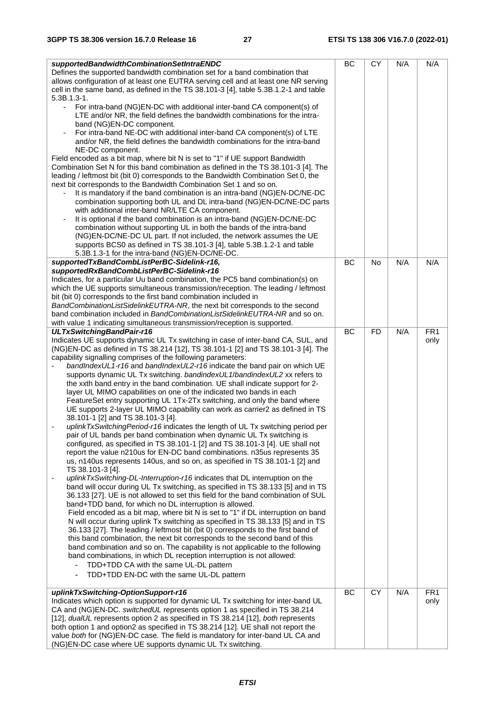| supportedBandwidthCombinationSetIntraENDC<br>Defines the supported bandwidth combination set for a band combination that<br>allows configuration of at least one EUTRA serving cell and at least one NR serving                                                                                                                                                                                                                                                                                                                                                                                                                                                                                                                                                                                                                                                                                                                                                                                                                                                                                                                                                                                                                                                                                                                                                                                                                                                                                                                                                                                                                                                                                                                                                                                                                                                                                                                                                                                                                                                                               | BC | <b>CY</b> | N/A | N/A                     |
|-----------------------------------------------------------------------------------------------------------------------------------------------------------------------------------------------------------------------------------------------------------------------------------------------------------------------------------------------------------------------------------------------------------------------------------------------------------------------------------------------------------------------------------------------------------------------------------------------------------------------------------------------------------------------------------------------------------------------------------------------------------------------------------------------------------------------------------------------------------------------------------------------------------------------------------------------------------------------------------------------------------------------------------------------------------------------------------------------------------------------------------------------------------------------------------------------------------------------------------------------------------------------------------------------------------------------------------------------------------------------------------------------------------------------------------------------------------------------------------------------------------------------------------------------------------------------------------------------------------------------------------------------------------------------------------------------------------------------------------------------------------------------------------------------------------------------------------------------------------------------------------------------------------------------------------------------------------------------------------------------------------------------------------------------------------------------------------------------|----|-----------|-----|-------------------------|
| cell in the same band, as defined in the TS 38.101-3 [4], table 5.3B.1.2-1 and table<br>$5.3B.1.3-1.$<br>For intra-band (NG)EN-DC with additional inter-band CA component(s) of                                                                                                                                                                                                                                                                                                                                                                                                                                                                                                                                                                                                                                                                                                                                                                                                                                                                                                                                                                                                                                                                                                                                                                                                                                                                                                                                                                                                                                                                                                                                                                                                                                                                                                                                                                                                                                                                                                               |    |           |     |                         |
| LTE and/or NR, the field defines the bandwidth combinations for the intra-<br>band (NG)EN-DC component.<br>For intra-band NE-DC with additional inter-band CA component(s) of LTE                                                                                                                                                                                                                                                                                                                                                                                                                                                                                                                                                                                                                                                                                                                                                                                                                                                                                                                                                                                                                                                                                                                                                                                                                                                                                                                                                                                                                                                                                                                                                                                                                                                                                                                                                                                                                                                                                                             |    |           |     |                         |
| and/or NR, the field defines the bandwidth combinations for the intra-band<br>NE-DC component.                                                                                                                                                                                                                                                                                                                                                                                                                                                                                                                                                                                                                                                                                                                                                                                                                                                                                                                                                                                                                                                                                                                                                                                                                                                                                                                                                                                                                                                                                                                                                                                                                                                                                                                                                                                                                                                                                                                                                                                                |    |           |     |                         |
| Field encoded as a bit map, where bit N is set to "1" if UE support Bandwidth<br>Combination Set N for this band combination as defined in the TS 38.101-3 [4]. The<br>leading / leftmost bit (bit 0) corresponds to the Bandwidth Combination Set 0, the<br>next bit corresponds to the Bandwidth Combination Set 1 and so on.                                                                                                                                                                                                                                                                                                                                                                                                                                                                                                                                                                                                                                                                                                                                                                                                                                                                                                                                                                                                                                                                                                                                                                                                                                                                                                                                                                                                                                                                                                                                                                                                                                                                                                                                                               |    |           |     |                         |
| It is mandatory if the band combination is an intra-band (NG)EN-DC/NE-DC<br>$\overline{\phantom{a}}$<br>combination supporting both UL and DL intra-band (NG)EN-DC/NE-DC parts<br>with additional inter-band NR/LTE CA component.                                                                                                                                                                                                                                                                                                                                                                                                                                                                                                                                                                                                                                                                                                                                                                                                                                                                                                                                                                                                                                                                                                                                                                                                                                                                                                                                                                                                                                                                                                                                                                                                                                                                                                                                                                                                                                                             |    |           |     |                         |
| It is optional if the band combination is an intra-band (NG)EN-DC/NE-DC<br>combination without supporting UL in both the bands of the intra-band<br>(NG)EN-DC/NE-DC UL part. If not included, the network assumes the UE                                                                                                                                                                                                                                                                                                                                                                                                                                                                                                                                                                                                                                                                                                                                                                                                                                                                                                                                                                                                                                                                                                                                                                                                                                                                                                                                                                                                                                                                                                                                                                                                                                                                                                                                                                                                                                                                      |    |           |     |                         |
| supports BCS0 as defined in TS 38.101-3 [4], table 5.3B.1.2-1 and table<br>5.3B.1.3-1 for the intra-band (NG)EN-DC/NE-DC.                                                                                                                                                                                                                                                                                                                                                                                                                                                                                                                                                                                                                                                                                                                                                                                                                                                                                                                                                                                                                                                                                                                                                                                                                                                                                                                                                                                                                                                                                                                                                                                                                                                                                                                                                                                                                                                                                                                                                                     |    |           |     |                         |
| supportedTxBandCombListPerBC-Sidelink-r16,<br>supportedRxBandCombListPerBC-Sidelink-r16                                                                                                                                                                                                                                                                                                                                                                                                                                                                                                                                                                                                                                                                                                                                                                                                                                                                                                                                                                                                                                                                                                                                                                                                                                                                                                                                                                                                                                                                                                                                                                                                                                                                                                                                                                                                                                                                                                                                                                                                       | BC | No        | N/A | N/A                     |
| Indicates, for a particular Uu band combination, the PC5 band combination(s) on<br>which the UE supports simultaneous transmission/reception. The leading / leftmost<br>bit (bit 0) corresponds to the first band combination included in<br>BandCombinationListSidelinkEUTRA-NR, the next bit corresponds to the second                                                                                                                                                                                                                                                                                                                                                                                                                                                                                                                                                                                                                                                                                                                                                                                                                                                                                                                                                                                                                                                                                                                                                                                                                                                                                                                                                                                                                                                                                                                                                                                                                                                                                                                                                                      |    |           |     |                         |
| band combination included in BandCombinationListSidelinkEUTRA-NR and so on.<br>with value 1 indicating simultaneous transmission/reception is supported.                                                                                                                                                                                                                                                                                                                                                                                                                                                                                                                                                                                                                                                                                                                                                                                                                                                                                                                                                                                                                                                                                                                                                                                                                                                                                                                                                                                                                                                                                                                                                                                                                                                                                                                                                                                                                                                                                                                                      |    |           |     |                         |
| ULTxSwitchingBandPair-r16                                                                                                                                                                                                                                                                                                                                                                                                                                                                                                                                                                                                                                                                                                                                                                                                                                                                                                                                                                                                                                                                                                                                                                                                                                                                                                                                                                                                                                                                                                                                                                                                                                                                                                                                                                                                                                                                                                                                                                                                                                                                     | BC | <b>FD</b> | N/A | FR <sub>1</sub>         |
| Indicates UE supports dynamic UL Tx switching in case of inter-band CA, SUL, and<br>(NG)EN-DC as defined in TS 38.214 [12], TS 38.101-1 [2] and TS 38.101-3 [4]. The<br>capability signalling comprises of the following parameters:<br>bandIndexUL1-r16 and bandIndexUL2-r16 indicate the band pair on which UE<br>supports dynamic UL Tx switching. bandindexUL1/bandindexUL2 xx refers to<br>the xxth band entry in the band combination. UE shall indicate support for 2-<br>layer UL MIMO capabilities on one of the indicated two bands in each<br>FeatureSet entry supporting UL 1Tx-2Tx switching, and only the band where<br>UE supports 2-layer UL MIMO capability can work as carrier2 as defined in TS<br>38.101-1 [2] and TS 38.101-3 [4].<br>uplinkTxSwitchingPeriod-r16 indicates the length of UL Tx switching period per<br>pair of UL bands per band combination when dynamic UL Tx switching is<br>configured, as specified in TS 38.101-1 [2] and TS 38.101-3 [4]. UE shall not<br>report the value n210us for EN-DC band combinations. n35us represents 35<br>us, n140us represents 140us, and so on, as specified in TS 38.101-1 [2] and<br>TS 38.101-3 [4].<br>uplinkTxSwitching-DL-Interruption-r16 indicates that DL interruption on the<br>band will occur during UL Tx switching, as specified in TS 38.133 [5] and in TS<br>36.133 [27]. UE is not allowed to set this field for the band combination of SUL<br>band+TDD band, for which no DL interruption is allowed.<br>Field encoded as a bit map, where bit N is set to "1" if DL interruption on band<br>N will occur during uplink Tx switching as specified in TS 38.133 [5] and in TS<br>36.133 [27]. The leading / leftmost bit (bit 0) corresponds to the first band of<br>this band combination, the next bit corresponds to the second band of this<br>band combination and so on. The capability is not applicable to the following<br>band combinations, in which DL reception interruption is not allowed:<br>TDD+TDD CA with the same UL-DL pattern<br>TDD+TDD EN-DC with the same UL-DL pattern |    |           |     | only                    |
| uplinkTxSwitching-OptionSupport-r16<br>Indicates which option is supported for dynamic UL Tx switching for inter-band UL<br>CA and (NG)EN-DC. switchedUL represents option 1 as specified in TS 38.214                                                                                                                                                                                                                                                                                                                                                                                                                                                                                                                                                                                                                                                                                                                                                                                                                                                                                                                                                                                                                                                                                                                                                                                                                                                                                                                                                                                                                                                                                                                                                                                                                                                                                                                                                                                                                                                                                        | BC | CY        | N/A | FR <sub>1</sub><br>only |
| [12], dualUL represents option 2 as specified in TS 38.214 [12], both represents<br>both option 1 and option2 as specified in TS 38.214 [12]. UE shall not report the<br>value both for (NG)EN-DC case. The field is mandatory for inter-band UL CA and<br>(NG)EN-DC case where UE supports dynamic UL Tx switching.                                                                                                                                                                                                                                                                                                                                                                                                                                                                                                                                                                                                                                                                                                                                                                                                                                                                                                                                                                                                                                                                                                                                                                                                                                                                                                                                                                                                                                                                                                                                                                                                                                                                                                                                                                          |    |           |     |                         |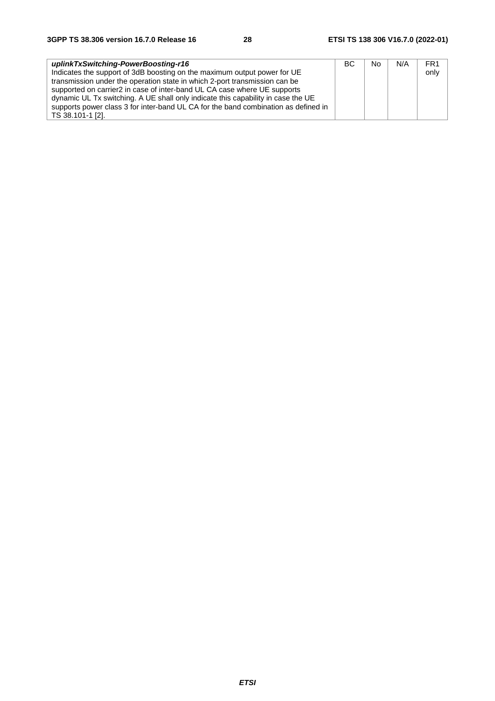| uplinkTxSwitching-PowerBoosting-r16                                                | BC. | No | N/A | FR <sub>1</sub> |
|------------------------------------------------------------------------------------|-----|----|-----|-----------------|
| Indicates the support of 3dB boosting on the maximum output power for UE           |     |    |     | only            |
| transmission under the operation state in which 2-port transmission can be         |     |    |     |                 |
| supported on carrier2 in case of inter-band UL CA case where UE supports           |     |    |     |                 |
| dynamic UL Tx switching. A UE shall only indicate this capability in case the UE   |     |    |     |                 |
| supports power class 3 for inter-band UL CA for the band combination as defined in |     |    |     |                 |
| TS 38.101-1 [2].                                                                   |     |    |     |                 |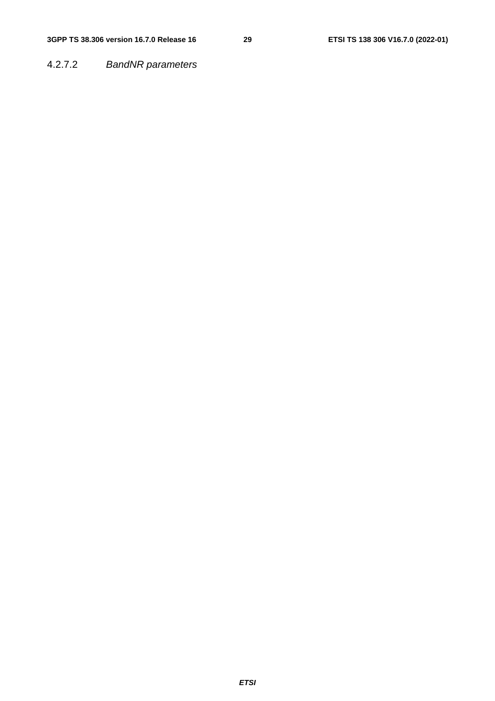### 4.2.7.2 *BandNR parameters*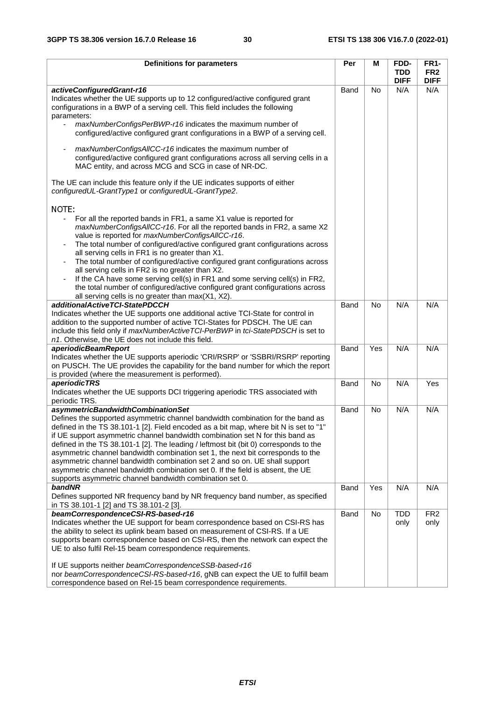| Definitions for parameters                                                                                                                                                                                                                                                                                                                                                                                                                                                                                                                                                                                                                                                                                                                                                                                                                                                                                                                                                                                                                                                                                                                                                                                                                                                                                                                                                                                                                            | Per  | Μ         | FDD-<br><b>TDD</b><br><b>DIFF</b> | <b>FR1-</b><br>FR <sub>2</sub><br><b>DIFF</b> |
|-------------------------------------------------------------------------------------------------------------------------------------------------------------------------------------------------------------------------------------------------------------------------------------------------------------------------------------------------------------------------------------------------------------------------------------------------------------------------------------------------------------------------------------------------------------------------------------------------------------------------------------------------------------------------------------------------------------------------------------------------------------------------------------------------------------------------------------------------------------------------------------------------------------------------------------------------------------------------------------------------------------------------------------------------------------------------------------------------------------------------------------------------------------------------------------------------------------------------------------------------------------------------------------------------------------------------------------------------------------------------------------------------------------------------------------------------------|------|-----------|-----------------------------------|-----------------------------------------------|
| activeConfiguredGrant-r16<br>Indicates whether the UE supports up to 12 configured/active configured grant<br>configurations in a BWP of a serving cell. This field includes the following<br>parameters:<br>maxNumberConfigsPerBWP-r16 indicates the maximum number of<br>$\blacksquare$<br>configured/active configured grant configurations in a BWP of a serving cell.<br>maxNumberConfigsAllCC-r16 indicates the maximum number of<br>$\overline{\phantom{a}}$<br>configured/active configured grant configurations across all serving cells in a<br>MAC entity, and across MCG and SCG in case of NR-DC.<br>The UE can include this feature only if the UE indicates supports of either<br>configuredUL-GrantType1 or configuredUL-GrantType2.<br>NOTE:<br>For all the reported bands in FR1, a same X1 value is reported for<br>$\blacksquare$<br>maxNumberConfigsAllCC-r16. For all the reported bands in FR2, a same X2<br>value is reported for maxNumberConfigsAllCC-r16.<br>The total number of configured/active configured grant configurations across<br>all serving cells in FR1 is no greater than X1.<br>The total number of configured/active configured grant configurations across<br>all serving cells in FR2 is no greater than X2.<br>If the CA have some serving cell(s) in FR1 and some serving cell(s) in FR2,<br>$\overline{\phantom{a}}$<br>the total number of configured/active configured grant configurations across | Band | <b>No</b> | N/A                               | N/A                                           |
| all serving cells is no greater than max(X1, X2).<br>additionalActiveTCI-StatePDCCH<br>Indicates whether the UE supports one additional active TCI-State for control in<br>addition to the supported number of active TCI-States for PDSCH. The UE can<br>include this field only if maxNumberActiveTCI-PerBWP in tci-StatePDSCH is set to<br>n1. Otherwise, the UE does not include this field.                                                                                                                                                                                                                                                                                                                                                                                                                                                                                                                                                                                                                                                                                                                                                                                                                                                                                                                                                                                                                                                      | Band | <b>No</b> | N/A                               | N/A                                           |
| aperiodicBeamReport<br>Indicates whether the UE supports aperiodic 'CRI/RSRP' or 'SSBRI/RSRP' reporting<br>on PUSCH. The UE provides the capability for the band number for which the report<br>is provided (where the measurement is performed).                                                                                                                                                                                                                                                                                                                                                                                                                                                                                                                                                                                                                                                                                                                                                                                                                                                                                                                                                                                                                                                                                                                                                                                                     | Band | Yes       | N/A                               | N/A                                           |
| <i>aperiodicTRS</i><br>Indicates whether the UE supports DCI triggering aperiodic TRS associated with<br>periodic TRS.                                                                                                                                                                                                                                                                                                                                                                                                                                                                                                                                                                                                                                                                                                                                                                                                                                                                                                                                                                                                                                                                                                                                                                                                                                                                                                                                | Band | <b>No</b> | N/A                               | Yes                                           |
| asymmetricBandwidthCombinationSet<br>Defines the supported asymmetric channel bandwidth combination for the band as<br>defined in the TS 38.101-1 [2]. Field encoded as a bit map, where bit N is set to "1"<br>if UE support asymmetric channel bandwidth combination set N for this band as<br>defined in the TS 38.101-1 [2]. The leading / leftmost bit (bit 0) corresponds to the<br>asymmetric channel bandwidth combination set 1, the next bit corresponds to the<br>asymmetric channel bandwidth combination set 2 and so on. UE shall support<br>asymmetric channel bandwidth combination set 0. If the field is absent, the UE<br>supports asymmetric channel bandwidth combination set 0.                                                                                                                                                                                                                                                                                                                                                                                                                                                                                                                                                                                                                                                                                                                                                 | Band | <b>No</b> | N/A                               | N/A                                           |
| bandNR<br>Defines supported NR frequency band by NR frequency band number, as specified<br>in TS 38.101-1 [2] and TS 38.101-2 [3].                                                                                                                                                                                                                                                                                                                                                                                                                                                                                                                                                                                                                                                                                                                                                                                                                                                                                                                                                                                                                                                                                                                                                                                                                                                                                                                    | Band | Yes       | N/A                               | N/A                                           |
| beamCorrespondenceCSI-RS-based-r16<br>Indicates whether the UE support for beam correspondence based on CSI-RS has<br>the ability to select its uplink beam based on measurement of CSI-RS. If a UE<br>supports beam correspondence based on CSI-RS, then the network can expect the<br>UE to also fulfil Rel-15 beam correspondence requirements.<br>If UE supports neither beamCorrespondenceSSB-based-r16<br>nor beamCorrespondenceCSI-RS-based-r16, gNB can expect the UE to fulfill beam<br>correspondence based on Rel-15 beam correspondence requirements.                                                                                                                                                                                                                                                                                                                                                                                                                                                                                                                                                                                                                                                                                                                                                                                                                                                                                     | Band | No        | <b>TDD</b><br>only                | FR <sub>2</sub><br>only                       |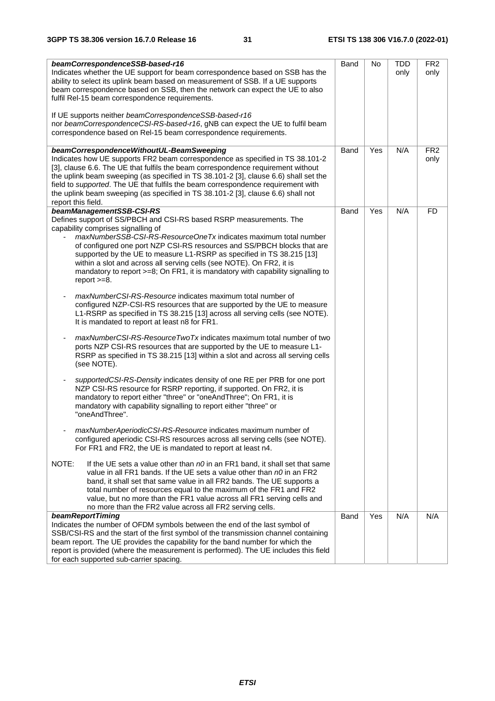| beamCorrespondenceSSB-based-r16<br>Indicates whether the UE support for beam correspondence based on SSB has the<br>ability to select its uplink beam based on measurement of SSB. If a UE supports<br>beam correspondence based on SSB, then the network can expect the UE to also<br>fulfil Rel-15 beam correspondence requirements.<br>If UE supports neither beamCorrespondenceSSB-based-r16<br>nor beamCorrespondenceCSI-RS-based-r16, gNB can expect the UE to fulfil beam<br>correspondence based on Rel-15 beam correspondence requirements. | Band | No  | TDD<br>only | FR <sub>2</sub><br>only |
|------------------------------------------------------------------------------------------------------------------------------------------------------------------------------------------------------------------------------------------------------------------------------------------------------------------------------------------------------------------------------------------------------------------------------------------------------------------------------------------------------------------------------------------------------|------|-----|-------------|-------------------------|
| beamCorrespondenceWithoutUL-BeamSweeping<br>Indicates how UE supports FR2 beam correspondence as specified in TS 38.101-2<br>[3], clause 6.6. The UE that fulfils the beam correspondence requirement without<br>the uplink beam sweeping (as specified in TS 38.101-2 [3], clause 6.6) shall set the<br>field to supported. The UE that fulfils the beam correspondence requirement with<br>the uplink beam sweeping (as specified in TS 38.101-2 [3], clause 6.6) shall not<br>report this field.                                                  | Band | Yes | N/A         | FR <sub>2</sub><br>only |
| beamManagementSSB-CSI-RS<br>Defines support of SS/PBCH and CSI-RS based RSRP measurements. The<br>capability comprises signalling of<br>maxNumberSSB-CSI-RS-ResourceOneTx indicates maximum total number<br>of configured one port NZP CSI-RS resources and SS/PBCH blocks that are<br>supported by the UE to measure L1-RSRP as specified in TS 38.215 [13]<br>within a slot and across all serving cells (see NOTE). On FR2, it is<br>mandatory to report >=8; On FR1, it is mandatory with capability signalling to<br>report $>=8$ .             | Band | Yes | N/A         | <b>FD</b>               |
| <i>maxNumberCSI-RS-Resource</i> indicates maximum total number of<br>configured NZP-CSI-RS resources that are supported by the UE to measure<br>L1-RSRP as specified in TS 38.215 [13] across all serving cells (see NOTE).<br>It is mandated to report at least n8 for FR1.                                                                                                                                                                                                                                                                         |      |     |             |                         |
| maxNumberCSI-RS-ResourceTwoTx indicates maximum total number of two<br>ports NZP CSI-RS resources that are supported by the UE to measure L1-<br>RSRP as specified in TS 38.215 [13] within a slot and across all serving cells<br>(see NOTE).                                                                                                                                                                                                                                                                                                       |      |     |             |                         |
| supportedCSI-RS-Density indicates density of one RE per PRB for one port<br>NZP CSI-RS resource for RSRP reporting, if supported. On FR2, it is<br>mandatory to report either "three" or "oneAndThree"; On FR1, it is<br>mandatory with capability signalling to report either "three" or<br>"oneAndThree".                                                                                                                                                                                                                                          |      |     |             |                         |
| maxNumberAperiodicCSI-RS-Resource indicates maximum number of<br>configured aperiodic CSI-RS resources across all serving cells (see NOTE).<br>For FR1 and FR2, the UE is mandated to report at least n4.                                                                                                                                                                                                                                                                                                                                            |      |     |             |                         |
| NOTE:<br>If the UE sets a value other than $n0$ in an FR1 band, it shall set that same<br>value in all FR1 bands. If the UE sets a value other than $n\theta$ in an FR2<br>band, it shall set that same value in all FR2 bands. The UE supports a<br>total number of resources equal to the maximum of the FR1 and FR2<br>value, but no more than the FR1 value across all FR1 serving cells and<br>no more than the FR2 value across all FR2 serving cells.                                                                                         |      |     |             |                         |
| beamReportTiming<br>Indicates the number of OFDM symbols between the end of the last symbol of<br>SSB/CSI-RS and the start of the first symbol of the transmission channel containing<br>beam report. The UE provides the capability for the band number for which the<br>report is provided (where the measurement is performed). The UE includes this field<br>for each supported sub-carrier spacing.                                                                                                                                             | Band | Yes | N/A         | N/A                     |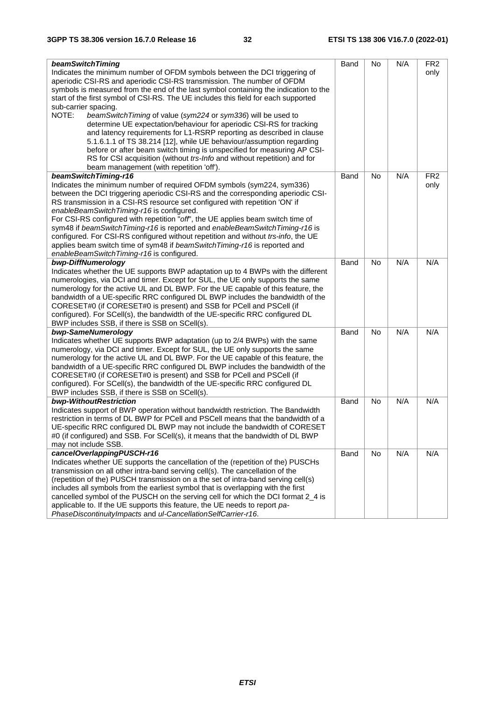| beamSwitchTiming                                                                     | Band | No  | N/A | FR <sub>2</sub> |
|--------------------------------------------------------------------------------------|------|-----|-----|-----------------|
| Indicates the minimum number of OFDM symbols between the DCI triggering of           |      |     |     | only            |
| aperiodic CSI-RS and aperiodic CSI-RS transmission. The number of OFDM               |      |     |     |                 |
| symbols is measured from the end of the last symbol containing the indication to the |      |     |     |                 |
| start of the first symbol of CSI-RS. The UE includes this field for each supported   |      |     |     |                 |
| sub-carrier spacing.                                                                 |      |     |     |                 |
| NOTE:<br>beamSwitchTiming of value (sym224 or sym336) will be used to                |      |     |     |                 |
| determine UE expectation/behaviour for aperiodic CSI-RS for tracking                 |      |     |     |                 |
| and latency requirements for L1-RSRP reporting as described in clause                |      |     |     |                 |
| 5.1.6.1.1 of TS 38.214 [12], while UE behaviour/assumption regarding                 |      |     |     |                 |
| before or after beam switch timing is unspecified for measuring AP CSI-              |      |     |     |                 |
| RS for CSI acquisition (without trs-Info and without repetition) and for             |      |     |     |                 |
| beam management (with repetition 'off').                                             |      |     |     |                 |
| beamSwitchTiming-r16                                                                 | Band | No. | N/A | FR <sub>2</sub> |
| Indicates the minimum number of required OFDM symbols (sym224, sym336)               |      |     |     | only            |
| between the DCI triggering aperiodic CSI-RS and the corresponding aperiodic CSI-     |      |     |     |                 |
| RS transmission in a CSI-RS resource set configured with repetition 'ON' if          |      |     |     |                 |
|                                                                                      |      |     |     |                 |
| enableBeamSwitchTiming-r16 is configured.                                            |      |     |     |                 |
| For CSI-RS configured with repetition "off", the UE applies beam switch time of      |      |     |     |                 |
| sym48 if beamSwitchTiming-r16 is reported and enableBeamSwitchTiming-r16 is          |      |     |     |                 |
| configured. For CSI-RS configured without repetition and without trs-info, the UE    |      |     |     |                 |
| applies beam switch time of sym48 if beamSwitchTiming-r16 is reported and            |      |     |     |                 |
| enableBeamSwitchTiming-r16 is configured.                                            |      |     | N/A | N/A             |
| bwp-DiffNumerology                                                                   | Band | No  |     |                 |
| Indicates whether the UE supports BWP adaptation up to 4 BWPs with the different     |      |     |     |                 |
| numerologies, via DCI and timer. Except for SUL, the UE only supports the same       |      |     |     |                 |
| numerology for the active UL and DL BWP. For the UE capable of this feature, the     |      |     |     |                 |
| bandwidth of a UE-specific RRC configured DL BWP includes the bandwidth of the       |      |     |     |                 |
| CORESET#0 (if CORESET#0 is present) and SSB for PCell and PSCell (if                 |      |     |     |                 |
| configured). For SCell(s), the bandwidth of the UE-specific RRC configured DL        |      |     |     |                 |
| BWP includes SSB, if there is SSB on SCell(s).                                       |      |     |     |                 |
| bwp-SameNumerology                                                                   | Band | No  | N/A | N/A             |
| Indicates whether UE supports BWP adaptation (up to 2/4 BWPs) with the same          |      |     |     |                 |
| numerology, via DCI and timer. Except for SUL, the UE only supports the same         |      |     |     |                 |
| numerology for the active UL and DL BWP. For the UE capable of this feature, the     |      |     |     |                 |
| bandwidth of a UE-specific RRC configured DL BWP includes the bandwidth of the       |      |     |     |                 |
| CORESET#0 (if CORESET#0 is present) and SSB for PCell and PSCell (if                 |      |     |     |                 |
| configured). For SCell(s), the bandwidth of the UE-specific RRC configured DL        |      |     |     |                 |
| BWP includes SSB, if there is SSB on SCell(s).                                       |      |     |     |                 |
| bwp-WithoutRestriction                                                               | Band | No. | N/A | N/A             |
| Indicates support of BWP operation without bandwidth restriction. The Bandwidth      |      |     |     |                 |
| restriction in terms of DL BWP for PCell and PSCell means that the bandwidth of a    |      |     |     |                 |
| UE-specific RRC configured DL BWP may not include the bandwidth of CORESET           |      |     |     |                 |
| #0 (if configured) and SSB. For SCell(s), it means that the bandwidth of DL BWP      |      |     |     |                 |
| may not include SSB.                                                                 |      |     |     |                 |
| cancelOverlappingPUSCH-r16                                                           | Band | No  | N/A | N/A             |
| Indicates whether UE supports the cancellation of the (repetition of the) PUSCHs     |      |     |     |                 |
| transmission on all other intra-band serving cell(s). The cancellation of the        |      |     |     |                 |
| (repetition of the) PUSCH transmission on a the set of intra-band serving cell(s)    |      |     |     |                 |
| includes all symbols from the earliest symbol that is overlapping with the first     |      |     |     |                 |
| cancelled symbol of the PUSCH on the serving cell for which the DCI format 2_4 is    |      |     |     |                 |
| applicable to. If the UE supports this feature, the UE needs to report pa-           |      |     |     |                 |
| PhaseDiscontinuityImpacts and ul-CancellationSelfCarrier-r16.                        |      |     |     |                 |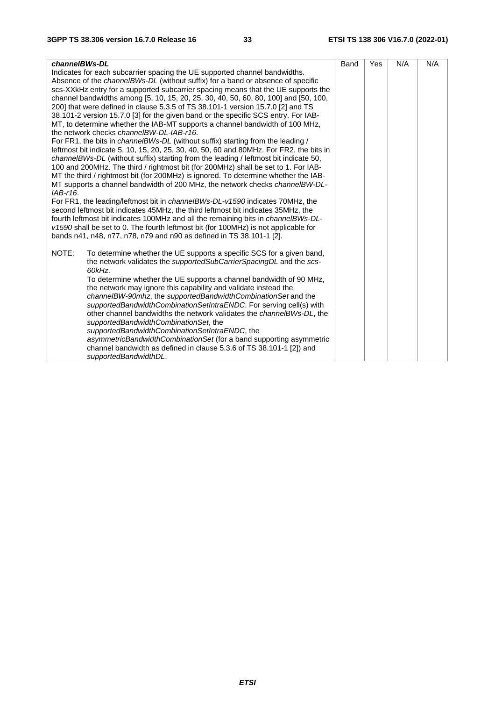| channelBWs-DL                                                                            | Band | Yes | N/A | N/A |
|------------------------------------------------------------------------------------------|------|-----|-----|-----|
| Indicates for each subcarrier spacing the UE supported channel bandwidths.               |      |     |     |     |
| Absence of the channelBWs-DL (without suffix) for a band or absence of specific          |      |     |     |     |
| scs-XXkHz entry for a supported subcarrier spacing means that the UE supports the        |      |     |     |     |
| channel bandwidths among [5, 10, 15, 20, 25, 30, 40, 50, 60, 80, 100] and [50, 100,      |      |     |     |     |
| 200] that were defined in clause 5.3.5 of TS 38.101-1 version 15.7.0 [2] and TS          |      |     |     |     |
| 38.101-2 version 15.7.0 [3] for the given band or the specific SCS entry. For IAB-       |      |     |     |     |
| MT, to determine whether the IAB-MT supports a channel bandwidth of 100 MHz,             |      |     |     |     |
| the network checks channelBW-DL-IAB-r16.                                                 |      |     |     |     |
| For FR1, the bits in <i>channelBWs-DL</i> (without suffix) starting from the leading /   |      |     |     |     |
| leftmost bit indicate 5, 10, 15, 20, 25, 30, 40, 50, 60 and 80MHz. For FR2, the bits in  |      |     |     |     |
| channelBWs-DL (without suffix) starting from the leading / leftmost bit indicate 50,     |      |     |     |     |
| 100 and 200MHz. The third / rightmost bit (for 200MHz) shall be set to 1. For IAB-       |      |     |     |     |
| MT the third / rightmost bit (for 200MHz) is ignored. To determine whether the IAB-      |      |     |     |     |
| MT supports a channel bandwidth of 200 MHz, the network checks channelBW-DL-             |      |     |     |     |
| IAB-r16.                                                                                 |      |     |     |     |
| For FR1, the leading/leftmost bit in <i>channelBWs-DL-v1590</i> indicates 70MHz, the     |      |     |     |     |
| second leftmost bit indicates 45MHz, the third leftmost bit indicates 35MHz, the         |      |     |     |     |
| fourth leftmost bit indicates 100MHz and all the remaining bits in <i>channeIBWs-DL-</i> |      |     |     |     |
| v1590 shall be set to 0. The fourth leftmost bit (for 100MHz) is not applicable for      |      |     |     |     |
| bands n41, n48, n77, n78, n79 and n90 as defined in TS 38.101-1 [2].                     |      |     |     |     |
| NOTE:<br>To determine whether the UE supports a specific SCS for a given band,           |      |     |     |     |
| the network validates the <i>supportedSubCarrierSpacingDL</i> and the scs-               |      |     |     |     |
| 60kHz.                                                                                   |      |     |     |     |
| To determine whether the UE supports a channel bandwidth of 90 MHz,                      |      |     |     |     |
| the network may ignore this capability and validate instead the                          |      |     |     |     |
| channelBW-90mhz, the supportedBandwidthCombinationSet and the                            |      |     |     |     |
| supportedBandwidthCombinationSetIntraENDC. For serving cell(s) with                      |      |     |     |     |
| other channel bandwidths the network validates the <i>channelBWs-DL</i> , the            |      |     |     |     |
| supportedBandwidthCombinationSet, the                                                    |      |     |     |     |
| supportedBandwidthCombinationSetIntraENDC, the                                           |      |     |     |     |
| asymmetricBandwidthCombinationSet (for a band supporting asymmetric                      |      |     |     |     |
| channel bandwidth as defined in clause 5.3.6 of TS 38.101-1 [2]) and                     |      |     |     |     |
| supportedBandwidthDL.                                                                    |      |     |     |     |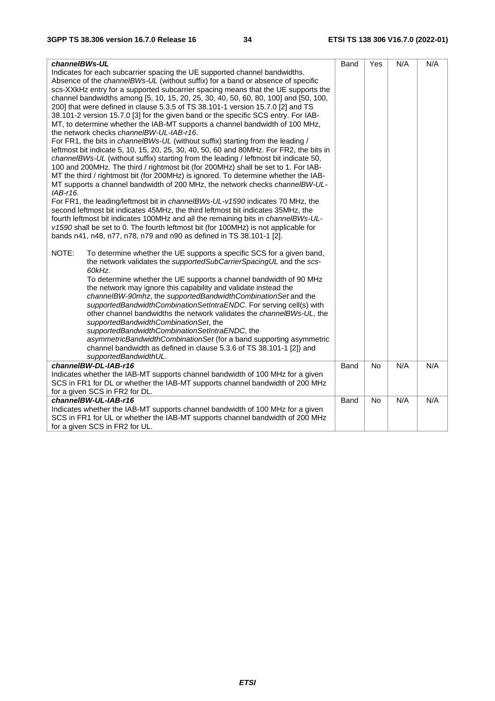| channelBWs-UL                                                                                                                                                             | Band | Yes       | N/A | N/A |
|---------------------------------------------------------------------------------------------------------------------------------------------------------------------------|------|-----------|-----|-----|
| Indicates for each subcarrier spacing the UE supported channel bandwidths.                                                                                                |      |           |     |     |
| Absence of the channelBWs-UL (without suffix) for a band or absence of specific                                                                                           |      |           |     |     |
| scs-XXkHz entry for a supported subcarrier spacing means that the UE supports the                                                                                         |      |           |     |     |
| channel bandwidths among [5, 10, 15, 20, 25, 30, 40, 50, 60, 80, 100] and [50, 100,                                                                                       |      |           |     |     |
| 200] that were defined in clause 5.3.5 of TS 38.101-1 version 15.7.0 [2] and TS                                                                                           |      |           |     |     |
| 38.101-2 version 15.7.0 [3] for the given band or the specific SCS entry. For IAB-                                                                                        |      |           |     |     |
| MT, to determine whether the IAB-MT supports a channel bandwidth of 100 MHz,                                                                                              |      |           |     |     |
| the network checks channelBW-UL-IAB-r16.                                                                                                                                  |      |           |     |     |
| For FR1, the bits in channelBWs-UL (without suffix) starting from the leading /                                                                                           |      |           |     |     |
| leftmost bit indicate 5, 10, 15, 20, 25, 30, 40, 50, 60 and 80MHz. For FR2, the bits in                                                                                   |      |           |     |     |
| channeIBWs-UL (without suffix) starting from the leading / leftmost bit indicate 50,                                                                                      |      |           |     |     |
| 100 and 200MHz. The third / rightmost bit (for 200MHz) shall be set to 1. For IAB-                                                                                        |      |           |     |     |
| MT the third / rightmost bit (for 200MHz) is ignored. To determine whether the IAB-                                                                                       |      |           |     |     |
| MT supports a channel bandwidth of 200 MHz, the network checks channelBW-UL-                                                                                              |      |           |     |     |
| $IAB-16.$                                                                                                                                                                 |      |           |     |     |
| For FR1, the leading/leftmost bit in <i>channelBWs-UL-v1590</i> indicates 70 MHz, the<br>second leftmost bit indicates 45MHz, the third leftmost bit indicates 35MHz, the |      |           |     |     |
| fourth leftmost bit indicates 100MHz and all the remaining bits in <i>channeIBWs-UL-</i>                                                                                  |      |           |     |     |
| v1590 shall be set to 0. The fourth leftmost bit (for 100MHz) is not applicable for                                                                                       |      |           |     |     |
| bands n41, n48, n77, n78, n79 and n90 as defined in TS 38.101-1 [2].                                                                                                      |      |           |     |     |
|                                                                                                                                                                           |      |           |     |     |
| NOTE:<br>To determine whether the UE supports a specific SCS for a given band,                                                                                            |      |           |     |     |
| the network validates the supportedSubCarrierSpacingUL and the scs-                                                                                                       |      |           |     |     |
| 60kHz.                                                                                                                                                                    |      |           |     |     |
| To determine whether the UE supports a channel bandwidth of 90 MHz                                                                                                        |      |           |     |     |
| the network may ignore this capability and validate instead the                                                                                                           |      |           |     |     |
| channelBW-90mhz, the supportedBandwidthCombinationSet and the                                                                                                             |      |           |     |     |
| supportedBandwidthCombinationSetIntraENDC. For serving cell(s) with                                                                                                       |      |           |     |     |
| other channel bandwidths the network validates the channelBWs-UL, the                                                                                                     |      |           |     |     |
| supportedBandwidthCombinationSet, the                                                                                                                                     |      |           |     |     |
| supportedBandwidthCombinationSetIntraENDC, the                                                                                                                            |      |           |     |     |
| asymmetricBandwidthCombinationSet (for a band supporting asymmetric                                                                                                       |      |           |     |     |
| channel bandwidth as defined in clause 5.3.6 of TS 38.101-1 [2]) and                                                                                                      |      |           |     |     |
| supportedBandwidthUL.                                                                                                                                                     |      |           |     |     |
| channelBW-DL-IAB-r16<br>Indicates whether the IAB-MT supports channel bandwidth of 100 MHz for a given                                                                    | Band | <b>No</b> | N/A | N/A |
| SCS in FR1 for DL or whether the IAB-MT supports channel bandwidth of 200 MHz                                                                                             |      |           |     |     |
| for a given SCS in FR2 for DL.                                                                                                                                            |      |           |     |     |
| channelBW-UL-IAB-r16                                                                                                                                                      | Band | No        | N/A | N/A |
| Indicates whether the IAB-MT supports channel bandwidth of 100 MHz for a given                                                                                            |      |           |     |     |
| SCS in FR1 for UL or whether the IAB-MT supports channel bandwidth of 200 MHz                                                                                             |      |           |     |     |
| for a given SCS in FR2 for UL.                                                                                                                                            |      |           |     |     |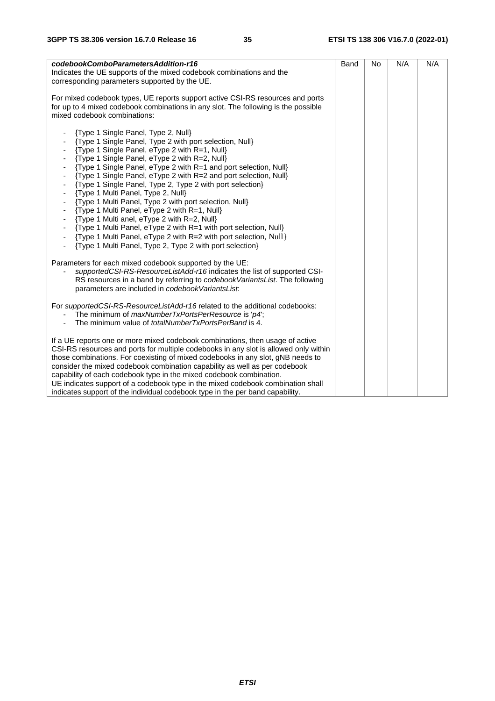| codebookComboParametersAddition-r16<br>Indicates the UE supports of the mixed codebook combinations and the<br>corresponding parameters supported by the UE.                                                                                                                                                                                                                                                                                                                                                                                                                                                                                                                                                                                                                                                                                                                                                                                  | Band | No | N/A | N/A |
|-----------------------------------------------------------------------------------------------------------------------------------------------------------------------------------------------------------------------------------------------------------------------------------------------------------------------------------------------------------------------------------------------------------------------------------------------------------------------------------------------------------------------------------------------------------------------------------------------------------------------------------------------------------------------------------------------------------------------------------------------------------------------------------------------------------------------------------------------------------------------------------------------------------------------------------------------|------|----|-----|-----|
| For mixed codebook types, UE reports support active CSI-RS resources and ports<br>for up to 4 mixed codebook combinations in any slot. The following is the possible<br>mixed codebook combinations:                                                                                                                                                                                                                                                                                                                                                                                                                                                                                                                                                                                                                                                                                                                                          |      |    |     |     |
| {Type 1 Single Panel, Type 2, Null}<br>{Type 1 Single Panel, Type 2 with port selection, Null}<br>{Type 1 Single Panel, eType 2 with R=1, Null}<br>{Type 1 Single Panel, eType 2 with R=2, Null}<br>{Type 1 Single Panel, eType 2 with R=1 and port selection, Null}<br>{Type 1 Single Panel, eType 2 with R=2 and port selection, Null}<br>{Type 1 Single Panel, Type 2, Type 2 with port selection}<br>{Type 1 Multi Panel, Type 2, Null}<br>{Type 1 Multi Panel, Type 2 with port selection, Null}<br>{Type 1 Multi Panel, eType 2 with R=1, Null}<br>$\sim$<br>{Type 1 Multi anel, eType 2 with R=2, Null}<br>$\blacksquare$<br>{Type 1 Multi Panel, eType 2 with R=1 with port selection, Null}<br>{Type 1 Multi Panel, eType 2 with R=2 with port selection, Null}<br>$\overline{\phantom{a}}$<br>{Type 1 Multi Panel, Type 2, Type 2 with port selection}<br>$\blacksquare$<br>Parameters for each mixed codebook supported by the UE: |      |    |     |     |
| supportedCSI-RS-ResourceListAdd-r16 indicates the list of supported CSI-<br>RS resources in a band by referring to codebook Variants List. The following<br>parameters are included in codebookVariantsList.                                                                                                                                                                                                                                                                                                                                                                                                                                                                                                                                                                                                                                                                                                                                  |      |    |     |     |
| For supportedCSI-RS-ResourceListAdd-r16 related to the additional codebooks:<br>The minimum of <i>maxNumberTxPortsPerResource</i> is 'p4';<br>The minimum value of <i>totalNumberTxPortsPerBand</i> is 4.                                                                                                                                                                                                                                                                                                                                                                                                                                                                                                                                                                                                                                                                                                                                     |      |    |     |     |
| If a UE reports one or more mixed codebook combinations, then usage of active<br>CSI-RS resources and ports for multiple codebooks in any slot is allowed only within<br>those combinations. For coexisting of mixed codebooks in any slot, gNB needs to<br>consider the mixed codebook combination capability as well as per codebook<br>capability of each codebook type in the mixed codebook combination.<br>UE indicates support of a codebook type in the mixed codebook combination shall<br>indicates support of the individual codebook type in the per band capability.                                                                                                                                                                                                                                                                                                                                                             |      |    |     |     |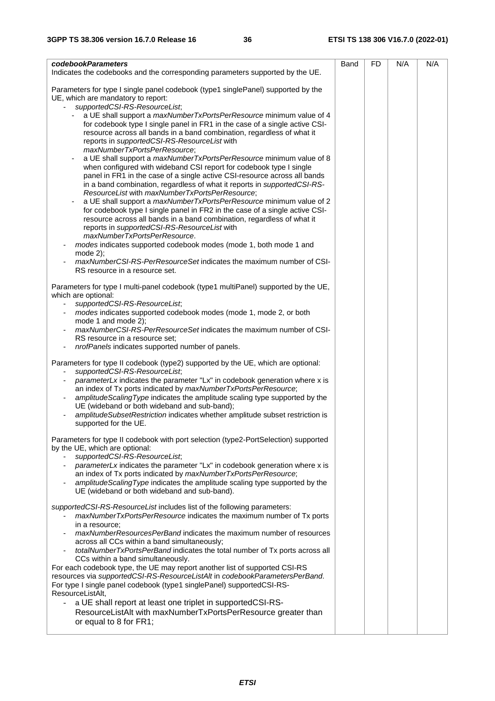| codebookParameters<br>Indicates the codebooks and the corresponding parameters supported by the UE.                                                                                                                                                                                                                                                                                                                                                                                                                                                                                                                                                                                                                                                                                                                                                                                                                                                                                                                                                                                                                                                                                                                                                                                                                                                                              | Band | FD | N/A | N/A |
|----------------------------------------------------------------------------------------------------------------------------------------------------------------------------------------------------------------------------------------------------------------------------------------------------------------------------------------------------------------------------------------------------------------------------------------------------------------------------------------------------------------------------------------------------------------------------------------------------------------------------------------------------------------------------------------------------------------------------------------------------------------------------------------------------------------------------------------------------------------------------------------------------------------------------------------------------------------------------------------------------------------------------------------------------------------------------------------------------------------------------------------------------------------------------------------------------------------------------------------------------------------------------------------------------------------------------------------------------------------------------------|------|----|-----|-----|
| Parameters for type I single panel codebook (type1 singlePanel) supported by the<br>UE, which are mandatory to report:<br>supportedCSI-RS-ResourceList;<br>a UE shall support a maxNumberTxPortsPerResource minimum value of 4<br>for codebook type I single panel in FR1 in the case of a single active CSI-<br>resource across all bands in a band combination, regardless of what it<br>reports in supportedCSI-RS-ResourceList with<br>maxNumberTxPortsPerResource;<br>a UE shall support a <i>maxNumberTxPortsPerResource</i> minimum value of 8<br>when configured with wideband CSI report for codebook type I single<br>panel in FR1 in the case of a single active CSI-resource across all bands<br>in a band combination, regardless of what it reports in supportedCSI-RS-<br>ResourceList with maxNumberTxPortsPerResource;<br>a UE shall support a maxNumberTxPortsPerResource minimum value of 2<br>$\overline{\phantom{a}}$<br>for codebook type I single panel in FR2 in the case of a single active CSI-<br>resource across all bands in a band combination, regardless of what it<br>reports in supportedCSI-RS-ResourceList with<br>maxNumberTxPortsPerResource.<br>modes indicates supported codebook modes (mode 1, both mode 1 and<br>mode $2$ );<br>maxNumberCSI-RS-PerResourceSet indicates the maximum number of CSI-<br>RS resource in a resource set. |      |    |     |     |
| Parameters for type I multi-panel codebook (type1 multiPanel) supported by the UE,<br>which are optional:<br>supportedCSI-RS-ResourceList;<br>modes indicates supported codebook modes (mode 1, mode 2, or both<br>mode 1 and mode 2);<br>maxNumberCSI-RS-PerResourceSet indicates the maximum number of CSI-<br>RS resource in a resource set;<br>nrofPanels indicates supported number of panels.                                                                                                                                                                                                                                                                                                                                                                                                                                                                                                                                                                                                                                                                                                                                                                                                                                                                                                                                                                              |      |    |     |     |
| Parameters for type II codebook (type2) supported by the UE, which are optional:<br>supportedCSI-RS-ResourceList;<br>parameterLx indicates the parameter "Lx" in codebook generation where x is<br>an index of Tx ports indicated by maxNumberTxPortsPerResource;<br>amplitudeScalingType indicates the amplitude scaling type supported by the<br>UE (wideband or both wideband and sub-band);<br>amplitudeSubsetRestriction indicates whether amplitude subset restriction is<br>supported for the UE.                                                                                                                                                                                                                                                                                                                                                                                                                                                                                                                                                                                                                                                                                                                                                                                                                                                                         |      |    |     |     |
| Parameters for type II codebook with port selection (type2-PortSelection) supported<br>by the UE, which are optional:<br>supportedCSI-RS-ResourceList;<br>parameterLx indicates the parameter "Lx" in codebook generation where x is<br>an index of Tx ports indicated by maxNumberTxPortsPerResource;<br>amplitudeScalingType indicates the amplitude scaling type supported by the<br>UE (wideband or both wideband and sub-band).                                                                                                                                                                                                                                                                                                                                                                                                                                                                                                                                                                                                                                                                                                                                                                                                                                                                                                                                             |      |    |     |     |
| supportedCSI-RS-ResourceList includes list of the following parameters:<br>maxNumberTxPortsPerResource indicates the maximum number of Tx ports<br>in a resource:<br>maxNumberResourcesPerBand indicates the maximum number of resources<br>across all CCs within a band simultaneously;<br>totalNumberTxPortsPerBand indicates the total number of Tx ports across all<br>CCs within a band simultaneously.<br>For each codebook type, the UE may report another list of supported CSI-RS<br>resources via supportedCSI-RS-ResourceListAlt in codebookParametersPerBand.<br>For type I single panel codebook (type1 singlePanel) supportedCSI-RS-<br>ResourceListAlt,<br>a UE shall report at least one triplet in supportedCSI-RS-<br>ResourceListAlt with maxNumberTxPortsPerResource greater than<br>or equal to 8 for FR1;                                                                                                                                                                                                                                                                                                                                                                                                                                                                                                                                                  |      |    |     |     |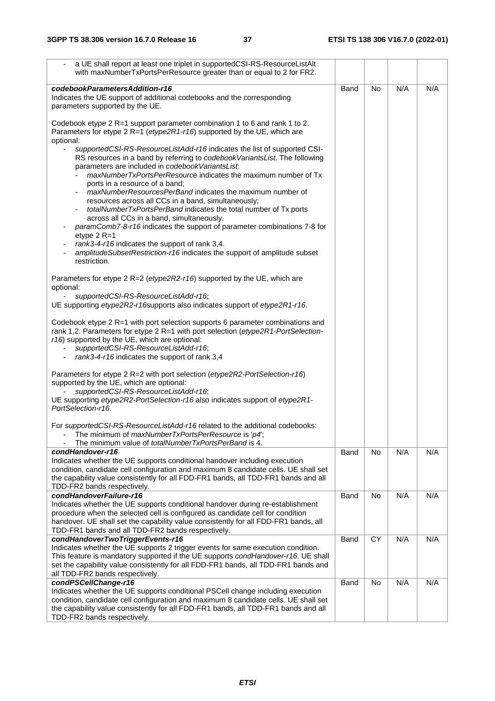| a UE shall report at least one triplet in supportedCSI-RS-ResourceListAlt<br>with maxNumberTxPortsPerResource greater than or equal to 2 for FR2.                                                                                                                                                                                                    |      |           |     |     |
|------------------------------------------------------------------------------------------------------------------------------------------------------------------------------------------------------------------------------------------------------------------------------------------------------------------------------------------------------|------|-----------|-----|-----|
| codebookParametersAddition-r16<br>Indicates the UE support of additional codebooks and the corresponding<br>parameters supported by the UE.                                                                                                                                                                                                          | Band | <b>No</b> | N/A | N/A |
| Codebook etype 2 R=1 support parameter combination 1 to 6 and rank 1 to 2.<br>Parameters for etype 2 R=1 (etype2R1-r16) supported by the UE, which are<br>optional:                                                                                                                                                                                  |      |           |     |     |
| supportedCSI-RS-ResourceListAdd-r16 indicates the list of supported CSI-<br>RS resources in a band by referring to codebook Variants List. The following<br>parameters are included in codebookVariantsList.                                                                                                                                         |      |           |     |     |
| maxNumberTxPortsPerResource indicates the maximum number of Tx<br>ports in a resource of a band;<br>maxNumberResourcesPerBand indicates the maximum number of                                                                                                                                                                                        |      |           |     |     |
| resources across all CCs in a band, simultaneously;<br>totalNumberTxPortsPerBand indicates the total number of Tx ports<br>across all CCs in a band, simultaneously.                                                                                                                                                                                 |      |           |     |     |
| paramComb7-8-r16 indicates the support of parameter combinations 7-8 for<br>etype $2$ R=1                                                                                                                                                                                                                                                            |      |           |     |     |
| rank3-4-r16 indicates the support of rank 3,4.<br>amplitudeSubsetRestriction-r16 indicates the support of amplitude subset<br>restriction.                                                                                                                                                                                                           |      |           |     |     |
| Parameters for etype 2 R=2 (etype2R2-r16) supported by the UE, which are<br>optional:                                                                                                                                                                                                                                                                |      |           |     |     |
| supportedCSI-RS-ResourceListAdd-r16;<br>UE supporting etype2R2-r16supports also indicates support of etype2R1-r16.                                                                                                                                                                                                                                   |      |           |     |     |
| Codebook etype 2 R=1 with port selection supports 6 parameter combinations and<br>rank 1,2. Parameters for etype 2 R=1 with port selection (etype2R1-PortSelection-<br>r16) supported by the UE, which are optional:<br>supportedCSI-RS-ResourceListAdd-r16;<br>rank3-4-r16 indicates the support of rank 3,4                                        |      |           |     |     |
| Parameters for etype 2 R=2 with port selection (etype2R2-PortSelection-r16)<br>supported by the UE, which are optional:<br>supportedCSI-RS-ResourceListAdd-r16;<br>UE supporting etype2R2-PortSelection-r16 also indicates support of etype2R1-<br>PortSelection-r16.                                                                                |      |           |     |     |
| For supported CSI-RS-Resource ListAdd-r16 related to the additional codebooks:<br>The minimum of maxNumberTxPortsPerResource is 'p4';<br>$\qquad \qquad \blacksquare$<br>The minimum value of <i>totalNumberTxPortsPerBand</i> is 4.                                                                                                                 |      |           |     |     |
| condHandover-r16<br>Indicates whether the UE supports conditional handover including execution<br>condition, candidate cell configuration and maximum 8 candidate cells. UE shall set<br>the capability value consistently for all FDD-FR1 bands, all TDD-FR1 bands and all<br>TDD-FR2 bands respectively.                                           | Band | No        | N/A | N/A |
| condHandoverFailure-r16<br>Indicates whether the UE supports conditional handover during re-establishment<br>procedure when the selected cell is configured as candidate cell for condition<br>handover. UE shall set the capability value consistently for all FDD-FR1 bands, all                                                                   | Band | No        | N/A | N/A |
| TDD-FR1 bands and all TDD-FR2 bands respectively.<br>condHandoverTwoTriggerEvents-r16<br>Indicates whether the UE supports 2 trigger events for same execution condition.<br>This feature is mandatory supported if the UE supports condHandover-r16. UE shall<br>set the capability value consistently for all FDD-FR1 bands, all TDD-FR1 bands and | Band | <b>CY</b> | N/A | N/A |
| all TDD-FR2 bands respectively.<br>condPSCellChange-r16<br>Indicates whether the UE supports conditional PSCell change including execution<br>condition, candidate cell configuration and maximum 8 candidate cells. UE shall set<br>the capability value consistently for all FDD-FR1 bands, all TDD-FR1 bands and all                              | Band | No        | N/A | N/A |
| TDD-FR2 bands respectively.                                                                                                                                                                                                                                                                                                                          |      |           |     |     |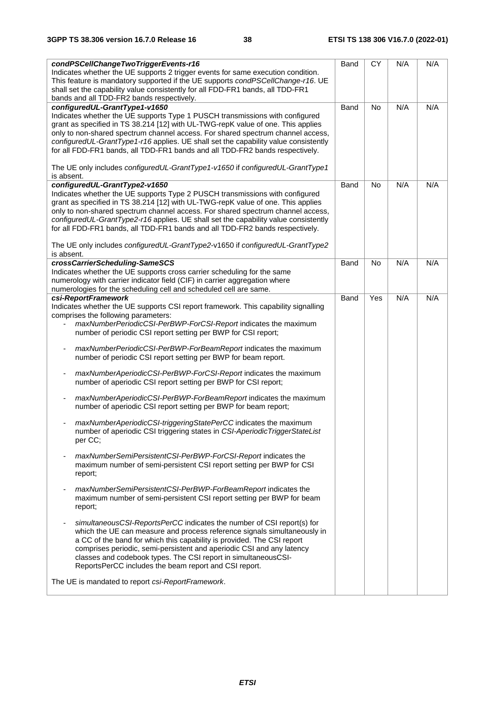| condPSCellChangeTwoTriggerEvents-r16<br>Indicates whether the UE supports 2 trigger events for same execution condition.<br>This feature is mandatory supported if the UE supports condPSCellChange-r16. UE<br>shall set the capability value consistently for all FDD-FR1 bands, all TDD-FR1<br>bands and all TDD-FR2 bands respectively.                                                                                                                                                                                                                                                                                                                                                                                                                                                                                                                                                                                                                                                                                                                                                                                                                                                                                                                                                                                                                                                                                                                                                                                                                                                                                                                                                                                                                    | Band | <b>CY</b> | N/A | N/A |
|---------------------------------------------------------------------------------------------------------------------------------------------------------------------------------------------------------------------------------------------------------------------------------------------------------------------------------------------------------------------------------------------------------------------------------------------------------------------------------------------------------------------------------------------------------------------------------------------------------------------------------------------------------------------------------------------------------------------------------------------------------------------------------------------------------------------------------------------------------------------------------------------------------------------------------------------------------------------------------------------------------------------------------------------------------------------------------------------------------------------------------------------------------------------------------------------------------------------------------------------------------------------------------------------------------------------------------------------------------------------------------------------------------------------------------------------------------------------------------------------------------------------------------------------------------------------------------------------------------------------------------------------------------------------------------------------------------------------------------------------------------------|------|-----------|-----|-----|
| configuredUL-GrantType1-v1650<br>Indicates whether the UE supports Type 1 PUSCH transmissions with configured<br>grant as specified in TS 38.214 [12] with UL-TWG-repK value of one. This applies<br>only to non-shared spectrum channel access. For shared spectrum channel access,<br>configuredUL-GrantType1-r16 applies. UE shall set the capability value consistently<br>for all FDD-FR1 bands, all TDD-FR1 bands and all TDD-FR2 bands respectively.<br>The UE only includes configuredUL-GrantType1-v1650 if configuredUL-GrantType1<br>is absent.                                                                                                                                                                                                                                                                                                                                                                                                                                                                                                                                                                                                                                                                                                                                                                                                                                                                                                                                                                                                                                                                                                                                                                                                    | Band | No        | N/A | N/A |
| configuredUL-GrantType2-v1650<br>Indicates whether the UE supports Type 2 PUSCH transmissions with configured<br>grant as specified in TS 38.214 [12] with UL-TWG-repK value of one. This applies<br>only to non-shared spectrum channel access. For shared spectrum channel access,<br>configuredUL-GrantType2-r16 applies. UE shall set the capability value consistently<br>for all FDD-FR1 bands, all TDD-FR1 bands and all TDD-FR2 bands respectively.<br>The UE only includes configuredUL-GrantType2-v1650 if configuredUL-GrantType2<br>is absent.                                                                                                                                                                                                                                                                                                                                                                                                                                                                                                                                                                                                                                                                                                                                                                                                                                                                                                                                                                                                                                                                                                                                                                                                    | Band | <b>No</b> | N/A | N/A |
| crossCarrierScheduling-SameSCS<br>Indicates whether the UE supports cross carrier scheduling for the same<br>numerology with carrier indicator field (CIF) in carrier aggregation where<br>numerologies for the scheduling cell and scheduled cell are same.                                                                                                                                                                                                                                                                                                                                                                                                                                                                                                                                                                                                                                                                                                                                                                                                                                                                                                                                                                                                                                                                                                                                                                                                                                                                                                                                                                                                                                                                                                  | Band | No        | N/A | N/A |
| csi-ReportFramework<br>Indicates whether the UE supports CSI report framework. This capability signalling<br>comprises the following parameters:<br>maxNumberPeriodicCSI-PerBWP-ForCSI-Report indicates the maximum<br>number of periodic CSI report setting per BWP for CSI report;<br>maxNumberPeriodicCSI-PerBWP-ForBeamReport indicates the maximum<br>$\overline{\phantom{a}}$<br>number of periodic CSI report setting per BWP for beam report.<br>maxNumberAperiodicCSI-PerBWP-ForCSI-Report indicates the maximum<br>$\qquad \qquad \blacksquare$<br>number of aperiodic CSI report setting per BWP for CSI report;<br>maxNumberAperiodicCSI-PerBWP-ForBeamReport indicates the maximum<br>$\overline{\phantom{a}}$<br>number of aperiodic CSI report setting per BWP for beam report;<br>maxNumberAperiodicCSI-triggeringStatePerCC indicates the maximum<br>number of aperiodic CSI triggering states in CSI-AperiodicTriggerStateList<br>per CC:<br>maxNumberSemiPersistentCSI-PerBWP-ForCSI-Report indicates the<br>maximum number of semi-persistent CSI report setting per BWP for CSI<br>report;<br>maxNumberSemiPersistentCSI-PerBWP-ForBeamReport indicates the<br>maximum number of semi-persistent CSI report setting per BWP for beam<br>report;<br>simultaneousCSI-ReportsPerCC indicates the number of CSI report(s) for<br>which the UE can measure and process reference signals simultaneously in<br>a CC of the band for which this capability is provided. The CSI report<br>comprises periodic, semi-persistent and aperiodic CSI and any latency<br>classes and codebook types. The CSI report in simultaneousCSI-<br>ReportsPerCC includes the beam report and CSI report.<br>The UE is mandated to report csi-ReportFramework. | Band | Yes       | N/A | N/A |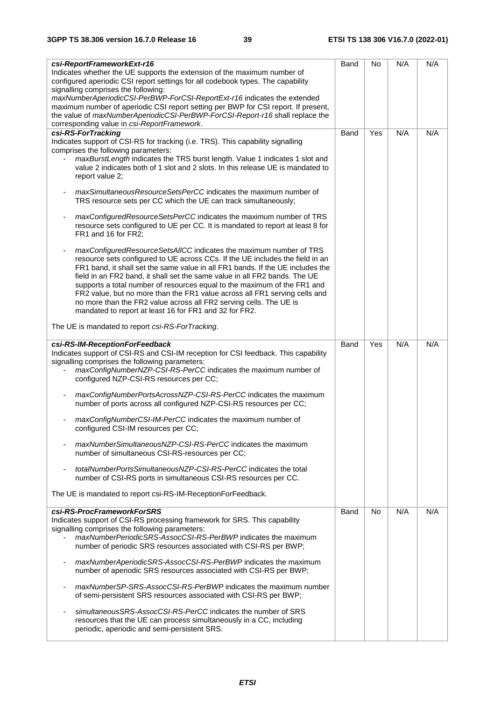| csi-ReportFrameworkExt-r16                                                         | Band | No  | N/A | N/A |
|------------------------------------------------------------------------------------|------|-----|-----|-----|
| Indicates whether the UE supports the extension of the maximum number of           |      |     |     |     |
| configured aperiodic CSI report settings for all codebook types. The capability    |      |     |     |     |
| signalling comprises the following:                                                |      |     |     |     |
| maxNumberAperiodicCSI-PerBWP-ForCSI-ReportExt-r16 indicates the extended           |      |     |     |     |
| maximum number of aperiodic CSI report setting per BWP for CSI report. If present, |      |     |     |     |
| the value of maxNumberAperiodicCSI-PerBWP-ForCSI-Report-r16 shall replace the      |      |     |     |     |
| corresponding value in csi-ReportFramework.                                        |      |     |     |     |
| csi-RS-ForTracking                                                                 | Band | Yes | N/A | N/A |
| Indicates support of CSI-RS for tracking (i.e. TRS). This capability signalling    |      |     |     |     |
| comprises the following parameters:                                                |      |     |     |     |
| maxBurstLength indicates the TRS burst length. Value 1 indicates 1 slot and        |      |     |     |     |
| value 2 indicates both of 1 slot and 2 slots. In this release UE is mandated to    |      |     |     |     |
| report value 2;                                                                    |      |     |     |     |
| maxSimultaneousResourceSetsPerCC indicates the maximum number of                   |      |     |     |     |
| TRS resource sets per CC which the UE can track simultaneously;                    |      |     |     |     |
|                                                                                    |      |     |     |     |
| maxConfiguredResourceSetsPerCC indicates the maximum number of TRS                 |      |     |     |     |
| resource sets configured to UE per CC. It is mandated to report at least 8 for     |      |     |     |     |
| FR1 and 16 for FR2;                                                                |      |     |     |     |
|                                                                                    |      |     |     |     |
| maxConfiguredResourceSetsAllCC indicates the maximum number of TRS                 |      |     |     |     |
| resource sets configured to UE across CCs. If the UE includes the field in an      |      |     |     |     |
| FR1 band, it shall set the same value in all FR1 bands. If the UE includes the     |      |     |     |     |
| field in an FR2 band, it shall set the same value in all FR2 bands. The UE         |      |     |     |     |
| supports a total number of resources equal to the maximum of the FR1 and           |      |     |     |     |
| FR2 value, but no more than the FR1 value across all FR1 serving cells and         |      |     |     |     |
| no more than the FR2 value across all FR2 serving cells. The UE is                 |      |     |     |     |
| mandated to report at least 16 for FR1 and 32 for FR2.                             |      |     |     |     |
| The UE is mandated to report csi-RS-ForTracking.                                   |      |     |     |     |
|                                                                                    |      |     |     |     |
| csi-RS-IM-ReceptionForFeedback                                                     | Band | Yes | N/A | N/A |
| Indicates support of CSI-RS and CSI-IM reception for CSI feedback. This capability |      |     |     |     |
| signalling comprises the following parameters:                                     |      |     |     |     |
| maxConfigNumberNZP-CSI-RS-PerCC indicates the maximum number of                    |      |     |     |     |
| configured NZP-CSI-RS resources per CC;                                            |      |     |     |     |
| maxConfigNumberPortsAcrossNZP-CSI-RS-PerCC indicates the maximum                   |      |     |     |     |
| number of ports across all configured NZP-CSI-RS resources per CC;                 |      |     |     |     |
|                                                                                    |      |     |     |     |
| maxConfigNumberCSI-IM-PerCC indicates the maximum number of                        |      |     |     |     |
| configured CSI-IM resources per CC;                                                |      |     |     |     |
|                                                                                    |      |     |     |     |
| maxNumberSimultaneousNZP-CSI-RS-PerCC indicates the maximum                        |      |     |     |     |
| number of simultaneous CSI-RS-resources per CC;                                    |      |     |     |     |
|                                                                                    |      |     |     |     |
| totalNumberPortsSimultaneousNZP-CSI-RS-PerCC indicates the total                   |      |     |     |     |
| number of CSI-RS ports in simultaneous CSI-RS resources per CC.                    |      |     |     |     |
| The UE is mandated to report csi-RS-IM-ReceptionForFeedback.                       |      |     |     |     |
|                                                                                    |      |     |     |     |
| csi-RS-ProcFrameworkForSRS                                                         | Band | No. | N/A | N/A |
| Indicates support of CSI-RS processing framework for SRS. This capability          |      |     |     |     |
| signalling comprises the following parameters:                                     |      |     |     |     |
| maxNumberPeriodicSRS-AssocCSI-RS-PerBWP indicates the maximum                      |      |     |     |     |
| number of periodic SRS resources associated with CSI-RS per BWP;                   |      |     |     |     |
|                                                                                    |      |     |     |     |
| maxNumberAperiodicSRS-AssocCSI-RS-PerBWP indicates the maximum                     |      |     |     |     |
| number of aperiodic SRS resources associated with CSI-RS per BWP;                  |      |     |     |     |
| maxNumberSP-SRS-AssocCSI-RS-PerBWP indicates the maximum number                    |      |     |     |     |
| of semi-persistent SRS resources associated with CSI-RS per BWP;                   |      |     |     |     |
|                                                                                    |      |     |     |     |
| simultaneous SRS-Assoc CSI-RS-PerCC indicates the number of SRS                    |      |     |     |     |
| resources that the UE can process simultaneously in a CC, including                |      |     |     |     |
| periodic, aperiodic and semi-persistent SRS.                                       |      |     |     |     |
|                                                                                    |      |     |     |     |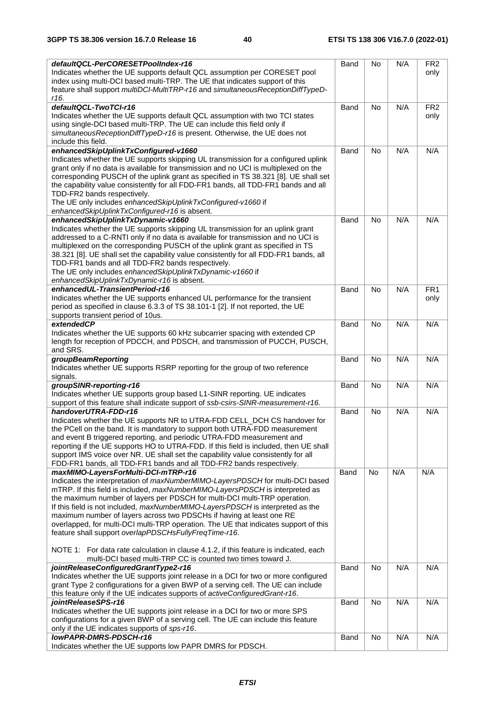| defaultQCL-PerCORESETPoolIndex-r16                                                                                                                             | Band        | <b>No</b> | N/A | FR <sub>2</sub> |
|----------------------------------------------------------------------------------------------------------------------------------------------------------------|-------------|-----------|-----|-----------------|
| Indicates whether the UE supports default QCL assumption per CORESET pool                                                                                      |             |           |     | only            |
| index using multi-DCI based multi-TRP. The UE that indicates support of this                                                                                   |             |           |     |                 |
| feature shall support multiDCI-MultiTRP-r16 and simultaneousReceptionDiffTypeD-<br>r16.                                                                        |             |           |     |                 |
| defaultQCL-TwoTCI-r16                                                                                                                                          | <b>Band</b> | No        | N/A | FR <sub>2</sub> |
| Indicates whether the UE supports default QCL assumption with two TCI states                                                                                   |             |           |     | only            |
| using single-DCI based multi-TRP. The UE can include this field only if                                                                                        |             |           |     |                 |
| simultaneousReceptionDiffTypeD-r16 is present. Otherwise, the UE does not                                                                                      |             |           |     |                 |
| include this field.                                                                                                                                            |             |           |     |                 |
| enhancedSkipUplinkTxConfigured-v1660<br>Indicates whether the UE supports skipping UL transmission for a configured uplink                                     | Band        | <b>No</b> | N/A | N/A             |
| grant only if no data is available for transmission and no UCI is multiplexed on the                                                                           |             |           |     |                 |
| corresponding PUSCH of the uplink grant as specified in TS 38.321 [8]. UE shall set                                                                            |             |           |     |                 |
| the capability value consistently for all FDD-FR1 bands, all TDD-FR1 bands and all                                                                             |             |           |     |                 |
| TDD-FR2 bands respectively.                                                                                                                                    |             |           |     |                 |
| The UE only includes enhancedSkipUplinkTxConfigured-v1660 if                                                                                                   |             |           |     |                 |
| enhancedSkipUplinkTxConfigured-r16 is absent.<br>enhancedSkipUplinkTxDynamic-v1660                                                                             |             |           |     |                 |
| Indicates whether the UE supports skipping UL transmission for an uplink grant                                                                                 | Band        | <b>No</b> | N/A | N/A             |
| addressed to a C-RNTI only if no data is available for transmission and no UCI is                                                                              |             |           |     |                 |
| multiplexed on the corresponding PUSCH of the uplink grant as specified in TS                                                                                  |             |           |     |                 |
| 38.321 [8]. UE shall set the capability value consistently for all FDD-FR1 bands, all                                                                          |             |           |     |                 |
| TDD-FR1 bands and all TDD-FR2 bands respectively.                                                                                                              |             |           |     |                 |
| The UE only includes enhancedSkipUplinkTxDynamic-v1660 if                                                                                                      |             |           |     |                 |
| enhancedSkipUplinkTxDynamic-r16 is absent.                                                                                                                     |             |           |     |                 |
| enhancedUL-TransientPeriod-r16                                                                                                                                 | Band        | <b>No</b> | N/A | FR <sub>1</sub> |
| Indicates whether the UE supports enhanced UL performance for the transient<br>period as specified in clause 6.3.3 of TS 38.101-1 [2]. If not reported, the UE |             |           |     | only            |
| supports transient period of 10us.                                                                                                                             |             |           |     |                 |
| extendedCP                                                                                                                                                     | <b>Band</b> | <b>No</b> | N/A | N/A             |
| Indicates whether the UE supports 60 kHz subcarrier spacing with extended CP                                                                                   |             |           |     |                 |
| length for reception of PDCCH, and PDSCH, and transmission of PUCCH, PUSCH,                                                                                    |             |           |     |                 |
| and SRS.                                                                                                                                                       |             |           |     |                 |
| groupBeamReporting<br>Indicates whether UE supports RSRP reporting for the group of two reference                                                              | <b>Band</b> | <b>No</b> | N/A | N/A             |
| signals.                                                                                                                                                       |             |           |     |                 |
| groupSINR-reporting-r16                                                                                                                                        | <b>Band</b> | No        | N/A | N/A             |
| Indicates whether UE supports group based L1-SINR reporting. UE indicates                                                                                      |             |           |     |                 |
| support of this feature shall indicate support of ssb-csirs-SINR-measurement-r16.                                                                              |             |           |     |                 |
| handoverUTRA-FDD-r16                                                                                                                                           | <b>Band</b> | No        | N/A | N/A             |
| Indicates whether the UE supports NR to UTRA-FDD CELL_DCH CS handover for                                                                                      |             |           |     |                 |
| the PCell on the band. It is mandatory to support both UTRA-FDD measurement<br>and event B triggered reporting, and periodic UTRA-FDD measurement and          |             |           |     |                 |
| reporting if the UE supports HO to UTRA-FDD. If this field is included, then UE shall                                                                          |             |           |     |                 |
| support IMS voice over NR. UE shall set the capability value consistently for all                                                                              |             |           |     |                 |
| FDD-FR1 bands, all TDD-FR1 bands and all TDD-FR2 bands respectively.                                                                                           |             |           |     |                 |
| maxMIMO-LayersForMulti-DCI-mTRP-r16                                                                                                                            | Band        | <b>No</b> | N/A | N/A             |
| Indicates the interpretation of maxNumberMIMO-LayersPDSCH for multi-DCI based                                                                                  |             |           |     |                 |
| mTRP. If this field is included, maxNumberMIMO-LayersPDSCH is interpreted as                                                                                   |             |           |     |                 |
| the maximum number of layers per PDSCH for multi-DCI multi-TRP operation.<br>If this field is not included, maxNumberMIMO-LayersPDSCH is interpreted as the    |             |           |     |                 |
| maximum number of layers across two PDSCHs if having at least one RE                                                                                           |             |           |     |                 |
| overlapped, for multi-DCI multi-TRP operation. The UE that indicates support of this                                                                           |             |           |     |                 |
| feature shall support overlapPDSCHsFullyFreqTime-r16.                                                                                                          |             |           |     |                 |
|                                                                                                                                                                |             |           |     |                 |
| NOTE 1: For data rate calculation in clause 4.1.2, if this feature is indicated, each                                                                          |             |           |     |                 |
| multi-DCI based multi-TRP CC is counted two times toward J.                                                                                                    |             |           |     |                 |
| jointReleaseConfiguredGrantType2-r16<br>Indicates whether the UE supports joint release in a DCI for two or more configured                                    | Band        | No        | N/A | N/A             |
| grant Type 2 configurations for a given BWP of a serving cell. The UE can include                                                                              |             |           |     |                 |
| this feature only if the UE indicates supports of activeConfiguredGrant-r16.                                                                                   |             |           |     |                 |
| jointReleaseSPS-r16                                                                                                                                            | <b>Band</b> | No        | N/A | N/A             |
| Indicates whether the UE supports joint release in a DCI for two or more SPS                                                                                   |             |           |     |                 |
| configurations for a given BWP of a serving cell. The UE can include this feature                                                                              |             |           |     |                 |
| only if the UE indicates supports of sps-r16.<br>IowPAPR-DMRS-PDSCH-r16                                                                                        |             | No        | N/A | N/A             |
| Indicates whether the UE supports low PAPR DMRS for PDSCH.                                                                                                     | Band        |           |     |                 |
|                                                                                                                                                                |             |           |     |                 |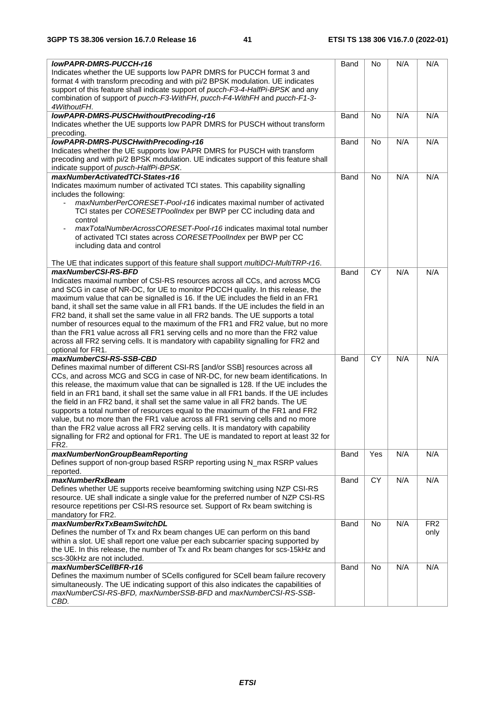| <b>IowPAPR-DMRS-PUCCH-r16</b>                                                                                                                                            | Band        | No              | N/A | N/A             |
|--------------------------------------------------------------------------------------------------------------------------------------------------------------------------|-------------|-----------------|-----|-----------------|
| Indicates whether the UE supports low PAPR DMRS for PUCCH format 3 and                                                                                                   |             |                 |     |                 |
| format 4 with transform precoding and with pi/2 BPSK modulation. UE indicates                                                                                            |             |                 |     |                 |
| support of this feature shall indicate support of pucch-F3-4-HalfPi-BPSK and any                                                                                         |             |                 |     |                 |
| combination of support of pucch-F3-WithFH, pucch-F4-WithFH and pucch-F1-3-                                                                                               |             |                 |     |                 |
| 4WithoutFH.                                                                                                                                                              |             |                 |     |                 |
| IowPAPR-DMRS-PUSCHwithoutPrecoding-r16                                                                                                                                   | Band        | No              | N/A | N/A             |
| Indicates whether the UE supports low PAPR DMRS for PUSCH without transform                                                                                              |             |                 |     |                 |
| precoding.                                                                                                                                                               |             |                 |     |                 |
| lowPAPR-DMRS-PUSCHwithPrecoding-r16                                                                                                                                      | Band        | No              | N/A | N/A             |
| Indicates whether the UE supports low PAPR DMRS for PUSCH with transform                                                                                                 |             |                 |     |                 |
| precoding and with pi/2 BPSK modulation. UE indicates support of this feature shall                                                                                      |             |                 |     |                 |
| indicate support of pusch-HalfPi-BPSK.                                                                                                                                   |             |                 |     |                 |
| maxNumberActivatedTCI-States-r16                                                                                                                                         | Band        | No              | N/A | N/A             |
| Indicates maximum number of activated TCI states. This capability signalling                                                                                             |             |                 |     |                 |
| includes the following:                                                                                                                                                  |             |                 |     |                 |
| maxNumberPerCORESET-Pool-r16 indicates maximal number of activated                                                                                                       |             |                 |     |                 |
| TCI states per CORESETPoolIndex per BWP per CC including data and                                                                                                        |             |                 |     |                 |
| control                                                                                                                                                                  |             |                 |     |                 |
| maxTotalNumberAcrossCORESET-Pool-r16 indicates maximal total number                                                                                                      |             |                 |     |                 |
| of activated TCI states across CORESETPoolIndex per BWP per CC                                                                                                           |             |                 |     |                 |
| including data and control                                                                                                                                               |             |                 |     |                 |
|                                                                                                                                                                          |             |                 |     |                 |
| The UE that indicates support of this feature shall support multiDCI-MultiTRP-r16.                                                                                       |             |                 |     |                 |
| maxNumberCSI-RS-BFD                                                                                                                                                      | <b>Band</b> | <b>CY</b>       | N/A | N/A             |
| Indicates maximal number of CSI-RS resources across all CCs, and across MCG                                                                                              |             |                 |     |                 |
| and SCG in case of NR-DC, for UE to monitor PDCCH quality. In this release, the                                                                                          |             |                 |     |                 |
| maximum value that can be signalled is 16. If the UE includes the field in an FR1                                                                                        |             |                 |     |                 |
| band, it shall set the same value in all FR1 bands. If the UE includes the field in an                                                                                   |             |                 |     |                 |
| FR2 band, it shall set the same value in all FR2 bands. The UE supports a total                                                                                          |             |                 |     |                 |
| number of resources equal to the maximum of the FR1 and FR2 value, but no more                                                                                           |             |                 |     |                 |
| than the FR1 value across all FR1 serving cells and no more than the FR2 value                                                                                           |             |                 |     |                 |
| across all FR2 serving cells. It is mandatory with capability signalling for FR2 and                                                                                     |             |                 |     |                 |
| optional for FR1.                                                                                                                                                        |             |                 |     |                 |
| maxNumberCSI-RS-SSB-CBD                                                                                                                                                  | Band        | <b>CY</b>       | N/A | N/A             |
| Defines maximal number of different CSI-RS [and/or SSB] resources across all                                                                                             |             |                 |     |                 |
| CCs, and across MCG and SCG in case of NR-DC, for new beam identifications. In                                                                                           |             |                 |     |                 |
| this release, the maximum value that can be signalled is 128. If the UE includes the                                                                                     |             |                 |     |                 |
| field in an FR1 band, it shall set the same value in all FR1 bands. If the UE includes<br>the field in an FR2 band, it shall set the same value in all FR2 bands. The UE |             |                 |     |                 |
| supports a total number of resources equal to the maximum of the FR1 and FR2                                                                                             |             |                 |     |                 |
| value, but no more than the FR1 value across all FR1 serving cells and no more                                                                                           |             |                 |     |                 |
| than the FR2 value across all FR2 serving cells. It is mandatory with capability                                                                                         |             |                 |     |                 |
| signalling for FR2 and optional for FR1. The UE is mandated to report at least 32 for                                                                                    |             |                 |     |                 |
| FR <sub>2</sub> .                                                                                                                                                        |             |                 |     |                 |
| maxNumberNonGroupBeamReporting                                                                                                                                           | Band        | Yes             | N/A | N/A             |
| Defines support of non-group based RSRP reporting using N_max RSRP values                                                                                                |             |                 |     |                 |
| reported.                                                                                                                                                                |             |                 |     |                 |
| <i>maxNumberRxBeam</i>                                                                                                                                                   | Band        | $\overline{CY}$ | N/A | N/A             |
| Defines whether UE supports receive beamforming switching using NZP CSI-RS                                                                                               |             |                 |     |                 |
| resource. UE shall indicate a single value for the preferred number of NZP CSI-RS                                                                                        |             |                 |     |                 |
| resource repetitions per CSI-RS resource set. Support of Rx beam switching is                                                                                            |             |                 |     |                 |
| mandatory for FR2.                                                                                                                                                       |             |                 |     |                 |
| maxNumberRxTxBeamSwitchDL                                                                                                                                                | Band        | No              | N/A | FR <sub>2</sub> |
| Defines the number of Tx and Rx beam changes UE can perform on this band                                                                                                 |             |                 |     | only            |
| within a slot. UE shall report one value per each subcarrier spacing supported by                                                                                        |             |                 |     |                 |
| the UE. In this release, the number of Tx and Rx beam changes for scs-15kHz and                                                                                          |             |                 |     |                 |
| scs-30kHz are not included.                                                                                                                                              |             |                 |     |                 |
| maxNumberSCellBFR-r16                                                                                                                                                    | Band        | No              | N/A | N/A             |
| Defines the maximum number of SCells configured for SCell beam failure recovery                                                                                          |             |                 |     |                 |
| simultaneously. The UE indicating support of this also indicates the capabilities of                                                                                     |             |                 |     |                 |
| maxNumberCSI-RS-BFD, maxNumberSSB-BFD and maxNumberCSI-RS-SSB-                                                                                                           |             |                 |     |                 |
| CBD.                                                                                                                                                                     |             |                 |     |                 |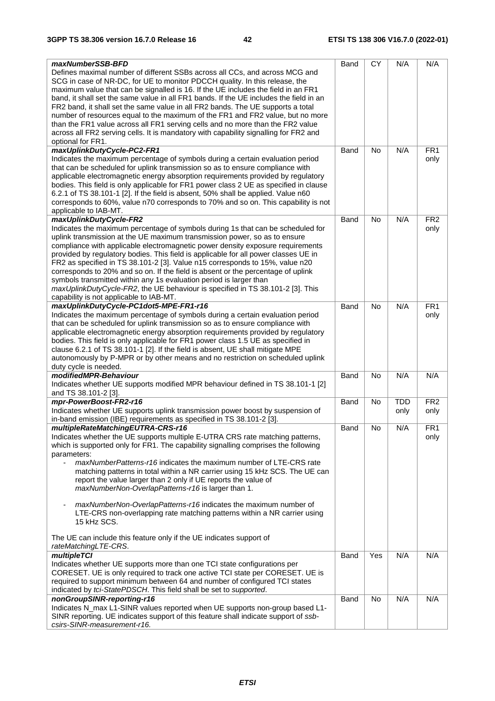| maxNumberSSB-BFD<br>Defines maximal number of different SSBs across all CCs, and across MCG and<br>SCG in case of NR-DC, for UE to monitor PDCCH quality. In this release, the<br>maximum value that can be signalled is 16. If the UE includes the field in an FR1<br>band, it shall set the same value in all FR1 bands. If the UE includes the field in an<br>FR2 band, it shall set the same value in all FR2 bands. The UE supports a total<br>number of resources equal to the maximum of the FR1 and FR2 value, but no more<br>than the FR1 value across all FR1 serving cells and no more than the FR2 value<br>across all FR2 serving cells. It is mandatory with capability signalling for FR2 and<br>optional for FR1. | Band        | CY        | N/A        | N/A                     |
|-----------------------------------------------------------------------------------------------------------------------------------------------------------------------------------------------------------------------------------------------------------------------------------------------------------------------------------------------------------------------------------------------------------------------------------------------------------------------------------------------------------------------------------------------------------------------------------------------------------------------------------------------------------------------------------------------------------------------------------|-------------|-----------|------------|-------------------------|
| maxUplinkDutyCycle-PC2-FR1<br>Indicates the maximum percentage of symbols during a certain evaluation period<br>that can be scheduled for uplink transmission so as to ensure compliance with<br>applicable electromagnetic energy absorption requirements provided by regulatory<br>bodies. This field is only applicable for FR1 power class 2 UE as specified in clause<br>6.2.1 of TS 38.101-1 [2]. If the field is absent, 50% shall be applied. Value n60<br>corresponds to 60%, value n70 corresponds to 70% and so on. This capability is not                                                                                                                                                                             | Band        | <b>No</b> | N/A        | FR <sub>1</sub><br>only |
| applicable to IAB-MT.                                                                                                                                                                                                                                                                                                                                                                                                                                                                                                                                                                                                                                                                                                             |             |           |            |                         |
| maxUplinkDutyCycle-FR2                                                                                                                                                                                                                                                                                                                                                                                                                                                                                                                                                                                                                                                                                                            | <b>Band</b> | <b>No</b> | N/A        | FR <sub>2</sub>         |
| Indicates the maximum percentage of symbols during 1s that can be scheduled for<br>uplink transmission at the UE maximum transmission power, so as to ensure<br>compliance with applicable electromagnetic power density exposure requirements<br>provided by regulatory bodies. This field is applicable for all power classes UE in<br>FR2 as specified in TS 38.101-2 [3]. Value n15 corresponds to 15%, value n20<br>corresponds to 20% and so on. If the field is absent or the percentage of uplink<br>symbols transmitted within any 1s evaluation period is larger than<br>maxUplinkDutyCycle-FR2, the UE behaviour is specified in TS 38.101-2 [3]. This<br>capability is not applicable to IAB-MT.                      |             |           |            | only                    |
| maxUplinkDutyCycle-PC1dot5-MPE-FR1-r16<br>Indicates the maximum percentage of symbols during a certain evaluation period<br>that can be scheduled for uplink transmission so as to ensure compliance with<br>applicable electromagnetic energy absorption requirements provided by regulatory<br>bodies. This field is only applicable for FR1 power class 1.5 UE as specified in<br>clause 6.2.1 of TS 38.101-1 [2]. If the field is absent, UE shall mitigate MPE<br>autonomously by P-MPR or by other means and no restriction on scheduled uplink<br>duty cycle is needed.                                                                                                                                                    | Band        | <b>No</b> | N/A        | FR <sub>1</sub><br>only |
| modifiedMPR-Behaviour                                                                                                                                                                                                                                                                                                                                                                                                                                                                                                                                                                                                                                                                                                             | <b>Band</b> | No        | N/A        | N/A                     |
| Indicates whether UE supports modified MPR behaviour defined in TS 38.101-1 [2]<br>and TS 38.101-2 [3].                                                                                                                                                                                                                                                                                                                                                                                                                                                                                                                                                                                                                           |             |           |            |                         |
| mpr-PowerBoost-FR2-r16                                                                                                                                                                                                                                                                                                                                                                                                                                                                                                                                                                                                                                                                                                            | <b>Band</b> | No        | <b>TDD</b> | FR <sub>2</sub>         |
| Indicates whether UE supports uplink transmission power boost by suspension of<br>in-band emission (IBE) requirements as specified in TS 38.101-2 [3].                                                                                                                                                                                                                                                                                                                                                                                                                                                                                                                                                                            |             |           | only       | only                    |
| multipleRateMatchingEUTRA-CRS-r16<br>Indicates whether the UE supports multiple E-UTRA CRS rate matching patterns,<br>which is supported only for FR1. The capability signalling comprises the following<br>parameters:<br><i>maxNumberPatterns-r16</i> indicates the maximum number of LTE-CRS rate<br>matching patterns in total within a NR carrier using 15 kHz SCS. The UE can<br>report the value larger than 2 only if UE reports the value of<br>maxNumberNon-OverlapPatterns-r16 is larger than 1.                                                                                                                                                                                                                       | Band        | No        | N/A        | FR <sub>1</sub><br>only |
| maxNumberNon-OverlapPatterns-r16 indicates the maximum number of<br>LTE-CRS non-overlapping rate matching patterns within a NR carrier using<br>15 kHz SCS.<br>The UE can include this feature only if the UE indicates support of                                                                                                                                                                                                                                                                                                                                                                                                                                                                                                |             |           |            |                         |
| rateMatchingLTE-CRS.                                                                                                                                                                                                                                                                                                                                                                                                                                                                                                                                                                                                                                                                                                              |             |           |            |                         |
| multipleTCI                                                                                                                                                                                                                                                                                                                                                                                                                                                                                                                                                                                                                                                                                                                       | Band        | Yes       | N/A        | N/A                     |
| Indicates whether UE supports more than one TCI state configurations per<br>CORESET. UE is only required to track one active TCI state per CORESET. UE is<br>required to support minimum between 64 and number of configured TCI states<br>indicated by tci-StatePDSCH. This field shall be set to supported.                                                                                                                                                                                                                                                                                                                                                                                                                     |             |           |            |                         |
| nonGroupSINR-reporting-r16                                                                                                                                                                                                                                                                                                                                                                                                                                                                                                                                                                                                                                                                                                        | Band        | <b>No</b> | N/A        | N/A                     |
| Indicates N_max L1-SINR values reported when UE supports non-group based L1-<br>SINR reporting. UE indicates support of this feature shall indicate support of ssb-<br>csirs-SINR-measurement-r16.                                                                                                                                                                                                                                                                                                                                                                                                                                                                                                                                |             |           |            |                         |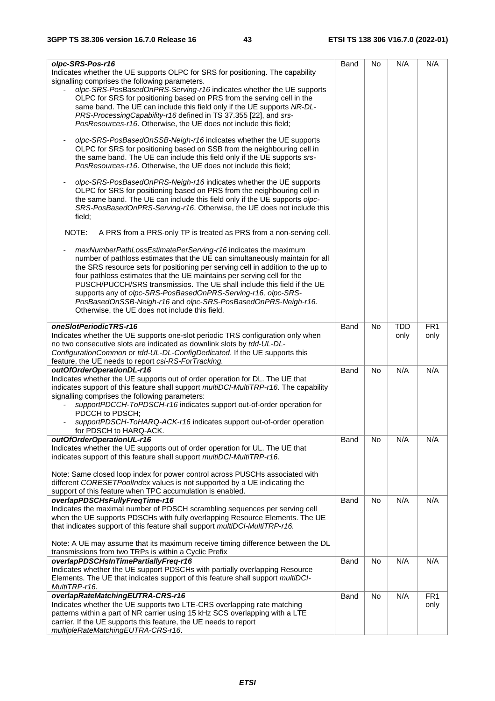| olpc-SRS-Pos-r16                                                                                                                                      | <b>Band</b> | No        | N/A        | N/A             |
|-------------------------------------------------------------------------------------------------------------------------------------------------------|-------------|-----------|------------|-----------------|
| Indicates whether the UE supports OLPC for SRS for positioning. The capability                                                                        |             |           |            |                 |
| signalling comprises the following parameters.                                                                                                        |             |           |            |                 |
| olpc-SRS-PosBasedOnPRS-Serving-r16 indicates whether the UE supports                                                                                  |             |           |            |                 |
| OLPC for SRS for positioning based on PRS from the serving cell in the                                                                                |             |           |            |                 |
| same band. The UE can include this field only if the UE supports NR-DL-                                                                               |             |           |            |                 |
|                                                                                                                                                       |             |           |            |                 |
| PRS-ProcessingCapability-r16 defined in TS 37.355 [22], and srs-                                                                                      |             |           |            |                 |
| PosResources-r16. Otherwise, the UE does not include this field;                                                                                      |             |           |            |                 |
|                                                                                                                                                       |             |           |            |                 |
| olpc-SRS-PosBasedOnSSB-Neigh-r16 indicates whether the UE supports<br>OLPC for SRS for positioning based on SSB from the neighbouring cell in         |             |           |            |                 |
|                                                                                                                                                       |             |           |            |                 |
| the same band. The UE can include this field only if the UE supports srs-                                                                             |             |           |            |                 |
| PosResources-r16. Otherwise, the UE does not include this field;                                                                                      |             |           |            |                 |
| olpc-SRS-PosBasedOnPRS-Neigh-r16 indicates whether the UE supports                                                                                    |             |           |            |                 |
|                                                                                                                                                       |             |           |            |                 |
| OLPC for SRS for positioning based on PRS from the neighbouring cell in<br>the same band. The UE can include this field only if the UE supports olpc- |             |           |            |                 |
|                                                                                                                                                       |             |           |            |                 |
| SRS-PosBasedOnPRS-Serving-r16. Otherwise, the UE does not include this                                                                                |             |           |            |                 |
| field;                                                                                                                                                |             |           |            |                 |
| NOTE:<br>A PRS from a PRS-only TP is treated as PRS from a non-serving cell.                                                                          |             |           |            |                 |
|                                                                                                                                                       |             |           |            |                 |
| maxNumberPathLossEstimatePerServing-r16 indicates the maximum                                                                                         |             |           |            |                 |
| number of pathloss estimates that the UE can simultaneously maintain for all                                                                          |             |           |            |                 |
| the SRS resource sets for positioning per serving cell in addition to the up to                                                                       |             |           |            |                 |
| four pathloss estimates that the UE maintains per serving cell for the                                                                                |             |           |            |                 |
| PUSCH/PUCCH/SRS transmissios. The UE shall include this field if the UE                                                                               |             |           |            |                 |
| supports any of olpc-SRS-PosBasedOnPRS-Serving-r16, olpc-SRS-                                                                                         |             |           |            |                 |
| PosBasedOnSSB-Neigh-r16 and olpc-SRS-PosBasedOnPRS-Neigh-r16.                                                                                         |             |           |            |                 |
| Otherwise, the UE does not include this field.                                                                                                        |             |           |            |                 |
|                                                                                                                                                       |             |           |            |                 |
| oneSlotPeriodicTRS-r16                                                                                                                                | Band        | <b>No</b> | <b>TDD</b> | FR <sub>1</sub> |
| Indicates whether the UE supports one-slot periodic TRS configuration only when                                                                       |             |           | only       | only            |
| no two consecutive slots are indicated as downlink slots by tdd-UL-DL-                                                                                |             |           |            |                 |
| ConfigurationCommon or tdd-UL-DL-ConfigDedicated. If the UE supports this                                                                             |             |           |            |                 |
| feature, the UE needs to report csi-RS-ForTracking.                                                                                                   |             |           |            |                 |
| outOfOrderOperationDL-r16                                                                                                                             | Band        | <b>No</b> | N/A        | N/A             |
| Indicates whether the UE supports out of order operation for DL. The UE that                                                                          |             |           |            |                 |
| indicates support of this feature shall support multiDCI-MultiTRP-r16. The capability                                                                 |             |           |            |                 |
| signalling comprises the following parameters:                                                                                                        |             |           |            |                 |
| supportPDCCH-ToPDSCH-r16 indicates support out-of-order operation for                                                                                 |             |           |            |                 |
| PDCCH to PDSCH;                                                                                                                                       |             |           |            |                 |
| supportPDSCH-ToHARQ-ACK-r16 indicates support out-of-order operation                                                                                  |             |           |            |                 |
| for PDSCH to HARQ-ACK.                                                                                                                                |             |           |            |                 |
| outOfOrderOperationUL-r16                                                                                                                             | Band        | No.       | N/A        | N/A             |
| Indicates whether the UE supports out of order operation for UL. The UE that                                                                          |             |           |            |                 |
| indicates support of this feature shall support multiDCI-MultiTRP-r16.                                                                                |             |           |            |                 |
|                                                                                                                                                       |             |           |            |                 |
| Note: Same closed loop index for power control across PUSCHs associated with                                                                          |             |           |            |                 |
| different CORESETPoolIndex values is not supported by a UE indicating the<br>support of this feature when TPC accumulation is enabled.                |             |           |            |                 |
| overlapPDSCHsFullyFreqTime-r16                                                                                                                        | <b>Band</b> | <b>No</b> | N/A        | N/A             |
| Indicates the maximal number of PDSCH scrambling sequences per serving cell                                                                           |             |           |            |                 |
| when the UE supports PDSCHs with fully overlapping Resource Elements. The UE                                                                          |             |           |            |                 |
| that indicates support of this feature shall support multiDCI-MultiTRP-r16.                                                                           |             |           |            |                 |
|                                                                                                                                                       |             |           |            |                 |
| Note: A UE may assume that its maximum receive timing difference between the DL                                                                       |             |           |            |                 |
| transmissions from two TRPs is within a Cyclic Prefix                                                                                                 |             |           |            |                 |
| overlapPDSCHsInTimePartiallyFreq-r16                                                                                                                  | <b>Band</b> | No        | N/A        | N/A             |
| Indicates whether the UE support PDSCHs with partially overlapping Resource                                                                           |             |           |            |                 |
| Elements. The UE that indicates support of this feature shall support <i>multiDCI-</i>                                                                |             |           |            |                 |
| MultiTRP-r16.                                                                                                                                         |             |           |            |                 |
| overlapRateMatchingEUTRA-CRS-r16                                                                                                                      | <b>Band</b> | No        | N/A        | FR <sub>1</sub> |
| Indicates whether the UE supports two LTE-CRS overlapping rate matching                                                                               |             |           |            | only            |
| patterns within a part of NR carrier using 15 kHz SCS overlapping with a LTE                                                                          |             |           |            |                 |
| carrier. If the UE supports this feature, the UE needs to report                                                                                      |             |           |            |                 |
| multipleRateMatchingEUTRA-CRS-r16.                                                                                                                    |             |           |            |                 |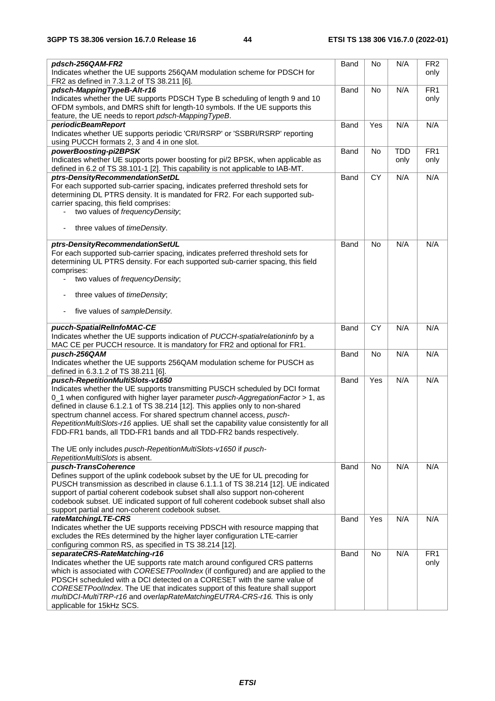| pdsch-256QAM-FR2                                                                                                        | Band        | No        | N/A        | FR <sub>2</sub> |
|-------------------------------------------------------------------------------------------------------------------------|-------------|-----------|------------|-----------------|
| Indicates whether the UE supports 256QAM modulation scheme for PDSCH for<br>FR2 as defined in 7.3.1.2 of TS 38.211 [6]. |             |           |            | only            |
| pdsch-MappingTypeB-Alt-r16                                                                                              | Band        | <b>No</b> | N/A        | FR <sub>1</sub> |
| Indicates whether the UE supports PDSCH Type B scheduling of length 9 and 10                                            |             |           |            | only            |
| OFDM symbols, and DMRS shift for length-10 symbols. If the UE supports this                                             |             |           |            |                 |
| feature, the UE needs to report pdsch-MappingTypeB.                                                                     |             |           |            |                 |
| periodicBeamReport                                                                                                      | Band        | Yes       | N/A        | N/A             |
| Indicates whether UE supports periodic 'CRI/RSRP' or 'SSBRI/RSRP' reporting                                             |             |           |            |                 |
| using PUCCH formats 2, 3 and 4 in one slot.                                                                             |             |           |            |                 |
| powerBoosting-pi2BPSK                                                                                                   | Band        | No        | <b>TDD</b> | FR <sub>1</sub> |
| Indicates whether UE supports power boosting for pi/2 BPSK, when applicable as                                          |             |           | only       | only            |
| defined in 6.2 of TS 38.101-1 [2]. This capability is not applicable to IAB-MT.                                         |             |           |            |                 |
| ptrs-DensityRecommendationSetDL                                                                                         | Band        | <b>CY</b> | N/A        | N/A             |
| For each supported sub-carrier spacing, indicates preferred threshold sets for                                          |             |           |            |                 |
| determining DL PTRS density. It is mandated for FR2. For each supported sub-                                            |             |           |            |                 |
| carrier spacing, this field comprises:                                                                                  |             |           |            |                 |
| two values of frequencyDensity;                                                                                         |             |           |            |                 |
|                                                                                                                         |             |           |            |                 |
| three values of <i>timeDensity</i> .                                                                                    |             |           |            |                 |
| ptrs-DensityRecommendationSetUL                                                                                         | Band        | No        | N/A        | N/A             |
| For each supported sub-carrier spacing, indicates preferred threshold sets for                                          |             |           |            |                 |
| determining UL PTRS density. For each supported sub-carrier spacing, this field                                         |             |           |            |                 |
| comprises:                                                                                                              |             |           |            |                 |
| two values of frequencyDensity;                                                                                         |             |           |            |                 |
| three values of timeDensity;                                                                                            |             |           |            |                 |
|                                                                                                                         |             |           |            |                 |
| five values of sampleDensity.                                                                                           |             |           |            |                 |
| pucch-SpatialRelInfoMAC-CE                                                                                              | Band        | CY        | N/A        | N/A             |
| Indicates whether the UE supports indication of PUCCH-spatialrelationinfo by a                                          |             |           |            |                 |
| MAC CE per PUCCH resource. It is mandatory for FR2 and optional for FR1.                                                |             |           |            |                 |
| pusch-256QAM                                                                                                            | <b>Band</b> | No        | N/A        | N/A             |
| Indicates whether the UE supports 256QAM modulation scheme for PUSCH as                                                 |             |           |            |                 |
| defined in 6.3.1.2 of TS 38.211 [6].                                                                                    |             |           |            |                 |
| pusch-RepetitionMultiSlots-v1650                                                                                        | Band        | Yes       | N/A        | N/A             |
| Indicates whether the UE supports transmitting PUSCH scheduled by DCI format                                            |             |           |            |                 |
| 0_1 when configured with higher layer parameter pusch-AggregationFactor > 1, as                                         |             |           |            |                 |
| defined in clause 6.1.2.1 of TS 38.214 [12]. This applies only to non-shared                                            |             |           |            |                 |
| spectrum channel access. For shared spectrum channel access, pusch-                                                     |             |           |            |                 |
| RepetitionMultiSlots-r16 applies. UE shall set the capability value consistently for all                                |             |           |            |                 |
| FDD-FR1 bands, all TDD-FR1 bands and all TDD-FR2 bands respectively.                                                    |             |           |            |                 |
|                                                                                                                         |             |           |            |                 |
| The UE only includes pusch-RepetitionMultiSlots-v1650 if pusch-                                                         |             |           |            |                 |
| RepetitionMultiSlots is absent.                                                                                         |             |           |            |                 |
| pusch-TransCoherence                                                                                                    | Band        | <b>No</b> | N/A        | N/A             |
| Defines support of the uplink codebook subset by the UE for UL precoding for                                            |             |           |            |                 |
| PUSCH transmission as described in clause 6.1.1.1 of TS 38.214 [12]. UE indicated                                       |             |           |            |                 |
| support of partial coherent codebook subset shall also support non-coherent                                             |             |           |            |                 |
| codebook subset. UE indicated support of full coherent codebook subset shall also                                       |             |           |            |                 |
| support partial and non-coherent codebook subset.                                                                       |             |           |            |                 |
| rateMatchingLTE-CRS                                                                                                     | Band        | Yes       | N/A        | N/A             |
| Indicates whether the UE supports receiving PDSCH with resource mapping that                                            |             |           |            |                 |
| excludes the REs determined by the higher layer configuration LTE-carrier                                               |             |           |            |                 |
| configuring common RS, as specified in TS 38.214 [12].                                                                  |             |           |            |                 |
| separateCRS-RateMatching-r16                                                                                            | Band        | No        | N/A        | FR <sub>1</sub> |
| Indicates whether the UE supports rate match around configured CRS patterns                                             |             |           |            | only            |
| which is associated with CORESETPoolIndex (if configured) and are applied to the                                        |             |           |            |                 |
| PDSCH scheduled with a DCI detected on a CORESET with the same value of                                                 |             |           |            |                 |
| CORESETPoolIndex. The UE that indicates support of this feature shall support                                           |             |           |            |                 |
| multiDCI-MultiTRP-r16 and overlapRateMatchingEUTRA-CRS-r16. This is only                                                |             |           |            |                 |
| applicable for 15kHz SCS.                                                                                               |             |           |            |                 |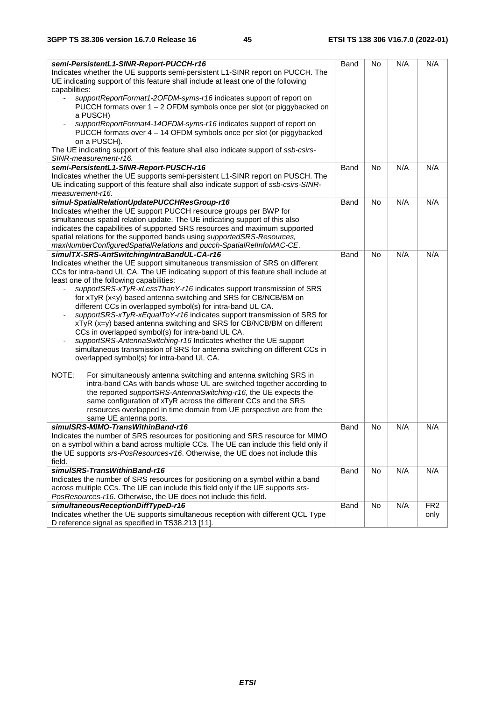| semi-PersistentL1-SINR-Report-PUCCH-r16<br>Indicates whether the UE supports semi-persistent L1-SINR report on PUCCH. The<br>UE indicating support of this feature shall include at least one of the following<br>capabilities: | <b>Band</b> | No        | N/A | N/A             |
|---------------------------------------------------------------------------------------------------------------------------------------------------------------------------------------------------------------------------------|-------------|-----------|-----|-----------------|
| supportReportFormat1-2OFDM-syms-r16 indicates support of report on<br>PUCCH formats over $1 - 2$ OFDM symbols once per slot (or piggybacked on<br>a PUSCH)                                                                      |             |           |     |                 |
| supportReportFormat4-14OFDM-syms-r16 indicates support of report on<br>PUCCH formats over 4 - 14 OFDM symbols once per slot (or piggybacked<br>on a PUSCH).                                                                     |             |           |     |                 |
| The UE indicating support of this feature shall also indicate support of ssb-csirs-<br>SINR-measurement-r16.                                                                                                                    |             |           |     |                 |
| semi-PersistentL1-SINR-Report-PUSCH-r16                                                                                                                                                                                         | Band        | No        | N/A | N/A             |
| Indicates whether the UE supports semi-persistent L1-SINR report on PUSCH. The                                                                                                                                                  |             |           |     |                 |
| UE indicating support of this feature shall also indicate support of ssb-csirs-SINR-                                                                                                                                            |             |           |     |                 |
| measurement-r16.                                                                                                                                                                                                                |             |           |     |                 |
| simul-SpatialRelationUpdatePUCCHResGroup-r16                                                                                                                                                                                    | <b>Band</b> | No        | N/A | N/A             |
| Indicates whether the UE support PUCCH resource groups per BWP for                                                                                                                                                              |             |           |     |                 |
| simultaneous spatial relation update. The UE indicating support of this also                                                                                                                                                    |             |           |     |                 |
| indicates the capabilities of supported SRS resources and maximum supported                                                                                                                                                     |             |           |     |                 |
| spatial relations for the supported bands using supportedSRS-Resources,<br>maxNumberConfiguredSpatialRelations and pucch-SpatialRelInfoMAC-CE.                                                                                  |             |           |     |                 |
| simulTX-SRS-AntSwitchingIntraBandUL-CA-r16                                                                                                                                                                                      | Band        | <b>No</b> | N/A | N/A             |
| Indicates whether the UE support simultaneous transmission of SRS on different                                                                                                                                                  |             |           |     |                 |
| CCs for intra-band UL CA. The UE indicating support of this feature shall include at                                                                                                                                            |             |           |     |                 |
| least one of the following capabilities:                                                                                                                                                                                        |             |           |     |                 |
| supportSRS-xTyR-xLessThanY-r16 indicates support transmission of SRS                                                                                                                                                            |             |           |     |                 |
| for xTyR (x <y) and="" antenna="" based="" bm="" cb="" for="" ncb="" on<="" srs="" switching="" td=""><td></td><td></td><td></td><td></td></y)>                                                                                 |             |           |     |                 |
| different CCs in overlapped symbol(s) for intra-band UL CA.                                                                                                                                                                     |             |           |     |                 |
| supportSRS-xTyR-xEqualToY-r16 indicates support transmission of SRS for                                                                                                                                                         |             |           |     |                 |
| xTyR (x=y) based antenna switching and SRS for CB/NCB/BM on different                                                                                                                                                           |             |           |     |                 |
| CCs in overlapped symbol(s) for intra-band UL CA.<br>supportSRS-AntennaSwitching-r16 Indicates whether the UE support                                                                                                           |             |           |     |                 |
| simultaneous transmission of SRS for antenna switching on different CCs in                                                                                                                                                      |             |           |     |                 |
| overlapped symbol(s) for intra-band UL CA.                                                                                                                                                                                      |             |           |     |                 |
|                                                                                                                                                                                                                                 |             |           |     |                 |
| NOTE:<br>For simultaneously antenna switching and antenna switching SRS in                                                                                                                                                      |             |           |     |                 |
| intra-band CAs with bands whose UL are switched together according to                                                                                                                                                           |             |           |     |                 |
| the reported supportSRS-AntennaSwitching-r16, the UE expects the                                                                                                                                                                |             |           |     |                 |
| same configuration of xTyR across the different CCs and the SRS                                                                                                                                                                 |             |           |     |                 |
| resources overlapped in time domain from UE perspective are from the                                                                                                                                                            |             |           |     |                 |
| same UE antenna ports.<br>simulSRS-MIMO-TransWithinBand-r16                                                                                                                                                                     | Band        | No        | N/A | N/A             |
| Indicates the number of SRS resources for positioning and SRS resource for MIMO                                                                                                                                                 |             |           |     |                 |
| on a symbol within a band across multiple CCs. The UE can include this field only if                                                                                                                                            |             |           |     |                 |
| the UE supports srs-PosResources-r16. Otherwise, the UE does not include this                                                                                                                                                   |             |           |     |                 |
| field.                                                                                                                                                                                                                          |             |           |     |                 |
| simulSRS-TransWithinBand-r16                                                                                                                                                                                                    | Band        | No        | N/A | N/A             |
| Indicates the number of SRS resources for positioning on a symbol within a band                                                                                                                                                 |             |           |     |                 |
| across multiple CCs. The UE can include this field only if the UE supports srs-                                                                                                                                                 |             |           |     |                 |
| PosResources-r16. Otherwise, the UE does not include this field.                                                                                                                                                                |             |           |     |                 |
| simultaneousReceptionDiffTypeD-r16                                                                                                                                                                                              | Band        | No        | N/A | FR <sub>2</sub> |
| Indicates whether the UE supports simultaneous reception with different QCL Type<br>D reference signal as specified in TS38.213 [11].                                                                                           |             |           |     | only            |
|                                                                                                                                                                                                                                 |             |           |     |                 |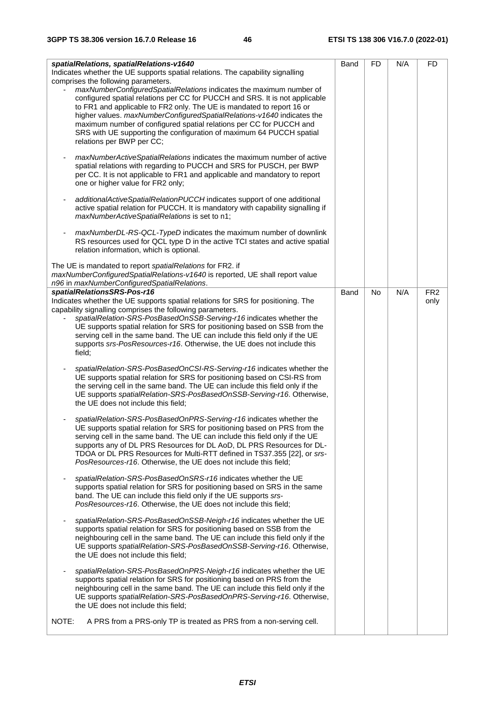| spatialRelations, spatialRelations-v1640<br>Indicates whether the UE supports spatial relations. The capability signalling<br>comprises the following parameters.<br>maxNumberConfiguredSpatialRelations indicates the maximum number of<br>configured spatial relations per CC for PUCCH and SRS. It is not applicable<br>to FR1 and applicable to FR2 only. The UE is mandated to report 16 or<br>higher values. maxNumberConfiguredSpatialRelations-v1640 indicates the<br>maximum number of configured spatial relations per CC for PUCCH and<br>SRS with UE supporting the configuration of maximum 64 PUCCH spatial<br>relations per BWP per CC;<br>maxNumberActiveSpatialRelations indicates the maximum number of active<br>spatial relations with regarding to PUCCH and SRS for PUSCH, per BWP<br>per CC. It is not applicable to FR1 and applicable and mandatory to report<br>one or higher value for FR2 only;<br>additionalActiveSpatialRelationPUCCH indicates support of one additional<br>active spatial relation for PUCCH. It is mandatory with capability signalling if<br>maxNumberActiveSpatialRelations is set to n1;<br>maxNumberDL-RS-QCL-TypeD indicates the maximum number of downlink<br>RS resources used for QCL type D in the active TCI states and active spatial<br>relation information, which is optional.                                                                                                                                                                                                                                                                                                                                                                                                                                                                                                                                                                                                                                                                                                                                                                                                                                                                                                                                                                                                                                                            | Band | <b>FD</b> | N/A | FD                      |
|----------------------------------------------------------------------------------------------------------------------------------------------------------------------------------------------------------------------------------------------------------------------------------------------------------------------------------------------------------------------------------------------------------------------------------------------------------------------------------------------------------------------------------------------------------------------------------------------------------------------------------------------------------------------------------------------------------------------------------------------------------------------------------------------------------------------------------------------------------------------------------------------------------------------------------------------------------------------------------------------------------------------------------------------------------------------------------------------------------------------------------------------------------------------------------------------------------------------------------------------------------------------------------------------------------------------------------------------------------------------------------------------------------------------------------------------------------------------------------------------------------------------------------------------------------------------------------------------------------------------------------------------------------------------------------------------------------------------------------------------------------------------------------------------------------------------------------------------------------------------------------------------------------------------------------------------------------------------------------------------------------------------------------------------------------------------------------------------------------------------------------------------------------------------------------------------------------------------------------------------------------------------------------------------------------------------------------------------------------------------------------------------------------|------|-----------|-----|-------------------------|
| The UE is mandated to report spatialRelations for FR2. if<br>maxNumberConfiguredSpatialRelations-v1640 is reported, UE shall report value<br>n96 in maxNumberConfiguredSpatialRelations.                                                                                                                                                                                                                                                                                                                                                                                                                                                                                                                                                                                                                                                                                                                                                                                                                                                                                                                                                                                                                                                                                                                                                                                                                                                                                                                                                                                                                                                                                                                                                                                                                                                                                                                                                                                                                                                                                                                                                                                                                                                                                                                                                                                                                 |      |           |     |                         |
| spatialRelationsSRS-Pos-r16<br>Indicates whether the UE supports spatial relations for SRS for positioning. The<br>capability signalling comprises the following parameters.<br>spatialRelation-SRS-PosBasedOnSSB-Serving-r16 indicates whether the<br>UE supports spatial relation for SRS for positioning based on SSB from the<br>serving cell in the same band. The UE can include this field only if the UE<br>supports srs-PosResources-r16. Otherwise, the UE does not include this<br>field;<br>spatialRelation-SRS-PosBasedOnCSI-RS-Serving-r16 indicates whether the<br>UE supports spatial relation for SRS for positioning based on CSI-RS from<br>the serving cell in the same band. The UE can include this field only if the<br>UE supports spatialRelation-SRS-PosBasedOnSSB-Serving-r16. Otherwise,<br>the UE does not include this field;<br>spatialRelation-SRS-PosBasedOnPRS-Serving-r16 indicates whether the<br>UE supports spatial relation for SRS for positioning based on PRS from the<br>serving cell in the same band. The UE can include this field only if the UE<br>supports any of DL PRS Resources for DL AoD, DL PRS Resources for DL-<br>TDOA or DL PRS Resources for Multi-RTT defined in TS37.355 [22], or srs-<br>PosResources-r16. Otherwise, the UE does not include this field;<br>spatialRelation-SRS-PosBasedOnSRS-r16 indicates whether the UE<br>supports spatial relation for SRS for positioning based on SRS in the same<br>band. The UE can include this field only if the UE supports srs-<br>PosResources-r16. Otherwise, the UE does not include this field;<br>spatialRelation-SRS-PosBasedOnSSB-Neigh-r16 indicates whether the UE<br>supports spatial relation for SRS for positioning based on SSB from the<br>neighbouring cell in the same band. The UE can include this field only if the<br>UE supports spatialRelation-SRS-PosBasedOnSSB-Serving-r16. Otherwise,<br>the UE does not include this field;<br>spatialRelation-SRS-PosBasedOnPRS-Neigh-r16 indicates whether the UE<br>supports spatial relation for SRS for positioning based on PRS from the<br>neighbouring cell in the same band. The UE can include this field only if the<br>UE supports spatialRelation-SRS-PosBasedOnPRS-Serving-r16. Otherwise,<br>the UE does not include this field;<br>NOTE:<br>A PRS from a PRS-only TP is treated as PRS from a non-serving cell. | Band | No        | N/A | FR <sub>2</sub><br>only |
|                                                                                                                                                                                                                                                                                                                                                                                                                                                                                                                                                                                                                                                                                                                                                                                                                                                                                                                                                                                                                                                                                                                                                                                                                                                                                                                                                                                                                                                                                                                                                                                                                                                                                                                                                                                                                                                                                                                                                                                                                                                                                                                                                                                                                                                                                                                                                                                                          |      |           |     |                         |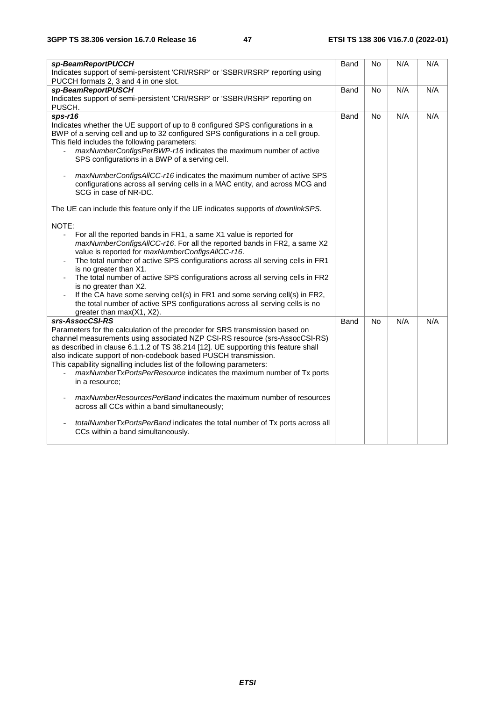| sp-BeamReportPUCCH<br>Indicates support of semi-persistent 'CRI/RSRP' or 'SSBRI/RSRP' reporting using                                                                                                                                                                                                                                                                                                                                                                                                                                                                                                                                                                                                                                                 | Band | No             | N/A | N/A |
|-------------------------------------------------------------------------------------------------------------------------------------------------------------------------------------------------------------------------------------------------------------------------------------------------------------------------------------------------------------------------------------------------------------------------------------------------------------------------------------------------------------------------------------------------------------------------------------------------------------------------------------------------------------------------------------------------------------------------------------------------------|------|----------------|-----|-----|
| PUCCH formats 2, 3 and 4 in one slot.<br>sp-BeamReportPUSCH<br>Indicates support of semi-persistent 'CRI/RSRP' or 'SSBRI/RSRP' reporting on<br>PUSCH.                                                                                                                                                                                                                                                                                                                                                                                                                                                                                                                                                                                                 | Band | No             | N/A | N/A |
| $sps-r16$<br>Indicates whether the UE support of up to 8 configured SPS configurations in a<br>BWP of a serving cell and up to 32 configured SPS configurations in a cell group.<br>This field includes the following parameters:<br>maxNumberConfigsPerBWP-r16 indicates the maximum number of active<br>SPS configurations in a BWP of a serving cell.                                                                                                                                                                                                                                                                                                                                                                                              | Band | No             | N/A | N/A |
| maxNumberConfigsAllCC-r16 indicates the maximum number of active SPS<br>configurations across all serving cells in a MAC entity, and across MCG and<br>SCG in case of NR-DC.                                                                                                                                                                                                                                                                                                                                                                                                                                                                                                                                                                          |      |                |     |     |
| The UE can include this feature only if the UE indicates supports of downlinkSPS.                                                                                                                                                                                                                                                                                                                                                                                                                                                                                                                                                                                                                                                                     |      |                |     |     |
| NOTE:<br>For all the reported bands in FR1, a same X1 value is reported for<br>maxNumberConfigsAIICC-r16. For all the reported bands in FR2, a same X2<br>value is reported for maxNumberConfigsAllCC-r16.<br>The total number of active SPS configurations across all serving cells in FR1<br>is no greater than X1.<br>The total number of active SPS configurations across all serving cells in FR2<br>is no greater than X2.<br>If the CA have some serving cell(s) in FR1 and some serving cell(s) in FR2,<br>the total number of active SPS configurations across all serving cells is no<br>greater than max(X1, X2).                                                                                                                          |      |                |     |     |
| srs-AssocCSI-RS<br>Parameters for the calculation of the precoder for SRS transmission based on<br>channel measurements using associated NZP CSI-RS resource (srs-AssocCSI-RS)<br>as described in clause 6.1.1.2 of TS 38.214 [12]. UE supporting this feature shall<br>also indicate support of non-codebook based PUSCH transmission.<br>This capability signalling includes list of the following parameters:<br>maxNumberTxPortsPerResource indicates the maximum number of Tx ports<br>in a resource:<br>maxNumberResourcesPerBand indicates the maximum number of resources<br>across all CCs within a band simultaneously;<br>totalNumberTxPortsPerBand indicates the total number of Tx ports across all<br>CCs within a band simultaneously. | Band | N <sub>o</sub> | N/A | N/A |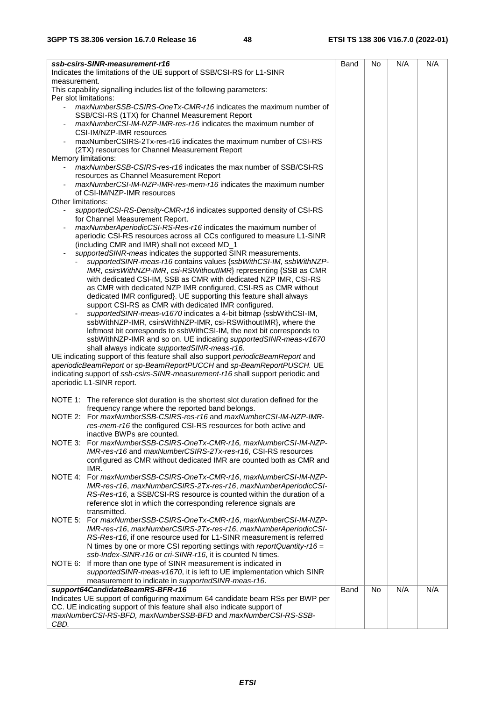| ssb-csirs-SINR-measurement-r16<br>Indicates the limitations of the UE support of SSB/CSI-RS for L1-SINR                                                 | Band        | No        | N/A | N/A |
|---------------------------------------------------------------------------------------------------------------------------------------------------------|-------------|-----------|-----|-----|
| measurement.                                                                                                                                            |             |           |     |     |
| This capability signalling includes list of the following parameters:<br>Per slot limitations:                                                          |             |           |     |     |
| maxNumberSSB-CSIRS-OneTx-CMR-r16 indicates the maximum number of                                                                                        |             |           |     |     |
| SSB/CSI-RS (1TX) for Channel Measurement Report<br>maxNumberCSI-IM-NZP-IMR-res-r16 indicates the maximum number of                                      |             |           |     |     |
| CSI-IM/NZP-IMR resources                                                                                                                                |             |           |     |     |
| maxNumberCSIRS-2Tx-res-r16 indicates the maximum number of CSI-RS                                                                                       |             |           |     |     |
| (2TX) resources for Channel Measurement Report                                                                                                          |             |           |     |     |
| Memory limitations:                                                                                                                                     |             |           |     |     |
| maxNumberSSB-CSIRS-res-r16 indicates the max number of SSB/CSI-RS                                                                                       |             |           |     |     |
| resources as Channel Measurement Report<br>maxNumberCSI-IM-NZP-IMR-res-mem-r16 indicates the maximum number                                             |             |           |     |     |
| of CSI-IM/NZP-IMR resources                                                                                                                             |             |           |     |     |
| Other limitations:                                                                                                                                      |             |           |     |     |
| supportedCSI-RS-Density-CMR-r16 indicates supported density of CSI-RS                                                                                   |             |           |     |     |
| for Channel Measurement Report.                                                                                                                         |             |           |     |     |
| maxNumberAperiodicCSI-RS-Res-r16 indicates the maximum number of                                                                                        |             |           |     |     |
| aperiodic CSI-RS resources across all CCs configured to measure L1-SINR<br>(including CMR and IMR) shall not exceed MD_1                                |             |           |     |     |
| supportedSINR-meas indicates the supported SINR measurements.                                                                                           |             |           |     |     |
| supportedSINR-meas-r16 contains values {ssbWithCSI-IM, ssbWithNZP-                                                                                      |             |           |     |     |
| IMR, csirsWithNZP-IMR, csi-RSWithoutIMR} representing {SSB as CMR                                                                                       |             |           |     |     |
| with dedicated CSI-IM, SSB as CMR with dedicated NZP IMR, CSI-RS                                                                                        |             |           |     |     |
| as CMR with dedicated NZP IMR configured, CSI-RS as CMR without                                                                                         |             |           |     |     |
| dedicated IMR configured}. UE supporting this feature shall always<br>support CSI-RS as CMR with dedicated IMR configured.                              |             |           |     |     |
| supportedSINR-meas-v1670 indicates a 4-bit bitmap {ssbWithCSI-IM,                                                                                       |             |           |     |     |
| ssbWithNZP-IMR, csirsWithNZP-IMR, csi-RSWithoutIMR}, where the                                                                                          |             |           |     |     |
| leftmost bit corresponds to ssbWithCSI-IM, the next bit corresponds to                                                                                  |             |           |     |     |
| ssbWithNZP-IMR and so on. UE indicating supportedSINR-meas-v1670                                                                                        |             |           |     |     |
| shall always indicate supportedSINR-meas-r16.                                                                                                           |             |           |     |     |
| UE indicating support of this feature shall also support periodicBeamReport and                                                                         |             |           |     |     |
| aperiodicBeamReport or sp-BeamReportPUCCH and sp-BeamReportPUSCH. UE<br>indicating support of ssb-csirs-SINR-measurement-r16 shall support periodic and |             |           |     |     |
| aperiodic L1-SINR report.                                                                                                                               |             |           |     |     |
|                                                                                                                                                         |             |           |     |     |
| NOTE 1: The reference slot duration is the shortest slot duration defined for the                                                                       |             |           |     |     |
| frequency range where the reported band belongs.                                                                                                        |             |           |     |     |
| NOTE 2: For maxNumberSSB-CSIRS-res-r16 and maxNumberCSI-IM-NZP-IMR-                                                                                     |             |           |     |     |
| res-mem-r16 the configured CSI-RS resources for both active and<br>inactive BWPs are counted.                                                           |             |           |     |     |
| NOTE 3: For maxNumberSSB-CSIRS-OneTx-CMR-r16, maxNumberCSI-IM-NZP-                                                                                      |             |           |     |     |
| IMR-res-r16 and maxNumberCSIRS-2Tx-res-r16, CSI-RS resources                                                                                            |             |           |     |     |
| configured as CMR without dedicated IMR are counted both as CMR and                                                                                     |             |           |     |     |
| IMR.                                                                                                                                                    |             |           |     |     |
| NOTE 4:<br>For maxNumberSSB-CSIRS-OneTx-CMR-r16, maxNumberCSI-IM-NZP-                                                                                   |             |           |     |     |
| IMR-res-r16, maxNumberCSIRS-2Tx-res-r16, maxNumberAperiodicCSI-<br>RS-Res-r16, a SSB/CSI-RS resource is counted within the duration of a                |             |           |     |     |
| reference slot in which the corresponding reference signals are                                                                                         |             |           |     |     |
| transmitted.                                                                                                                                            |             |           |     |     |
| NOTE 5: For maxNumberSSB-CSIRS-OneTx-CMR-r16, maxNumberCSI-IM-NZP-                                                                                      |             |           |     |     |
| IMR-res-r16, maxNumberCSIRS-2Tx-res-r16, maxNumberAperiodicCSI-                                                                                         |             |           |     |     |
| RS-Res-r16, if one resource used for L1-SINR measurement is referred                                                                                    |             |           |     |     |
| N times by one or more CSI reporting settings with reportQuantity-r16 =<br>ssb-Index-SINR-r16 or cri-SINR-r16, it is counted N times.                   |             |           |     |     |
| NOTE 6: If more than one type of SINR measurement is indicated in                                                                                       |             |           |     |     |
| supportedSINR-meas-v1670, it is left to UE implementation which SINR                                                                                    |             |           |     |     |
| measurement to indicate in supportedSINR-meas-r16.                                                                                                      |             |           |     |     |
| support64CandidateBeamRS-BFR-r16                                                                                                                        | <b>Band</b> | <b>No</b> | N/A | N/A |
| Indicates UE support of configuring maximum 64 candidate beam RSs per BWP per                                                                           |             |           |     |     |
| CC. UE indicating support of this feature shall also indicate support of<br>maxNumberCSI-RS-BFD, maxNumberSSB-BFD and maxNumberCSI-RS-SSB-              |             |           |     |     |
| CBD.                                                                                                                                                    |             |           |     |     |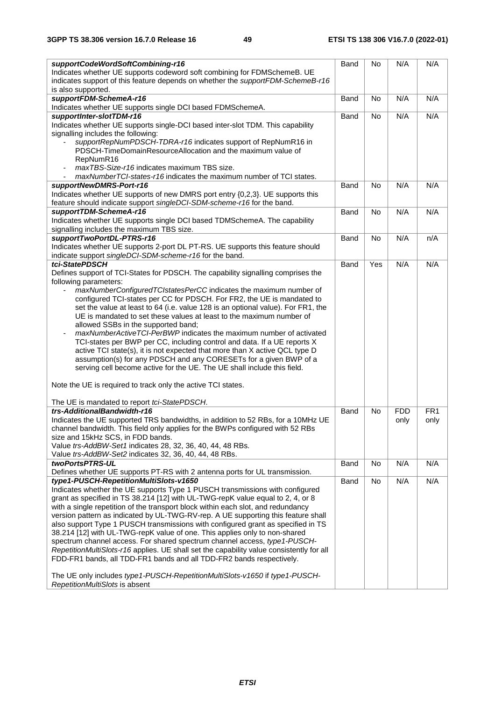| supportCodeWordSoftCombining-r16                                                         | Band        | No        | N/A        | N/A             |
|------------------------------------------------------------------------------------------|-------------|-----------|------------|-----------------|
| Indicates whether UE supports codeword soft combining for FDMSchemeB. UE                 |             |           |            |                 |
| indicates support of this feature depends on whether the supportFDM-SchemeB-r16          |             |           |            |                 |
| is also supported.                                                                       |             |           |            |                 |
| supportFDM-SchemeA-r16                                                                   | Band        | <b>No</b> | N/A        | N/A             |
| Indicates whether UE supports single DCI based FDMSchemeA.                               |             |           |            |                 |
|                                                                                          | Band        | <b>No</b> | N/A        | N/A             |
| supportInter-slotTDM-r16                                                                 |             |           |            |                 |
| Indicates whether UE supports single-DCI based inter-slot TDM. This capability           |             |           |            |                 |
| signalling includes the following:                                                       |             |           |            |                 |
| supportRepNumPDSCH-TDRA-r16 indicates support of RepNumR16 in                            |             |           |            |                 |
| PDSCH-TimeDomainResourceAllocation and the maximum value of                              |             |           |            |                 |
| RepNumR16                                                                                |             |           |            |                 |
| maxTBS-Size-r16 indicates maximum TBS size.<br>$\qquad \qquad \blacksquare$              |             |           |            |                 |
| maxNumberTCI-states-r16 indicates the maximum number of TCI states.                      |             |           |            |                 |
| supportNewDMRS-Port-r16                                                                  | Band        | <b>No</b> | N/A        | N/A             |
| Indicates whether UE supports of new DMRS port entry {0,2,3}. UE supports this           |             |           |            |                 |
| feature should indicate support singleDCI-SDM-scheme-r16 for the band.                   |             |           |            |                 |
| supportTDM-SchemeA-r16                                                                   | Band        | No        | N/A        | N/A             |
| Indicates whether UE supports single DCI based TDMSchemeA. The capability                |             |           |            |                 |
|                                                                                          |             |           |            |                 |
| signalling includes the maximum TBS size.                                                |             |           |            |                 |
| supportTwoPortDL-PTRS-r16                                                                | Band        | <b>No</b> | N/A        | n/A             |
| Indicates whether UE supports 2-port DL PT-RS. UE supports this feature should           |             |           |            |                 |
| indicate support singleDCI-SDM-scheme-r16 for the band.                                  |             |           |            |                 |
| tci-StatePDSCH                                                                           | Band        | Yes       | N/A        | N/A             |
| Defines support of TCI-States for PDSCH. The capability signalling comprises the         |             |           |            |                 |
| following parameters:                                                                    |             |           |            |                 |
| maxNumberConfiguredTCIstatesPerCC indicates the maximum number of                        |             |           |            |                 |
| configured TCI-states per CC for PDSCH. For FR2, the UE is mandated to                   |             |           |            |                 |
| set the value at least to 64 (i.e. value 128 is an optional value). For FR1, the         |             |           |            |                 |
| UE is mandated to set these values at least to the maximum number of                     |             |           |            |                 |
| allowed SSBs in the supported band;                                                      |             |           |            |                 |
| maxNumberActiveTCI-PerBWP indicates the maximum number of activated                      |             |           |            |                 |
|                                                                                          |             |           |            |                 |
| TCI-states per BWP per CC, including control and data. If a UE reports X                 |             |           |            |                 |
| active TCI state(s), it is not expected that more than X active QCL type D               |             |           |            |                 |
| assumption(s) for any PDSCH and any CORESETs for a given BWP of a                        |             |           |            |                 |
| serving cell become active for the UE. The UE shall include this field.                  |             |           |            |                 |
|                                                                                          |             |           |            |                 |
| Note the UE is required to track only the active TCI states.                             |             |           |            |                 |
|                                                                                          |             |           |            |                 |
| The UE is mandated to report tci-StatePDSCH.                                             |             |           |            |                 |
| trs-AdditionalBandwidth-r16                                                              | Band        | No        | <b>FDD</b> | FR <sub>1</sub> |
| Indicates the UE supported TRS bandwidths, in addition to 52 RBs, for a 10MHz UE         |             |           | only       | only            |
| channel bandwidth. This field only applies for the BWPs configured with 52 RBs           |             |           |            |                 |
| size and 15kHz SCS, in FDD bands.                                                        |             |           |            |                 |
|                                                                                          |             |           |            |                 |
| Value trs-AddBW-Set1 indicates 28, 32, 36, 40, 44, 48 RBs.                               |             |           |            |                 |
| Value trs-AddBW-Set2 indicates 32, 36, 40, 44, 48 RBs.                                   |             |           |            |                 |
| twoPortsPTRS-UL                                                                          | <b>Band</b> | No        | N/A        | N/A             |
| Defines whether UE supports PT-RS with 2 antenna ports for UL transmission.              |             |           |            |                 |
| type1-PUSCH-RepetitionMultiSlots-v1650                                                   | <b>Band</b> | No        | N/A        | N/A             |
| Indicates whether the UE supports Type 1 PUSCH transmissions with configured             |             |           |            |                 |
| grant as specified in TS 38.214 [12] with UL-TWG-repK value equal to 2, 4, or 8          |             |           |            |                 |
| with a single repetition of the transport block within each slot, and redundancy         |             |           |            |                 |
| version pattern as indicated by UL-TWG-RV-rep. A UE supporting this feature shall        |             |           |            |                 |
| also support Type 1 PUSCH transmissions with configured grant as specified in TS         |             |           |            |                 |
| 38.214 [12] with UL-TWG-repK value of one. This applies only to non-shared               |             |           |            |                 |
| spectrum channel access. For shared spectrum channel access, type1-PUSCH-                |             |           |            |                 |
| RepetitionMultiSlots-r16 applies. UE shall set the capability value consistently for all |             |           |            |                 |
|                                                                                          |             |           |            |                 |
| FDD-FR1 bands, all TDD-FR1 bands and all TDD-FR2 bands respectively.                     |             |           |            |                 |
|                                                                                          |             |           |            |                 |
| The UE only includes type1-PUSCH-RepetitionMultiSlots-v1650 if type1-PUSCH-              |             |           |            |                 |
| RepetitionMultiSlots is absent                                                           |             |           |            |                 |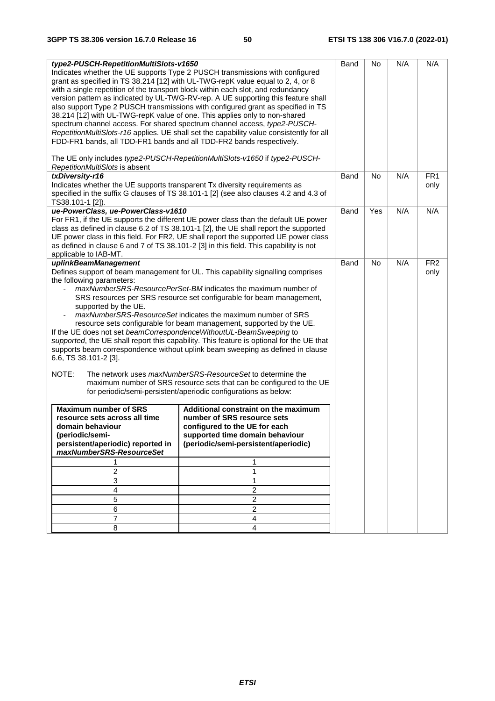| type2-PUSCH-RepetitionMultiSlots-v1650                                     |                                                                                          | Band | <b>No</b> | N/A | N/A             |
|----------------------------------------------------------------------------|------------------------------------------------------------------------------------------|------|-----------|-----|-----------------|
|                                                                            | Indicates whether the UE supports Type 2 PUSCH transmissions with configured             |      |           |     |                 |
|                                                                            | grant as specified in TS 38.214 [12] with UL-TWG-repK value equal to 2, 4, or 8          |      |           |     |                 |
|                                                                            | with a single repetition of the transport block within each slot, and redundancy         |      |           |     |                 |
|                                                                            | version pattern as indicated by UL-TWG-RV-rep. A UE supporting this feature shall        |      |           |     |                 |
|                                                                            | also support Type 2 PUSCH transmissions with configured grant as specified in TS         |      |           |     |                 |
| 38.214 [12] with UL-TWG-repK value of one. This applies only to non-shared |                                                                                          |      |           |     |                 |
|                                                                            | spectrum channel access. For shared spectrum channel access, type2-PUSCH-                |      |           |     |                 |
| FDD-FR1 bands, all TDD-FR1 bands and all TDD-FR2 bands respectively.       | RepetitionMultiSlots-r16 applies. UE shall set the capability value consistently for all |      |           |     |                 |
|                                                                            |                                                                                          |      |           |     |                 |
|                                                                            | The UE only includes type2-PUSCH-RepetitionMultiSlots-v1650 if type2-PUSCH-              |      |           |     |                 |
| RepetitionMultiSlots is absent                                             |                                                                                          |      |           |     |                 |
| txDiversity-r16                                                            |                                                                                          | Band | No        | N/A | FR <sub>1</sub> |
| Indicates whether the UE supports transparent Tx diversity requirements as |                                                                                          |      |           |     | only            |
|                                                                            | specified in the suffix G clauses of TS 38.101-1 [2] (see also clauses 4.2 and 4.3 of    |      |           |     |                 |
| TS38.101-1 [2]).                                                           |                                                                                          |      |           |     |                 |
| ue-PowerClass, ue-PowerClass-v1610                                         |                                                                                          | Band | Yes       | N/A | N/A             |
|                                                                            | For FR1, if the UE supports the different UE power class than the default UE power       |      |           |     |                 |
|                                                                            | class as defined in clause 6.2 of TS 38.101-1 [2], the UE shall report the supported     |      |           |     |                 |
|                                                                            | UE power class in this field. For FR2, UE shall report the supported UE power class      |      |           |     |                 |
|                                                                            | as defined in clause 6 and 7 of TS 38.101-2 [3] in this field. This capability is not    |      |           |     |                 |
| applicable to IAB-MT.<br>uplinkBeamManagement                              |                                                                                          | Band | <b>No</b> | N/A | FR <sub>2</sub> |
|                                                                            | Defines support of beam management for UL. This capability signalling comprises          |      |           |     | only            |
| the following parameters:                                                  |                                                                                          |      |           |     |                 |
|                                                                            | maxNumberSRS-ResourcePerSet-BM indicates the maximum number of                           |      |           |     |                 |
|                                                                            | SRS resources per SRS resource set configurable for beam management,                     |      |           |     |                 |
| supported by the UE.                                                       |                                                                                          |      |           |     |                 |
|                                                                            | maxNumberSRS-ResourceSet indicates the maximum number of SRS                             |      |           |     |                 |
|                                                                            | resource sets configurable for beam management, supported by the UE.                     |      |           |     |                 |
| If the UE does not set beamCorrespondenceWithoutUL-BeamSweeping to         |                                                                                          |      |           |     |                 |
|                                                                            | supported, the UE shall report this capability. This feature is optional for the UE that |      |           |     |                 |
|                                                                            | supports beam correspondence without uplink beam sweeping as defined in clause           |      |           |     |                 |
| 6.6, TS 38.101-2 [3].                                                      |                                                                                          |      |           |     |                 |
| NOTE:                                                                      | The network uses maxNumberSRS-ResourceSet to determine the                               |      |           |     |                 |
|                                                                            | maximum number of SRS resource sets that can be configured to the UE                     |      |           |     |                 |
|                                                                            | for periodic/semi-persistent/aperiodic configurations as below:                          |      |           |     |                 |
|                                                                            |                                                                                          |      |           |     |                 |
| <b>Maximum number of SRS</b>                                               | Additional constraint on the maximum                                                     |      |           |     |                 |
| resource sets across all time                                              | number of SRS resource sets                                                              |      |           |     |                 |
| domain behaviour                                                           | configured to the UE for each                                                            |      |           |     |                 |
| (periodic/semi-<br>persistent/aperiodic) reported in                       | supported time domain behaviour<br>(periodic/semi-persistent/aperiodic)                  |      |           |     |                 |
| maxNumberSRS-ResourceSet                                                   |                                                                                          |      |           |     |                 |
|                                                                            | 1                                                                                        |      |           |     |                 |
| 2                                                                          | 1                                                                                        |      |           |     |                 |
| 3                                                                          | 1                                                                                        |      |           |     |                 |
| 4                                                                          | $\overline{c}$                                                                           |      |           |     |                 |
| 5                                                                          | $\overline{\mathbf{c}}$                                                                  |      |           |     |                 |
| 6                                                                          | $\overline{\mathbf{c}}$                                                                  |      |           |     |                 |
| $\overline{7}$                                                             | 4                                                                                        |      |           |     |                 |
| 8                                                                          | $\overline{4}$                                                                           |      |           |     |                 |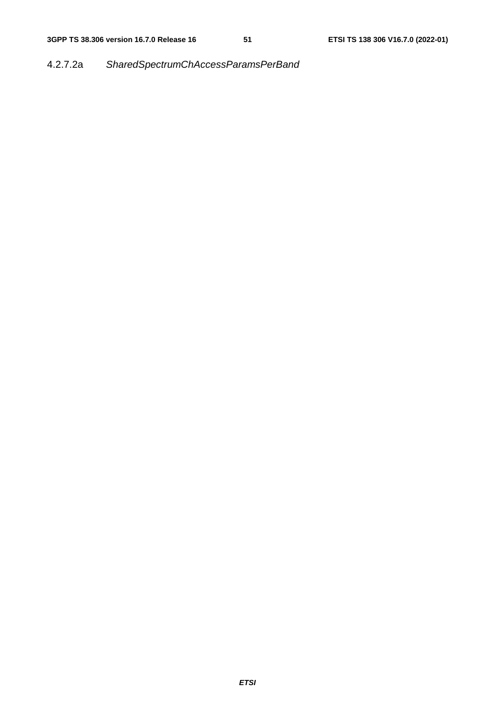## 4.2.7.2a *SharedSpectrumChAccessParamsPerBand*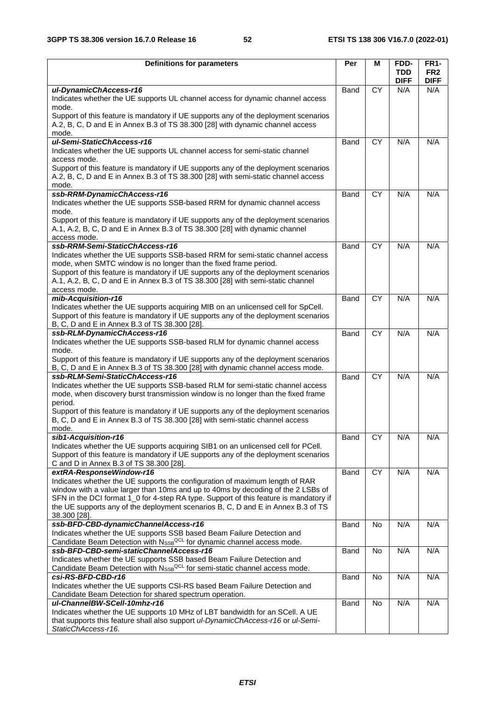| <b>Definitions for parameters</b>                                                                                                                                         | Per         | м               | FDD-                      | <b>FR1-</b>                    |
|---------------------------------------------------------------------------------------------------------------------------------------------------------------------------|-------------|-----------------|---------------------------|--------------------------------|
|                                                                                                                                                                           |             |                 | <b>TDD</b><br><b>DIFF</b> | FR <sub>2</sub><br><b>DIFF</b> |
| ul-DynamicChAccess-r16                                                                                                                                                    | Band        | <b>CY</b>       | N/A                       | N/A                            |
| Indicates whether the UE supports UL channel access for dynamic channel access<br>mode.                                                                                   |             |                 |                           |                                |
| Support of this feature is mandatory if UE supports any of the deployment scenarios                                                                                       |             |                 |                           |                                |
| A.2, B, C, D and E in Annex B.3 of TS 38.300 [28] with dynamic channel access                                                                                             |             |                 |                           |                                |
| mode.                                                                                                                                                                     |             |                 |                           |                                |
| ul-Semi-StaticChAccess-r16<br>Indicates whether the UE supports UL channel access for semi-static channel                                                                 | <b>Band</b> | <b>CY</b>       | N/A                       | N/A                            |
| access mode.                                                                                                                                                              |             |                 |                           |                                |
| Support of this feature is mandatory if UE supports any of the deployment scenarios                                                                                       |             |                 |                           |                                |
| A.2, B, C, D and E in Annex B.3 of TS 38.300 [28] with semi-static channel access                                                                                         |             |                 |                           |                                |
| mode.                                                                                                                                                                     |             |                 |                           |                                |
| ssb-RRM-DynamicChAccess-r16<br>Indicates whether the UE supports SSB-based RRM for dynamic channel access                                                                 | <b>Band</b> | <b>CY</b>       | N/A                       | N/A                            |
| mode.                                                                                                                                                                     |             |                 |                           |                                |
| Support of this feature is mandatory if UE supports any of the deployment scenarios                                                                                       |             |                 |                           |                                |
| A.1, A.2, B, C, D and E in Annex B.3 of TS 38.300 [28] with dynamic channel                                                                                               |             |                 |                           |                                |
| access mode.                                                                                                                                                              |             |                 |                           |                                |
| ssb-RRM-Semi-StaticChAccess-r16<br>Indicates whether the UE supports SSB-based RRM for semi-static channel access                                                         | Band        | $\overline{CY}$ | N/A                       | N/A                            |
| mode, when SMTC window is no longer than the fixed frame period.                                                                                                          |             |                 |                           |                                |
| Support of this feature is mandatory if UE supports any of the deployment scenarios                                                                                       |             |                 |                           |                                |
| A.1, A.2, B, C, D and E in Annex B.3 of TS 38.300 [28] with semi-static channel                                                                                           |             |                 |                           |                                |
| access mode.                                                                                                                                                              |             |                 |                           |                                |
| mib-Acquisition-r16<br>Indicates whether the UE supports acquiring MIB on an unlicensed cell for SpCell.                                                                  | Band        | <b>CY</b>       | N/A                       | N/A                            |
| Support of this feature is mandatory if UE supports any of the deployment scenarios                                                                                       |             |                 |                           |                                |
| B, C, D and E in Annex B.3 of TS 38.300 [28].                                                                                                                             |             |                 |                           |                                |
| ssb-RLM-DynamicChAccess-r16                                                                                                                                               | Band        | <b>CY</b>       | N/A                       | N/A                            |
| Indicates whether the UE supports SSB-based RLM for dynamic channel access                                                                                                |             |                 |                           |                                |
| mode.<br>Support of this feature is mandatory if UE supports any of the deployment scenarios                                                                              |             |                 |                           |                                |
| B, C, D and E in Annex B.3 of TS 38.300 [28] with dynamic channel access mode.                                                                                            |             |                 |                           |                                |
| ssb-RLM-Semi-StaticChAccess-r16                                                                                                                                           | Band        | <b>CY</b>       | N/A                       | N/A                            |
| Indicates whether the UE supports SSB-based RLM for semi-static channel access                                                                                            |             |                 |                           |                                |
| mode, when discovery burst transmission window is no longer than the fixed frame<br>period.                                                                               |             |                 |                           |                                |
| Support of this feature is mandatory if UE supports any of the deployment scenarios                                                                                       |             |                 |                           |                                |
| B, C, D and E in Annex B.3 of TS 38.300 [28] with semi-static channel access                                                                                              |             |                 |                           |                                |
| mode.                                                                                                                                                                     |             |                 |                           |                                |
| sib1-Acquisition-r16                                                                                                                                                      | Band        | CY              | N/A                       | N/A                            |
| Indicates whether the UE supports acquiring SIB1 on an unlicensed cell for PCell.<br>Support of this feature is mandatory if UE supports any of the deployment scenarios  |             |                 |                           |                                |
| C and D in Annex B.3 of TS 38.300 [28].                                                                                                                                   |             |                 |                           |                                |
| extRA-ResponseWindow-r16                                                                                                                                                  | Band        | $\overline{CY}$ | N/A                       | N/A                            |
| Indicates whether the UE supports the configuration of maximum length of RAR                                                                                              |             |                 |                           |                                |
| window with a value larger than 10ms and up to 40ms by decoding of the 2 LSBs of<br>SFN in the DCI format 1_0 for 4-step RA type. Support of this feature is mandatory if |             |                 |                           |                                |
| the UE supports any of the deployment scenarios B, C, D and E in Annex B.3 of TS                                                                                          |             |                 |                           |                                |
| 38.300 [28].                                                                                                                                                              |             |                 |                           |                                |
| ssb-BFD-CBD-dynamicChannelAccess-r16                                                                                                                                      | Band        | No              | N/A                       | N/A                            |
| Indicates whether the UE supports SSB based Beam Failure Detection and                                                                                                    |             |                 |                           |                                |
| Candidate Beam Detection with NssB <sup>QCL</sup> for dynamic channel access mode.<br>ssb-BFD-CBD-semi-staticChannelAccess-r16                                            | Band        | No              | N/A                       | N/A                            |
| Indicates whether the UE supports SSB based Beam Failure Detection and                                                                                                    |             |                 |                           |                                |
| Candidate Beam Detection with N <sub>SSB</sub> QCL for semi-static channel access mode.                                                                                   |             |                 |                           |                                |
| csi-RS-BFD-CBD-r16                                                                                                                                                        | Band        | No              | N/A                       | N/A                            |
| Indicates whether the UE supports CSI-RS based Beam Failure Detection and                                                                                                 |             |                 |                           |                                |
| Candidate Beam Detection for shared spectrum operation.<br>ul-ChannelBW-SCell-10mhz-r16                                                                                   | Band        | No              | N/A                       | N/A                            |
| Indicates whether the UE supports 10 MHz of LBT bandwidth for an SCell. A UE                                                                                              |             |                 |                           |                                |
| that supports this feature shall also support ul-DynamicChAccess-r16 or ul-Semi-                                                                                          |             |                 |                           |                                |
| StaticChAccess-r16.                                                                                                                                                       |             |                 |                           |                                |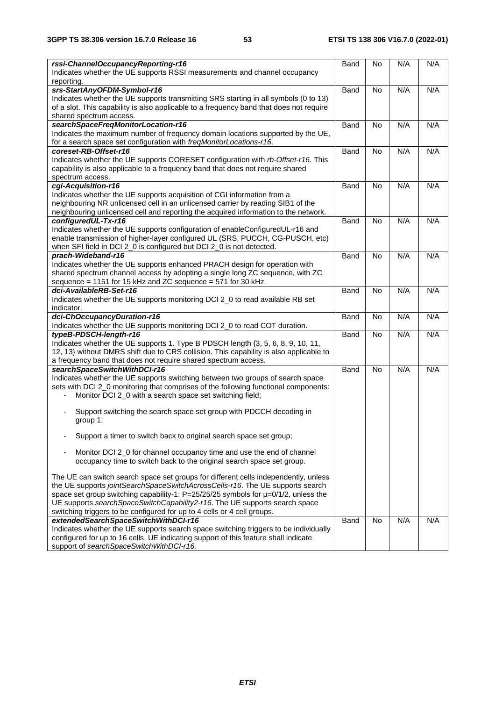| rssi-ChannelOccupancyReporting-r16<br>Indicates whether the UE supports RSSI measurements and channel occupancy<br>reporting.                                                                                                                                                                                                                                                                                                                                                                                                                                                                                                                                                                                                                                                                                                                                                                                                   | Band        | No        | N/A | N/A |
|---------------------------------------------------------------------------------------------------------------------------------------------------------------------------------------------------------------------------------------------------------------------------------------------------------------------------------------------------------------------------------------------------------------------------------------------------------------------------------------------------------------------------------------------------------------------------------------------------------------------------------------------------------------------------------------------------------------------------------------------------------------------------------------------------------------------------------------------------------------------------------------------------------------------------------|-------------|-----------|-----|-----|
| srs-StartAnyOFDM-Symbol-r16<br>Indicates whether the UE supports transmitting SRS starting in all symbols (0 to 13)<br>of a slot. This capability is also applicable to a frequency band that does not require<br>shared spectrum access.                                                                                                                                                                                                                                                                                                                                                                                                                                                                                                                                                                                                                                                                                       | Band        | <b>No</b> | N/A | N/A |
| searchSpaceFreqMonitorLocation-r16<br>Indicates the maximum number of frequency domain locations supported by the UE,<br>for a search space set configuration with freqMonitorLocations-r16.                                                                                                                                                                                                                                                                                                                                                                                                                                                                                                                                                                                                                                                                                                                                    | Band        | <b>No</b> | N/A | N/A |
| coreset-RB-Offset-r16<br>Indicates whether the UE supports CORESET configuration with rb-Offset-r16. This<br>capability is also applicable to a frequency band that does not require shared<br>spectrum access.                                                                                                                                                                                                                                                                                                                                                                                                                                                                                                                                                                                                                                                                                                                 | Band        | No        | N/A | N/A |
| cgi-Acquisition-r16<br>Indicates whether the UE supports acquisition of CGI information from a<br>neighbouring NR unlicensed cell in an unlicensed carrier by reading SIB1 of the<br>neighbouring unlicensed cell and reporting the acquired information to the network.                                                                                                                                                                                                                                                                                                                                                                                                                                                                                                                                                                                                                                                        | Band        | No        | N/A | N/A |
| configuredUL-Tx-r16<br>Indicates whether the UE supports configuration of enableConfiguredUL-r16 and<br>enable transmission of higher-layer configured UL (SRS, PUCCH, CG-PUSCH, etc)<br>when SFI field in DCI 2_0 is configured but DCI 2_0 is not detected.                                                                                                                                                                                                                                                                                                                                                                                                                                                                                                                                                                                                                                                                   | Band        | <b>No</b> | N/A | N/A |
| prach-Wideband-r16<br>Indicates whether the UE supports enhanced PRACH design for operation with<br>shared spectrum channel access by adopting a single long ZC sequence, with ZC<br>sequence = 1151 for 15 kHz and ZC sequence = 571 for 30 kHz.                                                                                                                                                                                                                                                                                                                                                                                                                                                                                                                                                                                                                                                                               | Band        | <b>No</b> | N/A | N/A |
| dci-AvailableRB-Set-r16<br>Indicates whether the UE supports monitoring DCI 2_0 to read available RB set<br>indicator.                                                                                                                                                                                                                                                                                                                                                                                                                                                                                                                                                                                                                                                                                                                                                                                                          | Band        | <b>No</b> | N/A | N/A |
| dci-ChOccupancyDuration-r16<br>Indicates whether the UE supports monitoring DCI 2_0 to read COT duration.                                                                                                                                                                                                                                                                                                                                                                                                                                                                                                                                                                                                                                                                                                                                                                                                                       | Band        | <b>No</b> | N/A | N/A |
| typeB-PDSCH-length-r16<br>Indicates whether the UE supports 1. Type B PDSCH length {3, 5, 6, 8, 9, 10, 11,<br>12, 13} without DMRS shift due to CRS collision. This capability is also applicable to<br>a frequency band that does not require shared spectrum access.                                                                                                                                                                                                                                                                                                                                                                                                                                                                                                                                                                                                                                                          | Band        | No        | N/A | N/A |
| searchSpaceSwitchWithDCI-r16<br>Indicates whether the UE supports switching between two groups of search space<br>sets with DCI 2_0 monitoring that comprises of the following functional components:<br>Monitor DCI 2_0 with a search space set switching field;<br>Support switching the search space set group with PDCCH decoding in<br>group 1;<br>Support a timer to switch back to original search space set group;<br>Monitor DCI 2_0 for channel occupancy time and use the end of channel<br>occupancy time to switch back to the original search space set group.<br>The UE can switch search space set groups for different cells independently, unless<br>the UE supports jointSearchSpaceSwitchAcrossCells-r16. The UE supports search<br>space set group switching capability-1: $P=25/25/25$ symbols for $\mu=0/1/2$ , unless the<br>UE supports searchSpaceSwitchCapability2-r16. The UE supports search space | <b>Band</b> | <b>No</b> | N/A | N/A |
| switching triggers to be configured for up to 4 cells or 4 cell groups.<br>extendedSearchSpaceSwitchWithDCI-r16<br>Indicates whether the UE supports search space switching triggers to be individually<br>configured for up to 16 cells. UE indicating support of this feature shall indicate<br>support of searchSpaceSwitchWithDCI-r16.                                                                                                                                                                                                                                                                                                                                                                                                                                                                                                                                                                                      | Band        | No        | N/A | N/A |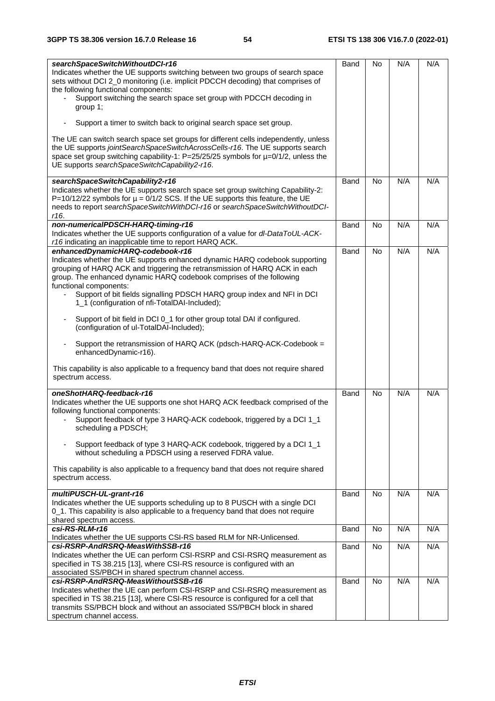| searchSpaceSwitchWithoutDCI-r16<br>Indicates whether the UE supports switching between two groups of search space                                                                                                                                                                                                                                                                                                                                      | Band | No             | N/A | N/A |
|--------------------------------------------------------------------------------------------------------------------------------------------------------------------------------------------------------------------------------------------------------------------------------------------------------------------------------------------------------------------------------------------------------------------------------------------------------|------|----------------|-----|-----|
| sets without DCI 2_0 monitoring (i.e. implicit PDCCH decoding) that comprises of<br>the following functional components:                                                                                                                                                                                                                                                                                                                               |      |                |     |     |
| Support switching the search space set group with PDCCH decoding in<br>group 1;                                                                                                                                                                                                                                                                                                                                                                        |      |                |     |     |
| Support a timer to switch back to original search space set group.                                                                                                                                                                                                                                                                                                                                                                                     |      |                |     |     |
| The UE can switch search space set groups for different cells independently, unless<br>the UE supports jointSearchSpaceSwitchAcrossCells-r16. The UE supports search<br>space set group switching capability-1: P=25/25/25 symbols for µ=0/1/2, unless the<br>UE supports searchSpaceSwitchCapability2-r16.                                                                                                                                            |      |                |     |     |
| searchSpaceSwitchCapability2-r16                                                                                                                                                                                                                                                                                                                                                                                                                       | Band | <b>No</b>      | N/A | N/A |
| Indicates whether the UE supports search space set group switching Capability-2:<br>P=10/12/22 symbols for $\mu$ = 0/1/2 SCS. If the UE supports this feature, the UE<br>needs to report searchSpaceSwitchWithDCI-r16 or searchSpaceSwitchWithoutDCI-<br>r16.                                                                                                                                                                                          |      |                |     |     |
| non-numericalPDSCH-HARQ-timing-r16<br>Indicates whether the UE supports configuration of a value for dl-DataToUL-ACK-                                                                                                                                                                                                                                                                                                                                  | Band | <b>No</b>      | N/A | N/A |
| r16 indicating an inapplicable time to report HARQ ACK.                                                                                                                                                                                                                                                                                                                                                                                                |      |                |     |     |
| enhancedDynamicHARQ-codebook-r16<br>Indicates whether the UE supports enhanced dynamic HARQ codebook supporting<br>grouping of HARQ ACK and triggering the retransmission of HARQ ACK in each<br>group. The enhanced dynamic HARQ codebook comprises of the following<br>functional components:<br>Support of bit fields signalling PDSCH HARQ group index and NFI in DCI<br>$\overline{\phantom{a}}$<br>1_1 (configuration of nfi-TotalDAI-Included); | Band | No             | N/A | N/A |
| Support of bit field in DCI 0_1 for other group total DAI if configured.<br>$\overline{\phantom{a}}$<br>(configuration of ul-TotalDAI-Included);                                                                                                                                                                                                                                                                                                       |      |                |     |     |
| Support the retransmission of HARQ ACK (pdsch-HARQ-ACK-Codebook =<br>$\blacksquare$<br>enhancedDynamic-r16).                                                                                                                                                                                                                                                                                                                                           |      |                |     |     |
| This capability is also applicable to a frequency band that does not require shared<br>spectrum access.                                                                                                                                                                                                                                                                                                                                                |      |                |     |     |
| oneShotHARQ-feedback-r16                                                                                                                                                                                                                                                                                                                                                                                                                               | Band | <b>No</b>      | N/A | N/A |
| Indicates whether the UE supports one shot HARQ ACK feedback comprised of the                                                                                                                                                                                                                                                                                                                                                                          |      |                |     |     |
| following functional components:<br>Support feedback of type 3 HARQ-ACK codebook, triggered by a DCI 1_1<br>scheduling a PDSCH:                                                                                                                                                                                                                                                                                                                        |      |                |     |     |
| Support feedback of type 3 HARQ-ACK codebook, triggered by a DCI 1_1<br>without scheduling a PDSCH using a reserved FDRA value.                                                                                                                                                                                                                                                                                                                        |      |                |     |     |
| This capability is also applicable to a frequency band that does not require shared<br>spectrum access.                                                                                                                                                                                                                                                                                                                                                |      |                |     |     |
| multiPUSCH-UL-grant-r16                                                                                                                                                                                                                                                                                                                                                                                                                                | Band | No             | N/A | N/A |
| Indicates whether the UE supports scheduling up to 8 PUSCH with a single DCI                                                                                                                                                                                                                                                                                                                                                                           |      |                |     |     |
| 0_1. This capability is also applicable to a frequency band that does not require                                                                                                                                                                                                                                                                                                                                                                      |      |                |     |     |
| shared spectrum access.<br>csi-RS-RLM-r16                                                                                                                                                                                                                                                                                                                                                                                                              | Band | <b>No</b>      | N/A | N/A |
| Indicates whether the UE supports CSI-RS based RLM for NR-Unlicensed.                                                                                                                                                                                                                                                                                                                                                                                  |      |                |     |     |
| csi-RSRP-AndRSRQ-MeasWithSSB-r16                                                                                                                                                                                                                                                                                                                                                                                                                       | Band | <b>No</b>      | N/A | N/A |
| Indicates whether the UE can perform CSI-RSRP and CSI-RSRQ measurement as<br>specified in TS 38.215 [13], where CSI-RS resource is configured with an<br>associated SS/PBCH in shared spectrum channel access.                                                                                                                                                                                                                                         |      |                |     |     |
| csi-RSRP-AndRSRQ-MeasWithoutSSB-r16                                                                                                                                                                                                                                                                                                                                                                                                                    | Band | N <sub>o</sub> | N/A | N/A |
| Indicates whether the UE can perform CSI-RSRP and CSI-RSRQ measurement as                                                                                                                                                                                                                                                                                                                                                                              |      |                |     |     |
| specified in TS 38.215 [13], where CSI-RS resource is configured for a cell that                                                                                                                                                                                                                                                                                                                                                                       |      |                |     |     |
| transmits SS/PBCH block and without an associated SS/PBCH block in shared<br>spectrum channel access.                                                                                                                                                                                                                                                                                                                                                  |      |                |     |     |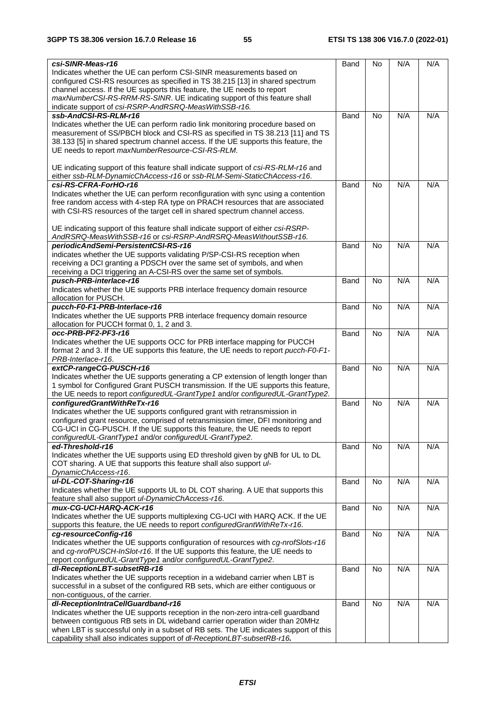| csi-SINR-Meas-r16<br>Indicates whether the UE can perform CSI-SINR measurements based on | Band | No        | N/A | N/A |
|------------------------------------------------------------------------------------------|------|-----------|-----|-----|
| configured CSI-RS resources as specified in TS 38.215 [13] in shared spectrum            |      |           |     |     |
| channel access. If the UE supports this feature, the UE needs to report                  |      |           |     |     |
| maxNumberCSI-RS-RRM-RS-SINR. UE indicating support of this feature shall                 |      |           |     |     |
| indicate support of csi-RSRP-AndRSRQ-MeasWithSSB-r16.                                    |      |           |     |     |
| ssb-AndCSI-RS-RLM-r16                                                                    | Band | <b>No</b> | N/A | N/A |
| Indicates whether the UE can perform radio link monitoring procedure based on            |      |           |     |     |
| measurement of SS/PBCH block and CSI-RS as specified in TS 38.213 [11] and TS            |      |           |     |     |
| 38.133 [5] in shared spectrum channel access. If the UE supports this feature, the       |      |           |     |     |
| UE needs to report maxNumberResource-CSI-RS-RLM.                                         |      |           |     |     |
|                                                                                          |      |           |     |     |
| UE indicating support of this feature shall indicate support of csi-RS-RLM-r16 and       |      |           |     |     |
| either ssb-RLM-DynamicChAccess-r16 or ssb-RLM-Semi-StaticChAccess-r16.                   |      |           |     |     |
| csi-RS-CFRA-ForHO-r16                                                                    | Band | <b>No</b> | N/A | N/A |
| Indicates whether the UE can perform reconfiguration with sync using a contention        |      |           |     |     |
| free random access with 4-step RA type on PRACH resources that are associated            |      |           |     |     |
| with CSI-RS resources of the target cell in shared spectrum channel access.              |      |           |     |     |
|                                                                                          |      |           |     |     |
| UE indicating support of this feature shall indicate support of either csi-RSRP-         |      |           |     |     |
| AndRSRQ-MeasWithSSB-r16 or csi-RSRP-AndRSRQ-MeasWithoutSSB-r16.                          |      |           |     |     |
| periodicAndSemi-PersistentCSI-RS-r16                                                     | Band | <b>No</b> | N/A | N/A |
| indicates whether the UE supports validating P/SP-CSI-RS reception when                  |      |           |     |     |
| receiving a DCI granting a PDSCH over the same set of symbols, and when                  |      |           |     |     |
| receiving a DCI triggering an A-CSI-RS over the same set of symbols.                     |      |           |     |     |
| pusch-PRB-interlace-r16                                                                  | Band | <b>No</b> | N/A | N/A |
| Indicates whether the UE supports PRB interlace frequency domain resource                |      |           |     |     |
| allocation for PUSCH.                                                                    |      |           |     |     |
| pucch-F0-F1-PRB-Interlace-r16                                                            | Band | No        | N/A | N/A |
| Indicates whether the UE supports PRB interlace frequency domain resource                |      |           |     |     |
| allocation for PUCCH format 0, 1, 2 and 3.                                               |      |           |     |     |
| occ-PRB-PF2-PF3-r16                                                                      | Band | <b>No</b> | N/A | N/A |
| Indicates whether the UE supports OCC for PRB interface mapping for PUCCH                |      |           |     |     |
| format 2 and 3. If the UE supports this feature, the UE needs to report pucch-F0-F1-     |      |           |     |     |
| PRB-Interlace-r16.                                                                       |      |           |     |     |
| extCP-rangeCG-PUSCH-r16                                                                  | Band | No        | N/A | N/A |
| Indicates whether the UE supports generating a CP extension of length longer than        |      |           |     |     |
| 1 symbol for Configured Grant PUSCH transmission. If the UE supports this feature,       |      |           |     |     |
| the UE needs to report configuredUL-GrantType1 and/or configuredUL-GrantType2.           |      |           |     |     |
| configuredGrantWithReTx-r16                                                              | Band | <b>No</b> | N/A | N/A |
| Indicates whether the UE supports configured grant with retransmission in                |      |           |     |     |
| configured grant resource, comprised of retransmission timer, DFI monitoring and         |      |           |     |     |
| CG-UCI in CG-PUSCH. If the UE supports this feature, the UE needs to report              |      |           |     |     |
| configuredUL-GrantType1 and/or configuredUL-GrantType2.                                  |      |           |     |     |
| ed-Threshold-r16                                                                         | Band | No        | N/A | N/A |
| Indicates whether the UE supports using ED threshold given by gNB for UL to DL           |      |           |     |     |
| COT sharing. A UE that supports this feature shall also support ul-                      |      |           |     |     |
| DynamicChAccess-r16.                                                                     |      |           |     |     |
| ul-DL-COT-Sharing-r16                                                                    | Band | No        | N/A | N/A |
| Indicates whether the UE supports UL to DL COT sharing. A UE that supports this          |      |           |     |     |
| feature shall also support ul-DynamicChAccess-r16.                                       |      |           |     |     |
| mux-CG-UCI-HARQ-ACK-r16                                                                  | Band | No        | N/A | N/A |
| Indicates whether the UE supports multiplexing CG-UCI with HARQ ACK. If the UE           |      |           |     |     |
| supports this feature, the UE needs to report configuredGrantWithReTx-r16.               |      |           |     |     |
| cg-resourceConfig-r16                                                                    | Band | No        | N/A | N/A |
| Indicates whether the UE supports configuration of resources with cg-nrofSlots-r16       |      |           |     |     |
| and cg-nrofPUSCH-InSlot-r16. If the UE supports this feature, the UE needs to            |      |           |     |     |
| report configuredUL-GrantType1 and/or configuredUL-GrantType2.                           |      |           |     |     |
| dl-ReceptionLBT-subsetRB-r16                                                             | Band | No        | N/A | N/A |
| Indicates whether the UE supports reception in a wideband carrier when LBT is            |      |           |     |     |
| successful in a subset of the configured RB sets, which are either contiguous or         |      |           |     |     |
| non-contiguous, of the carrier.                                                          |      |           |     |     |
| dl-ReceptionIntraCellGuardband-r16                                                       | Band | No        | N/A | N/A |
| Indicates whether the UE supports reception in the non-zero intra-cell guardband         |      |           |     |     |
| between contiguous RB sets in DL wideband carrier operation wider than 20MHz             |      |           |     |     |
| when LBT is successful only in a subset of RB sets. The UE indicates support of this     |      |           |     |     |
| capability shall also indicates support of dl-ReceptionLBT-subsetRB-r16.                 |      |           |     |     |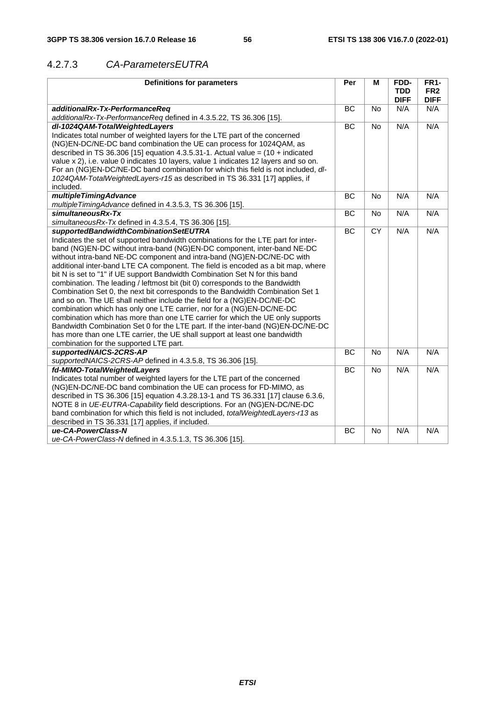## 4.2.7.3 *CA-ParametersEUTRA*

| <b>Definitions for parameters</b>                                                         | Per       | M         | FDD-<br><b>TDD</b> | <b>FR1-</b><br>FR <sub>2</sub> |
|-------------------------------------------------------------------------------------------|-----------|-----------|--------------------|--------------------------------|
|                                                                                           |           |           | <b>DIFF</b>        | <b>DIFF</b>                    |
| additionalRx-Tx-PerformanceReg                                                            | BC        | No        | N/A                | N/A                            |
| additionalRx-Tx-PerformanceReq defined in 4.3.5.22, TS 36.306 [15].                       |           |           |                    |                                |
| dl-1024QAM-TotalWeightedLayers                                                            | BC        | No        | N/A                | N/A                            |
| Indicates total number of weighted layers for the LTE part of the concerned               |           |           |                    |                                |
| (NG)EN-DC/NE-DC band combination the UE can process for 1024QAM, as                       |           |           |                    |                                |
| described in TS 36.306 [15] equation 4.3.5.31-1. Actual value = $(10 + \text{indicated})$ |           |           |                    |                                |
| value x 2), i.e. value 0 indicates 10 layers, value 1 indicates 12 layers and so on.      |           |           |                    |                                |
| For an (NG)EN-DC/NE-DC band combination for which this field is not included, dl-         |           |           |                    |                                |
| 1024QAM-TotalWeightedLayers-r15 as described in TS 36.331 [17] applies, if                |           |           |                    |                                |
| included.                                                                                 |           |           |                    |                                |
| multipleTimingAdvance                                                                     | <b>BC</b> | <b>No</b> | N/A                | N/A                            |
| multipleTimingAdvance defined in 4.3.5.3, TS 36.306 [15].                                 |           |           |                    |                                |
| simultaneousRx-Tx                                                                         | BC        | No        | N/A                | N/A                            |
| simultaneousRx-Tx defined in 4.3.5.4, TS 36.306 [15].                                     |           |           |                    |                                |
| supportedBandwidthCombinationSetEUTRA                                                     | <b>BC</b> | <b>CY</b> | N/A                | N/A                            |
| Indicates the set of supported bandwidth combinations for the LTE part for inter-         |           |           |                    |                                |
| band (NG)EN-DC without intra-band (NG)EN-DC component, inter-band NE-DC                   |           |           |                    |                                |
| without intra-band NE-DC component and intra-band (NG)EN-DC/NE-DC with                    |           |           |                    |                                |
| additional inter-band LTE CA component. The field is encoded as a bit map, where          |           |           |                    |                                |
| bit N is set to "1" if UE support Bandwidth Combination Set N for this band               |           |           |                    |                                |
| combination. The leading / leftmost bit (bit 0) corresponds to the Bandwidth              |           |           |                    |                                |
| Combination Set 0, the next bit corresponds to the Bandwidth Combination Set 1            |           |           |                    |                                |
| and so on. The UE shall neither include the field for a (NG)EN-DC/NE-DC                   |           |           |                    |                                |
| combination which has only one LTE carrier, nor for a (NG)EN-DC/NE-DC                     |           |           |                    |                                |
| combination which has more than one LTE carrier for which the UE only supports            |           |           |                    |                                |
| Bandwidth Combination Set 0 for the LTE part. If the inter-band (NG)EN-DC/NE-DC           |           |           |                    |                                |
| has more than one LTE carrier, the UE shall support at least one bandwidth                |           |           |                    |                                |
| combination for the supported LTE part.                                                   |           |           |                    |                                |
| supportedNAICS-2CRS-AP                                                                    | <b>BC</b> | <b>No</b> | N/A                | N/A                            |
| supportedNAICS-2CRS-AP defined in 4.3.5.8, TS 36.306 [15].                                |           |           |                    |                                |
| fd-MIMO-TotalWeightedLayers                                                               | BC        | <b>No</b> | N/A                | N/A                            |
| Indicates total number of weighted layers for the LTE part of the concerned               |           |           |                    |                                |
| (NG)EN-DC/NE-DC band combination the UE can process for FD-MIMO, as                       |           |           |                    |                                |
| described in TS 36.306 [15] equation 4.3.28.13-1 and TS 36.331 [17] clause 6.3.6,         |           |           |                    |                                |
| NOTE 8 in UE-EUTRA-Capability field descriptions. For an (NG)EN-DC/NE-DC                  |           |           |                    |                                |
| band combination for which this field is not included, <i>totalWeightedLayers-r13</i> as  |           |           |                    |                                |
| described in TS 36.331 [17] applies, if included.                                         |           |           |                    |                                |
| ue-CA-PowerClass-N                                                                        | ВC        | No        | N/A                | N/A                            |
| ue-CA-PowerClass-N defined in 4.3.5.1.3, TS 36.306 [15].                                  |           |           |                    |                                |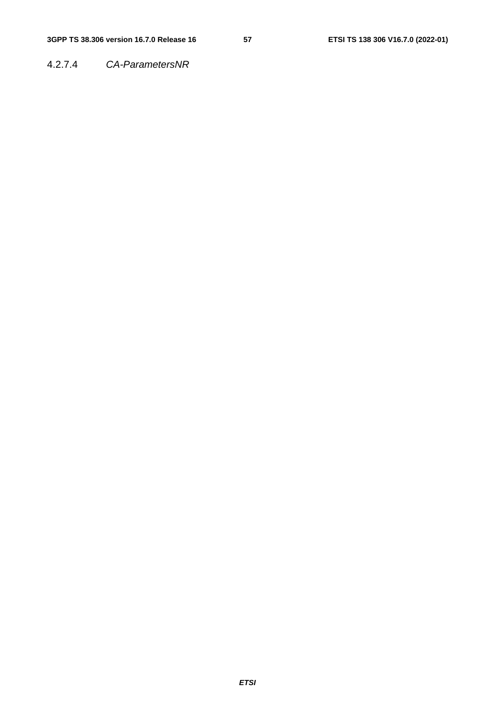4.2.7.4 *CA-ParametersNR*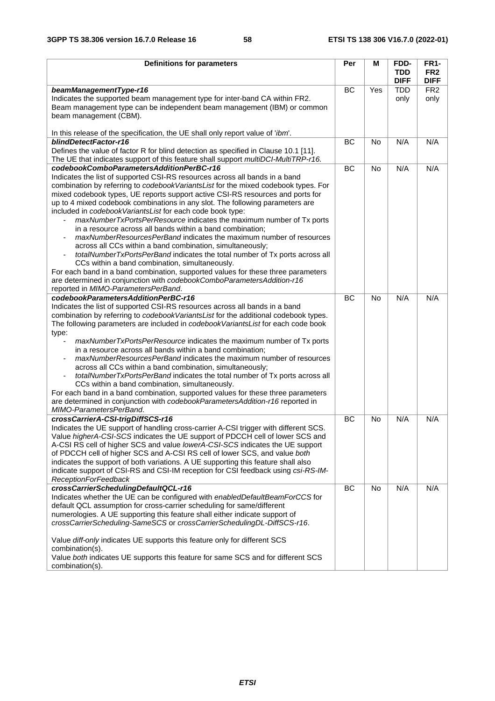| <b>Definitions for parameters</b>                                                                        | Per       | М         | FDD-        | <b>FR1-</b>     |
|----------------------------------------------------------------------------------------------------------|-----------|-----------|-------------|-----------------|
|                                                                                                          |           |           | TDD         | FR <sub>2</sub> |
|                                                                                                          |           |           | <b>DIFF</b> | <b>DIFF</b>     |
| beamManagementType-r16                                                                                   | BC        | Yes       | <b>TDD</b>  | FR <sub>2</sub> |
| Indicates the supported beam management type for inter-band CA within FR2.                               |           |           | only        | only            |
| Beam management type can be independent beam management (IBM) or common                                  |           |           |             |                 |
| beam management (CBM).                                                                                   |           |           |             |                 |
|                                                                                                          |           |           |             |                 |
| In this release of the specification, the UE shall only report value of 'ibm'.<br>blindDetectFactor-r16  | <b>BC</b> | <b>No</b> | N/A         | N/A             |
| Defines the value of factor R for blind detection as specified in Clause 10.1 [11].                      |           |           |             |                 |
| The UE that indicates support of this feature shall support multiDCI-MultiTRP-r16.                       |           |           |             |                 |
| codebookComboParametersAdditionPerBC-r16                                                                 | <b>BC</b> | <b>No</b> | N/A         | N/A             |
| Indicates the list of supported CSI-RS resources across all bands in a band                              |           |           |             |                 |
| combination by referring to codebookVariantsList for the mixed codebook types. For                       |           |           |             |                 |
| mixed codebook types, UE reports support active CSI-RS resources and ports for                           |           |           |             |                 |
| up to 4 mixed codebook combinations in any slot. The following parameters are                            |           |           |             |                 |
| included in codebookVariantsList for each code book type:                                                |           |           |             |                 |
| maxNumberTxPortsPerResource indicates the maximum number of Tx ports                                     |           |           |             |                 |
| in a resource across all bands within a band combination;                                                |           |           |             |                 |
| maxNumberResourcesPerBand indicates the maximum number of resources                                      |           |           |             |                 |
| across all CCs within a band combination, simultaneously;                                                |           |           |             |                 |
| totalNumberTxPortsPerBand indicates the total number of Tx ports across all<br>$\overline{\phantom{a}}$  |           |           |             |                 |
| CCs within a band combination, simultaneously.                                                           |           |           |             |                 |
| For each band in a band combination, supported values for these three parameters                         |           |           |             |                 |
| are determined in conjunction with codebookComboParametersAddition-r16                                   |           |           |             |                 |
| reported in MIMO-ParametersPerBand.                                                                      |           |           |             |                 |
| codebookParametersAdditionPerBC-r16                                                                      | BC        | <b>No</b> | N/A         | N/A             |
| Indicates the list of supported CSI-RS resources across all bands in a band                              |           |           |             |                 |
| combination by referring to codebookVariantsList for the additional codebook types.                      |           |           |             |                 |
| The following parameters are included in codebookVariantsList for each code book                         |           |           |             |                 |
| type:                                                                                                    |           |           |             |                 |
| maxNumberTxPortsPerResource indicates the maximum number of Tx ports                                     |           |           |             |                 |
| in a resource across all bands within a band combination;                                                |           |           |             |                 |
| maxNumberResourcesPerBand indicates the maximum number of resources                                      |           |           |             |                 |
| across all CCs within a band combination, simultaneously;                                                |           |           |             |                 |
| totalNumberTxPortsPerBand indicates the total number of Tx ports across all                              |           |           |             |                 |
| CCs within a band combination, simultaneously.                                                           |           |           |             |                 |
| For each band in a band combination, supported values for these three parameters                         |           |           |             |                 |
| are determined in conjunction with codebookParametersAddition-r16 reported in<br>MIMO-ParametersPerBand. |           |           |             |                 |
| crossCarrierA-CSI-trigDiffSCS-r16                                                                        | BC        | No        | N/A         | N/A             |
| Indicates the UE support of handling cross-carrier A-CSI trigger with different SCS.                     |           |           |             |                 |
| Value higherA-CSI-SCS indicates the UE support of PDCCH cell of lower SCS and                            |           |           |             |                 |
| A-CSI RS cell of higher SCS and value lowerA-CSI-SCS indicates the UE support                            |           |           |             |                 |
| of PDCCH cell of higher SCS and A-CSI RS cell of lower SCS, and value both                               |           |           |             |                 |
| indicates the support of both variations. A UE supporting this feature shall also                        |           |           |             |                 |
| indicate support of CSI-RS and CSI-IM reception for CSI feedback using csi-RS-IM-                        |           |           |             |                 |
| ReceptionForFeedback                                                                                     |           |           |             |                 |
| crossCarrierSchedulingDefaultQCL-r16                                                                     | <b>BC</b> | No        | N/A         | N/A             |
| Indicates whether the UE can be configured with enabledDefaultBeamForCCS for                             |           |           |             |                 |
| default QCL assumption for cross-carrier scheduling for same/different                                   |           |           |             |                 |
| numerologies. A UE supporting this feature shall either indicate support of                              |           |           |             |                 |
| crossCarrierScheduling-SameSCS or crossCarrierSchedulingDL-DiffSCS-r16.                                  |           |           |             |                 |
| Value diff-only indicates UE supports this feature only for different SCS                                |           |           |             |                 |
| combination(s).                                                                                          |           |           |             |                 |
| Value both indicates UE supports this feature for same SCS and for different SCS                         |           |           |             |                 |
| combination(s).                                                                                          |           |           |             |                 |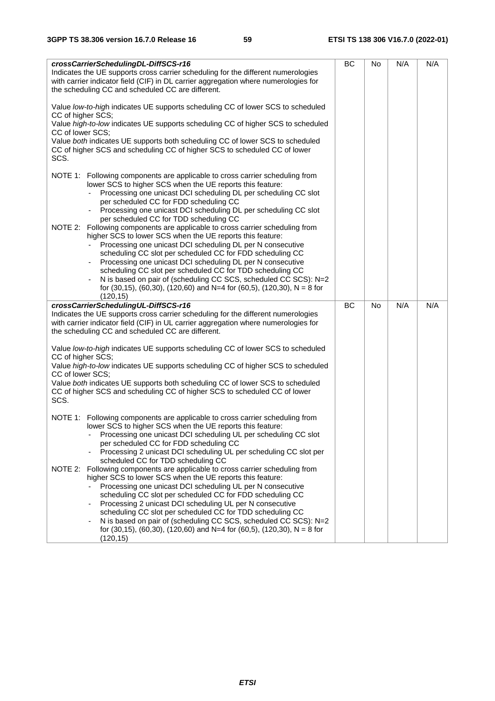| crossCarrierSchedulingDL-DiffSCS-r16<br>Indicates the UE supports cross carrier scheduling for the different numerologies<br>with carrier indicator field (CIF) in DL carrier aggregation where numerologies for<br>the scheduling CC and scheduled CC are different.                                                                                                                                                                                                                                                                                                                                                                                                                                                                                                                                                                                                                                                                               | <b>BC</b> | No        | N/A | N/A |
|-----------------------------------------------------------------------------------------------------------------------------------------------------------------------------------------------------------------------------------------------------------------------------------------------------------------------------------------------------------------------------------------------------------------------------------------------------------------------------------------------------------------------------------------------------------------------------------------------------------------------------------------------------------------------------------------------------------------------------------------------------------------------------------------------------------------------------------------------------------------------------------------------------------------------------------------------------|-----------|-----------|-----|-----|
| Value low-to-high indicates UE supports scheduling CC of lower SCS to scheduled<br>CC of higher SCS;<br>Value high-to-low indicates UE supports scheduling CC of higher SCS to scheduled<br>CC of lower SCS:<br>Value both indicates UE supports both scheduling CC of lower SCS to scheduled<br>CC of higher SCS and scheduling CC of higher SCS to scheduled CC of lower<br>SCS.                                                                                                                                                                                                                                                                                                                                                                                                                                                                                                                                                                  |           |           |     |     |
| NOTE 1: Following components are applicable to cross carrier scheduling from<br>lower SCS to higher SCS when the UE reports this feature:<br>Processing one unicast DCI scheduling DL per scheduling CC slot<br>$\blacksquare$<br>per scheduled CC for FDD scheduling CC<br>Processing one unicast DCI scheduling DL per scheduling CC slot<br>per scheduled CC for TDD scheduling CC<br>NOTE 2: Following components are applicable to cross carrier scheduling from<br>higher SCS to lower SCS when the UE reports this feature:<br>Processing one unicast DCI scheduling DL per N consecutive<br>scheduling CC slot per scheduled CC for FDD scheduling CC<br>Processing one unicast DCI scheduling DL per N consecutive<br>scheduling CC slot per scheduled CC for TDD scheduling CC<br>N is based on pair of (scheduling CC SCS, scheduled CC SCS): N=2<br>for (30,15), (60,30), (120,60) and N=4 for (60,5), (120,30), N = 8 for<br>(120, 15) |           |           |     |     |
| crossCarrierSchedulingUL-DiffSCS-r16<br>Indicates the UE supports cross carrier scheduling for the different numerologies<br>with carrier indicator field (CIF) in UL carrier aggregation where numerologies for<br>the scheduling CC and scheduled CC are different.<br>Value low-to-high indicates UE supports scheduling CC of lower SCS to scheduled<br>CC of higher SCS;<br>Value high-to-low indicates UE supports scheduling CC of higher SCS to scheduled<br>CC of lower SCS:<br>Value both indicates UE supports both scheduling CC of lower SCS to scheduled<br>CC of higher SCS and scheduling CC of higher SCS to scheduled CC of lower<br>SCS.                                                                                                                                                                                                                                                                                         | <b>BC</b> | <b>No</b> | N/A | N/A |
| NOTE 1: Following components are applicable to cross carrier scheduling from<br>lower SCS to higher SCS when the UE reports this feature:<br>Processing one unicast DCI scheduling UL per scheduling CC slot<br>per scheduled CC for FDD scheduling CC<br>Processing 2 unicast DCI scheduling UL per scheduling CC slot per<br>scheduled CC for TDD scheduling CC<br>Following components are applicable to cross carrier scheduling from<br>NOTE 2:<br>higher SCS to lower SCS when the UE reports this feature:<br>Processing one unicast DCI scheduling UL per N consecutive<br>scheduling CC slot per scheduled CC for FDD scheduling CC<br>Processing 2 unicast DCI scheduling UL per N consecutive<br>scheduling CC slot per scheduled CC for TDD scheduling CC<br>N is based on pair of (scheduling CC SCS, scheduled CC SCS): N=2<br>for (30,15), (60,30), (120,60) and N=4 for (60,5), (120,30), N = 8 for<br>(120, 15)                    |           |           |     |     |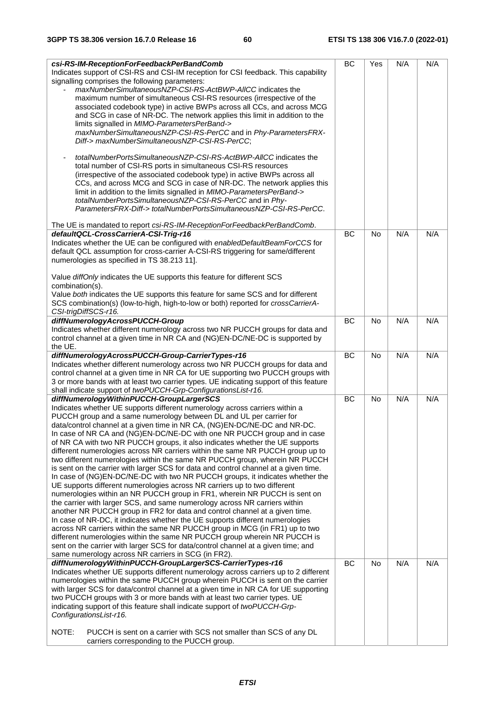| csi-RS-IM-ReceptionForFeedbackPerBandComb<br>Indicates support of CSI-RS and CSI-IM reception for CSI feedback. This capability<br>signalling comprises the following parameters:<br>maxNumberSimultaneousNZP-CSI-RS-ActBWP-AllCC indicates the<br>maximum number of simultaneous CSI-RS resources (irrespective of the                                                                                                                                                                                                                                                                                                                                                                                                                                                                                                                                                                                                                                                                                                                                                                                                                                                                                                                                                                                                                                                                                                                                                                           | <b>BC</b> | Yes       | N/A | N/A |
|---------------------------------------------------------------------------------------------------------------------------------------------------------------------------------------------------------------------------------------------------------------------------------------------------------------------------------------------------------------------------------------------------------------------------------------------------------------------------------------------------------------------------------------------------------------------------------------------------------------------------------------------------------------------------------------------------------------------------------------------------------------------------------------------------------------------------------------------------------------------------------------------------------------------------------------------------------------------------------------------------------------------------------------------------------------------------------------------------------------------------------------------------------------------------------------------------------------------------------------------------------------------------------------------------------------------------------------------------------------------------------------------------------------------------------------------------------------------------------------------------|-----------|-----------|-----|-----|
| associated codebook type) in active BWPs across all CCs, and across MCG<br>and SCG in case of NR-DC. The network applies this limit in addition to the<br>limits signalled in MIMO-ParametersPerBand-><br>maxNumberSimultaneousNZP-CSI-RS-PerCC and in Phy-ParametersFRX-<br>Diff-> maxNumberSimultaneousNZP-CSI-RS-PerCC;<br>totalNumberPortsSimultaneousNZP-CSI-RS-ActBWP-AllCC indicates the<br>$\blacksquare$<br>total number of CSI-RS ports in simultaneous CSI-RS resources<br>(irrespective of the associated codebook type) in active BWPs across all<br>CCs, and across MCG and SCG in case of NR-DC. The network applies this<br>limit in addition to the limits signalled in MIMO-ParametersPerBand-><br>totalNumberPortsSimultaneousNZP-CSI-RS-PerCC and in Phy-<br>ParametersFRX-Diff-> totalNumberPortsSimultaneousNZP-CSI-RS-PerCC.                                                                                                                                                                                                                                                                                                                                                                                                                                                                                                                                                                                                                                               |           |           |     |     |
|                                                                                                                                                                                                                                                                                                                                                                                                                                                                                                                                                                                                                                                                                                                                                                                                                                                                                                                                                                                                                                                                                                                                                                                                                                                                                                                                                                                                                                                                                                   |           |           |     |     |
| The UE is mandated to report csi-RS-IM-ReceptionForFeedbackPerBandComb.                                                                                                                                                                                                                                                                                                                                                                                                                                                                                                                                                                                                                                                                                                                                                                                                                                                                                                                                                                                                                                                                                                                                                                                                                                                                                                                                                                                                                           |           |           |     |     |
| defaultQCL-CrossCarrierA-CSI-Trig-r16<br>Indicates whether the UE can be configured with enabledDefaultBeamForCCS for<br>default QCL assumption for cross-carrier A-CSI-RS triggering for same/different<br>numerologies as specified in TS 38.213 11].<br>Value diffOnly indicates the UE supports this feature for different SCS<br>combination(s).<br>Value both indicates the UE supports this feature for same SCS and for different<br>SCS combination(s) (low-to-high, high-to-low or both) reported for crossCarrierA-<br>CSI-trigDiffSCS-r16.                                                                                                                                                                                                                                                                                                                                                                                                                                                                                                                                                                                                                                                                                                                                                                                                                                                                                                                                            | BC        | <b>No</b> | N/A | N/A |
| diffNumerologyAcrossPUCCH-Group                                                                                                                                                                                                                                                                                                                                                                                                                                                                                                                                                                                                                                                                                                                                                                                                                                                                                                                                                                                                                                                                                                                                                                                                                                                                                                                                                                                                                                                                   | BC        | <b>No</b> | N/A | N/A |
| Indicates whether different numerology across two NR PUCCH groups for data and<br>control channel at a given time in NR CA and (NG)EN-DC/NE-DC is supported by<br>the UE.                                                                                                                                                                                                                                                                                                                                                                                                                                                                                                                                                                                                                                                                                                                                                                                                                                                                                                                                                                                                                                                                                                                                                                                                                                                                                                                         |           |           |     |     |
| diffNumerologyAcrossPUCCH-Group-CarrierTypes-r16                                                                                                                                                                                                                                                                                                                                                                                                                                                                                                                                                                                                                                                                                                                                                                                                                                                                                                                                                                                                                                                                                                                                                                                                                                                                                                                                                                                                                                                  | <b>BC</b> | <b>No</b> | N/A | N/A |
| Indicates whether different numerology across two NR PUCCH groups for data and<br>control channel at a given time in NR CA for UE supporting two PUCCH groups with<br>3 or more bands with at least two carrier types. UE indicating support of this feature<br>shall indicate support of twoPUCCH-Grp-ConfigurationsList-r16.                                                                                                                                                                                                                                                                                                                                                                                                                                                                                                                                                                                                                                                                                                                                                                                                                                                                                                                                                                                                                                                                                                                                                                    |           |           |     |     |
| diffNumerologyWithinPUCCH-GroupLargerSCS<br>Indicates whether UE supports different numerology across carriers within a<br>PUCCH group and a same numerology between DL and UL per carrier for<br>data/control channel at a given time in NR CA, (NG)EN-DC/NE-DC and NR-DC.<br>In case of NR CA and (NG)EN-DC/NE-DC with one NR PUCCH group and in case<br>of NR CA with two NR PUCCH groups, it also indicates whether the UE supports<br>different numerologies across NR carriers within the same NR PUCCH group up to<br>two different numerologies within the same NR PUCCH group, wherein NR PUCCH<br>is sent on the carrier with larger SCS for data and control channel at a given time.<br>In case of (NG)EN-DC/NE-DC with two NR PUCCH groups, it indicates whether the<br>UE supports different numerologies across NR carriers up to two different<br>numerologies within an NR PUCCH group in FR1, wherein NR PUCCH is sent on<br>the carrier with larger SCS, and same numerology across NR carriers within<br>another NR PUCCH group in FR2 for data and control channel at a given time.<br>In case of NR-DC, it indicates whether the UE supports different numerologies<br>across NR carriers within the same NR PUCCH group in MCG (in FR1) up to two<br>different numerologies within the same NR PUCCH group wherein NR PUCCH is<br>sent on the carrier with larger SCS for data/control channel at a given time; and<br>same numerology across NR carriers in SCG (in FR2). | BC        | <b>No</b> | N/A | N/A |
| diffNumerologyWithinPUCCH-GroupLargerSCS-CarrierTypes-r16                                                                                                                                                                                                                                                                                                                                                                                                                                                                                                                                                                                                                                                                                                                                                                                                                                                                                                                                                                                                                                                                                                                                                                                                                                                                                                                                                                                                                                         | BC        | No        | N/A | N/A |
| Indicates whether UE supports different numerology across carriers up to 2 different<br>numerologies within the same PUCCH group wherein PUCCH is sent on the carrier<br>with larger SCS for data/control channel at a given time in NR CA for UE supporting<br>two PUCCH groups with 3 or more bands with at least two carrier types. UE<br>indicating support of this feature shall indicate support of twoPUCCH-Grp-<br>ConfigurationsList-r16.<br>NOTE:<br>PUCCH is sent on a carrier with SCS not smaller than SCS of any DL<br>carriers corresponding to the PUCCH group.                                                                                                                                                                                                                                                                                                                                                                                                                                                                                                                                                                                                                                                                                                                                                                                                                                                                                                                   |           |           |     |     |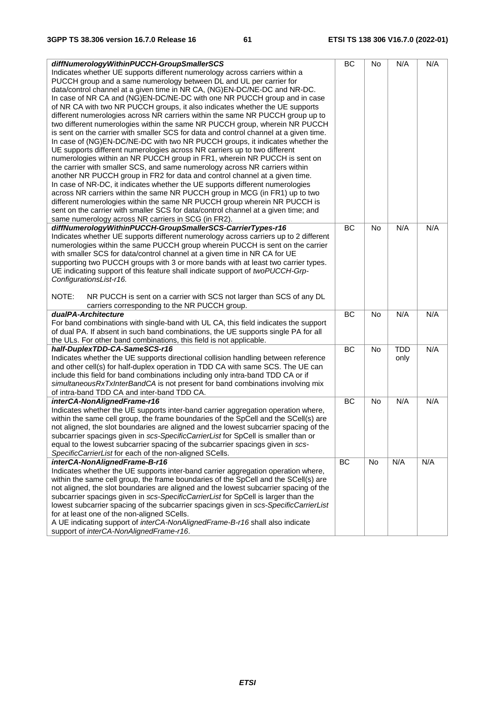|                                                                                       |           |           |            | N/A |
|---------------------------------------------------------------------------------------|-----------|-----------|------------|-----|
| diffNumerologyWithinPUCCH-GroupSmallerSCS                                             | BC        | No        | N/A        |     |
| Indicates whether UE supports different numerology across carriers within a           |           |           |            |     |
| PUCCH group and a same numerology between DL and UL per carrier for                   |           |           |            |     |
| data/control channel at a given time in NR CA, (NG)EN-DC/NE-DC and NR-DC.             |           |           |            |     |
| In case of NR CA and (NG)EN-DC/NE-DC with one NR PUCCH group and in case              |           |           |            |     |
| of NR CA with two NR PUCCH groups, it also indicates whether the UE supports          |           |           |            |     |
| different numerologies across NR carriers within the same NR PUCCH group up to        |           |           |            |     |
| two different numerologies within the same NR PUCCH group, wherein NR PUCCH           |           |           |            |     |
| is sent on the carrier with smaller SCS for data and control channel at a given time. |           |           |            |     |
| In case of (NG)EN-DC/NE-DC with two NR PUCCH groups, it indicates whether the         |           |           |            |     |
| UE supports different numerologies across NR carriers up to two different             |           |           |            |     |
| numerologies within an NR PUCCH group in FR1, wherein NR PUCCH is sent on             |           |           |            |     |
| the carrier with smaller SCS, and same numerology across NR carriers within           |           |           |            |     |
| another NR PUCCH group in FR2 for data and control channel at a given time.           |           |           |            |     |
| In case of NR-DC, it indicates whether the UE supports different numerologies         |           |           |            |     |
| across NR carriers within the same NR PUCCH group in MCG (in FR1) up to two           |           |           |            |     |
| different numerologies within the same NR PUCCH group wherein NR PUCCH is             |           |           |            |     |
| sent on the carrier with smaller SCS for data/control channel at a given time; and    |           |           |            |     |
| same numerology across NR carriers in SCG (in FR2).                                   |           |           |            |     |
| diffNumerologyWithinPUCCH-GroupSmallerSCS-CarrierTypes-r16                            | BC        | <b>No</b> | N/A        | N/A |
| Indicates whether UE supports different numerology across carriers up to 2 different  |           |           |            |     |
| numerologies within the same PUCCH group wherein PUCCH is sent on the carrier         |           |           |            |     |
| with smaller SCS for data/control channel at a given time in NR CA for UE             |           |           |            |     |
|                                                                                       |           |           |            |     |
| supporting two PUCCH groups with 3 or more bands with at least two carrier types.     |           |           |            |     |
| UE indicating support of this feature shall indicate support of twoPUCCH-Grp-         |           |           |            |     |
| ConfigurationsList-r16.                                                               |           |           |            |     |
| NOTE:                                                                                 |           |           |            |     |
| NR PUCCH is sent on a carrier with SCS not larger than SCS of any DL                  |           |           |            |     |
| carriers corresponding to the NR PUCCH group.                                         |           |           |            |     |
| dualPA-Architecture                                                                   | BC        | <b>No</b> | N/A        | N/A |
| For band combinations with single-band with UL CA, this field indicates the support   |           |           |            |     |
| of dual PA. If absent in such band combinations, the UE supports single PA for all    |           |           |            |     |
| the ULs. For other band combinations, this field is not applicable.                   |           |           | <b>TDD</b> | N/A |
| half-DuplexTDD-CA-SameSCS-r16                                                         | <b>BC</b> | No        |            |     |
| Indicates whether the UE supports directional collision handling between reference    |           |           | only       |     |
| and other cell(s) for half-duplex operation in TDD CA with same SCS. The UE can       |           |           |            |     |
| include this field for band combinations including only intra-band TDD CA or if       |           |           |            |     |
| simultaneousRxTxInterBandCA is not present for band combinations involving mix        |           |           |            |     |
| of intra-band TDD CA and inter-band TDD CA.                                           |           |           |            |     |
| interCA-NonAlignedFrame-r16                                                           | BC        | No        | N/A        | N/A |
| Indicates whether the UE supports inter-band carrier aggregation operation where,     |           |           |            |     |
| within the same cell group, the frame boundaries of the SpCell and the SCell(s) are   |           |           |            |     |
| not aligned, the slot boundaries are aligned and the lowest subcarrier spacing of the |           |           |            |     |
| subcarrier spacings given in scs-SpecificCarrierList for SpCell is smaller than or    |           |           |            |     |
| equal to the lowest subcarrier spacing of the subcarrier spacings given in scs-       |           |           |            |     |
| SpecificCarrierList for each of the non-aligned SCells.                               |           |           |            |     |
| interCA-NonAlignedFrame-B-r16                                                         | BC        | No        | N/A        | N/A |
| Indicates whether the UE supports inter-band carrier aggregation operation where,     |           |           |            |     |
| within the same cell group, the frame boundaries of the SpCell and the SCell(s) are   |           |           |            |     |
| not aligned, the slot boundaries are aligned and the lowest subcarrier spacing of the |           |           |            |     |
| subcarrier spacings given in scs-SpecificCarrierList for SpCell is larger than the    |           |           |            |     |
| lowest subcarrier spacing of the subcarrier spacings given in scs-SpecificCarrierList |           |           |            |     |
| for at least one of the non-aligned SCells.                                           |           |           |            |     |
| A UE indicating support of interCA-NonAlignedFrame-B-r16 shall also indicate          |           |           |            |     |
| support of interCA-NonAlignedFrame-r16.                                               |           |           |            |     |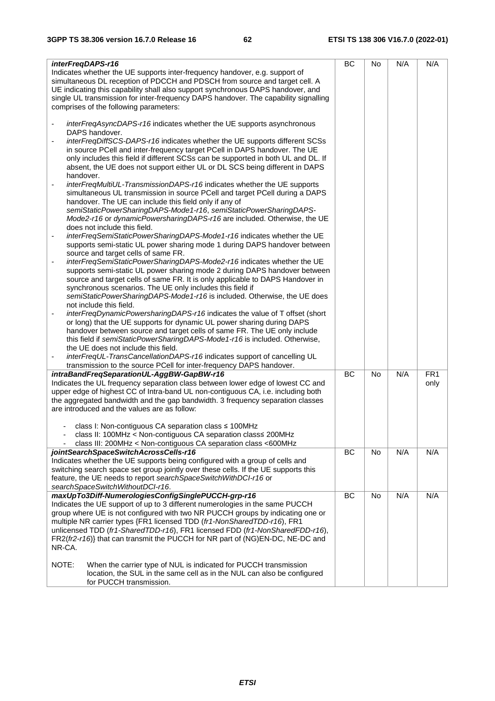| interFreqDAPS-r16                                                                                                                                     | BC | No        | N/A | N/A             |
|-------------------------------------------------------------------------------------------------------------------------------------------------------|----|-----------|-----|-----------------|
| Indicates whether the UE supports inter-frequency handover, e.g. support of                                                                           |    |           |     |                 |
| simultaneous DL reception of PDCCH and PDSCH from source and target cell. A                                                                           |    |           |     |                 |
| UE indicating this capability shall also support synchronous DAPS handover, and                                                                       |    |           |     |                 |
| single UL transmission for inter-frequency DAPS handover. The capability signalling                                                                   |    |           |     |                 |
| comprises of the following parameters:                                                                                                                |    |           |     |                 |
| interFreqAsyncDAPS-r16 indicates whether the UE supports asynchronous                                                                                 |    |           |     |                 |
| DAPS handover.                                                                                                                                        |    |           |     |                 |
| <i>interFreqDiffSCS-DAPS-r16</i> indicates whether the UE supports different SCSs                                                                     |    |           |     |                 |
| in source PCell and inter-frequency target PCell in DAPS handover. The UE                                                                             |    |           |     |                 |
| only includes this field if different SCSs can be supported in both UL and DL. If                                                                     |    |           |     |                 |
| absent, the UE does not support either UL or DL SCS being different in DAPS                                                                           |    |           |     |                 |
| handover.                                                                                                                                             |    |           |     |                 |
| interFreqMultiUL-TransmissionDAPS-r16 indicates whether the UE supports                                                                               |    |           |     |                 |
| simultaneous UL transmission in source PCell and target PCell during a DAPS                                                                           |    |           |     |                 |
| handover. The UE can include this field only if any of                                                                                                |    |           |     |                 |
| semiStaticPowerSharingDAPS-Mode1-r16, semiStaticPowerSharingDAPS-                                                                                     |    |           |     |                 |
| Mode2-r16 or dynamicPowersharingDAPS-r16 are included. Otherwise, the UE                                                                              |    |           |     |                 |
| does not include this field.                                                                                                                          |    |           |     |                 |
| interFreqSemiStaticPowerSharingDAPS-Mode1-r16 indicates whether the UE<br>$\overline{\phantom{0}}$                                                    |    |           |     |                 |
| supports semi-static UL power sharing mode 1 during DAPS handover between                                                                             |    |           |     |                 |
| source and target cells of same FR.                                                                                                                   |    |           |     |                 |
| interFreqSemiStaticPowerSharingDAPS-Mode2-r16 indicates whether the UE<br>$\qquad \qquad \blacksquare$                                                |    |           |     |                 |
| supports semi-static UL power sharing mode 2 during DAPS handover between                                                                             |    |           |     |                 |
| source and target cells of same FR. It is only applicable to DAPS Handover in                                                                         |    |           |     |                 |
| synchronous scenarios. The UE only includes this field if                                                                                             |    |           |     |                 |
| semiStaticPowerSharingDAPS-Mode1-r16 is included. Otherwise, the UE does                                                                              |    |           |     |                 |
| not include this field.                                                                                                                               |    |           |     |                 |
| interFreqDynamicPowersharingDAPS-r16 indicates the value of T offset (short<br>or long) that the UE supports for dynamic UL power sharing during DAPS |    |           |     |                 |
| handover between source and target cells of same FR. The UE only include                                                                              |    |           |     |                 |
| this field if semiStaticPowerSharingDAPS-Mode1-r16 is included. Otherwise,                                                                            |    |           |     |                 |
| the UE does not include this field.                                                                                                                   |    |           |     |                 |
| interFreqUL-TransCancellationDAPS-r16 indicates support of cancelling UL                                                                              |    |           |     |                 |
| transmission to the source PCell for inter-frequency DAPS handover.                                                                                   |    |           |     |                 |
| intraBandFreqSeparationUL-AggBW-GapBW-r16                                                                                                             | BC | <b>No</b> | N/A | FR <sub>1</sub> |
| Indicates the UL frequency separation class between lower edge of lowest CC and                                                                       |    |           |     | only            |
| upper edge of highest CC of Intra-band UL non-contiguous CA, i.e. including both                                                                      |    |           |     |                 |
| the aggregated bandwidth and the gap bandwidth. 3 frequency separation classes                                                                        |    |           |     |                 |
| are introduced and the values are as follow:                                                                                                          |    |           |     |                 |
|                                                                                                                                                       |    |           |     |                 |
| class I: Non-contiguous CA separation class ≤ 100MHz                                                                                                  |    |           |     |                 |
| class II: 100MHz < Non-contiguous CA separation class≤ 200MHz                                                                                         |    |           |     |                 |
| class III: 200MHz < Non-contiguous CA separation class <600MHz                                                                                        |    |           |     |                 |
| jointSearchSpaceSwitchAcrossCells-r16                                                                                                                 | BC | No        | N/A | N/A             |
| Indicates whether the UE supports being configured with a group of cells and                                                                          |    |           |     |                 |
| switching search space set group jointly over these cells. If the UE supports this                                                                    |    |           |     |                 |
| feature, the UE needs to report searchSpaceSwitchWithDCI-r16 or<br>searchSpaceSwitchWithoutDCI-r16.                                                   |    |           |     |                 |
| maxUpTo3Diff-NumerologiesConfigSinglePUCCH-grp-r16                                                                                                    | ВC | No        | N/A | N/A             |
| Indicates the UE support of up to 3 different numerologies in the same PUCCH                                                                          |    |           |     |                 |
| group where UE is not configured with two NR PUCCH groups by indicating one or                                                                        |    |           |     |                 |
| multiple NR carrier types {FR1 licensed TDD (fr1-NonSharedTDD-r16), FR1                                                                               |    |           |     |                 |
| unlicensed TDD (fr1-SharedTDD-r16), FR1 licensed FDD (fr1-NonSharedFDD-r16),                                                                          |    |           |     |                 |
| FR2(fr2-r16)} that can transmit the PUCCH for NR part of (NG)EN-DC, NE-DC and                                                                         |    |           |     |                 |
| NR-CA.                                                                                                                                                |    |           |     |                 |
|                                                                                                                                                       |    |           |     |                 |
| NOTE:<br>When the carrier type of NUL is indicated for PUCCH transmission                                                                             |    |           |     |                 |
| location, the SUL in the same cell as in the NUL can also be configured                                                                               |    |           |     |                 |
| for PUCCH transmission.                                                                                                                               |    |           |     |                 |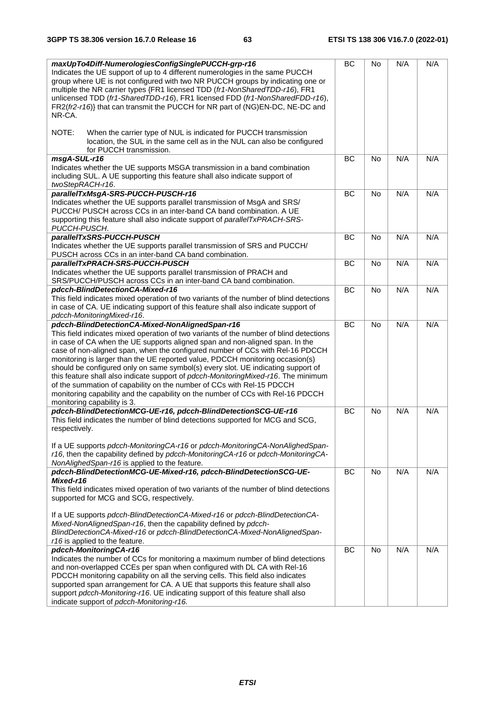| maxUpTo4Diff-NumerologiesConfigSinglePUCCH-grp-r16<br>Indicates the UE support of up to 4 different numerologies in the same PUCCH<br>group where UE is not configured with two NR PUCCH groups by indicating one or<br>multiple the NR carrier types {FR1 licensed TDD (fr1-NonSharedTDD-r16), FR1<br>unlicensed TDD (fr1-SharedTDD-r16), FR1 licensed FDD (fr1-NonSharedFDD-r16),<br>FR2(fr2-r16)} that can transmit the PUCCH for NR part of (NG)EN-DC, NE-DC and<br>NR-CA.                                                                                                                                                                                                                                                                                   | <b>BC</b> | <b>No</b> | N/A | N/A |
|------------------------------------------------------------------------------------------------------------------------------------------------------------------------------------------------------------------------------------------------------------------------------------------------------------------------------------------------------------------------------------------------------------------------------------------------------------------------------------------------------------------------------------------------------------------------------------------------------------------------------------------------------------------------------------------------------------------------------------------------------------------|-----------|-----------|-----|-----|
| NOTE:<br>When the carrier type of NUL is indicated for PUCCH transmission<br>location, the SUL in the same cell as in the NUL can also be configured<br>for PUCCH transmission.                                                                                                                                                                                                                                                                                                                                                                                                                                                                                                                                                                                  |           |           |     |     |
| msgA-SUL-r16<br>Indicates whether the UE supports MSGA transmission in a band combination<br>including SUL. A UE supporting this feature shall also indicate support of<br>twoStepRACH-r16.                                                                                                                                                                                                                                                                                                                                                                                                                                                                                                                                                                      | BC        | <b>No</b> | N/A | N/A |
| parallelTxMsgA-SRS-PUCCH-PUSCH-r16<br>Indicates whether the UE supports parallel transmission of MsgA and SRS/<br>PUCCH/ PUSCH across CCs in an inter-band CA band combination. A UE<br>supporting this feature shall also indicate support of parallelTxPRACH-SRS-<br>PUCCH-PUSCH.                                                                                                                                                                                                                                                                                                                                                                                                                                                                              | BC        | <b>No</b> | N/A | N/A |
| parallelTxSRS-PUCCH-PUSCH<br>Indicates whether the UE supports parallel transmission of SRS and PUCCH/<br>PUSCH across CCs in an inter-band CA band combination.                                                                                                                                                                                                                                                                                                                                                                                                                                                                                                                                                                                                 | <b>BC</b> | No        | N/A | N/A |
| parallelTxPRACH-SRS-PUCCH-PUSCH<br>Indicates whether the UE supports parallel transmission of PRACH and<br>SRS/PUCCH/PUSCH across CCs in an inter-band CA band combination.                                                                                                                                                                                                                                                                                                                                                                                                                                                                                                                                                                                      | <b>BC</b> | <b>No</b> | N/A | N/A |
| pdcch-BlindDetectionCA-Mixed-r16<br>This field indicates mixed operation of two variants of the number of blind detections<br>in case of CA. UE indicating support of this feature shall also indicate support of<br>pdcch-MonitoringMixed-r16.                                                                                                                                                                                                                                                                                                                                                                                                                                                                                                                  | BC        | <b>No</b> | N/A | N/A |
| pdcch-BlindDetectionCA-Mixed-NonAlignedSpan-r16<br>This field indicates mixed operation of two variants of the number of blind detections<br>in case of CA when the UE supports aligned span and non-aligned span. In the<br>case of non-aligned span, when the configured number of CCs with Rel-16 PDCCH<br>monitoring is larger than the UE reported value, PDCCH monitoring occasion(s)<br>should be configured only on same symbol(s) every slot. UE indicating support of<br>this feature shall also indicate support of pdcch-MonitoringMixed-r16. The minimum<br>of the summation of capability on the number of CCs with Rel-15 PDCCH<br>monitoring capability and the capability on the number of CCs with Rel-16 PDCCH<br>monitoring capability is 3. | BC        | <b>No</b> | N/A | N/A |
| pdcch-BlindDetectionMCG-UE-r16, pdcch-BlindDetectionSCG-UE-r16<br>This field indicates the number of blind detections supported for MCG and SCG,<br>respectively.<br>If a UE supports pdcch-MonitoringCA-r16 or pdcch-MonitoringCA-NonAlighedSpan-<br>r16, then the capability defined by pdcch-MonitoringCA-r16 or pdcch-MonitoringCA-<br>NonAlighedSpan-r16 is applied to the feature.                                                                                                                                                                                                                                                                                                                                                                         | <b>BC</b> | No        | N/A | N/A |
| pdcch-BlindDetectionMCG-UE-Mixed-r16, pdcch-BlindDetectionSCG-UE-<br>Mixed-r16<br>This field indicates mixed operation of two variants of the number of blind detections<br>supported for MCG and SCG, respectively.<br>If a UE supports pdcch-BlindDetectionCA-Mixed-r16 or pdcch-BlindDetectionCA-<br>Mixed-NonAlignedSpan-r16, then the capability defined by pdcch-<br>BlindDetectionCA-Mixed-r16 or pdcch-BlindDetectionCA-Mixed-NonAlignedSpan-<br>r16 is applied to the feature.                                                                                                                                                                                                                                                                          | BC        | No        | N/A | N/A |
| pdcch-MonitoringCA-r16<br>Indicates the number of CCs for monitoring a maximum number of blind detections<br>and non-overlapped CCEs per span when configured with DL CA with Rel-16<br>PDCCH monitoring capability on all the serving cells. This field also indicates<br>supported span arrangement for CA. A UE that supports this feature shall also<br>support pdcch-Monitoring-r16. UE indicating support of this feature shall also<br>indicate support of pdcch-Monitoring-r16.                                                                                                                                                                                                                                                                          | <b>BC</b> | No        | N/A | N/A |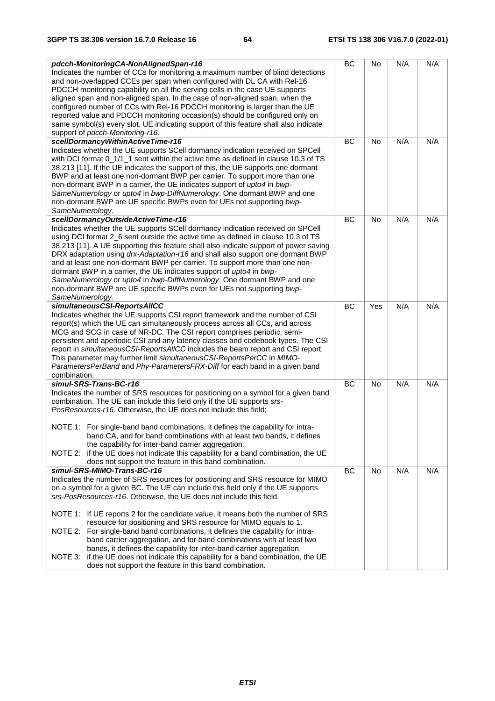| pdcch-MonitoringCA-NonAlignedSpan-r16<br>Indicates the number of CCs for monitoring a maximum number of blind detections<br>and non-overlapped CCEs per span when configured with DL CA with Rel-16<br>PDCCH monitoring capability on all the serving cells in the case UE supports<br>aligned span and non-aligned span. In the case of non-aligned span, when the                                                                                                                                                                                                                                                                                                                                                                                                                                                    | BC | No        | N/A | N/A |
|------------------------------------------------------------------------------------------------------------------------------------------------------------------------------------------------------------------------------------------------------------------------------------------------------------------------------------------------------------------------------------------------------------------------------------------------------------------------------------------------------------------------------------------------------------------------------------------------------------------------------------------------------------------------------------------------------------------------------------------------------------------------------------------------------------------------|----|-----------|-----|-----|
| configured number of CCs with Rel-16 PDCCH monitoring is larger than the UE<br>reported value and PDCCH monitoring occasion(s) should be configured only on<br>same symbol(s) every slot. UE indicating support of this feature shall also indicate<br>support of pdcch-Monitoring-r16.                                                                                                                                                                                                                                                                                                                                                                                                                                                                                                                                |    |           |     |     |
| scellDormancyWithinActiveTime-r16<br>Indicates whether the UE supports SCell dormancy indication received on SPCell<br>with DCI format 0_1/1_1 sent within the active time as defined in clause 10.3 of TS<br>38.213 [11]. If the UE indicates the support of this, the UE supports one dormant<br>BWP and at least one non-dormant BWP per carrier. To support more than one<br>non-dormant BWP in a carrier, the UE indicates support of upto4 in bwp-<br>SameNumerology or upto4 in bwp-DiffNumerology. One dormant BWP and one<br>non-dormant BWP are UE specific BWPs even for UEs not supporting bwp-<br>SameNumerology.                                                                                                                                                                                         | BC | <b>No</b> | N/A | N/A |
| scellDormancyOutsideActiveTime-r16<br>Indicates whether the UE supports SCell dormancy indication received on SPCell<br>using DCI format 2_6 sent outside the active time as defined in clause 10.3 of TS<br>38.213 [11]. A UE supporting this feature shall also indicate support of power saving<br>DRX adaptation using drx-Adaptation-r16 and shall also support one dormant BWP<br>and at least one non-dormant BWP per carrier. To support more than one non-<br>dormant BWP in a carrier, the UE indicates support of upto4 in bwp-<br>SameNumerology or upto4 in bwp-DiffNumerology. One dormant BWP and one<br>non-dormant BWP are UE specific BWPs even for UEs not supporting bwp-<br>SameNumerology.                                                                                                       | BC | No        | N/A | N/A |
| simultaneousCSI-ReportsAIICC<br>Indicates whether the UE supports CSI report framework and the number of CSI<br>report(s) which the UE can simultaneously process across all CCs, and across<br>MCG and SCG in case of NR-DC. The CSI report comprises periodic, semi-<br>persistent and aperiodic CSI and any latency classes and codebook types. The CSI<br>report in simultaneousCSI-ReportsAllCC includes the beam report and CSI report.<br>This parameter may further limit simultaneousCSI-ReportsPerCC in MIMO-<br>ParametersPerBand and Phy-ParametersFRX-Diff for each band in a given band<br>combination.                                                                                                                                                                                                  | BC | Yes       | N/A | N/A |
| simul-SRS-Trans-BC-r16<br>Indicates the number of SRS resources for positioning on a symbol for a given band<br>combination. The UE can include this field only if the UE supports srs-<br>PosResources-r16. Otherwise, the UE does not include this field;<br>NOTE 1: For single-band band combinations, it defines the capability for intra-<br>band CA, and for band combinations with at least two bands, it defines<br>the capability for inter-band carrier aggregation.<br>NOTE 2: if the UE does not indicate this capability for a band combination, the UE<br>does not support the feature in this band combination.                                                                                                                                                                                         | BC | <b>No</b> | N/A | N/A |
| simul-SRS-MIMO-Trans-BC-r16<br>Indicates the number of SRS resources for positioning and SRS resource for MIMO<br>on a symbol for a given BC. The UE can include this field only if the UE supports<br>srs-PosResources-r16. Otherwise, the UE does not include this field.<br>NOTE 1: If UE reports 2 for the candidate value, it means both the number of SRS<br>resource for positioning and SRS resource for MIMO equals to 1.<br>NOTE 2: For single-band band combinations, it defines the capability for intra-<br>band carrier aggregation, and for band combinations with at least two<br>bands, it defines the capability for inter-band carrier aggregation.<br>NOTE 3: if the UE does not indicate this capability for a band combination, the UE<br>does not support the feature in this band combination. | BC | No        | N/A | N/A |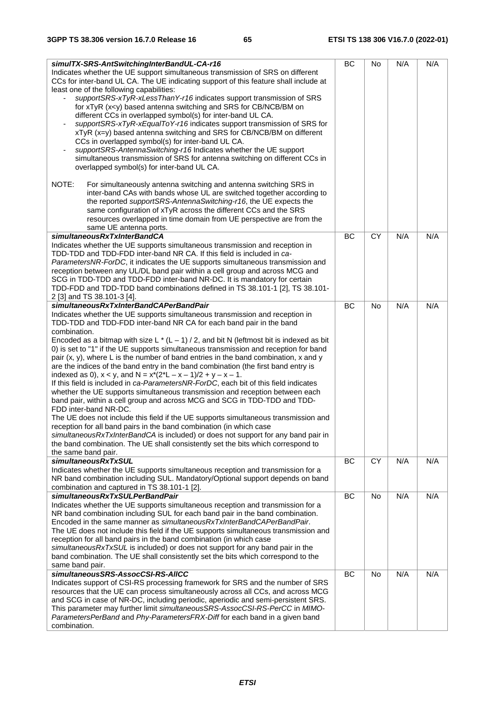| simulTX-SRS-AntSwitchingInterBandUL-CA-r16<br>Indicates whether the UE support simultaneous transmission of SRS on different<br>CCs for inter-band UL CA. The UE indicating support of this feature shall include at<br>least one of the following capabilities:<br>supportSRS-xTyR-xLessThanY-r16 indicates support transmission of SRS<br>for xTyR (x <y) and="" antenna="" based="" bm="" cb="" for="" ncb="" on<br="" srs="" switching="">different CCs in overlapped symbol(s) for inter-band UL CA.<br/>supportSRS-xTyR-xEqualToY-r16 indicates support transmission of SRS for<br/>xTyR (x=y) based antenna switching and SRS for CB/NCB/BM on different<br/>CCs in overlapped symbol(s) for inter-band UL CA.<br/>supportSRS-AntennaSwitching-r16 Indicates whether the UE support<br/>simultaneous transmission of SRS for antenna switching on different CCs in<br/>overlapped symbol(s) for inter-band UL CA.</y)>                                                                                                                                                                                                                                                                                                                                                                          | <b>BC</b> | No        | N/A | N/A |
|--------------------------------------------------------------------------------------------------------------------------------------------------------------------------------------------------------------------------------------------------------------------------------------------------------------------------------------------------------------------------------------------------------------------------------------------------------------------------------------------------------------------------------------------------------------------------------------------------------------------------------------------------------------------------------------------------------------------------------------------------------------------------------------------------------------------------------------------------------------------------------------------------------------------------------------------------------------------------------------------------------------------------------------------------------------------------------------------------------------------------------------------------------------------------------------------------------------------------------------------------------------------------------------------------------|-----------|-----------|-----|-----|
| NOTE:<br>For simultaneously antenna switching and antenna switching SRS in<br>inter-band CAs with bands whose UL are switched together according to<br>the reported supportSRS-AntennaSwitching-r16, the UE expects the<br>same configuration of xTyR across the different CCs and the SRS<br>resources overlapped in time domain from UE perspective are from the<br>same UE antenna ports.                                                                                                                                                                                                                                                                                                                                                                                                                                                                                                                                                                                                                                                                                                                                                                                                                                                                                                           |           |           |     |     |
| simultaneousRxTxInterBandCA<br>Indicates whether the UE supports simultaneous transmission and reception in<br>TDD-TDD and TDD-FDD inter-band NR CA. If this field is included in ca-<br>ParametersNR-ForDC, it indicates the UE supports simultaneous transmission and<br>reception between any UL/DL band pair within a cell group and across MCG and<br>SCG in TDD-TDD and TDD-FDD inter-band NR-DC. It is mandatory for certain<br>TDD-FDD and TDD-TDD band combinations defined in TS 38.101-1 [2], TS 38.101-<br>2 [3] and TS 38.101-3 [4].                                                                                                                                                                                                                                                                                                                                                                                                                                                                                                                                                                                                                                                                                                                                                      | <b>BC</b> | <b>CY</b> | N/A | N/A |
| simultaneousRxTxInterBandCAPerBandPair<br>Indicates whether the UE supports simultaneous transmission and reception in<br>TDD-TDD and TDD-FDD inter-band NR CA for each band pair in the band<br>combination.<br>Encoded as a bitmap with size L $*(L - 1) / 2$ , and bit N (leftmost bit is indexed as bit<br>0) is set to "1" if the UE supports simultaneous transmission and reception for band<br>pair $(x, y)$ , where L is the number of band entries in the band combination, x and y<br>are the indices of the band entry in the band combination (the first band entry is<br>indexed as 0), $x < y$ , and $N = x*(2^*L - x - 1)/2 + y - x - 1$ .<br>If this field is included in ca-ParametersNR-ForDC, each bit of this field indicates<br>whether the UE supports simultaneous transmission and reception between each<br>band pair, within a cell group and across MCG and SCG in TDD-TDD and TDD-<br>FDD inter-band NR-DC.<br>The UE does not include this field if the UE supports simultaneous transmission and<br>reception for all band pairs in the band combination (in which case<br>simultaneousRxTxInterBandCA is included) or does not support for any band pair in<br>the band combination. The UE shall consistently set the bits which correspond to<br>the same band pair. | <b>BC</b> | <b>No</b> | N/A | N/A |
| simultaneousRxTxSUL<br>Indicates whether the UE supports simultaneous reception and transmission for a<br>NR band combination including SUL. Mandatory/Optional support depends on band<br>combination and captured in TS 38.101-1 [2].                                                                                                                                                                                                                                                                                                                                                                                                                                                                                                                                                                                                                                                                                                                                                                                                                                                                                                                                                                                                                                                                | BC        | CY        | N/A | N/A |
| simultaneousRxTxSULPerBandPair<br>Indicates whether the UE supports simultaneous reception and transmission for a<br>NR band combination including SUL for each band pair in the band combination.<br>Encoded in the same manner as simultaneous RxTxInterBandCAPerBandPair.<br>The UE does not include this field if the UE supports simultaneous transmission and<br>reception for all band pairs in the band combination (in which case<br>simultaneousRxTxSUL is included) or does not support for any band pair in the<br>band combination. The UE shall consistently set the bits which correspond to the<br>same band pair.                                                                                                                                                                                                                                                                                                                                                                                                                                                                                                                                                                                                                                                                     | <b>BC</b> | <b>No</b> | N/A | N/A |
| simultaneousSRS-AssocCSI-RS-AIICC<br>Indicates support of CSI-RS processing framework for SRS and the number of SRS<br>resources that the UE can process simultaneously across all CCs, and across MCG<br>and SCG in case of NR-DC, including periodic, aperiodic and semi-persistent SRS.<br>This parameter may further limit simultaneousSRS-AssocCSI-RS-PerCC in MIMO-<br>ParametersPerBand and Phy-ParametersFRX-Diff for each band in a given band<br>combination.                                                                                                                                                                                                                                                                                                                                                                                                                                                                                                                                                                                                                                                                                                                                                                                                                                | <b>BC</b> | No        | N/A | N/A |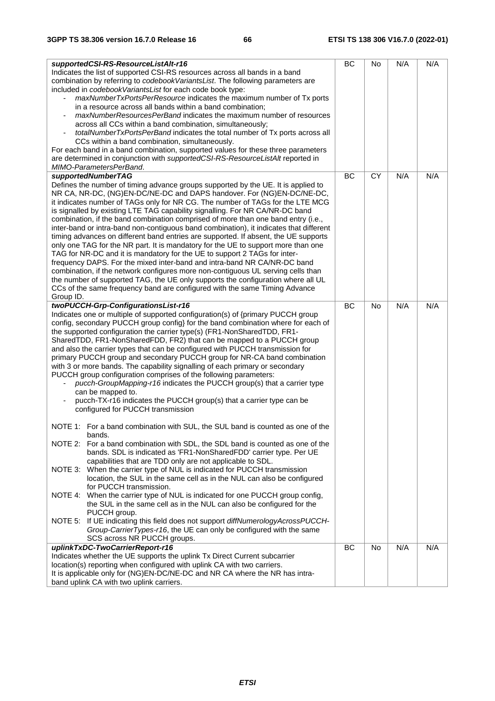| supportedCSI-RS-ResourceListAlt-r16<br>Indicates the list of supported CSI-RS resources across all bands in a band<br>combination by referring to <i>codebookVariantsList</i> . The following parameters are<br>included in codebookVariantsList for each code book type:<br>maxNumberTxPortsPerResource indicates the maximum number of Tx ports<br>$\overline{\phantom{a}}$<br>in a resource across all bands within a band combination;<br>maxNumberResourcesPerBand indicates the maximum number of resources<br>across all CCs within a band combination, simultaneously;<br>totalNumberTxPortsPerBand indicates the total number of Tx ports across all<br>CCs within a band combination, simultaneously.<br>For each band in a band combination, supported values for these three parameters<br>are determined in conjunction with supportedCSI-RS-ResourceListAlt reported in<br>MIMO-ParametersPerBand. | BC | No        | N/A | N/A |
|------------------------------------------------------------------------------------------------------------------------------------------------------------------------------------------------------------------------------------------------------------------------------------------------------------------------------------------------------------------------------------------------------------------------------------------------------------------------------------------------------------------------------------------------------------------------------------------------------------------------------------------------------------------------------------------------------------------------------------------------------------------------------------------------------------------------------------------------------------------------------------------------------------------|----|-----------|-----|-----|
| Defines the number of timing advance groups supported by the UE. It is applied to<br>NR CA, NR-DC, (NG)EN-DC/NE-DC and DAPS handover. For (NG)EN-DC/NE-DC,<br>it indicates number of TAGs only for NR CG. The number of TAGs for the LTE MCG<br>is signalled by existing LTE TAG capability signalling. For NR CA/NR-DC band<br>combination, if the band combination comprised of more than one band entry (i.e.,<br>inter-band or intra-band non-contiguous band combination), it indicates that different                                                                                                                                                                                                                                                                                                                                                                                                      |    |           |     |     |
| timing advances on different band entries are supported. If absent, the UE supports<br>only one TAG for the NR part. It is mandatory for the UE to support more than one<br>TAG for NR-DC and it is mandatory for the UE to support 2 TAGs for inter-<br>frequency DAPS. For the mixed inter-band and intra-band NR CA/NR-DC band<br>combination, if the network configures more non-contiguous UL serving cells than<br>the number of supported TAG, the UE only supports the configuration where all UL<br>CCs of the same frequency band are configured with the same Timing Advance<br>Group ID.                                                                                                                                                                                                                                                                                                             |    |           |     |     |
| twoPUCCH-Grp-ConfigurationsList-r16                                                                                                                                                                                                                                                                                                                                                                                                                                                                                                                                                                                                                                                                                                                                                                                                                                                                              | BC | <b>No</b> | N/A | N/A |
| Indicates one or multiple of supported configuration(s) of {primary PUCCH group<br>config, secondary PUCCH group config} for the band combination where for each of<br>the supported configuration the carrier type(s) (FR1-NonSharedTDD, FR1-<br>Shared TDD, FR1-Non Shared FDD, FR2) that can be mapped to a PUCCH group<br>and also the carrier types that can be configured with PUCCH transmission for<br>primary PUCCH group and secondary PUCCH group for NR-CA band combination<br>with 3 or more bands. The capability signalling of each primary or secondary<br>PUCCH group configuration comprises of the following parameters:<br>pucch-GroupMapping-r16 indicates the PUCCH group(s) that a carrier type<br>can be mapped to.<br>pucch-TX-r16 indicates the PUCCH group(s) that a carrier type can be<br>configured for PUCCH transmission                                                         |    |           |     |     |
| NOTE 1: For a band combination with SUL, the SUL band is counted as one of the<br>bands.                                                                                                                                                                                                                                                                                                                                                                                                                                                                                                                                                                                                                                                                                                                                                                                                                         |    |           |     |     |
| NOTE 2: For a band combination with SDL, the SDL band is counted as one of the<br>bands. SDL is indicated as 'FR1-NonSharedFDD' carrier type. Per UE<br>capabilities that are TDD only are not applicable to SDL.                                                                                                                                                                                                                                                                                                                                                                                                                                                                                                                                                                                                                                                                                                |    |           |     |     |
| NOTE 3: When the carrier type of NUL is indicated for PUCCH transmission<br>location, the SUL in the same cell as in the NUL can also be configured<br>for PUCCH transmission.                                                                                                                                                                                                                                                                                                                                                                                                                                                                                                                                                                                                                                                                                                                                   |    |           |     |     |
| NOTE 4: When the carrier type of NUL is indicated for one PUCCH group config,<br>the SUL in the same cell as in the NUL can also be configured for the<br>PUCCH group.<br>NOTE 5: If UE indicating this field does not support diffNumerologyAcrossPUCCH-                                                                                                                                                                                                                                                                                                                                                                                                                                                                                                                                                                                                                                                        |    |           |     |     |
| Group-CarrierTypes-r16, the UE can only be configured with the same                                                                                                                                                                                                                                                                                                                                                                                                                                                                                                                                                                                                                                                                                                                                                                                                                                              |    |           |     |     |
| SCS across NR PUCCH groups.                                                                                                                                                                                                                                                                                                                                                                                                                                                                                                                                                                                                                                                                                                                                                                                                                                                                                      |    |           |     |     |
| uplinkTxDC-TwoCarrierReport-r16                                                                                                                                                                                                                                                                                                                                                                                                                                                                                                                                                                                                                                                                                                                                                                                                                                                                                  | BC | No        | N/A | N/A |
| Indicates whether the UE supports the uplink Tx Direct Current subcarrier<br>location(s) reporting when configured with uplink CA with two carriers.                                                                                                                                                                                                                                                                                                                                                                                                                                                                                                                                                                                                                                                                                                                                                             |    |           |     |     |
| It is applicable only for (NG)EN-DC/NE-DC and NR CA where the NR has intra-                                                                                                                                                                                                                                                                                                                                                                                                                                                                                                                                                                                                                                                                                                                                                                                                                                      |    |           |     |     |
| band uplink CA with two uplink carriers.                                                                                                                                                                                                                                                                                                                                                                                                                                                                                                                                                                                                                                                                                                                                                                                                                                                                         |    |           |     |     |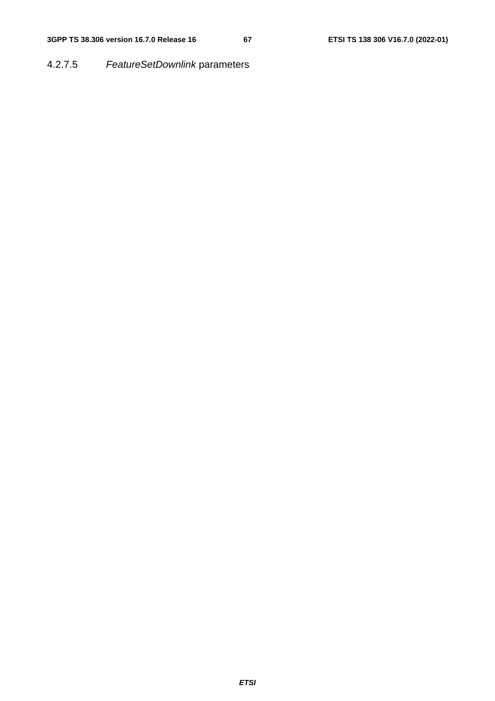4.2.7.5 *FeatureSetDownlink* parameters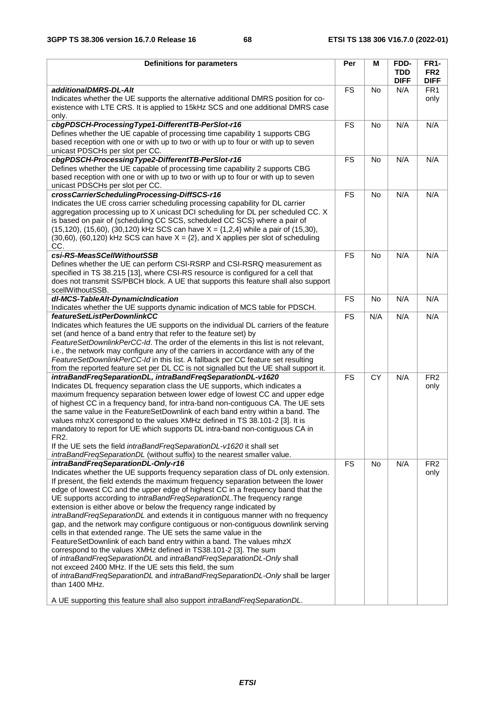| <b>Definitions for parameters</b>                                                                                                                                                                                                                                                                                                                                                                                                                                                                                                                                                                                                                                                                                                                                                                                                                                                                                                                                                                                                                                                                                                                              | Per       | М               | FDD-<br><b>TDD</b> | <b>FR1-</b><br>FR <sub>2</sub> |
|----------------------------------------------------------------------------------------------------------------------------------------------------------------------------------------------------------------------------------------------------------------------------------------------------------------------------------------------------------------------------------------------------------------------------------------------------------------------------------------------------------------------------------------------------------------------------------------------------------------------------------------------------------------------------------------------------------------------------------------------------------------------------------------------------------------------------------------------------------------------------------------------------------------------------------------------------------------------------------------------------------------------------------------------------------------------------------------------------------------------------------------------------------------|-----------|-----------------|--------------------|--------------------------------|
| additionalDMRS-DL-Alt                                                                                                                                                                                                                                                                                                                                                                                                                                                                                                                                                                                                                                                                                                                                                                                                                                                                                                                                                                                                                                                                                                                                          | <b>FS</b> | <b>No</b>       | <b>DIFF</b><br>N/A | <b>DIFF</b><br>FR <sub>1</sub> |
| Indicates whether the UE supports the alternative additional DMRS position for co-<br>existence with LTE CRS. It is applied to 15kHz SCS and one additional DMRS case<br>only.                                                                                                                                                                                                                                                                                                                                                                                                                                                                                                                                                                                                                                                                                                                                                                                                                                                                                                                                                                                 |           |                 |                    | only                           |
| cbgPDSCH-ProcessingType1-DifferentTB-PerSlot-r16<br>Defines whether the UE capable of processing time capability 1 supports CBG<br>based reception with one or with up to two or with up to four or with up to seven<br>unicast PDSCHs per slot per CC.                                                                                                                                                                                                                                                                                                                                                                                                                                                                                                                                                                                                                                                                                                                                                                                                                                                                                                        | <b>FS</b> | <b>No</b>       | N/A                | N/A                            |
| cbgPDSCH-ProcessingType2-DifferentTB-PerSlot-r16<br>Defines whether the UE capable of processing time capability 2 supports CBG<br>based reception with one or with up to two or with up to four or with up to seven<br>unicast PDSCHs per slot per CC.                                                                                                                                                                                                                                                                                                                                                                                                                                                                                                                                                                                                                                                                                                                                                                                                                                                                                                        | <b>FS</b> | <b>No</b>       | N/A                | N/A                            |
| crossCarrierSchedulingProcessing-DiffSCS-r16<br>Indicates the UE cross carrier scheduling processing capability for DL carrier<br>aggregation processing up to X unicast DCI scheduling for DL per scheduled CC. X<br>is based on pair of (scheduling CC SCS, scheduled CC SCS) where a pair of<br>$(15, 120)$ , $(15, 60)$ , $(30, 120)$ kHz SCS can have $X = \{1, 2, 4\}$ while a pair of $(15, 30)$ ,<br>$(30,60)$ , $(60,120)$ kHz SCS can have $X = \{2\}$ , and X applies per slot of scheduling<br>CC.                                                                                                                                                                                                                                                                                                                                                                                                                                                                                                                                                                                                                                                 | <b>FS</b> | No              | N/A                | N/A                            |
| csi-RS-MeasSCellWithoutSSB<br>Defines whether the UE can perform CSI-RSRP and CSI-RSRQ measurement as<br>specified in TS 38.215 [13], where CSI-RS resource is configured for a cell that<br>does not transmit SS/PBCH block. A UE that supports this feature shall also support<br>scellWithoutSSB.                                                                                                                                                                                                                                                                                                                                                                                                                                                                                                                                                                                                                                                                                                                                                                                                                                                           | <b>FS</b> | <b>No</b>       | N/A                | N/A                            |
| dl-MCS-TableAlt-DynamicIndication<br>Indicates whether the UE supports dynamic indication of MCS table for PDSCH.                                                                                                                                                                                                                                                                                                                                                                                                                                                                                                                                                                                                                                                                                                                                                                                                                                                                                                                                                                                                                                              | <b>FS</b> | No              | N/A                | N/A                            |
| featureSetListPerDownlinkCC<br>Indicates which features the UE supports on the individual DL carriers of the feature<br>set (and hence of a band entry that refer to the feature set) by<br>FeatureSetDownlinkPerCC-Id. The order of the elements in this list is not relevant,<br>i.e., the network may configure any of the carriers in accordance with any of the<br>FeatureSetDownlinkPerCC-Id in this list. A fallback per CC feature set resulting<br>from the reported feature set per DL CC is not signalled but the UE shall support it.                                                                                                                                                                                                                                                                                                                                                                                                                                                                                                                                                                                                              | <b>FS</b> | N/A             | N/A                | N/A                            |
| intraBandFreqSeparationDL, intraBandFreqSeparationDL-v1620<br>Indicates DL frequency separation class the UE supports, which indicates a<br>maximum frequency separation between lower edge of lowest CC and upper edge<br>of highest CC in a frequency band, for intra-band non-contiguous CA. The UE sets<br>the same value in the FeatureSetDownlink of each band entry within a band. The<br>values mhzX correspond to the values XMHz defined in TS 38.101-2 [3]. It is<br>mandatory to report for UE which supports DL intra-band non-contiguous CA in<br>FR <sub>2</sub> .<br>If the UE sets the field intraBandFreqSeparationDL-v1620 it shall set<br>intraBandFreqSeparationDL (without suffix) to the nearest smaller value.                                                                                                                                                                                                                                                                                                                                                                                                                         | <b>FS</b> | $\overline{CY}$ | N/A                | FR <sub>2</sub><br>only        |
| intraBandFreqSeparationDL-Only-r16<br>Indicates whether the UE supports frequency separation class of DL only extension.<br>If present, the field extends the maximum frequency separation between the lower<br>edge of lowest CC and the upper edge of highest CC in a frequency band that the<br>UE supports according to intraBandFreqSeparationDL. The frequency range<br>extension is either above or below the frequency range indicated by<br>intraBandFreqSeparationDL and extends it in contiguous manner with no frequency<br>gap, and the network may configure contiguous or non-contiguous downlink serving<br>cells in that extended range. The UE sets the same value in the<br>FeatureSetDownlink of each band entry within a band. The values mhzX<br>correspond to the values XMHz defined in TS38.101-2 [3]. The sum<br>of intraBandFreqSeparationDL and intraBandFreqSeparationDL-Only shall<br>not exceed 2400 MHz. If the UE sets this field, the sum<br>of intraBandFreqSeparationDL and intraBandFreqSeparationDL-Only shall be larger<br>than 1400 MHz.<br>A UE supporting this feature shall also support intraBandFreqSeparationDL. | <b>FS</b> | <b>No</b>       | N/A                | FR <sub>2</sub><br>only        |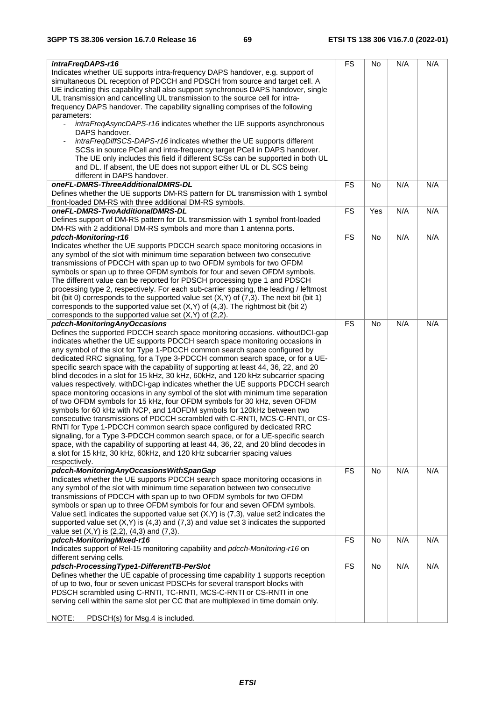| intraFreqDAPS-r16                                                                            | <b>FS</b> | No        | N/A | N/A |
|----------------------------------------------------------------------------------------------|-----------|-----------|-----|-----|
| Indicates whether UE supports intra-frequency DAPS handover, e.g. support of                 |           |           |     |     |
| simultaneous DL reception of PDCCH and PDSCH from source and target cell. A                  |           |           |     |     |
| UE indicating this capability shall also support synchronous DAPS handover, single           |           |           |     |     |
| UL transmission and cancelling UL transmission to the source cell for intra-                 |           |           |     |     |
|                                                                                              |           |           |     |     |
| frequency DAPS handover. The capability signalling comprises of the following                |           |           |     |     |
| parameters:                                                                                  |           |           |     |     |
| intraFreqAsyncDAPS-r16 indicates whether the UE supports asynchronous<br>$\blacksquare$      |           |           |     |     |
| DAPS handover.                                                                               |           |           |     |     |
| intraFreqDiffSCS-DAPS-r16 indicates whether the UE supports different                        |           |           |     |     |
|                                                                                              |           |           |     |     |
| SCSs in source PCell and intra-frequency target PCell in DAPS handover.                      |           |           |     |     |
| The UE only includes this field if different SCSs can be supported in both UL                |           |           |     |     |
| and DL. If absent, the UE does not support either UL or DL SCS being                         |           |           |     |     |
| different in DAPS handover.                                                                  |           |           |     |     |
| oneFL-DMRS-ThreeAdditionalDMRS-DL                                                            | <b>FS</b> | No        | N/A | N/A |
|                                                                                              |           |           |     |     |
| Defines whether the UE supports DM-RS pattern for DL transmission with 1 symbol              |           |           |     |     |
| front-loaded DM-RS with three additional DM-RS symbols.                                      |           |           |     |     |
| oneFL-DMRS-TwoAdditionalDMRS-DL                                                              | <b>FS</b> | Yes       | N/A | N/A |
| Defines support of DM-RS pattern for DL transmission with 1 symbol front-loaded              |           |           |     |     |
| DM-RS with 2 additional DM-RS symbols and more than 1 antenna ports.                         |           |           |     |     |
| pdcch-Monitoring-r16                                                                         | <b>FS</b> | No        | N/A | N/A |
|                                                                                              |           |           |     |     |
| Indicates whether the UE supports PDCCH search space monitoring occasions in                 |           |           |     |     |
| any symbol of the slot with minimum time separation between two consecutive                  |           |           |     |     |
| transmissions of PDCCH with span up to two OFDM symbols for two OFDM                         |           |           |     |     |
| symbols or span up to three OFDM symbols for four and seven OFDM symbols.                    |           |           |     |     |
| The different value can be reported for PDSCH processing type 1 and PDSCH                    |           |           |     |     |
|                                                                                              |           |           |     |     |
| processing type 2, respectively. For each sub-carrier spacing, the leading / leftmost        |           |           |     |     |
| bit (bit 0) corresponds to the supported value set $(X,Y)$ of $(7,3)$ . The next bit (bit 1) |           |           |     |     |
| corresponds to the supported value set $(X, Y)$ of $(4, 3)$ . The rightmost bit (bit 2)      |           |           |     |     |
| corresponds to the supported value set (X,Y) of (2,2).                                       |           |           |     |     |
| pdcch-MonitoringAnyOccasions                                                                 | <b>FS</b> | <b>No</b> | N/A | N/A |
|                                                                                              |           |           |     |     |
| Defines the supported PDCCH search space monitoring occasions. withoutDCI-gap                |           |           |     |     |
| indicates whether the UE supports PDCCH search space monitoring occasions in                 |           |           |     |     |
| any symbol of the slot for Type 1-PDCCH common search space configured by                    |           |           |     |     |
| dedicated RRC signaling, for a Type 3-PDCCH common search space, or for a UE-                |           |           |     |     |
| specific search space with the capability of supporting at least 44, 36, 22, and 20          |           |           |     |     |
|                                                                                              |           |           |     |     |
| blind decodes in a slot for 15 kHz, 30 kHz, 60kHz, and 120 kHz subcarrier spacing            |           |           |     |     |
| values respectively. with DCI-gap indicates whether the UE supports PDCCH search             |           |           |     |     |
| space monitoring occasions in any symbol of the slot with minimum time separation            |           |           |     |     |
| of two OFDM symbols for 15 kHz, four OFDM symbols for 30 kHz, seven OFDM                     |           |           |     |     |
| symbols for 60 kHz with NCP, and 14OFDM symbols for 120kHz between two                       |           |           |     |     |
| consecutive transmissions of PDCCH scrambled with C-RNTI, MCS-C-RNTI, or CS-                 |           |           |     |     |
|                                                                                              |           |           |     |     |
| RNTI for Type 1-PDCCH common search space configured by dedicated RRC                        |           |           |     |     |
| signaling, for a Type 3-PDCCH common search space, or for a UE-specific search               |           |           |     |     |
| space, with the capability of supporting at least 44, 36, 22, and 20 blind decodes in        |           |           |     |     |
| a slot for 15 kHz, 30 kHz, 60kHz, and 120 kHz subcarrier spacing values                      |           |           |     |     |
| respectively.                                                                                |           |           |     |     |
| pdcch-MonitoringAnyOccasionsWithSpanGap                                                      | <b>FS</b> | No        | N/A | N/A |
|                                                                                              |           |           |     |     |
| Indicates whether the UE supports PDCCH search space monitoring occasions in                 |           |           |     |     |
| any symbol of the slot with minimum time separation between two consecutive                  |           |           |     |     |
| transmissions of PDCCH with span up to two OFDM symbols for two OFDM                         |           |           |     |     |
| symbols or span up to three OFDM symbols for four and seven OFDM symbols.                    |           |           |     |     |
| Value set1 indicates the supported value set $(X,Y)$ is $(7,3)$ , value set2 indicates the   |           |           |     |     |
| supported value set $(X,Y)$ is $(4,3)$ and $(7,3)$ and value set 3 indicates the supported   |           |           |     |     |
| value set $(X,Y)$ is $(2,2)$ , $(4,3)$ and $(7,3)$ .                                         |           |           |     |     |
|                                                                                              |           |           |     |     |
| pdcch-MonitoringMixed-r16                                                                    | <b>FS</b> | No        | N/A | N/A |
| Indicates support of Rel-15 monitoring capability and pdcch-Monitoring-r16 on                |           |           |     |     |
| different serving cells.                                                                     |           |           |     |     |
| pdsch-ProcessingType1-DifferentTB-PerSlot                                                    | <b>FS</b> | No        | N/A | N/A |
| Defines whether the UE capable of processing time capability 1 supports reception            |           |           |     |     |
| of up to two, four or seven unicast PDSCHs for several transport blocks with                 |           |           |     |     |
|                                                                                              |           |           |     |     |
| PDSCH scrambled using C-RNTI, TC-RNTI, MCS-C-RNTI or CS-RNTI in one                          |           |           |     |     |
| serving cell within the same slot per CC that are multiplexed in time domain only.           |           |           |     |     |
|                                                                                              |           |           |     |     |
| NOTE:<br>PDSCH(s) for Msg.4 is included.                                                     |           |           |     |     |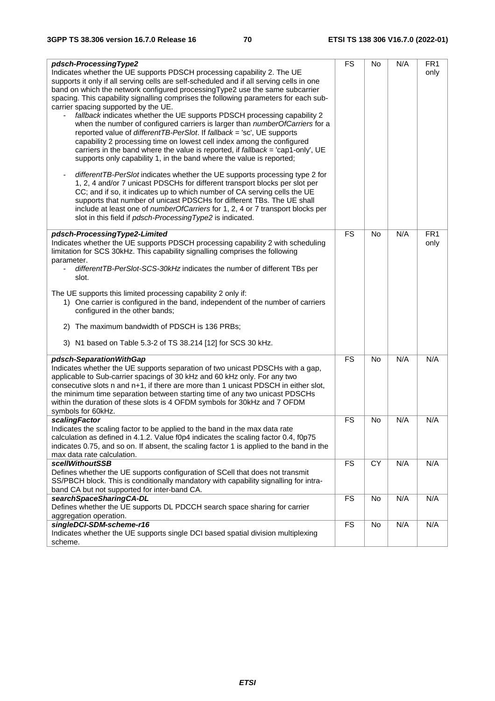| pdsch-ProcessingType2                                                                    | <b>FS</b> | No        | N/A | FR <sub>1</sub> |
|------------------------------------------------------------------------------------------|-----------|-----------|-----|-----------------|
| Indicates whether the UE supports PDSCH processing capability 2. The UE                  |           |           |     | only            |
| supports it only if all serving cells are self-scheduled and if all serving cells in one |           |           |     |                 |
| band on which the network configured processing Type2 use the same subcarrier            |           |           |     |                 |
|                                                                                          |           |           |     |                 |
| spacing. This capability signalling comprises the following parameters for each sub-     |           |           |     |                 |
| carrier spacing supported by the UE.                                                     |           |           |     |                 |
| fallback indicates whether the UE supports PDSCH processing capability 2                 |           |           |     |                 |
| when the number of configured carriers is larger than numberOfCarriers for a             |           |           |     |                 |
| reported value of differentTB-PerSlot. If fallback = 'sc', UE supports                   |           |           |     |                 |
| capability 2 processing time on lowest cell index among the configured                   |           |           |     |                 |
| carriers in the band where the value is reported, if fallback = 'cap1-only', UE          |           |           |     |                 |
| supports only capability 1, in the band where the value is reported;                     |           |           |     |                 |
|                                                                                          |           |           |     |                 |
| differentTB-PerSlot indicates whether the UE supports processing type 2 for              |           |           |     |                 |
| 1, 2, 4 and/or 7 unicast PDSCHs for different transport blocks per slot per              |           |           |     |                 |
| CC; and if so, it indicates up to which number of CA serving cells the UE                |           |           |     |                 |
| supports that number of unicast PDSCHs for different TBs. The UE shall                   |           |           |     |                 |
| include at least one of numberOfCarriers for 1, 2, 4 or 7 transport blocks per           |           |           |     |                 |
| slot in this field if pdsch-Processing Type2 is indicated.                               |           |           |     |                 |
|                                                                                          |           |           |     |                 |
| pdsch-ProcessingType2-Limited                                                            | <b>FS</b> | <b>No</b> | N/A | FR <sub>1</sub> |
| Indicates whether the UE supports PDSCH processing capability 2 with scheduling          |           |           |     | only            |
| limitation for SCS 30kHz. This capability signalling comprises the following             |           |           |     |                 |
| parameter.                                                                               |           |           |     |                 |
| differentTB-PerSlot-SCS-30kHz indicates the number of different TBs per                  |           |           |     |                 |
| slot.                                                                                    |           |           |     |                 |
| The UE supports this limited processing capability 2 only if:                            |           |           |     |                 |
| 1) One carrier is configured in the band, independent of the number of carriers          |           |           |     |                 |
| configured in the other bands;                                                           |           |           |     |                 |
|                                                                                          |           |           |     |                 |
| 2) The maximum bandwidth of PDSCH is 136 PRBs;                                           |           |           |     |                 |
|                                                                                          |           |           |     |                 |
| 3) N1 based on Table 5.3-2 of TS 38.214 [12] for SCS 30 kHz.                             |           |           |     |                 |
| pdsch-SeparationWithGap                                                                  | <b>FS</b> | <b>No</b> | N/A | N/A             |
| Indicates whether the UE supports separation of two unicast PDSCHs with a gap,           |           |           |     |                 |
| applicable to Sub-carrier spacings of 30 kHz and 60 kHz only. For any two                |           |           |     |                 |
| consecutive slots n and n+1, if there are more than 1 unicast PDSCH in either slot,      |           |           |     |                 |
| the minimum time separation between starting time of any two unicast PDSCHs              |           |           |     |                 |
| within the duration of these slots is 4 OFDM symbols for 30kHz and 7 OFDM                |           |           |     |                 |
| symbols for 60kHz.                                                                       |           |           |     |                 |
| scalingFactor                                                                            | <b>FS</b> | <b>No</b> | N/A | N/A             |
| Indicates the scaling factor to be applied to the band in the max data rate              |           |           |     |                 |
| calculation as defined in 4.1.2. Value f0p4 indicates the scaling factor 0.4, f0p75      |           |           |     |                 |
| indicates 0.75, and so on. If absent, the scaling factor 1 is applied to the band in the |           |           |     |                 |
| max data rate calculation.                                                               |           |           |     |                 |
| scellWithoutSSB                                                                          | <b>FS</b> | CY        | N/A | N/A             |
| Defines whether the UE supports configuration of SCell that does not transmit            |           |           |     |                 |
| SS/PBCH block. This is conditionally mandatory with capability signalling for intra-     |           |           |     |                 |
| band CA but not supported for inter-band CA.                                             |           |           |     |                 |
| searchSpaceSharingCA-DL                                                                  | <b>FS</b> | No        | N/A | N/A             |
| Defines whether the UE supports DL PDCCH search space sharing for carrier                |           |           |     |                 |
| aggregation operation.                                                                   |           |           |     |                 |
| singleDCI-SDM-scheme-r16                                                                 | <b>FS</b> | No        | N/A | N/A             |
| Indicates whether the UE supports single DCI based spatial division multiplexing         |           |           |     |                 |
| scheme.                                                                                  |           |           |     |                 |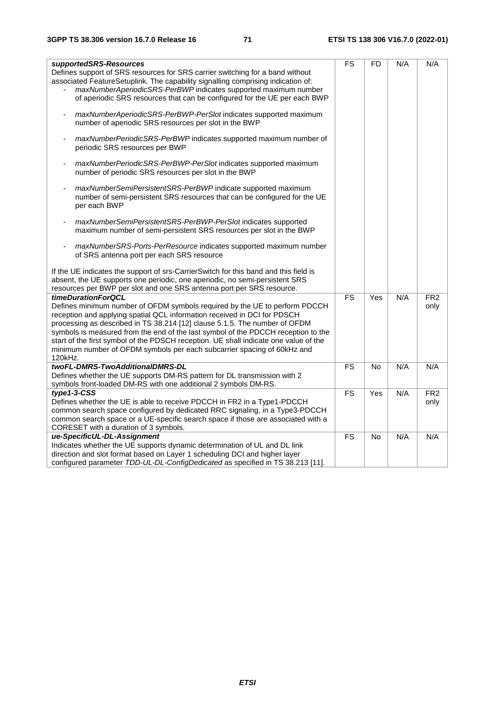| supportedSRS-Resources<br>Defines support of SRS resources for SRS carrier switching for a band without<br>associated FeatureSetuplink. The capability signalling comprising indication of:<br>maxNumberAperiodicSRS-PerBWP indicates supported maximum number<br>of aperiodic SRS resources that can be configured for the UE per each BWP                                                                                                                                                                                   | <b>FS</b>       | <b>FD</b> | N/A | N/A                     |
|-------------------------------------------------------------------------------------------------------------------------------------------------------------------------------------------------------------------------------------------------------------------------------------------------------------------------------------------------------------------------------------------------------------------------------------------------------------------------------------------------------------------------------|-----------------|-----------|-----|-------------------------|
| maxNumberAperiodicSRS-PerBWP-PerSlot indicates supported maximum<br>number of aperiodic SRS resources per slot in the BWP                                                                                                                                                                                                                                                                                                                                                                                                     |                 |           |     |                         |
| maxNumberPeriodicSRS-PerBWP indicates supported maximum number of<br>periodic SRS resources per BWP                                                                                                                                                                                                                                                                                                                                                                                                                           |                 |           |     |                         |
| maxNumberPeriodicSRS-PerBWP-PerSlot indicates supported maximum<br>number of periodic SRS resources per slot in the BWP                                                                                                                                                                                                                                                                                                                                                                                                       |                 |           |     |                         |
| maxNumberSemiPersistentSRS-PerBWP indicate supported maximum<br>number of semi-persistent SRS resources that can be configured for the UE<br>per each BWP                                                                                                                                                                                                                                                                                                                                                                     |                 |           |     |                         |
| maxNumberSemiPersistentSRS-PerBWP-PerSlot indicates supported<br>maximum number of semi-persistent SRS resources per slot in the BWP                                                                                                                                                                                                                                                                                                                                                                                          |                 |           |     |                         |
| maxNumberSRS-Ports-PerResource indicates supported maximum number<br>of SRS antenna port per each SRS resource                                                                                                                                                                                                                                                                                                                                                                                                                |                 |           |     |                         |
| If the UE indicates the support of srs-CarrierSwitch for this band and this field is<br>absent, the UE supports one periodic, one aperiodic, no semi-persistent SRS<br>resources per BWP per slot and one SRS antenna port per SRS resource.                                                                                                                                                                                                                                                                                  |                 |           |     |                         |
| timeDurationForQCL<br>Defines minimum number of OFDM symbols required by the UE to perform PDCCH<br>reception and applying spatial QCL information received in DCI for PDSCH<br>processing as described in TS 38.214 [12] clause 5.1.5. The number of OFDM<br>symbols is measured from the end of the last symbol of the PDCCH reception to the<br>start of the first symbol of the PDSCH reception. UE shall indicate one value of the<br>minimum number of OFDM symbols per each subcarrier spacing of 60kHz and<br>120kHz. | $\overline{FS}$ | Yes       | N/A | FR <sub>2</sub><br>only |
| twoFL-DMRS-TwoAdditionalDMRS-DL<br>Defines whether the UE supports DM-RS pattern for DL transmission with 2                                                                                                                                                                                                                                                                                                                                                                                                                   | FS              | No        | N/A | N/A                     |
| symbols front-loaded DM-RS with one additional 2 symbols DM-RS.<br>$type1-3-CSS$<br>Defines whether the UE is able to receive PDCCH in FR2 in a Type1-PDCCH<br>common search space configured by dedicated RRC signaling, in a Type3-PDCCH<br>common search space or a UE-specific search space if those are associated with a<br>CORESET with a duration of 3 symbols.                                                                                                                                                       | $\overline{FS}$ | Yes       | N/A | FR2<br>only             |
| ue-SpecificUL-DL-Assignment<br>Indicates whether the UE supports dynamic determination of UL and DL link<br>direction and slot format based on Layer 1 scheduling DCI and higher layer<br>configured parameter TDD-UL-DL-ConfigDedicated as specified in TS 38.213 [11].                                                                                                                                                                                                                                                      | <b>FS</b>       | No        | N/A | N/A                     |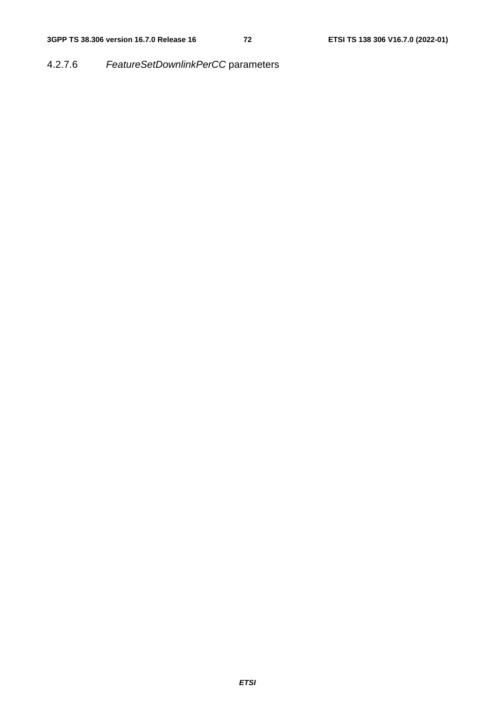4.2.7.6 *FeatureSetDownlinkPerCC* parameters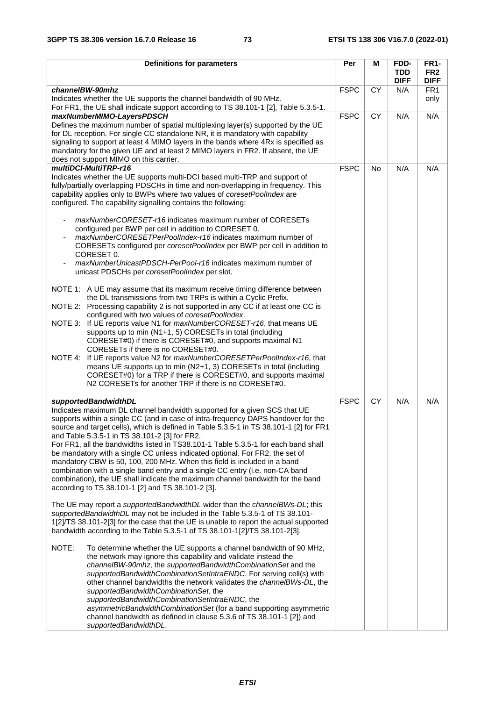| <b>Definitions for parameters</b>                                                                                                                                                                                                                                                                                                                                                                                                                                                                                                                                                                                                                                                                                                                                                                                                                                                                                                                                                                                                                                                                                                                                                                                                                                                                                                                                                                                                                                                                                                                                                                                                                                                                                                                                                                    | Per         | Μ         | FDD-<br><b>TDD</b> | <b>FR1-</b><br>FR <sub>2</sub> |
|------------------------------------------------------------------------------------------------------------------------------------------------------------------------------------------------------------------------------------------------------------------------------------------------------------------------------------------------------------------------------------------------------------------------------------------------------------------------------------------------------------------------------------------------------------------------------------------------------------------------------------------------------------------------------------------------------------------------------------------------------------------------------------------------------------------------------------------------------------------------------------------------------------------------------------------------------------------------------------------------------------------------------------------------------------------------------------------------------------------------------------------------------------------------------------------------------------------------------------------------------------------------------------------------------------------------------------------------------------------------------------------------------------------------------------------------------------------------------------------------------------------------------------------------------------------------------------------------------------------------------------------------------------------------------------------------------------------------------------------------------------------------------------------------------|-------------|-----------|--------------------|--------------------------------|
|                                                                                                                                                                                                                                                                                                                                                                                                                                                                                                                                                                                                                                                                                                                                                                                                                                                                                                                                                                                                                                                                                                                                                                                                                                                                                                                                                                                                                                                                                                                                                                                                                                                                                                                                                                                                      |             |           | <b>DIFF</b>        | <b>DIFF</b>                    |
| channelBW-90mhz<br>Indicates whether the UE supports the channel bandwidth of 90 MHz.<br>For FR1, the UE shall indicate support according to TS 38.101-1 [2], Table 5.3.5-1.                                                                                                                                                                                                                                                                                                                                                                                                                                                                                                                                                                                                                                                                                                                                                                                                                                                                                                                                                                                                                                                                                                                                                                                                                                                                                                                                                                                                                                                                                                                                                                                                                         | <b>FSPC</b> | <b>CY</b> | N/A                | FR <sub>1</sub><br>only        |
| maxNumberMIMO-LayersPDSCH<br>Defines the maximum number of spatial multiplexing layer(s) supported by the UE<br>for DL reception. For single CC standalone NR, it is mandatory with capability<br>signaling to support at least 4 MIMO layers in the bands where 4Rx is specified as<br>mandatory for the given UE and at least 2 MIMO layers in FR2. If absent, the UE<br>does not support MIMO on this carrier.                                                                                                                                                                                                                                                                                                                                                                                                                                                                                                                                                                                                                                                                                                                                                                                                                                                                                                                                                                                                                                                                                                                                                                                                                                                                                                                                                                                    | <b>FSPC</b> | <b>CY</b> | N/A                | N/A                            |
| multiDCI-MultiTRP-r16<br>Indicates whether the UE supports multi-DCI based multi-TRP and support of<br>fully/partially overlapping PDSCHs in time and non-overlapping in frequency. This<br>capability applies only to BWPs where two values of coresetPoolIndex are<br>configured. The capability signalling contains the following:<br>maxNumberCORESET-r16 indicates maximum number of CORESETs<br>configured per BWP per cell in addition to CORESET 0.<br>maxNumberCORESETPerPoolIndex-r16 indicates maximum number of<br>CORESETs configured per coresetPoolIndex per BWP per cell in addition to<br>CORESET 0.<br>maxNumberUnicastPDSCH-PerPool-r16 indicates maximum number of<br>unicast PDSCHs per coresetPoolIndex per slot.                                                                                                                                                                                                                                                                                                                                                                                                                                                                                                                                                                                                                                                                                                                                                                                                                                                                                                                                                                                                                                                              | <b>FSPC</b> | No        | N/A                | N/A                            |
| NOTE 1: A UE may assume that its maximum receive timing difference between<br>the DL transmissions from two TRPs is within a Cyclic Prefix.<br>NOTE 2: Processing capability 2 is not supported in any CC if at least one CC is<br>configured with two values of coresetPoolIndex.<br>If UE reports value N1 for maxNumberCORESET-r16, that means UE<br>NOTE 3:<br>supports up to min (N1+1, 5) CORESETs in total (including<br>CORESET#0) if there is CORESET#0, and supports maximal N1<br>CORESETs if there is no CORESET#0.<br>If UE reports value N2 for maxNumberCORESETPerPoolIndex-r16, that<br>NOTE 4:<br>means UE supports up to min (N2+1, 3) CORESETs in total (including<br>CORESET#0) for a TRP if there is CORESET#0, and supports maximal<br>N2 CORESETs for another TRP if there is no CORESET#0.                                                                                                                                                                                                                                                                                                                                                                                                                                                                                                                                                                                                                                                                                                                                                                                                                                                                                                                                                                                   |             |           |                    |                                |
| supportedBandwidthDL<br>Indicates maximum DL channel bandwidth supported for a given SCS that UE<br>supports within a single CC (and in case of intra-frequency DAPS handover for the<br>source and target cells), which is defined in Table 5.3.5-1 in TS 38.101-1 [2] for FR1<br>and Table 5.3.5-1 in TS 38.101-2 [3] for FR2.<br>For FR1, all the bandwidths listed in TS38.101-1 Table 5.3.5-1 for each band shall<br>be mandatory with a single CC unless indicated optional. For FR2, the set of<br>mandatory CBW is 50, 100, 200 MHz. When this field is included in a band<br>combination with a single band entry and a single CC entry (i.e. non-CA band<br>combination), the UE shall indicate the maximum channel bandwidth for the band<br>according to TS 38.101-1 [2] and TS 38.101-2 [3].<br>The UE may report a <i>supportedBandwidthDL</i> wider than the <i>channelBWs-DL</i> ; this<br>supportedBandwidthDL may not be included in the Table 5.3.5-1 of TS 38.101-<br>1[2]/TS 38.101-2[3] for the case that the UE is unable to report the actual supported<br>bandwidth according to the Table 5.3.5-1 of TS 38.101-1[2]/TS 38.101-2[3].<br>NOTE:<br>To determine whether the UE supports a channel bandwidth of 90 MHz,<br>the network may ignore this capability and validate instead the<br>channelBW-90mhz, the supportedBandwidthCombinationSet and the<br>supportedBandwidthCombinationSetIntraENDC. For serving cell(s) with<br>other channel bandwidths the network validates the channelBWs-DL, the<br>supportedBandwidthCombinationSet, the<br>supportedBandwidthCombinationSetIntraENDC, the<br>asymmetricBandwidthCombinationSet (for a band supporting asymmetric<br>channel bandwidth as defined in clause 5.3.6 of TS 38.101-1 [2]) and<br>supportedBandwidthDL. | <b>FSPC</b> | <b>CY</b> | N/A                | N/A                            |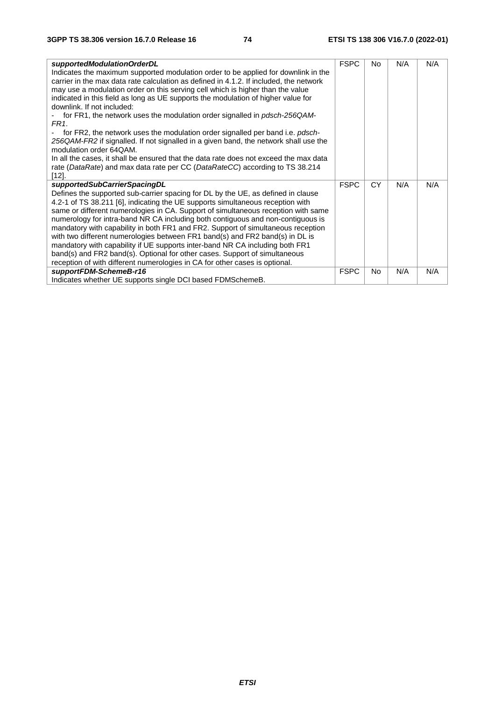| supportedModulationOrderDL<br>Indicates the maximum supported modulation order to be applied for downlink in the<br>carrier in the max data rate calculation as defined in 4.1.2. If included, the network<br>may use a modulation order on this serving cell which is higher than the value<br>indicated in this field as long as UE supports the modulation of higher value for<br>downlink. If not included:<br>for FR1, the network uses the modulation order signalled in <i>pdsch-256QAM-</i><br>FR <sub>1</sub><br>for FR2, the network uses the modulation order signalled per band i.e. pdsch-<br>256QAM-FR2 if signalled. If not signalled in a given band, the network shall use the<br>modulation order 64QAM.<br>In all the cases, it shall be ensured that the data rate does not exceed the max data<br>rate (DataRate) and max data rate per CC (DataRateCC) according to TS 38.214<br>$[12]$ . | <b>FSPC</b> | No        | N/A | N/A |
|-----------------------------------------------------------------------------------------------------------------------------------------------------------------------------------------------------------------------------------------------------------------------------------------------------------------------------------------------------------------------------------------------------------------------------------------------------------------------------------------------------------------------------------------------------------------------------------------------------------------------------------------------------------------------------------------------------------------------------------------------------------------------------------------------------------------------------------------------------------------------------------------------------------------|-------------|-----------|-----|-----|
| supportedSubCarrierSpacingDL<br>Defines the supported sub-carrier spacing for DL by the UE, as defined in clause<br>4.2-1 of TS 38.211 [6], indicating the UE supports simultaneous reception with<br>same or different numerologies in CA. Support of simultaneous reception with same<br>numerology for intra-band NR CA including both contiguous and non-contiguous is<br>mandatory with capability in both FR1 and FR2. Support of simultaneous reception<br>with two different numerologies between FR1 band(s) and FR2 band(s) in DL is<br>mandatory with capability if UE supports inter-band NR CA including both FR1<br>band(s) and FR2 band(s). Optional for other cases. Support of simultaneous<br>reception of with different numerologies in CA for other cases is optional.                                                                                                                     | <b>FSPC</b> | <b>CY</b> | N/A | N/A |
| supportFDM-SchemeB-r16<br>Indicates whether UE supports single DCI based FDMSchemeB.                                                                                                                                                                                                                                                                                                                                                                                                                                                                                                                                                                                                                                                                                                                                                                                                                            | <b>FSPC</b> | <b>No</b> | N/A | N/A |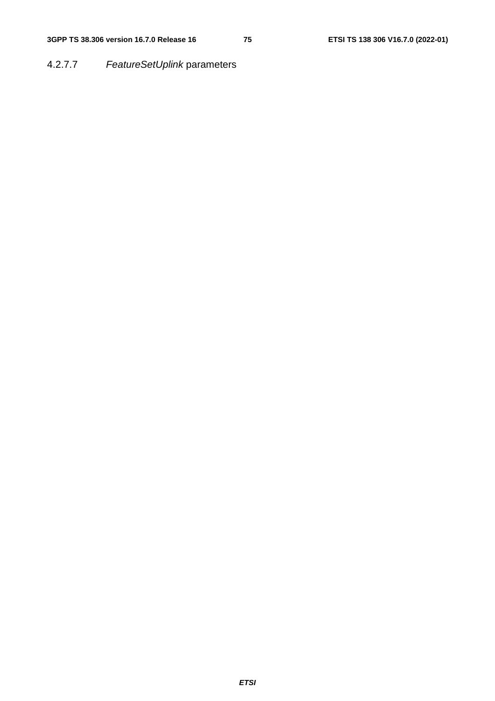## 4.2.7.7 *FeatureSetUplink* parameters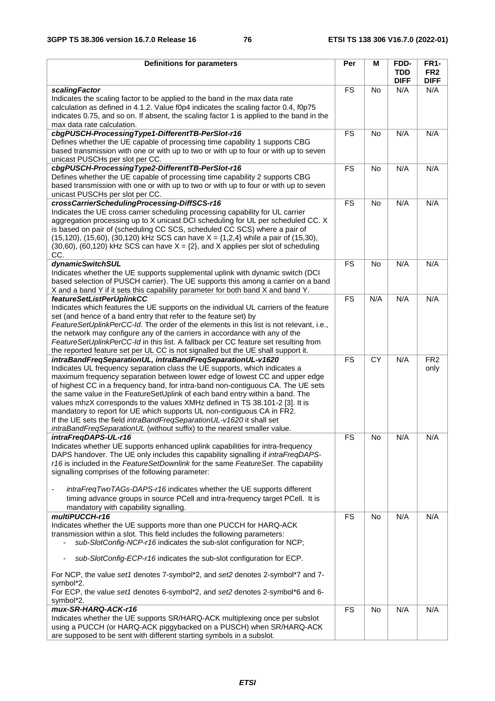| <b>Definitions for parameters</b>                                                                                                                                                                                                                                                                                                                                                                                                                                                                                                                                                                                                                                                                          | Per             | M               | FDD-<br><b>TDD</b> | <b>FR1-</b><br>FR <sub>2</sub> |
|------------------------------------------------------------------------------------------------------------------------------------------------------------------------------------------------------------------------------------------------------------------------------------------------------------------------------------------------------------------------------------------------------------------------------------------------------------------------------------------------------------------------------------------------------------------------------------------------------------------------------------------------------------------------------------------------------------|-----------------|-----------------|--------------------|--------------------------------|
|                                                                                                                                                                                                                                                                                                                                                                                                                                                                                                                                                                                                                                                                                                            |                 |                 | <b>DIFF</b>        | <b>DIFF</b>                    |
| <b>scalingFactor</b><br>Indicates the scaling factor to be applied to the band in the max data rate<br>calculation as defined in 4.1.2. Value f0p4 indicates the scaling factor 0.4, f0p75<br>indicates 0.75, and so on. If absent, the scaling factor 1 is applied to the band in the<br>max data rate calculation.                                                                                                                                                                                                                                                                                                                                                                                       | <b>FS</b>       | <b>No</b>       | N/A                | N/A                            |
| cbgPUSCH-ProcessingType1-DifferentTB-PerSlot-r16<br>Defines whether the UE capable of processing time capability 1 supports CBG<br>based transmission with one or with up to two or with up to four or with up to seven<br>unicast PUSCHs per slot per CC.                                                                                                                                                                                                                                                                                                                                                                                                                                                 | <b>FS</b>       | No              | N/A                | N/A                            |
| cbgPUSCH-ProcessingType2-DifferentTB-PerSlot-r16<br>Defines whether the UE capable of processing time capability 2 supports CBG<br>based transmission with one or with up to two or with up to four or with up to seven<br>unicast PUSCHs per slot per CC.                                                                                                                                                                                                                                                                                                                                                                                                                                                 | <b>FS</b>       | No              | N/A                | N/A                            |
| crossCarrierSchedulingProcessing-DiffSCS-r16<br>Indicates the UE cross carrier scheduling processing capability for UL carrier<br>aggregation processing up to X unicast DCI scheduling for UL per scheduled CC. X<br>is based on pair of (scheduling CC SCS, scheduled CC SCS) where a pair of<br>$(15, 120)$ , $(15, 60)$ , $(30, 120)$ kHz SCS can have $X = \{1, 2, 4\}$ while a pair of $(15, 30)$ ,<br>$(30,60)$ , $(60,120)$ kHz SCS can have $X = \{2\}$ , and X applies per slot of scheduling<br>CC.                                                                                                                                                                                             | <b>FS</b>       | <b>No</b>       | N/A                | N/A                            |
| dynamicSwitchSUL<br>Indicates whether the UE supports supplemental uplink with dynamic switch (DCI<br>based selection of PUSCH carrier). The UE supports this among a carrier on a band<br>X and a band Y if it sets this capability parameter for both band X and band Y.                                                                                                                                                                                                                                                                                                                                                                                                                                 | <b>FS</b>       | <b>No</b>       | N/A                | N/A                            |
| featureSetListPerUplinkCC<br>Indicates which features the UE supports on the individual UL carriers of the feature<br>set (and hence of a band entry that refer to the feature set) by<br>FeatureSetUplinkPerCC-Id. The order of the elements in this list is not relevant, i.e.,<br>the network may configure any of the carriers in accordance with any of the<br>FeatureSetUplinkPerCC-Id in this list. A fallback per CC feature set resulting from<br>the reported feature set per UL CC is not signalled but the UE shall support it.                                                                                                                                                                | $\overline{FS}$ | N/A             | N/A                | N/A                            |
| intraBandFreqSeparationUL, intraBandFreqSeparationUL-v1620<br>Indicates UL frequency separation class the UE supports, which indicates a<br>maximum frequency separation between lower edge of lowest CC and upper edge<br>of highest CC in a frequency band, for intra-band non-contiguous CA. The UE sets<br>the same value in the FeatureSetUplink of each band entry within a band. The<br>values mhzX corresponds to the values XMHz defined in TS 38.101-2 [3]. It is<br>mandatory to report for UE which supports UL non-contiguous CA in FR2.<br>If the UE sets the field intraBandFreqSeparationUL-v1620 it shall set<br>intraBandFreqSeparationUL (without suffix) to the nearest smaller value. | <b>FS</b>       | $\overline{CY}$ | N/A                | FR <sub>2</sub><br>only        |
| intraFreqDAPS-UL-r16<br>Indicates whether UE supports enhanced uplink capabilities for intra-frequency<br>DAPS handover. The UE only includes this capability signalling if intraFreqDAPS-<br>r16 is included in the FeatureSetDownlink for the same FeatureSet. The capability<br>signalling comprises of the following parameter:<br>intraFreqTwoTAGs-DAPS-r16 indicates whether the UE supports different<br>timing advance groups in source PCell and intra-frequency target PCell. It is                                                                                                                                                                                                              | <b>FS</b>       | No              | N/A                | N/A                            |
| mandatory with capability signalling.<br>multiPUCCH-r16<br>Indicates whether the UE supports more than one PUCCH for HARQ-ACK<br>transmission within a slot. This field includes the following parameters:<br>sub-SlotConfig-NCP-r16 indicates the sub-slot configuration for NCP;                                                                                                                                                                                                                                                                                                                                                                                                                         | <b>FS</b>       | No              | N/A                | N/A                            |
| sub-SlotConfig-ECP-r16 indicates the sub-slot configuration for ECP.<br>For NCP, the value set1 denotes 7-symbol*2, and set2 denotes 2-symbol*7 and 7-<br>symbol*2.<br>For ECP, the value set1 denotes 6-symbol*2, and set2 denotes 2-symbol*6 and 6-<br>symbol*2.                                                                                                                                                                                                                                                                                                                                                                                                                                         |                 |                 |                    |                                |
| mux-SR-HARQ-ACK-r16<br>Indicates whether the UE supports SR/HARQ-ACK multiplexing once per subslot<br>using a PUCCH (or HARQ-ACK piggybacked on a PUSCH) when SR/HARQ-ACK<br>are supposed to be sent with different starting symbols in a subslot.                                                                                                                                                                                                                                                                                                                                                                                                                                                         | <b>FS</b>       | No              | N/A                | N/A                            |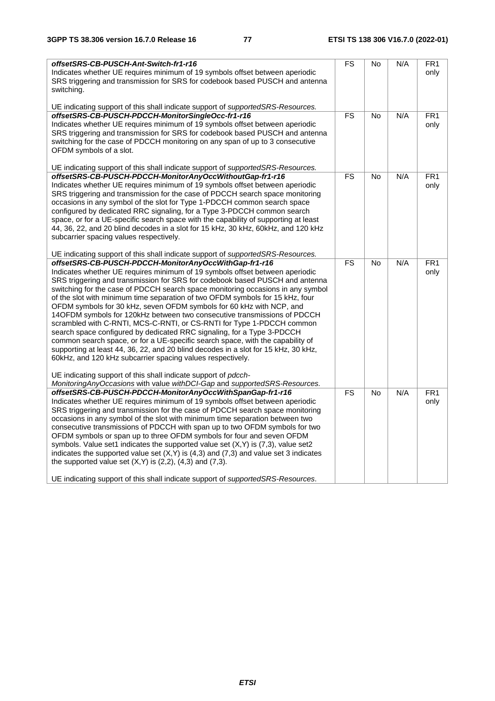| offsetSRS-CB-PUSCH-Ant-Switch-fr1-r16<br>Indicates whether UE requires minimum of 19 symbols offset between aperiodic<br>SRS triggering and transmission for SRS for codebook based PUSCH and antenna<br>switching.                                                                                                                                                                                                                                                                                                                                                                                                                                                                                                                                                                                                                                                                                                                                                             | FS                       | <b>No</b> | N/A | FR <sub>1</sub><br>only  |
|---------------------------------------------------------------------------------------------------------------------------------------------------------------------------------------------------------------------------------------------------------------------------------------------------------------------------------------------------------------------------------------------------------------------------------------------------------------------------------------------------------------------------------------------------------------------------------------------------------------------------------------------------------------------------------------------------------------------------------------------------------------------------------------------------------------------------------------------------------------------------------------------------------------------------------------------------------------------------------|--------------------------|-----------|-----|--------------------------|
| UE indicating support of this shall indicate support of <i>supportedSRS-Resources</i> .<br>offsetSRS-CB-PUSCH-PDCCH-MonitorSingleOcc-fr1-r16<br>Indicates whether UE requires minimum of 19 symbols offset between aperiodic<br>SRS triggering and transmission for SRS for codebook based PUSCH and antenna<br>switching for the case of PDCCH monitoring on any span of up to 3 consecutive<br>OFDM symbols of a slot.                                                                                                                                                                                                                                                                                                                                                                                                                                                                                                                                                        | $\overline{\text{FS}}$   | No        | N/A | FR <sub>1</sub><br>only  |
| UE indicating support of this shall indicate support of <i>supportedSRS-Resources</i> .<br>offsetSRS-CB-PUSCH-PDCCH-MonitorAnyOccWithoutGap-fr1-r16<br>Indicates whether UE requires minimum of 19 symbols offset between aperiodic<br>SRS triggering and transmission for the case of PDCCH search space monitoring<br>occasions in any symbol of the slot for Type 1-PDCCH common search space<br>configured by dedicated RRC signaling, for a Type 3-PDCCH common search<br>space, or for a UE-specific search space with the capability of supporting at least<br>44, 36, 22, and 20 blind decodes in a slot for 15 kHz, 30 kHz, 60kHz, and 120 kHz<br>subcarrier spacing values respectively.<br>UE indicating support of this shall indicate support of supportedSRS-Resources.                                                                                                                                                                                           | $\overline{\mathsf{FS}}$ | No        | N/A | $\overline{FR1}$<br>only |
| offsetSRS-CB-PUSCH-PDCCH-MonitorAnyOccWithGap-fr1-r16<br>Indicates whether UE requires minimum of 19 symbols offset between aperiodic<br>SRS triggering and transmission for SRS for codebook based PUSCH and antenna<br>switching for the case of PDCCH search space monitoring occasions in any symbol<br>of the slot with minimum time separation of two OFDM symbols for 15 kHz, four<br>OFDM symbols for 30 kHz, seven OFDM symbols for 60 kHz with NCP, and<br>14OFDM symbols for 120kHz between two consecutive transmissions of PDCCH<br>scrambled with C-RNTI, MCS-C-RNTI, or CS-RNTI for Type 1-PDCCH common<br>search space configured by dedicated RRC signaling, for a Type 3-PDCCH<br>common search space, or for a UE-specific search space, with the capability of<br>supporting at least 44, 36, 22, and 20 blind decodes in a slot for 15 kHz, 30 kHz,<br>60kHz, and 120 kHz subcarrier spacing values respectively.                                          | <b>FS</b>                | <b>No</b> | N/A | $\overline{FR1}$<br>only |
| UE indicating support of this shall indicate support of <i>pdcch</i> -<br>Monitoring Any Occasions with value with DCI-Gap and supported SRS-Resources.<br>offsetSRS-CB-PUSCH-PDCCH-MonitorAnyOccWithSpanGap-fr1-r16<br>Indicates whether UE requires minimum of 19 symbols offset between aperiodic<br>SRS triggering and transmission for the case of PDCCH search space monitoring<br>occasions in any symbol of the slot with minimum time separation between two<br>consecutive transmissions of PDCCH with span up to two OFDM symbols for two<br>OFDM symbols or span up to three OFDM symbols for four and seven OFDM<br>symbols. Value set1 indicates the supported value set $(X, Y)$ is $(7,3)$ , value set2<br>indicates the supported value set $(X, Y)$ is $(4,3)$ and $(7,3)$ and value set 3 indicates<br>the supported value set $(X,Y)$ is $(2,2)$ , $(4,3)$ and $(7,3)$ .<br>UE indicating support of this shall indicate support of supportedSRS-Resources. | <b>FS</b>                | <b>No</b> | N/A | FR1<br>only              |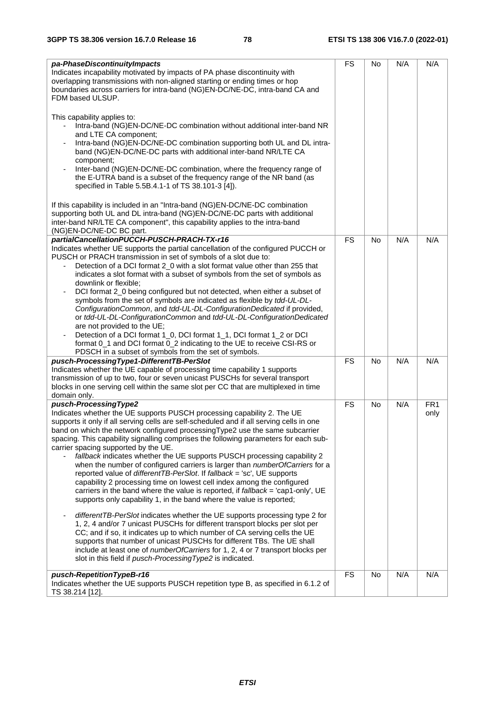| pa-PhaseDiscontinuityImpacts<br>Indicates incapability motivated by impacts of PA phase discontinuity with<br>overlapping transmissions with non-aligned starting or ending times or hop<br>boundaries across carriers for intra-band (NG)EN-DC/NE-DC, intra-band CA and<br>FDM based ULSUP.                                                                                                                                                                                                                                                                                                                                                                                                                                                                                                                                                                                                                                                                                                                                                                                                                                                                                                                                                                                                                                                                  | <b>FS</b> | <b>No</b> | N/A | N/A                     |
|---------------------------------------------------------------------------------------------------------------------------------------------------------------------------------------------------------------------------------------------------------------------------------------------------------------------------------------------------------------------------------------------------------------------------------------------------------------------------------------------------------------------------------------------------------------------------------------------------------------------------------------------------------------------------------------------------------------------------------------------------------------------------------------------------------------------------------------------------------------------------------------------------------------------------------------------------------------------------------------------------------------------------------------------------------------------------------------------------------------------------------------------------------------------------------------------------------------------------------------------------------------------------------------------------------------------------------------------------------------|-----------|-----------|-----|-------------------------|
| This capability applies to:<br>Intra-band (NG)EN-DC/NE-DC combination without additional inter-band NR<br>and LTE CA component;<br>Intra-band (NG)EN-DC/NE-DC combination supporting both UL and DL intra-<br>band (NG)EN-DC/NE-DC parts with additional inter-band NR/LTE CA<br>component;<br>Inter-band (NG)EN-DC/NE-DC combination, where the frequency range of<br>the E-UTRA band is a subset of the frequency range of the NR band (as<br>specified in Table 5.5B.4.1-1 of TS 38.101-3 [4]).                                                                                                                                                                                                                                                                                                                                                                                                                                                                                                                                                                                                                                                                                                                                                                                                                                                            |           |           |     |                         |
| If this capability is included in an "Intra-band (NG)EN-DC/NE-DC combination<br>supporting both UL and DL intra-band (NG)EN-DC/NE-DC parts with additional<br>inter-band NR/LTE CA component", this capability applies to the intra-band<br>(NG)EN-DC/NE-DC BC part.                                                                                                                                                                                                                                                                                                                                                                                                                                                                                                                                                                                                                                                                                                                                                                                                                                                                                                                                                                                                                                                                                          |           |           |     |                         |
| partialCancellationPUCCH-PUSCH-PRACH-TX-r16<br>Indicates whether UE supports the partial cancellation of the configured PUCCH or<br>PUSCH or PRACH transmission in set of symbols of a slot due to:<br>Detection of a DCI format 2_0 with a slot format value other than 255 that<br>indicates a slot format with a subset of symbols from the set of symbols as<br>downlink or flexible;<br>DCI format 2_0 being configured but not detected, when either a subset of<br>symbols from the set of symbols are indicated as flexible by tdd-UL-DL-<br>ConfigurationCommon, and tdd-UL-DL-ConfigurationDedicated if provided,<br>or tdd-UL-DL-ConfigurationCommon and tdd-UL-DL-ConfigurationDedicated<br>are not provided to the UE;<br>Detection of a DCI format 1_0, DCI format 1_1, DCI format 1_2 or DCI<br>format 0_1 and DCI format 0_2 indicating to the UE to receive CSI-RS or<br>PDSCH in a subset of symbols from the set of symbols.                                                                                                                                                                                                                                                                                                                                                                                                               | <b>FS</b> | <b>No</b> | N/A | N/A                     |
| pusch-ProcessingType1-DifferentTB-PerSlot<br>Indicates whether the UE capable of processing time capability 1 supports<br>transmission of up to two, four or seven unicast PUSCHs for several transport<br>blocks in one serving cell within the same slot per CC that are multiplexed in time<br>domain only.                                                                                                                                                                                                                                                                                                                                                                                                                                                                                                                                                                                                                                                                                                                                                                                                                                                                                                                                                                                                                                                | <b>FS</b> | No        | N/A | N/A                     |
| pusch-ProcessingType2<br>Indicates whether the UE supports PUSCH processing capability 2. The UE<br>supports it only if all serving cells are self-scheduled and if all serving cells in one<br>band on which the network configured processing Type2 use the same subcarrier<br>spacing. This capability signalling comprises the following parameters for each sub-<br>carrier spacing supported by the UE.<br>fallback indicates whether the UE supports PUSCH processing capability 2<br>when the number of configured carriers is larger than numberOfCarriers for a<br>reported value of differentTB-PerSlot. If fallback = 'sc', UE supports<br>capability 2 processing time on lowest cell index among the configured<br>carriers in the band where the value is reported, if fallback = 'cap1-only', UE<br>supports only capability 1, in the band where the value is reported;<br>differentTB-PerSlot indicates whether the UE supports processing type 2 for<br>1, 2, 4 and/or 7 unicast PUSCHs for different transport blocks per slot per<br>CC; and if so, it indicates up to which number of CA serving cells the UE<br>supports that number of unicast PUSCHs for different TBs. The UE shall<br>include at least one of numberOfCarriers for 1, 2, 4 or 7 transport blocks per<br>slot in this field if pusch-Processing Type2 is indicated. | FS        | <b>No</b> | N/A | FR <sub>1</sub><br>only |
| pusch-RepetitionTypeB-r16<br>Indicates whether the UE supports PUSCH repetition type B, as specified in 6.1.2 of<br>TS 38.214 [12].                                                                                                                                                                                                                                                                                                                                                                                                                                                                                                                                                                                                                                                                                                                                                                                                                                                                                                                                                                                                                                                                                                                                                                                                                           | <b>FS</b> | No        | N/A | N/A                     |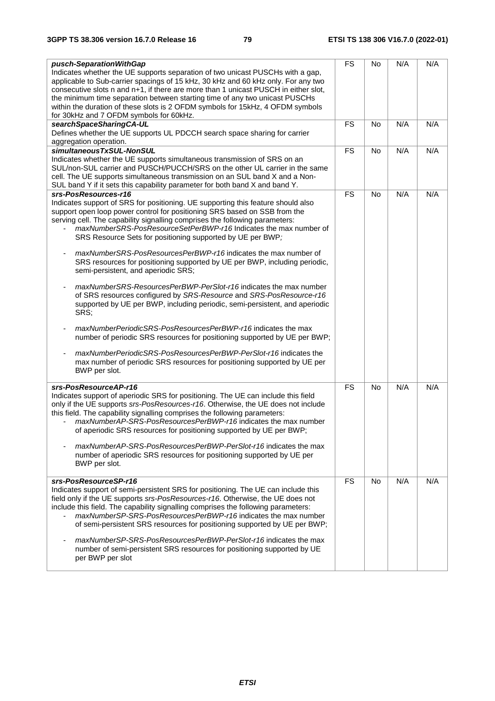| pusch-SeparationWithGap<br>Indicates whether the UE supports separation of two unicast PUSCHs with a gap,<br>applicable to Sub-carrier spacings of 15 kHz, 30 kHz and 60 kHz only. For any two<br>consecutive slots n and n+1, if there are more than 1 unicast PUSCH in either slot,<br>the minimum time separation between starting time of any two unicast PUSCHs<br>within the duration of these slots is 2 OFDM symbols for 15kHz, 4 OFDM symbols<br>for 30kHz and 7 OFDM symbols for 60kHz.                                                                                                                                                                                                                                                                                                                                                                                                                                                                                                                                                                                                                                                  | <b>FS</b> | No        | N/A | N/A |
|----------------------------------------------------------------------------------------------------------------------------------------------------------------------------------------------------------------------------------------------------------------------------------------------------------------------------------------------------------------------------------------------------------------------------------------------------------------------------------------------------------------------------------------------------------------------------------------------------------------------------------------------------------------------------------------------------------------------------------------------------------------------------------------------------------------------------------------------------------------------------------------------------------------------------------------------------------------------------------------------------------------------------------------------------------------------------------------------------------------------------------------------------|-----------|-----------|-----|-----|
| searchSpaceSharingCA-UL<br>Defines whether the UE supports UL PDCCH search space sharing for carrier<br>aggregation operation.                                                                                                                                                                                                                                                                                                                                                                                                                                                                                                                                                                                                                                                                                                                                                                                                                                                                                                                                                                                                                     | <b>FS</b> | No        | N/A | N/A |
| simultaneousTxSUL-NonSUL<br>Indicates whether the UE supports simultaneous transmission of SRS on an<br>SUL/non-SUL carrier and PUSCH/PUCCH/SRS on the other UL carrier in the same<br>cell. The UE supports simultaneous transmission on an SUL band X and a Non-<br>SUL band Y if it sets this capability parameter for both band X and band Y.                                                                                                                                                                                                                                                                                                                                                                                                                                                                                                                                                                                                                                                                                                                                                                                                  | <b>FS</b> | No        | N/A | N/A |
| srs-PosResources-r16<br>Indicates support of SRS for positioning. UE supporting this feature should also<br>support open loop power control for positioning SRS based on SSB from the<br>serving cell. The capability signalling comprises the following parameters:<br>maxNumberSRS-PosResourceSetPerBWP-r16 Indicates the max number of<br>SRS Resource Sets for positioning supported by UE per BWP;<br>maxNumberSRS-PosResourcesPerBWP-r16 indicates the max number of<br>SRS resources for positioning supported by UE per BWP, including periodic,<br>semi-persistent, and aperiodic SRS;<br>maxNumberSRS-ResourcesPerBWP-PerSlot-r16 indicates the max number<br>of SRS resources configured by SRS-Resource and SRS-PosResource-r16<br>supported by UE per BWP, including periodic, semi-persistent, and aperiodic<br>SRS;<br>maxNumberPeriodicSRS-PosResourcesPerBWP-r16 indicates the max<br>number of periodic SRS resources for positioning supported by UE per BWP;<br>maxNumberPeriodicSRS-PosResourcesPerBWP-PerSlot-r16 indicates the<br>max number of periodic SRS resources for positioning supported by UE per<br>BWP per slot. | <b>FS</b> | <b>No</b> | N/A | N/A |
| srs-PosResourceAP-r16<br>Indicates support of aperiodic SRS for positioning. The UE can include this field<br>only if the UE supports srs-PosResources-r16. Otherwise, the UE does not include<br>this field. The capability signalling comprises the following parameters:<br>maxNumberAP-SRS-PosResourcesPerBWP-r16 indicates the max number<br>of aperiodic SRS resources for positioning supported by UE per BWP;<br>maxNumberAP-SRS-PosResourcesPerBWP-PerSlot-r16 indicates the max<br>number of aperiodic SRS resources for positioning supported by UE per<br>BWP per slot.                                                                                                                                                                                                                                                                                                                                                                                                                                                                                                                                                                | <b>FS</b> | <b>No</b> | N/A | N/A |
| srs-PosResourceSP-r16<br>Indicates support of semi-persistent SRS for positioning. The UE can include this<br>field only if the UE supports srs-PosResources-r16. Otherwise, the UE does not<br>include this field. The capability signalling comprises the following parameters:<br>maxNumberSP-SRS-PosResourcesPerBWP-r16 indicates the max number<br>of semi-persistent SRS resources for positioning supported by UE per BWP;<br>maxNumberSP-SRS-PosResourcesPerBWP-PerSlot-r16 indicates the max<br>number of semi-persistent SRS resources for positioning supported by UE<br>per BWP per slot                                                                                                                                                                                                                                                                                                                                                                                                                                                                                                                                               | <b>FS</b> | <b>No</b> | N/A | N/A |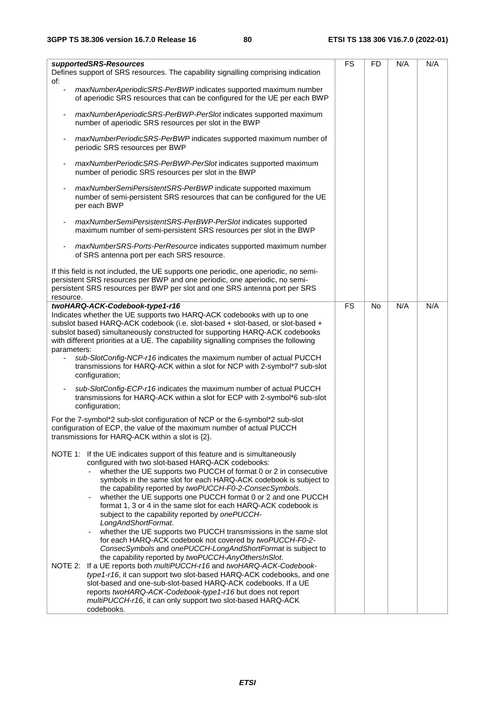| supportedSRS-Resources<br>Defines support of SRS resources. The capability signalling comprising indication                                                                                                                                                                                                                                                                                                                                                                                                                                                                                                                                                                                                                                                                                                                                                                                                                                                                                                                 | <b>FS</b> | <b>FD</b> | N/A | N/A |
|-----------------------------------------------------------------------------------------------------------------------------------------------------------------------------------------------------------------------------------------------------------------------------------------------------------------------------------------------------------------------------------------------------------------------------------------------------------------------------------------------------------------------------------------------------------------------------------------------------------------------------------------------------------------------------------------------------------------------------------------------------------------------------------------------------------------------------------------------------------------------------------------------------------------------------------------------------------------------------------------------------------------------------|-----------|-----------|-----|-----|
| of:<br>maxNumberAperiodicSRS-PerBWP indicates supported maximum number<br>ä,<br>of aperiodic SRS resources that can be configured for the UE per each BWP                                                                                                                                                                                                                                                                                                                                                                                                                                                                                                                                                                                                                                                                                                                                                                                                                                                                   |           |           |     |     |
| maxNumberAperiodicSRS-PerBWP-PerSlot indicates supported maximum<br>number of aperiodic SRS resources per slot in the BWP                                                                                                                                                                                                                                                                                                                                                                                                                                                                                                                                                                                                                                                                                                                                                                                                                                                                                                   |           |           |     |     |
| maxNumberPeriodicSRS-PerBWP indicates supported maximum number of<br>periodic SRS resources per BWP                                                                                                                                                                                                                                                                                                                                                                                                                                                                                                                                                                                                                                                                                                                                                                                                                                                                                                                         |           |           |     |     |
| maxNumberPeriodicSRS-PerBWP-PerSlot indicates supported maximum<br>number of periodic SRS resources per slot in the BWP                                                                                                                                                                                                                                                                                                                                                                                                                                                                                                                                                                                                                                                                                                                                                                                                                                                                                                     |           |           |     |     |
| maxNumberSemiPersistentSRS-PerBWP indicate supported maximum<br>number of semi-persistent SRS resources that can be configured for the UE<br>per each BWP                                                                                                                                                                                                                                                                                                                                                                                                                                                                                                                                                                                                                                                                                                                                                                                                                                                                   |           |           |     |     |
| maxNumberSemiPersistentSRS-PerBWP-PerSlot indicates supported<br>maximum number of semi-persistent SRS resources per slot in the BWP                                                                                                                                                                                                                                                                                                                                                                                                                                                                                                                                                                                                                                                                                                                                                                                                                                                                                        |           |           |     |     |
| maxNumberSRS-Ports-PerResource indicates supported maximum number<br>of SRS antenna port per each SRS resource.                                                                                                                                                                                                                                                                                                                                                                                                                                                                                                                                                                                                                                                                                                                                                                                                                                                                                                             |           |           |     |     |
| If this field is not included, the UE supports one periodic, one aperiodic, no semi-<br>persistent SRS resources per BWP and one periodic, one aperiodic, no semi-<br>persistent SRS resources per BWP per slot and one SRS antenna port per SRS<br>resource.                                                                                                                                                                                                                                                                                                                                                                                                                                                                                                                                                                                                                                                                                                                                                               |           |           |     |     |
| twoHARQ-ACK-Codebook-type1-r16<br>Indicates whether the UE supports two HARQ-ACK codebooks with up to one<br>subslot based HARQ-ACK codebook (i.e. slot-based + slot-based, or slot-based +<br>subslot based) simultaneously constructed for supporting HARQ-ACK codebooks<br>with different priorities at a UE. The capability signalling comprises the following<br>parameters:<br>sub-SlotConfig-NCP-r16 indicates the maximum number of actual PUCCH<br>transmissions for HARQ-ACK within a slot for NCP with 2-symbol*7 sub-slot<br>configuration;<br>sub-SlotConfig-ECP-r16 indicates the maximum number of actual PUCCH                                                                                                                                                                                                                                                                                                                                                                                              | <b>FS</b> | <b>No</b> | N/A | N/A |
| transmissions for HARQ-ACK within a slot for ECP with 2-symbol*6 sub-slot<br>configuration;                                                                                                                                                                                                                                                                                                                                                                                                                                                                                                                                                                                                                                                                                                                                                                                                                                                                                                                                 |           |           |     |     |
| For the 7-symbol*2 sub-slot configuration of NCP or the 6-symbol*2 sub-slot<br>configuration of ECP, the value of the maximum number of actual PUCCH<br>transmissions for HARQ-ACK within a slot is {2}.                                                                                                                                                                                                                                                                                                                                                                                                                                                                                                                                                                                                                                                                                                                                                                                                                    |           |           |     |     |
| NOTE 1: If the UE indicates support of this feature and is simultaneously<br>configured with two slot-based HARQ-ACK codebooks:<br>whether the UE supports two PUCCH of format 0 or 2 in consecutive<br>symbols in the same slot for each HARQ-ACK codebook is subject to<br>the capability reported by twoPUCCH-F0-2-ConsecSymbols.<br>whether the UE supports one PUCCH format 0 or 2 and one PUCCH<br>format 1, 3 or 4 in the same slot for each HARQ-ACK codebook is<br>subject to the capability reported by onePUCCH-<br>LongAndShortFormat.<br>whether the UE supports two PUCCH transmissions in the same slot<br>for each HARQ-ACK codebook not covered by twoPUCCH-F0-2-<br>ConsecSymbols and onePUCCH-LongAndShortFormat is subject to<br>the capability reported by twoPUCCH-AnyOthersInSlot.<br>NOTE 2: If a UE reports both multiPUCCH-r16 and twoHARQ-ACK-Codebook-<br>type1-r16, it can support two slot-based HARQ-ACK codebooks, and one<br>slot-based and one-sub-slot-based HARQ-ACK codebooks. If a UE |           |           |     |     |
| reports twoHARQ-ACK-Codebook-type1-r16 but does not report<br>multiPUCCH-r16, it can only support two slot-based HARQ-ACK<br>codebooks.                                                                                                                                                                                                                                                                                                                                                                                                                                                                                                                                                                                                                                                                                                                                                                                                                                                                                     |           |           |     |     |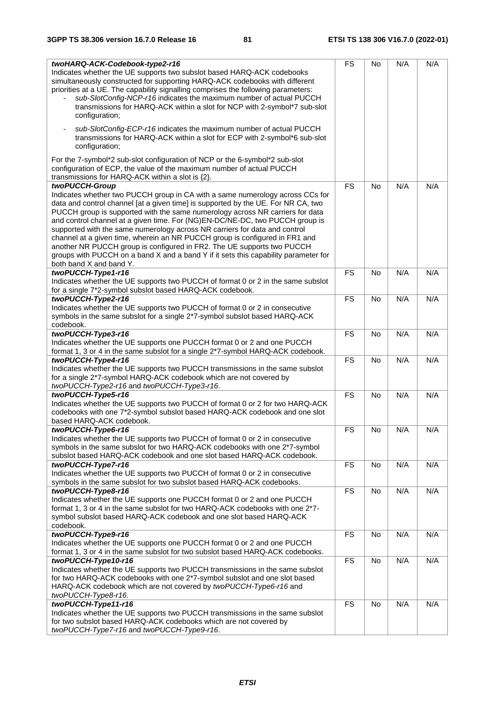| twoHARQ-ACK-Codebook-type2-r16<br>Indicates whether the UE supports two subslot based HARQ-ACK codebooks<br>simultaneously constructed for supporting HARQ-ACK codebooks with different<br>priorities at a UE. The capability signalling comprises the following parameters:<br>sub-SlotConfig-NCP-r16 indicates the maximum number of actual PUCCH<br>$\overline{\phantom{0}}$<br>transmissions for HARQ-ACK within a slot for NCP with 2-symbol*7 sub-slot<br>configuration;                                                                                                                                                                                                                                 | <b>FS</b>              | No        | N/A | N/A |
|----------------------------------------------------------------------------------------------------------------------------------------------------------------------------------------------------------------------------------------------------------------------------------------------------------------------------------------------------------------------------------------------------------------------------------------------------------------------------------------------------------------------------------------------------------------------------------------------------------------------------------------------------------------------------------------------------------------|------------------------|-----------|-----|-----|
| sub-SlotConfig-ECP-r16 indicates the maximum number of actual PUCCH<br>transmissions for HARQ-ACK within a slot for ECP with 2-symbol*6 sub-slot<br>configuration;                                                                                                                                                                                                                                                                                                                                                                                                                                                                                                                                             |                        |           |     |     |
| For the 7-symbol*2 sub-slot configuration of NCP or the 6-symbol*2 sub-slot<br>configuration of ECP, the value of the maximum number of actual PUCCH<br>transmissions for HARQ-ACK within a slot is $\{2\}$ .                                                                                                                                                                                                                                                                                                                                                                                                                                                                                                  |                        |           |     |     |
| twoPUCCH-Group<br>Indicates whether two PUCCH group in CA with a same numerology across CCs for<br>data and control channel [at a given time] is supported by the UE. For NR CA, two<br>PUCCH group is supported with the same numerology across NR carriers for data<br>and control channel at a given time. For (NG)EN-DC/NE-DC, two PUCCH group is<br>supported with the same numerology across NR carriers for data and control<br>channel at a given time, wherein an NR PUCCH group is configured in FR1 and<br>another NR PUCCH group is configured in FR2. The UE supports two PUCCH<br>groups with PUCCH on a band X and a band Y if it sets this capability parameter for<br>both band X and band Y. | <b>FS</b>              | <b>No</b> | N/A | N/A |
| twoPUCCH-Type1-r16<br>Indicates whether the UE supports two PUCCH of format 0 or 2 in the same subslot<br>for a single 7*2-symbol subslot based HARQ-ACK codebook.                                                                                                                                                                                                                                                                                                                                                                                                                                                                                                                                             | <b>FS</b>              | <b>No</b> | N/A | N/A |
| twoPUCCH-Type2-r16<br>Indicates whether the UE supports two PUCCH of format 0 or 2 in consecutive<br>symbols in the same subslot for a single 2*7-symbol subslot based HARQ-ACK<br>codebook.                                                                                                                                                                                                                                                                                                                                                                                                                                                                                                                   | <b>FS</b>              | No        | N/A | N/A |
| twoPUCCH-Type3-r16<br>Indicates whether the UE supports one PUCCH format 0 or 2 and one PUCCH<br>format 1, 3 or 4 in the same subslot for a single 2*7-symbol HARQ-ACK codebook.                                                                                                                                                                                                                                                                                                                                                                                                                                                                                                                               | <b>FS</b>              | <b>No</b> | N/A | N/A |
| twoPUCCH-Type4-r16<br>Indicates whether the UE supports two PUCCH transmissions in the same subslot<br>for a single 2*7-symbol HARQ-ACK codebook which are not covered by<br>twoPUCCH-Type2-r16 and twoPUCCH-Type3-r16.                                                                                                                                                                                                                                                                                                                                                                                                                                                                                        | <b>FS</b>              | No        | N/A | N/A |
| twoPUCCH-Type5-r16<br>Indicates whether the UE supports two PUCCH of format 0 or 2 for two HARQ-ACK<br>codebooks with one 7*2-symbol subslot based HARQ-ACK codebook and one slot<br>based HARQ-ACK codebook.                                                                                                                                                                                                                                                                                                                                                                                                                                                                                                  | <b>FS</b>              | <b>No</b> | N/A | N/A |
| twoPUCCH-Type6-r16<br>Indicates whether the UE supports two PUCCH of format 0 or 2 in consecutive<br>symbols in the same subslot for two HARQ-ACK codebooks with one 2*7-symbol<br>subslot based HARQ-ACK codebook and one slot based HARQ-ACK codebook.                                                                                                                                                                                                                                                                                                                                                                                                                                                       | $\overline{\text{FS}}$ | No        | N/A | N/A |
| twoPUCCH-Type7-r16<br>Indicates whether the UE supports two PUCCH of format 0 or 2 in consecutive<br>symbols in the same subslot for two subslot based HARQ-ACK codebooks.                                                                                                                                                                                                                                                                                                                                                                                                                                                                                                                                     | <b>FS</b>              | <b>No</b> | N/A | N/A |
| twoPUCCH-Type8-r16<br>Indicates whether the UE supports one PUCCH format 0 or 2 and one PUCCH<br>format 1, 3 or 4 in the same subslot for two HARQ-ACK codebooks with one 2*7-<br>symbol subslot based HARQ-ACK codebook and one slot based HARQ-ACK<br>codebook.                                                                                                                                                                                                                                                                                                                                                                                                                                              | <b>FS</b>              | No        | N/A | N/A |
| twoPUCCH-Type9-r16<br>Indicates whether the UE supports one PUCCH format 0 or 2 and one PUCCH<br>format 1, 3 or 4 in the same subslot for two subslot based HARQ-ACK codebooks.                                                                                                                                                                                                                                                                                                                                                                                                                                                                                                                                | <b>FS</b>              | <b>No</b> | N/A | N/A |
| twoPUCCH-Type10-r16<br>Indicates whether the UE supports two PUCCH transmissions in the same subslot<br>for two HARQ-ACK codebooks with one 2*7-symbol subslot and one slot based<br>HARQ-ACK codebook which are not covered by twoPUCCH-Type6-r16 and<br>twoPUCCH-Type8-r16.                                                                                                                                                                                                                                                                                                                                                                                                                                  | <b>FS</b>              | <b>No</b> | N/A | N/A |
| twoPUCCH-Type11-r16<br>Indicates whether the UE supports two PUCCH transmissions in the same subslot<br>for two subslot based HARQ-ACK codebooks which are not covered by<br>twoPUCCH-Type7-r16 and twoPUCCH-Type9-r16.                                                                                                                                                                                                                                                                                                                                                                                                                                                                                        | <b>FS</b>              | <b>No</b> | N/A | N/A |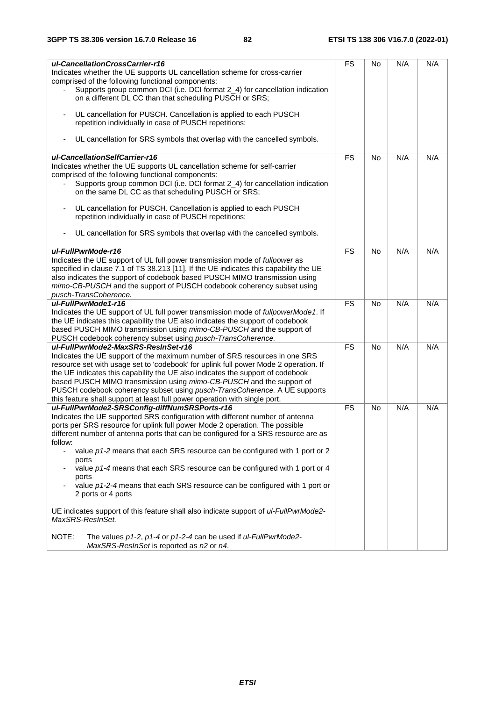| ul-CancellationCrossCarrier-r16<br>Indicates whether the UE supports UL cancellation scheme for cross-carrier<br>comprised of the following functional components:                                                                                                                                                                                                                                                                                                                                                                                                                                                             | <b>FS</b> | No        | N/A | N/A |
|--------------------------------------------------------------------------------------------------------------------------------------------------------------------------------------------------------------------------------------------------------------------------------------------------------------------------------------------------------------------------------------------------------------------------------------------------------------------------------------------------------------------------------------------------------------------------------------------------------------------------------|-----------|-----------|-----|-----|
| Supports group common DCI (i.e. DCI format 2_4) for cancellation indication<br>on a different DL CC than that scheduling PUSCH or SRS;                                                                                                                                                                                                                                                                                                                                                                                                                                                                                         |           |           |     |     |
| UL cancellation for PUSCH. Cancellation is applied to each PUSCH<br>$\overline{\phantom{a}}$<br>repetition individually in case of PUSCH repetitions;                                                                                                                                                                                                                                                                                                                                                                                                                                                                          |           |           |     |     |
| UL cancellation for SRS symbols that overlap with the cancelled symbols.<br>$\overline{\phantom{a}}$                                                                                                                                                                                                                                                                                                                                                                                                                                                                                                                           |           |           |     |     |
| ul-CancellationSelfCarrier-r16<br>Indicates whether the UE supports UL cancellation scheme for self-carrier<br>comprised of the following functional components:<br>Supports group common DCI (i.e. DCI format 2_4) for cancellation indication<br>on the same DL CC as that scheduling PUSCH or SRS;                                                                                                                                                                                                                                                                                                                          | <b>FS</b> | <b>No</b> | N/A | N/A |
| UL cancellation for PUSCH. Cancellation is applied to each PUSCH<br>$\blacksquare$<br>repetition individually in case of PUSCH repetitions;                                                                                                                                                                                                                                                                                                                                                                                                                                                                                    |           |           |     |     |
| UL cancellation for SRS symbols that overlap with the cancelled symbols.                                                                                                                                                                                                                                                                                                                                                                                                                                                                                                                                                       |           |           |     |     |
| ul-FullPwrMode-r16                                                                                                                                                                                                                                                                                                                                                                                                                                                                                                                                                                                                             | <b>FS</b> | <b>No</b> | N/A | N/A |
| Indicates the UE support of UL full power transmission mode of fullpower as<br>specified in clause 7.1 of TS 38.213 [11]. If the UE indicates this capability the UE<br>also indicates the support of codebook based PUSCH MIMO transmission using<br>mimo-CB-PUSCH and the support of PUSCH codebook coherency subset using<br>pusch-TransCoherence.                                                                                                                                                                                                                                                                          |           |           |     |     |
| ul-FullPwrMode1-r16                                                                                                                                                                                                                                                                                                                                                                                                                                                                                                                                                                                                            | <b>FS</b> | No        | N/A | N/A |
| Indicates the UE support of UL full power transmission mode of fullpowerMode1. If<br>the UE indicates this capability the UE also indicates the support of codebook<br>based PUSCH MIMO transmission using mimo-CB-PUSCH and the support of<br>PUSCH codebook coherency subset using pusch-TransCoherence.                                                                                                                                                                                                                                                                                                                     |           |           |     |     |
| ul-FullPwrMode2-MaxSRS-ResInSet-r16                                                                                                                                                                                                                                                                                                                                                                                                                                                                                                                                                                                            | <b>FS</b> | <b>No</b> | N/A | N/A |
| Indicates the UE support of the maximum number of SRS resources in one SRS<br>resource set with usage set to 'codebook' for uplink full power Mode 2 operation. If<br>the UE indicates this capability the UE also indicates the support of codebook<br>based PUSCH MIMO transmission using mimo-CB-PUSCH and the support of<br>PUSCH codebook coherency subset using pusch-TransCoherence. A UE supports                                                                                                                                                                                                                      |           |           |     |     |
| this feature shall support at least full power operation with single port.                                                                                                                                                                                                                                                                                                                                                                                                                                                                                                                                                     |           |           |     |     |
| ul-FullPwrMode2-SRSConfig-diffNumSRSPorts-r16<br>Indicates the UE supported SRS configuration with different number of antenna<br>ports per SRS resource for uplink full power Mode 2 operation. The possible<br>different number of antenna ports that can be configured for a SRS resource are as<br>follow:<br>value $p1-2$ means that each SRS resource can be configured with 1 port or 2<br>$\overline{\phantom{a}}$<br>ports<br>value p1-4 means that each SRS resource can be configured with 1 port or 4<br>ports<br>value p1-2-4 means that each SRS resource can be configured with 1 port or<br>2 ports or 4 ports | <b>FS</b> | <b>No</b> | N/A | N/A |
| UE indicates support of this feature shall also indicate support of ul-FullPwrMode2-<br>MaxSRS-ResInSet.                                                                                                                                                                                                                                                                                                                                                                                                                                                                                                                       |           |           |     |     |
| NOTE:<br>The values p1-2, p1-4 or p1-2-4 can be used if ul-FullPwrMode2-<br>MaxSRS-ReslnSet is reported as n2 or n4.                                                                                                                                                                                                                                                                                                                                                                                                                                                                                                           |           |           |     |     |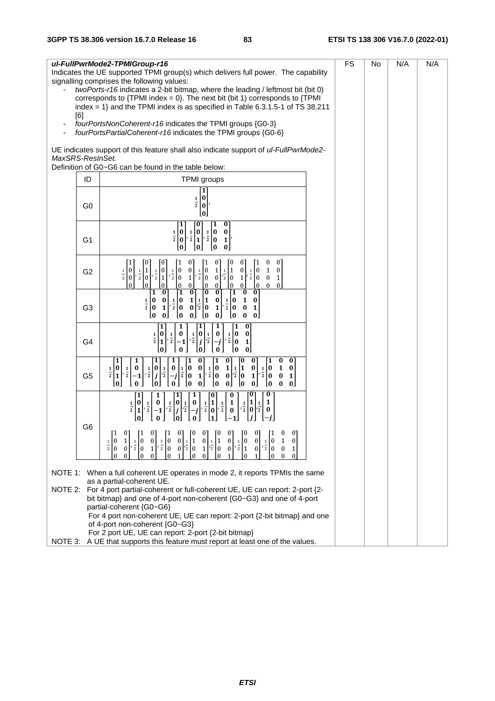| [6]              | ul-FullPwrMode2-TPMIGroup-r16<br>Indicates the UE supported TPMI group(s) which delivers full power. The capability<br>signalling comprises the following values:<br>twoPorts-r16 indicates a 2-bit bitmap, where the leading / leftmost bit (bit 0)<br>corresponds to $\{TPMI\ index = 0\}$ . The next bit (bit 1) corresponds to $\{TPMI\}$<br>index = $1$ } and the TPMI index is as specified in Table 6.3.1.5-1 of TS 38.211                                                                                                                                                                                                                                                                                                                                                                                       | <b>FS</b> | No | N/A | N/A |
|------------------|-------------------------------------------------------------------------------------------------------------------------------------------------------------------------------------------------------------------------------------------------------------------------------------------------------------------------------------------------------------------------------------------------------------------------------------------------------------------------------------------------------------------------------------------------------------------------------------------------------------------------------------------------------------------------------------------------------------------------------------------------------------------------------------------------------------------------|-----------|----|-----|-----|
|                  | fourPortsNonCoherent-r16 indicates the TPMI groups {G0-3}<br>fourPortsPartialCoherent-r16 indicates the TPMI groups {G0-6}                                                                                                                                                                                                                                                                                                                                                                                                                                                                                                                                                                                                                                                                                              |           |    |     |     |
| MaxSRS-ResInSet. | UE indicates support of this feature shall also indicate support of ul-FullPwrMode2-                                                                                                                                                                                                                                                                                                                                                                                                                                                                                                                                                                                                                                                                                                                                    |           |    |     |     |
| ID               | Definition of G0~G6 can be found in the table below:<br><b>TPMI</b> groups                                                                                                                                                                                                                                                                                                                                                                                                                                                                                                                                                                                                                                                                                                                                              |           |    |     |     |
| G <sub>0</sub>   | 1<br>0<br>$\frac{1}{2}$<br>0<br>[0                                                                                                                                                                                                                                                                                                                                                                                                                                                                                                                                                                                                                                                                                                                                                                                      |           |    |     |     |
| G <sub>1</sub>   | O<br>0<br>1<br>1<br>$\pmb{0}$<br>$\pmb{0}$<br>0<br>$rac{1}{2} \begin{bmatrix} 0 \\ 0 \end{bmatrix}$<br>$\begin{bmatrix} 0 \\ 0 \end{bmatrix}, \frac{1}{2} \begin{bmatrix} 0 \\ 1 \end{bmatrix},$<br>$\frac{1}{2}$<br>$\mathbf{1}$<br>LO.<br>LO.<br>Lo<br>$\mathbf{0}$                                                                                                                                                                                                                                                                                                                                                                                                                                                                                                                                                   |           |    |     |     |
| G <sub>2</sub>   | 0<br>$\overline{0}$<br>0<br>10<br>0<br>$\mathbf{1}$<br>1<br>0<br>1<br>$\mathbf 1$<br>$\pmb{0}$<br>$rac{1}{2} \begin{bmatrix} 0 \\ 0 \end{bmatrix}$<br>1 0<br>$\frac{1}{2}$ $\begin{bmatrix} 1 \\ 0 \end{bmatrix}$<br>$\pmb{0}$<br>$\vert 0 \vert$<br>$\mathbf{1}$<br>$\vert 0 \vert$<br>0<br>0<br>$\mathbf{1}$<br>$\frac{1}{2}$ $\begin{bmatrix} 1 \\ 0 \end{bmatrix}$<br>$\,$ 1 $\,$<br>$,\frac{1}{2}$<br>$\overline{1}$<br>$\overline{0}$<br>$\overline{2}$<br>$\frac{1}{2}$ 0<br>$\frac{1}{2}$ 0<br>$\pmb{0}$<br>$\vert$ 1<br>$\vert$ 0<br>$\mathbf{1}$<br>1<br>$\pmb{0}$<br>$\mathbf{1}$<br>$\overline{0}$<br>0<br>$\Omega$<br>$\Omega$<br>0<br>$\bf{0}$<br>$\Omega$<br>$\mathbf{0}$<br>$\Omega$<br>0<br>O<br>0                                                                                                     |           |    |     |     |
| G <sub>3</sub>   | $\mathbf{0}$<br>้1<br>0<br>[1<br>[O<br>$\mathbf{0}$<br>Γ1<br>0<br>$\mathbf{0}$<br>$\mathbf{0}$<br>$1\vert$<br>  0<br>1 0<br>1 1<br>0<br>1 0<br>$\mathbf{1}$<br>0<br>$\frac{1}{2}$<br> 2 0<br>$\overline{2}$   0<br>$\overline{2}$   0<br>0<br> 0 <br>$\mathbf{1}$<br>0<br>1<br>1<br>Lo<br>$\mathbf{0}$<br>$\mathbf{0}$<br>$\mathbf{0}$<br>$\mathbf{0}$<br>Į0<br>Į0<br>L0<br>0                                                                                                                                                                                                                                                                                                                                                                                                                                           |           |    |     |     |
| G <sub>4</sub>   | 0<br>1<br>1<br>1<br>$\mathbf{1}$<br>1<br>0<br>$\begin{bmatrix} 0 \\ j \end{bmatrix}$<br>$\frac{1}{2}$ $\begin{bmatrix} 0 \\ 0 \end{bmatrix}$<br>0<br>0<br>0<br>$,\frac{1}{2}$<br>$\frac{1}{2}$<br>$\frac{1}{2}$<br>$\frac{1}{2}$<br>$\mathbf{1}$<br>0<br>$\mathbf{1}$<br>$-1$<br>[0<br>$\mathbf{0}$<br>Lo<br>$\bf{0}$<br>0<br>$\bf{0}$                                                                                                                                                                                                                                                                                                                                                                                                                                                                                  |           |    |     |     |
| G <sub>5</sub>   | $\mathbf{0}$<br>0<br>0<br>$\mathbf{0}$<br>0<br>$\mathbf{0}$<br>1<br>1<br>1<br>1<br>1<br>1<br>$\pmb{0}$<br>$\frac{1}{2} \left  \frac{0}{j} \right $<br>$\boldsymbol{0}$<br>0<br>0<br>0<br>0<br>$\mathbf{1}$<br>$\mathbf{1}$<br>0<br>0<br>$\mathbf{1}$<br>0<br>$\frac{1}{2}$<br>$\frac{1}{2}$<br>$\frac{1}{2}$<br>$\frac{1}{2}$<br>$\mathbf{1}$<br>$,\frac{1}{2}$<br>$\frac{1}{2}$<br>$\overline{2}$<br>$\vert$ 1<br>$\overline{\mathbf{0}}$<br>0<br>0<br>$\bf{0}$<br>10<br>$-1$<br>-j<br>$\mathbf{1}$<br>$\mathbf{1}$<br>0<br>1<br>l o<br>$\mathbf{0}$<br>Lo<br>L0<br>$\bf{0}$<br>L0<br>$\bf{0}$<br>$\mathbf{0}$<br>$\Omega$<br>$\bf{0}$<br>$\mathbf{0}$<br>$\bf{0}$<br>0                                                                                                                                                |           |    |     |     |
|                  | $\mathbf{1}$<br>0<br>1<br>$\mathbf{1}$<br>1<br>0<br>0<br>$\frac{1}{2}$ $\begin{bmatrix} 0 \\ j \end{bmatrix}$<br>$\frac{1}{2}$ $\begin{bmatrix} 1 \\ 0 \end{bmatrix}$<br>$\vert$ 1<br>$\pmb{0}$<br>$\mathbf{1}$<br>0<br>0<br>$\mathbf{1}$<br>$\frac{1}{2}$<br>$\frac{1}{2}$<br>$\frac{1}{2}$<br>$\frac{1}{2}$<br>$\frac{1}{2}$<br>$\overline{1}$<br>$\vert$ 0<br>$\boldsymbol{j}$<br>$\cdot_2$<br>$\mathbf{0}$<br>$\boldsymbol{0}$<br>$\mathbf 1$<br>0<br>$-1$<br>l o<br>$\bf{0}$                                                                                                                                                                                                                                                                                                                                       |           |    |     |     |
| G <sub>6</sub>   | L0<br>01<br>L0<br>$\overline{0}$<br>$\overline{0}$<br>1<br>$\vert 1 \vert$<br>$\mathbf{0}$<br>  0<br>$\mathbf{0}$<br>$\mathbf{1}$<br>$\theta$<br> 1<br>$\bf{0}$<br>$0 \underline{1} 1$<br>$\overline{0}$<br>$\frac{1}{2}$ $\begin{bmatrix} 1 \\ 0 \end{bmatrix}$<br> 0 <br>$\frac{1}{2}$ $\begin{bmatrix} 0 \\ 1 \end{bmatrix}$<br>10<br>1 0<br>$\begin{bmatrix} 1 \\ 0 \end{bmatrix}, \frac{1}{2} \begin{bmatrix} 0 \\ 0 \end{bmatrix}$<br>$\vert 0 \vert$<br>$\frac{1}{2}$ $\begin{bmatrix} 0 \\ 0 \end{bmatrix}$<br>$\overline{0}$<br>$\mathbf{1}$<br>$\bf{0}$<br>$\overline{2}$<br>$1\overline{\overline{2}}$ 0<br>$\vert$ 1<br>$'$ 2   0<br>$\overline{0}$<br>$\overline{0}$<br>$1\vert$<br>$\overline{0}$<br>$\mathbf{0}$<br>10<br>1<br>$\Omega$<br>$\Omega$<br>$\Omega$<br>$\Omega$<br>$\Omega$<br>0<br>$\Omega$ |           |    |     |     |
|                  | NOTE 1: When a full coherent UE operates in mode 2, it reports TPMIs the same                                                                                                                                                                                                                                                                                                                                                                                                                                                                                                                                                                                                                                                                                                                                           |           |    |     |     |
|                  | as a partial-coherent UE.<br>NOTE 2: For 4 port partial-coherent or full-coherent UE, UE can report: 2-port {2-<br>bit bitmap} and one of 4-port non-coherent {G0~G3} and one of 4-port<br>partial-coherent {G0~G6}                                                                                                                                                                                                                                                                                                                                                                                                                                                                                                                                                                                                     |           |    |     |     |
|                  | For 4 port non-coherent UE, UE can report: 2-port {2-bit bitmap} and one<br>of 4-port non-coherent {G0~G3}                                                                                                                                                                                                                                                                                                                                                                                                                                                                                                                                                                                                                                                                                                              |           |    |     |     |
|                  | For 2 port UE, UE can report: 2-port {2-bit bitmap}<br>NOTE 3: A UE that supports this feature must report at least one of the values.                                                                                                                                                                                                                                                                                                                                                                                                                                                                                                                                                                                                                                                                                  |           |    |     |     |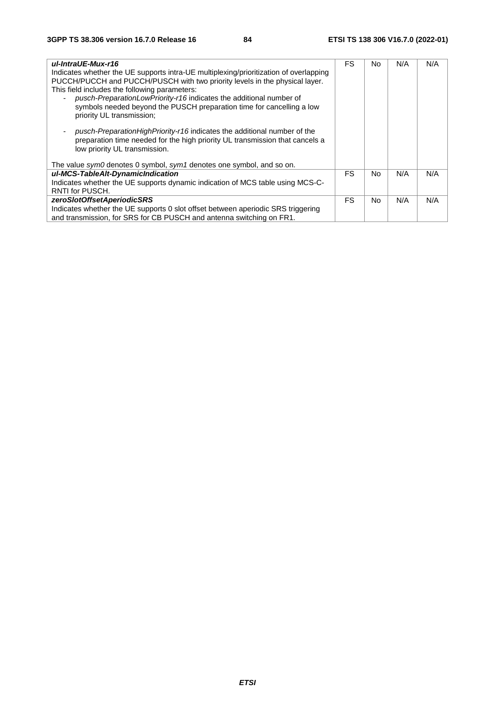| ul-IntraUE-Mux-r16<br>Indicates whether the UE supports intra-UE multiplexing/prioritization of overlapping<br>PUCCH/PUCCH and PUCCH/PUSCH with two priority levels in the physical layer.<br>This field includes the following parameters:<br>pusch-PreparationLowPriority-r16 indicates the additional number of<br>symbols needed beyond the PUSCH preparation time for cancelling a low<br>priority UL transmission;<br>pusch-PreparationHighPriority-r16 indicates the additional number of the<br>preparation time needed for the high priority UL transmission that cancels a<br>low priority UL transmission. | FS. | No. | N/A | N/A |
|-----------------------------------------------------------------------------------------------------------------------------------------------------------------------------------------------------------------------------------------------------------------------------------------------------------------------------------------------------------------------------------------------------------------------------------------------------------------------------------------------------------------------------------------------------------------------------------------------------------------------|-----|-----|-----|-----|
| The value sym0 denotes 0 symbol, sym1 denotes one symbol, and so on.                                                                                                                                                                                                                                                                                                                                                                                                                                                                                                                                                  |     |     |     |     |
| ul-MCS-TableAlt-DynamicIndication                                                                                                                                                                                                                                                                                                                                                                                                                                                                                                                                                                                     | FS. | No. | N/A | N/A |
| Indicates whether the UE supports dynamic indication of MCS table using MCS-C-                                                                                                                                                                                                                                                                                                                                                                                                                                                                                                                                        |     |     |     |     |
| RNTI for PUSCH.                                                                                                                                                                                                                                                                                                                                                                                                                                                                                                                                                                                                       |     |     |     |     |
| zeroSlotOffsetAperiodicSRS                                                                                                                                                                                                                                                                                                                                                                                                                                                                                                                                                                                            | FS. | No. | N/A | N/A |
| Indicates whether the UE supports 0 slot offset between aperiodic SRS triggering                                                                                                                                                                                                                                                                                                                                                                                                                                                                                                                                      |     |     |     |     |
| and transmission, for SRS for CB PUSCH and antenna switching on FR1.                                                                                                                                                                                                                                                                                                                                                                                                                                                                                                                                                  |     |     |     |     |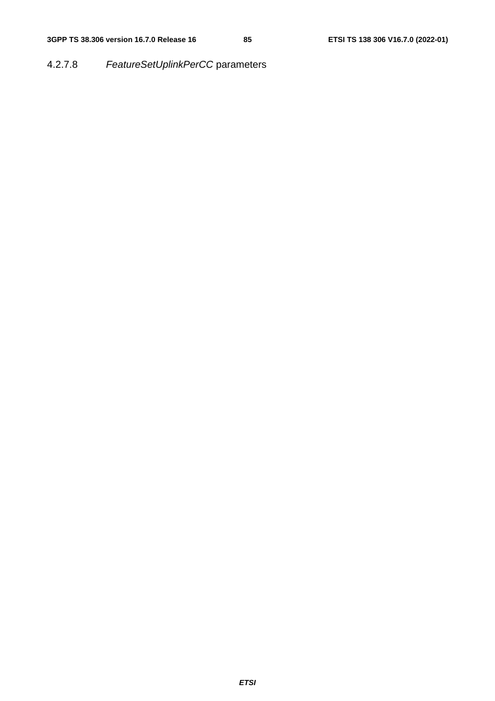4.2.7.8 *FeatureSetUplinkPerCC* parameters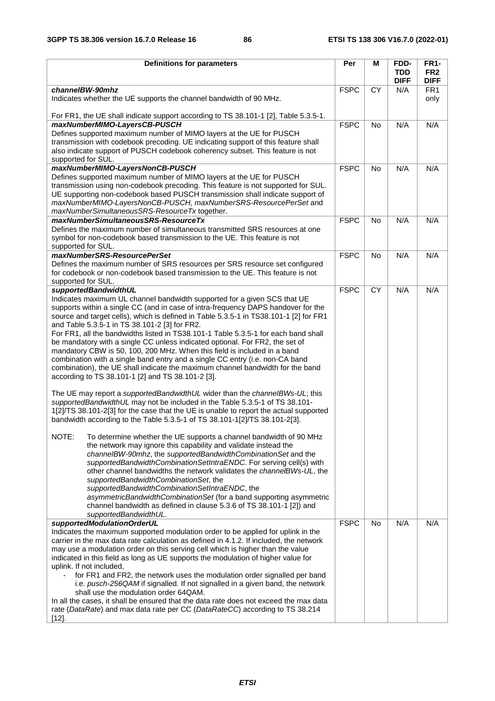| <b>Definitions for parameters</b>                                                                                                                                                                                                                                                                                                                                                                                                                                                                                                                                                                                                                                                                                                                                                                                                                                                                                                                                                                                                                                                                                                                                                                                                                                                                                                                                                                                                                                                                                                                                                                                                                                                                                                                                                  | Per         | M         | FDD-                      | <b>FR1-</b>                    |
|------------------------------------------------------------------------------------------------------------------------------------------------------------------------------------------------------------------------------------------------------------------------------------------------------------------------------------------------------------------------------------------------------------------------------------------------------------------------------------------------------------------------------------------------------------------------------------------------------------------------------------------------------------------------------------------------------------------------------------------------------------------------------------------------------------------------------------------------------------------------------------------------------------------------------------------------------------------------------------------------------------------------------------------------------------------------------------------------------------------------------------------------------------------------------------------------------------------------------------------------------------------------------------------------------------------------------------------------------------------------------------------------------------------------------------------------------------------------------------------------------------------------------------------------------------------------------------------------------------------------------------------------------------------------------------------------------------------------------------------------------------------------------------|-------------|-----------|---------------------------|--------------------------------|
|                                                                                                                                                                                                                                                                                                                                                                                                                                                                                                                                                                                                                                                                                                                                                                                                                                                                                                                                                                                                                                                                                                                                                                                                                                                                                                                                                                                                                                                                                                                                                                                                                                                                                                                                                                                    |             |           | <b>TDD</b><br><b>DIFF</b> | FR <sub>2</sub><br><b>DIFF</b> |
| channelBW-90mhz                                                                                                                                                                                                                                                                                                                                                                                                                                                                                                                                                                                                                                                                                                                                                                                                                                                                                                                                                                                                                                                                                                                                                                                                                                                                                                                                                                                                                                                                                                                                                                                                                                                                                                                                                                    | <b>FSPC</b> | CY        | N/A                       | FR <sub>1</sub>                |
| Indicates whether the UE supports the channel bandwidth of 90 MHz.                                                                                                                                                                                                                                                                                                                                                                                                                                                                                                                                                                                                                                                                                                                                                                                                                                                                                                                                                                                                                                                                                                                                                                                                                                                                                                                                                                                                                                                                                                                                                                                                                                                                                                                 |             |           |                           | only                           |
| For FR1, the UE shall indicate support according to TS 38.101-1 [2], Table 5.3.5-1.<br>maxNumberMIMO-LayersCB-PUSCH                                                                                                                                                                                                                                                                                                                                                                                                                                                                                                                                                                                                                                                                                                                                                                                                                                                                                                                                                                                                                                                                                                                                                                                                                                                                                                                                                                                                                                                                                                                                                                                                                                                                | <b>FSPC</b> | <b>No</b> | N/A                       | N/A                            |
| Defines supported maximum number of MIMO layers at the UE for PUSCH<br>transmission with codebook precoding. UE indicating support of this feature shall<br>also indicate support of PUSCH codebook coherency subset. This feature is not<br>supported for SUL.                                                                                                                                                                                                                                                                                                                                                                                                                                                                                                                                                                                                                                                                                                                                                                                                                                                                                                                                                                                                                                                                                                                                                                                                                                                                                                                                                                                                                                                                                                                    |             |           |                           |                                |
| maxNumberMIMO-LayersNonCB-PUSCH<br>Defines supported maximum number of MIMO layers at the UE for PUSCH<br>transmission using non-codebook precoding. This feature is not supported for SUL.<br>UE supporting non-codebook based PUSCH transmission shall indicate support of<br>maxNumberMIMO-LayersNonCB-PUSCH, maxNumberSRS-ResourcePerSet and<br>maxNumberSimultaneousSRS-ResourceTx together.                                                                                                                                                                                                                                                                                                                                                                                                                                                                                                                                                                                                                                                                                                                                                                                                                                                                                                                                                                                                                                                                                                                                                                                                                                                                                                                                                                                  | <b>FSPC</b> | <b>No</b> | N/A                       | N/A                            |
| maxNumberSimultaneousSRS-ResourceTx                                                                                                                                                                                                                                                                                                                                                                                                                                                                                                                                                                                                                                                                                                                                                                                                                                                                                                                                                                                                                                                                                                                                                                                                                                                                                                                                                                                                                                                                                                                                                                                                                                                                                                                                                | <b>FSPC</b> | <b>No</b> | N/A                       | N/A                            |
| Defines the maximum number of simultaneous transmitted SRS resources at one<br>symbol for non-codebook based transmission to the UE. This feature is not<br>supported for SUL.                                                                                                                                                                                                                                                                                                                                                                                                                                                                                                                                                                                                                                                                                                                                                                                                                                                                                                                                                                                                                                                                                                                                                                                                                                                                                                                                                                                                                                                                                                                                                                                                     |             |           |                           |                                |
| maxNumberSRS-ResourcePerSet                                                                                                                                                                                                                                                                                                                                                                                                                                                                                                                                                                                                                                                                                                                                                                                                                                                                                                                                                                                                                                                                                                                                                                                                                                                                                                                                                                                                                                                                                                                                                                                                                                                                                                                                                        | <b>FSPC</b> | <b>No</b> | N/A                       | N/A                            |
| Defines the maximum number of SRS resources per SRS resource set configured<br>for codebook or non-codebook based transmission to the UE. This feature is not<br>supported for SUL.                                                                                                                                                                                                                                                                                                                                                                                                                                                                                                                                                                                                                                                                                                                                                                                                                                                                                                                                                                                                                                                                                                                                                                                                                                                                                                                                                                                                                                                                                                                                                                                                |             |           |                           |                                |
| supportedBandwidthUL                                                                                                                                                                                                                                                                                                                                                                                                                                                                                                                                                                                                                                                                                                                                                                                                                                                                                                                                                                                                                                                                                                                                                                                                                                                                                                                                                                                                                                                                                                                                                                                                                                                                                                                                                               | <b>FSPC</b> | CY        | N/A                       | N/A                            |
| Indicates maximum UL channel bandwidth supported for a given SCS that UE<br>supports within a single CC (and in case of intra-frequency DAPS handover for the<br>source and target cells), which is defined in Table 5.3.5-1 in TS38.101-1 [2] for FR1<br>and Table 5.3.5-1 in TS 38.101-2 [3] for FR2.<br>For FR1, all the bandwidths listed in TS38.101-1 Table 5.3.5-1 for each band shall<br>be mandatory with a single CC unless indicated optional. For FR2, the set of<br>mandatory CBW is 50, 100, 200 MHz. When this field is included in a band<br>combination with a single band entry and a single CC entry (i.e. non-CA band<br>combination), the UE shall indicate the maximum channel bandwidth for the band<br>according to TS 38.101-1 [2] and TS 38.101-2 [3].<br>The UE may report a <i>supportedBandwidthUL</i> wider than the <i>channelBWs-UL</i> ; this<br>supportedBandwidthUL may not be included in the Table 5.3.5-1 of TS 38.101-<br>1[2]/TS 38.101-2[3] for the case that the UE is unable to report the actual supported<br>bandwidth according to the Table 5.3.5-1 of TS 38.101-1[2]/TS 38.101-2[3].<br>NOTE:<br>To determine whether the UE supports a channel bandwidth of 90 MHz<br>the network may ignore this capability and validate instead the<br>channelBW-90mhz, the supportedBandwidthCombinationSet and the<br>supportedBandwidthCombinationSetIntraENDC. For serving cell(s) with<br>other channel bandwidths the network validates the <i>channelBWs-UL</i> , the<br>supportedBandwidthCombinationSet, the<br>supportedBandwidthCombinationSetIntraENDC, the<br>asymmetricBandwidthCombinationSet (for a band supporting asymmetric<br>channel bandwidth as defined in clause 5.3.6 of TS 38.101-1 [2]) and<br>supportedBandwidthUL. |             |           |                           |                                |
| supportedModulationOrderUL                                                                                                                                                                                                                                                                                                                                                                                                                                                                                                                                                                                                                                                                                                                                                                                                                                                                                                                                                                                                                                                                                                                                                                                                                                                                                                                                                                                                                                                                                                                                                                                                                                                                                                                                                         | <b>FSPC</b> | No        | N/A                       | N/A                            |
| Indicates the maximum supported modulation order to be applied for uplink in the<br>carrier in the max data rate calculation as defined in 4.1.2. If included, the network<br>may use a modulation order on this serving cell which is higher than the value<br>indicated in this field as long as UE supports the modulation of higher value for<br>uplink. If not included,<br>for FR1 and FR2, the network uses the modulation order signalled per band<br>$\blacksquare$<br>i.e. pusch-256QAM if signalled. If not signalled in a given band, the network<br>shall use the modulation order 64QAM.<br>In all the cases, it shall be ensured that the data rate does not exceed the max data<br>rate (DataRate) and max data rate per CC (DataRateCC) according to TS 38.214<br>$[12].$                                                                                                                                                                                                                                                                                                                                                                                                                                                                                                                                                                                                                                                                                                                                                                                                                                                                                                                                                                                         |             |           |                           |                                |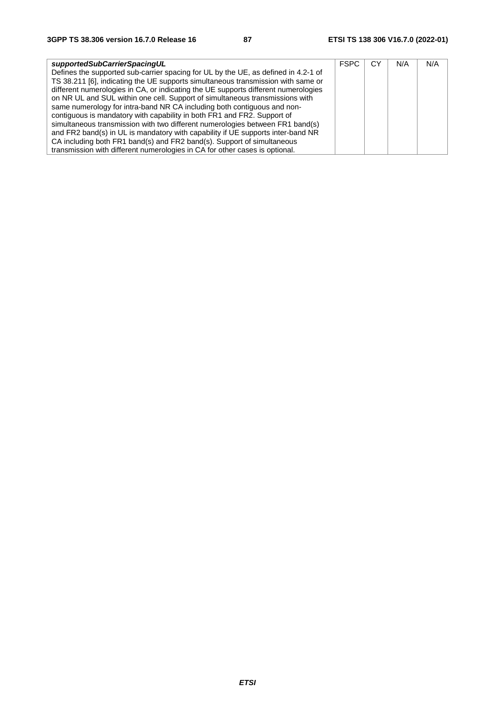| supportedSubCarrierSpacingUL                                                       | <b>FSPC</b> | СY | N/A | N/A |
|------------------------------------------------------------------------------------|-------------|----|-----|-----|
| Defines the supported sub-carrier spacing for UL by the UE, as defined in 4.2-1 of |             |    |     |     |
| TS 38.211 [6], indicating the UE supports simultaneous transmission with same or   |             |    |     |     |
| different numerologies in CA, or indicating the UE supports different numerologies |             |    |     |     |
| on NR UL and SUL within one cell. Support of simultaneous transmissions with       |             |    |     |     |
| same numerology for intra-band NR CA including both contiguous and non-            |             |    |     |     |
| contiguous is mandatory with capability in both FR1 and FR2. Support of            |             |    |     |     |
| simultaneous transmission with two different numerologies between FR1 band(s)      |             |    |     |     |
| and FR2 band(s) in UL is mandatory with capability if UE supports inter-band NR    |             |    |     |     |
| CA including both FR1 band(s) and FR2 band(s). Support of simultaneous             |             |    |     |     |
| transmission with different numerologies in CA for other cases is optional.        |             |    |     |     |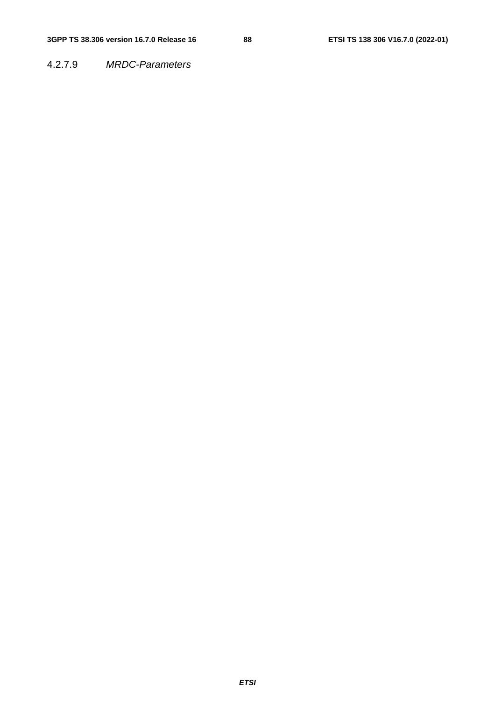4.2.7.9 *MRDC-Parameters*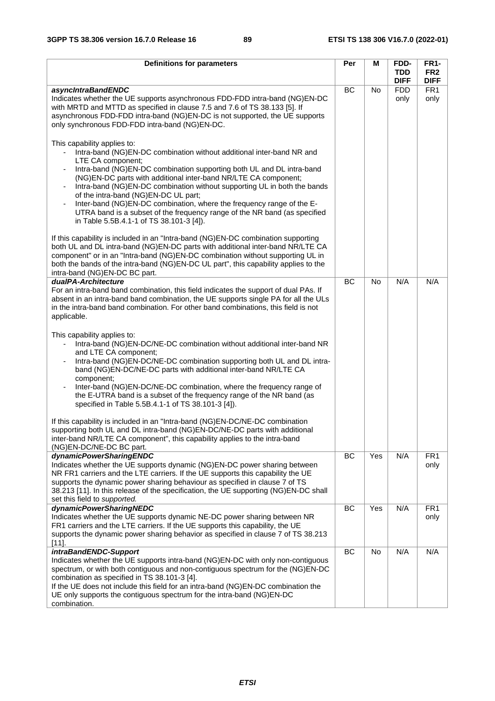| Definitions for parameters                                                                                                                                                                                                                                                                                                                                                                                                                                                                                                                                                                                    | Per       | Μ         | FDD-                      | <b>FR1-</b>                    |
|---------------------------------------------------------------------------------------------------------------------------------------------------------------------------------------------------------------------------------------------------------------------------------------------------------------------------------------------------------------------------------------------------------------------------------------------------------------------------------------------------------------------------------------------------------------------------------------------------------------|-----------|-----------|---------------------------|--------------------------------|
|                                                                                                                                                                                                                                                                                                                                                                                                                                                                                                                                                                                                               |           |           | <b>TDD</b><br><b>DIFF</b> | FR <sub>2</sub><br><b>DIFF</b> |
| asyncIntraBandENDC                                                                                                                                                                                                                                                                                                                                                                                                                                                                                                                                                                                            | BC        | <b>No</b> | <b>FDD</b>                | FR <sub>1</sub>                |
| Indicates whether the UE supports asynchronous FDD-FDD intra-band (NG)EN-DC<br>with MRTD and MTTD as specified in clause 7.5 and 7.6 of TS 38.133 [5]. If<br>asynchronous FDD-FDD intra-band (NG)EN-DC is not supported, the UE supports<br>only synchronous FDD-FDD intra-band (NG)EN-DC.                                                                                                                                                                                                                                                                                                                    |           |           | only                      | only                           |
| This capability applies to:<br>Intra-band (NG)EN-DC combination without additional inter-band NR and<br>LTE CA component;<br>Intra-band (NG)EN-DC combination supporting both UL and DL intra-band<br>(NG)EN-DC parts with additional inter-band NR/LTE CA component;<br>Intra-band (NG)EN-DC combination without supporting UL in both the bands<br>of the intra-band (NG)EN-DC UL part;<br>Inter-band (NG)EN-DC combination, where the frequency range of the E-<br>$\blacksquare$<br>UTRA band is a subset of the frequency range of the NR band (as specified<br>in Table 5.5B.4.1-1 of TS 38.101-3 [4]). |           |           |                           |                                |
| If this capability is included in an "Intra-band (NG)EN-DC combination supporting<br>both UL and DL intra-band (NG)EN-DC parts with additional inter-band NR/LTE CA<br>component" or in an "Intra-band (NG)EN-DC combination without supporting UL in<br>both the bands of the intra-band (NG)EN-DC UL part", this capability applies to the<br>intra-band (NG)EN-DC BC part.                                                                                                                                                                                                                                 |           |           |                           |                                |
| dualPA-Architecture                                                                                                                                                                                                                                                                                                                                                                                                                                                                                                                                                                                           | <b>BC</b> | <b>No</b> | N/A                       | N/A                            |
| For an intra-band band combination, this field indicates the support of dual PAs. If<br>absent in an intra-band band combination, the UE supports single PA for all the ULs<br>in the intra-band band combination. For other band combinations, this field is not<br>applicable.<br>This capability applies to:                                                                                                                                                                                                                                                                                               |           |           |                           |                                |
| Intra-band (NG)EN-DC/NE-DC combination without additional inter-band NR<br>$\blacksquare$<br>and LTE CA component;<br>Intra-band (NG)EN-DC/NE-DC combination supporting both UL and DL intra-<br>band (NG)EN-DC/NE-DC parts with additional inter-band NR/LTE CA<br>component;                                                                                                                                                                                                                                                                                                                                |           |           |                           |                                |
| Inter-band (NG)EN-DC/NE-DC combination, where the frequency range of<br>the E-UTRA band is a subset of the frequency range of the NR band (as<br>specified in Table 5.5B.4.1-1 of TS 38.101-3 [4]).                                                                                                                                                                                                                                                                                                                                                                                                           |           |           |                           |                                |
| If this capability is included in an "Intra-band (NG)EN-DC/NE-DC combination<br>supporting both UL and DL intra-band (NG)EN-DC/NE-DC parts with additional<br>inter-band NR/LTE CA component", this capability applies to the intra-band<br>(NG)EN-DC/NE-DC BC part.                                                                                                                                                                                                                                                                                                                                          |           |           |                           |                                |
| dynamicPowerSharingENDC<br>Indicates whether the UE supports dynamic (NG)EN-DC power sharing between<br>NR FR1 carriers and the LTE carriers. If the UE supports this capability the UE<br>supports the dynamic power sharing behaviour as specified in clause 7 of TS<br>38.213 [11]. In this release of the specification, the UE supporting (NG)EN-DC shall<br>set this field to supported.                                                                                                                                                                                                                | BC        | Yes       | N/A                       | FR <sub>1</sub><br>only        |
| dynamicPowerSharingNEDC                                                                                                                                                                                                                                                                                                                                                                                                                                                                                                                                                                                       | BC        | Yes       | N/A                       | FR <sub>1</sub>                |
| Indicates whether the UE supports dynamic NE-DC power sharing between NR<br>FR1 carriers and the LTE carriers. If the UE supports this capability, the UE<br>supports the dynamic power sharing behavior as specified in clause 7 of TS 38.213<br>$[11]$ .                                                                                                                                                                                                                                                                                                                                                    |           |           |                           | only                           |
| intraBandENDC-Support                                                                                                                                                                                                                                                                                                                                                                                                                                                                                                                                                                                         | BC        | No        | N/A                       | N/A                            |
| Indicates whether the UE supports intra-band (NG)EN-DC with only non-contiguous<br>spectrum, or with both contiguous and non-contiguous spectrum for the (NG)EN-DC<br>combination as specified in TS 38.101-3 [4].<br>If the UE does not include this field for an intra-band (NG)EN-DC combination the<br>UE only supports the contiguous spectrum for the intra-band (NG)EN-DC<br>combination.                                                                                                                                                                                                              |           |           |                           |                                |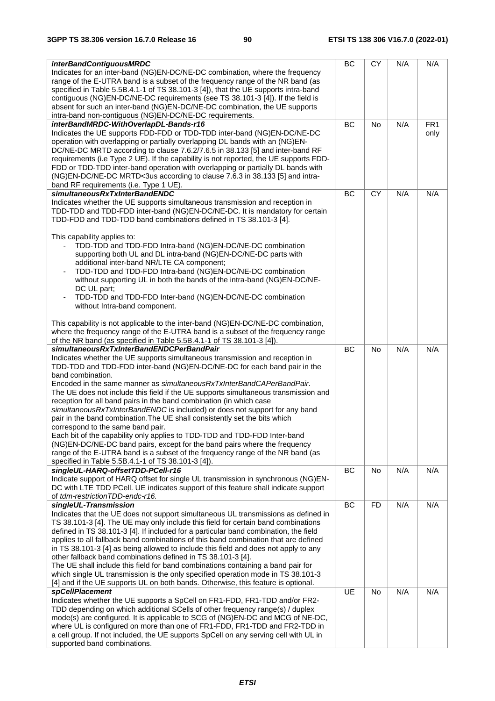| <i>interBandContiguousMRDC</i>                                                                                                                                          | BC        | <b>CY</b> | N/A | N/A                     |
|-------------------------------------------------------------------------------------------------------------------------------------------------------------------------|-----------|-----------|-----|-------------------------|
| Indicates for an inter-band (NG)EN-DC/NE-DC combination, where the frequency                                                                                            |           |           |     |                         |
| range of the E-UTRA band is a subset of the frequency range of the NR band (as                                                                                          |           |           |     |                         |
| specified in Table 5.5B.4.1-1 of TS 38.101-3 [4]), that the UE supports intra-band                                                                                      |           |           |     |                         |
| contiguous (NG)EN-DC/NE-DC requirements (see TS 38.101-3 [4]). If the field is                                                                                          |           |           |     |                         |
| absent for such an inter-band (NG)EN-DC/NE-DC combination, the UE supports                                                                                              |           |           |     |                         |
| intra-band non-contiguous (NG)EN-DC/NE-DC requirements.                                                                                                                 |           |           |     |                         |
| interBandMRDC-WithOverlapDL-Bands-r16<br>Indicates the UE supports FDD-FDD or TDD-TDD inter-band (NG)EN-DC/NE-DC                                                        | BC        | No        | N/A | FR <sub>1</sub><br>only |
| operation with overlapping or partially overlapping DL bands with an (NG)EN-                                                                                            |           |           |     |                         |
| DC/NE-DC MRTD according to clause 7.6.2/7.6.5 in 38.133 [5] and inter-band RF                                                                                           |           |           |     |                         |
| requirements (i.e Type 2 UE). If the capability is not reported, the UE supports FDD-                                                                                   |           |           |     |                         |
| FDD or TDD-TDD inter-band operation with overlapping or partially DL bands with                                                                                         |           |           |     |                         |
| (NG)EN-DC/NE-DC MRTD<3us according to clause 7.6.3 in 38.133 [5] and intra-                                                                                             |           |           |     |                         |
| band RF requirements (i.e. Type 1 UE).                                                                                                                                  |           |           |     |                         |
| simultaneousRxTxInterBandENDC                                                                                                                                           | BC        | <b>CY</b> | N/A | N/A                     |
| Indicates whether the UE supports simultaneous transmission and reception in                                                                                            |           |           |     |                         |
| TDD-TDD and TDD-FDD inter-band (NG)EN-DC/NE-DC. It is mandatory for certain                                                                                             |           |           |     |                         |
| TDD-FDD and TDD-TDD band combinations defined in TS 38.101-3 [4].                                                                                                       |           |           |     |                         |
| This capability applies to:                                                                                                                                             |           |           |     |                         |
| TDD-TDD and TDD-FDD Intra-band (NG)EN-DC/NE-DC combination                                                                                                              |           |           |     |                         |
| supporting both UL and DL intra-band (NG)EN-DC/NE-DC parts with                                                                                                         |           |           |     |                         |
| additional inter-band NR/LTE CA component;                                                                                                                              |           |           |     |                         |
| TDD-TDD and TDD-FDD Intra-band (NG)EN-DC/NE-DC combination                                                                                                              |           |           |     |                         |
| without supporting UL in both the bands of the intra-band (NG)EN-DC/NE-                                                                                                 |           |           |     |                         |
| DC UL part;                                                                                                                                                             |           |           |     |                         |
| TDD-TDD and TDD-FDD Inter-band (NG)EN-DC/NE-DC combination                                                                                                              |           |           |     |                         |
| without Intra-band component.                                                                                                                                           |           |           |     |                         |
|                                                                                                                                                                         |           |           |     |                         |
| This capability is not applicable to the inter-band (NG)EN-DC/NE-DC combination,<br>where the frequency range of the E-UTRA band is a subset of the frequency range     |           |           |     |                         |
| of the NR band (as specified in Table 5.5B.4.1-1 of TS 38.101-3 [4]).                                                                                                   |           |           |     |                         |
| simultaneousRxTxInterBandENDCPerBandPair                                                                                                                                | BC        | <b>No</b> | N/A | N/A                     |
| Indicates whether the UE supports simultaneous transmission and reception in                                                                                            |           |           |     |                         |
| TDD-TDD and TDD-FDD inter-band (NG)EN-DC/NE-DC for each band pair in the                                                                                                |           |           |     |                         |
| band combination.                                                                                                                                                       |           |           |     |                         |
| Encoded in the same manner as simultaneous RxTxInterBandCAPerBandPair.                                                                                                  |           |           |     |                         |
| The UE does not include this field if the UE supports simultaneous transmission and                                                                                     |           |           |     |                         |
| reception for all band pairs in the band combination (in which case<br>simultaneousRxTxInterBandENDC is included) or does not support for any band                      |           |           |     |                         |
| pair in the band combination. The UE shall consistently set the bits which                                                                                              |           |           |     |                         |
| correspond to the same band pair.                                                                                                                                       |           |           |     |                         |
| Each bit of the capability only applies to TDD-TDD and TDD-FDD Inter-band                                                                                               |           |           |     |                         |
| (NG)EN-DC/NE-DC band pairs, except for the band pairs where the frequency                                                                                               |           |           |     |                         |
| range of the E-UTRA band is a subset of the frequency range of the NR band (as                                                                                          |           |           |     |                         |
| specified in Table 5.5B.4.1-1 of TS 38.101-3 [4]).                                                                                                                      |           |           |     |                         |
| singleUL-HARQ-offsetTDD-PCell-r16                                                                                                                                       | BC        | No        | N/A | N/A                     |
| Indicate support of HARQ offset for single UL transmission in synchronous (NG)EN-<br>DC with LTE TDD PCell. UE indicates support of this feature shall indicate support |           |           |     |                         |
| of tdm-restrictionTDD-endc-r16.                                                                                                                                         |           |           |     |                         |
| singleUL-Transmission                                                                                                                                                   | <b>BC</b> | <b>FD</b> | N/A | N/A                     |
| Indicates that the UE does not support simultaneous UL transmissions as defined in                                                                                      |           |           |     |                         |
| TS 38.101-3 [4]. The UE may only include this field for certain band combinations                                                                                       |           |           |     |                         |
| defined in TS 38.101-3 [4]. If included for a particular band combination, the field                                                                                    |           |           |     |                         |
| applies to all fallback band combinations of this band combination that are defined                                                                                     |           |           |     |                         |
| in TS 38.101-3 [4] as being allowed to include this field and does not apply to any                                                                                     |           |           |     |                         |
| other fallback band combinations defined in TS 38.101-3 [4].                                                                                                            |           |           |     |                         |
| The UE shall include this field for band combinations containing a band pair for<br>which single UL transmission is the only specified operation mode in TS 38.101-3    |           |           |     |                         |
| [4] and if the UE supports UL on both bands. Otherwise, this feature is optional.                                                                                       |           |           |     |                         |
| spCellPlacement                                                                                                                                                         | UE        | No        | N/A | N/A                     |
| Indicates whether the UE supports a SpCell on FR1-FDD, FR1-TDD and/or FR2-                                                                                              |           |           |     |                         |
| TDD depending on which additional SCells of other frequency range(s) / duplex                                                                                           |           |           |     |                         |
| mode(s) are configured. It is applicable to SCG of (NG)EN-DC and MCG of NE-DC,                                                                                          |           |           |     |                         |
| where UL is configured on more than one of FR1-FDD, FR1-TDD and FR2-TDD in                                                                                              |           |           |     |                         |
| a cell group. If not included, the UE supports SpCell on any serving cell with UL in                                                                                    |           |           |     |                         |
| supported band combinations.                                                                                                                                            |           |           |     |                         |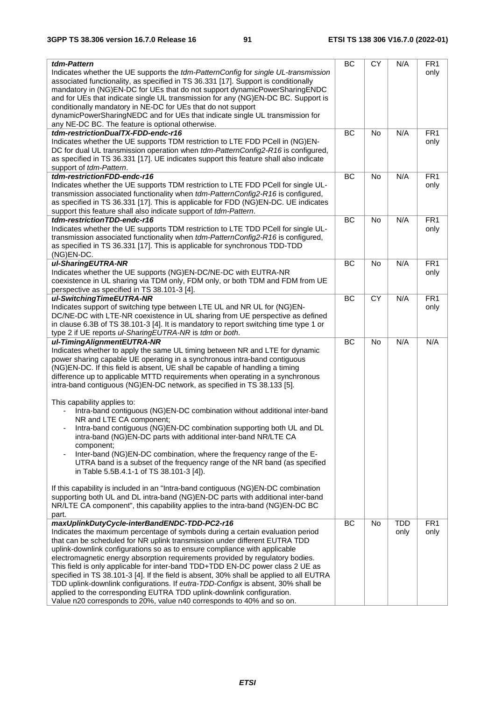| tdm-Pattern<br>Indicates whether the UE supports the tdm-PatternConfig for single UL-transmission<br>associated functionality, as specified in TS 36.331 [17]. Support is conditionally<br>mandatory in (NG)EN-DC for UEs that do not support dynamicPowerSharingENDC<br>and for UEs that indicate single UL transmission for any (NG)EN-DC BC. Support is<br>conditionally mandatory in NE-DC for UEs that do not support<br>dynamicPowerSharingNEDC and for UEs that indicate single UL transmission for                                                                                                                                                                                                                                                                                                                                                                                                                                                                                                                                                                                                                                                                                            | BC        | <b>CY</b> | N/A                | FR <sub>1</sub><br>only |
|-------------------------------------------------------------------------------------------------------------------------------------------------------------------------------------------------------------------------------------------------------------------------------------------------------------------------------------------------------------------------------------------------------------------------------------------------------------------------------------------------------------------------------------------------------------------------------------------------------------------------------------------------------------------------------------------------------------------------------------------------------------------------------------------------------------------------------------------------------------------------------------------------------------------------------------------------------------------------------------------------------------------------------------------------------------------------------------------------------------------------------------------------------------------------------------------------------|-----------|-----------|--------------------|-------------------------|
| any NE-DC BC. The feature is optional otherwise.                                                                                                                                                                                                                                                                                                                                                                                                                                                                                                                                                                                                                                                                                                                                                                                                                                                                                                                                                                                                                                                                                                                                                      |           |           |                    |                         |
| tdm-restrictionDualTX-FDD-endc-r16                                                                                                                                                                                                                                                                                                                                                                                                                                                                                                                                                                                                                                                                                                                                                                                                                                                                                                                                                                                                                                                                                                                                                                    | <b>BC</b> | No        | N/A                | FR <sub>1</sub>         |
| Indicates whether the UE supports TDM restriction to LTE FDD PCell in (NG)EN-<br>DC for dual UL transmission operation when tdm-PatternConfig2-R16 is configured,<br>as specified in TS 36.331 [17]. UE indicates support this feature shall also indicate<br>support of tdm-Pattern.                                                                                                                                                                                                                                                                                                                                                                                                                                                                                                                                                                                                                                                                                                                                                                                                                                                                                                                 |           |           |                    | only                    |
| tdm-restrictionFDD-endc-r16                                                                                                                                                                                                                                                                                                                                                                                                                                                                                                                                                                                                                                                                                                                                                                                                                                                                                                                                                                                                                                                                                                                                                                           | BC        | <b>No</b> | N/A                | FR <sub>1</sub>         |
| Indicates whether the UE supports TDM restriction to LTE FDD PCell for single UL-<br>transmission associated functionality when tdm-PatternConfig2-R16 is configured,<br>as specified in TS 36.331 [17]. This is applicable for FDD (NG)EN-DC. UE indicates<br>support this feature shall also indicate support of tdm-Pattern.                                                                                                                                                                                                                                                                                                                                                                                                                                                                                                                                                                                                                                                                                                                                                                                                                                                                       |           |           |                    | only                    |
| tdm-restrictionTDD-endc-r16                                                                                                                                                                                                                                                                                                                                                                                                                                                                                                                                                                                                                                                                                                                                                                                                                                                                                                                                                                                                                                                                                                                                                                           | BC        | <b>No</b> | N/A                | FR <sub>1</sub>         |
| Indicates whether the UE supports TDM restriction to LTE TDD PCell for single UL-<br>transmission associated functionality when tdm-PatternConfig2-R16 is configured,<br>as specified in TS 36.331 [17]. This is applicable for synchronous TDD-TDD<br>(NG)EN-DC.                                                                                                                                                                                                                                                                                                                                                                                                                                                                                                                                                                                                                                                                                                                                                                                                                                                                                                                                     |           |           |                    | only                    |
| ul-SharingEUTRA-NR                                                                                                                                                                                                                                                                                                                                                                                                                                                                                                                                                                                                                                                                                                                                                                                                                                                                                                                                                                                                                                                                                                                                                                                    | BC        | No        | N/A                | FR <sub>1</sub>         |
| Indicates whether the UE supports (NG)EN-DC/NE-DC with EUTRA-NR<br>coexistence in UL sharing via TDM only, FDM only, or both TDM and FDM from UE<br>perspective as specified in TS 38.101-3 [4].                                                                                                                                                                                                                                                                                                                                                                                                                                                                                                                                                                                                                                                                                                                                                                                                                                                                                                                                                                                                      |           |           |                    | only                    |
| ul-SwitchingTimeEUTRA-NR                                                                                                                                                                                                                                                                                                                                                                                                                                                                                                                                                                                                                                                                                                                                                                                                                                                                                                                                                                                                                                                                                                                                                                              | BC        | <b>CY</b> | N/A                | FR <sub>1</sub>         |
| Indicates support of switching type between LTE UL and NR UL for (NG)EN-<br>DC/NE-DC with LTE-NR coexistence in UL sharing from UE perspective as defined<br>in clause 6.3B of TS 38.101-3 [4]. It is mandatory to report switching time type 1 or<br>type 2 if UE reports ul-SharingEUTRA-NR is tdm or both.                                                                                                                                                                                                                                                                                                                                                                                                                                                                                                                                                                                                                                                                                                                                                                                                                                                                                         |           |           |                    | only                    |
| ul-TimingAlignmentEUTRA-NR<br>Indicates whether to apply the same UL timing between NR and LTE for dynamic<br>power sharing capable UE operating in a synchronous intra-band contiguous<br>(NG)EN-DC. If this field is absent, UE shall be capable of handling a timing<br>difference up to applicable MTTD requirements when operating in a synchronous<br>intra-band contiguous (NG)EN-DC network, as specified in TS 38.133 [5].<br>This capability applies to:<br>Intra-band contiguous (NG)EN-DC combination without additional inter-band<br>NR and LTE CA component;<br>Intra-band contiguous (NG)EN-DC combination supporting both UL and DL<br>intra-band (NG)EN-DC parts with additional inter-band NR/LTE CA<br>component;<br>Inter-band (NG)EN-DC combination, where the frequency range of the E-<br>ä,<br>UTRA band is a subset of the frequency range of the NR band (as specified<br>in Table 5.5B.4.1-1 of TS 38.101-3 [4]).<br>If this capability is included in an "Intra-band contiguous (NG)EN-DC combination<br>supporting both UL and DL intra-band (NG)EN-DC parts with additional inter-band<br>NR/LTE CA component", this capability applies to the intra-band (NG)EN-DC BC | BC        | <b>No</b> | N/A                | N/A                     |
| part.                                                                                                                                                                                                                                                                                                                                                                                                                                                                                                                                                                                                                                                                                                                                                                                                                                                                                                                                                                                                                                                                                                                                                                                                 |           |           |                    |                         |
| maxUplinkDutyCycle-interBandENDC-TDD-PC2-r16<br>Indicates the maximum percentage of symbols during a certain evaluation period<br>that can be scheduled for NR uplink transmission under different EUTRA TDD<br>uplink-downlink configurations so as to ensure compliance with applicable<br>electromagnetic energy absorption requirements provided by regulatory bodies.<br>This field is only applicable for inter-band TDD+TDD EN-DC power class 2 UE as<br>specified in TS 38.101-3 [4]. If the field is absent, 30% shall be applied to all EUTRA<br>TDD uplink-downlink configurations. If eutra-TDD-Configx is absent, 30% shall be<br>applied to the corresponding EUTRA TDD uplink-downlink configuration.<br>Value n20 corresponds to 20%, value n40 corresponds to 40% and so on.                                                                                                                                                                                                                                                                                                                                                                                                         | <b>BC</b> | No        | <b>TDD</b><br>only | FR <sub>1</sub><br>only |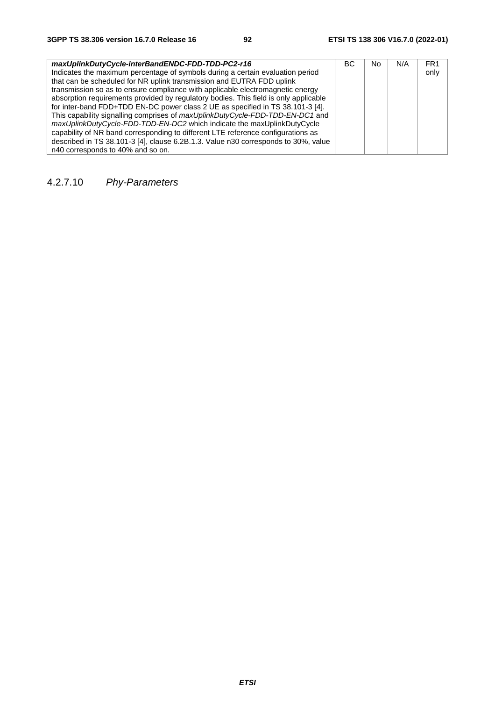| maxUplinkDutyCycle-interBandENDC-FDD-TDD-PC2-r16                                     | BC. | No | N/A | FR <sub>1</sub> |
|--------------------------------------------------------------------------------------|-----|----|-----|-----------------|
| Indicates the maximum percentage of symbols during a certain evaluation period       |     |    |     | only            |
| that can be scheduled for NR uplink transmission and EUTRA FDD uplink                |     |    |     |                 |
| transmission so as to ensure compliance with applicable electromagnetic energy       |     |    |     |                 |
| absorption requirements provided by regulatory bodies. This field is only applicable |     |    |     |                 |
| for inter-band FDD+TDD EN-DC power class 2 UE as specified in TS 38.101-3 [4].       |     |    |     |                 |
| This capability signalling comprises of maxUplinkDutyCycle-FDD-TDD-EN-DC1 and        |     |    |     |                 |
| maxUplinkDutyCycle-FDD-TDD-EN-DC2 which indicate the maxUplinkDutyCycle              |     |    |     |                 |
| capability of NR band corresponding to different LTE reference configurations as     |     |    |     |                 |
| described in TS 38.101-3 [4], clause 6.2B.1.3. Value n30 corresponds to 30%, value   |     |    |     |                 |
| n40 corresponds to 40% and so on.                                                    |     |    |     |                 |

4.2.7.10 *Phy-Parameters*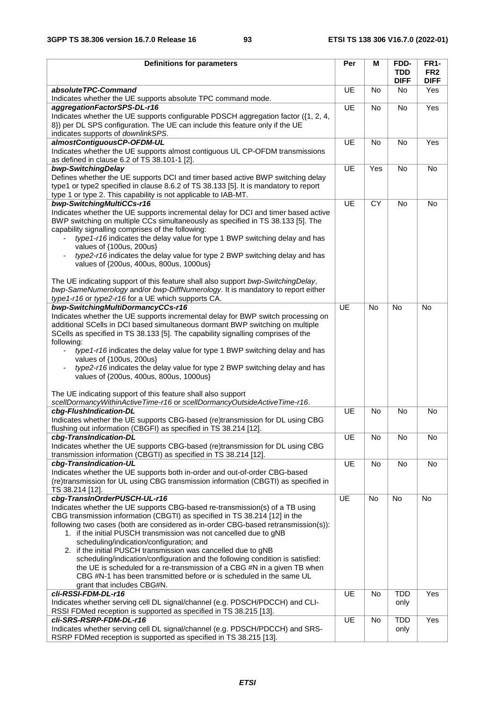| <b>Definitions for parameters</b>                                                                                                                                 | Per       | М         | FDD-<br><b>TDD</b> | <b>FR1-</b><br>FR <sub>2</sub> |
|-------------------------------------------------------------------------------------------------------------------------------------------------------------------|-----------|-----------|--------------------|--------------------------------|
|                                                                                                                                                                   |           |           | <b>DIFF</b>        | <b>DIFF</b>                    |
| absoluteTPC-Command<br>Indicates whether the UE supports absolute TPC command mode.                                                                               | UE        | No        | No                 | Yes                            |
| aggregationFactorSPS-DL-r16                                                                                                                                       | UE        | <b>No</b> | No                 | Yes                            |
| Indicates whether the UE supports configurable PDSCH aggregation factor ({1, 2, 4,                                                                                |           |           |                    |                                |
| 8}) per DL SPS configuration. The UE can include this feature only if the UE                                                                                      |           |           |                    |                                |
| indicates supports of downlinkSPS.<br>almostContiguousCP-OFDM-UL                                                                                                  | UE        | No        | No                 | Yes                            |
| Indicates whether the UE supports almost contiguous UL CP-OFDM transmissions                                                                                      |           |           |                    |                                |
| as defined in clause 6.2 of TS 38.101-1 [2].                                                                                                                      |           |           |                    |                                |
| bwp-SwitchingDelay                                                                                                                                                | UE        | Yes       | No                 | No                             |
| Defines whether the UE supports DCI and timer based active BWP switching delay                                                                                    |           |           |                    |                                |
| type1 or type2 specified in clause 8.6.2 of TS 38.133 [5]. It is mandatory to report<br>type 1 or type 2. This capability is not applicable to IAB-MT.            |           |           |                    |                                |
| bwp-SwitchingMultiCCs-r16                                                                                                                                         | UE        | <b>CY</b> | No                 | No                             |
| Indicates whether the UE supports incremental delay for DCI and timer based active                                                                                |           |           |                    |                                |
| BWP switching on multiple CCs simultaneously as specified in TS 38.133 [5]. The                                                                                   |           |           |                    |                                |
| capability signalling comprises of the following:                                                                                                                 |           |           |                    |                                |
| type1-r16 indicates the delay value for type 1 BWP switching delay and has                                                                                        |           |           |                    |                                |
| values of {100us, 200us}                                                                                                                                          |           |           |                    |                                |
| type2-r16 indicates the delay value for type 2 BWP switching delay and has<br>values of {200us, 400us, 800us, 1000us}                                             |           |           |                    |                                |
|                                                                                                                                                                   |           |           |                    |                                |
| The UE indicating support of this feature shall also support bwp-SwitchingDelay,                                                                                  |           |           |                    |                                |
| bwp-SameNumerology and/or bwp-DiffNumerology. It is mandatory to report either                                                                                    |           |           |                    |                                |
| type1-r16 or type2-r16 for a UE which supports CA.                                                                                                                |           |           |                    |                                |
| bwp-SwitchingMultiDormancyCCs-r16                                                                                                                                 | <b>UE</b> | <b>No</b> | <b>No</b>          | <b>No</b>                      |
| Indicates whether the UE supports incremental delay for BWP switch processing on                                                                                  |           |           |                    |                                |
| additional SCells in DCI based simultaneous dormant BWP switching on multiple<br>SCells as specified in TS 38.133 [5]. The capability signalling comprises of the |           |           |                    |                                |
| following:                                                                                                                                                        |           |           |                    |                                |
| type1-r16 indicates the delay value for type 1 BWP switching delay and has<br>$\blacksquare$                                                                      |           |           |                    |                                |
| values of {100us, 200us}                                                                                                                                          |           |           |                    |                                |
| type2-r16 indicates the delay value for type 2 BWP switching delay and has                                                                                        |           |           |                    |                                |
| values of {200us, 400us, 800us, 1000us}                                                                                                                           |           |           |                    |                                |
| The UE indicating support of this feature shall also support                                                                                                      |           |           |                    |                                |
| scellDormancyWithinActiveTime-r16 or scellDormancyOutsideActiveTime-r16.                                                                                          |           |           |                    |                                |
| cbg-FlushIndication-DL                                                                                                                                            | UE        | <b>No</b> | <b>No</b>          | <b>No</b>                      |
| Indicates whether the UE supports CBG-based (re)transmission for DL using CBG                                                                                     |           |           |                    |                                |
| flushing out information (CBGFI) as specified in TS 38.214 [12].                                                                                                  |           |           |                    |                                |
| cbg-TransIndication-DL                                                                                                                                            | UE        | No        | No                 | No                             |
| Indicates whether the UE supports CBG-based (re)transmission for DL using CBG<br>transmission information (CBGTI) as specified in TS 38.214 [12].                 |           |           |                    |                                |
| cbg-TransIndication-UL                                                                                                                                            | UE        | No        | No                 | No                             |
| Indicates whether the UE supports both in-order and out-of-order CBG-based                                                                                        |           |           |                    |                                |
| (re)transmission for UL using CBG transmission information (CBGTI) as specified in                                                                                |           |           |                    |                                |
| TS 38.214 [12].                                                                                                                                                   |           |           |                    |                                |
| cbg-TransInOrderPUSCH-UL-r16                                                                                                                                      | UE        | No        | <b>No</b>          | No                             |
| Indicates whether the UE supports CBG-based re-transmission(s) of a TB using                                                                                      |           |           |                    |                                |
| CBG transmission information (CBGTI) as specified in TS 38.214 [12] in the<br>following two cases (both are considered as in-order CBG-based retransmission(s)):  |           |           |                    |                                |
| 1. if the initial PUSCH transmission was not cancelled due to gNB                                                                                                 |           |           |                    |                                |
| scheduling/indication/configuration; and                                                                                                                          |           |           |                    |                                |
| 2. if the initial PUSCH transmission was cancelled due to gNB                                                                                                     |           |           |                    |                                |
| scheduling/indication/configuration and the following condition is satisfied:                                                                                     |           |           |                    |                                |
| the UE is scheduled for a re-transmission of a CBG #N in a given TB when                                                                                          |           |           |                    |                                |
| CBG #N-1 has been transmitted before or is scheduled in the same UL<br>grant that includes CBG#N.                                                                 |           |           |                    |                                |
| cli-RSSI-FDM-DL-r16                                                                                                                                               | UE        | No        | <b>TDD</b>         | Yes                            |
| Indicates whether serving cell DL signal/channel (e.g. PDSCH/PDCCH) and CLI-                                                                                      |           |           | only               |                                |
| RSSI FDMed reception is supported as specified in TS 38.215 [13].                                                                                                 |           |           |                    |                                |
| cli-SRS-RSRP-FDM-DL-r16                                                                                                                                           | UE        | No        | <b>TDD</b>         | Yes                            |
| Indicates whether serving cell DL signal/channel (e.g. PDSCH/PDCCH) and SRS-                                                                                      |           |           | only               |                                |
| RSRP FDMed reception is supported as specified in TS 38.215 [13].                                                                                                 |           |           |                    |                                |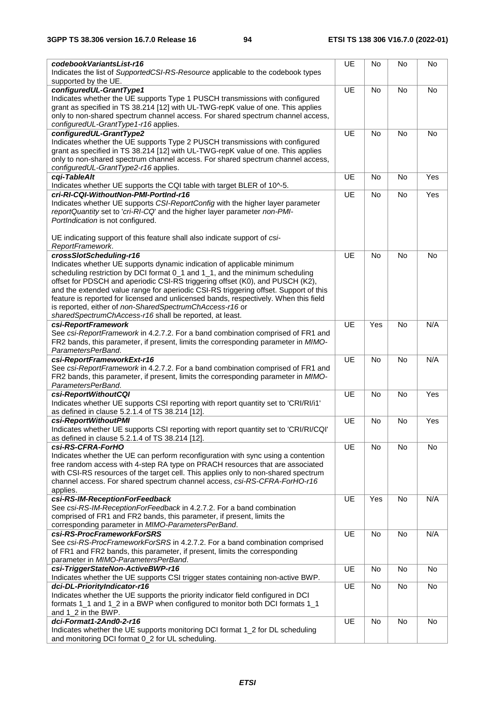| codebookVariantsList-r16                                                                                      | UE        | No        | No        | No        |
|---------------------------------------------------------------------------------------------------------------|-----------|-----------|-----------|-----------|
| Indicates the list of SupportedCSI-RS-Resource applicable to the codebook types                               |           |           |           |           |
| supported by the UE.                                                                                          |           |           |           |           |
| configuredUL-GrantType1                                                                                       | UE        | <b>No</b> | <b>No</b> | <b>No</b> |
| Indicates whether the UE supports Type 1 PUSCH transmissions with configured                                  |           |           |           |           |
| grant as specified in TS 38.214 [12] with UL-TWG-repK value of one. This applies                              |           |           |           |           |
| only to non-shared spectrum channel access. For shared spectrum channel access,                               |           |           |           |           |
| configuredUL-GrantType1-r16 applies.                                                                          |           |           |           |           |
| configuredUL-GrantType2                                                                                       | UE        | <b>No</b> | <b>No</b> | <b>No</b> |
| Indicates whether the UE supports Type 2 PUSCH transmissions with configured                                  |           |           |           |           |
| grant as specified in TS 38.214 [12] with UL-TWG-repK value of one. This applies                              |           |           |           |           |
| only to non-shared spectrum channel access. For shared spectrum channel access,                               |           |           |           |           |
| configuredUL-GrantType2-r16 applies.<br>cqi-TableAlt                                                          | UE        | <b>No</b> | <b>No</b> | Yes       |
| Indicates whether UE supports the CQI table with target BLER of 10^-5.                                        |           |           |           |           |
| cri-RI-CQI-WithoutNon-PMI-PortInd-r16                                                                         | UE        | <b>No</b> | No        | Yes       |
| Indicates whether UE supports CSI-ReportConfig with the higher layer parameter                                |           |           |           |           |
| reportQuantity set to 'cri-RI-CQ' and the higher layer parameter non-PMI-                                     |           |           |           |           |
| PortIndication is not configured.                                                                             |           |           |           |           |
|                                                                                                               |           |           |           |           |
| UE indicating support of this feature shall also indicate support of csi-                                     |           |           |           |           |
| ReportFramework.                                                                                              |           |           |           |           |
| crossSlotScheduling-r16                                                                                       | UE        | <b>No</b> | <b>No</b> | <b>No</b> |
| Indicates whether UE supports dynamic indication of applicable minimum                                        |           |           |           |           |
| scheduling restriction by DCI format 0_1 and 1_1, and the minimum scheduling                                  |           |           |           |           |
| offset for PDSCH and aperiodic CSI-RS triggering offset (K0), and PUSCH (K2),                                 |           |           |           |           |
| and the extended value range for aperiodic CSI-RS triggering offset. Support of this                          |           |           |           |           |
| feature is reported for licensed and unlicensed bands, respectively. When this field                          |           |           |           |           |
| is reported, either of non-SharedSpectrumChAccess-r16 or                                                      |           |           |           |           |
| sharedSpectrumChAccess-r16 shall be reported, at least.                                                       |           |           |           |           |
| csi-ReportFramework                                                                                           | UE        | Yes       | <b>No</b> | N/A       |
| See csi-ReportFramework in 4.2.7.2. For a band combination comprised of FR1 and                               |           |           |           |           |
| FR2 bands, this parameter, if present, limits the corresponding parameter in MIMO-                            |           |           |           |           |
| ParametersPerBand.                                                                                            |           |           |           |           |
| csi-ReportFrameworkExt-r16<br>See csi-ReportFramework in 4.2.7.2. For a band combination comprised of FR1 and | UE        | <b>No</b> | <b>No</b> | N/A       |
| FR2 bands, this parameter, if present, limits the corresponding parameter in MIMO-                            |           |           |           |           |
| ParametersPerBand.                                                                                            |           |           |           |           |
| csi-ReportWithoutCQI                                                                                          | UE        | <b>No</b> | <b>No</b> | Yes       |
| Indicates whether UE supports CSI reporting with report quantity set to 'CRI/RI/i1'                           |           |           |           |           |
| as defined in clause 5.2.1.4 of TS 38.214 [12].                                                               |           |           |           |           |
| csi-ReportWithoutPMI                                                                                          | UE        | No        | <b>No</b> | Yes       |
| Indicates whether UE supports CSI reporting with report quantity set to 'CRI/RI/CQI'                          |           |           |           |           |
| as defined in clause 5.2.1.4 of TS 38.214 [12].                                                               |           |           |           |           |
| csi-RS-CFRA-ForHO                                                                                             | <b>UE</b> | No        | No        | No        |
| Indicates whether the UE can perform reconfiguration with sync using a contention                             |           |           |           |           |
| free random access with 4-step RA type on PRACH resources that are associated                                 |           |           |           |           |
| with CSI-RS resources of the target cell. This applies only to non-shared spectrum                            |           |           |           |           |
| channel access. For shared spectrum channel access, csi-RS-CFRA-ForHO-r16                                     |           |           |           |           |
| applies.                                                                                                      |           |           |           |           |
| csi-RS-IM-ReceptionForFeedback                                                                                | UE        | Yes       | No        | N/A       |
| See csi-RS-IM-ReceptionForFeedback in 4.2.7.2. For a band combination                                         |           |           |           |           |
| comprised of FR1 and FR2 bands, this parameter, if present, limits the                                        |           |           |           |           |
| corresponding parameter in MIMO-ParametersPerBand.                                                            |           |           |           |           |
| csi-RS-ProcFrameworkForSRS<br>See csi-RS-ProcFrameworkForSRS in 4.2.7.2. For a band combination comprised     | UE        | No        | <b>No</b> | N/A       |
| of FR1 and FR2 bands, this parameter, if present, limits the corresponding                                    |           |           |           |           |
| parameter in MIMO-ParametersPerBand.                                                                          |           |           |           |           |
| csi-TriggerStateNon-ActiveBWP-r16                                                                             | UE        | No        | No        | No        |
| Indicates whether the UE supports CSI trigger states containing non-active BWP.                               |           |           |           |           |
| dci-DL-PriorityIndicator-r16                                                                                  | UE        | No        | No        | No        |
| Indicates whether the UE supports the priority indicator field configured in DCI                              |           |           |           |           |
| formats 1_1 and 1_2 in a BWP when configured to monitor both DCI formats 1_1                                  |           |           |           |           |
| and 1_2 in the BWP.                                                                                           |           |           |           |           |
| dci-Format1-2And0-2-r16                                                                                       | <b>UE</b> | No        | <b>No</b> | No        |
| Indicates whether the UE supports monitoring DCI format 1_2 for DL scheduling                                 |           |           |           |           |
| and monitoring DCI format 0_2 for UL scheduling.                                                              |           |           |           |           |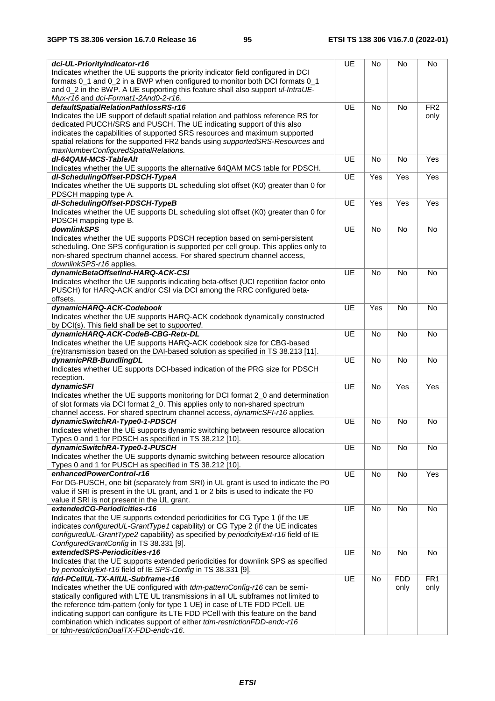| dci-UL-PriorityIndicator-r16                                                                                                                                      | UE        | No        | No         | No              |
|-------------------------------------------------------------------------------------------------------------------------------------------------------------------|-----------|-----------|------------|-----------------|
| Indicates whether the UE supports the priority indicator field configured in DCI                                                                                  |           |           |            |                 |
| formats 0_1 and 0_2 in a BWP when configured to monitor both DCI formats 0_1                                                                                      |           |           |            |                 |
| and 0_2 in the BWP. A UE supporting this feature shall also support ul-IntraUE-                                                                                   |           |           |            |                 |
| Mux-r16 and dci-Format1-2And0-2-r16.<br>defaultSpatialRelationPathlossRS-r16                                                                                      | UE        | <b>No</b> | No         | FR <sub>2</sub> |
| Indicates the UE support of default spatial relation and pathloss reference RS for                                                                                |           |           |            | only            |
| dedicated PUCCH/SRS and PUSCH. The UE indicating support of this also                                                                                             |           |           |            |                 |
| indicates the capabilities of supported SRS resources and maximum supported                                                                                       |           |           |            |                 |
| spatial relations for the supported FR2 bands using supportedSRS-Resources and                                                                                    |           |           |            |                 |
| maxNumberConfiguredSpatialRelations.                                                                                                                              |           |           |            |                 |
| dl-64QAM-MCS-TableAlt                                                                                                                                             | <b>UE</b> | No        | <b>No</b>  | Yes             |
| Indicates whether the UE supports the alternative 64QAM MCS table for PDSCH.<br>dl-SchedulingOffset-PDSCH-TypeA                                                   | UE        |           | Yes        | Yes             |
| Indicates whether the UE supports DL scheduling slot offset (K0) greater than 0 for                                                                               |           | Yes       |            |                 |
| PDSCH mapping type A.                                                                                                                                             |           |           |            |                 |
| dl-SchedulingOffset-PDSCH-TypeB                                                                                                                                   | UE        | Yes       | Yes        | Yes             |
| Indicates whether the UE supports DL scheduling slot offset (K0) greater than 0 for                                                                               |           |           |            |                 |
| PDSCH mapping type B.                                                                                                                                             |           |           |            |                 |
| downlinkSPS                                                                                                                                                       | UE        | No        | <b>No</b>  | <b>No</b>       |
| Indicates whether the UE supports PDSCH reception based on semi-persistent                                                                                        |           |           |            |                 |
| scheduling. One SPS configuration is supported per cell group. This applies only to                                                                               |           |           |            |                 |
| non-shared spectrum channel access. For shared spectrum channel access,<br>downlinkSPS-r16 applies.                                                               |           |           |            |                 |
| dynamicBetaOffsetInd-HARQ-ACK-CSI                                                                                                                                 | UE        | <b>No</b> | No         | No              |
| Indicates whether the UE supports indicating beta-offset (UCI repetition factor onto                                                                              |           |           |            |                 |
| PUSCH) for HARQ-ACK and/or CSI via DCI among the RRC configured beta-                                                                                             |           |           |            |                 |
| offsets.                                                                                                                                                          |           |           |            |                 |
| dynamicHARQ-ACK-Codebook                                                                                                                                          | UE        | Yes       | No         | No              |
| Indicates whether the UE supports HARQ-ACK codebook dynamically constructed                                                                                       |           |           |            |                 |
| by DCI(s). This field shall be set to supported.                                                                                                                  |           |           |            |                 |
| dynamicHARQ-ACK-CodeB-CBG-Retx-DL                                                                                                                                 | UE        | <b>No</b> | <b>No</b>  | No              |
| Indicates whether the UE supports HARQ-ACK codebook size for CBG-based<br>(re)transmission based on the DAI-based solution as specified in TS 38.213 [11].        |           |           |            |                 |
| dynamicPRB-BundlingDL                                                                                                                                             | UE        | <b>No</b> | No         | No              |
| Indicates whether UE supports DCI-based indication of the PRG size for PDSCH                                                                                      |           |           |            |                 |
| reception.                                                                                                                                                        |           |           |            |                 |
| dynamicSFI                                                                                                                                                        | UE        | <b>No</b> | Yes        | Yes             |
| Indicates whether the UE supports monitoring for DCI format 2_0 and determination                                                                                 |           |           |            |                 |
| of slot formats via DCI format 2_0. This applies only to non-shared spectrum                                                                                      |           |           |            |                 |
| channel access. For shared spectrum channel access, dynamicSFI-r16 applies.                                                                                       |           |           |            |                 |
| dynamicSwitchRA-Type0-1-PDSCH<br>Indicates whether the UE supports dynamic switching between resource allocation                                                  | UE        | No        | No         | No              |
| Types 0 and 1 for PDSCH as specified in TS 38.212 [10].                                                                                                           |           |           |            |                 |
| dynamicSwitchRA-Type0-1-PUSCH                                                                                                                                     | UE        | No        | No         | No              |
| Indicates whether the UE supports dynamic switching between resource allocation                                                                                   |           |           |            |                 |
| Types 0 and 1 for PUSCH as specified in TS 38.212 [10].                                                                                                           |           |           |            |                 |
| enhancedPowerControl-r16                                                                                                                                          | UE        | No        | No         | Yes             |
| For DG-PUSCH, one bit (separately from SRI) in UL grant is used to indicate the P0                                                                                |           |           |            |                 |
| value if SRI is present in the UL grant, and 1 or 2 bits is used to indicate the P0                                                                               |           |           |            |                 |
| value if SRI is not present in the UL grant.<br>extendedCG-Periodicities-r16                                                                                      | UE        |           |            |                 |
| Indicates that the UE supports extended periodicities for CG Type 1 (if the UE                                                                                    |           | No        | No         | No              |
| indicates configuredUL-GrantType1 capability) or CG Type 2 (if the UE indicates                                                                                   |           |           |            |                 |
| configuredUL-GrantType2 capability) as specified by periodicityExt-r16 field of IE                                                                                |           |           |            |                 |
| ConfiguredGrantConfig in TS 38.331 [9].                                                                                                                           |           |           |            |                 |
| extendedSPS-Periodicities-r16                                                                                                                                     | UE        | No        | No         | No              |
| Indicates that the UE supports extended periodicities for downlink SPS as specified                                                                               |           |           |            |                 |
| by periodicity Ext-r16 field of IE SPS-Config in TS 38.331 [9].                                                                                                   |           |           |            |                 |
| fdd-PCellUL-TX-AllUL-Subframe-r16                                                                                                                                 | UE        | No        | <b>FDD</b> | FR <sub>1</sub> |
| Indicates whether the UE configured with tdm-patternConfig-r16 can be semi-<br>statically configured with LTE UL transmissions in all UL subframes not limited to |           |           | only       | only            |
| the reference tdm-pattern (only for type 1 UE) in case of LTE FDD PCell. UE                                                                                       |           |           |            |                 |
| indicating support can configure its LTE FDD PCell with this feature on the band                                                                                  |           |           |            |                 |
| combination which indicates support of either tdm-restrictionFDD-endc-r16                                                                                         |           |           |            |                 |
| or tdm-restrictionDualTX-FDD-endc-r16.                                                                                                                            |           |           |            |                 |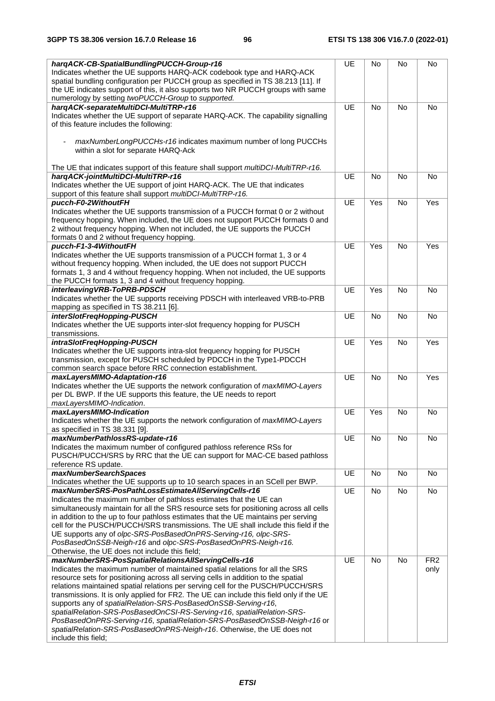| hargACK-CB-SpatialBundlingPUCCH-Group-r16                                                                                                                            | UE | No        | No        | No              |
|----------------------------------------------------------------------------------------------------------------------------------------------------------------------|----|-----------|-----------|-----------------|
| Indicates whether the UE supports HARQ-ACK codebook type and HARQ-ACK                                                                                                |    |           |           |                 |
| spatial bundling configuration per PUCCH group as specified in TS 38.213 [11]. If                                                                                    |    |           |           |                 |
| the UE indicates support of this, it also supports two NR PUCCH groups with same                                                                                     |    |           |           |                 |
| numerology by setting twoPUCCH-Group to supported.                                                                                                                   |    |           |           |                 |
| hargACK-separateMultiDCI-MultiTRP-r16                                                                                                                                | UE | <b>No</b> | <b>No</b> | <b>No</b>       |
| Indicates whether the UE support of separate HARQ-ACK. The capability signalling                                                                                     |    |           |           |                 |
| of this feature includes the following:                                                                                                                              |    |           |           |                 |
|                                                                                                                                                                      |    |           |           |                 |
| maxNumberLongPUCCHs-r16 indicates maximum number of long PUCCHs                                                                                                      |    |           |           |                 |
| within a slot for separate HARQ-Ack                                                                                                                                  |    |           |           |                 |
|                                                                                                                                                                      |    |           |           |                 |
| The UE that indicates support of this feature shall support <i>multiDCI-MultiTRP-r16.</i>                                                                            |    |           |           |                 |
| harqACK-jointMultiDCI-MultiTRP-r16                                                                                                                                   | UE | <b>No</b> | No        | <b>No</b>       |
| Indicates whether the UE support of joint HARQ-ACK. The UE that indicates                                                                                            |    |           |           |                 |
| support of this feature shall support multiDCI-MultiTRP-r16.                                                                                                         |    |           |           |                 |
| pucch-F0-2WithoutFH                                                                                                                                                  | UE | Yes       | No        | Yes             |
| Indicates whether the UE supports transmission of a PUCCH format 0 or 2 without<br>frequency hopping. When included, the UE does not support PUCCH formats 0 and     |    |           |           |                 |
| 2 without frequency hopping. When not included, the UE supports the PUCCH                                                                                            |    |           |           |                 |
| formats 0 and 2 without frequency hopping.                                                                                                                           |    |           |           |                 |
| pucch-F1-3-4WithoutFH                                                                                                                                                | UE | Yes       | <b>No</b> | Yes             |
| Indicates whether the UE supports transmission of a PUCCH format 1, 3 or 4                                                                                           |    |           |           |                 |
| without frequency hopping. When included, the UE does not support PUCCH                                                                                              |    |           |           |                 |
| formats 1, 3 and 4 without frequency hopping. When not included, the UE supports                                                                                     |    |           |           |                 |
| the PUCCH formats 1, 3 and 4 without frequency hopping.                                                                                                              |    |           |           |                 |
| interleaving VRB-ToPRB-PDSCH                                                                                                                                         | UE | Yes       | No        | <b>No</b>       |
| Indicates whether the UE supports receiving PDSCH with interleaved VRB-to-PRB                                                                                        |    |           |           |                 |
| mapping as specified in TS 38.211 [6].                                                                                                                               |    |           |           |                 |
| interSlotFreqHopping-PUSCH                                                                                                                                           | UE | <b>No</b> | No        | <b>No</b>       |
| Indicates whether the UE supports inter-slot frequency hopping for PUSCH                                                                                             |    |           |           |                 |
| transmissions.                                                                                                                                                       |    |           |           |                 |
| intraSlotFreqHopping-PUSCH                                                                                                                                           | UE | Yes       | No        | Yes             |
| Indicates whether the UE supports intra-slot frequency hopping for PUSCH                                                                                             |    |           |           |                 |
| transmission, except for PUSCH scheduled by PDCCH in the Type1-PDCCH                                                                                                 |    |           |           |                 |
| common search space before RRC connection establishment.                                                                                                             |    |           |           |                 |
| maxLayersMIMO-Adaptation-r16                                                                                                                                         | UE | <b>No</b> | No        | Yes             |
| Indicates whether the UE supports the network configuration of maxMIMO-Layers                                                                                        |    |           |           |                 |
| per DL BWP. If the UE supports this feature, the UE needs to report                                                                                                  |    |           |           |                 |
| maxLayersMIMO-Indication.<br>maxLayersMIMO-Indication                                                                                                                | UE | Yes       | No        | No              |
| Indicates whether the UE supports the network configuration of maxMIMO-Layers                                                                                        |    |           |           |                 |
| as specified in TS 38.331 [9].                                                                                                                                       |    |           |           |                 |
| maxNumberPathlossRS-update-r16                                                                                                                                       | UE | No        | No        | No              |
| Indicates the maximum number of configured pathloss reference RSs for                                                                                                |    |           |           |                 |
| PUSCH/PUCCH/SRS by RRC that the UE can support for MAC-CE based pathloss                                                                                             |    |           |           |                 |
| reference RS update.                                                                                                                                                 |    |           |           |                 |
| maxNumberSearchSpaces                                                                                                                                                | UE | No        | No        | No              |
| Indicates whether the UE supports up to 10 search spaces in an SCell per BWP.                                                                                        |    |           |           |                 |
| maxNumberSRS-PosPathLossEstimateAllServingCells-r16                                                                                                                  | UE | No        | No        | No              |
| Indicates the maximum number of pathloss estimates that the UE can                                                                                                   |    |           |           |                 |
| simultaneously maintain for all the SRS resource sets for positioning across all cells                                                                               |    |           |           |                 |
| in addition to the up to four pathloss estimates that the UE maintains per serving                                                                                   |    |           |           |                 |
| cell for the PUSCH/PUCCH/SRS transmissions. The UE shall include this field if the                                                                                   |    |           |           |                 |
| UE supports any of olpc-SRS-PosBasedOnPRS-Serving-r16, olpc-SRS-                                                                                                     |    |           |           |                 |
| PosBasedOnSSB-Neigh-r16 and olpc-SRS-PosBasedOnPRS-Neigh-r16.                                                                                                        |    |           |           |                 |
| Otherwise, the UE does not include this field;                                                                                                                       |    |           |           |                 |
| maxNumberSRS-PosSpatialRelationsAllServingCells-r16                                                                                                                  | UE | No        | <b>No</b> | FR <sub>2</sub> |
| Indicates the maximum number of maintained spatial relations for all the SRS                                                                                         |    |           |           | only            |
| resource sets for positioning across all serving cells in addition to the spatial<br>relations maintained spatial relations per serving cell for the PUSCH/PUCCH/SRS |    |           |           |                 |
| transmissions. It is only applied for FR2. The UE can include this field only if the UE                                                                              |    |           |           |                 |
| supports any of spatialRelation-SRS-PosBasedOnSSB-Serving-r16,                                                                                                       |    |           |           |                 |
| spatialRelation-SRS-PosBasedOnCSI-RS-Serving-r16, spatialRelation-SRS-                                                                                               |    |           |           |                 |
| PosBasedOnPRS-Serving-r16, spatialRelation-SRS-PosBasedOnSSB-Neigh-r16 or                                                                                            |    |           |           |                 |
| spatialRelation-SRS-PosBasedOnPRS-Neigh-r16. Otherwise, the UE does not                                                                                              |    |           |           |                 |
| include this field;                                                                                                                                                  |    |           |           |                 |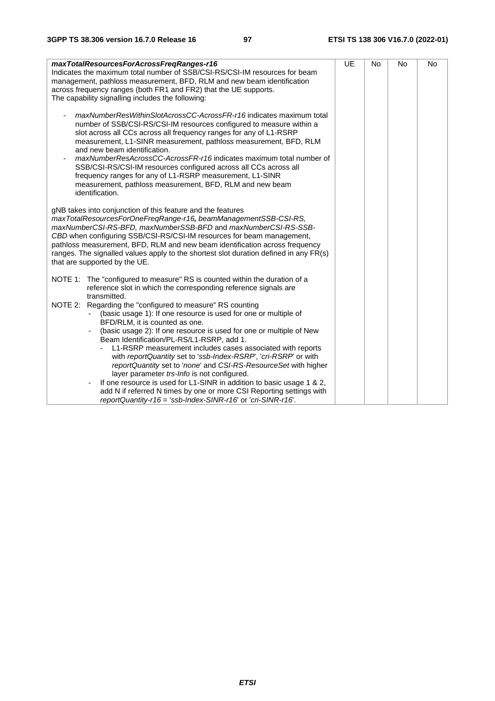| maxTotalResourcesForAcrossFreqRanges-r16<br>Indicates the maximum total number of SSB/CSI-RS/CSI-IM resources for beam<br>management, pathloss measurement, BFD, RLM and new beam identification<br>across frequency ranges (both FR1 and FR2) that the UE supports.<br>The capability signalling includes the following:                                                                                                                                                                                                                                                                                                                        | <b>UE</b> | <b>No</b> | No | No |
|--------------------------------------------------------------------------------------------------------------------------------------------------------------------------------------------------------------------------------------------------------------------------------------------------------------------------------------------------------------------------------------------------------------------------------------------------------------------------------------------------------------------------------------------------------------------------------------------------------------------------------------------------|-----------|-----------|----|----|
| maxNumberResWithinSlotAcrossCC-AcrossFR-r16 indicates maximum total<br>number of SSB/CSI-RS/CSI-IM resources configured to measure within a<br>slot across all CCs across all frequency ranges for any of L1-RSRP<br>measurement, L1-SINR measurement, pathloss measurement, BFD, RLM<br>and new beam identification.<br>maxNumberResAcrossCC-AcrossFR-r16 indicates maximum total number of<br>SSB/CSI-RS/CSI-IM resources configured across all CCs across all<br>frequency ranges for any of L1-RSRP measurement, L1-SINR<br>measurement, pathloss measurement, BFD, RLM and new beam<br>identification.                                      |           |           |    |    |
| gNB takes into conjunction of this feature and the features<br>maxTotalResourcesForOneFreqRange-r16, beamManagementSSB-CSI-RS,<br>maxNumberCSI-RS-BFD, maxNumberSSB-BFD and maxNumberCSI-RS-SSB-<br>CBD when configuring SSB/CSI-RS/CSI-IM resources for beam management,<br>pathloss measurement, BFD, RLM and new beam identification across frequency<br>ranges. The signalled values apply to the shortest slot duration defined in any FR(s)<br>that are supported by the UE.                                                                                                                                                               |           |           |    |    |
| NOTE 1: The "configured to measure" RS is counted within the duration of a<br>reference slot in which the corresponding reference signals are<br>transmitted.                                                                                                                                                                                                                                                                                                                                                                                                                                                                                    |           |           |    |    |
| NOTE 2: Regarding the "configured to measure" RS counting<br>(basic usage 1): If one resource is used for one or multiple of<br>BFD/RLM, it is counted as one.<br>(basic usage 2): If one resource is used for one or multiple of New<br>$\overline{\phantom{a}}$<br>Beam Identification/PL-RS/L1-RSRP, add 1.<br>L1-RSRP measurement includes cases associated with reports<br>with reportQuantity set to 'ssb-Index-RSRP', 'cri-RSRP' or with<br>reportQuantity set to 'none' and CSI-RS-ResourceSet with higher<br>layer parameter trs-Info is not configured.<br>If one resource is used for L1-SINR in addition to basic usage 1 & 2,<br>÷, |           |           |    |    |
| add N if referred N times by one or more CSI Reporting settings with<br>reportQuantity-r16 = 'ssb-Index-SINR-r16' or 'cri-SINR-r16'.                                                                                                                                                                                                                                                                                                                                                                                                                                                                                                             |           |           |    |    |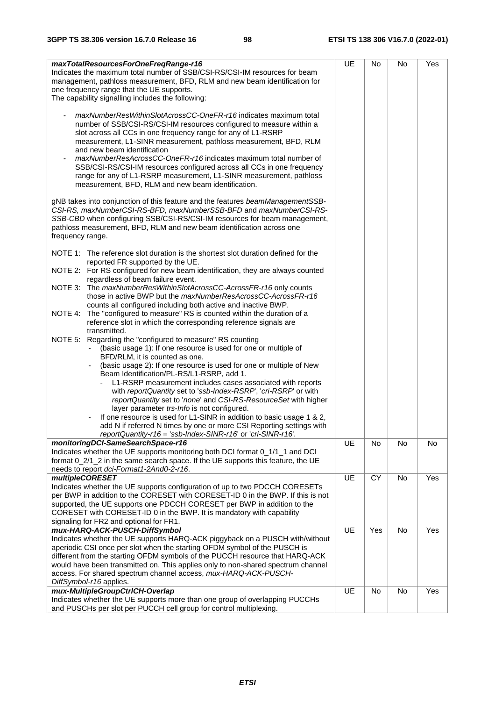| maxTotalResourcesForOneFreqRange-r16<br>Indicates the maximum total number of SSB/CSI-RS/CSI-IM resources for beam<br>management, pathloss measurement, BFD, RLM and new beam identification for<br>one frequency range that the UE supports.<br>The capability signalling includes the following:                                                                                                                                                                                                                                | UE | No  | No        | Yes |
|-----------------------------------------------------------------------------------------------------------------------------------------------------------------------------------------------------------------------------------------------------------------------------------------------------------------------------------------------------------------------------------------------------------------------------------------------------------------------------------------------------------------------------------|----|-----|-----------|-----|
| maxNumberResWithinSlotAcrossCC-OneFR-r16 indicates maximum total<br>number of SSB/CSI-RS/CSI-IM resources configured to measure within a<br>slot across all CCs in one frequency range for any of L1-RSRP<br>measurement, L1-SINR measurement, pathloss measurement, BFD, RLM<br>and new beam identification<br>maxNumberResAcrossCC-OneFR-r16 indicates maximum total number of<br>SSB/CSI-RS/CSI-IM resources configured across all CCs in one frequency<br>range for any of L1-RSRP measurement, L1-SINR measurement, pathloss |    |     |           |     |
| measurement, BFD, RLM and new beam identification.                                                                                                                                                                                                                                                                                                                                                                                                                                                                                |    |     |           |     |
| gNB takes into conjunction of this feature and the features beamManagementSSB-<br>CSI-RS, maxNumberCSI-RS-BFD, maxNumberSSB-BFD and maxNumberCSI-RS-<br>SSB-CBD when configuring SSB/CSI-RS/CSI-IM resources for beam management,<br>pathloss measurement, BFD, RLM and new beam identification across one<br>frequency range.                                                                                                                                                                                                    |    |     |           |     |
| NOTE 1: The reference slot duration is the shortest slot duration defined for the<br>reported FR supported by the UE.                                                                                                                                                                                                                                                                                                                                                                                                             |    |     |           |     |
| NOTE 2: For RS configured for new beam identification, they are always counted<br>regardless of beam failure event.                                                                                                                                                                                                                                                                                                                                                                                                               |    |     |           |     |
| NOTE 3: The maxNumberResWithinSlotAcrossCC-AcrossFR-r16 only counts<br>those in active BWP but the maxNumberResAcrossCC-AcrossFR-r16                                                                                                                                                                                                                                                                                                                                                                                              |    |     |           |     |
| counts all configured including both active and inactive BWP.<br>NOTE 4: The "configured to measure" RS is counted within the duration of a<br>reference slot in which the corresponding reference signals are<br>transmitted.                                                                                                                                                                                                                                                                                                    |    |     |           |     |
| NOTE 5: Regarding the "configured to measure" RS counting<br>(basic usage 1): If one resource is used for one or multiple of<br>BFD/RLM, it is counted as one.<br>(basic usage 2): If one resource is used for one or multiple of New                                                                                                                                                                                                                                                                                             |    |     |           |     |
| Beam Identification/PL-RS/L1-RSRP, add 1.<br>L1-RSRP measurement includes cases associated with reports<br>with reportQuantity set to 'ssb-Index-RSRP', 'cri-RSRP' or with                                                                                                                                                                                                                                                                                                                                                        |    |     |           |     |
| reportQuantity set to 'none' and CSI-RS-ResourceSet with higher<br>layer parameter trs-Info is not configured.                                                                                                                                                                                                                                                                                                                                                                                                                    |    |     |           |     |
| If one resource is used for L1-SINR in addition to basic usage 1 & 2,<br>add N if referred N times by one or more CSI Reporting settings with                                                                                                                                                                                                                                                                                                                                                                                     |    |     |           |     |
| reportQuantity-r16 = 'ssb-Index-SINR-r16' or 'cri-SINR-r16'.                                                                                                                                                                                                                                                                                                                                                                                                                                                                      |    |     |           |     |
| monitoringDCI-SameSearchSpace-r16<br>Indicates whether the UE supports monitoring both DCI format 0_1/1_1 and DCI                                                                                                                                                                                                                                                                                                                                                                                                                 | UE | No  | <b>No</b> | No  |
| format 0_2/1_2 in the same search space. If the UE supports this feature, the UE<br>needs to report dci-Format1-2And0-2-r16.                                                                                                                                                                                                                                                                                                                                                                                                      |    |     |           |     |
| <b>multipleCORESET</b>                                                                                                                                                                                                                                                                                                                                                                                                                                                                                                            | UE | CY  | No        | Yes |
| Indicates whether the UE supports configuration of up to two PDCCH CORESETs<br>per BWP in addition to the CORESET with CORESET-ID 0 in the BWP. If this is not                                                                                                                                                                                                                                                                                                                                                                    |    |     |           |     |
| supported, the UE supports one PDCCH CORESET per BWP in addition to the                                                                                                                                                                                                                                                                                                                                                                                                                                                           |    |     |           |     |
| CORESET with CORESET-ID 0 in the BWP. It is mandatory with capability<br>signaling for FR2 and optional for FR1.                                                                                                                                                                                                                                                                                                                                                                                                                  |    |     |           |     |
| mux-HARQ-ACK-PUSCH-DiffSymbol                                                                                                                                                                                                                                                                                                                                                                                                                                                                                                     | UE | Yes | No        | Yes |
| Indicates whether the UE supports HARQ-ACK piggyback on a PUSCH with/without                                                                                                                                                                                                                                                                                                                                                                                                                                                      |    |     |           |     |
| aperiodic CSI once per slot when the starting OFDM symbol of the PUSCH is<br>different from the starting OFDM symbols of the PUCCH resource that HARQ-ACK                                                                                                                                                                                                                                                                                                                                                                         |    |     |           |     |
| would have been transmitted on. This applies only to non-shared spectrum channel                                                                                                                                                                                                                                                                                                                                                                                                                                                  |    |     |           |     |
| access. For shared spectrum channel access, mux-HARQ-ACK-PUSCH-<br>DiffSymbol-r16 applies.                                                                                                                                                                                                                                                                                                                                                                                                                                        |    |     |           |     |
| mux-MultipleGroupCtrlCH-Overlap                                                                                                                                                                                                                                                                                                                                                                                                                                                                                                   | UE | No  | No        | Yes |
| Indicates whether the UE supports more than one group of overlapping PUCCHs<br>and PUSCHs per slot per PUCCH cell group for control multiplexing.                                                                                                                                                                                                                                                                                                                                                                                 |    |     |           |     |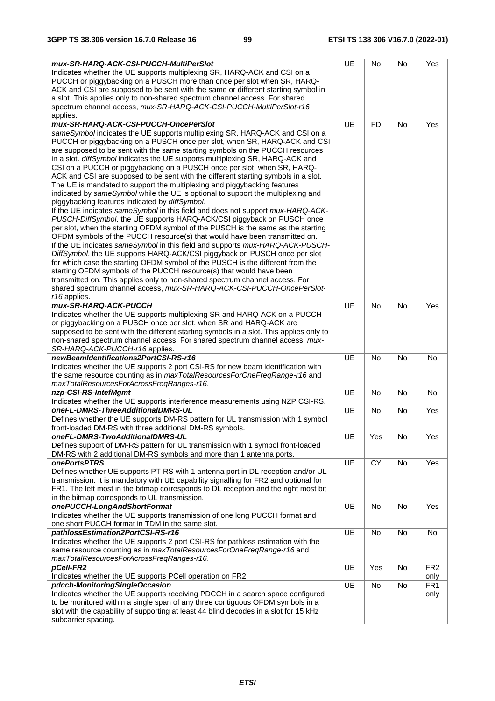| mux-SR-HARQ-ACK-CSI-PUCCH-MultiPerSlot<br>Indicates whether the UE supports multiplexing SR, HARQ-ACK and CSI on a<br>PUCCH or piggybacking on a PUSCH more than once per slot when SR, HARQ-<br>ACK and CSI are supposed to be sent with the same or different starting symbol in<br>a slot. This applies only to non-shared spectrum channel access. For shared<br>spectrum channel access, mux-SR-HARQ-ACK-CSI-PUCCH-MultiPerSlot-r16<br>applies.                                                                                                                                                                                                                                                                                                                                                                                                                                                                                                                                                                                                                                                                                                                                                                                                                                                                                                                                                                                                                                                                                                                   | UE        | No        | No        | Yes                     |
|------------------------------------------------------------------------------------------------------------------------------------------------------------------------------------------------------------------------------------------------------------------------------------------------------------------------------------------------------------------------------------------------------------------------------------------------------------------------------------------------------------------------------------------------------------------------------------------------------------------------------------------------------------------------------------------------------------------------------------------------------------------------------------------------------------------------------------------------------------------------------------------------------------------------------------------------------------------------------------------------------------------------------------------------------------------------------------------------------------------------------------------------------------------------------------------------------------------------------------------------------------------------------------------------------------------------------------------------------------------------------------------------------------------------------------------------------------------------------------------------------------------------------------------------------------------------|-----------|-----------|-----------|-------------------------|
|                                                                                                                                                                                                                                                                                                                                                                                                                                                                                                                                                                                                                                                                                                                                                                                                                                                                                                                                                                                                                                                                                                                                                                                                                                                                                                                                                                                                                                                                                                                                                                        |           |           |           |                         |
| mux-SR-HARQ-ACK-CSI-PUCCH-OncePerSlot<br>sameSymbol indicates the UE supports multiplexing SR, HARQ-ACK and CSI on a<br>PUCCH or piggybacking on a PUSCH once per slot, when SR, HARQ-ACK and CSI<br>are supposed to be sent with the same starting symbols on the PUCCH resources<br>in a slot. diffSymbol indicates the UE supports multiplexing SR, HARQ-ACK and<br>CSI on a PUCCH or piggybacking on a PUSCH once per slot, when SR, HARQ-<br>ACK and CSI are supposed to be sent with the different starting symbols in a slot.<br>The UE is mandated to support the multiplexing and piggybacking features<br>indicated by sameSymbol while the UE is optional to support the multiplexing and<br>piggybacking features indicated by diffSymbol.<br>If the UE indicates sameSymbol in this field and does not support mux-HARQ-ACK-<br>PUSCH-DiffSymbol, the UE supports HARQ-ACK/CSI piggyback on PUSCH once<br>per slot, when the starting OFDM symbol of the PUSCH is the same as the starting<br>OFDM symbols of the PUCCH resource(s) that would have been transmitted on.<br>If the UE indicates sameSymbol in this field and supports mux-HARQ-ACK-PUSCH-<br>DiffSymbol, the UE supports HARQ-ACK/CSI piggyback on PUSCH once per slot<br>for which case the starting OFDM symbol of the PUSCH is the different from the<br>starting OFDM symbols of the PUCCH resource(s) that would have been<br>transmitted on. This applies only to non-shared spectrum channel access. For<br>shared spectrum channel access, mux-SR-HARQ-ACK-CSI-PUCCH-OncePerSlot- | UE        | <b>FD</b> | <b>No</b> | Yes                     |
| r16 applies.                                                                                                                                                                                                                                                                                                                                                                                                                                                                                                                                                                                                                                                                                                                                                                                                                                                                                                                                                                                                                                                                                                                                                                                                                                                                                                                                                                                                                                                                                                                                                           |           |           |           |                         |
| mux-SR-HARQ-ACK-PUCCH<br>Indicates whether the UE supports multiplexing SR and HARQ-ACK on a PUCCH<br>or piggybacking on a PUSCH once per slot, when SR and HARQ-ACK are<br>supposed to be sent with the different starting symbols in a slot. This applies only to<br>non-shared spectrum channel access. For shared spectrum channel access, mux-<br>SR-HARQ-ACK-PUCCH-r16 applies.                                                                                                                                                                                                                                                                                                                                                                                                                                                                                                                                                                                                                                                                                                                                                                                                                                                                                                                                                                                                                                                                                                                                                                                  | UE        | <b>No</b> | <b>No</b> | Yes                     |
| newBeamIdentifications2PortCSI-RS-r16                                                                                                                                                                                                                                                                                                                                                                                                                                                                                                                                                                                                                                                                                                                                                                                                                                                                                                                                                                                                                                                                                                                                                                                                                                                                                                                                                                                                                                                                                                                                  | <b>UE</b> | <b>No</b> | No        | No                      |
| Indicates whether the UE supports 2 port CSI-RS for new beam identification with<br>the same resource counting as in maxTotalResourcesForOneFreqRange-r16 and<br>maxTotalResourcesForAcrossFreqRanges-r16.                                                                                                                                                                                                                                                                                                                                                                                                                                                                                                                                                                                                                                                                                                                                                                                                                                                                                                                                                                                                                                                                                                                                                                                                                                                                                                                                                             |           |           |           |                         |
| nzp-CSI-RS-IntefMgmt<br>Indicates whether the UE supports interference measurements using NZP CSI-RS.                                                                                                                                                                                                                                                                                                                                                                                                                                                                                                                                                                                                                                                                                                                                                                                                                                                                                                                                                                                                                                                                                                                                                                                                                                                                                                                                                                                                                                                                  | <b>UE</b> | <b>No</b> | No        | No                      |
| oneFL-DMRS-ThreeAdditionalDMRS-UL<br>Defines whether the UE supports DM-RS pattern for UL transmission with 1 symbol<br>front-loaded DM-RS with three additional DM-RS symbols.                                                                                                                                                                                                                                                                                                                                                                                                                                                                                                                                                                                                                                                                                                                                                                                                                                                                                                                                                                                                                                                                                                                                                                                                                                                                                                                                                                                        | UE        | No        | <b>No</b> | Yes                     |
| oneFL-DMRS-TwoAdditionalDMRS-UL<br>Defines support of DM-RS pattern for UL transmission with 1 symbol front-loaded<br>DM-RS with 2 additional DM-RS symbols and more than 1 antenna ports.                                                                                                                                                                                                                                                                                                                                                                                                                                                                                                                                                                                                                                                                                                                                                                                                                                                                                                                                                                                                                                                                                                                                                                                                                                                                                                                                                                             | UE        | Yes       | No        | Yes                     |
|                                                                                                                                                                                                                                                                                                                                                                                                                                                                                                                                                                                                                                                                                                                                                                                                                                                                                                                                                                                                                                                                                                                                                                                                                                                                                                                                                                                                                                                                                                                                                                        |           |           |           |                         |
| onePortsPTRS<br>Defines whether UE supports PT-RS with 1 antenna port in DL reception and/or UL<br>transmission. It is mandatory with UE capability signalling for FR2 and optional for<br>FR1. The left most in the bitmap corresponds to DL reception and the right most bit<br>in the bitmap corresponds to UL transmission.                                                                                                                                                                                                                                                                                                                                                                                                                                                                                                                                                                                                                                                                                                                                                                                                                                                                                                                                                                                                                                                                                                                                                                                                                                        | UE        | <b>CY</b> | No        | Yes                     |
| onePUCCH-LongAndShortFormat<br>Indicates whether the UE supports transmission of one long PUCCH format and                                                                                                                                                                                                                                                                                                                                                                                                                                                                                                                                                                                                                                                                                                                                                                                                                                                                                                                                                                                                                                                                                                                                                                                                                                                                                                                                                                                                                                                             | UE        | <b>No</b> | No        | Yes                     |
| one short PUCCH format in TDM in the same slot.                                                                                                                                                                                                                                                                                                                                                                                                                                                                                                                                                                                                                                                                                                                                                                                                                                                                                                                                                                                                                                                                                                                                                                                                                                                                                                                                                                                                                                                                                                                        |           |           |           |                         |
| pathlossEstimation2PortCSI-RS-r16<br>Indicates whether the UE supports 2 port CSI-RS for pathloss estimation with the<br>same resource counting as in maxTotalResourcesForOneFreqRange-r16 and<br>maxTotalResourcesForAcrossFreqRanges-r16.                                                                                                                                                                                                                                                                                                                                                                                                                                                                                                                                                                                                                                                                                                                                                                                                                                                                                                                                                                                                                                                                                                                                                                                                                                                                                                                            | UE        | No        | No        | No                      |
| pCell-FR2                                                                                                                                                                                                                                                                                                                                                                                                                                                                                                                                                                                                                                                                                                                                                                                                                                                                                                                                                                                                                                                                                                                                                                                                                                                                                                                                                                                                                                                                                                                                                              | UE        | Yes       | No        | FR <sub>2</sub>         |
| Indicates whether the UE supports PCell operation on FR2.                                                                                                                                                                                                                                                                                                                                                                                                                                                                                                                                                                                                                                                                                                                                                                                                                                                                                                                                                                                                                                                                                                                                                                                                                                                                                                                                                                                                                                                                                                              |           |           |           | only                    |
| pdcch-MonitoringSingleOccasion<br>Indicates whether the UE supports receiving PDCCH in a search space configured<br>to be monitored within a single span of any three contiguous OFDM symbols in a<br>slot with the capability of supporting at least 44 blind decodes in a slot for 15 kHz<br>subcarrier spacing.                                                                                                                                                                                                                                                                                                                                                                                                                                                                                                                                                                                                                                                                                                                                                                                                                                                                                                                                                                                                                                                                                                                                                                                                                                                     | UE        | No        | No        | FR <sub>1</sub><br>only |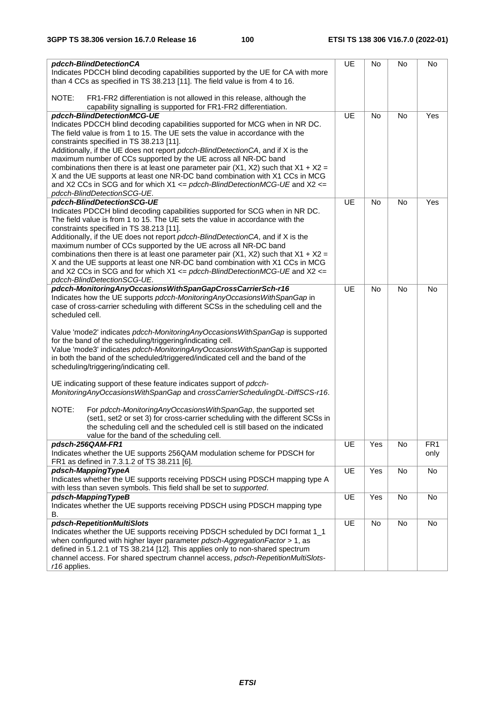| pdcch-BlindDetectionCA<br>Indicates PDCCH blind decoding capabilities supported by the UE for CA with more<br>than 4 CCs as specified in TS 38.213 [11]. The field value is from 4 to 16.                                                                                                                                                              | UE | No        | No        | No              |
|--------------------------------------------------------------------------------------------------------------------------------------------------------------------------------------------------------------------------------------------------------------------------------------------------------------------------------------------------------|----|-----------|-----------|-----------------|
| NOTE:<br>FR1-FR2 differentiation is not allowed in this release, although the<br>capability signalling is supported for FR1-FR2 differentiation.                                                                                                                                                                                                       |    |           |           |                 |
| pdcch-BlindDetectionMCG-UE                                                                                                                                                                                                                                                                                                                             | UE | <b>No</b> | <b>No</b> | Yes             |
| Indicates PDCCH blind decoding capabilities supported for MCG when in NR DC.<br>The field value is from 1 to 15. The UE sets the value in accordance with the<br>constraints specified in TS 38.213 [11].                                                                                                                                              |    |           |           |                 |
| Additionally, if the UE does not report pdcch-BlindDetectionCA, and if X is the<br>maximum number of CCs supported by the UE across all NR-DC band<br>combinations then there is at least one parameter pair (X1, X2) such that $X1 + X2 =$                                                                                                            |    |           |           |                 |
| X and the UE supports at least one NR-DC band combination with X1 CCs in MCG<br>and X2 CCs in SCG and for which X1 $\leq$ pdcch-BlindDetectionMCG-UE and X2 $\leq$                                                                                                                                                                                     |    |           |           |                 |
| pdcch-BlindDetectionSCG-UE.                                                                                                                                                                                                                                                                                                                            |    |           |           |                 |
| pdcch-BlindDetectionSCG-UE                                                                                                                                                                                                                                                                                                                             | UE | <b>No</b> | <b>No</b> | Yes             |
| Indicates PDCCH blind decoding capabilities supported for SCG when in NR DC.<br>The field value is from 1 to 15. The UE sets the value in accordance with the<br>constraints specified in TS 38.213 [11].<br>Additionally, if the UE does not report pdcch-BlindDetectionCA, and if X is the                                                           |    |           |           |                 |
| maximum number of CCs supported by the UE across all NR-DC band                                                                                                                                                                                                                                                                                        |    |           |           |                 |
| combinations then there is at least one parameter pair (X1, X2) such that $X1 + X2 =$<br>X and the UE supports at least one NR-DC band combination with X1 CCs in MCG<br>and X2 CCs in SCG and for which X1 $\leq$ pdcch-BlindDetectionMCG-UE and X2 $\leq$                                                                                            |    |           |           |                 |
| pdcch-BlindDetectionSCG-UE.                                                                                                                                                                                                                                                                                                                            |    |           |           |                 |
| pdcch-MonitoringAnyOccasionsWithSpanGapCrossCarrierSch-r16                                                                                                                                                                                                                                                                                             | UE | <b>No</b> | <b>No</b> | No              |
| Indicates how the UE supports pdcch-MonitoringAnyOccasionsWithSpanGap in<br>case of cross-carrier scheduling with different SCSs in the scheduling cell and the<br>scheduled cell.                                                                                                                                                                     |    |           |           |                 |
| Value 'mode2' indicates pdcch-MonitoringAnyOccasionsWithSpanGap is supported<br>for the band of the scheduling/triggering/indicating cell.<br>Value 'mode3' indicates pdcch-MonitoringAnyOccasionsWithSpanGap is supported<br>in both the band of the scheduled/triggered/indicated cell and the band of the<br>scheduling/triggering/indicating cell. |    |           |           |                 |
| UE indicating support of these feature indicates support of pdcch-<br>MonitoringAnyOccasionsWithSpanGap and crossCarrierSchedulingDL-DiffSCS-r16.                                                                                                                                                                                                      |    |           |           |                 |
| NOTE:<br>For pdcch-MonitoringAnyOccasionsWithSpanGap, the supported set<br>(set1, set2 or set 3) for cross-carrier scheduling with the different SCSs in<br>the scheduling cell and the scheduled cell is still based on the indicated<br>value for the band of the scheduling cell.                                                                   |    |           |           |                 |
| pdsch-256QAM-FR1                                                                                                                                                                                                                                                                                                                                       | UE | Yes       | <b>No</b> | FR <sub>1</sub> |
| Indicates whether the UE supports 256QAM modulation scheme for PDSCH for<br>FR1 as defined in 7.3.1.2 of TS 38.211 [6].                                                                                                                                                                                                                                |    |           |           | only            |
| pdsch-MappingTypeA<br>Indicates whether the UE supports receiving PDSCH using PDSCH mapping type A                                                                                                                                                                                                                                                     | UE | Yes       | No        | No              |
| with less than seven symbols. This field shall be set to supported.                                                                                                                                                                                                                                                                                    |    |           |           |                 |
| pdsch-MappingTypeB<br>Indicates whether the UE supports receiving PDSCH using PDSCH mapping type<br>В.                                                                                                                                                                                                                                                 | UE | Yes       | No        | No              |
| pdsch-RepetitionMultiSlots                                                                                                                                                                                                                                                                                                                             | UE | No        | No        | No              |
| Indicates whether the UE supports receiving PDSCH scheduled by DCI format 1_1<br>when configured with higher layer parameter pdsch-AggregationFactor > 1, as<br>defined in 5.1.2.1 of TS 38.214 [12]. This applies only to non-shared spectrum<br>channel access. For shared spectrum channel access, pdsch-RepetitionMultiSlots-                      |    |           |           |                 |
| r16 applies.                                                                                                                                                                                                                                                                                                                                           |    |           |           |                 |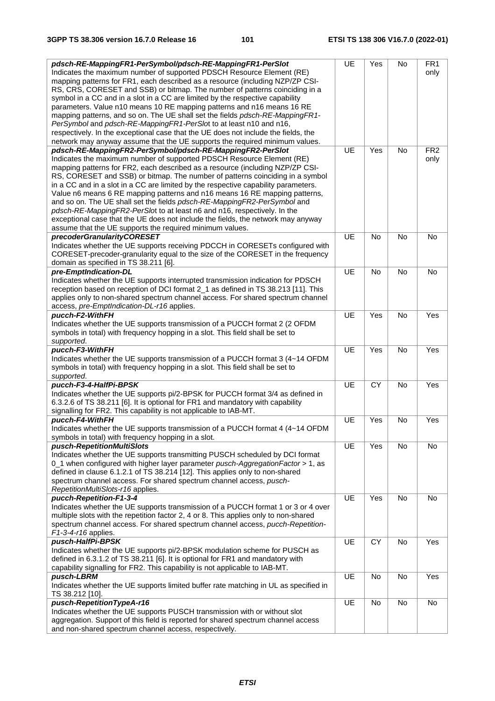| pdsch-RE-MappingFR1-PerSymbol/pdsch-RE-MappingFR1-PerSlot                                                                                                        | UE        | Yes       | No        | FR <sub>1</sub> |
|------------------------------------------------------------------------------------------------------------------------------------------------------------------|-----------|-----------|-----------|-----------------|
| Indicates the maximum number of supported PDSCH Resource Element (RE)                                                                                            |           |           |           | only            |
| mapping patterns for FR1, each described as a resource (including NZP/ZP CSI-                                                                                    |           |           |           |                 |
| RS, CRS, CORESET and SSB) or bitmap. The number of patterns coinciding in a                                                                                      |           |           |           |                 |
| symbol in a CC and in a slot in a CC are limited by the respective capability                                                                                    |           |           |           |                 |
| parameters. Value n10 means 10 RE mapping patterns and n16 means 16 RE                                                                                           |           |           |           |                 |
| mapping patterns, and so on. The UE shall set the fields pdsch-RE-MappingFR1-                                                                                    |           |           |           |                 |
| PerSymbol and pdsch-RE-MappingFR1-PerSlot to at least n10 and n16,                                                                                               |           |           |           |                 |
| respectively. In the exceptional case that the UE does not include the fields, the                                                                               |           |           |           |                 |
| network may anyway assume that the UE supports the required minimum values.                                                                                      |           |           |           |                 |
| pdsch-RE-MappingFR2-PerSymbol/pdsch-RE-MappingFR2-PerSlot                                                                                                        | UE        | Yes       | No        | FR <sub>2</sub> |
| Indicates the maximum number of supported PDSCH Resource Element (RE)                                                                                            |           |           |           | only            |
| mapping patterns for FR2, each described as a resource (including NZP/ZP CSI-                                                                                    |           |           |           |                 |
| RS, CORESET and SSB) or bitmap. The number of patterns coinciding in a symbol                                                                                    |           |           |           |                 |
| in a CC and in a slot in a CC are limited by the respective capability parameters.<br>Value n6 means 6 RE mapping patterns and n16 means 16 RE mapping patterns, |           |           |           |                 |
| and so on. The UE shall set the fields pdsch-RE-MappingFR2-PerSymbol and                                                                                         |           |           |           |                 |
| pdsch-RE-MappingFR2-PerSlot to at least n6 and n16, respectively. In the                                                                                         |           |           |           |                 |
| exceptional case that the UE does not include the fields, the network may anyway                                                                                 |           |           |           |                 |
| assume that the UE supports the required minimum values.                                                                                                         |           |           |           |                 |
| precoderGranularityCORESET                                                                                                                                       | UE        | <b>No</b> | <b>No</b> | <b>No</b>       |
| Indicates whether the UE supports receiving PDCCH in CORESETs configured with                                                                                    |           |           |           |                 |
| CORESET-precoder-granularity equal to the size of the CORESET in the frequency                                                                                   |           |           |           |                 |
| domain as specified in TS 38.211 [6].                                                                                                                            |           |           |           |                 |
| pre-EmptIndication-DL                                                                                                                                            | UE        | <b>No</b> | No        | No              |
| Indicates whether the UE supports interrupted transmission indication for PDSCH                                                                                  |           |           |           |                 |
| reception based on reception of DCI format 2_1 as defined in TS 38.213 [11]. This                                                                                |           |           |           |                 |
| applies only to non-shared spectrum channel access. For shared spectrum channel                                                                                  |           |           |           |                 |
| access, pre-EmptIndication-DL-r16 applies.                                                                                                                       |           |           |           |                 |
| pucch-F2-WithFH                                                                                                                                                  | UE        | Yes       | No        | Yes             |
| Indicates whether the UE supports transmission of a PUCCH format 2 (2 OFDM                                                                                       |           |           |           |                 |
| symbols in total) with frequency hopping in a slot. This field shall be set to                                                                                   |           |           |           |                 |
| supported.                                                                                                                                                       |           |           |           |                 |
| pucch-F3-WithFH                                                                                                                                                  | UE        | Yes       | No        | Yes             |
| Indicates whether the UE supports transmission of a PUCCH format 3 (4~14 OFDM                                                                                    |           |           |           |                 |
| symbols in total) with frequency hopping in a slot. This field shall be set to                                                                                   |           |           |           |                 |
| supported.                                                                                                                                                       |           |           |           |                 |
| pucch-F3-4-HalfPi-BPSK                                                                                                                                           | UE        | <b>CY</b> | No        | Yes             |
| Indicates whether the UE supports pi/2-BPSK for PUCCH format 3/4 as defined in                                                                                   |           |           |           |                 |
| 6.3.2.6 of TS 38.211 [6]. It is optional for FR1 and mandatory with capability                                                                                   |           |           |           |                 |
| signalling for FR2. This capability is not applicable to IAB-MT.                                                                                                 |           |           |           |                 |
| pucch-F4-WithFH                                                                                                                                                  | UE        | Yes       | No        | Yes             |
| Indicates whether the UE supports transmission of a PUCCH format 4 (4~14 OFDM                                                                                    |           |           |           |                 |
| symbols in total) with frequency hopping in a slot.                                                                                                              |           |           |           |                 |
| pusch-RepetitionMultiSlots                                                                                                                                       | UE        | Yes       | No        | No              |
| Indicates whether the UE supports transmitting PUSCH scheduled by DCI format                                                                                     |           |           |           |                 |
| 0_1 when configured with higher layer parameter pusch-AggregationFactor > 1, as                                                                                  |           |           |           |                 |
| defined in clause 6.1.2.1 of TS 38.214 [12]. This applies only to non-shared                                                                                     |           |           |           |                 |
| spectrum channel access. For shared spectrum channel access, pusch-<br>RepetitionMultiSlots-r16 applies.                                                         |           |           |           |                 |
| pucch-Repetition-F1-3-4                                                                                                                                          | UE        | Yes       | No        | No              |
| Indicates whether the UE supports transmission of a PUCCH format 1 or 3 or 4 over                                                                                |           |           |           |                 |
| multiple slots with the repetition factor 2, 4 or 8. This applies only to non-shared                                                                             |           |           |           |                 |
| spectrum channel access. For shared spectrum channel access, pucch-Repetition-                                                                                   |           |           |           |                 |
| F1-3-4-r16 applies.                                                                                                                                              |           |           |           |                 |
| pusch-HalfPi-BPSK                                                                                                                                                | <b>UE</b> | <b>CY</b> | <b>No</b> | Yes             |
| Indicates whether the UE supports pi/2-BPSK modulation scheme for PUSCH as                                                                                       |           |           |           |                 |
| defined in 6.3.1.2 of TS 38.211 [6]. It is optional for FR1 and mandatory with                                                                                   |           |           |           |                 |
| capability signalling for FR2. This capability is not applicable to IAB-MT.                                                                                      |           |           |           |                 |
| pusch-LBRM                                                                                                                                                       | UE        | No        | No        | Yes             |
| Indicates whether the UE supports limited buffer rate matching in UL as specified in                                                                             |           |           |           |                 |
| TS 38.212 [10].                                                                                                                                                  |           |           |           |                 |
| pusch-RepetitionTypeA-r16                                                                                                                                        | UE        | No        | No        | No              |
| Indicates whether the UE supports PUSCH transmission with or without slot                                                                                        |           |           |           |                 |
| aggregation. Support of this field is reported for shared spectrum channel access                                                                                |           |           |           |                 |
| and non-shared spectrum channel access, respectively.                                                                                                            |           |           |           |                 |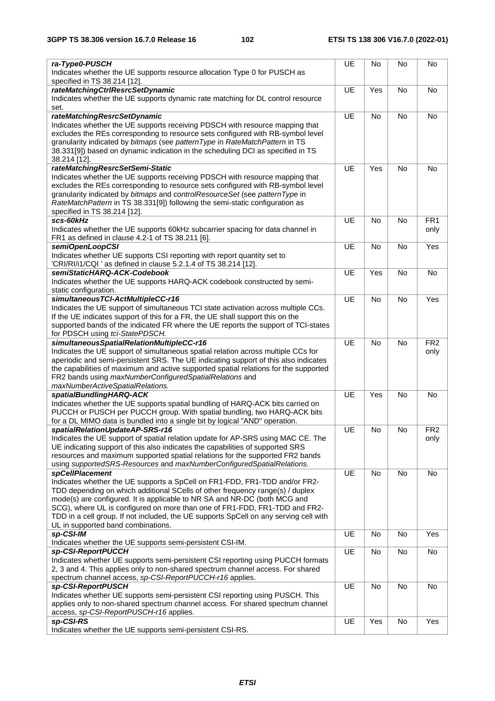| ra-Type0-PUSCH                                                                                                                                                                                                                                                                                                                                                                                                                                        | UE        | No        | No        | No              |
|-------------------------------------------------------------------------------------------------------------------------------------------------------------------------------------------------------------------------------------------------------------------------------------------------------------------------------------------------------------------------------------------------------------------------------------------------------|-----------|-----------|-----------|-----------------|
| Indicates whether the UE supports resource allocation Type 0 for PUSCH as<br>specified in TS 38.214 [12].                                                                                                                                                                                                                                                                                                                                             |           |           |           |                 |
| rateMatchingCtrlResrcSetDynamic                                                                                                                                                                                                                                                                                                                                                                                                                       | UE        | Yes       | No        | No              |
| Indicates whether the UE supports dynamic rate matching for DL control resource<br>set.                                                                                                                                                                                                                                                                                                                                                               |           |           |           |                 |
| rateMatchingResrcSetDynamic                                                                                                                                                                                                                                                                                                                                                                                                                           | UE        | <b>No</b> | No        | No              |
| Indicates whether the UE supports receiving PDSCH with resource mapping that<br>excludes the REs corresponding to resource sets configured with RB-symbol level<br>granularity indicated by bitmaps (see patternType in RateMatchPattern in TS<br>38.331[9]) based on dynamic indication in the scheduling DCI as specified in TS<br>38.214 [12].                                                                                                     |           |           |           |                 |
| rateMatchingResrcSetSemi-Static                                                                                                                                                                                                                                                                                                                                                                                                                       | <b>UE</b> | Yes       | No        | No              |
| Indicates whether the UE supports receiving PDSCH with resource mapping that<br>excludes the REs corresponding to resource sets configured with RB-symbol level<br>granularity indicated by bitmaps and controlResourceSet (see patternType in<br>RateMatchPattern in TS 38.331[9]) following the semi-static configuration as<br>specified in TS 38.214 [12].                                                                                        |           |           |           |                 |
| scs-60kHz                                                                                                                                                                                                                                                                                                                                                                                                                                             | UE        | No        | <b>No</b> | FR <sub>1</sub> |
| Indicates whether the UE supports 60kHz subcarrier spacing for data channel in<br>FR1 as defined in clause 4.2-1 of TS 38.211 [6].                                                                                                                                                                                                                                                                                                                    |           |           |           | only            |
| semiOpenLoopCSI                                                                                                                                                                                                                                                                                                                                                                                                                                       | UE        | <b>No</b> | <b>No</b> | Yes             |
| Indicates whether UE supports CSI reporting with report quantity set to<br>'CRI/RI/i1/CQI ' as defined in clause 5.2.1.4 of TS 38.214 [12].                                                                                                                                                                                                                                                                                                           |           |           |           |                 |
| semiStaticHARQ-ACK-Codebook                                                                                                                                                                                                                                                                                                                                                                                                                           | UE        | Yes       | No        | No              |
| Indicates whether the UE supports HARQ-ACK codebook constructed by semi-<br>static configuration.                                                                                                                                                                                                                                                                                                                                                     |           |           |           |                 |
| simultaneousTCI-ActMultipleCC-r16                                                                                                                                                                                                                                                                                                                                                                                                                     | UE        | No        | No        | Yes             |
| Indicates the UE support of simultaneous TCI state activation across multiple CCs.<br>If the UE indicates support of this for a FR, the UE shall support this on the<br>supported bands of the indicated FR where the UE reports the support of TCI-states<br>for PDSCH using tci-StatePDSCH.                                                                                                                                                         |           |           |           |                 |
| simultaneousSpatialRelationMultipleCC-r16                                                                                                                                                                                                                                                                                                                                                                                                             | UE        | <b>No</b> | No        | FR <sub>2</sub> |
| Indicates the UE support of simultaneous spatial relation across multiple CCs for<br>aperiodic and semi-persistent SRS. The UE indicating support of this also indicates<br>the capabilities of maximum and active supported spatial relations for the supported<br>FR2 bands using maxNumberConfiguredSpatialRelations and<br>maxNumberActiveSpatialRelations.                                                                                       |           |           |           | only            |
| spatialBundlingHARQ-ACK                                                                                                                                                                                                                                                                                                                                                                                                                               | UE        | Yes       | No        | No              |
| Indicates whether the UE supports spatial bundling of HARQ-ACK bits carried on<br>PUCCH or PUSCH per PUCCH group. With spatial bundling, two HARQ-ACK bits<br>for a DL MIMO data is bundled into a single bit by logical "AND" operation.                                                                                                                                                                                                             |           |           |           |                 |
| spatialRelationUpdateAP-SRS-r16                                                                                                                                                                                                                                                                                                                                                                                                                       | UE        | No        | <b>No</b> | FR <sub>2</sub> |
| Indicates the UE support of spatial relation update for AP-SRS using MAC CE. The<br>UE indicating support of this also indicates the capabilities of supported SRS<br>resources and maximum supported spatial relations for the supported FR2 bands<br>using supportedSRS-Resources and maxNumberConfiguredSpatialRelations.                                                                                                                          |           |           |           | only            |
| spCellPlacement                                                                                                                                                                                                                                                                                                                                                                                                                                       | UE        | No        | No        | No              |
| Indicates whether the UE supports a SpCell on FR1-FDD, FR1-TDD and/or FR2-<br>TDD depending on which additional SCells of other frequency range(s) / duplex<br>mode(s) are configured. It is applicable to NR SA and NR-DC (both MCG and<br>SCG), where UL is configured on more than one of FR1-FDD, FR1-TDD and FR2-<br>TDD in a cell group. If not included, the UE supports SpCell on any serving cell with<br>UL in supported band combinations. |           |           |           |                 |
| sp-CSI-IM<br>Indicates whether the UE supports semi-persistent CSI-IM.                                                                                                                                                                                                                                                                                                                                                                                | UE        | No        | No        | Yes             |
| sp-CSI-ReportPUCCH<br>Indicates whether UE supports semi-persistent CSI reporting using PUCCH formats<br>2, 3 and 4. This applies only to non-shared spectrum channel access. For shared<br>spectrum channel access, sp-CSI-ReportPUCCH-r16 applies.                                                                                                                                                                                                  | UE        | No        | No        | No              |
| sp-CSI-ReportPUSCH                                                                                                                                                                                                                                                                                                                                                                                                                                    | UE        | No        | No        | No              |
| Indicates whether UE supports semi-persistent CSI reporting using PUSCH. This<br>applies only to non-shared spectrum channel access. For shared spectrum channel<br>access, sp-CSI-ReportPUSCH-r16 applies.                                                                                                                                                                                                                                           |           |           |           |                 |
| sp-CSI-RS<br>Indicates whether the UE supports semi-persistent CSI-RS.                                                                                                                                                                                                                                                                                                                                                                                | UE        | Yes       | No        | Yes             |
|                                                                                                                                                                                                                                                                                                                                                                                                                                                       |           |           |           |                 |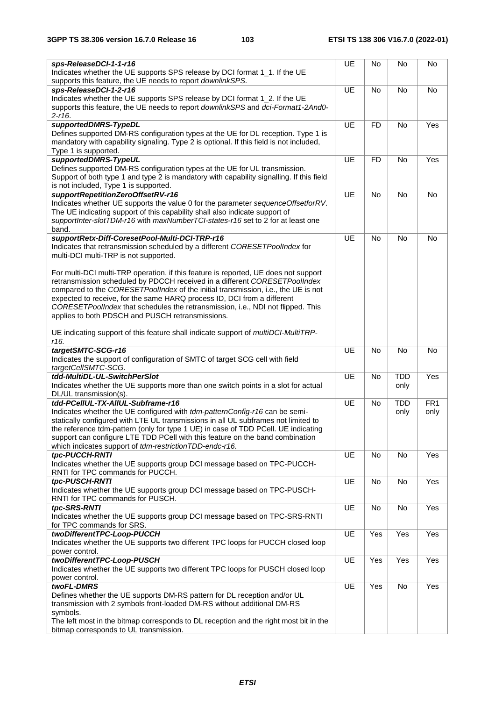| sps-ReleaseDCI-1-1-r16                                                                                                          | UE | No             | No         | No              |
|---------------------------------------------------------------------------------------------------------------------------------|----|----------------|------------|-----------------|
| Indicates whether the UE supports SPS release by DCI format 1_1. If the UE                                                      |    |                |            |                 |
| supports this feature, the UE needs to report downlinkSPS.                                                                      |    |                |            |                 |
| sps-ReleaseDCI-1-2-r16                                                                                                          | UE | No             | <b>No</b>  | No              |
| Indicates whether the UE supports SPS release by DCI format 1_2. If the UE                                                      |    |                |            |                 |
| supports this feature, the UE needs to report downlinkSPS and dci-Format1-2And0-                                                |    |                |            |                 |
| $2 - r16.$                                                                                                                      |    |                |            |                 |
| supportedDMRS-TypeDL                                                                                                            | UE | F <sub>D</sub> | No         | Yes             |
| Defines supported DM-RS configuration types at the UE for DL reception. Type 1 is                                               |    |                |            |                 |
| mandatory with capability signaling. Type 2 is optional. If this field is not included,                                         |    |                |            |                 |
| Type 1 is supported.                                                                                                            |    |                |            |                 |
| supportedDMRS-TypeUL                                                                                                            | UE | <b>FD</b>      | <b>No</b>  | Yes             |
| Defines supported DM-RS configuration types at the UE for UL transmission.                                                      |    |                |            |                 |
| Support of both type 1 and type 2 is mandatory with capability signalling. If this field                                        |    |                |            |                 |
| is not included, Type 1 is supported.                                                                                           |    |                |            |                 |
| supportRepetitionZeroOffsetRV-r16                                                                                               | UE | No             | No         | No              |
| Indicates whether UE supports the value 0 for the parameter sequenceOffsetforRV.                                                |    |                |            |                 |
| The UE indicating support of this capability shall also indicate support of                                                     |    |                |            |                 |
| supportInter-slotTDM-r16 with maxNumberTCI-states-r16 set to 2 for at least one                                                 |    |                |            |                 |
| band.                                                                                                                           |    |                |            |                 |
| supportRetx-Diff-CoresetPool-Multi-DCI-TRP-r16                                                                                  | UE | <b>No</b>      | No         | No              |
| Indicates that retransmission scheduled by a different CORESETPoolIndex for                                                     |    |                |            |                 |
| multi-DCI multi-TRP is not supported.                                                                                           |    |                |            |                 |
|                                                                                                                                 |    |                |            |                 |
| For multi-DCI multi-TRP operation, if this feature is reported, UE does not support                                             |    |                |            |                 |
| retransmission scheduled by PDCCH received in a different CORESETPoolIndex                                                      |    |                |            |                 |
| compared to the CORESETPoolIndex of the initial transmission, i.e., the UE is not                                               |    |                |            |                 |
| expected to receive, for the same HARQ process ID, DCI from a different                                                         |    |                |            |                 |
| CORESETPoollndex that schedules the retransmission, i.e., NDI not flipped. This                                                 |    |                |            |                 |
|                                                                                                                                 |    |                |            |                 |
| applies to both PDSCH and PUSCH retransmissions.                                                                                |    |                |            |                 |
|                                                                                                                                 |    |                |            |                 |
| UE indicating support of this feature shall indicate support of multiDCI-MultiTRP-<br>r16.                                      |    |                |            |                 |
| targetSMTC-SCG-r16                                                                                                              | UE |                |            | <b>No</b>       |
|                                                                                                                                 |    | No             | No         |                 |
| Indicates the support of configuration of SMTC of target SCG cell with field                                                    |    |                |            |                 |
| targetCellSMTC-SCG.<br>tdd-MultiDL-UL-SwitchPerSlot                                                                             |    |                |            |                 |
|                                                                                                                                 |    |                |            |                 |
|                                                                                                                                 | UE | <b>No</b>      | <b>TDD</b> | Yes             |
| Indicates whether the UE supports more than one switch points in a slot for actual                                              |    |                | only       |                 |
| DL/UL transmission(s).                                                                                                          |    |                |            |                 |
| tdd-PCellUL-TX-AllUL-Subframe-r16                                                                                               | UE | No             | <b>TDD</b> | FR <sub>1</sub> |
| Indicates whether the UE configured with tdm-patternConfig-r16 can be semi-                                                     |    |                | only       | only            |
| statically configured with LTE UL transmissions in all UL subframes not limited to                                              |    |                |            |                 |
| the reference tdm-pattern (only for type 1 UE) in case of TDD PCell. UE indicating                                              |    |                |            |                 |
| support can configure LTE TDD PCell with this feature on the band combination                                                   |    |                |            |                 |
| which indicates support of tdm-restrictionTDD-endc-r16.                                                                         |    |                |            |                 |
| tpc-PUCCH-RNTI                                                                                                                  | UE | No             | <b>No</b>  | Yes             |
| Indicates whether the UE supports group DCI message based on TPC-PUCCH-                                                         |    |                |            |                 |
| RNTI for TPC commands for PUCCH.                                                                                                |    |                |            |                 |
| tpc-PUSCH-RNTI                                                                                                                  | UE | <b>No</b>      | No         | Yes             |
| Indicates whether the UE supports group DCI message based on TPC-PUSCH-                                                         |    |                |            |                 |
| RNTI for TPC commands for PUSCH.                                                                                                |    |                |            |                 |
| tpc-SRS-RNTI                                                                                                                    | UE | No             | No         | Yes             |
| Indicates whether the UE supports group DCI message based on TPC-SRS-RNTI                                                       |    |                |            |                 |
| for TPC commands for SRS.                                                                                                       |    |                |            |                 |
| twoDifferentTPC-Loop-PUCCH                                                                                                      | UE | Yes            | Yes        | Yes             |
| Indicates whether the UE supports two different TPC loops for PUCCH closed loop                                                 |    |                |            |                 |
| power control.                                                                                                                  |    |                |            |                 |
| twoDifferentTPC-Loop-PUSCH                                                                                                      | UE | Yes            | Yes        | Yes             |
| Indicates whether the UE supports two different TPC loops for PUSCH closed loop                                                 |    |                |            |                 |
| power control.                                                                                                                  |    |                |            |                 |
| twoFL-DMRS                                                                                                                      | UE | Yes            | No         | Yes             |
| Defines whether the UE supports DM-RS pattern for DL reception and/or UL                                                        |    |                |            |                 |
| transmission with 2 symbols front-loaded DM-RS without additional DM-RS                                                         |    |                |            |                 |
| symbols.                                                                                                                        |    |                |            |                 |
| The left most in the bitmap corresponds to DL reception and the right most bit in the<br>bitmap corresponds to UL transmission. |    |                |            |                 |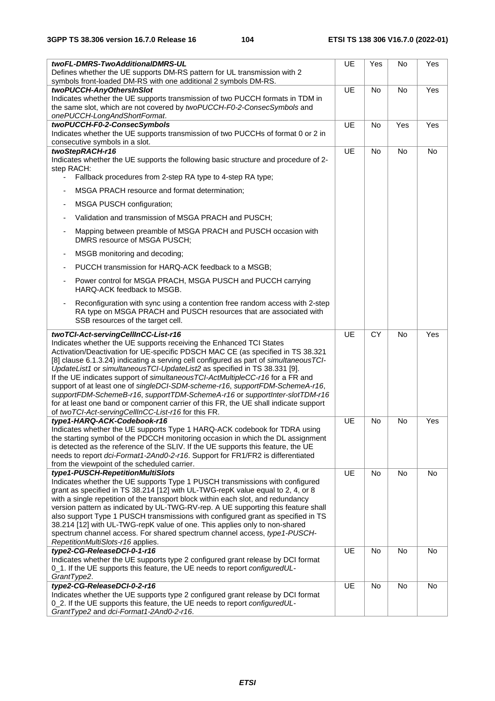| twoFL-DMRS-TwoAdditionalDMRS-UL<br>Defines whether the UE supports DM-RS pattern for UL transmission with 2                                                                                                                                                                                                                                                                                                                                                                                                                                                                                                                                                                                                                  | <b>UE</b> | Yes             | No        | Yes |
|------------------------------------------------------------------------------------------------------------------------------------------------------------------------------------------------------------------------------------------------------------------------------------------------------------------------------------------------------------------------------------------------------------------------------------------------------------------------------------------------------------------------------------------------------------------------------------------------------------------------------------------------------------------------------------------------------------------------------|-----------|-----------------|-----------|-----|
| symbols front-loaded DM-RS with one additional 2 symbols DM-RS.                                                                                                                                                                                                                                                                                                                                                                                                                                                                                                                                                                                                                                                              |           |                 |           |     |
| twoPUCCH-AnyOthersInSlot                                                                                                                                                                                                                                                                                                                                                                                                                                                                                                                                                                                                                                                                                                     | UE        | <b>No</b>       | <b>No</b> | Yes |
| Indicates whether the UE supports transmission of two PUCCH formats in TDM in<br>the same slot, which are not covered by twoPUCCH-F0-2-ConsecSymbols and<br>onePUCCH-LongAndShortFormat.                                                                                                                                                                                                                                                                                                                                                                                                                                                                                                                                     |           |                 |           |     |
| twoPUCCH-F0-2-ConsecSymbols                                                                                                                                                                                                                                                                                                                                                                                                                                                                                                                                                                                                                                                                                                  | UE        | <b>No</b>       | Yes       | Yes |
| Indicates whether the UE supports transmission of two PUCCHs of format 0 or 2 in<br>consecutive symbols in a slot.                                                                                                                                                                                                                                                                                                                                                                                                                                                                                                                                                                                                           |           |                 |           |     |
| twoStepRACH-r16                                                                                                                                                                                                                                                                                                                                                                                                                                                                                                                                                                                                                                                                                                              | UE        | <b>No</b>       | <b>No</b> | No  |
| Indicates whether the UE supports the following basic structure and procedure of 2-<br>step RACH:                                                                                                                                                                                                                                                                                                                                                                                                                                                                                                                                                                                                                            |           |                 |           |     |
| Fallback procedures from 2-step RA type to 4-step RA type;                                                                                                                                                                                                                                                                                                                                                                                                                                                                                                                                                                                                                                                                   |           |                 |           |     |
| MSGA PRACH resource and format determination;                                                                                                                                                                                                                                                                                                                                                                                                                                                                                                                                                                                                                                                                                |           |                 |           |     |
| MSGA PUSCH configuration;<br>$\overline{\phantom{a}}$                                                                                                                                                                                                                                                                                                                                                                                                                                                                                                                                                                                                                                                                        |           |                 |           |     |
| Validation and transmission of MSGA PRACH and PUSCH;                                                                                                                                                                                                                                                                                                                                                                                                                                                                                                                                                                                                                                                                         |           |                 |           |     |
| Mapping between preamble of MSGA PRACH and PUSCH occasion with<br>DMRS resource of MSGA PUSCH;                                                                                                                                                                                                                                                                                                                                                                                                                                                                                                                                                                                                                               |           |                 |           |     |
| MSGB monitoring and decoding;<br>$\overline{a}$                                                                                                                                                                                                                                                                                                                                                                                                                                                                                                                                                                                                                                                                              |           |                 |           |     |
| PUCCH transmission for HARQ-ACK feedback to a MSGB;                                                                                                                                                                                                                                                                                                                                                                                                                                                                                                                                                                                                                                                                          |           |                 |           |     |
| Power control for MSGA PRACH, MSGA PUSCH and PUCCH carrying<br>HARQ-ACK feedback to MSGB.                                                                                                                                                                                                                                                                                                                                                                                                                                                                                                                                                                                                                                    |           |                 |           |     |
| Reconfiguration with sync using a contention free random access with 2-step<br>RA type on MSGA PRACH and PUSCH resources that are associated with<br>SSB resources of the target cell.                                                                                                                                                                                                                                                                                                                                                                                                                                                                                                                                       |           |                 |           |     |
| twoTCI-Act-servingCellInCC-List-r16                                                                                                                                                                                                                                                                                                                                                                                                                                                                                                                                                                                                                                                                                          | UE        | $\overline{CY}$ | <b>No</b> | Yes |
| Indicates whether the UE supports receiving the Enhanced TCI States<br>Activation/Deactivation for UE-specific PDSCH MAC CE (as specified in TS 38.321<br>[8] clause 6.1.3.24) indicating a serving cell configured as part of simultaneous TCI-<br>UpdateList1 or simultaneousTCI-UpdateList2 as specified in TS 38.331 [9].<br>If the UE indicates support of simultaneous TCI-ActMultipleCC-r16 for a FR and<br>support of at least one of singleDCI-SDM-scheme-r16, supportFDM-SchemeA-r16,<br>supportFDM-SchemeB-r16, supportTDM-SchemeA-r16 or supportInter-slotTDM-r16<br>for at least one band or component carrier of this FR, the UE shall indicate support<br>of twoTCI-Act-servingCellInCC-List-r16 for this FR. |           |                 |           |     |
| type1-HARQ-ACK-Codebook-r16                                                                                                                                                                                                                                                                                                                                                                                                                                                                                                                                                                                                                                                                                                  | UE        | <b>No</b>       | <b>No</b> | Yes |
| Indicates whether the UE supports Type 1 HARQ-ACK codebook for TDRA using<br>the starting symbol of the PDCCH monitoring occasion in which the DL assignment<br>is detected as the reference of the SLIV. If the UE supports this feature, the UE<br>needs to report dci-Format1-2And0-2-r16. Support for FR1/FR2 is differentiated<br>from the viewpoint of the scheduled carrier.                                                                                                                                                                                                                                                                                                                                          |           |                 |           |     |
| type1-PUSCH-RepetitionMultiSlots                                                                                                                                                                                                                                                                                                                                                                                                                                                                                                                                                                                                                                                                                             | UE        | No              | No        | No  |
| Indicates whether the UE supports Type 1 PUSCH transmissions with configured<br>grant as specified in TS 38.214 [12] with UL-TWG-repK value equal to 2, 4, or 8<br>with a single repetition of the transport block within each slot, and redundancy<br>version pattern as indicated by UL-TWG-RV-rep. A UE supporting this feature shall<br>also support Type 1 PUSCH transmissions with configured grant as specified in TS<br>38.214 [12] with UL-TWG-repK value of one. This applies only to non-shared<br>spectrum channel access. For shared spectrum channel access, type1-PUSCH-<br>RepetitionMultiSlots-r16 applies.                                                                                                 |           |                 |           |     |
| type2-CG-ReleaseDCI-0-1-r16                                                                                                                                                                                                                                                                                                                                                                                                                                                                                                                                                                                                                                                                                                  | UE        | No              | No        | No  |
| Indicates whether the UE supports type 2 configured grant release by DCI format<br>0_1. If the UE supports this feature, the UE needs to report configuredUL-<br>GrantType2.                                                                                                                                                                                                                                                                                                                                                                                                                                                                                                                                                 |           |                 |           |     |
| type2-CG-ReleaseDCI-0-2-r16                                                                                                                                                                                                                                                                                                                                                                                                                                                                                                                                                                                                                                                                                                  | UE        | No              | No        | No  |
| Indicates whether the UE supports type 2 configured grant release by DCI format<br>0_2. If the UE supports this feature, the UE needs to report configuredUL-                                                                                                                                                                                                                                                                                                                                                                                                                                                                                                                                                                |           |                 |           |     |
| GrantType2 and dci-Format1-2And0-2-r16.                                                                                                                                                                                                                                                                                                                                                                                                                                                                                                                                                                                                                                                                                      |           |                 |           |     |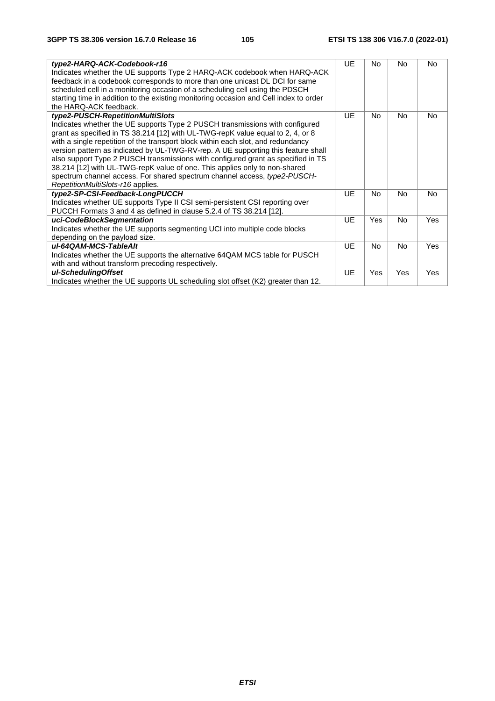| type2-HARQ-ACK-Codebook-r16<br>Indicates whether the UE supports Type 2 HARQ-ACK codebook when HARQ-ACK<br>feedback in a codebook corresponds to more than one unicast DL DCI for same<br>scheduled cell in a monitoring occasion of a scheduling cell using the PDSCH<br>starting time in addition to the existing monitoring occasion and Cell index to order<br>the HARQ-ACK feedback.                                                                                                                                                                                                                                                                        | UE        | N <sub>0</sub> | N <sub>0</sub> | <b>No</b>  |
|------------------------------------------------------------------------------------------------------------------------------------------------------------------------------------------------------------------------------------------------------------------------------------------------------------------------------------------------------------------------------------------------------------------------------------------------------------------------------------------------------------------------------------------------------------------------------------------------------------------------------------------------------------------|-----------|----------------|----------------|------------|
| type2-PUSCH-RepetitionMultiSlots<br>Indicates whether the UE supports Type 2 PUSCH transmissions with configured<br>grant as specified in TS 38.214 [12] with UL-TWG-repK value equal to 2, 4, or 8<br>with a single repetition of the transport block within each slot, and redundancy<br>version pattern as indicated by UL-TWG-RV-rep. A UE supporting this feature shall<br>also support Type 2 PUSCH transmissions with configured grant as specified in TS<br>38.214 [12] with UL-TWG-repK value of one. This applies only to non-shared<br>spectrum channel access. For shared spectrum channel access, type2-PUSCH-<br>RepetitionMultiSlots-r16 applies. | UE        | <b>No</b>      | <b>No</b>      | <b>No</b>  |
| type2-SP-CSI-Feedback-LongPUCCH<br>Indicates whether UE supports Type II CSI semi-persistent CSI reporting over<br>PUCCH Formats 3 and 4 as defined in clause 5.2.4 of TS 38.214 [12].                                                                                                                                                                                                                                                                                                                                                                                                                                                                           | <b>UE</b> | <b>No</b>      | <b>No</b>      | <b>No</b>  |
| uci-CodeBlockSegmentation<br>Indicates whether the UE supports segmenting UCI into multiple code blocks<br>depending on the payload size.                                                                                                                                                                                                                                                                                                                                                                                                                                                                                                                        | UE        | <b>Yes</b>     | N <sub>0</sub> | Yes        |
| ul-64QAM-MCS-TableAlt<br>Indicates whether the UE supports the alternative 64QAM MCS table for PUSCH<br>with and without transform precoding respectively.                                                                                                                                                                                                                                                                                                                                                                                                                                                                                                       | UE        | N <sub>0</sub> | N <sub>0</sub> | <b>Yes</b> |
| ul-SchedulingOffset<br>Indicates whether the UE supports UL scheduling slot offset (K2) greater than 12.                                                                                                                                                                                                                                                                                                                                                                                                                                                                                                                                                         | <b>UE</b> | Yes            | Yes            | Yes        |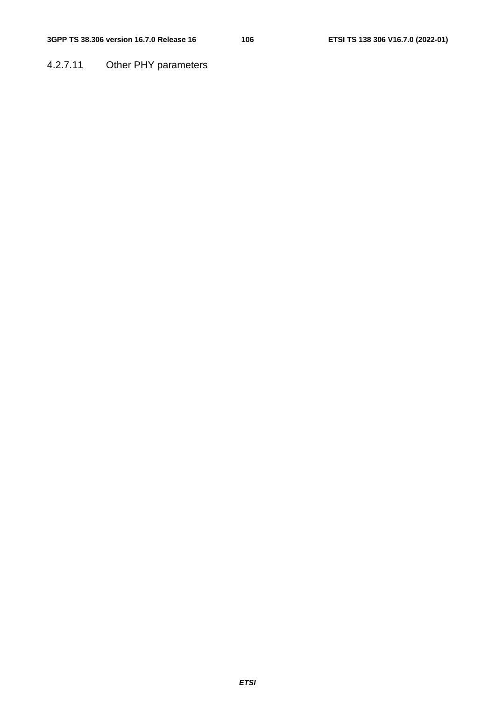## 4.2.7.11 Other PHY parameters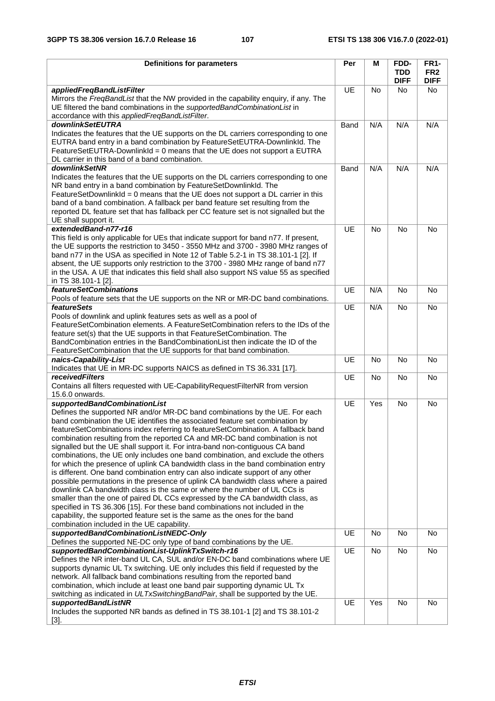| <b>Definitions for parameters</b>                                                                                                                                | Per       | М         | FDD-        | <b>FR1-</b>     |
|------------------------------------------------------------------------------------------------------------------------------------------------------------------|-----------|-----------|-------------|-----------------|
|                                                                                                                                                                  |           |           | <b>TDD</b>  | FR <sub>2</sub> |
|                                                                                                                                                                  |           |           | <b>DIFF</b> | <b>DIFF</b>     |
| appliedFreqBandListFilter                                                                                                                                        | <b>UE</b> | <b>No</b> | No.         | No.             |
| Mirrors the FreqBandList that the NW provided in the capability enquiry, if any. The                                                                             |           |           |             |                 |
| UE filtered the band combinations in the supportedBandCombinationList in                                                                                         |           |           |             |                 |
| accordance with this appliedFreqBandListFilter.                                                                                                                  |           |           |             |                 |
| downlinkSetEUTRA                                                                                                                                                 | Band      | N/A       | N/A         | N/A             |
| Indicates the features that the UE supports on the DL carriers corresponding to one<br>EUTRA band entry in a band combination by FeatureSetEUTRA-DownlinkId. The |           |           |             |                 |
| FeatureSetEUTRA-DownlinkId = 0 means that the UE does not support a EUTRA                                                                                        |           |           |             |                 |
| DL carrier in this band of a band combination.                                                                                                                   |           |           |             |                 |
| downlinkSetNR                                                                                                                                                    | Band      | N/A       | N/A         | N/A             |
| Indicates the features that the UE supports on the DL carriers corresponding to one                                                                              |           |           |             |                 |
| NR band entry in a band combination by FeatureSetDownlinkId. The                                                                                                 |           |           |             |                 |
| FeatureSetDownlinkId = 0 means that the UE does not support a DL carrier in this                                                                                 |           |           |             |                 |
| band of a band combination. A fallback per band feature set resulting from the                                                                                   |           |           |             |                 |
| reported DL feature set that has fallback per CC feature set is not signalled but the                                                                            |           |           |             |                 |
| UE shall support it.                                                                                                                                             |           |           |             |                 |
| extendedBand-n77-r16                                                                                                                                             | UE        | <b>No</b> | <b>No</b>   | <b>No</b>       |
| This field is only applicable for UEs that indicate support for band n77. If present,                                                                            |           |           |             |                 |
| the UE supports the restriction to 3450 - 3550 MHz and 3700 - 3980 MHz ranges of                                                                                 |           |           |             |                 |
| band n77 in the USA as specified in Note 12 of Table 5.2-1 in TS 38.101-1 [2]. If                                                                                |           |           |             |                 |
| absent, the UE supports only restriction to the 3700 - 3980 MHz range of band n77                                                                                |           |           |             |                 |
| in the USA. A UE that indicates this field shall also support NS value 55 as specified                                                                           |           |           |             |                 |
| in TS 38.101-1 [2].                                                                                                                                              |           |           |             |                 |
| <b>featureSetCombinations</b>                                                                                                                                    | <b>UE</b> | N/A       | <b>No</b>   | <b>No</b>       |
| Pools of feature sets that the UE supports on the NR or MR-DC band combinations.                                                                                 |           |           |             |                 |
| <b>featureSets</b>                                                                                                                                               | <b>UE</b> | N/A       | No          | <b>No</b>       |
| Pools of downlink and uplink features sets as well as a pool of                                                                                                  |           |           |             |                 |
| FeatureSetCombination elements. A FeatureSetCombination refers to the IDs of the                                                                                 |           |           |             |                 |
| feature set(s) that the UE supports in that FeatureSetCombination. The                                                                                           |           |           |             |                 |
| BandCombination entries in the BandCombinationList then indicate the ID of the                                                                                   |           |           |             |                 |
| FeatureSetCombination that the UE supports for that band combination.<br>naics-Capability-List                                                                   | <b>UE</b> | <b>No</b> | <b>No</b>   | <b>No</b>       |
| Indicates that UE in MR-DC supports NAICS as defined in TS 36.331 [17].                                                                                          |           |           |             |                 |
| <i>receivedFilters</i>                                                                                                                                           | <b>UE</b> | <b>No</b> | <b>No</b>   | <b>No</b>       |
| Contains all filters requested with UE-Capability Request FilterNR from version                                                                                  |           |           |             |                 |
| 15.6.0 onwards.                                                                                                                                                  |           |           |             |                 |
| supportedBandCombinationList                                                                                                                                     | <b>UE</b> | Yes       | <b>No</b>   | No              |
| Defines the supported NR and/or MR-DC band combinations by the UE. For each                                                                                      |           |           |             |                 |
| band combination the UE identifies the associated feature set combination by                                                                                     |           |           |             |                 |
| featureSetCombinations index referring to featureSetCombination. A fallback band                                                                                 |           |           |             |                 |
| combination resulting from the reported CA and MR-DC band combination is not                                                                                     |           |           |             |                 |
| signalled but the UE shall support it. For intra-band non-contiguous CA band                                                                                     |           |           |             |                 |
| combinations, the UE only includes one band combination, and exclude the others                                                                                  |           |           |             |                 |
| for which the presence of uplink CA bandwidth class in the band combination entry                                                                                |           |           |             |                 |
| is different. One band combination entry can also indicate support of any other                                                                                  |           |           |             |                 |
| possible permutations in the presence of uplink CA bandwidth class where a paired                                                                                |           |           |             |                 |
| downlink CA bandwidth class is the same or where the number of UL CCs is                                                                                         |           |           |             |                 |
| smaller than the one of paired DL CCs expressed by the CA bandwidth class, as                                                                                    |           |           |             |                 |
| specified in TS 36.306 [15]. For these band combinations not included in the                                                                                     |           |           |             |                 |
| capability, the supported feature set is the same as the ones for the band                                                                                       |           |           |             |                 |
| combination included in the UE capability.                                                                                                                       |           |           |             |                 |
| supportedBandCombinationListNEDC-Only                                                                                                                            | UE        | No        | No          | No              |
| Defines the supported NE-DC only type of band combinations by the UE.                                                                                            |           |           |             |                 |
| supportedBandCombinationList-UplinkTxSwitch-r16                                                                                                                  | UE        | No        | No          | No              |
| Defines the NR inter-band UL CA, SUL and/or EN-DC band combinations where UE                                                                                     |           |           |             |                 |
| supports dynamic UL Tx switching. UE only includes this field if requested by the                                                                                |           |           |             |                 |
| network. All fallback band combinations resulting from the reported band<br>combination, which include at least one band pair supporting dynamic UL Tx           |           |           |             |                 |
| switching as indicated in ULTxSwitchingBandPair, shall be supported by the UE.                                                                                   |           |           |             |                 |
| supportedBandListNR                                                                                                                                              | <b>UE</b> | Yes       | No          | No              |
| Includes the supported NR bands as defined in TS 38.101-1 [2] and TS 38.101-2                                                                                    |           |           |             |                 |
| $[3]$ .                                                                                                                                                          |           |           |             |                 |
|                                                                                                                                                                  |           |           |             |                 |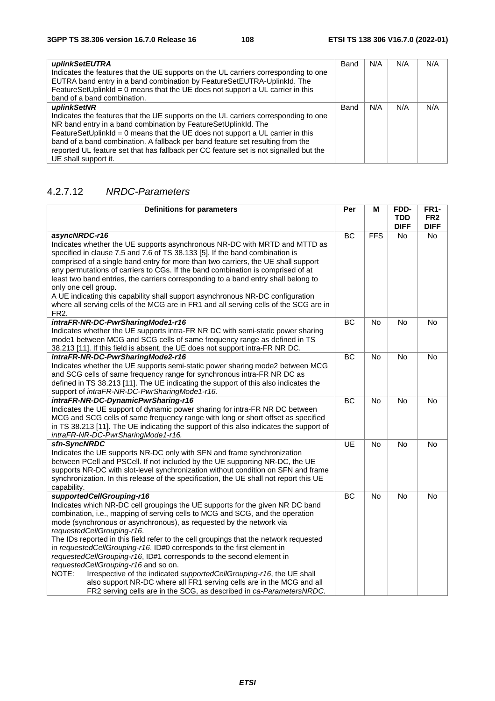| uplinkSetEUTRA<br>Indicates the features that the UE supports on the UL carriers corresponding to one<br>EUTRA band entry in a band combination by FeatureSetEUTRA-UplinkId. The | Band | N/A | N/A | N/A |
|----------------------------------------------------------------------------------------------------------------------------------------------------------------------------------|------|-----|-----|-----|
| FeatureSetUplinkId = 0 means that the UE does not support a UL carrier in this                                                                                                   |      |     |     |     |
| band of a band combination.                                                                                                                                                      |      |     |     |     |
| uplinkSetNR                                                                                                                                                                      | Band | N/A | N/A | N/A |
| Indicates the features that the UE supports on the UL carriers corresponding to one                                                                                              |      |     |     |     |
| NR band entry in a band combination by FeatureSetUplinkId. The                                                                                                                   |      |     |     |     |
| FeatureSetUplinkId = 0 means that the UE does not support a UL carrier in this                                                                                                   |      |     |     |     |
| band of a band combination. A fallback per band feature set resulting from the                                                                                                   |      |     |     |     |
| reported UL feature set that has fallback per CC feature set is not signalled but the                                                                                            |      |     |     |     |
| UE shall support it.                                                                                                                                                             |      |     |     |     |

### 4.2.7.12 *NRDC-Parameters*

| <b>Definitions for parameters</b>                                                                                                                                                                                                                                                                                                                                                                                                                                                                                                                                                                                                                                                                                                                                                                                      | Per       | М              | FDD-<br><b>TDD</b> | <b>FR1-</b><br>FR <sub>2</sub> |
|------------------------------------------------------------------------------------------------------------------------------------------------------------------------------------------------------------------------------------------------------------------------------------------------------------------------------------------------------------------------------------------------------------------------------------------------------------------------------------------------------------------------------------------------------------------------------------------------------------------------------------------------------------------------------------------------------------------------------------------------------------------------------------------------------------------------|-----------|----------------|--------------------|--------------------------------|
|                                                                                                                                                                                                                                                                                                                                                                                                                                                                                                                                                                                                                                                                                                                                                                                                                        |           |                | <b>DIFF</b>        | <b>DIFF</b>                    |
| asyncNRDC-r16<br>Indicates whether the UE supports asynchronous NR-DC with MRTD and MTTD as<br>specified in clause 7.5 and 7.6 of TS 38.133 [5]. If the band combination is<br>comprised of a single band entry for more than two carriers, the UE shall support<br>any permutations of carriers to CGs. If the band combination is comprised of at<br>least two band entries, the carriers corresponding to a band entry shall belong to<br>only one cell group.<br>A UE indicating this capability shall support asynchronous NR-DC configuration<br>where all serving cells of the MCG are in FR1 and all serving cells of the SCG are in<br>FR <sub>2</sub> .                                                                                                                                                      | <b>BC</b> | <b>FFS</b>     | No                 | No                             |
| intraFR-NR-DC-PwrSharingMode1-r16<br>Indicates whether the UE supports intra-FR NR DC with semi-static power sharing<br>mode1 between MCG and SCG cells of same frequency range as defined in TS<br>38.213 [11]. If this field is absent, the UE does not support intra-FR NR DC.                                                                                                                                                                                                                                                                                                                                                                                                                                                                                                                                      | ВC        | No             | No                 | No                             |
| intraFR-NR-DC-PwrSharingMode2-r16<br>Indicates whether the UE supports semi-static power sharing mode2 between MCG<br>and SCG cells of same frequency range for synchronous intra-FR NR DC as<br>defined in TS 38.213 [11]. The UE indicating the support of this also indicates the<br>support of intraFR-NR-DC-PwrSharingMode1-r16.                                                                                                                                                                                                                                                                                                                                                                                                                                                                                  | BC        | No             | No                 | No                             |
| intraFR-NR-DC-DynamicPwrSharing-r16<br>Indicates the UE support of dynamic power sharing for intra-FR NR DC between<br>MCG and SCG cells of same frequency range with long or short offset as specified<br>in TS 38.213 [11]. The UE indicating the support of this also indicates the support of<br>intraFR-NR-DC-PwrSharingMode1-r16.                                                                                                                                                                                                                                                                                                                                                                                                                                                                                | <b>BC</b> | N <sub>o</sub> | <b>No</b>          | No                             |
| sfn-SyncNRDC<br>Indicates the UE supports NR-DC only with SFN and frame synchronization<br>between PCell and PSCell. If not included by the UE supporting NR-DC, the UE<br>supports NR-DC with slot-level synchronization without condition on SFN and frame<br>synchronization. In this release of the specification, the UE shall not report this UE<br>capability.                                                                                                                                                                                                                                                                                                                                                                                                                                                  | <b>UE</b> | N <sub>o</sub> | <b>No</b>          | <b>No</b>                      |
| supportedCellGrouping-r16<br>Indicates which NR-DC cell groupings the UE supports for the given NR DC band<br>combination, i.e., mapping of serving cells to MCG and SCG, and the operation<br>mode (synchronous or asynchronous), as requested by the network via<br>requestedCellGrouping-r16.<br>The IDs reported in this field refer to the cell groupings that the network requested<br>in requestedCellGrouping-r16. ID#0 corresponds to the first element in<br>requestedCellGrouping-r16, ID#1 corresponds to the second element in<br>requestedCellGrouping-r16 and so on.<br>NOTE:<br>Irrespective of the indicated supportedCellGrouping-r16, the UE shall<br>also support NR-DC where all FR1 serving cells are in the MCG and all<br>FR2 serving cells are in the SCG, as described in ca-ParametersNRDC. | <b>BC</b> | N <sub>o</sub> | <b>No</b>          | No                             |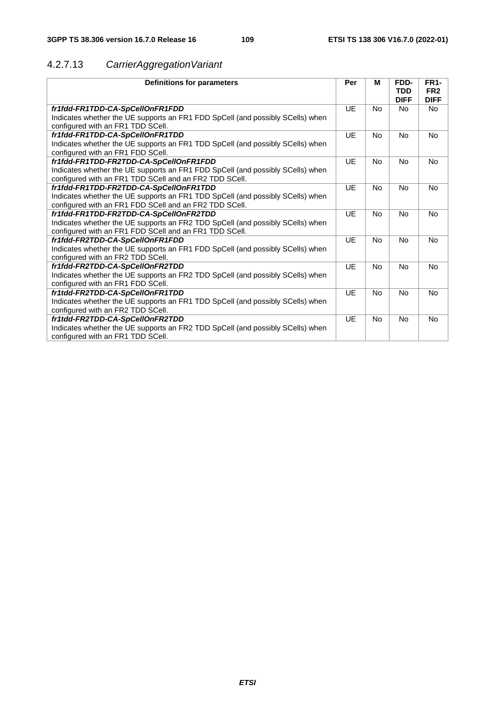# 4.2.7.13 *CarrierAggregationVariant*

| fr1fdd-FR1TDD-CA-SpCellOnFR1FDD<br>UE<br><b>No</b><br><b>No</b><br><b>No</b><br>Indicates whether the UE supports an FR1 FDD SpCell (and possibly SCells) when<br>configured with an FR1 TDD SCell.<br>fr1fdd-FR1TDD-CA-SpCellOnFR1TDD<br>UE<br><b>No</b><br>No<br><b>No</b><br>Indicates whether the UE supports an FR1 TDD SpCell (and possibly SCells) when<br>configured with an FR1 FDD SCell.<br>UE<br><b>No</b><br><b>No</b><br><b>No</b><br>fr1fdd-FR1TDD-FR2TDD-CA-SpCellOnFR1FDD<br>Indicates whether the UE supports an FR1 FDD SpCell (and possibly SCells) when<br>configured with an FR1 TDD SCell and an FR2 TDD SCell.<br>UE<br>fr1fdd-FR1TDD-FR2TDD-CA-SpCellOnFR1TDD<br><b>No</b><br>No<br>N <sub>o</sub><br>Indicates whether the UE supports an FR1 TDD SpCell (and possibly SCells) when<br>configured with an FR1 FDD SCell and an FR2 TDD SCell.<br>UE<br>fr1fdd-FR1TDD-FR2TDD-CA-SpCellOnFR2TDD<br><b>No</b><br><b>No</b><br><b>No</b><br>Indicates whether the UE supports an FR2 TDD SpCell (and possibly SCells) when<br>configured with an FR1 FDD SCell and an FR1 TDD SCell.<br>fr1fdd-FR2TDD-CA-SpCellOnFR1FDD<br>UE<br><b>No</b><br><b>No</b><br><b>No</b><br>Indicates whether the UE supports an FR1 FDD SpCell (and possibly SCells) when<br>configured with an FR2 TDD SCell.<br>fr1fdd-FR2TDD-CA-SpCellOnFR2TDD<br>UE<br><b>No</b><br><b>No</b><br><b>No</b><br>Indicates whether the UE supports an FR2 TDD SpCell (and possibly SCells) when<br>configured with an FR1 FDD SCell.<br>UE<br>fr1tdd-FR2TDD-CA-SpCellOnFR1TDD<br><b>No</b><br>No<br>N <sub>o</sub><br>Indicates whether the UE supports an FR1 TDD SpCell (and possibly SCells) when<br>configured with an FR2 TDD SCell.<br>UE<br>fr1tdd-FR2TDD-CA-SpCellOnFR2TDD<br><b>No</b><br><b>No</b><br>No<br>Indicates whether the UE supports an FR2 TDD SpCell (and possibly SCells) when<br>configured with an FR1 TDD SCell. | Definitions for parameters | Per | М | FDD-<br><b>TDD</b><br><b>DIFF</b> | <b>FR1-</b><br>FR <sub>2</sub><br><b>DIFF</b> |
|-------------------------------------------------------------------------------------------------------------------------------------------------------------------------------------------------------------------------------------------------------------------------------------------------------------------------------------------------------------------------------------------------------------------------------------------------------------------------------------------------------------------------------------------------------------------------------------------------------------------------------------------------------------------------------------------------------------------------------------------------------------------------------------------------------------------------------------------------------------------------------------------------------------------------------------------------------------------------------------------------------------------------------------------------------------------------------------------------------------------------------------------------------------------------------------------------------------------------------------------------------------------------------------------------------------------------------------------------------------------------------------------------------------------------------------------------------------------------------------------------------------------------------------------------------------------------------------------------------------------------------------------------------------------------------------------------------------------------------------------------------------------------------------------------------------------------------------------------------------------------------------------------------------------------------|----------------------------|-----|---|-----------------------------------|-----------------------------------------------|
|                                                                                                                                                                                                                                                                                                                                                                                                                                                                                                                                                                                                                                                                                                                                                                                                                                                                                                                                                                                                                                                                                                                                                                                                                                                                                                                                                                                                                                                                                                                                                                                                                                                                                                                                                                                                                                                                                                                               |                            |     |   |                                   |                                               |
|                                                                                                                                                                                                                                                                                                                                                                                                                                                                                                                                                                                                                                                                                                                                                                                                                                                                                                                                                                                                                                                                                                                                                                                                                                                                                                                                                                                                                                                                                                                                                                                                                                                                                                                                                                                                                                                                                                                               |                            |     |   |                                   |                                               |
|                                                                                                                                                                                                                                                                                                                                                                                                                                                                                                                                                                                                                                                                                                                                                                                                                                                                                                                                                                                                                                                                                                                                                                                                                                                                                                                                                                                                                                                                                                                                                                                                                                                                                                                                                                                                                                                                                                                               |                            |     |   |                                   |                                               |
|                                                                                                                                                                                                                                                                                                                                                                                                                                                                                                                                                                                                                                                                                                                                                                                                                                                                                                                                                                                                                                                                                                                                                                                                                                                                                                                                                                                                                                                                                                                                                                                                                                                                                                                                                                                                                                                                                                                               |                            |     |   |                                   |                                               |
|                                                                                                                                                                                                                                                                                                                                                                                                                                                                                                                                                                                                                                                                                                                                                                                                                                                                                                                                                                                                                                                                                                                                                                                                                                                                                                                                                                                                                                                                                                                                                                                                                                                                                                                                                                                                                                                                                                                               |                            |     |   |                                   |                                               |
|                                                                                                                                                                                                                                                                                                                                                                                                                                                                                                                                                                                                                                                                                                                                                                                                                                                                                                                                                                                                                                                                                                                                                                                                                                                                                                                                                                                                                                                                                                                                                                                                                                                                                                                                                                                                                                                                                                                               |                            |     |   |                                   |                                               |
|                                                                                                                                                                                                                                                                                                                                                                                                                                                                                                                                                                                                                                                                                                                                                                                                                                                                                                                                                                                                                                                                                                                                                                                                                                                                                                                                                                                                                                                                                                                                                                                                                                                                                                                                                                                                                                                                                                                               |                            |     |   |                                   |                                               |
|                                                                                                                                                                                                                                                                                                                                                                                                                                                                                                                                                                                                                                                                                                                                                                                                                                                                                                                                                                                                                                                                                                                                                                                                                                                                                                                                                                                                                                                                                                                                                                                                                                                                                                                                                                                                                                                                                                                               |                            |     |   |                                   |                                               |
|                                                                                                                                                                                                                                                                                                                                                                                                                                                                                                                                                                                                                                                                                                                                                                                                                                                                                                                                                                                                                                                                                                                                                                                                                                                                                                                                                                                                                                                                                                                                                                                                                                                                                                                                                                                                                                                                                                                               |                            |     |   |                                   |                                               |
|                                                                                                                                                                                                                                                                                                                                                                                                                                                                                                                                                                                                                                                                                                                                                                                                                                                                                                                                                                                                                                                                                                                                                                                                                                                                                                                                                                                                                                                                                                                                                                                                                                                                                                                                                                                                                                                                                                                               |                            |     |   |                                   |                                               |
|                                                                                                                                                                                                                                                                                                                                                                                                                                                                                                                                                                                                                                                                                                                                                                                                                                                                                                                                                                                                                                                                                                                                                                                                                                                                                                                                                                                                                                                                                                                                                                                                                                                                                                                                                                                                                                                                                                                               |                            |     |   |                                   |                                               |
|                                                                                                                                                                                                                                                                                                                                                                                                                                                                                                                                                                                                                                                                                                                                                                                                                                                                                                                                                                                                                                                                                                                                                                                                                                                                                                                                                                                                                                                                                                                                                                                                                                                                                                                                                                                                                                                                                                                               |                            |     |   |                                   |                                               |
|                                                                                                                                                                                                                                                                                                                                                                                                                                                                                                                                                                                                                                                                                                                                                                                                                                                                                                                                                                                                                                                                                                                                                                                                                                                                                                                                                                                                                                                                                                                                                                                                                                                                                                                                                                                                                                                                                                                               |                            |     |   |                                   |                                               |
|                                                                                                                                                                                                                                                                                                                                                                                                                                                                                                                                                                                                                                                                                                                                                                                                                                                                                                                                                                                                                                                                                                                                                                                                                                                                                                                                                                                                                                                                                                                                                                                                                                                                                                                                                                                                                                                                                                                               |                            |     |   |                                   |                                               |
|                                                                                                                                                                                                                                                                                                                                                                                                                                                                                                                                                                                                                                                                                                                                                                                                                                                                                                                                                                                                                                                                                                                                                                                                                                                                                                                                                                                                                                                                                                                                                                                                                                                                                                                                                                                                                                                                                                                               |                            |     |   |                                   |                                               |
|                                                                                                                                                                                                                                                                                                                                                                                                                                                                                                                                                                                                                                                                                                                                                                                                                                                                                                                                                                                                                                                                                                                                                                                                                                                                                                                                                                                                                                                                                                                                                                                                                                                                                                                                                                                                                                                                                                                               |                            |     |   |                                   |                                               |
|                                                                                                                                                                                                                                                                                                                                                                                                                                                                                                                                                                                                                                                                                                                                                                                                                                                                                                                                                                                                                                                                                                                                                                                                                                                                                                                                                                                                                                                                                                                                                                                                                                                                                                                                                                                                                                                                                                                               |                            |     |   |                                   |                                               |
|                                                                                                                                                                                                                                                                                                                                                                                                                                                                                                                                                                                                                                                                                                                                                                                                                                                                                                                                                                                                                                                                                                                                                                                                                                                                                                                                                                                                                                                                                                                                                                                                                                                                                                                                                                                                                                                                                                                               |                            |     |   |                                   |                                               |
|                                                                                                                                                                                                                                                                                                                                                                                                                                                                                                                                                                                                                                                                                                                                                                                                                                                                                                                                                                                                                                                                                                                                                                                                                                                                                                                                                                                                                                                                                                                                                                                                                                                                                                                                                                                                                                                                                                                               |                            |     |   |                                   |                                               |
|                                                                                                                                                                                                                                                                                                                                                                                                                                                                                                                                                                                                                                                                                                                                                                                                                                                                                                                                                                                                                                                                                                                                                                                                                                                                                                                                                                                                                                                                                                                                                                                                                                                                                                                                                                                                                                                                                                                               |                            |     |   |                                   |                                               |
|                                                                                                                                                                                                                                                                                                                                                                                                                                                                                                                                                                                                                                                                                                                                                                                                                                                                                                                                                                                                                                                                                                                                                                                                                                                                                                                                                                                                                                                                                                                                                                                                                                                                                                                                                                                                                                                                                                                               |                            |     |   |                                   |                                               |
|                                                                                                                                                                                                                                                                                                                                                                                                                                                                                                                                                                                                                                                                                                                                                                                                                                                                                                                                                                                                                                                                                                                                                                                                                                                                                                                                                                                                                                                                                                                                                                                                                                                                                                                                                                                                                                                                                                                               |                            |     |   |                                   |                                               |
|                                                                                                                                                                                                                                                                                                                                                                                                                                                                                                                                                                                                                                                                                                                                                                                                                                                                                                                                                                                                                                                                                                                                                                                                                                                                                                                                                                                                                                                                                                                                                                                                                                                                                                                                                                                                                                                                                                                               |                            |     |   |                                   |                                               |
|                                                                                                                                                                                                                                                                                                                                                                                                                                                                                                                                                                                                                                                                                                                                                                                                                                                                                                                                                                                                                                                                                                                                                                                                                                                                                                                                                                                                                                                                                                                                                                                                                                                                                                                                                                                                                                                                                                                               |                            |     |   |                                   |                                               |
|                                                                                                                                                                                                                                                                                                                                                                                                                                                                                                                                                                                                                                                                                                                                                                                                                                                                                                                                                                                                                                                                                                                                                                                                                                                                                                                                                                                                                                                                                                                                                                                                                                                                                                                                                                                                                                                                                                                               |                            |     |   |                                   |                                               |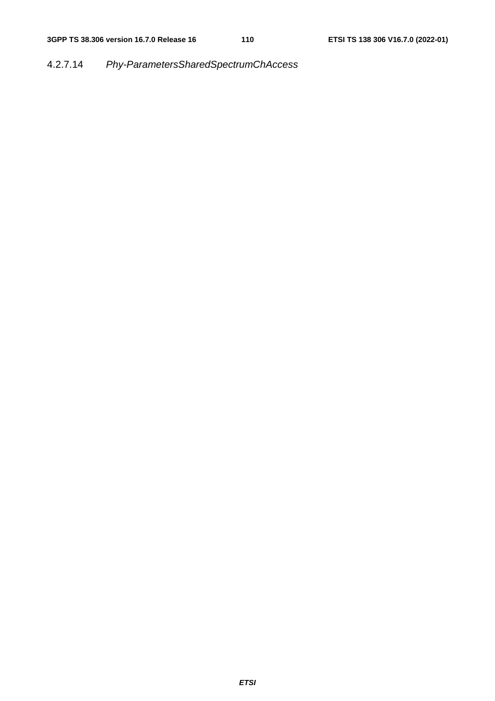# 4.2.7.14 *Phy-ParametersSharedSpectrumChAccess*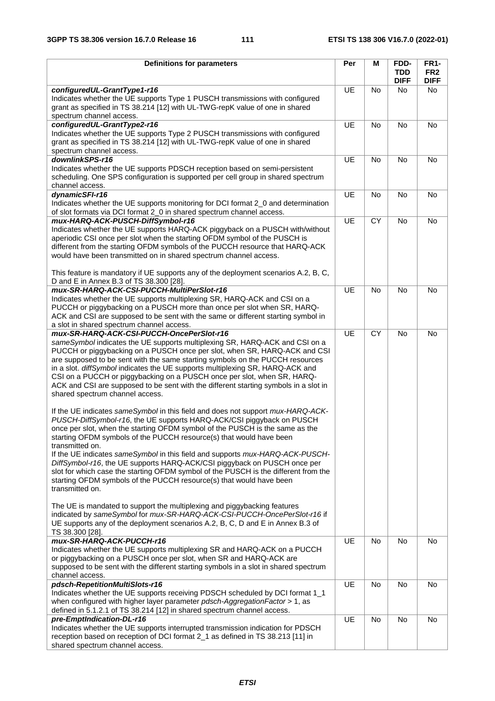| <b>Definitions for parameters</b>                                                                                                                                 | Per       | M         | FDD-               | FR <sub>1</sub> -  |
|-------------------------------------------------------------------------------------------------------------------------------------------------------------------|-----------|-----------|--------------------|--------------------|
|                                                                                                                                                                   |           |           | <b>TDD</b>         | FR <sub>2</sub>    |
| configuredUL-GrantType1-r16                                                                                                                                       | <b>UE</b> | No        | <b>DIFF</b><br>No. | <b>DIFF</b><br>No. |
| Indicates whether the UE supports Type 1 PUSCH transmissions with configured                                                                                      |           |           |                    |                    |
| grant as specified in TS 38.214 [12] with UL-TWG-repK value of one in shared                                                                                      |           |           |                    |                    |
| spectrum channel access.                                                                                                                                          |           |           |                    |                    |
| configuredUL-GrantType2-r16                                                                                                                                       | <b>UE</b> | <b>No</b> | No                 | No                 |
| Indicates whether the UE supports Type 2 PUSCH transmissions with configured                                                                                      |           |           |                    |                    |
| grant as specified in TS 38.214 [12] with UL-TWG-repK value of one in shared                                                                                      |           |           |                    |                    |
| spectrum channel access.                                                                                                                                          |           |           |                    |                    |
| downlinkSPS-r16                                                                                                                                                   | <b>UE</b> | <b>No</b> | <b>No</b>          | No                 |
| Indicates whether the UE supports PDSCH reception based on semi-persistent                                                                                        |           |           |                    |                    |
| scheduling. One SPS configuration is supported per cell group in shared spectrum<br>channel access.                                                               |           |           |                    |                    |
| dynamicSFI-r16                                                                                                                                                    | UE        | <b>No</b> | No                 | <b>No</b>          |
| Indicates whether the UE supports monitoring for DCI format 2_0 and determination                                                                                 |           |           |                    |                    |
| of slot formats via DCI format 2_0 in shared spectrum channel access.                                                                                             |           |           |                    |                    |
| mux-HARQ-ACK-PUSCH-DiffSymbol-r16                                                                                                                                 | <b>UE</b> | CY        | <b>No</b>          | No                 |
| Indicates whether the UE supports HARQ-ACK piggyback on a PUSCH with/without                                                                                      |           |           |                    |                    |
| aperiodic CSI once per slot when the starting OFDM symbol of the PUSCH is                                                                                         |           |           |                    |                    |
| different from the starting OFDM symbols of the PUCCH resource that HARQ-ACK                                                                                      |           |           |                    |                    |
| would have been transmitted on in shared spectrum channel access.                                                                                                 |           |           |                    |                    |
|                                                                                                                                                                   |           |           |                    |                    |
| This feature is mandatory if UE supports any of the deployment scenarios A.2, B, C,<br>D and E in Annex B.3 of TS 38.300 [28].                                    |           |           |                    |                    |
| mux-SR-HARQ-ACK-CSI-PUCCH-MultiPerSlot-r16                                                                                                                        | UE        | No        | No                 | No                 |
| Indicates whether the UE supports multiplexing SR, HARQ-ACK and CSI on a                                                                                          |           |           |                    |                    |
| PUCCH or piggybacking on a PUSCH more than once per slot when SR, HARQ-                                                                                           |           |           |                    |                    |
| ACK and CSI are supposed to be sent with the same or different starting symbol in                                                                                 |           |           |                    |                    |
| a slot in shared spectrum channel access.                                                                                                                         |           |           |                    |                    |
| mux-SR-HARQ-ACK-CSI-PUCCH-OncePerSlot-r16                                                                                                                         | UE        | CY        | No                 | No                 |
| sameSymbol indicates the UE supports multiplexing SR, HARQ-ACK and CSI on a                                                                                       |           |           |                    |                    |
| PUCCH or piggybacking on a PUSCH once per slot, when SR, HARQ-ACK and CSI                                                                                         |           |           |                    |                    |
| are supposed to be sent with the same starting symbols on the PUCCH resources                                                                                     |           |           |                    |                    |
| in a slot. diffSymbol indicates the UE supports multiplexing SR, HARQ-ACK and<br>CSI on a PUCCH or piggybacking on a PUSCH once per slot, when SR, HARQ-          |           |           |                    |                    |
| ACK and CSI are supposed to be sent with the different starting symbols in a slot in                                                                              |           |           |                    |                    |
| shared spectrum channel access.                                                                                                                                   |           |           |                    |                    |
|                                                                                                                                                                   |           |           |                    |                    |
| If the UE indicates sameSymbol in this field and does not support mux-HARQ-ACK-                                                                                   |           |           |                    |                    |
| PUSCH-DiffSymbol-r16, the UE supports HARQ-ACK/CSI piggyback on PUSCH                                                                                             |           |           |                    |                    |
| once per slot, when the starting OFDM symbol of the PUSCH is the same as the                                                                                      |           |           |                    |                    |
| starting OFDM symbols of the PUCCH resource(s) that would have been                                                                                               |           |           |                    |                    |
| transmitted on.                                                                                                                                                   |           |           |                    |                    |
| If the UE indicates sameSymbol in this field and supports mux-HARQ-ACK-PUSCH-<br>DiffSymbol-r16, the UE supports HARQ-ACK/CSI piggyback on PUSCH once per         |           |           |                    |                    |
| slot for which case the starting OFDM symbol of the PUSCH is the different from the                                                                               |           |           |                    |                    |
| starting OFDM symbols of the PUCCH resource(s) that would have been                                                                                               |           |           |                    |                    |
| transmitted on.                                                                                                                                                   |           |           |                    |                    |
|                                                                                                                                                                   |           |           |                    |                    |
| The UE is mandated to support the multiplexing and piggybacking features                                                                                          |           |           |                    |                    |
| indicated by sameSymbol for mux-SR-HARQ-ACK-CSI-PUCCH-OncePerSlot-r16 if                                                                                          |           |           |                    |                    |
| UE supports any of the deployment scenarios A.2, B, C, D and E in Annex B.3 of                                                                                    |           |           |                    |                    |
| TS 38.300 [28].<br>mux-SR-HARQ-ACK-PUCCH-r16                                                                                                                      | UE        | <b>No</b> | <b>No</b>          |                    |
| Indicates whether the UE supports multiplexing SR and HARQ-ACK on a PUCCH                                                                                         |           |           |                    | No                 |
| or piggybacking on a PUSCH once per slot, when SR and HARQ-ACK are                                                                                                |           |           |                    |                    |
| supposed to be sent with the different starting symbols in a slot in shared spectrum                                                                              |           |           |                    |                    |
| channel access.                                                                                                                                                   |           |           |                    |                    |
| pdsch-RepetitionMultiSlots-r16                                                                                                                                    | UE        | No        | No                 | No                 |
| Indicates whether the UE supports receiving PDSCH scheduled by DCI format 1_1                                                                                     |           |           |                    |                    |
| when configured with higher layer parameter pdsch-AggregationFactor > 1, as                                                                                       |           |           |                    |                    |
| defined in 5.1.2.1 of TS 38.214 [12] in shared spectrum channel access.                                                                                           |           |           |                    |                    |
| pre-EmptIndication-DL-r16                                                                                                                                         | UE        | No        | No                 | No                 |
| Indicates whether the UE supports interrupted transmission indication for PDSCH<br>reception based on reception of DCI format 2_1 as defined in TS 38.213 [11] in |           |           |                    |                    |
| shared spectrum channel access.                                                                                                                                   |           |           |                    |                    |
|                                                                                                                                                                   |           |           |                    |                    |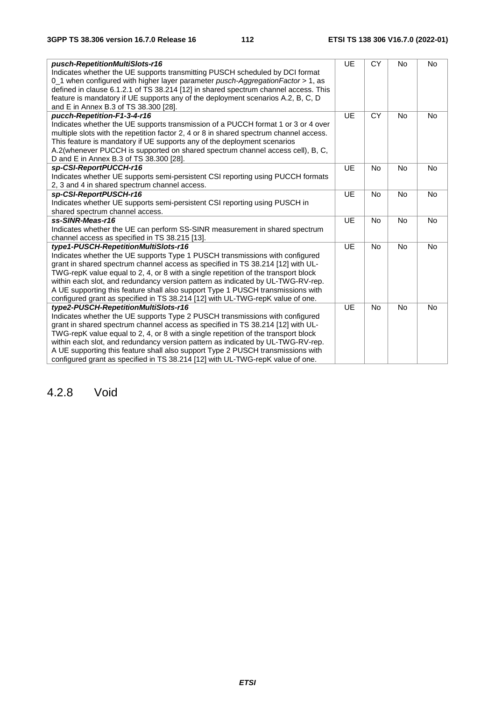| pusch-RepetitionMultiSlots-r16<br>Indicates whether the UE supports transmitting PUSCH scheduled by DCI format | <b>UE</b> | <b>CY</b> | No        | No        |
|----------------------------------------------------------------------------------------------------------------|-----------|-----------|-----------|-----------|
| 0_1 when configured with higher layer parameter pusch-AggregationFactor > 1, as                                |           |           |           |           |
| defined in clause 6.1.2.1 of TS 38.214 [12] in shared spectrum channel access. This                            |           |           |           |           |
| feature is mandatory if UE supports any of the deployment scenarios A.2, B, C, D                               |           |           |           |           |
| and E in Annex B.3 of TS 38.300 [28].                                                                          |           |           |           |           |
| pucch-Repetition-F1-3-4-r16                                                                                    | <b>UE</b> | <b>CY</b> | <b>No</b> | <b>No</b> |
| Indicates whether the UE supports transmission of a PUCCH format 1 or 3 or 4 over                              |           |           |           |           |
| multiple slots with the repetition factor 2, 4 or 8 in shared spectrum channel access.                         |           |           |           |           |
| This feature is mandatory if UE supports any of the deployment scenarios                                       |           |           |           |           |
| A.2(whenever PUCCH is supported on shared spectrum channel access cell), B, C,                                 |           |           |           |           |
| D and E in Annex B.3 of TS 38.300 [28].                                                                        |           |           |           |           |
| sp-CSI-ReportPUCCH-r16                                                                                         | <b>UE</b> | <b>No</b> | <b>No</b> | <b>No</b> |
| Indicates whether UE supports semi-persistent CSI reporting using PUCCH formats                                |           |           |           |           |
| 2, 3 and 4 in shared spectrum channel access.                                                                  |           |           |           |           |
| sp-CSI-ReportPUSCH-r16                                                                                         | <b>UE</b> | <b>No</b> | No        | <b>No</b> |
| Indicates whether UE supports semi-persistent CSI reporting using PUSCH in                                     |           |           |           |           |
| shared spectrum channel access.                                                                                |           |           |           |           |
| ss-SINR-Meas-r16                                                                                               | <b>UE</b> | <b>No</b> | <b>No</b> | <b>No</b> |
| Indicates whether the UE can perform SS-SINR measurement in shared spectrum                                    |           |           |           |           |
| channel access as specified in TS 38.215 [13].                                                                 |           |           |           |           |
| type1-PUSCH-RepetitionMultiSlots-r16                                                                           | <b>UE</b> | No        | No        | <b>No</b> |
| Indicates whether the UE supports Type 1 PUSCH transmissions with configured                                   |           |           |           |           |
| grant in shared spectrum channel access as specified in TS 38.214 [12] with UL-                                |           |           |           |           |
| TWG-repK value equal to 2, 4, or 8 with a single repetition of the transport block                             |           |           |           |           |
| within each slot, and redundancy version pattern as indicated by UL-TWG-RV-rep.                                |           |           |           |           |
| A UE supporting this feature shall also support Type 1 PUSCH transmissions with                                |           |           |           |           |
| configured grant as specified in TS 38.214 [12] with UL-TWG-repK value of one.                                 |           |           |           |           |
| type2-PUSCH-RepetitionMultiSlots-r16                                                                           | <b>UE</b> | <b>No</b> | <b>No</b> | <b>No</b> |
| Indicates whether the UE supports Type 2 PUSCH transmissions with configured                                   |           |           |           |           |
| grant in shared spectrum channel access as specified in TS 38.214 [12] with UL-                                |           |           |           |           |
| TWG-repK value equal to 2, 4, or 8 with a single repetition of the transport block                             |           |           |           |           |
| within each slot, and redundancy version pattern as indicated by UL-TWG-RV-rep.                                |           |           |           |           |
| A UE supporting this feature shall also support Type 2 PUSCH transmissions with                                |           |           |           |           |
| configured grant as specified in TS 38.214 [12] with UL-TWG-repK value of one.                                 |           |           |           |           |

## 4.2.8 Void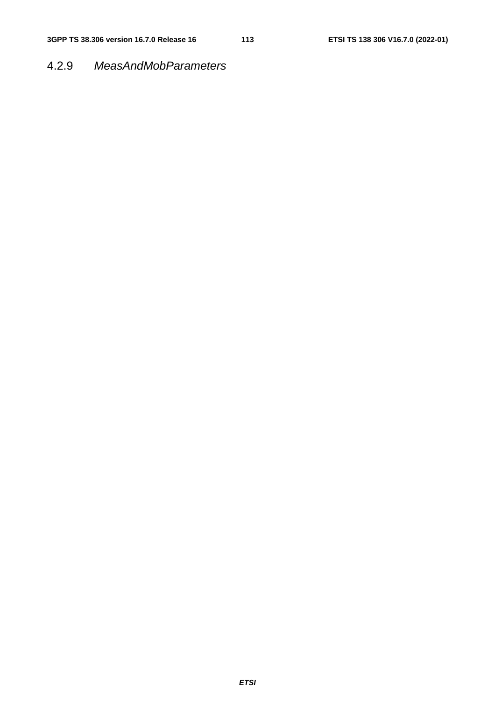## 4.2.9 *MeasAndMobParameters*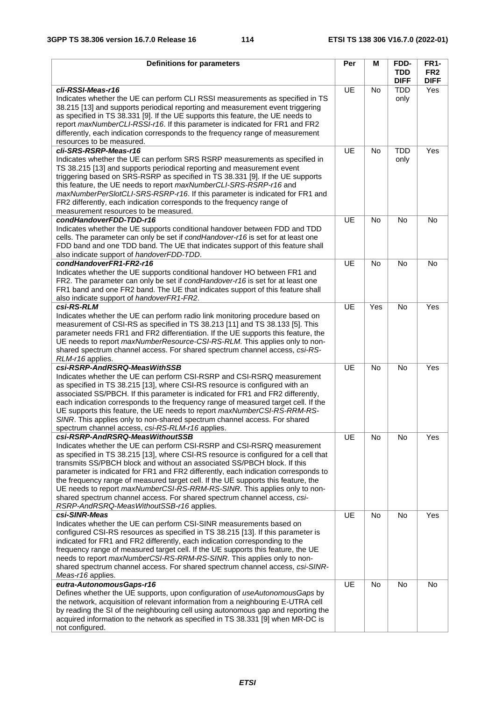| <b>Definitions for parameters</b>                                                                                                                                                                                                                                                                                                                                                                                                                                                                                                                                                                                         | Per       | M         | FDD-                      | <b>FR1-</b>                    |
|---------------------------------------------------------------------------------------------------------------------------------------------------------------------------------------------------------------------------------------------------------------------------------------------------------------------------------------------------------------------------------------------------------------------------------------------------------------------------------------------------------------------------------------------------------------------------------------------------------------------------|-----------|-----------|---------------------------|--------------------------------|
|                                                                                                                                                                                                                                                                                                                                                                                                                                                                                                                                                                                                                           |           |           | <b>TDD</b><br><b>DIFF</b> | FR <sub>2</sub><br><b>DIFF</b> |
| cli-RSSI-Meas-r16                                                                                                                                                                                                                                                                                                                                                                                                                                                                                                                                                                                                         | <b>UE</b> | <b>No</b> | <b>TDD</b>                | Yes                            |
| Indicates whether the UE can perform CLI RSSI measurements as specified in TS<br>38.215 [13] and supports periodical reporting and measurement event triggering<br>as specified in TS 38.331 [9]. If the UE supports this feature, the UE needs to<br>report maxNumberCLI-RSSI-r16. If this parameter is indicated for FR1 and FR2<br>differently, each indication corresponds to the frequency range of measurement<br>resources to be measured.                                                                                                                                                                         |           |           | only                      |                                |
| cli-SRS-RSRP-Meas-r16                                                                                                                                                                                                                                                                                                                                                                                                                                                                                                                                                                                                     | <b>UE</b> | <b>No</b> | <b>TDD</b>                | Yes                            |
| Indicates whether the UE can perform SRS RSRP measurements as specified in<br>TS 38.215 [13] and supports periodical reporting and measurement event<br>triggering based on SRS-RSRP as specified in TS 38.331 [9]. If the UE supports<br>this feature, the UE needs to report maxNumberCLI-SRS-RSRP-r16 and<br>maxNumberPerSlotCLI-SRS-RSRP-r16. If this parameter is indicated for FR1 and<br>FR2 differently, each indication corresponds to the frequency range of<br>measurement resources to be measured.                                                                                                           |           |           | only                      |                                |
| condHandoverFDD-TDD-r16                                                                                                                                                                                                                                                                                                                                                                                                                                                                                                                                                                                                   | <b>UE</b> | <b>No</b> | <b>No</b>                 | No                             |
| Indicates whether the UE supports conditional handover between FDD and TDD<br>cells. The parameter can only be set if condHandover-r16 is set for at least one<br>FDD band and one TDD band. The UE that indicates support of this feature shall<br>also indicate support of handoverFDD-TDD.                                                                                                                                                                                                                                                                                                                             |           |           |                           |                                |
| condHandoverFR1-FR2-r16                                                                                                                                                                                                                                                                                                                                                                                                                                                                                                                                                                                                   | <b>UE</b> | <b>No</b> | <b>No</b>                 | <b>No</b>                      |
| Indicates whether the UE supports conditional handover HO between FR1 and<br>FR2. The parameter can only be set if condHandover-r16 is set for at least one<br>FR1 band and one FR2 band. The UE that indicates support of this feature shall<br>also indicate support of handoverFR1-FR2.                                                                                                                                                                                                                                                                                                                                |           |           |                           |                                |
| csi-RS-RLM                                                                                                                                                                                                                                                                                                                                                                                                                                                                                                                                                                                                                | <b>UE</b> | Yes       | <b>No</b>                 | Yes                            |
| Indicates whether the UE can perform radio link monitoring procedure based on<br>measurement of CSI-RS as specified in TS 38.213 [11] and TS 38.133 [5]. This<br>parameter needs FR1 and FR2 differentiation. If the UE supports this feature, the<br>UE needs to report maxNumberResource-CSI-RS-RLM. This applies only to non-<br>shared spectrum channel access. For shared spectrum channel access, csi-RS-<br>RLM-r16 applies.                                                                                                                                                                                       |           |           |                           |                                |
| csi-RSRP-AndRSRQ-MeasWithSSB                                                                                                                                                                                                                                                                                                                                                                                                                                                                                                                                                                                              | <b>UE</b> | <b>No</b> | No                        | Yes                            |
| Indicates whether the UE can perform CSI-RSRP and CSI-RSRQ measurement<br>as specified in TS 38.215 [13], where CSI-RS resource is configured with an<br>associated SS/PBCH. If this parameter is indicated for FR1 and FR2 differently,<br>each indication corresponds to the frequency range of measured target cell. If the<br>UE supports this feature, the UE needs to report maxNumberCSI-RS-RRM-RS-<br>SINR. This applies only to non-shared spectrum channel access. For shared<br>spectrum channel access, csi-RS-RLM-r16 applies.                                                                               |           |           |                           |                                |
| csi-RSRP-AndRSRQ-MeasWithoutSSB                                                                                                                                                                                                                                                                                                                                                                                                                                                                                                                                                                                           | UE        | No        | No                        | Yes                            |
| Indicates whether the UE can perform CSI-RSRP and CSI-RSRQ measurement<br>as specified in TS 38.215 [13], where CSI-RS resource is configured for a cell that<br>transmits SS/PBCH block and without an associated SS/PBCH block. If this<br>parameter is indicated for FR1 and FR2 differently, each indication corresponds to<br>the frequency range of measured target cell. If the UE supports this feature, the<br>UE needs to report maxNumberCSI-RS-RRM-RS-SINR. This applies only to non-<br>shared spectrum channel access. For shared spectrum channel access, csi-<br>RSRP-AndRSRQ-MeasWithoutSSB-r16 applies. |           |           |                           |                                |
| csi-SINR-Meas                                                                                                                                                                                                                                                                                                                                                                                                                                                                                                                                                                                                             | UE        | No        | No                        | Yes                            |
| Indicates whether the UE can perform CSI-SINR measurements based on<br>configured CSI-RS resources as specified in TS 38.215 [13]. If this parameter is<br>indicated for FR1 and FR2 differently, each indication corresponding to the<br>frequency range of measured target cell. If the UE supports this feature, the UE<br>needs to report maxNumberCSI-RS-RRM-RS-SINR. This applies only to non-<br>shared spectrum channel access. For shared spectrum channel access, csi-SINR-<br>Meas-r16 applies.                                                                                                                |           |           |                           |                                |
| eutra-AutonomousGaps-r16                                                                                                                                                                                                                                                                                                                                                                                                                                                                                                                                                                                                  | UE        | No        | <b>No</b>                 | <b>No</b>                      |
| Defines whether the UE supports, upon configuration of useAutonomousGaps by<br>the network, acquisition of relevant information from a neighbouring E-UTRA cell<br>by reading the SI of the neighbouring cell using autonomous gap and reporting the<br>acquired information to the network as specified in TS 38.331 [9] when MR-DC is<br>not configured.                                                                                                                                                                                                                                                                |           |           |                           |                                |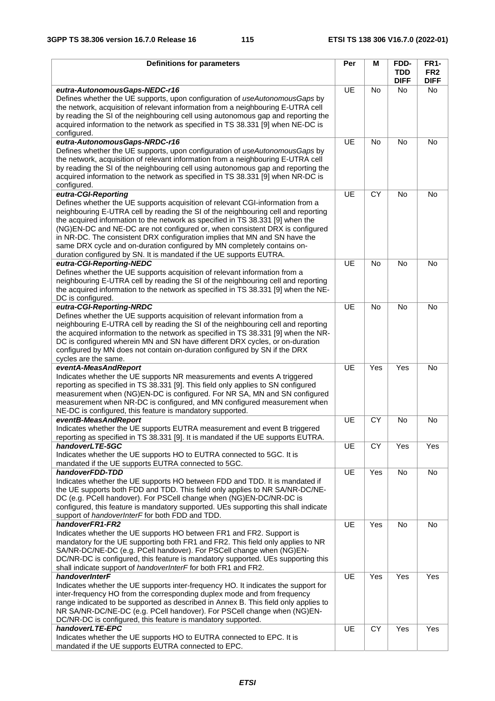| <b>Definitions for parameters</b>                                                                                                                                                                                                                                                                                                                                                                                                                                                                                                                                                            | Per | M         | FDD-<br><b>TDD</b><br><b>DIFF</b> | <b>FR1-</b><br>FR <sub>2</sub><br><b>DIFF</b> |
|----------------------------------------------------------------------------------------------------------------------------------------------------------------------------------------------------------------------------------------------------------------------------------------------------------------------------------------------------------------------------------------------------------------------------------------------------------------------------------------------------------------------------------------------------------------------------------------------|-----|-----------|-----------------------------------|-----------------------------------------------|
| eutra-AutonomousGaps-NEDC-r16<br>Defines whether the UE supports, upon configuration of useAutonomousGaps by<br>the network, acquisition of relevant information from a neighbouring E-UTRA cell<br>by reading the SI of the neighbouring cell using autonomous gap and reporting the<br>acquired information to the network as specified in TS 38.331 [9] when NE-DC is<br>configured.                                                                                                                                                                                                      | UE  | <b>No</b> | No.                               | No.                                           |
| eutra-AutonomousGaps-NRDC-r16<br>Defines whether the UE supports, upon configuration of useAutonomousGaps by<br>the network, acquisition of relevant information from a neighbouring E-UTRA cell<br>by reading the SI of the neighbouring cell using autonomous gap and reporting the<br>acquired information to the network as specified in TS 38.331 [9] when NR-DC is<br>configured.                                                                                                                                                                                                      | UE  | No        | No                                | No                                            |
| eutra-CGI-Reporting<br>Defines whether the UE supports acquisition of relevant CGI-information from a<br>neighbouring E-UTRA cell by reading the SI of the neighbouring cell and reporting<br>the acquired information to the network as specified in TS 38.331 [9] when the<br>(NG)EN-DC and NE-DC are not configured or, when consistent DRX is configured<br>in NR-DC. The consistent DRX configuration implies that MN and SN have the<br>same DRX cycle and on-duration configured by MN completely contains on-<br>duration configured by SN. It is mandated if the UE supports EUTRA. | UE  | <b>CY</b> | <b>No</b>                         | No                                            |
| eutra-CGI-Reporting-NEDC<br>Defines whether the UE supports acquisition of relevant information from a<br>neighbouring E-UTRA cell by reading the SI of the neighbouring cell and reporting<br>the acquired information to the network as specified in TS 38.331 [9] when the NE-<br>DC is configured.                                                                                                                                                                                                                                                                                       | UE  | <b>No</b> | No                                | No                                            |
| eutra-CGI-Reporting-NRDC<br>Defines whether the UE supports acquisition of relevant information from a<br>neighbouring E-UTRA cell by reading the SI of the neighbouring cell and reporting<br>the acquired information to the network as specified in TS 38.331 [9] when the NR-<br>DC is configured wherein MN and SN have different DRX cycles, or on-duration<br>configured by MN does not contain on-duration configured by SN if the DRX<br>cycles are the same.                                                                                                                       | UE  | <b>No</b> | No                                | No                                            |
| eventA-MeasAndReport<br>Indicates whether the UE supports NR measurements and events A triggered<br>reporting as specified in TS 38.331 [9]. This field only applies to SN configured<br>measurement when (NG)EN-DC is configured. For NR SA, MN and SN configured<br>measurement when NR-DC is configured, and MN configured measurement when<br>NE-DC is configured, this feature is mandatory supported.                                                                                                                                                                                  | UE  | Yes       | Yes                               | No                                            |
| eventB-MeasAndReport<br>Indicates whether the UE supports EUTRA measurement and event B triggered<br>reporting as specified in TS 38.331 [9]. It is mandated if the UE supports EUTRA.                                                                                                                                                                                                                                                                                                                                                                                                       | UE  | CY        | <b>No</b>                         | No                                            |
| handoverLTE-5GC<br>Indicates whether the UE supports HO to EUTRA connected to 5GC. It is<br>mandated if the UE supports EUTRA connected to 5GC.                                                                                                                                                                                                                                                                                                                                                                                                                                              | UE  | CY        | Yes                               | Yes                                           |
| handoverFDD-TDD<br>Indicates whether the UE supports HO between FDD and TDD. It is mandated if<br>the UE supports both FDD and TDD. This field only applies to NR SA/NR-DC/NE-<br>DC (e.g. PCell handover). For PSCell change when (NG)EN-DC/NR-DC is<br>configured, this feature is mandatory supported. UEs supporting this shall indicate<br>support of handoverInterF for both FDD and TDD.                                                                                                                                                                                              | UE  | Yes       | No                                | No                                            |
| handoverFR1-FR2<br>Indicates whether the UE supports HO between FR1 and FR2. Support is<br>mandatory for the UE supporting both FR1 and FR2. This field only applies to NR<br>SA/NR-DC/NE-DC (e.g. PCell handover). For PSCell change when (NG)EN-<br>DC/NR-DC is configured, this feature is mandatory supported. UEs supporting this<br>shall indicate support of handoverInterF for both FR1 and FR2.                                                                                                                                                                                     | UE  | Yes       | No                                | No                                            |
| handoverInterF<br>Indicates whether the UE supports inter-frequency HO. It indicates the support for<br>inter-frequency HO from the corresponding duplex mode and from frequency<br>range indicated to be supported as described in Annex B. This field only applies to<br>NR SA/NR-DC/NE-DC (e.g. PCell handover). For PSCell change when (NG)EN-<br>DC/NR-DC is configured, this feature is mandatory supported.                                                                                                                                                                           | UE  | Yes       | Yes                               | Yes                                           |
| handoverLTE-EPC<br>Indicates whether the UE supports HO to EUTRA connected to EPC. It is<br>mandated if the UE supports EUTRA connected to EPC.                                                                                                                                                                                                                                                                                                                                                                                                                                              | UE  | CY        | Yes                               | Yes                                           |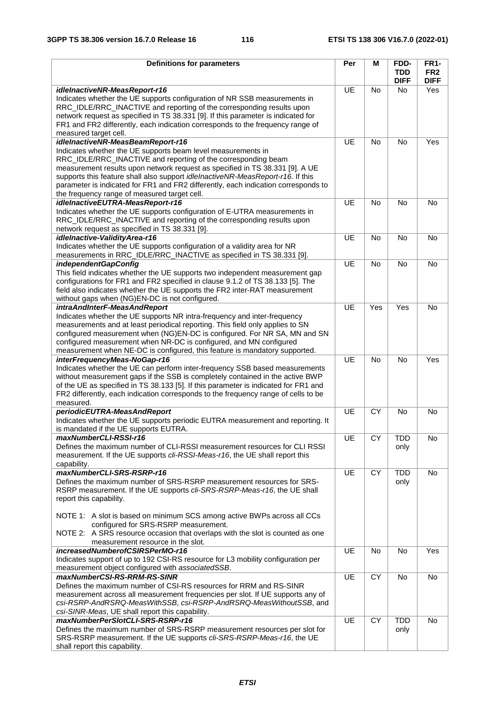| <b>Definitions for parameters</b>                                                                                                                                         | Per       | M         | FDD-        | <b>FR1-</b>     |
|---------------------------------------------------------------------------------------------------------------------------------------------------------------------------|-----------|-----------|-------------|-----------------|
|                                                                                                                                                                           |           |           | <b>TDD</b>  | FR <sub>2</sub> |
|                                                                                                                                                                           |           |           | <b>DIFF</b> | <b>DIFF</b>     |
| idleInactiveNR-MeasReport-r16                                                                                                                                             | <b>UE</b> | No        | No.         | Yes             |
| Indicates whether the UE supports configuration of NR SSB measurements in                                                                                                 |           |           |             |                 |
| RRC_IDLE/RRC_INACTIVE and reporting of the corresponding results upon                                                                                                     |           |           |             |                 |
| network request as specified in TS 38.331 [9]. If this parameter is indicated for                                                                                         |           |           |             |                 |
| FR1 and FR2 differently, each indication corresponds to the frequency range of                                                                                            |           |           |             |                 |
| measured target cell.                                                                                                                                                     |           |           |             |                 |
| idleInactiveNR-MeasBeamReport-r16<br>Indicates whether the UE supports beam level measurements in                                                                         | UE        | <b>No</b> | <b>No</b>   | Yes             |
| RRC_IDLE/RRC_INACTIVE and reporting of the corresponding beam                                                                                                             |           |           |             |                 |
| measurement results upon network request as specified in TS 38.331 [9]. A UE                                                                                              |           |           |             |                 |
| supports this feature shall also support idlelnactiveNR-MeasReport-r16. If this                                                                                           |           |           |             |                 |
| parameter is indicated for FR1 and FR2 differently, each indication corresponds to                                                                                        |           |           |             |                 |
| the frequency range of measured target cell.                                                                                                                              |           |           |             |                 |
| idleInactiveEUTRA-MeasReport-r16                                                                                                                                          | UE        | <b>No</b> | No          | <b>No</b>       |
| Indicates whether the UE supports configuration of E-UTRA measurements in                                                                                                 |           |           |             |                 |
| RRC_IDLE/RRC_INACTIVE and reporting of the corresponding results upon                                                                                                     |           |           |             |                 |
| network request as specified in TS 38.331 [9].                                                                                                                            |           |           |             |                 |
| idleInactive-ValidityArea-r16                                                                                                                                             | UE        | <b>No</b> | No          | No              |
| Indicates whether the UE supports configuration of a validity area for NR                                                                                                 |           |           |             |                 |
| measurements in RRC_IDLE/RRC_INACTIVE as specified in TS 38.331 [9].                                                                                                      |           |           |             |                 |
| independentGapConfig                                                                                                                                                      | UE        | <b>No</b> | <b>No</b>   | <b>No</b>       |
| This field indicates whether the UE supports two independent measurement gap                                                                                              |           |           |             |                 |
| configurations for FR1 and FR2 specified in clause 9.1.2 of TS 38.133 [5]. The                                                                                            |           |           |             |                 |
| field also indicates whether the UE supports the FR2 inter-RAT measurement                                                                                                |           |           |             |                 |
| without gaps when (NG)EN-DC is not configured.                                                                                                                            |           |           |             |                 |
| intraAndInterF-MeasAndReport                                                                                                                                              | UE        | Yes       | Yes         | No              |
| Indicates whether the UE supports NR intra-frequency and inter-frequency                                                                                                  |           |           |             |                 |
| measurements and at least periodical reporting. This field only applies to SN                                                                                             |           |           |             |                 |
| configured measurement when (NG)EN-DC is configured. For NR SA, MN and SN                                                                                                 |           |           |             |                 |
| configured measurement when NR-DC is configured, and MN configured                                                                                                        |           |           |             |                 |
| measurement when NE-DC is configured, this feature is mandatory supported.                                                                                                |           |           |             |                 |
| interFrequencyMeas-NoGap-r16                                                                                                                                              | UE        | <b>No</b> | No          | Yes             |
| Indicates whether the UE can perform inter-frequency SSB based measurements                                                                                               |           |           |             |                 |
| without measurement gaps if the SSB is completely contained in the active BWP                                                                                             |           |           |             |                 |
| of the UE as specified in TS 38.133 [5]. If this parameter is indicated for FR1 and<br>FR2 differently, each indication corresponds to the frequency range of cells to be |           |           |             |                 |
| measured.                                                                                                                                                                 |           |           |             |                 |
| periodicEUTRA-MeasAndReport                                                                                                                                               | UE        | <b>CY</b> | <b>No</b>   | No              |
| Indicates whether the UE supports periodic EUTRA measurement and reporting. It                                                                                            |           |           |             |                 |
| is mandated if the UE supports EUTRA.                                                                                                                                     |           |           |             |                 |
| maxNumberCLI-RSSI-r16                                                                                                                                                     | UE        | <b>CY</b> | <b>TDD</b>  | No              |
| Defines the maximum number of CLI-RSSI measurement resources for CLI RSSI                                                                                                 |           |           | only        |                 |
| measurement. If the UE supports cli-RSSI-Meas-r16, the UE shall report this                                                                                               |           |           |             |                 |
| capability.                                                                                                                                                               |           |           |             |                 |
| maxNumberCLI-SRS-RSRP-r16                                                                                                                                                 | UE        | <b>CY</b> | <b>TDD</b>  | <b>No</b>       |
| Defines the maximum number of SRS-RSRP measurement resources for SRS-                                                                                                     |           |           | only        |                 |
| RSRP measurement. If the UE supports cli-SRS-RSRP-Meas-r16, the UE shall                                                                                                  |           |           |             |                 |
| report this capability.                                                                                                                                                   |           |           |             |                 |
|                                                                                                                                                                           |           |           |             |                 |
| NOTE 1: A slot is based on minimum SCS among active BWPs across all CCs                                                                                                   |           |           |             |                 |
| configured for SRS-RSRP measurement.                                                                                                                                      |           |           |             |                 |
| NOTE 2: A SRS resource occasion that overlaps with the slot is counted as one                                                                                             |           |           |             |                 |
| measurement resource in the slot.                                                                                                                                         |           |           |             |                 |
| increasedNumberofCSIRSPerMO-r16                                                                                                                                           | UE        | No        | <b>No</b>   | Yes             |
| Indicates support of up to 192 CSI-RS resource for L3 mobility configuration per                                                                                          |           |           |             |                 |
| measurement object configured with associatedSSB.                                                                                                                         |           |           |             |                 |
| maxNumberCSI-RS-RRM-RS-SINR                                                                                                                                               | UE        | <b>CY</b> | No          | No              |
| Defines the maximum number of CSI-RS resources for RRM and RS-SINR                                                                                                        |           |           |             |                 |
| measurement across all measurement frequencies per slot. If UE supports any of<br>csi-RSRP-AndRSRQ-MeasWithSSB, csi-RSRP-AndRSRQ-MeasWithoutSSB, and                      |           |           |             |                 |
| csi-SINR-Meas, UE shall report this capability.                                                                                                                           |           |           |             |                 |
| maxNumberPerSlotCLI-SRS-RSRP-r16                                                                                                                                          | UE        | <b>CY</b> | <b>TDD</b>  | <b>No</b>       |
| Defines the maximum number of SRS-RSRP measurement resources per slot for                                                                                                 |           |           | only        |                 |
| SRS-RSRP measurement. If the UE supports cli-SRS-RSRP-Meas-r16, the UE                                                                                                    |           |           |             |                 |
| shall report this capability.                                                                                                                                             |           |           |             |                 |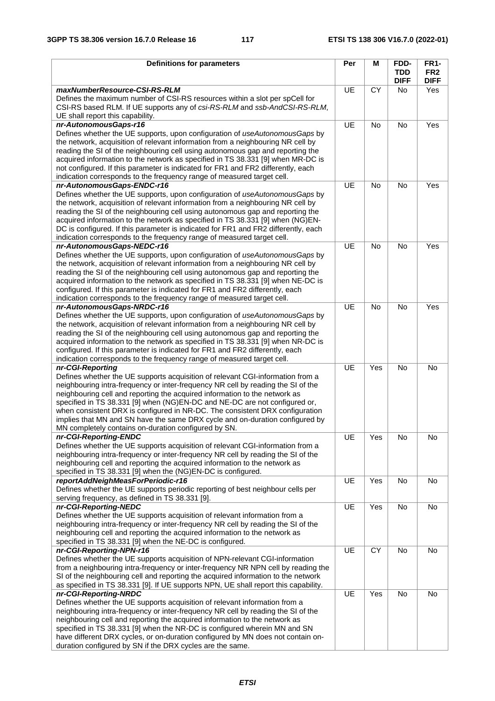| <b>Definitions for parameters</b>                                                                                                                                                                                                                                                                                                                                                                                                                                                                                                                                          | Per       | м         | FDD-<br><b>TDD</b> | <b>FR1-</b><br>FR <sub>2</sub> |
|----------------------------------------------------------------------------------------------------------------------------------------------------------------------------------------------------------------------------------------------------------------------------------------------------------------------------------------------------------------------------------------------------------------------------------------------------------------------------------------------------------------------------------------------------------------------------|-----------|-----------|--------------------|--------------------------------|
|                                                                                                                                                                                                                                                                                                                                                                                                                                                                                                                                                                            |           |           | <b>DIFF</b>        | <b>DIFF</b>                    |
| maxNumberResource-CSI-RS-RLM<br>Defines the maximum number of CSI-RS resources within a slot per spCell for<br>CSI-RS based RLM. If UE supports any of csi-RS-RLM and ssb-AndCSI-RS-RLM,<br>UE shall report this capability.                                                                                                                                                                                                                                                                                                                                               | UE        | <b>CY</b> | No.                | Yes                            |
| nr-AutonomousGaps-r16<br>Defines whether the UE supports, upon configuration of useAutonomousGaps by<br>the network, acquisition of relevant information from a neighbouring NR cell by<br>reading the SI of the neighbouring cell using autonomous gap and reporting the<br>acquired information to the network as specified in TS 38.331 [9] when MR-DC is<br>not configured. If this parameter is indicated for FR1 and FR2 differently, each<br>indication corresponds to the frequency range of measured target cell.                                                 | UE        | No        | <b>No</b>          | Yes                            |
| nr-AutonomousGaps-ENDC-r16<br>Defines whether the UE supports, upon configuration of useAutonomousGaps by<br>the network, acquisition of relevant information from a neighbouring NR cell by<br>reading the SI of the neighbouring cell using autonomous gap and reporting the<br>acquired information to the network as specified in TS 38.331 [9] when (NG)EN-<br>DC is configured. If this parameter is indicated for FR1 and FR2 differently, each<br>indication corresponds to the frequency range of measured target cell.                                           | <b>UE</b> | <b>No</b> | <b>No</b>          | Yes                            |
| nr-AutonomousGaps-NEDC-r16<br>Defines whether the UE supports, upon configuration of useAutonomousGaps by<br>the network, acquisition of relevant information from a neighbouring NR cell by<br>reading the SI of the neighbouring cell using autonomous gap and reporting the<br>acquired information to the network as specified in TS 38.331 [9] when NE-DC is<br>configured. If this parameter is indicated for FR1 and FR2 differently, each<br>indication corresponds to the frequency range of measured target cell.                                                | UE        | <b>No</b> | No                 | Yes                            |
| nr-AutonomousGaps-NRDC-r16<br>Defines whether the UE supports, upon configuration of useAutonomousGaps by<br>the network, acquisition of relevant information from a neighbouring NR cell by<br>reading the SI of the neighbouring cell using autonomous gap and reporting the<br>acquired information to the network as specified in TS 38.331 [9] when NR-DC is<br>configured. If this parameter is indicated for FR1 and FR2 differently, each<br>indication corresponds to the frequency range of measured target cell.                                                | UE        | <b>No</b> | No                 | $\overline{Yes}$               |
| nr-CGI-Reporting<br>Defines whether the UE supports acquisition of relevant CGI-information from a<br>neighbouring intra-frequency or inter-frequency NR cell by reading the SI of the<br>neighbouring cell and reporting the acquired information to the network as<br>specified in TS 38.331 [9] when (NG)EN-DC and NE-DC are not configured or,<br>when consistent DRX is configured in NR-DC. The consistent DRX configuration<br>implies that MN and SN have the same DRX cycle and on-duration configured by<br>MN completely contains on-duration configured by SN. | <b>UE</b> | Yes       | No                 | No                             |
| nr-CGI-Reporting-ENDC<br>Defines whether the UE supports acquisition of relevant CGI-information from a<br>neighbouring intra-frequency or inter-frequency NR cell by reading the SI of the<br>neighbouring cell and reporting the acquired information to the network as<br>specified in TS 38.331 [9] when the (NG)EN-DC is configured.                                                                                                                                                                                                                                  | UE        | Yes       | No                 | No                             |
| reportAddNeighMeasForPeriodic-r16<br>Defines whether the UE supports periodic reporting of best neighbour cells per<br>serving frequency, as defined in TS 38.331 [9].                                                                                                                                                                                                                                                                                                                                                                                                     | UE        | Yes       | No                 | No                             |
| nr-CGI-Reporting-NEDC<br>Defines whether the UE supports acquisition of relevant information from a<br>neighbouring intra-frequency or inter-frequency NR cell by reading the SI of the<br>neighbouring cell and reporting the acquired information to the network as<br>specified in TS 38.331 [9] when the NE-DC is configured.                                                                                                                                                                                                                                          | UE        | Yes       | No                 | No                             |
| nr-CGI-Reporting-NPN-r16<br>Defines whether the UE supports acquisition of NPN-relevant CGI-information<br>from a neighbouring intra-frequency or inter-frequency NR NPN cell by reading the<br>SI of the neighbouring cell and reporting the acquired information to the network<br>as specified in TS 38.331 [9]. If UE supports NPN, UE shall report this capability.                                                                                                                                                                                                   | UE        | <b>CY</b> | No                 | No                             |
| nr-CGI-Reporting-NRDC<br>Defines whether the UE supports acquisition of relevant information from a<br>neighbouring intra-frequency or inter-frequency NR cell by reading the SI of the<br>neighbouring cell and reporting the acquired information to the network as<br>specified in TS 38.331 [9] when the NR-DC is configured wherein MN and SN<br>have different DRX cycles, or on-duration configured by MN does not contain on-<br>duration configured by SN if the DRX cycles are the same.                                                                         | UE        | Yes       | No                 | No                             |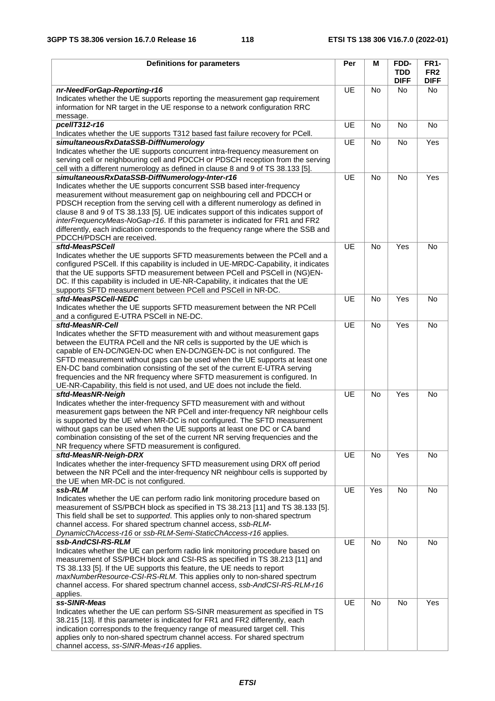| <b>Definitions for parameters</b>                                                                                                                                                                                                                                                                                                                                                                                                                                                                                                                    | Per       | м         | FDD-                      | <b>FR1-</b>                    |
|------------------------------------------------------------------------------------------------------------------------------------------------------------------------------------------------------------------------------------------------------------------------------------------------------------------------------------------------------------------------------------------------------------------------------------------------------------------------------------------------------------------------------------------------------|-----------|-----------|---------------------------|--------------------------------|
|                                                                                                                                                                                                                                                                                                                                                                                                                                                                                                                                                      |           |           | <b>TDD</b><br><b>DIFF</b> | FR <sub>2</sub><br><b>DIFF</b> |
| nr-NeedForGap-Reporting-r16                                                                                                                                                                                                                                                                                                                                                                                                                                                                                                                          | UE        | <b>No</b> | No                        | No.                            |
| Indicates whether the UE supports reporting the measurement gap requirement<br>information for NR target in the UE response to a network configuration RRC<br>message.                                                                                                                                                                                                                                                                                                                                                                               |           |           |                           |                                |
| pcellT312-r16<br>Indicates whether the UE supports T312 based fast failure recovery for PCell.                                                                                                                                                                                                                                                                                                                                                                                                                                                       | UE        | <b>No</b> | <b>No</b>                 | <b>No</b>                      |
| simultaneousRxDataSSB-DiffNumerology                                                                                                                                                                                                                                                                                                                                                                                                                                                                                                                 | UE        | No        | No                        | Yes                            |
| Indicates whether the UE supports concurrent intra-frequency measurement on<br>serving cell or neighbouring cell and PDCCH or PDSCH reception from the serving                                                                                                                                                                                                                                                                                                                                                                                       |           |           |                           |                                |
| cell with a different numerology as defined in clause 8 and 9 of TS 38.133 [5].<br>simultaneousRxDataSSB-DiffNumerology-Inter-r16                                                                                                                                                                                                                                                                                                                                                                                                                    | UE        | No        | <b>No</b>                 | Yes                            |
| Indicates whether the UE supports concurrent SSB based inter-frequency<br>measurement without measurement gap on neighbouring cell and PDCCH or<br>PDSCH reception from the serving cell with a different numerology as defined in<br>clause 8 and 9 of TS 38.133 [5]. UE indicates support of this indicates support of<br>interFrequencyMeas-NoGap-r16. If this parameter is indicated for FR1 and FR2<br>differently, each indication corresponds to the frequency range where the SSB and<br>PDCCH/PDSCH are received.                           |           |           |                           |                                |
| sftd-MeasPSCell                                                                                                                                                                                                                                                                                                                                                                                                                                                                                                                                      | <b>UE</b> | <b>No</b> | Yes                       | No                             |
| Indicates whether the UE supports SFTD measurements between the PCell and a<br>configured PSCell. If this capability is included in UE-MRDC-Capability, it indicates<br>that the UE supports SFTD measurement between PCell and PSCell in (NG)EN-<br>DC. If this capability is included in UE-NR-Capability, it indicates that the UE<br>supports SFTD measurement between PCell and PSCell in NR-DC.                                                                                                                                                |           |           |                           |                                |
| sftd-MeasPSCell-NEDC                                                                                                                                                                                                                                                                                                                                                                                                                                                                                                                                 | <b>UE</b> | <b>No</b> | Yes                       | <b>No</b>                      |
| Indicates whether the UE supports SFTD measurement between the NR PCell<br>and a configured E-UTRA PSCell in NE-DC.                                                                                                                                                                                                                                                                                                                                                                                                                                  |           |           |                           |                                |
| sftd-MeasNR-Cell                                                                                                                                                                                                                                                                                                                                                                                                                                                                                                                                     | UE        | <b>No</b> | Yes                       | No                             |
| Indicates whether the SFTD measurement with and without measurement gaps<br>between the EUTRA PCell and the NR cells is supported by the UE which is<br>capable of EN-DC/NGEN-DC when EN-DC/NGEN-DC is not configured. The<br>SFTD measurement without gaps can be used when the UE supports at least one<br>EN-DC band combination consisting of the set of the current E-UTRA serving<br>frequencies and the NR frequency where SFTD measurement is configured. In<br>UE-NR-Capability, this field is not used, and UE does not include the field. |           |           |                           |                                |
| sftd-MeasNR-Neigh                                                                                                                                                                                                                                                                                                                                                                                                                                                                                                                                    | UE        | <b>No</b> | Yes                       | No                             |
| Indicates whether the inter-frequency SFTD measurement with and without<br>measurement gaps between the NR PCell and inter-frequency NR neighbour cells<br>is supported by the UE when MR-DC is not configured. The SFTD measurement<br>without gaps can be used when the UE supports at least one DC or CA band<br>combination consisting of the set of the current NR serving frequencies and the<br>NR frequency where SFTD measurement is configured.                                                                                            |           |           |                           |                                |
| sftd-MeasNR-Neigh-DRX                                                                                                                                                                                                                                                                                                                                                                                                                                                                                                                                | UE        | No        | Yes                       | No                             |
| Indicates whether the inter-frequency SFTD measurement using DRX off period<br>between the NR PCell and the inter-frequency NR neighbour cells is supported by<br>the UE when MR-DC is not configured.                                                                                                                                                                                                                                                                                                                                               |           |           |                           |                                |
| ssb-RLM                                                                                                                                                                                                                                                                                                                                                                                                                                                                                                                                              | UE        | Yes       | No                        | No                             |
| Indicates whether the UE can perform radio link monitoring procedure based on<br>measurement of SS/PBCH block as specified in TS 38.213 [11] and TS 38.133 [5].<br>This field shall be set to supported. This applies only to non-shared spectrum<br>channel access. For shared spectrum channel access, ssb-RLM-<br>DynamicChAccess-r16 or ssb-RLM-Semi-StaticChAccess-r16 applies.                                                                                                                                                                 |           |           |                           |                                |
| ssb-AndCSI-RS-RLM                                                                                                                                                                                                                                                                                                                                                                                                                                                                                                                                    | <b>UE</b> | No        | No                        | No                             |
| Indicates whether the UE can perform radio link monitoring procedure based on<br>measurement of SS/PBCH block and CSI-RS as specified in TS 38.213 [11] and<br>TS 38.133 [5]. If the UE supports this feature, the UE needs to report<br>maxNumberResource-CSI-RS-RLM. This applies only to non-shared spectrum<br>channel access. For shared spectrum channel access, ssb-AndCSI-RS-RLM-r16<br>applies.                                                                                                                                             |           |           |                           |                                |
| ss-SINR-Meas                                                                                                                                                                                                                                                                                                                                                                                                                                                                                                                                         | UE        | No        | No                        | Yes                            |
| Indicates whether the UE can perform SS-SINR measurement as specified in TS<br>38.215 [13]. If this parameter is indicated for FR1 and FR2 differently, each<br>indication corresponds to the frequency range of measured target cell. This<br>applies only to non-shared spectrum channel access. For shared spectrum<br>channel access, ss-SINR-Meas-r16 applies.                                                                                                                                                                                  |           |           |                           |                                |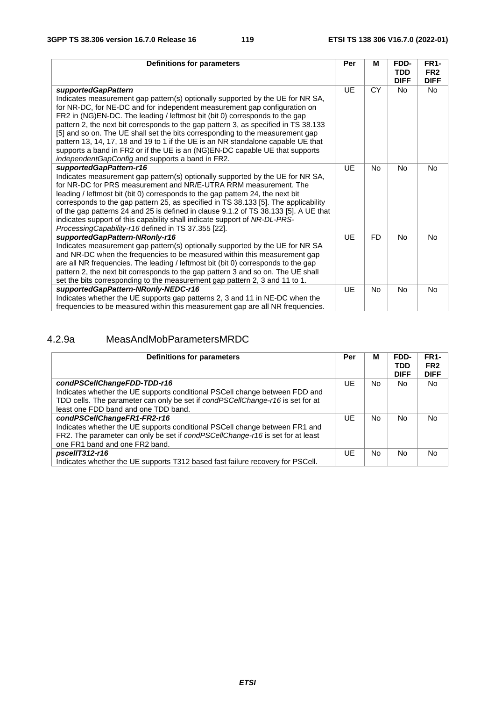| <b>Definitions for parameters</b>                                                                                                                                                                                                                                                                                                                                                                                                                                                                                                                                                                                                                                 | Per       | м              | FDD-<br><b>TDD</b><br><b>DIFF</b> | <b>FR1-</b><br>FR <sub>2</sub><br><b>DIFF</b> |
|-------------------------------------------------------------------------------------------------------------------------------------------------------------------------------------------------------------------------------------------------------------------------------------------------------------------------------------------------------------------------------------------------------------------------------------------------------------------------------------------------------------------------------------------------------------------------------------------------------------------------------------------------------------------|-----------|----------------|-----------------------------------|-----------------------------------------------|
| supportedGapPattern<br>Indicates measurement gap pattern(s) optionally supported by the UE for NR SA,<br>for NR-DC, for NE-DC and for independent measurement gap configuration on<br>FR2 in (NG)EN-DC. The leading / leftmost bit (bit 0) corresponds to the gap<br>pattern 2, the next bit corresponds to the gap pattern 3, as specified in TS 38.133<br>[5] and so on. The UE shall set the bits corresponding to the measurement gap<br>pattern 13, 14, 17, 18 and 19 to 1 if the UE is an NR standalone capable UE that<br>supports a band in FR2 or if the UE is an (NG)EN-DC capable UE that supports<br>independentGapConfig and supports a band in FR2. | <b>UE</b> | <b>CY</b>      | No.                               | No.                                           |
| supportedGapPattern-r16<br>Indicates measurement gap pattern(s) optionally supported by the UE for NR SA,<br>for NR-DC for PRS measurement and NR/E-UTRA RRM measurement. The<br>leading / leftmost bit (bit 0) corresponds to the gap pattern 24, the next bit<br>corresponds to the gap pattern 25, as specified in TS 38.133 [5]. The applicability<br>of the gap patterns 24 and 25 is defined in clause 9.1.2 of TS 38.133 [5]. A UE that<br>indicates support of this capability shall indicate support of NR-DL-PRS-<br>ProcessingCapability-r16 defined in TS 37.355 [22].                                                                                | UE        | <b>No</b>      | <b>No</b>                         | <b>No</b>                                     |
| supportedGapPattern-NRonly-r16<br>Indicates measurement gap pattern(s) optionally supported by the UE for NR SA<br>and NR-DC when the frequencies to be measured within this measurement gap<br>are all NR frequencies. The leading / leftmost bit (bit 0) corresponds to the gap<br>pattern 2, the next bit corresponds to the gap pattern 3 and so on. The UE shall<br>set the bits corresponding to the measurement gap pattern 2, 3 and 11 to 1.                                                                                                                                                                                                              | UE        | <b>FD</b>      | <b>No</b>                         | No.                                           |
| supportedGapPattern-NRonly-NEDC-r16<br>Indicates whether the UE supports gap patterns 2, 3 and 11 in NE-DC when the<br>frequencies to be measured within this measurement gap are all NR frequencies.                                                                                                                                                                                                                                                                                                                                                                                                                                                             | UE        | N <sub>o</sub> | No                                | <b>No</b>                                     |

## 4.2.9a MeasAndMobParametersMRDC

| Definitions for parameters                                                                                                                                                                            | Per | М   | FDD-<br><b>TDD</b><br><b>DIFF</b> | <b>FR1-</b><br>FR <sub>2</sub><br><b>DIFF</b> |
|-------------------------------------------------------------------------------------------------------------------------------------------------------------------------------------------------------|-----|-----|-----------------------------------|-----------------------------------------------|
| condPSCellChangeFDD-TDD-r16                                                                                                                                                                           | UE. | No. | No.                               | No.                                           |
| Indicates whether the UE supports conditional PSCell change between FDD and<br>TDD cells. The parameter can only be set if condPSCellChange-r16 is set for at<br>least one FDD band and one TDD band. |     |     |                                   |                                               |
| condPSCellChangeFR1-FR2-r16                                                                                                                                                                           | UE  | No  | No                                | <b>No</b>                                     |
| Indicates whether the UE supports conditional PSCell change between FR1 and<br>FR2. The parameter can only be set if condPSCellChange-r16 is set for at least<br>one FR1 band and one FR2 band.       |     |     |                                   |                                               |
| pscellT312-r16                                                                                                                                                                                        | UE. | No  | No                                | No.                                           |
| Indicates whether the UE supports T312 based fast failure recovery for PSCell.                                                                                                                        |     |     |                                   |                                               |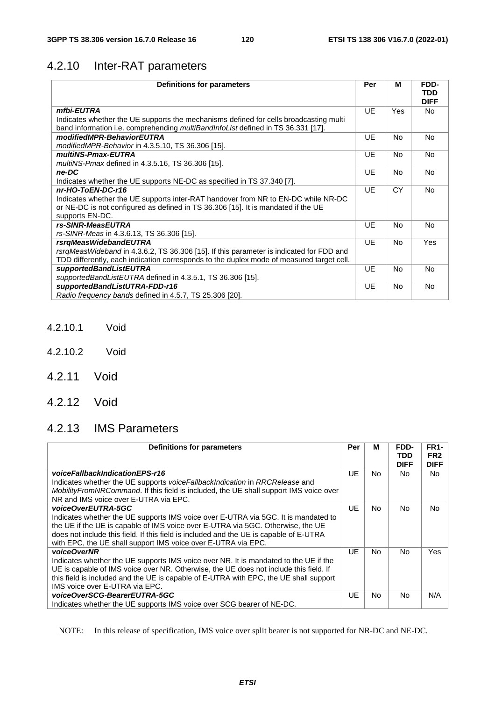# 4.2.10 Inter-RAT parameters

| <b>Definitions for parameters</b>                                                        | Per       | м         | FDD-<br><b>TDD</b> |
|------------------------------------------------------------------------------------------|-----------|-----------|--------------------|
|                                                                                          |           |           | <b>DIFF</b>        |
| mfbi-EUTRA                                                                               | UE        | Yes       | <b>No</b>          |
| Indicates whether the UE supports the mechanisms defined for cells broadcasting multi    |           |           |                    |
| band information i.e. comprehending <i>multiBandInfoList</i> defined in TS 36.331 [17].  |           |           |                    |
| modifiedMPR-BehaviorEUTRA                                                                | UE        | No.       | No.                |
| modifiedMPR-Behavior in 4.3.5.10, TS 36.306 [15].                                        |           |           |                    |
| multiNS-Pmax-EUTRA                                                                       | <b>UE</b> | No.       | No.                |
| multiNS-Pmax defined in 4.3.5.16, TS 36.306 [15].                                        |           |           |                    |
| ne-DC                                                                                    | UE        | No.       | No.                |
| Indicates whether the UE supports NE-DC as specified in TS 37.340 [7].                   |           |           |                    |
| nr-HO-ToEN-DC-r16                                                                        | <b>UE</b> | <b>CY</b> | No.                |
| Indicates whether the UE supports inter-RAT handover from NR to EN-DC while NR-DC        |           |           |                    |
| or NE-DC is not configured as defined in TS 36.306 [15]. It is mandated if the UE        |           |           |                    |
| supports EN-DC.                                                                          |           |           |                    |
| rs-SINR-MeasEUTRA                                                                        | UE        | No.       | No.                |
| rs-SINR-Meas in 4.3.6.13, TS 36.306 [15].                                                |           |           |                    |
| rsrgMeasWidebandEUTRA                                                                    | UE        | No.       | Yes                |
| rsrgMeasWideband in 4.3.6.2, TS 36.306 [15]. If this parameter is indicated for FDD and  |           |           |                    |
| TDD differently, each indication corresponds to the duplex mode of measured target cell. |           |           |                    |
| supportedBandListEUTRA                                                                   | UE        | No.       | No.                |
| supportedBandListEUTRA defined in 4.3.5.1, TS 36.306 [15].                               |           |           |                    |
| supportedBandListUTRA-FDD-r16                                                            | UE        | No.       | No.                |
| Radio frequency bands defined in 4.5.7, TS 25.306 [20].                                  |           |           |                    |

- 4.2.10.1 Void
- 4.2.10.2 Void
- 4.2.11 Void
- 4.2.12 Void

## 4.2.13 IMS Parameters

| Definitions for parameters                                                                                                                                                                                                                                                                                                                             | Per | М   | FDD-<br>TDD<br><b>DIFF</b> | FR <sub>1</sub> -<br>FR <sub>2</sub><br><b>DIFF</b> |
|--------------------------------------------------------------------------------------------------------------------------------------------------------------------------------------------------------------------------------------------------------------------------------------------------------------------------------------------------------|-----|-----|----------------------------|-----------------------------------------------------|
| voiceFallbackIndicationEPS-r16<br>Indicates whether the UE supports <i>voiceFallbackIndication</i> in RRCRelease and                                                                                                                                                                                                                                   | UE. | No. | No.                        | No.                                                 |
| Mobility From NRCommand. If this field is included, the UE shall support IMS voice over<br>NR and IMS voice over E-UTRA via EPC.                                                                                                                                                                                                                       |     |     |                            |                                                     |
| voiceOverEUTRA-5GC<br>Indicates whether the UE supports IMS voice over E-UTRA via 5GC. It is mandated to<br>the UE if the UE is capable of IMS voice over E-UTRA via 5GC. Otherwise, the UE<br>does not include this field. If this field is included and the UE is capable of E-UTRA<br>with EPC, the UE shall support IMS voice over E-UTRA via EPC. | UE  | No. | No.                        | No.                                                 |
| voiceOverNR<br>Indicates whether the UE supports IMS voice over NR. It is mandated to the UE if the<br>UE is capable of IMS voice over NR. Otherwise, the UE does not include this field. If<br>this field is included and the UE is capable of E-UTRA with EPC, the UE shall support<br>IMS voice over E-UTRA via EPC.                                | UE  | No. | No                         | Yes                                                 |
| voiceOverSCG-BearerEUTRA-5GC<br>Indicates whether the UE supports IMS voice over SCG bearer of NE-DC.                                                                                                                                                                                                                                                  | UE  | No. | No                         | N/A                                                 |

NOTE: In this release of specification, IMS voice over split bearer is not supported for NR-DC and NE-DC.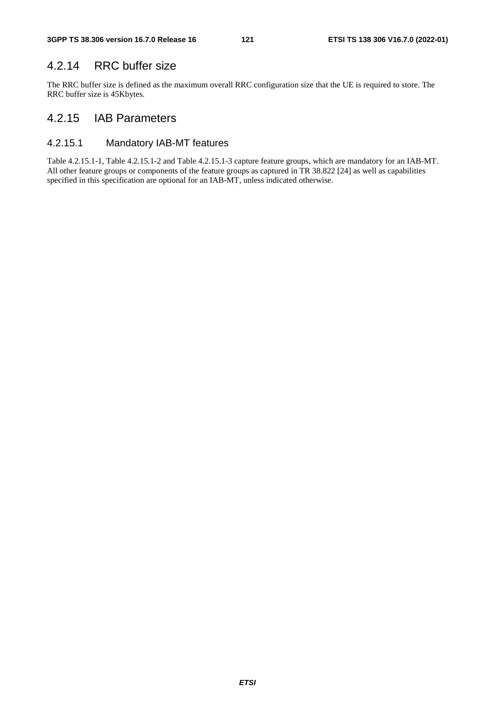## 4.2.14 RRC buffer size

The RRC buffer size is defined as the maximum overall RRC configuration size that the UE is required to store. The RRC buffer size is 45Kbytes.

#### 4.2.15 IAB Parameters

#### 4.2.15.1 Mandatory IAB-MT features

Table 4.2.15.1-1, Table 4.2.15.1-2 and Table 4.2.15.1-3 capture feature groups, which are mandatory for an IAB-MT. All other feature groups or components of the feature groups as captured in TR 38.822 [24] as well as capabilities specified in this specification are optional for an IAB-MT, unless indicated otherwise.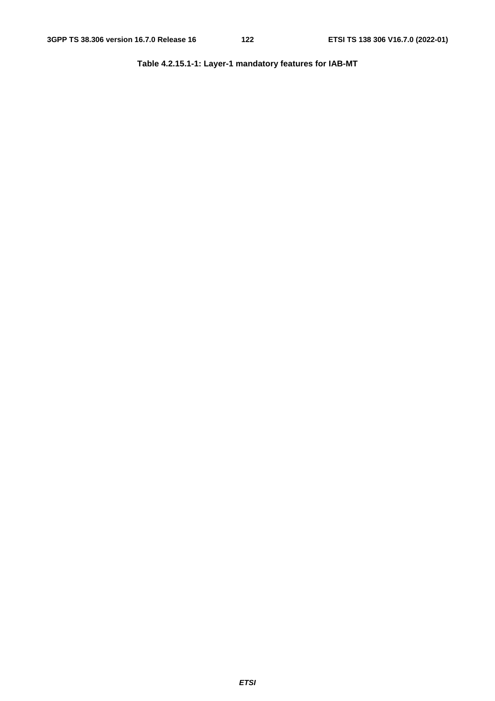**Table 4.2.15.1-1: Layer-1 mandatory features for IAB-MT**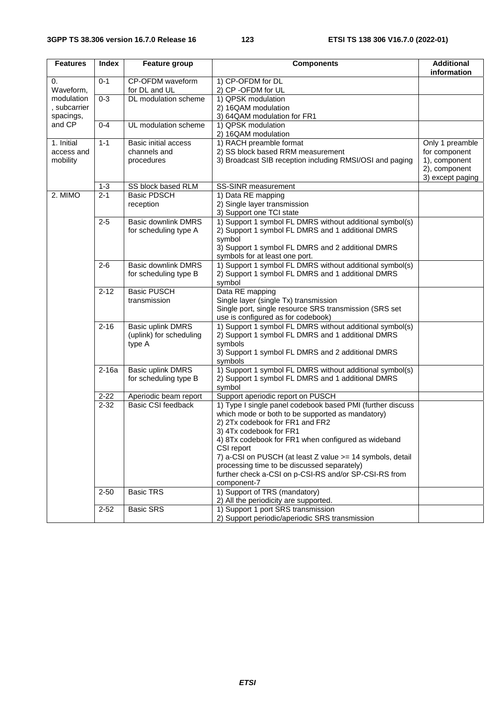| <b>Features</b>                         | <b>Index</b> | <b>Feature group</b>                                          | <b>Components</b>                                                                                                                                                                                                                                                                                                                                                                                                                     | <b>Additional</b><br>information                                                       |
|-----------------------------------------|--------------|---------------------------------------------------------------|---------------------------------------------------------------------------------------------------------------------------------------------------------------------------------------------------------------------------------------------------------------------------------------------------------------------------------------------------------------------------------------------------------------------------------------|----------------------------------------------------------------------------------------|
| 0.<br>Waveform,                         | $0 - 1$      | CP-OFDM waveform<br>for DL and UL                             | 1) CP-OFDM for DL<br>2) CP -OFDM for UL                                                                                                                                                                                                                                                                                                                                                                                               |                                                                                        |
| modulation<br>, subcarrier<br>spacings, | $0 - 3$      | <b>DL</b> modulation scheme                                   | 1) QPSK modulation<br>2) 16QAM modulation<br>3) 64QAM modulation for FR1                                                                                                                                                                                                                                                                                                                                                              |                                                                                        |
| and CP                                  | $0 - 4$      | UL modulation scheme                                          | 1) QPSK modulation<br>2) 16QAM modulation                                                                                                                                                                                                                                                                                                                                                                                             |                                                                                        |
| 1. Initial<br>access and<br>mobility    | $1 - 1$      | <b>Basic initial access</b><br>channels and<br>procedures     | 1) RACH preamble format<br>2) SS block based RRM measurement<br>3) Broadcast SIB reception including RMSI/OSI and paging                                                                                                                                                                                                                                                                                                              | Only 1 preamble<br>for component<br>1), component<br>2), component<br>3) except paging |
|                                         | $1 - 3$      | SS block based RLM                                            | SS-SINR measurement                                                                                                                                                                                                                                                                                                                                                                                                                   |                                                                                        |
| 2. MIMO                                 | $2 - 1$      | <b>Basic PDSCH</b><br>reception                               | 1) Data RE mapping<br>2) Single layer transmission<br>3) Support one TCI state                                                                                                                                                                                                                                                                                                                                                        |                                                                                        |
|                                         | $2 - 5$      | <b>Basic downlink DMRS</b><br>for scheduling type A           | 1) Support 1 symbol FL DMRS without additional symbol(s)<br>2) Support 1 symbol FL DMRS and 1 additional DMRS<br>symbol<br>3) Support 1 symbol FL DMRS and 2 additional DMRS<br>symbols for at least one port.                                                                                                                                                                                                                        |                                                                                        |
|                                         | $2 - 6$      | <b>Basic downlink DMRS</b><br>for scheduling type B           | 1) Support 1 symbol FL DMRS without additional symbol(s)<br>2) Support 1 symbol FL DMRS and 1 additional DMRS<br>symbol                                                                                                                                                                                                                                                                                                               |                                                                                        |
|                                         | $2 - 12$     | <b>Basic PUSCH</b><br>transmission                            | Data RE mapping<br>Single layer (single Tx) transmission<br>Single port, single resource SRS transmission (SRS set<br>use is configured as for codebook)                                                                                                                                                                                                                                                                              |                                                                                        |
|                                         | $2 - 16$     | <b>Basic uplink DMRS</b><br>(uplink) for scheduling<br>type A | 1) Support 1 symbol FL DMRS without additional symbol(s)<br>2) Support 1 symbol FL DMRS and 1 additional DMRS<br>symbols<br>3) Support 1 symbol FL DMRS and 2 additional DMRS<br>symbols                                                                                                                                                                                                                                              |                                                                                        |
|                                         | $2-16a$      | Basic uplink DMRS<br>for scheduling type B                    | 1) Support 1 symbol FL DMRS without additional symbol(s)<br>2) Support 1 symbol FL DMRS and 1 additional DMRS<br>symbol                                                                                                                                                                                                                                                                                                               |                                                                                        |
|                                         | $2 - 22$     | Aperiodic beam report                                         | Support aperiodic report on PUSCH                                                                                                                                                                                                                                                                                                                                                                                                     |                                                                                        |
|                                         | $2 - 32$     | <b>Basic CSI feedback</b>                                     | 1) Type I single panel codebook based PMI (further discuss<br>which mode or both to be supported as mandatory)<br>2) 2Tx codebook for FR1 and FR2<br>3) 4Tx codebook for FR1<br>4) 8Tx codebook for FR1 when configured as wideband<br>CSI report<br>7) a-CSI on PUSCH (at least Z value >= 14 symbols, detail<br>processing time to be discussed separately)<br>further check a-CSI on p-CSI-RS and/or SP-CSI-RS from<br>component-7 |                                                                                        |
|                                         | $2 - 50$     | <b>Basic TRS</b>                                              | 1) Support of TRS (mandatory)<br>2) All the periodicity are supported.                                                                                                                                                                                                                                                                                                                                                                |                                                                                        |
|                                         | $2 - 52$     | <b>Basic SRS</b>                                              | 1) Support 1 port SRS transmission<br>2) Support periodic/aperiodic SRS transmission                                                                                                                                                                                                                                                                                                                                                  |                                                                                        |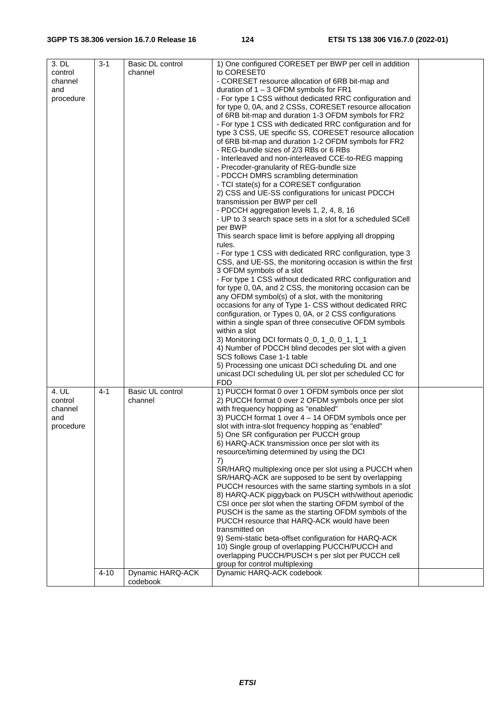| 1) One configured CORESET per BWP per cell in addition<br>3. DL<br>$3 - 1$<br>Basic DL control                 |  |
|----------------------------------------------------------------------------------------------------------------|--|
| to CORESET0<br>control<br>channel                                                                              |  |
| channel<br>- CORESET resource allocation of 6RB bit-map and                                                    |  |
| and<br>duration of $1 - 3$ OFDM symbols for FR1                                                                |  |
| - For type 1 CSS without dedicated RRC configuration and<br>procedure                                          |  |
| for type 0, 0A, and 2 CSSs, CORESET resource allocation                                                        |  |
| of 6RB bit-map and duration 1-3 OFDM symbols for FR2                                                           |  |
| - For type 1 CSS with dedicated RRC configuration and for                                                      |  |
| type 3 CSS, UE specific SS, CORESET resource allocation                                                        |  |
| of 6RB bit-map and duration 1-2 OFDM symbols for FR2                                                           |  |
| - REG-bundle sizes of 2/3 RBs or 6 RBs                                                                         |  |
| - Interleaved and non-interleaved CCE-to-REG mapping                                                           |  |
| - Precoder-granularity of REG-bundle size                                                                      |  |
| - PDCCH DMRS scrambling determination                                                                          |  |
| - TCI state(s) for a CORESET configuration                                                                     |  |
| 2) CSS and UE-SS configurations for unicast PDCCH                                                              |  |
| transmission per BWP per cell                                                                                  |  |
| - PDCCH aggregation levels 1, 2, 4, 8, 16                                                                      |  |
| - UP to 3 search space sets in a slot for a scheduled SCell                                                    |  |
| per BWP                                                                                                        |  |
| This search space limit is before applying all dropping                                                        |  |
| rules.                                                                                                         |  |
| - For type 1 CSS with dedicated RRC configuration, type 3                                                      |  |
| CSS, and UE-SS, the monitoring occasion is within the first                                                    |  |
| 3 OFDM symbols of a slot                                                                                       |  |
| - For type 1 CSS without dedicated RRC configuration and                                                       |  |
| for type 0, 0A, and 2 CSS, the monitoring occasion can be                                                      |  |
| any OFDM symbol(s) of a slot, with the monitoring                                                              |  |
| occasions for any of Type 1- CSS without dedicated RRC                                                         |  |
| configuration, or Types 0, 0A, or 2 CSS configurations                                                         |  |
| within a single span of three consecutive OFDM symbols                                                         |  |
| within a slot                                                                                                  |  |
| 3) Monitoring DCI formats 0_0, 1_0, 0_1, 1_1                                                                   |  |
| 4) Number of PDCCH blind decodes per slot with a given                                                         |  |
| SCS follows Case 1-1 table                                                                                     |  |
| 5) Processing one unicast DCI scheduling DL and one<br>unicast DCI scheduling UL per slot per scheduled CC for |  |
| <b>FDD</b>                                                                                                     |  |
| 4. UL<br>Basic UL control<br>1) PUCCH format 0 over 1 OFDM symbols once per slot<br>4-1                        |  |
| 2) PUCCH format 0 over 2 OFDM symbols once per slot<br>control<br>channel                                      |  |
| with frequency hopping as "enabled"<br>channel                                                                 |  |
| 3) PUCCH format 1 over 4 - 14 OFDM symbols once per<br>and                                                     |  |
| slot with intra-slot frequency hopping as "enabled"<br>procedure                                               |  |
| 5) One SR configuration per PUCCH group                                                                        |  |
| 6) HARQ-ACK transmission once per slot with its                                                                |  |
| resource/timing determined by using the DCI                                                                    |  |
| 7)                                                                                                             |  |
| SR/HARQ multiplexing once per slot using a PUCCH when                                                          |  |
| SR/HARQ-ACK are supposed to be sent by overlapping                                                             |  |
| PUCCH resources with the same starting symbols in a slot                                                       |  |
| 8) HARQ-ACK piggyback on PUSCH with/without aperiodic                                                          |  |
| CSI once per slot when the starting OFDM symbol of the                                                         |  |
| PUSCH is the same as the starting OFDM symbols of the                                                          |  |
| PUCCH resource that HARQ-ACK would have been                                                                   |  |
|                                                                                                                |  |
|                                                                                                                |  |
| transmitted on                                                                                                 |  |
| 9) Semi-static beta-offset configuration for HARQ-ACK                                                          |  |
| 10) Single group of overlapping PUCCH/PUCCH and                                                                |  |
| overlapping PUCCH/PUSCH s per slot per PUCCH cell                                                              |  |
| group for control multiplexing<br>Dynamic HARQ-ACK<br>$4 - 10$<br>Dynamic HARQ-ACK codebook                    |  |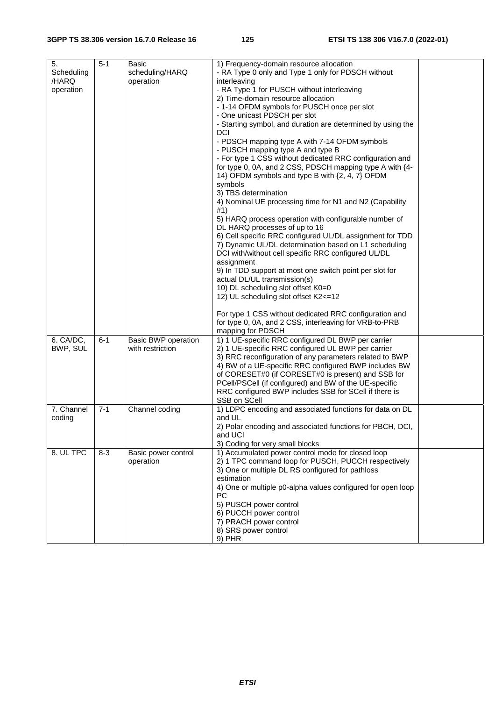| 5.<br>Scheduling<br>/HARQ<br>operation | $5 - 1$ | Basic<br>scheduling/HARQ<br>operation          | 1) Frequency-domain resource allocation<br>- RA Type 0 only and Type 1 only for PDSCH without<br>interleaving<br>- RA Type 1 for PUSCH without interleaving<br>2) Time-domain resource allocation<br>- 1-14 OFDM symbols for PUSCH once per slot<br>- One unicast PDSCH per slot<br>- Starting symbol, and duration are determined by using the<br>DCI<br>- PDSCH mapping type A with 7-14 OFDM symbols<br>- PUSCH mapping type A and type B<br>- For type 1 CSS without dedicated RRC configuration and<br>for type 0, 0A, and 2 CSS, PDSCH mapping type A with {4-<br>14} OFDM symbols and type B with {2, 4, 7} OFDM<br>symbols<br>3) TBS determination<br>4) Nominal UE processing time for N1 and N2 (Capability<br>#1)<br>5) HARQ process operation with configurable number of<br>DL HARQ processes of up to 16<br>6) Cell specific RRC configured UL/DL assignment for TDD<br>7) Dynamic UL/DL determination based on L1 scheduling<br>DCI with/without cell specific RRC configured UL/DL<br>assignment<br>9) In TDD support at most one switch point per slot for<br>actual DL/UL transmission(s)<br>10) DL scheduling slot offset K0=0<br>12) UL scheduling slot offset K2<=12<br>For type 1 CSS without dedicated RRC configuration and<br>for type 0, 0A, and 2 CSS, interleaving for VRB-to-PRB<br>mapping for PDSCH |  |
|----------------------------------------|---------|------------------------------------------------|------------------------------------------------------------------------------------------------------------------------------------------------------------------------------------------------------------------------------------------------------------------------------------------------------------------------------------------------------------------------------------------------------------------------------------------------------------------------------------------------------------------------------------------------------------------------------------------------------------------------------------------------------------------------------------------------------------------------------------------------------------------------------------------------------------------------------------------------------------------------------------------------------------------------------------------------------------------------------------------------------------------------------------------------------------------------------------------------------------------------------------------------------------------------------------------------------------------------------------------------------------------------------------------------------------------------------------|--|
| 6. CA/DC,<br>BWP, SUL                  | $6 - 1$ | <b>Basic BWP operation</b><br>with restriction | 1) 1 UE-specific RRC configured DL BWP per carrier<br>2) 1 UE-specific RRC configured UL BWP per carrier<br>3) RRC reconfiguration of any parameters related to BWP<br>4) BW of a UE-specific RRC configured BWP includes BW<br>of CORESET#0 (if CORESET#0 is present) and SSB for<br>PCell/PSCell (if configured) and BW of the UE-specific<br>RRC configured BWP includes SSB for SCell if there is<br>SSB on SCell                                                                                                                                                                                                                                                                                                                                                                                                                                                                                                                                                                                                                                                                                                                                                                                                                                                                                                              |  |
| 7. Channel<br>coding                   | $7 - 1$ | Channel coding                                 | 1) LDPC encoding and associated functions for data on DL<br>and UL<br>2) Polar encoding and associated functions for PBCH, DCI,<br>and UCI<br>3) Coding for very small blocks                                                                                                                                                                                                                                                                                                                                                                                                                                                                                                                                                                                                                                                                                                                                                                                                                                                                                                                                                                                                                                                                                                                                                      |  |
| 8. UL TPC                              | $8 - 3$ | Basic power control<br>operation               | 1) Accumulated power control mode for closed loop<br>2) 1 TPC command loop for PUSCH, PUCCH respectively<br>3) One or multiple DL RS configured for pathloss<br>estimation<br>4) One or multiple p0-alpha values configured for open loop<br>PC<br>5) PUSCH power control<br>6) PUCCH power control<br>7) PRACH power control<br>8) SRS power control<br>9) PHR                                                                                                                                                                                                                                                                                                                                                                                                                                                                                                                                                                                                                                                                                                                                                                                                                                                                                                                                                                    |  |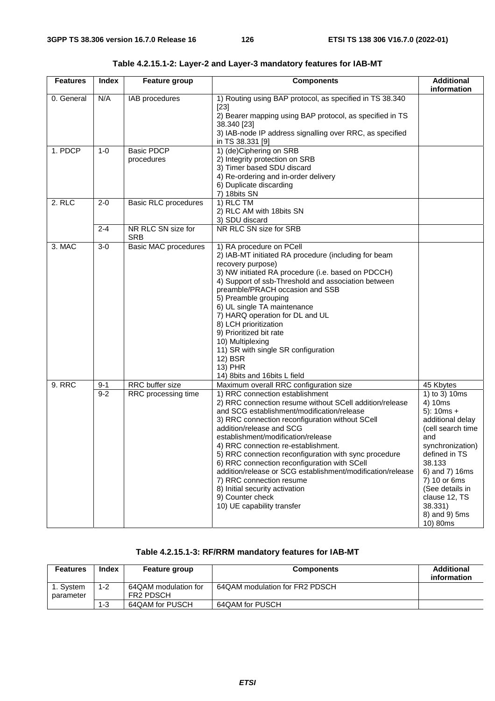| <b>Features</b> | Index              | <b>Feature group</b>                   | <b>Components</b>                                                                                                                                                                                                                                                                                                                                                                                                                                                                                                                                                                                                                     | <b>Additional</b><br>information                                                                                                                                                                                                                                   |
|-----------------|--------------------|----------------------------------------|---------------------------------------------------------------------------------------------------------------------------------------------------------------------------------------------------------------------------------------------------------------------------------------------------------------------------------------------------------------------------------------------------------------------------------------------------------------------------------------------------------------------------------------------------------------------------------------------------------------------------------------|--------------------------------------------------------------------------------------------------------------------------------------------------------------------------------------------------------------------------------------------------------------------|
| 0. General      | N/A                | IAB procedures                         | 1) Routing using BAP protocol, as specified in TS 38.340<br>$[23]$<br>2) Bearer mapping using BAP protocol, as specified in TS<br>38.340 [23]<br>3) IAB-node IP address signalling over RRC, as specified<br>in TS 38.331 [9]                                                                                                                                                                                                                                                                                                                                                                                                         |                                                                                                                                                                                                                                                                    |
| 1. PDCP         | $1 - 0$            | <b>Basic PDCP</b><br>procedures        | 1) (de)Ciphering on SRB<br>2) Integrity protection on SRB<br>3) Timer based SDU discard<br>4) Re-ordering and in-order delivery<br>6) Duplicate discarding<br>7) 18 bits SN                                                                                                                                                                                                                                                                                                                                                                                                                                                           |                                                                                                                                                                                                                                                                    |
| 2. RLC          | $2 - 0$            | <b>Basic RLC procedures</b>            | 1) RLC TM<br>2) RLC AM with 18bits SN<br>3) SDU discard                                                                                                                                                                                                                                                                                                                                                                                                                                                                                                                                                                               |                                                                                                                                                                                                                                                                    |
|                 | $2 - 4$            | NR RLC SN size for<br><b>SRB</b>       | NR RLC SN size for SRB                                                                                                                                                                                                                                                                                                                                                                                                                                                                                                                                                                                                                |                                                                                                                                                                                                                                                                    |
| 3. MAC          | $3-0$              | <b>Basic MAC procedures</b>            | 1) RA procedure on PCell<br>2) IAB-MT initiated RA procedure (including for beam<br>recovery purpose)<br>3) NW initiated RA procedure (i.e. based on PDCCH)<br>4) Support of ssb-Threshold and association between<br>preamble/PRACH occasion and SSB<br>5) Preamble grouping<br>6) UL single TA maintenance<br>7) HARQ operation for DL and UL<br>8) LCH prioritization<br>9) Prioritized bit rate<br>10) Multiplexing<br>11) SR with single SR configuration<br>12) BSR<br>13) PHR<br>14) 8bits and 16bits L field                                                                                                                  |                                                                                                                                                                                                                                                                    |
| <b>9. RRC</b>   | $9 - 1$<br>$9 - 2$ | RRC buffer size<br>RRC processing time | Maximum overall RRC configuration size<br>1) RRC connection establishment<br>2) RRC connection resume without SCell addition/release<br>and SCG establishment/modification/release<br>3) RRC connection reconfiguration without SCell<br>addition/release and SCG<br>establishment/modification/release<br>4) RRC connection re-establishment.<br>5) RRC connection reconfiguration with sync procedure<br>6) RRC connection reconfiguration with SCell<br>addition/release or SCG establishment/modification/release<br>7) RRC connection resume<br>8) Initial security activation<br>9) Counter check<br>10) UE capability transfer | 45 Kbytes<br>1) to 3) 10ms<br>4) 10ms<br>$5$ : 10ms +<br>additional delay<br>(cell search time<br>and<br>synchronization)<br>defined in TS<br>38.133<br>6) and 7) 16ms<br>7) 10 or 6ms<br>(See details in<br>clause 12, TS<br>38.331)<br>8) and 9) 5ms<br>10) 80ms |

**Table 4.2.15.1-2: Layer-2 and Layer-3 mandatory features for IAB-MT** 

#### **Table 4.2.15.1-3: RF/RRM mandatory features for IAB-MT**

| Features              | Index   | <b>Feature group</b>                     | <b>Components</b>              | <b>Additional</b><br>information |
|-----------------------|---------|------------------------------------------|--------------------------------|----------------------------------|
| . Svstem<br>parameter | $1 - 2$ | 64QAM modulation for<br><b>FR2 PDSCH</b> | 64QAM modulation for FR2 PDSCH |                                  |
|                       | $1 - 3$ | 64QAM for PUSCH                          | 64QAM for PUSCH                |                                  |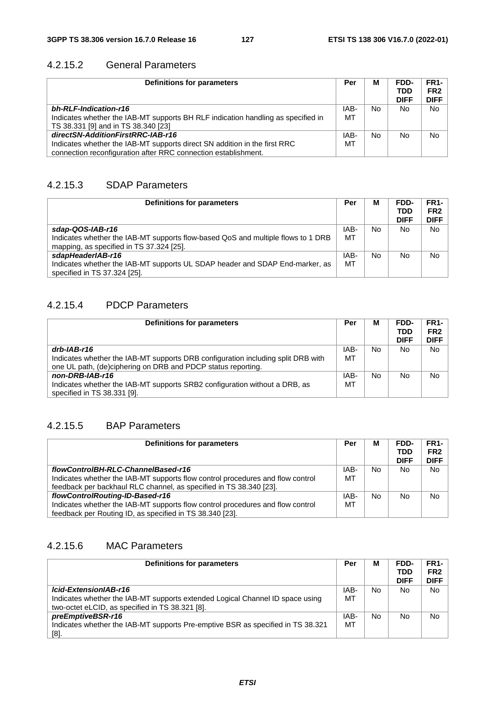#### 4.2.15.2 General Parameters

| Definitions for parameters                                                       | Per  | M   | FDD-<br><b>TDD</b><br><b>DIFF</b> | FR <sub>1</sub> -<br>FR <sub>2</sub><br><b>DIFF</b> |
|----------------------------------------------------------------------------------|------|-----|-----------------------------------|-----------------------------------------------------|
| bh-RLF-Indication-r16                                                            | IAB- | No. | No                                | <b>No</b>                                           |
| Indicates whether the IAB-MT supports BH RLF indication handling as specified in | MT   |     |                                   |                                                     |
| TS 38.331 [9] and in TS 38.340 [23]                                              |      |     |                                   |                                                     |
| directSN-AdditionFirstRRC-IAB-r16                                                | IAB- | No  | No                                | <b>No</b>                                           |
| Indicates whether the IAB-MT supports direct SN addition in the first RRC        | МT   |     |                                   |                                                     |
| connection reconfiguration after RRC connection establishment.                   |      |     |                                   |                                                     |

#### 4.2.15.3 SDAP Parameters

| Definitions for parameters                                                                                                                       | Per        | М   | FDD-<br><b>TDD</b><br><b>DIFF</b> | <b>FR1-</b><br>FR <sub>2</sub><br><b>DIFF</b> |
|--------------------------------------------------------------------------------------------------------------------------------------------------|------------|-----|-----------------------------------|-----------------------------------------------|
| sdap-QOS-IAB-r16<br>Indicates whether the IAB-MT supports flow-based QoS and multiple flows to 1 DRB<br>mapping, as specified in TS 37.324 [25]. | IAB-<br>MT | No. | No                                | No.                                           |
| sdapHeaderIAB-r16<br>Indicates whether the IAB-MT supports UL SDAP header and SDAP End-marker, as<br>specified in TS 37.324 [25].                | IAB-<br>MT | No  | No                                | No                                            |

#### 4.2.15.4 PDCP Parameters

| Definitions for parameters                                                       | Per  | М   | FDD-<br><b>TDD</b><br><b>DIFF</b> | <b>FR1-</b><br>FR <sub>2</sub><br><b>DIFF</b> |
|----------------------------------------------------------------------------------|------|-----|-----------------------------------|-----------------------------------------------|
| drb-IAB-r16                                                                      | IAB- | No. | No                                | No.                                           |
| Indicates whether the IAB-MT supports DRB configuration including split DRB with | MT   |     |                                   |                                               |
| one UL path, (de)ciphering on DRB and PDCP status reporting.                     |      |     |                                   |                                               |
| non-DRB-IAB-r16                                                                  | IAB- | No  | No                                | No                                            |
| Indicates whether the IAB-MT supports SRB2 configuration without a DRB, as       | МT   |     |                                   |                                               |
| specified in TS 38.331 [9].                                                      |      |     |                                   |                                               |

## 4.2.15.5 BAP Parameters

| Definitions for parameters                                                     | Per  | М              | FDD-        | <b>FR1-</b>     |
|--------------------------------------------------------------------------------|------|----------------|-------------|-----------------|
|                                                                                |      |                | <b>TDD</b>  | FR <sub>2</sub> |
|                                                                                |      |                | <b>DIFF</b> | <b>DIFF</b>     |
| flowControlBH-RLC-ChannelBased-r16                                             | IAB- | N <sub>o</sub> | No          | No.             |
| Indicates whether the IAB-MT supports flow control procedures and flow control | МT   |                |             |                 |
| feedback per backhaul RLC channel, as specified in TS 38.340 [23].             |      |                |             |                 |
| flowControlRouting-ID-Based-r16                                                | IAB- | No.            | No          | No              |
| Indicates whether the IAB-MT supports flow control procedures and flow control | MT   |                |             |                 |
| feedback per Routing ID, as specified in TS 38.340 [23].                       |      |                |             |                 |

### 4.2.15.6 MAC Parameters

| Definitions for parameters                                                      | Per  | М  | FDD-        | <b>FR1-</b>     |
|---------------------------------------------------------------------------------|------|----|-------------|-----------------|
|                                                                                 |      |    | <b>TDD</b>  | FR <sub>2</sub> |
|                                                                                 |      |    | <b>DIFF</b> | <b>DIFF</b>     |
| Icid-ExtensionIAB-r16                                                           | IAB- | No | No          | No.             |
| Indicates whether the IAB-MT supports extended Logical Channel ID space using   | МT   |    |             |                 |
| two-octet eLCID, as specified in TS 38.321 [8].                                 |      |    |             |                 |
| preEmptiveBSR-r16                                                               | IAB- | No | <b>No</b>   | No              |
| Indicates whether the IAB-MT supports Pre-emptive BSR as specified in TS 38.321 | MT   |    |             |                 |
| $[8]$ .                                                                         |      |    |             |                 |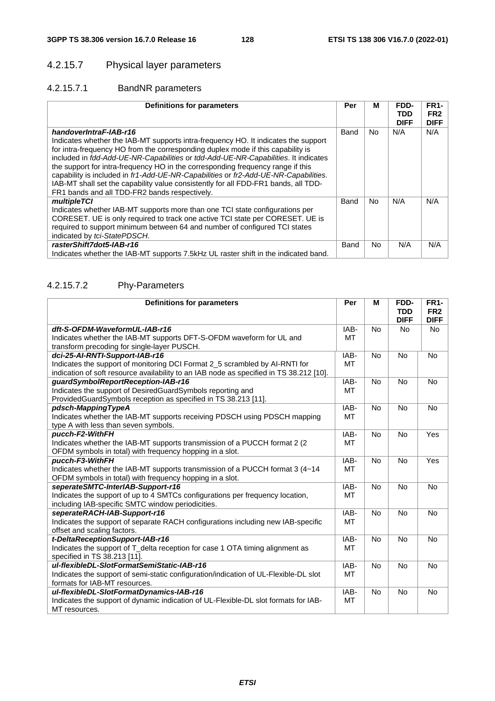## 4.2.15.7 Physical layer parameters

### 4.2.15.7.1 BandNR parameters

| <b>Definitions for parameters</b>                                                                                                                                                                                                                                                                                                                                                                                                                                                                                                                                                                      | Per  | М         | FDD-<br>TDD<br><b>DIFF</b> | <b>FR1-</b><br>FR <sub>2</sub><br><b>DIFF</b> |
|--------------------------------------------------------------------------------------------------------------------------------------------------------------------------------------------------------------------------------------------------------------------------------------------------------------------------------------------------------------------------------------------------------------------------------------------------------------------------------------------------------------------------------------------------------------------------------------------------------|------|-----------|----------------------------|-----------------------------------------------|
| handoverIntraF-IAB-r16<br>Indicates whether the IAB-MT supports intra-frequency HO. It indicates the support<br>for intra-frequency HO from the corresponding duplex mode if this capability is<br>included in fdd-Add-UE-NR-Capabilities or tdd-Add-UE-NR-Capabilities. It indicates<br>the support for intra-frequency HO in the corresponding frequency range if this<br>capability is included in fr1-Add-UE-NR-Capabilities or fr2-Add-UE-NR-Capabilities.<br>IAB-MT shall set the capability value consistently for all FDD-FR1 bands, all TDD-<br>FR1 bands and all TDD-FR2 bands respectively. | Band | <b>No</b> | N/A                        | N/A                                           |
| multipleTCI<br>Indicates whether IAB-MT supports more than one TCI state configurations per<br>CORESET. UE is only required to track one active TCI state per CORESET. UE is<br>required to support minimum between 64 and number of configured TCI states<br>indicated by tci-StatePDSCH.                                                                                                                                                                                                                                                                                                             | Band | <b>No</b> | N/A                        | N/A                                           |
| rasterShift7dot5-IAB-r16<br>Indicates whether the IAB-MT supports 7.5kHz UL raster shift in the indicated band.                                                                                                                                                                                                                                                                                                                                                                                                                                                                                        | Band | No.       | N/A                        | N/A                                           |

#### 4.2.15.7.2 Phy-Parameters

| <b>Definitions for parameters</b>                                                       | Per       | M         | FDD-        | <b>FR1-</b>     |
|-----------------------------------------------------------------------------------------|-----------|-----------|-------------|-----------------|
|                                                                                         |           |           | <b>TDD</b>  | FR <sub>2</sub> |
|                                                                                         |           |           | <b>DIFF</b> | <b>DIFF</b>     |
| dft-S-OFDM-WaveformUL-IAB-r16                                                           | IAB-      | <b>No</b> | No          | <b>No</b>       |
| Indicates whether the IAB-MT supports DFT-S-OFDM waveform for UL and                    | MT        |           |             |                 |
| transform precoding for single-layer PUSCH.                                             |           |           |             |                 |
| dci-25-AI-RNTI-Support-IAB-r16                                                          | IAB-      | <b>No</b> | No          | <b>No</b>       |
| Indicates the support of monitoring DCI Format 2_5 scrambled by AI-RNTI for             | MT        |           |             |                 |
| indication of soft resource availability to an IAB node as specified in TS 38.212 [10]. |           |           |             |                 |
| guardSymbolReportReception-IAB-r16                                                      | IAB-      | <b>No</b> | No          | <b>No</b>       |
| Indicates the support of DesiredGuardSymbols reporting and                              | MT        |           |             |                 |
| ProvidedGuardSymbols reception as specified in TS 38.213 [11].                          |           |           |             |                 |
| pdsch-MappingTypeA                                                                      | IAB-      | <b>No</b> | <b>No</b>   | <b>No</b>       |
| Indicates whether the IAB-MT supports receiving PDSCH using PDSCH mapping               | <b>MT</b> |           |             |                 |
| type A with less than seven symbols.                                                    |           |           |             |                 |
| pucch-F2-WithFH                                                                         | IAB-      | <b>No</b> | No          | Yes             |
| Indicates whether the IAB-MT supports transmission of a PUCCH format 2 (2)              | MT        |           |             |                 |
| OFDM symbols in total) with frequency hopping in a slot.                                |           |           |             |                 |
| pucch-F3-WithFH                                                                         | IAB-      | <b>No</b> | <b>No</b>   | Yes             |
| Indicates whether the IAB-MT supports transmission of a PUCCH format 3 (4~14)           | <b>MT</b> |           |             |                 |
| OFDM symbols in total) with frequency hopping in a slot.                                |           |           |             |                 |
| seperateSMTC-InterIAB-Support-r16                                                       | IAB-      | <b>No</b> | <b>No</b>   | <b>No</b>       |
| Indicates the support of up to 4 SMTCs configurations per frequency location,           | MT        |           |             |                 |
| including IAB-specific SMTC window periodicities.                                       |           |           |             |                 |
| seperateRACH-IAB-Support-r16                                                            | IAB-      | <b>No</b> | No          | <b>No</b>       |
| Indicates the support of separate RACH configurations including new IAB-specific        | MT        |           |             |                 |
| offset and scaling factors.                                                             |           |           |             |                 |
| t-DeltaReceptionSupport-IAB-r16                                                         | IAB-      | <b>No</b> | <b>No</b>   | <b>No</b>       |
| Indicates the support of T_delta reception for case 1 OTA timing alignment as           | MT        |           |             |                 |
| specified in TS 38.213 [11].                                                            |           |           |             |                 |
| ul-flexibleDL-SlotFormatSemiStatic-IAB-r16                                              | IAB-      | <b>No</b> | <b>No</b>   | <b>No</b>       |
| Indicates the support of semi-static configuration/indication of UL-Flexible-DL slot    | MT        |           |             |                 |
| formats for IAB-MT resources.                                                           |           |           |             |                 |
| ul-flexibleDL-SlotFormatDynamics-IAB-r16                                                | IAB-      | <b>No</b> | No          | <b>No</b>       |
| Indicates the support of dynamic indication of UL-Flexible-DL slot formats for IAB-     | MT        |           |             |                 |
| MT resources.                                                                           |           |           |             |                 |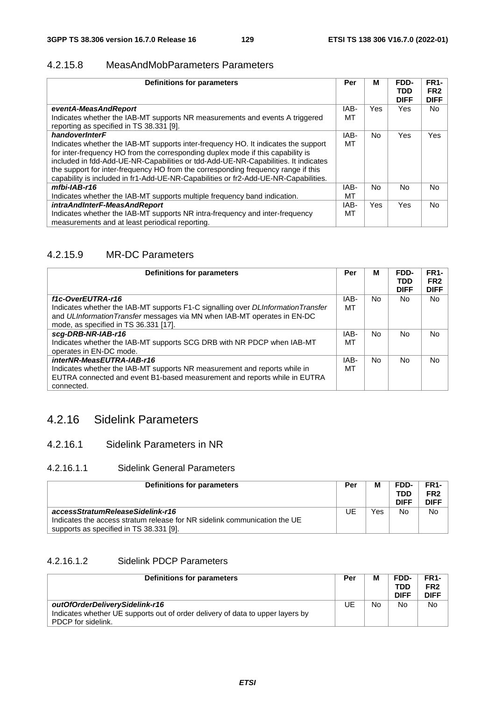#### 4.2.15.8 MeasAndMobParameters Parameters

| <b>Definitions for parameters</b>                                                                                                                                                                                                                                                                                                                                                                                                       | Per  | М          | FDD-<br><b>TDD</b><br><b>DIFF</b> | <b>FR1-</b><br>FR <sub>2</sub><br><b>DIFF</b> |
|-----------------------------------------------------------------------------------------------------------------------------------------------------------------------------------------------------------------------------------------------------------------------------------------------------------------------------------------------------------------------------------------------------------------------------------------|------|------------|-----------------------------------|-----------------------------------------------|
| eventA-MeasAndReport                                                                                                                                                                                                                                                                                                                                                                                                                    | IAB- | <b>Yes</b> | Yes.                              | <b>No</b>                                     |
| Indicates whether the IAB-MT supports NR measurements and events A triggered<br>reporting as specified in TS 38.331 [9].                                                                                                                                                                                                                                                                                                                | МT   |            |                                   |                                               |
| handoverInterF                                                                                                                                                                                                                                                                                                                                                                                                                          | IAB- | No.        | Yes                               | Yes                                           |
| Indicates whether the IAB-MT supports inter-frequency HO. It indicates the support<br>for inter-frequency HO from the corresponding duplex mode if this capability is<br>included in fdd-Add-UE-NR-Capabilities or tdd-Add-UE-NR-Capabilities. It indicates<br>the support for inter-frequency HO from the corresponding frequency range if this<br>capability is included in fr1-Add-UE-NR-Capabilities or fr2-Add-UE-NR-Capabilities. | МT   |            |                                   |                                               |
| mfbi-IAB-r16                                                                                                                                                                                                                                                                                                                                                                                                                            | IAB- | No.        | <b>No</b>                         | <b>No</b>                                     |
| Indicates whether the IAB-MT supports multiple frequency band indication.                                                                                                                                                                                                                                                                                                                                                               | МT   |            |                                   |                                               |
| intraAndInterF-MeasAndReport                                                                                                                                                                                                                                                                                                                                                                                                            | IAB- | <b>Yes</b> | Yes                               | <b>No</b>                                     |
| Indicates whether the IAB-MT supports NR intra-frequency and inter-frequency                                                                                                                                                                                                                                                                                                                                                            | МT   |            |                                   |                                               |
| measurements and at least periodical reporting.                                                                                                                                                                                                                                                                                                                                                                                         |      |            |                                   |                                               |

## 4.2.15.9 MR-DC Parameters

| <b>Definitions for parameters</b>                                                                                 | Per  | м   | FDD-<br><b>TDD</b><br><b>DIFF</b> | <b>FR1-</b><br>FR <sub>2</sub><br><b>DIFF</b> |
|-------------------------------------------------------------------------------------------------------------------|------|-----|-----------------------------------|-----------------------------------------------|
| f1c-OverEUTRA-r16                                                                                                 | IAB- | No. | No.                               | No.                                           |
| Indicates whether the IAB-MT supports F1-C signalling over DLInformationTransfer                                  | мт   |     |                                   |                                               |
| and ULInformation Transfer messages via MN when IAB-MT operates in EN-DC<br>mode, as specified in TS 36.331 [17]. |      |     |                                   |                                               |
| scg-DRB-NR-IAB-r16                                                                                                | IAB- | No. | No                                | No.                                           |
| Indicates whether the IAB-MT supports SCG DRB with NR PDCP when IAB-MT<br>operates in EN-DC mode.                 | мт   |     |                                   |                                               |
| interNR-MeasEUTRA-IAB-r16                                                                                         | IAB- | No. | No                                | No.                                           |
| Indicates whether the IAB-MT supports NR measurement and reports while in                                         | мт   |     |                                   |                                               |
| EUTRA connected and event B1-based measurement and reports while in EUTRA<br>connected.                           |      |     |                                   |                                               |

# 4.2.16 Sidelink Parameters

#### 4.2.16.1 Sidelink Parameters in NR

#### 4.2.16.1.1 Sidelink General Parameters

| Definitions for parameters                                                                                                                               | Per | M   | FDD-<br>TDD<br><b>DIFF</b> | FR1-<br>FR <sub>2</sub><br><b>DIFF</b> |
|----------------------------------------------------------------------------------------------------------------------------------------------------------|-----|-----|----------------------------|----------------------------------------|
| accessStratumReleaseSidelink-r16<br>Indicates the access stratum release for NR sidelink communication the UE<br>supports as specified in TS 38.331 [9]. | UE  | Yes | No                         | No                                     |

### 4.2.16.1.2 Sidelink PDCP Parameters

| Definitions for parameters                                                     | Per | М  | FDD-<br>TDD<br><b>DIFF</b> | FR1-<br>FR <sub>2</sub><br><b>DIFF</b> |
|--------------------------------------------------------------------------------|-----|----|----------------------------|----------------------------------------|
| outOfOrderDeliverySidelink-r16                                                 | JE  | No | No                         | <b>No</b>                              |
| Indicates whether UE supports out of order delivery of data to upper layers by |     |    |                            |                                        |
| PDCP for sidelink.                                                             |     |    |                            |                                        |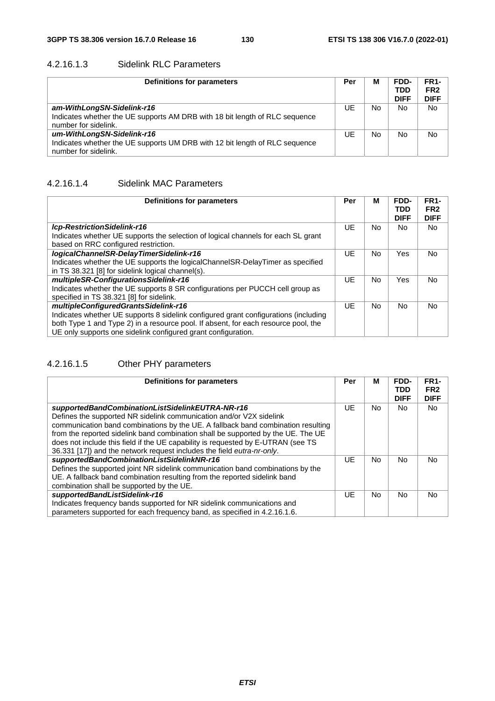#### 4.2.16.1.3 Sidelink RLC Parameters

| Definitions for parameters                                                                                                        | Per | М  | FDD-<br><b>TDD</b><br><b>DIFF</b> | <b>FR1-</b><br>FR <sub>2</sub><br><b>DIFF</b> |
|-----------------------------------------------------------------------------------------------------------------------------------|-----|----|-----------------------------------|-----------------------------------------------|
| am-WithLongSN-Sidelink-r16<br>Indicates whether the UE supports AM DRB with 18 bit length of RLC sequence<br>number for sidelink. | UE  | No | No.                               | <b>No</b>                                     |
| um-WithLongSN-Sidelink-r16<br>Indicates whether the UE supports UM DRB with 12 bit length of RLC sequence<br>number for sidelink. | UE  | No | No                                | <b>No</b>                                     |

#### 4.2.16.1.4 Sidelink MAC Parameters

| <b>Definitions for parameters</b>                                                   | Per | М   | FDD-<br>TDD<br><b>DIFF</b> | <b>FR1-</b><br>FR <sub>2</sub><br><b>DIFF</b> |
|-------------------------------------------------------------------------------------|-----|-----|----------------------------|-----------------------------------------------|
| Icp-RestrictionSidelink-r16                                                         | UE  | No. | No.                        | No.                                           |
| Indicates whether UE supports the selection of logical channels for each SL grant   |     |     |                            |                                               |
| based on RRC configured restriction.                                                |     |     |                            |                                               |
| logicalChannelSR-DelayTimerSidelink-r16                                             | UE  | No. | Yes                        | No.                                           |
| Indicates whether the UE supports the logical Channel SR-Delay Timer as specified   |     |     |                            |                                               |
| in TS 38.321 [8] for sidelink logical channel(s).                                   |     |     |                            |                                               |
| multipleSR-ConfigurationsSidelink-r16                                               | UE  | No. | Yes                        | No.                                           |
| Indicates whether the UE supports 8 SR configurations per PUCCH cell group as       |     |     |                            |                                               |
| specified in TS 38.321 [8] for sidelink.                                            |     |     |                            |                                               |
| multipleConfiguredGrantsSidelink-r16                                                | UE  | No. | No.                        | No.                                           |
| Indicates whether UE supports 8 sidelink configured grant configurations (including |     |     |                            |                                               |
| both Type 1 and Type 2) in a resource pool. If absent, for each resource pool, the  |     |     |                            |                                               |
| UE only supports one sidelink configured grant configuration.                       |     |     |                            |                                               |

# 4.2.16.1.5 Other PHY parameters

| <b>Definitions for parameters</b>                                                                                                                                                                                                                      | Per | М  | FDD-<br><b>TDD</b><br><b>DIFF</b> | FR <sub>1</sub> -<br>FR <sub>2</sub><br><b>DIFF</b> |
|--------------------------------------------------------------------------------------------------------------------------------------------------------------------------------------------------------------------------------------------------------|-----|----|-----------------------------------|-----------------------------------------------------|
| supportedBandCombinationListSidelinkEUTRA-NR-r16<br>Defines the supported NR sidelink communication and/or V2X sidelink<br>communication band combinations by the UE. A fallback band combination resulting                                            | UE  | No | No.                               | <b>No</b>                                           |
| from the reported sidelink band combination shall be supported by the UE. The UE<br>does not include this field if the UE capability is requested by E-UTRAN (see TS<br>36.331 [17]) and the network request includes the field eutra-nr-only.         |     |    |                                   |                                                     |
| supportedBandCombinationListSidelinkNR-r16<br>Defines the supported joint NR sidelink communication band combinations by the<br>UE. A fallback band combination resulting from the reported sidelink band<br>combination shall be supported by the UE. | UE  | No | <b>No</b>                         | No.                                                 |
| supportedBandListSidelink-r16<br>Indicates frequency bands supported for NR sidelink communications and<br>parameters supported for each frequency band, as specified in 4.2.16.1.6.                                                                   | UE  | No | No.                               | No                                                  |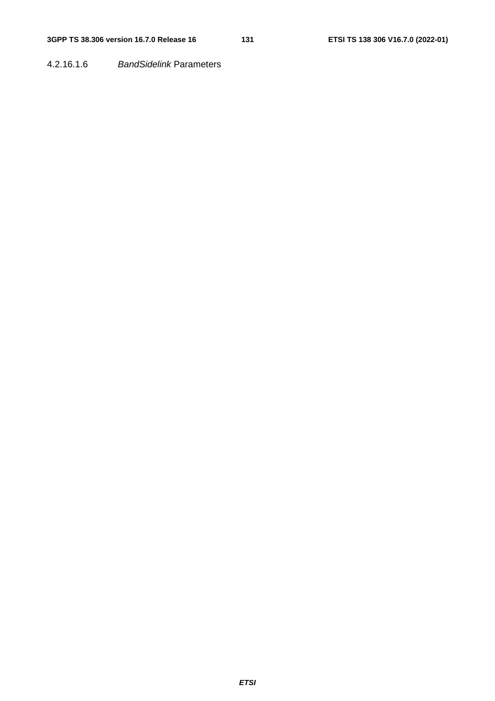#### 4.2.16.1.6 *BandSidelink* Parameters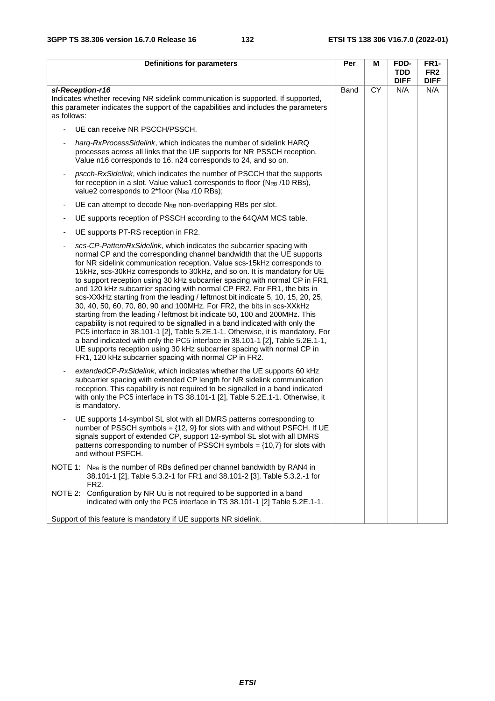| <b>Definitions for parameters</b>                                                                                                                                                                                                                                                                                                                                                                                                                                                                                                                                                                                                                                                                                                                                                                                                                                                                                                                                                                                                                                                                 | Per  | М  | FDD-<br><b>TDD</b> | <b>FR1-</b><br>FR <sub>2</sub> |
|---------------------------------------------------------------------------------------------------------------------------------------------------------------------------------------------------------------------------------------------------------------------------------------------------------------------------------------------------------------------------------------------------------------------------------------------------------------------------------------------------------------------------------------------------------------------------------------------------------------------------------------------------------------------------------------------------------------------------------------------------------------------------------------------------------------------------------------------------------------------------------------------------------------------------------------------------------------------------------------------------------------------------------------------------------------------------------------------------|------|----|--------------------|--------------------------------|
|                                                                                                                                                                                                                                                                                                                                                                                                                                                                                                                                                                                                                                                                                                                                                                                                                                                                                                                                                                                                                                                                                                   |      |    | <b>DIFF</b>        | <b>DIFF</b>                    |
| sl-Reception-r16<br>Indicates whether receving NR sidelink communication is supported. If supported,<br>this parameter indicates the support of the capabilities and includes the parameters<br>as follows:                                                                                                                                                                                                                                                                                                                                                                                                                                                                                                                                                                                                                                                                                                                                                                                                                                                                                       | Band | CY | N/A                | N/A                            |
| UE can receive NR PSCCH/PSSCH.                                                                                                                                                                                                                                                                                                                                                                                                                                                                                                                                                                                                                                                                                                                                                                                                                                                                                                                                                                                                                                                                    |      |    |                    |                                |
| harg-RxProcessSidelink, which indicates the number of sidelink HARQ<br>processes across all links that the UE supports for NR PSSCH reception.<br>Value n16 corresponds to 16, n24 corresponds to 24, and so on.                                                                                                                                                                                                                                                                                                                                                                                                                                                                                                                                                                                                                                                                                                                                                                                                                                                                                  |      |    |                    |                                |
| pscch-RxSidelink, which indicates the number of PSCCH that the supports<br>for reception in a slot. Value value1 corresponds to floor (N <sub>RB</sub> /10 RBs),<br>value2 corresponds to 2*floor (NRB /10 RBs);                                                                                                                                                                                                                                                                                                                                                                                                                                                                                                                                                                                                                                                                                                                                                                                                                                                                                  |      |    |                    |                                |
| UE can attempt to decode N <sub>RB</sub> non-overlapping RBs per slot.<br>$\overline{\phantom{a}}$                                                                                                                                                                                                                                                                                                                                                                                                                                                                                                                                                                                                                                                                                                                                                                                                                                                                                                                                                                                                |      |    |                    |                                |
| UE supports reception of PSSCH according to the 64QAM MCS table.<br>$\overline{\phantom{a}}$                                                                                                                                                                                                                                                                                                                                                                                                                                                                                                                                                                                                                                                                                                                                                                                                                                                                                                                                                                                                      |      |    |                    |                                |
| UE supports PT-RS reception in FR2.                                                                                                                                                                                                                                                                                                                                                                                                                                                                                                                                                                                                                                                                                                                                                                                                                                                                                                                                                                                                                                                               |      |    |                    |                                |
| scs-CP-PatternRxSidelink, which indicates the subcarrier spacing with<br>normal CP and the corresponding channel bandwidth that the UE supports<br>for NR sidelink communication reception. Value scs-15kHz corresponds to<br>15kHz, scs-30kHz corresponds to 30kHz, and so on. It is mandatory for UE<br>to support reception using 30 kHz subcarrier spacing with normal CP in FR1,<br>and 120 kHz subcarrier spacing with normal CP FR2. For FR1, the bits in<br>scs-XXkHz starting from the leading / leftmost bit indicate 5, 10, 15, 20, 25,<br>30, 40, 50, 60, 70, 80, 90 and 100MHz. For FR2, the bits in scs-XXkHz<br>starting from the leading / leftmost bit indicate 50, 100 and 200MHz. This<br>capability is not required to be signalled in a band indicated with only the<br>PC5 interface in 38.101-1 [2], Table 5.2E.1-1. Otherwise, it is mandatory. For<br>a band indicated with only the PC5 interface in 38.101-1 [2], Table 5.2E.1-1,<br>UE supports reception using 30 kHz subcarrier spacing with normal CP in<br>FR1, 120 kHz subcarrier spacing with normal CP in FR2. |      |    |                    |                                |
| extended CP-RxSidelink, which indicates whether the UE supports 60 kHz<br>subcarrier spacing with extended CP length for NR sidelink communication<br>reception. This capability is not required to be signalled in a band indicated<br>with only the PC5 interface in TS 38.101-1 [2], Table 5.2E.1-1. Otherwise, it<br>is mandatory.                                                                                                                                                                                                                                                                                                                                                                                                                                                                                                                                                                                                                                                                                                                                                            |      |    |                    |                                |
| UE supports 14-symbol SL slot with all DMRS patterns corresponding to<br>number of PSSCH symbols = $\{12, 9\}$ for slots with and without PSFCH. If UE<br>signals support of extended CP, support 12-symbol SL slot with all DMRS<br>patterns corresponding to number of PSSCH symbols = $\{10,7\}$ for slots with<br>and without PSFCH.                                                                                                                                                                                                                                                                                                                                                                                                                                                                                                                                                                                                                                                                                                                                                          |      |    |                    |                                |
| NOTE 1: N <sub>RB</sub> is the number of RBs defined per channel bandwidth by RAN4 in<br>38.101-1 [2], Table 5.3.2-1 for FR1 and 38.101-2 [3], Table 5.3.2.-1 for<br>FR <sub>2</sub> .<br>Configuration by NR Uu is not required to be supported in a band<br>NOTE 2:                                                                                                                                                                                                                                                                                                                                                                                                                                                                                                                                                                                                                                                                                                                                                                                                                             |      |    |                    |                                |
| indicated with only the PC5 interface in TS 38.101-1 [2] Table 5.2E.1-1.                                                                                                                                                                                                                                                                                                                                                                                                                                                                                                                                                                                                                                                                                                                                                                                                                                                                                                                                                                                                                          |      |    |                    |                                |
| Support of this feature is mandatory if UE supports NR sidelink.                                                                                                                                                                                                                                                                                                                                                                                                                                                                                                                                                                                                                                                                                                                                                                                                                                                                                                                                                                                                                                  |      |    |                    |                                |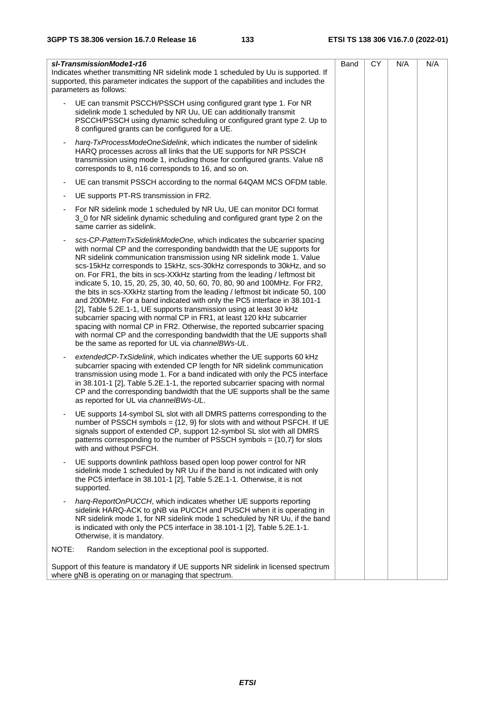| sl-TransmissionMode1-r16<br>Indicates whether transmitting NR sidelink mode 1 scheduled by Uu is supported. If<br>supported, this parameter indicates the support of the capabilities and includes the<br>parameters as follows:                                                                                                                                                                                                                                                                                                                                                                                                                                                                                                                                                                                                                                                                                                                                                                   | Band | <b>CY</b> | N/A | N/A |  |
|----------------------------------------------------------------------------------------------------------------------------------------------------------------------------------------------------------------------------------------------------------------------------------------------------------------------------------------------------------------------------------------------------------------------------------------------------------------------------------------------------------------------------------------------------------------------------------------------------------------------------------------------------------------------------------------------------------------------------------------------------------------------------------------------------------------------------------------------------------------------------------------------------------------------------------------------------------------------------------------------------|------|-----------|-----|-----|--|
| UE can transmit PSCCH/PSSCH using configured grant type 1. For NR<br>sidelink mode 1 scheduled by NR Uu, UE can additionally transmit<br>PSCCH/PSSCH using dynamic scheduling or configured grant type 2. Up to<br>8 configured grants can be configured for a UE.                                                                                                                                                                                                                                                                                                                                                                                                                                                                                                                                                                                                                                                                                                                                 |      |           |     |     |  |
| harg-TxProcessModeOneSidelink, which indicates the number of sidelink<br>HARQ processes across all links that the UE supports for NR PSSCH<br>transmission using mode 1, including those for configured grants. Value n8<br>corresponds to 8, n16 corresponds to 16, and so on.                                                                                                                                                                                                                                                                                                                                                                                                                                                                                                                                                                                                                                                                                                                    |      |           |     |     |  |
| UE can transmit PSSCH according to the normal 64QAM MCS OFDM table.<br>$\overline{\phantom{a}}$                                                                                                                                                                                                                                                                                                                                                                                                                                                                                                                                                                                                                                                                                                                                                                                                                                                                                                    |      |           |     |     |  |
| UE supports PT-RS transmission in FR2.                                                                                                                                                                                                                                                                                                                                                                                                                                                                                                                                                                                                                                                                                                                                                                                                                                                                                                                                                             |      |           |     |     |  |
| For NR sidelink mode 1 scheduled by NR Uu, UE can monitor DCI format<br>3_0 for NR sidelink dynamic scheduling and configured grant type 2 on the<br>same carrier as sidelink.                                                                                                                                                                                                                                                                                                                                                                                                                                                                                                                                                                                                                                                                                                                                                                                                                     |      |           |     |     |  |
| scs-CP-PatternTxSidelinkModeOne, which indicates the subcarrier spacing<br>with normal CP and the corresponding bandwidth that the UE supports for<br>NR sidelink communication transmission using NR sidelink mode 1. Value<br>scs-15kHz corresponds to 15kHz, scs-30kHz corresponds to 30kHz, and so<br>on. For FR1, the bits in scs-XXkHz starting from the leading / leftmost bit<br>indicate 5, 10, 15, 20, 25, 30, 40, 50, 60, 70, 80, 90 and 100MHz. For FR2,<br>the bits in scs-XXkHz starting from the leading / leftmost bit indicate 50, 100<br>and 200MHz. For a band indicated with only the PC5 interface in 38.101-1<br>[2], Table 5.2E.1-1, UE supports transmission using at least 30 kHz<br>subcarrier spacing with normal CP in FR1, at least 120 kHz subcarrier<br>spacing with normal CP in FR2. Otherwise, the reported subcarrier spacing<br>with normal CP and the corresponding bandwidth that the UE supports shall<br>be the same as reported for UL via channeIBWs-UL. |      |           |     |     |  |
| extendedCP-TxSidelink, which indicates whether the UE supports 60 kHz<br>subcarrier spacing with extended CP length for NR sidelink communication<br>transmission using mode 1. For a band indicated with only the PC5 interface<br>in 38.101-1 [2], Table 5.2E.1-1, the reported subcarrier spacing with normal<br>CP and the corresponding bandwidth that the UE supports shall be the same<br>as reported for UL via channelBWs-UL.                                                                                                                                                                                                                                                                                                                                                                                                                                                                                                                                                             |      |           |     |     |  |
| UE supports 14-symbol SL slot with all DMRS patterns corresponding to the<br>number of PSSCH symbols = $\{12, 9\}$ for slots with and without PSFCH. If UE<br>signals support of extended CP, support 12-symbol SL slot with all DMRS<br>patterns corresponding to the number of PSSCH symbols = $\{10,7\}$ for slots<br>with and without PSFCH.                                                                                                                                                                                                                                                                                                                                                                                                                                                                                                                                                                                                                                                   |      |           |     |     |  |
| UE supports downlink pathloss based open loop power control for NR<br>sidelink mode 1 scheduled by NR Uu if the band is not indicated with only<br>the PC5 interface in 38.101-1 [2], Table 5.2E.1-1. Otherwise, it is not<br>supported.                                                                                                                                                                                                                                                                                                                                                                                                                                                                                                                                                                                                                                                                                                                                                           |      |           |     |     |  |
| harg-ReportOnPUCCH, which indicates whether UE supports reporting<br>sidelink HARQ-ACK to gNB via PUCCH and PUSCH when it is operating in<br>NR sidelink mode 1, for NR sidelink mode 1 scheduled by NR Uu, if the band<br>is indicated with only the PC5 interface in 38.101-1 [2], Table 5.2E.1-1.<br>Otherwise, it is mandatory.                                                                                                                                                                                                                                                                                                                                                                                                                                                                                                                                                                                                                                                                |      |           |     |     |  |
| NOTE:<br>Random selection in the exceptional pool is supported.                                                                                                                                                                                                                                                                                                                                                                                                                                                                                                                                                                                                                                                                                                                                                                                                                                                                                                                                    |      |           |     |     |  |
| Support of this feature is mandatory if UE supports NR sidelink in licensed spectrum<br>where gNB is operating on or managing that spectrum.                                                                                                                                                                                                                                                                                                                                                                                                                                                                                                                                                                                                                                                                                                                                                                                                                                                       |      |           |     |     |  |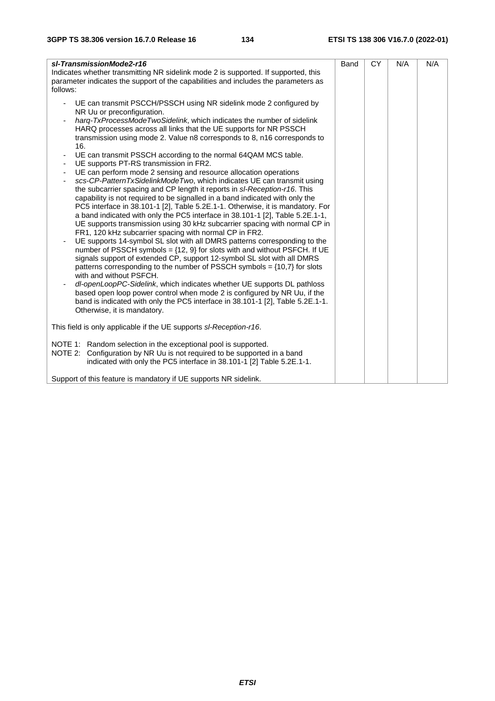| sl-TransmissionMode2-r16<br>Indicates whether transmitting NR sidelink mode 2 is supported. If supported, this<br>parameter indicates the support of the capabilities and includes the parameters as<br>follows:                                                                                                                                                                                                                                                                                                                                                                                                                                                                                                                                                                                                                                                                                                                                                                                                                                                                                                                                                                                                                                                                                                                                                                                                                                                                                                                                                                                                                                                                                | Band | <b>CY</b> | N/A | N/A |  |
|-------------------------------------------------------------------------------------------------------------------------------------------------------------------------------------------------------------------------------------------------------------------------------------------------------------------------------------------------------------------------------------------------------------------------------------------------------------------------------------------------------------------------------------------------------------------------------------------------------------------------------------------------------------------------------------------------------------------------------------------------------------------------------------------------------------------------------------------------------------------------------------------------------------------------------------------------------------------------------------------------------------------------------------------------------------------------------------------------------------------------------------------------------------------------------------------------------------------------------------------------------------------------------------------------------------------------------------------------------------------------------------------------------------------------------------------------------------------------------------------------------------------------------------------------------------------------------------------------------------------------------------------------------------------------------------------------|------|-----------|-----|-----|--|
| UE can transmit PSCCH/PSSCH using NR sidelink mode 2 configured by<br>NR Uu or preconfiguration.<br>harg-TxProcessModeTwoSidelink, which indicates the number of sidelink<br>HARQ processes across all links that the UE supports for NR PSSCH<br>transmission using mode 2. Value n8 corresponds to 8, n16 corresponds to<br>16.<br>UE can transmit PSSCH according to the normal 64QAM MCS table.<br>UE supports PT-RS transmission in FR2.<br>UE can perform mode 2 sensing and resource allocation operations<br>scs-CP-PatternTxSidelinkModeTwo, which indicates UE can transmit using<br>the subcarrier spacing and CP length it reports in sl-Reception-r16. This<br>capability is not required to be signalled in a band indicated with only the<br>PC5 interface in 38.101-1 [2], Table 5.2E.1-1. Otherwise, it is mandatory. For<br>a band indicated with only the PC5 interface in 38.101-1 [2], Table 5.2E.1-1,<br>UE supports transmission using 30 kHz subcarrier spacing with normal CP in<br>FR1, 120 kHz subcarrier spacing with normal CP in FR2.<br>UE supports 14-symbol SL slot with all DMRS patterns corresponding to the<br>number of PSSCH symbols = $\{12, 9\}$ for slots with and without PSFCH. If UE<br>signals support of extended CP, support 12-symbol SL slot with all DMRS<br>patterns corresponding to the number of PSSCH symbols = $\{10,7\}$ for slots<br>with and without PSFCH.<br>dl-openLoopPC-Sidelink, which indicates whether UE supports DL pathloss<br>based open loop power control when mode 2 is configured by NR Uu, if the<br>band is indicated with only the PC5 interface in 38.101-1 [2], Table 5.2E.1-1.<br>Otherwise, it is mandatory. |      |           |     |     |  |
| This field is only applicable if the UE supports sl-Reception-r16.                                                                                                                                                                                                                                                                                                                                                                                                                                                                                                                                                                                                                                                                                                                                                                                                                                                                                                                                                                                                                                                                                                                                                                                                                                                                                                                                                                                                                                                                                                                                                                                                                              |      |           |     |     |  |
| NOTE 1: Random selection in the exceptional pool is supported.<br>NOTE 2: Configuration by NR Uu is not required to be supported in a band<br>indicated with only the PC5 interface in 38.101-1 [2] Table 5.2E.1-1.                                                                                                                                                                                                                                                                                                                                                                                                                                                                                                                                                                                                                                                                                                                                                                                                                                                                                                                                                                                                                                                                                                                                                                                                                                                                                                                                                                                                                                                                             |      |           |     |     |  |
| Support of this feature is mandatory if UE supports NR sidelink.                                                                                                                                                                                                                                                                                                                                                                                                                                                                                                                                                                                                                                                                                                                                                                                                                                                                                                                                                                                                                                                                                                                                                                                                                                                                                                                                                                                                                                                                                                                                                                                                                                |      |           |     |     |  |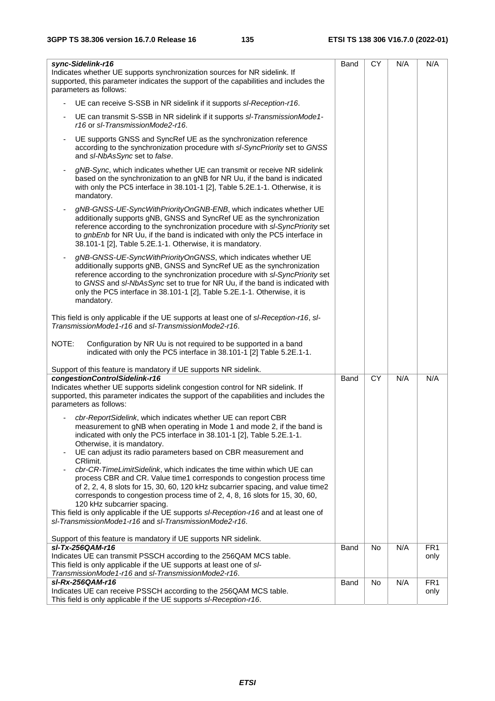| sync-Sidelink-r16<br>Indicates whether UE supports synchronization sources for NR sidelink. If<br>supported, this parameter indicates the support of the capabilities and includes the<br>parameters as follows:                                                                                                                                                                                   | Band        | <b>CY</b> | N/A | N/A                     |
|----------------------------------------------------------------------------------------------------------------------------------------------------------------------------------------------------------------------------------------------------------------------------------------------------------------------------------------------------------------------------------------------------|-------------|-----------|-----|-------------------------|
| UE can receive S-SSB in NR sidelink if it supports sl-Reception-r16.                                                                                                                                                                                                                                                                                                                               |             |           |     |                         |
| UE can transmit S-SSB in NR sidelink if it supports sl-TransmissionMode1-<br>$\blacksquare$<br>r16 or sl-TransmissionMode2-r16.                                                                                                                                                                                                                                                                    |             |           |     |                         |
| UE supports GNSS and SyncRef UE as the synchronization reference<br>according to the synchronization procedure with sl-SyncPriority set to GNSS<br>and sl-NbAsSync set to false.                                                                                                                                                                                                                   |             |           |     |                         |
| gNB-Sync, which indicates whether UE can transmit or receive NR sidelink<br>based on the synchronization to an gNB for NR Uu, if the band is indicated<br>with only the PC5 interface in 38.101-1 [2], Table 5.2E.1-1. Otherwise, it is<br>mandatory.                                                                                                                                              |             |           |     |                         |
| gNB-GNSS-UE-SyncWithPriorityOnGNB-ENB, which indicates whether UE<br>additionally supports gNB, GNSS and SyncRef UE as the synchronization<br>reference according to the synchronization procedure with sl-SyncPriority set<br>to gnbEnb for NR Uu, if the band is indicated with only the PC5 interface in<br>38.101-1 [2], Table 5.2E.1-1. Otherwise, it is mandatory.                           |             |           |     |                         |
| gNB-GNSS-UE-SyncWithPriorityOnGNSS, which indicates whether UE<br>additionally supports gNB, GNSS and SyncRef UE as the synchronization<br>reference according to the synchronization procedure with sl-SyncPriority set<br>to GNSS and sl-NbAsSync set to true for NR Uu, if the band is indicated with<br>only the PC5 interface in 38.101-1 [2], Table 5.2E.1-1. Otherwise, it is<br>mandatory. |             |           |     |                         |
| This field is only applicable if the UE supports at least one of sl-Reception-r16, sl-<br>TransmissionMode1-r16 and sl-TransmissionMode2-r16.                                                                                                                                                                                                                                                      |             |           |     |                         |
| NOTE:<br>Configuration by NR Uu is not required to be supported in a band<br>indicated with only the PC5 interface in 38.101-1 [2] Table 5.2E.1-1.                                                                                                                                                                                                                                                 |             |           |     |                         |
| Support of this feature is mandatory if UE supports NR sidelink.                                                                                                                                                                                                                                                                                                                                   |             |           |     |                         |
| congestionControlSidelink-r16<br>Indicates whether UE supports sidelink congestion control for NR sidelink. If<br>supported, this parameter indicates the support of the capabilities and includes the<br>parameters as follows:                                                                                                                                                                   | Band        | <b>CY</b> | N/A | N/A                     |
| cbr-ReportSidelink, which indicates whether UE can report CBR<br>measurement to gNB when operating in Mode 1 and mode 2, if the band is<br>indicated with only the PC5 interface in 38.101-1 [2], Table 5.2E.1-1.<br>Otherwise, it is mandatory.<br>UE can adjust its radio parameters based on CBR measurement and<br>CRlimit.                                                                    |             |           |     |                         |
| cbr-CR-TimeLimitSidelink, which indicates the time within which UE can<br>process CBR and CR. Value time1 corresponds to congestion process time<br>of 2, 2, 4, 8 slots for 15, 30, 60, 120 kHz subcarrier spacing, and value time2<br>corresponds to congestion process time of 2, 4, 8, 16 slots for 15, 30, 60,<br>120 kHz subcarrier spacing.                                                  |             |           |     |                         |
| This field is only applicable if the UE supports sl-Reception-r16 and at least one of<br>sl-TransmissionMode1-r16 and sl-TransmissionMode2-r16.                                                                                                                                                                                                                                                    |             |           |     |                         |
| Support of this feature is mandatory if UE supports NR sidelink.                                                                                                                                                                                                                                                                                                                                   |             |           |     |                         |
| sl-Tx-256QAM-r16<br>Indicates UE can transmit PSSCH according to the 256QAM MCS table.<br>This field is only applicable if the UE supports at least one of s/-<br>TransmissionMode1-r16 and sl-TransmissionMode2-r16.                                                                                                                                                                              | <b>Band</b> | No        | N/A | FR <sub>1</sub><br>only |
| sl-Rx-256QAM-r16<br>Indicates UE can receive PSSCH according to the 256QAM MCS table.<br>This field is only applicable if the UE supports sl-Reception-r16.                                                                                                                                                                                                                                        | Band        | No        | N/A | FR <sub>1</sub><br>only |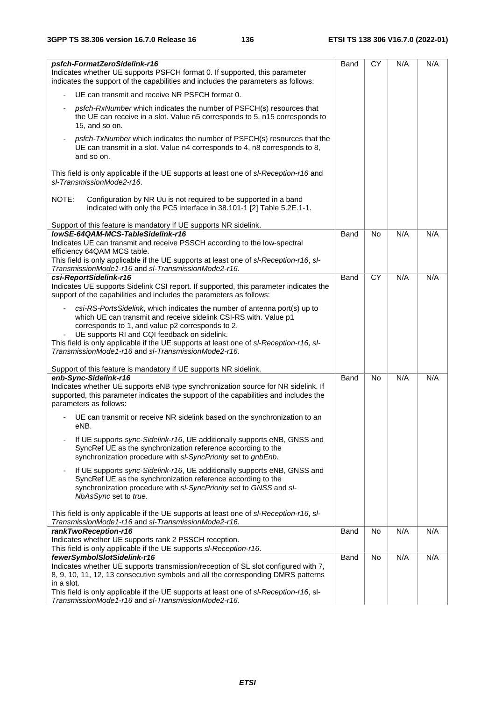| psfch-FormatZeroSidelink-r16<br>Indicates whether UE supports PSFCH format 0. If supported, this parameter<br>indicates the support of the capabilities and includes the parameters as follows:                                                                                                                                                                                                    | Band | <b>CY</b>      | N/A | N/A |
|----------------------------------------------------------------------------------------------------------------------------------------------------------------------------------------------------------------------------------------------------------------------------------------------------------------------------------------------------------------------------------------------------|------|----------------|-----|-----|
| UE can transmit and receive NR PSFCH format 0.                                                                                                                                                                                                                                                                                                                                                     |      |                |     |     |
| psfch-RxNumber which indicates the number of PSFCH(s) resources that<br>the UE can receive in a slot. Value n5 corresponds to 5, n15 corresponds to<br>15, and so on.                                                                                                                                                                                                                              |      |                |     |     |
| psfch-TxNumber which indicates the number of PSFCH(s) resources that the<br>UE can transmit in a slot. Value n4 corresponds to 4, n8 corresponds to 8,<br>and so on.                                                                                                                                                                                                                               |      |                |     |     |
| This field is only applicable if the UE supports at least one of sl-Reception-r16 and<br>sl-TransmissionMode2-r16.                                                                                                                                                                                                                                                                                 |      |                |     |     |
| NOTE:<br>Configuration by NR Uu is not required to be supported in a band<br>indicated with only the PC5 interface in 38.101-1 [2] Table 5.2E.1-1.                                                                                                                                                                                                                                                 |      |                |     |     |
| Support of this feature is mandatory if UE supports NR sidelink.                                                                                                                                                                                                                                                                                                                                   |      |                |     |     |
| lowSE-64QAM-MCS-TableSidelink-r16                                                                                                                                                                                                                                                                                                                                                                  | Band | N <sub>o</sub> | N/A | N/A |
| Indicates UE can transmit and receive PSSCH according to the low-spectral<br>efficiency 64QAM MCS table.<br>This field is only applicable if the UE supports at least one of sl-Reception-r16, sl-                                                                                                                                                                                                 |      |                |     |     |
| TransmissionMode1-r16 and sl-TransmissionMode2-r16.<br>csi-ReportSidelink-r16                                                                                                                                                                                                                                                                                                                      | Band | CY             | N/A | N/A |
| Indicates UE supports Sidelink CSI report. If supported, this parameter indicates the<br>support of the capabilities and includes the parameters as follows:                                                                                                                                                                                                                                       |      |                |     |     |
| csi-RS-PortsSidelink, which indicates the number of antenna port(s) up to<br>which UE can transmit and receive sidelink CSI-RS with. Value p1<br>corresponds to 1, and value p2 corresponds to 2.<br>UE supports RI and CQI feedback on sidelink.<br>This field is only applicable if the UE supports at least one of sl-Reception-r16, sl-<br>TransmissionMode1-r16 and sl-TransmissionMode2-r16. |      |                |     |     |
|                                                                                                                                                                                                                                                                                                                                                                                                    |      |                |     |     |
| Support of this feature is mandatory if UE supports NR sidelink.<br>enb-Sync-Sidelink-r16<br>Indicates whether UE supports eNB type synchronization source for NR sidelink. If<br>supported, this parameter indicates the support of the capabilities and includes the<br>parameters as follows:                                                                                                   | Band | <b>No</b>      | N/A | N/A |
| UE can transmit or receive NR sidelink based on the synchronization to an<br>eNB.                                                                                                                                                                                                                                                                                                                  |      |                |     |     |
| If UE supports sync-Sidelink-r16, UE additionally supports eNB, GNSS and<br>SyncRef UE as the synchronization reference according to the<br>synchronization procedure with sl-SyncPriority set to gnbEnb.                                                                                                                                                                                          |      |                |     |     |
| If UE supports sync-Sidelink-r16, UE additionally supports eNB, GNSS and<br>$\overline{\phantom{a}}$<br>SyncRef UE as the synchronization reference according to the<br>synchronization procedure with sl-SyncPriority set to GNSS and sl-<br>NbAsSync set to true.                                                                                                                                |      |                |     |     |
| This field is only applicable if the UE supports at least one of sl-Reception-r16, sl-<br>TransmissionMode1-r16 and sl-TransmissionMode2-r16.                                                                                                                                                                                                                                                      |      |                |     |     |
| rankTwoReception-r16                                                                                                                                                                                                                                                                                                                                                                               | Band | No             | N/A | N/A |
| Indicates whether UE supports rank 2 PSSCH reception.<br>This field is only applicable if the UE supports sl-Reception-r16.                                                                                                                                                                                                                                                                        |      |                |     |     |
| fewerSymbolSlotSidelink-r16                                                                                                                                                                                                                                                                                                                                                                        | Band | <b>No</b>      | N/A | N/A |
| Indicates whether UE supports transmission/reception of SL slot configured with 7,<br>8, 9, 10, 11, 12, 13 consecutive symbols and all the corresponding DMRS patterns<br>in a slot.                                                                                                                                                                                                               |      |                |     |     |
| This field is only applicable if the UE supports at least one of sl-Reception-r16, sl-<br>TransmissionMode1-r16 and sl-TransmissionMode2-r16.                                                                                                                                                                                                                                                      |      |                |     |     |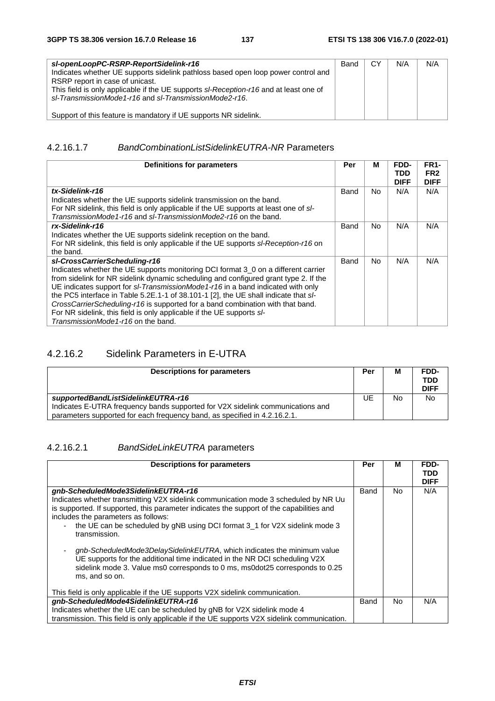| sl-openLoopPC-RSRP-ReportSidelink-r16<br>Indicates whether UE supports sidelink pathloss based open loop power control and<br>RSRP report in case of unicast.<br>This field is only applicable if the UE supports sl-Reception-r16 and at least one of<br>sl-TransmissionMode1-r16 and sl-TransmissionMode2-r16. | Band | СY | N/A | N/A |
|------------------------------------------------------------------------------------------------------------------------------------------------------------------------------------------------------------------------------------------------------------------------------------------------------------------|------|----|-----|-----|
| Support of this feature is mandatory if UE supports NR sidelink.                                                                                                                                                                                                                                                 |      |    |     |     |

#### 4.2.16.1.7 *BandCombinationListSidelinkEUTRA-NR* Parameters

| Definitions for parameters                                                                                                                                                                                                                                                                                                                                                                                                                                                                                                                                                             | Per  | М   | FDD-<br>TDD<br><b>DIFF</b> | <b>FR1-</b><br>FR <sub>2</sub><br><b>DIFF</b> |
|----------------------------------------------------------------------------------------------------------------------------------------------------------------------------------------------------------------------------------------------------------------------------------------------------------------------------------------------------------------------------------------------------------------------------------------------------------------------------------------------------------------------------------------------------------------------------------------|------|-----|----------------------------|-----------------------------------------------|
| tx-Sidelink-r16<br>Indicates whether the UE supports sidelink transmission on the band.<br>For NR sidelink, this field is only applicable if the UE supports at least one of s/-<br>TransmissionMode1-r16 and sl-TransmissionMode2-r16 on the band.                                                                                                                                                                                                                                                                                                                                    | Band | No. | N/A                        | N/A                                           |
| rx-Sidelink-r16<br>Indicates whether the UE supports sidelink reception on the band.<br>For NR sidelink, this field is only applicable if the UE supports sl-Reception-r16 on<br>the band.                                                                                                                                                                                                                                                                                                                                                                                             | Band | No. | N/A                        | N/A                                           |
| sl-CrossCarrierScheduling-r16<br>Indicates whether the UE supports monitoring DCI format 3_0 on a different carrier<br>from sidelink for NR sidelink dynamic scheduling and configured grant type 2. If the<br>UE indicates support for sI-TransmissionMode1-r16 in a band indicated with only<br>the PC5 interface in Table 5.2E.1-1 of 38.101-1 [2], the UE shall indicate that sl-<br>CrossCarrierScheduling-r16 is supported for a band combination with that band.<br>For NR sidelink, this field is only applicable if the UE supports sl-<br>TransmissionMode1-r16 on the band. | Band | No. | N/A                        | N/A                                           |

## 4.2.16.2 Sidelink Parameters in E-UTRA

| <b>Descriptions for parameters</b>                                                                                                                                                                | Per | м  | FDD-<br>TDD<br><b>DIFF</b> |
|---------------------------------------------------------------------------------------------------------------------------------------------------------------------------------------------------|-----|----|----------------------------|
| supportedBandListSidelinkEUTRA-r16<br>Indicates E-UTRA frequency bands supported for V2X sidelink communications and<br>parameters supported for each frequency band, as specified in 4.2.16.2.1. | UE. | No | N <sub>o</sub>             |

#### 4.2.16.2.1 *BandSideLinkEUTRA* parameters

| <b>Descriptions for parameters</b>                                                                                                                                                                                                                                                                                                                                                                                                                                                                                                                                                                                                         | Per  | м   | FDD-<br><b>TDD</b><br><b>DIFF</b> |
|--------------------------------------------------------------------------------------------------------------------------------------------------------------------------------------------------------------------------------------------------------------------------------------------------------------------------------------------------------------------------------------------------------------------------------------------------------------------------------------------------------------------------------------------------------------------------------------------------------------------------------------------|------|-----|-----------------------------------|
| gnb-ScheduledMode3SidelinkEUTRA-r16<br>Indicates whether transmitting V2X sidelink communication mode 3 scheduled by NR Uu<br>is supported. If supported, this parameter indicates the support of the capabilities and<br>includes the parameters as follows:<br>the UE can be scheduled by gNB using DCI format 3_1 for V2X sidelink mode 3<br>$\blacksquare$<br>transmission.<br>gnb-ScheduledMode3DelaySidelinkEUTRA, which indicates the minimum value<br>UE supports for the additional time indicated in the NR DCI scheduling V2X<br>sidelink mode 3. Value ms0 corresponds to 0 ms, ms0dot25 corresponds to 0.25<br>ms, and so on. | Band | No. | N/A                               |
| This field is only applicable if the UE supports V2X sidelink communication.<br>gnb-ScheduledMode4SidelinkEUTRA-r16                                                                                                                                                                                                                                                                                                                                                                                                                                                                                                                        | Band | No. | N/A                               |
| Indicates whether the UE can be scheduled by gNB for V2X sidelink mode 4<br>transmission. This field is only applicable if the UE supports V2X sidelink communication.                                                                                                                                                                                                                                                                                                                                                                                                                                                                     |      |     |                                   |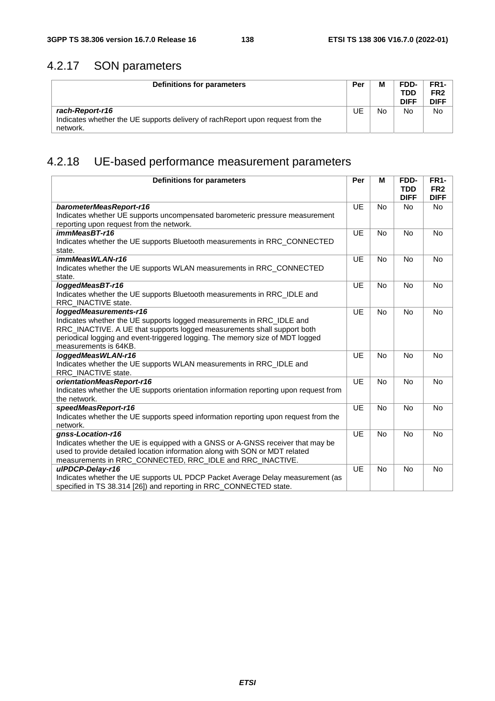# 4.2.17 SON parameters

| Definitions for parameters                                                                  | Per | М  | FDD-<br><b>TDD</b><br><b>DIFF</b> | FR <sub>1</sub> -<br>FR <sub>2</sub><br><b>DIFF</b> |
|---------------------------------------------------------------------------------------------|-----|----|-----------------------------------|-----------------------------------------------------|
| rach-Report-r16                                                                             | UE  | No | No                                | No                                                  |
| Indicates whether the UE supports delivery of rach Report upon request from the<br>network. |     |    |                                   |                                                     |

# 4.2.18 UE-based performance measurement parameters

| <b>Definitions for parameters</b>                                                                                        | Per       | M         | FDD-<br><b>TDD</b><br><b>DIFF</b> | <b>FR1-</b><br>FR <sub>2</sub><br><b>DIFF</b> |
|--------------------------------------------------------------------------------------------------------------------------|-----------|-----------|-----------------------------------|-----------------------------------------------|
| barometerMeasReport-r16                                                                                                  | UE        | <b>No</b> | <b>No</b>                         | <b>No</b>                                     |
| Indicates whether UE supports uncompensated barometeric pressure measurement<br>reporting upon request from the network. |           |           |                                   |                                               |
| immMeasBT-r16                                                                                                            | UE        | <b>No</b> | <b>No</b>                         | <b>No</b>                                     |
| Indicates whether the UE supports Bluetooth measurements in RRC_CONNECTED                                                |           |           |                                   |                                               |
| state.                                                                                                                   |           |           |                                   |                                               |
| immMeasWLAN-r16                                                                                                          | UE        | <b>No</b> | <b>No</b>                         | <b>No</b>                                     |
| Indicates whether the UE supports WLAN measurements in RRC_CONNECTED<br>state.                                           |           |           |                                   |                                               |
| loggedMeasBT-r16                                                                                                         | UE        | <b>No</b> | <b>No</b>                         | <b>No</b>                                     |
| Indicates whether the UE supports Bluetooth measurements in RRC_IDLE and<br>RRC_INACTIVE state.                          |           |           |                                   |                                               |
| loggedMeasurements-r16                                                                                                   | UE        | <b>No</b> | <b>No</b>                         | <b>No</b>                                     |
| Indicates whether the UE supports logged measurements in RRC_IDLE and                                                    |           |           |                                   |                                               |
| RRC_INACTIVE. A UE that supports logged measurements shall support both                                                  |           |           |                                   |                                               |
| periodical logging and event-triggered logging. The memory size of MDT logged                                            |           |           |                                   |                                               |
| measurements is 64KB.                                                                                                    |           |           |                                   |                                               |
| loggedMeasWLAN-r16                                                                                                       | UE        | <b>No</b> | <b>No</b>                         | <b>No</b>                                     |
| Indicates whether the UE supports WLAN measurements in RRC_IDLE and                                                      |           |           |                                   |                                               |
| RRC_INACTIVE state.                                                                                                      |           |           |                                   |                                               |
| orientationMeasReport-r16                                                                                                | <b>UE</b> | <b>No</b> | <b>No</b>                         | <b>No</b>                                     |
| Indicates whether the UE supports orientation information reporting upon request from                                    |           |           |                                   |                                               |
| the network.                                                                                                             |           |           |                                   |                                               |
| speedMeasReport-r16                                                                                                      | UE        | <b>No</b> | <b>No</b>                         | N <sub>o</sub>                                |
| Indicates whether the UE supports speed information reporting upon request from the                                      |           |           |                                   |                                               |
| network.                                                                                                                 |           |           |                                   |                                               |
| gnss-Location-r16                                                                                                        | UE        | <b>No</b> | <b>No</b>                         | <b>No</b>                                     |
| Indicates whether the UE is equipped with a GNSS or A-GNSS receiver that may be                                          |           |           |                                   |                                               |
| used to provide detailed location information along with SON or MDT related                                              |           |           |                                   |                                               |
| measurements in RRC_CONNECTED, RRC_IDLE and RRC_INACTIVE.                                                                |           |           |                                   |                                               |
| ulPDCP-Delay-r16                                                                                                         | UE        | <b>No</b> | <b>No</b>                         | <b>No</b>                                     |
| Indicates whether the UE supports UL PDCP Packet Average Delay measurement (as                                           |           |           |                                   |                                               |
| specified in TS 38.314 [26]) and reporting in RRC_CONNECTED state.                                                       |           |           |                                   |                                               |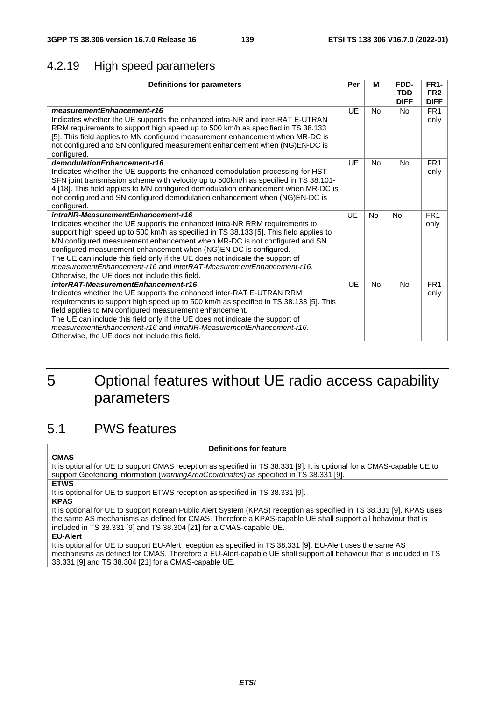## 4.2.19 High speed parameters

| FR <sub>2</sub><br><b>TDD</b><br><b>DIFF</b><br><b>DIFF</b><br>UE<br>FR <sub>1</sub><br>measurementEnhancement-r16<br><b>No</b><br><b>No</b><br>Indicates whether the UE supports the enhanced intra-NR and inter-RAT E-UTRAN<br>only<br>RRM requirements to support high speed up to 500 km/h as specified in TS 38.133<br>[5]. This field applies to MN configured measurement enhancement when MR-DC is<br>not configured and SN configured measurement enhancement when (NG)EN-DC is<br>configured.<br>demodulationEnhancement-r16<br>UF<br>FR <sub>1</sub><br><b>No</b><br><b>No</b><br>Indicates whether the UE supports the enhanced demodulation processing for HST-<br>only<br>SFN joint transmission scheme with velocity up to 500km/h as specified in TS 38.101-<br>4 [18]. This field applies to MN configured demodulation enhancement when MR-DC is<br>not configured and SN configured demodulation enhancement when (NG)EN-DC is<br>configured. |
|------------------------------------------------------------------------------------------------------------------------------------------------------------------------------------------------------------------------------------------------------------------------------------------------------------------------------------------------------------------------------------------------------------------------------------------------------------------------------------------------------------------------------------------------------------------------------------------------------------------------------------------------------------------------------------------------------------------------------------------------------------------------------------------------------------------------------------------------------------------------------------------------------------------------------------------------------------------|
|                                                                                                                                                                                                                                                                                                                                                                                                                                                                                                                                                                                                                                                                                                                                                                                                                                                                                                                                                                  |
|                                                                                                                                                                                                                                                                                                                                                                                                                                                                                                                                                                                                                                                                                                                                                                                                                                                                                                                                                                  |
|                                                                                                                                                                                                                                                                                                                                                                                                                                                                                                                                                                                                                                                                                                                                                                                                                                                                                                                                                                  |
|                                                                                                                                                                                                                                                                                                                                                                                                                                                                                                                                                                                                                                                                                                                                                                                                                                                                                                                                                                  |
|                                                                                                                                                                                                                                                                                                                                                                                                                                                                                                                                                                                                                                                                                                                                                                                                                                                                                                                                                                  |
|                                                                                                                                                                                                                                                                                                                                                                                                                                                                                                                                                                                                                                                                                                                                                                                                                                                                                                                                                                  |
|                                                                                                                                                                                                                                                                                                                                                                                                                                                                                                                                                                                                                                                                                                                                                                                                                                                                                                                                                                  |
|                                                                                                                                                                                                                                                                                                                                                                                                                                                                                                                                                                                                                                                                                                                                                                                                                                                                                                                                                                  |
|                                                                                                                                                                                                                                                                                                                                                                                                                                                                                                                                                                                                                                                                                                                                                                                                                                                                                                                                                                  |
|                                                                                                                                                                                                                                                                                                                                                                                                                                                                                                                                                                                                                                                                                                                                                                                                                                                                                                                                                                  |
|                                                                                                                                                                                                                                                                                                                                                                                                                                                                                                                                                                                                                                                                                                                                                                                                                                                                                                                                                                  |
|                                                                                                                                                                                                                                                                                                                                                                                                                                                                                                                                                                                                                                                                                                                                                                                                                                                                                                                                                                  |
| intraNR-MeasurementEnhancement-r16<br>UF<br><b>No</b><br>FR <sub>1</sub><br><b>No</b>                                                                                                                                                                                                                                                                                                                                                                                                                                                                                                                                                                                                                                                                                                                                                                                                                                                                            |
| Indicates whether the UE supports the enhanced intra-NR RRM requirements to<br>only                                                                                                                                                                                                                                                                                                                                                                                                                                                                                                                                                                                                                                                                                                                                                                                                                                                                              |
| support high speed up to 500 km/h as specified in TS 38.133 [5]. This field applies to                                                                                                                                                                                                                                                                                                                                                                                                                                                                                                                                                                                                                                                                                                                                                                                                                                                                           |
| MN configured measurement enhancement when MR-DC is not configured and SN                                                                                                                                                                                                                                                                                                                                                                                                                                                                                                                                                                                                                                                                                                                                                                                                                                                                                        |
| configured measurement enhancement when (NG)EN-DC is configured.                                                                                                                                                                                                                                                                                                                                                                                                                                                                                                                                                                                                                                                                                                                                                                                                                                                                                                 |
| The UE can include this field only if the UE does not indicate the support of<br>measurementEnhancement-r16 and interRAT-MeasurementEnhancement-r16.                                                                                                                                                                                                                                                                                                                                                                                                                                                                                                                                                                                                                                                                                                                                                                                                             |
|                                                                                                                                                                                                                                                                                                                                                                                                                                                                                                                                                                                                                                                                                                                                                                                                                                                                                                                                                                  |
| Otherwise, the UE does not include this field.<br>interRAT-MeasurementEnhancement-r16<br>UE<br>FR <sub>1</sub><br><b>No</b><br>No                                                                                                                                                                                                                                                                                                                                                                                                                                                                                                                                                                                                                                                                                                                                                                                                                                |
|                                                                                                                                                                                                                                                                                                                                                                                                                                                                                                                                                                                                                                                                                                                                                                                                                                                                                                                                                                  |
| Indicates whether the UE supports the enhanced inter-RAT E-UTRAN RRM<br>only<br>requirements to support high speed up to 500 km/h as specified in TS 38.133 [5]. This                                                                                                                                                                                                                                                                                                                                                                                                                                                                                                                                                                                                                                                                                                                                                                                            |
| field applies to MN configured measurement enhancement.                                                                                                                                                                                                                                                                                                                                                                                                                                                                                                                                                                                                                                                                                                                                                                                                                                                                                                          |
| The UE can include this field only if the UE does not indicate the support of                                                                                                                                                                                                                                                                                                                                                                                                                                                                                                                                                                                                                                                                                                                                                                                                                                                                                    |
| measurementEnhancement-r16 and intraNR-MeasurementEnhancement-r16.                                                                                                                                                                                                                                                                                                                                                                                                                                                                                                                                                                                                                                                                                                                                                                                                                                                                                               |
| Otherwise, the UE does not include this field.                                                                                                                                                                                                                                                                                                                                                                                                                                                                                                                                                                                                                                                                                                                                                                                                                                                                                                                   |

# 5 Optional features without UE radio access capability parameters

# 5.1 PWS features

#### **Definitions for feature**

**CMAS** It is optional for UE to support CMAS reception as specified in TS 38.331 [9]. It is optional for a CMAS-capable UE to support Geofencing information (*warningAreaCoordinates*) as specified in TS 38.331 [9].

**ETWS**

It is optional for UE to support ETWS reception as specified in TS 38.331 [9].

**KPAS**

It is optional for UE to support Korean Public Alert System (KPAS) reception as specified in TS 38.331 [9]. KPAS uses the same AS mechanisms as defined for CMAS. Therefore a KPAS-capable UE shall support all behaviour that is included in TS 38.331 [9] and TS 38.304 [21] for a CMAS-capable UE.

#### **EU-Alert**

It is optional for UE to support EU-Alert reception as specified in TS 38.331 [9]. EU-Alert uses the same AS mechanisms as defined for CMAS. Therefore a EU-Alert-capable UE shall support all behaviour that is included in TS 38.331 [9] and TS 38.304 [21] for a CMAS-capable UE.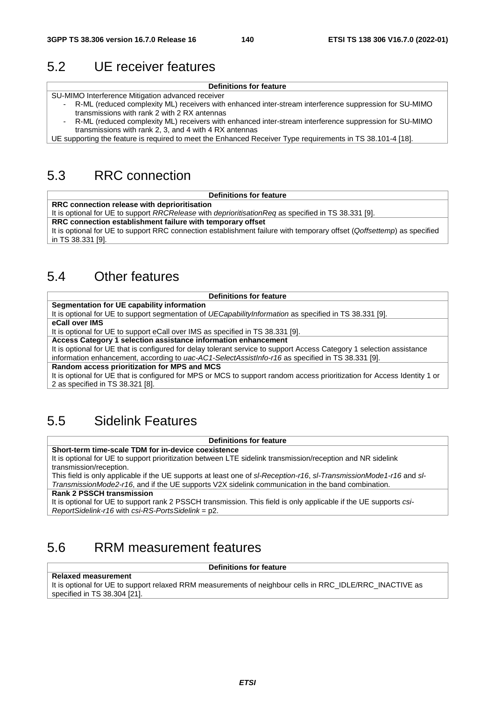# 5.2 UE receiver features

| <b>Definitions for feature</b> |  |
|--------------------------------|--|
|--------------------------------|--|

SU-MIMO Interference Mitigation advanced receiver

- R-ML (reduced complexity ML) receivers with enhanced inter-stream interference suppression for SU-MIMO transmissions with rank 2 with 2 RX antennas
- R-ML (reduced complexity ML) receivers with enhanced inter-stream interference suppression for SU-MIMO transmissions with rank 2, 3, and 4 with 4 RX antennas

UE supporting the feature is required to meet the Enhanced Receiver Type requirements in TS 38.101-4 [18].

# 5.3 RRC connection

#### **Definitions for feature**

**RRC connection release with deprioritisation**

It is optional for UE to support *RRCRelease* with *deprioritisationReq* as specified in TS 38.331 [9].

**RRC connection establishment failure with temporary offset**

It is optional for UE to support RRC connection establishment failure with temporary offset (*Qoffsettemp*) as specified in TS 38.331 [9].

# 5.4 Other features

#### **Definitions for feature**

**Segmentation for UE capability information**

It is optional for UE to support segmentation of *UECapabilityInformation* as specified in TS 38.331 [9].

#### **eCall over IMS**

It is optional for UE to support eCall over IMS as specified in TS 38.331 [9].

**Access Category 1 selection assistance information enhancement**

It is optional for UE that is configured for delay tolerant service to support Access Category 1 selection assistance information enhancement, according to *uac-AC1-SelectAssistInfo-r16* as specified in TS 38.331 [9].

#### **Random access prioritization for MPS and MCS**

It is optional for UE that is configured for MPS or MCS to support random access prioritization for Access Identity 1 or 2 as specified in TS 38.321 [8].

# 5.5 Sidelink Features

**Definitions for feature**

**Short-term time-scale TDM for in-device coexistence**

It is optional for UE to support prioritization between LTE sidelink transmission/reception and NR sidelink transmission/reception.

This field is only applicable if the UE supports at least one of *sl-Reception-r16*, *sl-TransmissionMode1-r16* and *sl-TransmissionMode2-r16*, and if the UE supports V2X sidelink communication in the band combination.

**Rank 2 PSSCH transmission**

It is optional for UE to support rank 2 PSSCH transmission. This field is only applicable if the UE supports *csi-ReportSidelink-r16* with *csi-RS-PortsSidelink* = p2.

# 5.6 RRM measurement features

**Definitions for feature**

#### **Relaxed measurement**

It is optional for UE to support relaxed RRM measurements of neighbour cells in RRC\_IDLE/RRC\_INACTIVE as specified in TS 38.304 [21].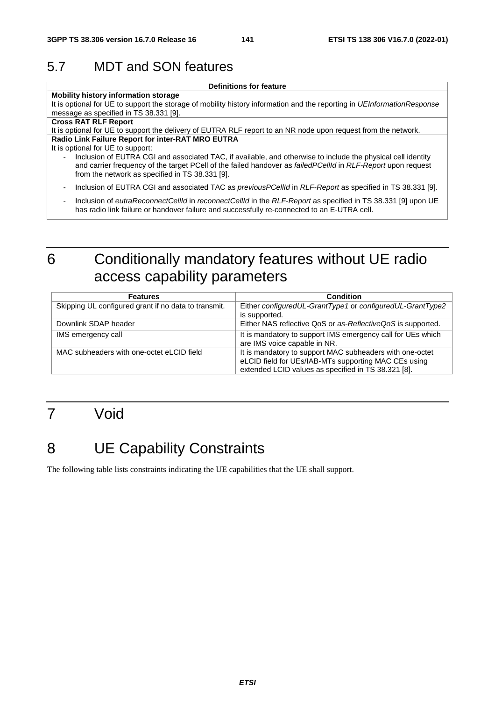# 5.7 MDT and SON features

**Definitions for feature**

**Mobility history information storage** It is optional for UE to support the storage of mobility history information and the reporting in *UEInformationResponse* message as specified in TS 38.331 [9].

#### **Cross RAT RLF Report**

It is optional for UE to support the delivery of EUTRA RLF report to an NR node upon request from the network. **Radio Link Failure Report for inter-RAT MRO EUTRA**

#### It is optional for UE to support:

- Inclusion of EUTRA CGI and associated TAC, if available, and otherwise to include the physical cell identity and carrier frequency of the target PCell of the failed handover as *failedPCellId* in *RLF-Report* upon request from the network as specified in TS 38.331 [9].
- Inclusion of EUTRA CGI and associated TAC as *previousPCellId* in *RLF-Report* as specified in TS 38.331 [9].
- Inclusion of *eutraReconnectCellId* in *reconnectCellId* in the *RLF-Report* as specified in TS 38.331 [9] upon UE has radio link failure or handover failure and successfully re-connected to an E-UTRA cell.

# 6 Conditionally mandatory features without UE radio access capability parameters

| <b>Features</b>                                      | <b>Condition</b>                                                                                                                                                        |
|------------------------------------------------------|-------------------------------------------------------------------------------------------------------------------------------------------------------------------------|
| Skipping UL configured grant if no data to transmit. | Either configuredUL-GrantType1 or configuredUL-GrantType2<br>is supported.                                                                                              |
| Downlink SDAP header                                 | Either NAS reflective QoS or as-ReflectiveQoS is supported.                                                                                                             |
| IMS emergency call                                   | It is mandatory to support IMS emergency call for UEs which<br>are IMS voice capable in NR.                                                                             |
| MAC subheaders with one-octet eLCID field            | It is mandatory to support MAC subheaders with one-octet<br>eLCID field for UEs/IAB-MTs supporting MAC CEs using<br>extended LCID values as specified in TS 38.321 [8]. |

# 7 Void

# 8 UE Capability Constraints

The following table lists constraints indicating the UE capabilities that the UE shall support.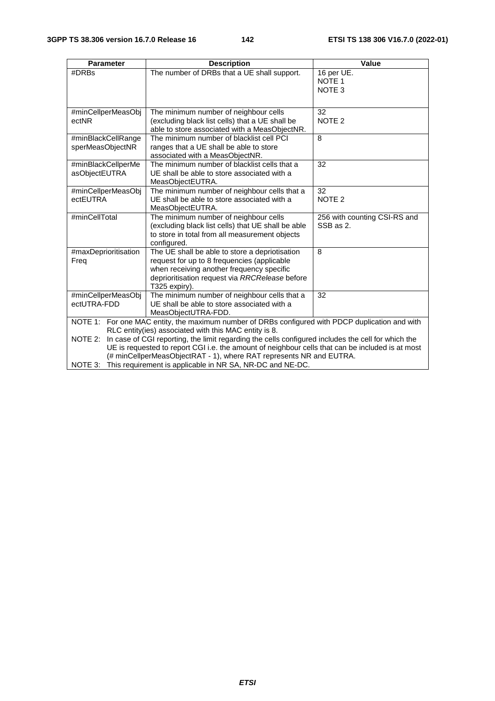| <b>Parameter</b>                       | <b>Description</b>                                                                                                                                                                                                                                                                                                                                                                                                                                                                                               | Value                                                |
|----------------------------------------|------------------------------------------------------------------------------------------------------------------------------------------------------------------------------------------------------------------------------------------------------------------------------------------------------------------------------------------------------------------------------------------------------------------------------------------------------------------------------------------------------------------|------------------------------------------------------|
| #DRBs                                  | The number of DRBs that a UE shall support.                                                                                                                                                                                                                                                                                                                                                                                                                                                                      | 16 per UE.<br>NOTE <sub>1</sub><br>NOTE <sub>3</sub> |
| #minCellperMeasObj<br>ectNR            | The minimum number of neighbour cells<br>(excluding black list cells) that a UE shall be<br>able to store associated with a MeasObjectNR.                                                                                                                                                                                                                                                                                                                                                                        | 32<br>NOTE <sub>2</sub>                              |
| #minBlackCellRange<br>sperMeasObjectNR | The minimum number of blacklist cell PCI<br>ranges that a UE shall be able to store<br>associated with a MeasObjectNR.                                                                                                                                                                                                                                                                                                                                                                                           | 8                                                    |
| #minBlackCellperMe<br>asObjectEUTRA    | The minimum number of blacklist cells that a<br>UE shall be able to store associated with a<br>MeasObjectEUTRA.                                                                                                                                                                                                                                                                                                                                                                                                  | 32                                                   |
| #minCellperMeasObj<br>ectEUTRA         | The minimum number of neighbour cells that a<br>UE shall be able to store associated with a<br>MeasObjectEUTRA.                                                                                                                                                                                                                                                                                                                                                                                                  | 32<br>NOTE <sub>2</sub>                              |
| #minCellTotal                          | The minimum number of neighbour cells<br>(excluding black list cells) that UE shall be able<br>to store in total from all measurement objects<br>configured.                                                                                                                                                                                                                                                                                                                                                     | 256 with counting CSI-RS and<br>SSB as 2.            |
| #maxDeprioritisation<br>Freq           | The UE shall be able to store a depriotisation<br>request for up to 8 frequencies (applicable<br>when receiving another frequency specific<br>deprioritisation request via RRCRelease before<br>T325 expiry).                                                                                                                                                                                                                                                                                                    | 8                                                    |
| #minCellperMeasObj<br>ectUTRA-FDD      | The minimum number of neighbour cells that a<br>UE shall be able to store associated with a<br>MeasObjectUTRA-FDD.                                                                                                                                                                                                                                                                                                                                                                                               | 32                                                   |
| NOTE 2:                                | NOTE 1: For one MAC entity, the maximum number of DRBs configured with PDCP duplication and with<br>RLC entity (ies) associated with this MAC entity is 8.<br>In case of CGI reporting, the limit regarding the cells configured includes the cell for which the<br>UE is requested to report CGI i.e. the amount of neighbour cells that can be included is at most<br>(# minCellperMeasObjectRAT - 1), where RAT represents NR and EUTRA.<br>NOTE 3: This requirement is applicable in NR SA, NR-DC and NE-DC. |                                                      |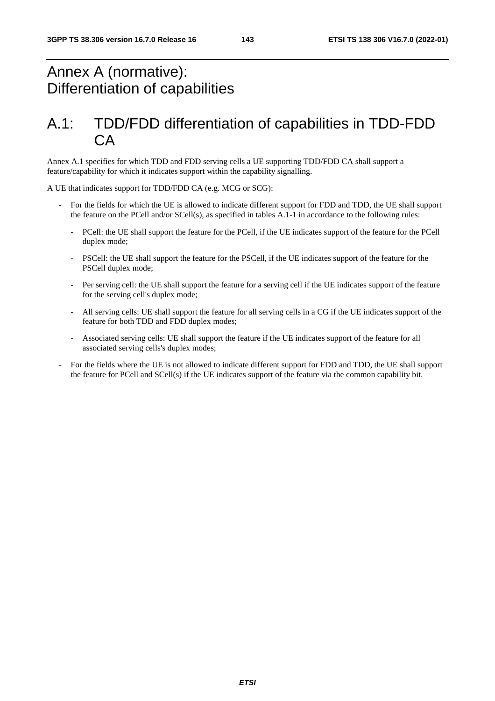# Annex A (normative): Differentiation of capabilities

# A.1: TDD/FDD differentiation of capabilities in TDD-FDD CA

Annex A.1 specifies for which TDD and FDD serving cells a UE supporting TDD/FDD CA shall support a feature/capability for which it indicates support within the capability signalling.

A UE that indicates support for TDD/FDD CA (e.g. MCG or SCG):

- For the fields for which the UE is allowed to indicate different support for FDD and TDD, the UE shall support the feature on the PCell and/or SCell(s), as specified in tables A.1-1 in accordance to the following rules:
	- PCell: the UE shall support the feature for the PCell, if the UE indicates support of the feature for the PCell duplex mode;
	- PSCell: the UE shall support the feature for the PSCell, if the UE indicates support of the feature for the PSCell duplex mode;
	- Per serving cell: the UE shall support the feature for a serving cell if the UE indicates support of the feature for the serving cell's duplex mode;
	- All serving cells: UE shall support the feature for all serving cells in a CG if the UE indicates support of the feature for both TDD and FDD duplex modes;
	- Associated serving cells: UE shall support the feature if the UE indicates support of the feature for all associated serving cells's duplex modes;
- For the fields where the UE is not allowed to indicate different support for FDD and TDD, the UE shall support the feature for PCell and SCell(s) if the UE indicates support of the feature via the common capability bit.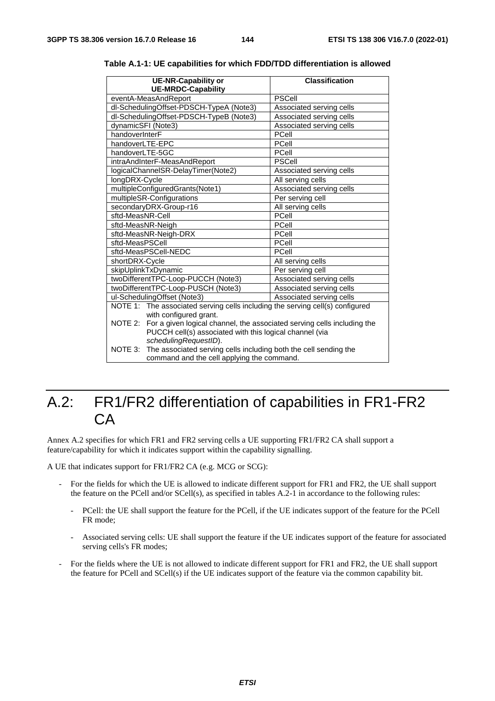| <b>UE-NR-Capability or</b><br><b>UE-MRDC-Capability</b>                            | <b>Classification</b>    |  |  |  |  |  |  |
|------------------------------------------------------------------------------------|--------------------------|--|--|--|--|--|--|
| eventA-MeasAndReport                                                               | <b>PSCell</b>            |  |  |  |  |  |  |
| dl-SchedulingOffset-PDSCH-TypeA (Note3)                                            | Associated serving cells |  |  |  |  |  |  |
| dl-SchedulingOffset-PDSCH-TypeB (Note3)                                            | Associated serving cells |  |  |  |  |  |  |
| dynamicSFI (Note3)                                                                 | Associated serving cells |  |  |  |  |  |  |
| handoverInterF                                                                     | PCell                    |  |  |  |  |  |  |
| handoverLTE-EPC                                                                    | PCell                    |  |  |  |  |  |  |
| handoverLTE-5GC                                                                    | PCell                    |  |  |  |  |  |  |
| intraAndInterF-MeasAndReport                                                       | <b>PSCell</b>            |  |  |  |  |  |  |
| logicalChannelSR-DelayTimer(Note2)                                                 | Associated serving cells |  |  |  |  |  |  |
| longDRX-Cycle                                                                      | All serving cells        |  |  |  |  |  |  |
| multipleConfiguredGrants(Note1)                                                    | Associated serving cells |  |  |  |  |  |  |
| multipleSR-Configurations                                                          | Per serving cell         |  |  |  |  |  |  |
| secondaryDRX-Group-r16                                                             | All serving cells        |  |  |  |  |  |  |
| sftd-MeasNR-Cell                                                                   | PCell                    |  |  |  |  |  |  |
| sftd-MeasNR-Neigh                                                                  | PCell                    |  |  |  |  |  |  |
| sftd-MeasNR-Neigh-DRX                                                              | PCell                    |  |  |  |  |  |  |
| sftd-MeasPSCell                                                                    | PCell                    |  |  |  |  |  |  |
| sftd-MeasPSCell-NEDC                                                               | PCell                    |  |  |  |  |  |  |
| shortDRX-Cycle                                                                     | All serving cells        |  |  |  |  |  |  |
| skipUplinkTxDynamic                                                                | Per serving cell         |  |  |  |  |  |  |
| twoDifferentTPC-Loop-PUCCH (Note3)                                                 | Associated serving cells |  |  |  |  |  |  |
| twoDifferentTPC-Loop-PUSCH (Note3)                                                 | Associated serving cells |  |  |  |  |  |  |
| ul-SchedulingOffset (Note3)                                                        | Associated serving cells |  |  |  |  |  |  |
| NOTE 1: The associated serving cells including the serving cell(s) configured      |                          |  |  |  |  |  |  |
| with configured grant.                                                             |                          |  |  |  |  |  |  |
| NOTE 2:<br>For a given logical channel, the associated serving cells including the |                          |  |  |  |  |  |  |
| PUCCH cell(s) associated with this logical channel (via                            |                          |  |  |  |  |  |  |
| schedulingRequestID).                                                              |                          |  |  |  |  |  |  |
| The associated serving cells including both the cell sending the<br>NOTE 3:        |                          |  |  |  |  |  |  |
| command and the cell applying the command.                                         |                          |  |  |  |  |  |  |

**Table A.1-1: UE capabilities for which FDD/TDD differentiation is allowed** 

### A.2: FR1/FR2 differentiation of capabilities in FR1-FR2 CA

Annex A.2 specifies for which FR1 and FR2 serving cells a UE supporting FR1/FR2 CA shall support a feature/capability for which it indicates support within the capability signalling.

A UE that indicates support for FR1/FR2 CA (e.g. MCG or SCG):

- For the fields for which the UE is allowed to indicate different support for FR1 and FR2, the UE shall support the feature on the PCell and/or SCell(s), as specified in tables A.2-1 in accordance to the following rules:
	- PCell: the UE shall support the feature for the PCell, if the UE indicates support of the feature for the PCell FR mode;
	- Associated serving cells: UE shall support the feature if the UE indicates support of the feature for associated serving cells's FR modes;
- For the fields where the UE is not allowed to indicate different support for FR1 and FR2, the UE shall support the feature for PCell and SCell(s) if the UE indicates support of the feature via the common capability bit.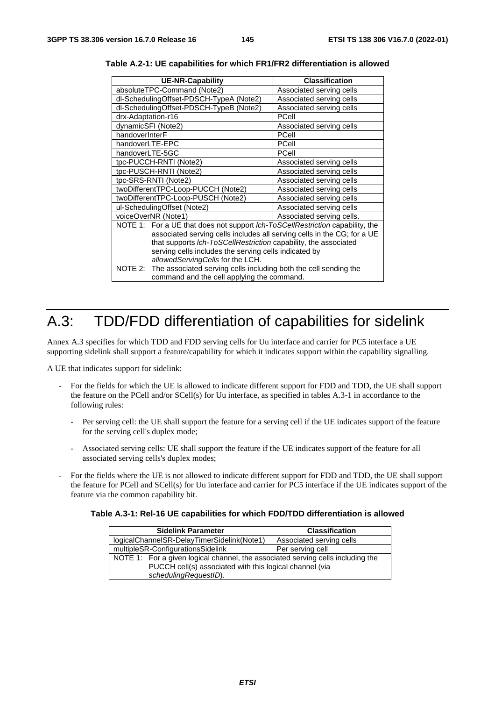| <b>UE-NR-Capability</b>                                                                                                                                                                                                                                                                                                  | <b>Classification</b>     |  |  |  |  |  |  |  |
|--------------------------------------------------------------------------------------------------------------------------------------------------------------------------------------------------------------------------------------------------------------------------------------------------------------------------|---------------------------|--|--|--|--|--|--|--|
| absoluteTPC-Command (Note2)                                                                                                                                                                                                                                                                                              | Associated serving cells  |  |  |  |  |  |  |  |
| dl-SchedulingOffset-PDSCH-TypeA (Note2)                                                                                                                                                                                                                                                                                  | Associated serving cells  |  |  |  |  |  |  |  |
| dl-SchedulingOffset-PDSCH-TypeB (Note2)                                                                                                                                                                                                                                                                                  | Associated serving cells  |  |  |  |  |  |  |  |
| drx-Adaptation-r16                                                                                                                                                                                                                                                                                                       | PCell                     |  |  |  |  |  |  |  |
| dynamicSFI (Note2)                                                                                                                                                                                                                                                                                                       | Associated serving cells  |  |  |  |  |  |  |  |
| handoverInterF                                                                                                                                                                                                                                                                                                           | PCell                     |  |  |  |  |  |  |  |
| handoverLTE-EPC                                                                                                                                                                                                                                                                                                          | PCell                     |  |  |  |  |  |  |  |
| handoverLTE-5GC                                                                                                                                                                                                                                                                                                          | PCell                     |  |  |  |  |  |  |  |
| tpc-PUCCH-RNTI (Note2)                                                                                                                                                                                                                                                                                                   | Associated serving cells  |  |  |  |  |  |  |  |
| tpc-PUSCH-RNTI (Note2)                                                                                                                                                                                                                                                                                                   | Associated serving cells  |  |  |  |  |  |  |  |
| tpc-SRS-RNTI (Note2)                                                                                                                                                                                                                                                                                                     | Associated serving cells  |  |  |  |  |  |  |  |
| twoDifferentTPC-Loop-PUCCH (Note2)                                                                                                                                                                                                                                                                                       | Associated serving cells  |  |  |  |  |  |  |  |
| twoDifferentTPC-Loop-PUSCH (Note2)                                                                                                                                                                                                                                                                                       | Associated serving cells  |  |  |  |  |  |  |  |
| ul-SchedulingOffset (Note2)                                                                                                                                                                                                                                                                                              | Associated serving cells  |  |  |  |  |  |  |  |
| voiceOverNR (Note1)                                                                                                                                                                                                                                                                                                      | Associated serving cells. |  |  |  |  |  |  |  |
| NOTE 1: For a UE that does not support Ich-ToSCellRestriction capability, the<br>associated serving cells includes all serving cells in the CG; for a UE<br>that supports Ich-ToSCellRestriction capability, the associated<br>serving cells includes the serving cells indicated by<br>allowedServingCells for the LCH. |                           |  |  |  |  |  |  |  |
| The associated serving cells including both the cell sending the<br>NOTE 2:<br>command and the cell applying the command.                                                                                                                                                                                                |                           |  |  |  |  |  |  |  |

**Table A.2-1: UE capabilities for which FR1/FR2 differentiation is allowed** 

## A.3: TDD/FDD differentiation of capabilities for sidelink

Annex A.3 specifies for which TDD and FDD serving cells for Uu interface and carrier for PC5 interface a UE supporting sidelink shall support a feature/capability for which it indicates support within the capability signalling.

A UE that indicates support for sidelink:

- For the fields for which the UE is allowed to indicate different support for FDD and TDD, the UE shall support the feature on the PCell and/or SCell(s) for Uu interface, as specified in tables A.3-1 in accordance to the following rules:
	- Per serving cell: the UE shall support the feature for a serving cell if the UE indicates support of the feature for the serving cell's duplex mode;
	- Associated serving cells: UE shall support the feature if the UE indicates support of the feature for all associated serving cells's duplex modes;
- For the fields where the UE is not allowed to indicate different support for FDD and TDD, the UE shall support the feature for PCell and SCell(s) for Uu interface and carrier for PC5 interface if the UE indicates support of the feature via the common capability bit.

**Table A.3-1: Rel-16 UE capabilities for which FDD/TDD differentiation is allowed** 

| <b>Sidelink Parameter</b>                                                                                                                  | <b>Classification</b>    |  |  |  |  |  |
|--------------------------------------------------------------------------------------------------------------------------------------------|--------------------------|--|--|--|--|--|
| logicalChannelSR-DelayTimerSidelink(Note1)                                                                                                 | Associated serving cells |  |  |  |  |  |
| multipleSR-ConfigurationsSidelink                                                                                                          | Per serving cell         |  |  |  |  |  |
| NOTE 1: For a given logical channel, the associated serving cells including the<br>PUCCH cell(s) associated with this logical channel (via |                          |  |  |  |  |  |
| schedulingRequestID).                                                                                                                      |                          |  |  |  |  |  |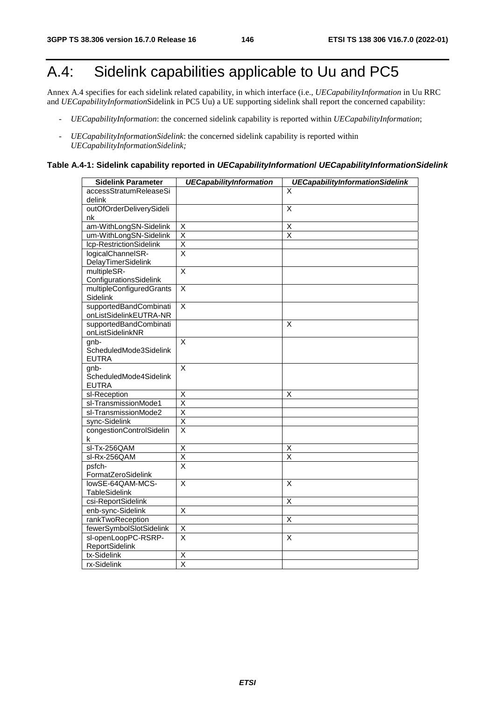# A.4: Sidelink capabilities applicable to Uu and PC5

Annex A.4 specifies for each sidelink related capability, in which interface (i.e., *UECapabilityInformation* in Uu RRC and *UECapabilityInformation*Sidelink in PC5 Uu) a UE supporting sidelink shall report the concerned capability:

- *UECapabilityInformation*: the concerned sidelink capability is reported within *UECapabilityInformation*;
- *UECapabilityInformationSidelink*: the concerned sidelink capability is reported within *UECapabilityInformationSidelink;*

#### **Table A.4-1: Sidelink capability reported in** *UECapabilityInformation***/** *UECapabilityInformationSidelink*

| <b>Sidelink Parameter</b> | <b>UECapabilityInformation</b> | <b>UECapabilityInformationSidelink</b> |
|---------------------------|--------------------------------|----------------------------------------|
| accessStratumReleaseSi    |                                | X                                      |
| delink                    |                                |                                        |
| outOfOrderDeliverySideli  |                                | X                                      |
| nk                        |                                |                                        |
| am-WithLongSN-Sidelink    | Χ                              | Χ                                      |
| um-WithLongSN-Sidelink    | $\overline{\mathsf{x}}$        | $\overline{\mathsf{x}}$                |
| Icp-RestrictionSidelink   | $\overline{\mathsf{x}}$        |                                        |
| logicalChannelSR-         | $\overline{\mathsf{x}}$        |                                        |
| DelayTimerSidelink        |                                |                                        |
| multipleSR-               | $\overline{\mathsf{x}}$        |                                        |
| ConfigurationsSidelink    |                                |                                        |
| multipleConfiguredGrants  | $\overline{\mathsf{x}}$        |                                        |
| Sidelink                  |                                |                                        |
| supportedBandCombinati    | $\overline{\mathsf{x}}$        |                                        |
| onListSidelinkEUTRA-NR    |                                |                                        |
| supportedBandCombinati    |                                | $\overline{\mathsf{x}}$                |
| onListSidelinkNR          |                                |                                        |
| $gnb-$                    | X                              |                                        |
| ScheduledMode3Sidelink    |                                |                                        |
| <b>EUTRA</b>              |                                |                                        |
| gnb-                      | $\overline{\mathsf{x}}$        |                                        |
| ScheduledMode4Sidelink    |                                |                                        |
| <b>EUTRA</b>              |                                |                                        |
| sl-Reception              | X                              | X                                      |
| sl-TransmissionMode1      | $\overline{\mathsf{x}}$        |                                        |
| sl-TransmissionMode2      | $\overline{\mathsf{x}}$        |                                        |
| sync-Sidelink             | $\overline{\mathsf{x}}$        |                                        |
| congestionControlSidelin  | $\overline{\mathsf{x}}$        |                                        |
| k                         |                                |                                        |
| sl-Tx-256QAM              | Χ                              | Χ                                      |
| sl-Rx-256QAM              | $\overline{\mathsf{x}}$        | $\overline{\mathsf{x}}$                |
| psfch-                    | $\overline{\mathsf{x}}$        |                                        |
| FormatZeroSidelink        |                                |                                        |
| lowSE-64QAM-MCS-          | $\overline{\mathsf{x}}$        | X                                      |
| TableSidelink             |                                |                                        |
| csi-ReportSidelink        |                                | Χ                                      |
| enb-sync-Sidelink         | X                              |                                        |
| rankTwoReception          |                                | X                                      |
| fewerSymbolSlotSidelink   | X                              |                                        |
| sl-openLoopPC-RSRP-       | $\overline{\mathsf{x}}$        | $\overline{\mathsf{x}}$                |
| <b>ReportSidelink</b>     |                                |                                        |
| tx-Sidelink               | $\overline{\mathsf{X}}$        |                                        |
| rx-Sidelink               | $\overline{\mathsf{x}}$        |                                        |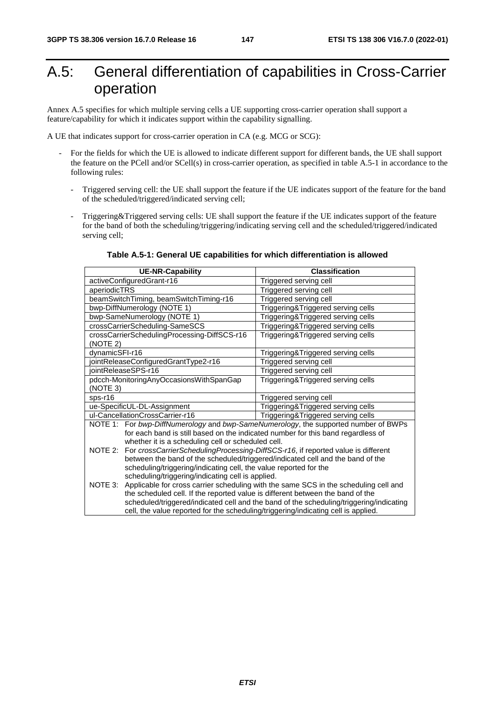# A.5: General differentiation of capabilities in Cross-Carrier operation

Annex A.5 specifies for which multiple serving cells a UE supporting cross-carrier operation shall support a feature/capability for which it indicates support within the capability signalling.

A UE that indicates support for cross-carrier operation in CA (e.g. MCG or SCG):

- For the fields for which the UE is allowed to indicate different support for different bands, the UE shall support the feature on the PCell and/or SCell(s) in cross-carrier operation, as specified in table A.5-1 in accordance to the following rules:
	- Triggered serving cell: the UE shall support the feature if the UE indicates support of the feature for the band of the scheduled/triggered/indicated serving cell;
	- Triggering&Triggered serving cells: UE shall support the feature if the UE indicates support of the feature for the band of both the scheduling/triggering/indicating serving cell and the scheduled/triggered/indicated serving cell;

|                                                                   | <b>UE-NR-Capability</b>                                                            | <b>Classification</b>                                                                        |  |  |  |  |  |  |
|-------------------------------------------------------------------|------------------------------------------------------------------------------------|----------------------------------------------------------------------------------------------|--|--|--|--|--|--|
|                                                                   | activeConfiguredGrant-r16                                                          | Triggered serving cell                                                                       |  |  |  |  |  |  |
| aperiodicTRS                                                      |                                                                                    | Triggered serving cell                                                                       |  |  |  |  |  |  |
|                                                                   | beamSwitchTiming, beamSwitchTiming-r16                                             | Triggered serving cell                                                                       |  |  |  |  |  |  |
|                                                                   | bwp-DiffNumerology (NOTE 1)                                                        | Triggering&Triggered serving cells                                                           |  |  |  |  |  |  |
|                                                                   | bwp-SameNumerology (NOTE 1)                                                        | Triggering&Triggered serving cells                                                           |  |  |  |  |  |  |
|                                                                   | crossCarrierScheduling-SameSCS                                                     | Triggering&Triggered serving cells                                                           |  |  |  |  |  |  |
| (NOTE 2)                                                          | crossCarrierSchedulingProcessing-DiffSCS-r16                                       | Triggering&Triggered serving cells                                                           |  |  |  |  |  |  |
| dynamicSFI-r16                                                    |                                                                                    | Triggering&Triggered serving cells                                                           |  |  |  |  |  |  |
|                                                                   | jointReleaseConfiguredGrantType2-r16                                               | Triggered serving cell                                                                       |  |  |  |  |  |  |
|                                                                   | iointReleaseSPS-r16                                                                | Triggered serving cell                                                                       |  |  |  |  |  |  |
|                                                                   | pdcch-MonitoringAnyOccasionsWithSpanGap                                            | Triggering&Triggered serving cells                                                           |  |  |  |  |  |  |
| (NOTE 3)                                                          |                                                                                    |                                                                                              |  |  |  |  |  |  |
| $sps-16$                                                          |                                                                                    | Triggered serving cell                                                                       |  |  |  |  |  |  |
|                                                                   | ue-SpecificUL-DL-Assignment                                                        | Triggering&Triggered serving cells                                                           |  |  |  |  |  |  |
|                                                                   | ul-CancellationCrossCarrier-r16                                                    | Triggering&Triggered serving cells                                                           |  |  |  |  |  |  |
|                                                                   |                                                                                    | NOTE 1: For bwp-DiffNumerology and bwp-SameNumerology, the supported number of BWPs          |  |  |  |  |  |  |
|                                                                   | for each band is still based on the indicated number for this band regardless of   |                                                                                              |  |  |  |  |  |  |
|                                                                   | whether it is a scheduling cell or scheduled cell.                                 |                                                                                              |  |  |  |  |  |  |
| NOTE 2:                                                           |                                                                                    | For crossCarrierSchedulingProcessing-DiffSCS-r16, if reported value is different             |  |  |  |  |  |  |
|                                                                   | between the band of the scheduled/triggered/indicated cell and the band of the     |                                                                                              |  |  |  |  |  |  |
| scheduling/triggering/indicating cell, the value reported for the |                                                                                    |                                                                                              |  |  |  |  |  |  |
| scheduling/triggering/indicating cell is applied.                 |                                                                                    |                                                                                              |  |  |  |  |  |  |
|                                                                   |                                                                                    | NOTE 3: Applicable for cross carrier scheduling with the same SCS in the scheduling cell and |  |  |  |  |  |  |
|                                                                   | the scheduled cell. If the reported value is different between the band of the     |                                                                                              |  |  |  |  |  |  |
|                                                                   |                                                                                    | scheduled/triggered/indicated cell and the band of the scheduling/triggering/indicating      |  |  |  |  |  |  |
|                                                                   | cell, the value reported for the scheduling/triggering/indicating cell is applied. |                                                                                              |  |  |  |  |  |  |

#### **Table A.5-1: General UE capabilities for which differentiation is allowed**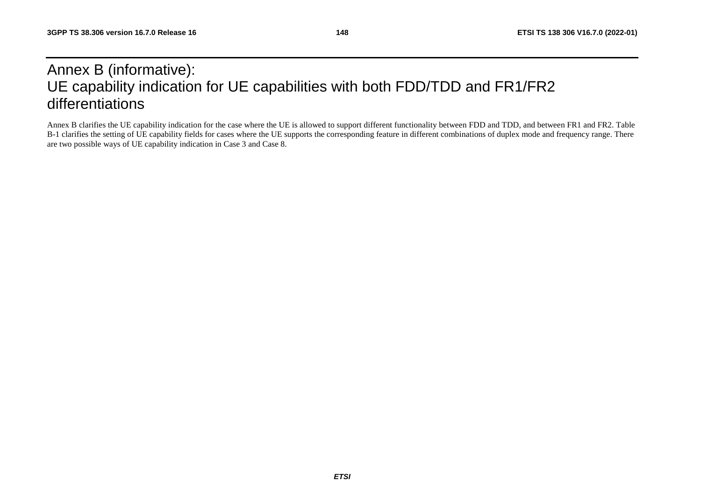## Annex B (informative): UE capability indication for UE capabilities with both FDD/TDD and FR1/FR2 differentiations

Annex B clarifies the UE capability indication for the case where the UE is allowed to support different functionality between FDD and TDD, and between FR1 and FR2. Table B-1 clarifies the setting of UE capability fields for cases where the UE supports the corresponding feature in different combinations of duplex mode and frequency range. There are two possible ways of UE capability indication in Case 3 and Case 8.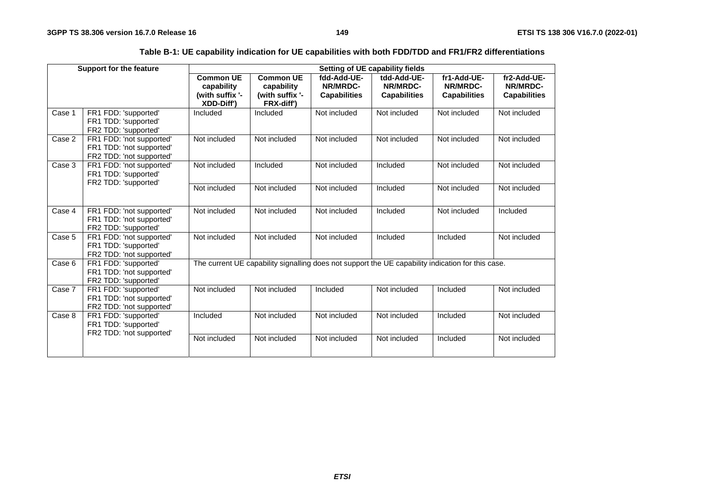| Table B-1: UE capability indication for UE capabilities with both FDD/TDD and FR1/FR2 differentiations |
|--------------------------------------------------------------------------------------------------------|
|--------------------------------------------------------------------------------------------------------|

|        | <b>Support for the feature</b>                                                   | Setting of UE capability fields                                        |                                                                 |                                                                                                   |                                                |                                                |                                                |  |  |  |  |  |
|--------|----------------------------------------------------------------------------------|------------------------------------------------------------------------|-----------------------------------------------------------------|---------------------------------------------------------------------------------------------------|------------------------------------------------|------------------------------------------------|------------------------------------------------|--|--|--|--|--|
|        |                                                                                  | <b>Common UE</b><br>capability<br>(with suffix '-<br><b>XDD-Diff')</b> | <b>Common UE</b><br>capability<br>(with suffix '-<br>FRX-diff') | fdd-Add-UE-<br>NR/MRDC-<br><b>Capabilities</b>                                                    | tdd-Add-UE-<br>NR/MRDC-<br><b>Capabilities</b> | fr1-Add-UE-<br>NR/MRDC-<br><b>Capabilities</b> | fr2-Add-UE-<br>NR/MRDC-<br><b>Capabilities</b> |  |  |  |  |  |
| Case 1 | FR1 FDD: 'supported'<br>FR1 TDD: 'supported'<br>FR2 TDD: 'supported'             | Included                                                               | Included                                                        | Not included                                                                                      | Not included                                   | Not included                                   | Not included                                   |  |  |  |  |  |
| Case 2 | FR1 FDD: 'not supported'<br>FR1 TDD: 'not supported'<br>FR2 TDD: 'not supported' | Not included                                                           | Not included                                                    | Not included                                                                                      | Not included                                   | Not included                                   | Not included                                   |  |  |  |  |  |
| Case 3 | FR1 FDD: 'not supported'<br>FR1 TDD: 'supported'<br>FR2 TDD: 'supported'         | Not included                                                           | Included                                                        | Not included                                                                                      | Included                                       | Not included                                   | Not included                                   |  |  |  |  |  |
|        |                                                                                  | Not included                                                           | Not included                                                    | Not included                                                                                      | Included                                       | Not included                                   | Not included                                   |  |  |  |  |  |
| Case 4 | FR1 FDD: 'not supported'<br>FR1 TDD: 'not supported'<br>FR2 TDD: 'supported'     | Not included                                                           | Not included                                                    | Not included                                                                                      | Included                                       | Not included                                   | Included                                       |  |  |  |  |  |
| Case 5 | FR1 FDD: 'not supported'<br>FR1 TDD: 'supported'<br>FR2 TDD: 'not supported'     | Not included                                                           | Not included                                                    | Not included                                                                                      | Included                                       | Included                                       | Not included                                   |  |  |  |  |  |
| Case 6 | FR1 FDD: 'supported'<br>FR1 TDD: 'not supported'<br>FR2 TDD: 'supported'         |                                                                        |                                                                 | The current UE capability signalling does not support the UE capability indication for this case. |                                                |                                                |                                                |  |  |  |  |  |
| Case 7 | FR1 FDD: 'supported'<br>FR1 TDD: 'not supported'<br>FR2 TDD: 'not supported'     | Not included                                                           | Not included                                                    | Included                                                                                          | Not included                                   | Included                                       | Not included                                   |  |  |  |  |  |
| Case 8 | FR1 FDD: 'supported'<br>FR1 TDD: 'supported'<br>FR2 TDD: 'not supported'         | Included                                                               | Not included                                                    | Not included                                                                                      | Not included                                   | Included                                       | Not included                                   |  |  |  |  |  |
|        |                                                                                  | Not included                                                           | Not included                                                    | Not included                                                                                      | Not included                                   | Included                                       | Not included                                   |  |  |  |  |  |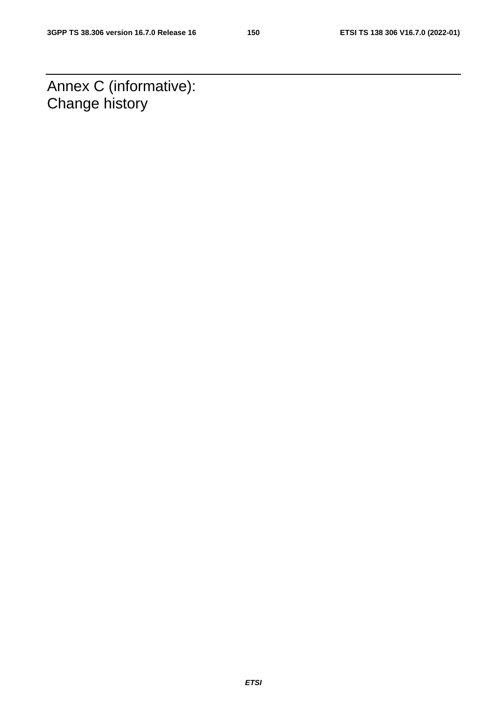Annex C (informative): Change history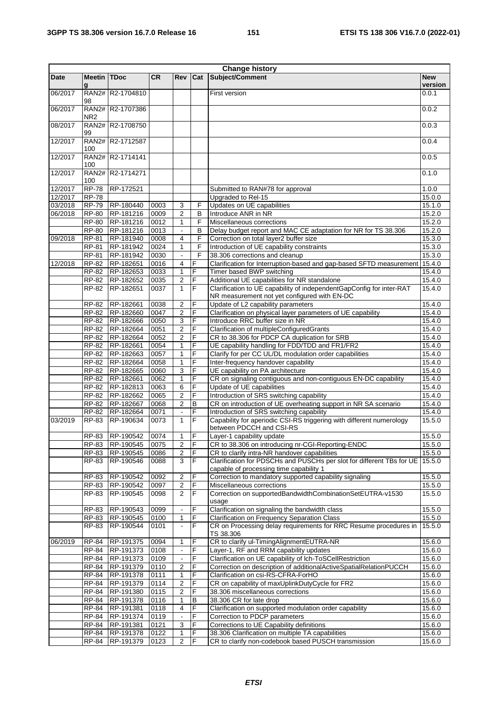| <b>Change history</b> |                         |                        |              |                         |                |                                                                                                                      |                       |
|-----------------------|-------------------------|------------------------|--------------|-------------------------|----------------|----------------------------------------------------------------------------------------------------------------------|-----------------------|
| Date                  | <b>Meetin TDoc</b><br>g |                        | <b>CR</b>    | <b>Rev</b>              | Cat            | Subject/Comment                                                                                                      | <b>New</b><br>version |
| 06/2017               | 98                      | RAN2# R2-1704810       |              |                         |                | First version                                                                                                        | 0.0.1                 |
| 06/2017               | NR <sub>2</sub>         | RAN2# R2-1707386       |              |                         |                |                                                                                                                      | 0.0.2                 |
| 08/2017               | 99                      | RAN2# R2-1708750       |              |                         |                |                                                                                                                      | 0.0.3                 |
| 12/2017               | 100                     | RAN2# R2-1712587       |              |                         |                |                                                                                                                      | 0.0.4                 |
| 12/2017               | 100                     | RAN2# R2-1714141       |              |                         |                |                                                                                                                      | 0.0.5                 |
| 12/2017               | 100                     | RAN2# R2-1714271       |              |                         |                |                                                                                                                      | 0.1.0                 |
| 12/2017               | <b>RP-78</b>            | RP-172521              |              |                         |                | Submitted to RAN#78 for approval                                                                                     | 1.0.0                 |
| 12/2017               | <b>RP-78</b>            |                        |              |                         |                | Upgraded to Rel-15                                                                                                   | 15.0.0                |
| 03/2018               | $RP-79$                 | RP-180440              | 0003         | 3                       | F              | Updates on UE capabilities                                                                                           | 15.1.0                |
| 06/2018               | RP-80                   | RP-181216              | 0009         | $\overline{c}$          | B              | Introduce ANR in NR                                                                                                  | 15.2.0                |
|                       | RP-80                   | RP-181216              | 0012         | $\mathbf{1}$            | F              | Miscellaneous corrections                                                                                            | 15.2.0                |
|                       | <b>RP-80</b>            | RP-181216              | 0013         | $\sim$                  | в              | Delay budget report and MAC CE adaptation for NR for TS 38.306                                                       | 15.2.0                |
| 09/2018               | RP-81                   | RP-181940              | 0008         | 4                       | F              | Correction on total layer2 buffer size                                                                               | 15.3.0                |
|                       | RP-81                   | RP-181942              | 0024         | $\mathbf{1}$            | F              | Introduction of UE capability constraints                                                                            | 15.3.0                |
|                       | <b>RP-81</b>            | RP-181942              | 0030         | $\sim$                  | F              | 38.306 corrections and cleanup                                                                                       | 15.3.0                |
| 12/2018               | RP-82                   | RP-182651              | 0016         | 4                       | F              | Clarification for Interruption-based and gap-based SFTD measurement                                                  | 15.4.0                |
|                       | RP-82                   | RP-182653              | 0033         | 1                       | F              | Timer based BWP switching                                                                                            | 15.4.0                |
|                       | RP-82                   | RP-182652              | 0035         | 2                       | F              | Additional UE capabilities for NR standalone                                                                         | 15.4.0                |
|                       | RP-82                   | RP-182651              | 0037         | $\mathbf{1}$            | F              | Clarification to UE capability of independentGapConfig for inter-RAT<br>NR measurement not yet configured with EN-DC | 15.4.0                |
|                       | RP-82                   | RP-182661              | 0038         | $\overline{2}$          | F              | Update of L2 capability parameters                                                                                   | 15.4.0                |
|                       | RP-82                   | RP-182660              | 0047         | $\overline{2}$          | F              | Clarification on physical layer parameters of UE capability                                                          | 15.4.0                |
|                       | RP-82                   | RP-182666              | 0050         | 3                       | F              | Introduce RRC buffer size in NR                                                                                      | 15.4.0                |
|                       | RP-82                   | RP-182664              | 0051         | $\overline{2}$          | F              | Clarification of multipleConfiguredGrants                                                                            | 15.4.0                |
|                       | RP-82                   | RP-182664              | 0052         | $\overline{2}$          | F              | CR to 38.306 for PDCP CA duplication for SRB                                                                         | 15.4.0                |
|                       | RP-82<br>RP-82          | RP-182661<br>RP-182663 | 0054<br>0057 | $\mathbf{1}$<br>1       | F<br>F         | UE capability handling for FDD/TDD and FR1/FR2<br>Clarify for per CC UL/DL modulation order capabilities             | 15.4.0<br>15.4.0      |
|                       | RP-82                   | RP-182664              | 0058         | $\mathbf{1}$            | F              | Inter-frequency handover capability                                                                                  | 15.4.0                |
|                       | RP-82                   | RP-182665              | 0060         | 3                       | F              | UE capability on PA architecture                                                                                     | 15.4.0                |
|                       | RP-82                   | RP-182661              | 0062         | 1                       | F              | CR on signaling contiguous and non-contiguous EN-DC capability                                                       | 15.4.0                |
|                       | RP-82                   | RP-182813              | 0063         | 6                       | F              | Update of UE capabilities                                                                                            | 15.4.0                |
|                       | RP-82                   | RP-182662              | 0065         | $\overline{c}$          | F              | Introduction of SRS switching capability                                                                             | 15.4.0                |
|                       | RP-82                   | RP-182667              | 0068         | $\overline{2}$          | $\mathsf B$    | CR on introduction of UE overheating support in NR SA scenario                                                       | 15.4.0                |
|                       | RP-82                   | RP-182664              | 0071         | $\mathbb{Z}^2$          | F              | Introduction of SRS switching capability                                                                             | 15.4.0                |
| 03/2019               | RP-83                   | RP-190634              | 0073         | $\mathbf{1}$            | F              | Capability for aperiodic CSI-RS triggering with different numerology<br>between PDCCH and CSI-RS                     | 15.5.0                |
|                       |                         | RP-83 RP-190542        | 0074         | 1                       | F              | Layer-1 capability update                                                                                            | 15.5.0                |
|                       |                         | RP-83 RP-190545        | 0075         | $\boldsymbol{2}$        | E              | CR to 38.306 on introducing nr-CGI-Reporting-ENDC                                                                    | 15.5.0                |
|                       | RP-83                   | RP-190545              | 0086         | 2                       | $\overline{F}$ | CR to clarify intra-NR handover capabilities                                                                         | 15.5.0                |
|                       | RP-83                   | RP-190546              | 0088         | 3                       | $\mathsf F$    | Clarification for PDSCHs and PUSCHs per slot for different TBs for UE<br>capable of processing time capability 1     | 15.5.0                |
|                       | RP-83                   | RP-190542              | 0092         | $\overline{\mathbf{c}}$ | F              | Correction to mandatory supported capability signaling                                                               | 15.5.0                |
|                       | RP-83                   | RP-190542              | 0097         | 2                       | F              | Miscellaneous corrections                                                                                            | 15.5.0                |
|                       | RP-83                   | RP-190545              | 0098         | $\overline{2}$          | $\overline{F}$ | Correction on supportedBandwidthCombinationSetEUTRA-v1530<br>usage                                                   | 15.5.0                |
|                       | RP-83                   | RP-190543              | 0099         | $\blacksquare$          | F              | Clarification on signaling the bandwidth class                                                                       | 15.5.0                |
|                       | RP-83                   | RP-190545              | 0100         | $\mathbf{1}$            | F              | Clarification on Frequency Separation Class                                                                          | 15.5.0                |
|                       | RP-83                   | RP-190544              | 0101         | $\Box$                  | F              | CR on Processing delay requirements for RRC Resume procedures in<br>TS 38.306                                        | 15.5.0                |
| 06/2019               | RP-84                   | RP-191375              | 0094         | 1                       | F              | CR to clarify ul-TimingAlignmentEUTRA-NR                                                                             | 15.6.0                |
|                       | RP-84                   | RP-191373              | 0108         | $\blacksquare$          | F              | Layer-1, RF and RRM capability updates                                                                               | 15.6.0                |
|                       | RP-84                   | RP-191373              | 0109         |                         | F              | Clarification on UE capability of Ich-ToSCellRestriction                                                             | 15.6.0                |
|                       | RP-84                   | RP-191379              | 0110         | 2                       | F              | Correction on description of additionalActiveSpatialRelationPUCCH                                                    | 15.6.0                |
|                       | RP-84                   | RP-191378              | 0111         | 1                       | F              | Clarification on csi-RS-CFRA-ForHO                                                                                   | 15.6.0                |
|                       | RP-84                   | RP-191379              | 0114         | $\boldsymbol{2}$        | F              | CR on capability of maxUplinkDutyCycle for FR2                                                                       | 15.6.0                |
|                       | RP-84                   | RP-191380              | 0115         | 2                       | F              | 38.306 miscellaneous corrections                                                                                     | 15.6.0                |
|                       | RP-84                   | RP-191378              | 0116         | 1                       | B              | 38.306 CR for late drop                                                                                              | 15.6.0                |
|                       | RP-84                   | RP-191381              | 0118         | 4                       | F              | Clarification on supported modulation order capability                                                               | 15.6.0                |
|                       | RP-84                   | RP-191374              | 0119         | $\Box$                  | F              | Correction to PDCP parameters                                                                                        | 15.6.0                |
|                       | RP-84<br>RP-84          | RP-191381<br>RP-191378 | 0121<br>0122 | 3<br>1                  | F<br>F         | Corrections to UE Capability definitions<br>38.306 Clarification on multiple TA capabilities                         | 15.6.0<br>15.6.0      |
|                       | RP-84                   | RP-191379              | 0123         | $\overline{2}$          | F              | CR to clarify non-codebook based PUSCH transmission                                                                  | 15.6.0                |
|                       |                         |                        |              |                         |                |                                                                                                                      |                       |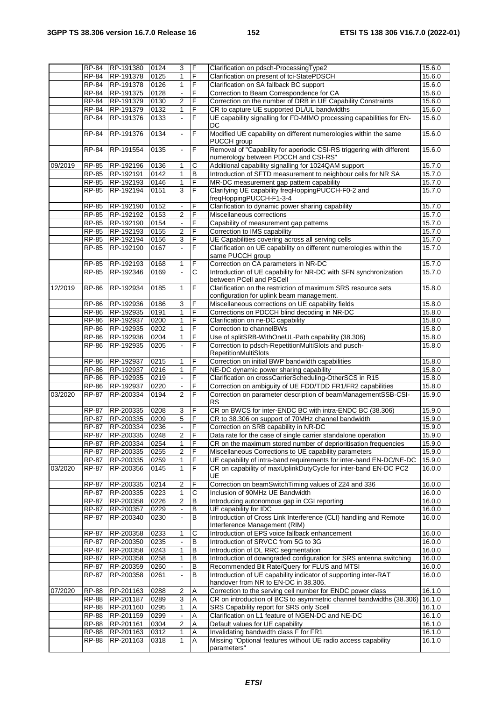|         | RP-84                 | RP-191380              | 0124         | 3                              | F                   | Clarification on pdsch-ProcessingType2                                                                                                 | 15.6.0           |
|---------|-----------------------|------------------------|--------------|--------------------------------|---------------------|----------------------------------------------------------------------------------------------------------------------------------------|------------------|
|         | RP-84                 | RP-191378              | 0125         | 1                              | F                   | Clarification on present of tci-StatePDSCH                                                                                             | 15.6.0           |
|         | RP-84                 | RP-191378              | 0126         | 1                              | $\overline{F}$      | Clarification on SA fallback BC support                                                                                                | 15.6.0           |
|         | <b>RP-84</b>          | RP-191375              | 0128         | $\blacksquare$                 | F                   | Correction to Beam Correspondence for CA                                                                                               | 15.6.0           |
|         | RP-84                 | RP-191379              | 0130         | 2                              | F                   | Correction on the number of DRB in UE Capability Constraints                                                                           | 15.6.0           |
|         | RP-84                 | RP-191379              | 0132         | $\mathbf{1}$                   | F                   | CR to capture UE supported DL/UL bandwidths                                                                                            | 15.6.0           |
|         | RP-84                 | RP-191376              | 0133         | $\blacksquare$                 | F                   | UE capability signalling for FD-MIMO processing capabilities for EN-                                                                   | 15.6.0           |
|         | <b>RP-84</b>          | RP-191376              | 0134         | $\blacksquare$                 | $\overline{F}$      | DC<br>Modified UE capability on different numerologies within the same                                                                 | 15.6.0           |
|         |                       |                        |              |                                |                     | PUCCH group                                                                                                                            |                  |
|         | RP-84                 | RP-191554              | 0135         | $\blacksquare$                 | F                   | Removal of "Capability for aperiodic CSI-RS triggering with different                                                                  | 15.6.0           |
|         |                       |                        |              |                                |                     | numerology between PDCCH and CSI-RS"                                                                                                   |                  |
| 09/2019 | RP-85                 | RP-192196              | 0136         | 1                              | C                   | Additional capability signalling for 1024QAM support                                                                                   | 15.7.0           |
|         |                       | RP-85 RP-192191        | 0142         | $\mathbf{1}$                   | $\, {\sf B}$        | Introduction of SFTD measurement to neighbour cells for NR SA                                                                          | 15.7.0           |
|         | RP-85                 | RP-192193              | 0146         | $\mathbf{1}$                   | F                   | MR-DC measurement gap pattern capability                                                                                               | 15.7.0           |
|         | RP-85                 | RP-192194              | 0151         | 3                              | F                   | Clarifying UE capability freqHoppingPUCCH-F0-2 and<br>freqHoppingPUCCH-F1-3-4                                                          | 15.7.0           |
|         | RP-85                 | RP-192190              | 0152         | $\blacksquare$                 | F                   | Clarification to dynamic power sharing capability                                                                                      | 15.7.0           |
|         | RP-85                 | RP-192192              | 0153         | $\overline{2}$                 | F                   | Miscellaneous corrections                                                                                                              | 15.7.0           |
|         | $RP-85$               | RP-192190              | 0154         | $\blacksquare$                 | F                   | Capability of measurement gap patterns                                                                                                 | 15.7.0           |
|         | RP-85                 | RP-192193              | 0155         | 2                              | F                   | Correction to IMS capability                                                                                                           | 15.7.0           |
|         | RP-85                 | RP-192194              | 0156         | $\overline{3}$                 | F                   | UE Capabilities covering across all serving cells                                                                                      | 15.7.0           |
|         | <b>RP-85</b>          | RP-192190              | 0167         | $\mathbf{r}$                   | F                   | Clarification on UE capability on different numerologies within the                                                                    | 15.7.0           |
|         |                       |                        |              |                                |                     | same PUCCH group                                                                                                                       |                  |
|         | RP-85<br><b>RP-85</b> | RP-192193<br>RP-192346 | 0168<br>0169 | $\mathbf{1}$<br>$\blacksquare$ | F<br>C              | Correction on CA parameters in NR-DC<br>Introduction of UE capability for NR-DC with SFN synchronization                               | 15.7.0<br>15.7.0 |
|         |                       |                        |              |                                |                     | between PCell and PSCell                                                                                                               |                  |
| 12/2019 | <b>RP-86</b>          | RP-192934              | 0185         | $\mathbf{1}$                   | F                   | Clarification on the restriction of maximum SRS resource sets                                                                          | 15.8.0           |
|         |                       |                        |              |                                |                     | configuration for uplink beam management.                                                                                              |                  |
|         | <b>RP-86</b>          | RP-192936              | 0186         | 3                              | F                   | Miscellaneous corrections on UE capability fields                                                                                      | 15.8.0           |
|         | RP-86                 | RP-192935              | 0191         | 1                              | F                   | Corrections on PDCCH blind decoding in NR-DC                                                                                           | 15.8.0           |
|         | RP-86                 | RP-192937              | 0200         | 1                              | F                   | Clarification on ne-DC capability                                                                                                      | 15.8.0           |
|         | RP-86                 | RP-192935              | 0202<br>0204 | $\mathbf{1}$                   | F<br>F              | Correction to channelBWs<br>Use of splitSRB-WithOneUL-Path capability (38.306)                                                         | 15.8.0           |
|         | RP-86<br>RP-86        | RP-192936<br>RP-192935 | 0205         | 1                              | F                   | Correction to pdsch-RepetitionMultiSlots and pusch-                                                                                    | 15.8.0<br>15.8.0 |
|         |                       |                        |              |                                |                     | <b>RepetitionMultiSlots</b>                                                                                                            |                  |
|         | RP-86                 | RP-192937              | 0215         | 1                              | F                   | Correction on initial BWP bandwidth capabilities                                                                                       | 15.8.0           |
|         | RP-86                 | RP-192937              | 0216         | $\mathbf{1}$                   | F                   | NE-DC dynamic power sharing capability                                                                                                 | 15.8.0           |
|         | RP-86                 | RP-192935              | 0219         | ÷.                             | F                   | Clarification on crossCarrierScheduling-OtherSCS in R15                                                                                | 15.8.0           |
|         | RP-86                 | RP-192937              | 0220         | $\blacksquare$                 | F                   | Correction on ambiguity of UE FDD/TDD FR1/FR2 capabilities                                                                             | 15.8.0           |
| 03/2020 | RP-87                 | RP-200334              | 0194         | $\overline{2}$                 | F                   | Correction on parameter description of beamManagementSSB-CSI-<br>RS                                                                    | 15.9.0           |
|         | <b>RP-87</b>          | RP-200335              | 0208         | 3                              | F                   | CR on BWCS for inter-ENDC BC with intra-ENDC BC (38.306)                                                                               | 15.9.0           |
|         | RP-87                 | RP-200335              | 0209         | 5                              | F                   | CR to 38.306 on support of 70MHz channel bandwidth                                                                                     | 15.9.0           |
|         | RP-87                 | RP-200334              | 0236         | ÷,                             | $\mathsf F$         | Correction on SRB capability in NR-DC                                                                                                  | 15.9.0           |
|         |                       | RP-87 RP-200335        | 0248         | $\overline{2}$                 |                     | Data rate for the case of single carrier standalone operation                                                                          | 15.9.0           |
|         | RP-87                 | RP-200334              | 0254         | $\mathbf{1}$                   | F                   | CR on the maximum stored number of deprioritisation frequencies                                                                        | 15.9.0           |
|         | RP-87                 | RP-200335              | 0255         | $\overline{\mathbf{c}}$        | F                   | Miscellaneous Corrections to UE capability parameters                                                                                  | 15.9.0           |
|         | RP-87                 | RP-200335              | 0259         | 1<br>$\mathbf{1}$              | F                   | UE capability of intra-band requirements for inter-band EN-DC/NE-DC<br>CR on capability of maxUplinkDutyCycle for inter-band EN-DC PC2 | 15.9.0           |
| 03/2020 | RP-87                 | RP-200356              | 0145         |                                | F                   | UE                                                                                                                                     | 16.0.0           |
|         | <b>RP-87</b>          | RP-200335              | 0214         | $\overline{c}$                 | $\overline{F}$      | Correction on beamSwitchTiming values of 224 and 336                                                                                   | 16.0.0           |
|         | RP-87                 | RP-200335              | 0223         | $\mathbf{1}$                   | C                   | Inclusion of 90MHz UE Bandwidth                                                                                                        | 16.0.0           |
|         | RP-87                 | RP-200358              | 0226         | $\overline{2}$                 | B                   | Introducing autonomous gap in CGI reporting                                                                                            | 16.0.0           |
|         | RP-87                 | RP-200357              | 0229         |                                | B                   | UE capability for IDC                                                                                                                  | 16.0.0           |
|         | <b>RP-87</b>          | RP-200340              | 0230         | ä,                             | B                   | Introduction of Cross Link Interference (CLI) handling and Remote                                                                      | 16.0.0           |
|         | RP-87                 | RP-200358              | 0233         | 1                              | С                   | Interference Management (RIM)<br>Introduction of EPS voice fallback enhancement                                                        | 16.0.0           |
|         | <b>RP-87</b>          | RP-200350              | 0235         | $\blacksquare$                 | $\, {\sf B}$        | Introduction of SRVCC from 5G to 3G                                                                                                    | 16.0.0           |
|         | RP-87                 | RP-200358              | 0243         | 1                              | $\, {\sf B}$        | Introduction of DL RRC segmentation                                                                                                    | 16.0.0           |
|         | RP-87                 | RP-200358              | 0258         | $\mathbf{1}$                   | B                   | Introduction of downgraded configuration for SRS antenna switching                                                                     | 16.0.0           |
|         | RP-87                 | RP-200359              | 0260         |                                | В                   | Recommended Bit Rate/Query for FLUS and MTSI                                                                                           | 16.0.0           |
|         | RP-87                 | RP-200358              | 0261         | $\blacksquare$                 | $\sf B$             | Introduction of UE capability indicator of supporting inter-RAT                                                                        | 16.0.0           |
|         |                       |                        |              |                                |                     | handover from NR to EN-DC in 38.306.                                                                                                   |                  |
| 07/2020 | <b>RP-88</b>          | RP-201163<br>RP-201187 | 0288         | 2<br>3                         | Α<br>$\overline{A}$ | Correction to the serving cell number for ENDC power class<br>CR on introduction of BCS to asymmetric channel bandwidths (38.306)      | 16.1.0<br>16.1.0 |
|         | RP-88<br>RP-88        | RP-201160              | 0289<br>0295 | 1                              | Α                   | SRS Capability report for SRS only Scell                                                                                               | 16.1.0           |
|         | <b>RP-88</b>          | RP-201159              | 0299         | $\blacksquare$                 | Α                   | Clarification on L1 feature of NGEN-DC and NE-DC                                                                                       | 16.1.0           |
|         | RP-88                 | RP-201161              | 0304         | $\overline{c}$                 | Α                   | Default values for UE capability                                                                                                       | 16.1.0           |
|         | <b>RP-88</b>          | RP-201163              | 0312         | 1                              | Α                   | Invalidating bandwidth class F for FR1                                                                                                 | 16.1.0           |
|         | <b>RP-88</b>          | RP-201163              | 0318         | $\mathbf{1}$                   | Α                   | Missing "Optional features without UE radio access capability                                                                          | 16.1.0           |
|         |                       |                        |              |                                |                     | parameters"                                                                                                                            |                  |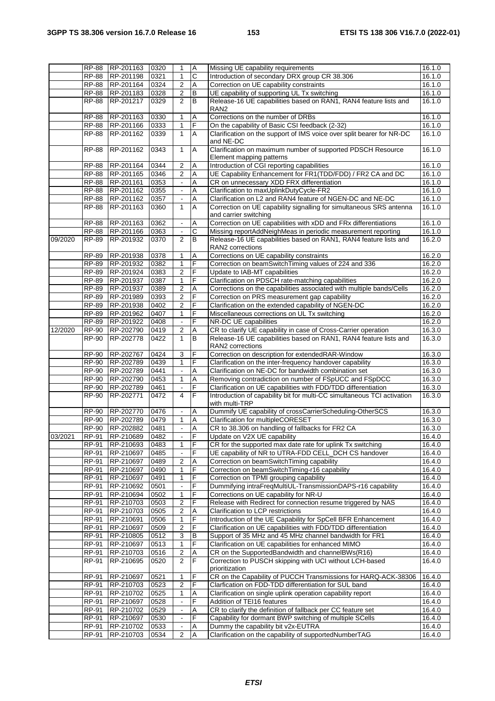|         | <b>RP-88</b>        | RP-201163              | 0320         | 1                        | $\boldsymbol{\mathsf{A}}$ | Missing UE capability requirements                                      | 16.1.0              |
|---------|---------------------|------------------------|--------------|--------------------------|---------------------------|-------------------------------------------------------------------------|---------------------|
|         | <b>RP-88</b>        | RP-201198              | 0321         | 1                        | $\overline{\text{c}}$     | Introduction of secondary DRX group CR 38.306                           | 16.1.0              |
|         |                     | RP-88 RP-201164        | 0324         | $\overline{2}$           | A                         | Correction on UE capability constraints                                 | 16.1.0              |
|         | <b>RP-88</b>        | RP-201183              | 0328         | 2                        | B                         | UE capability of supporting UL Tx switching                             | 16.1.0              |
|         | <b>RP-88</b>        | RP-201217              | 0329         | $\overline{2}$           | $\overline{B}$            | Release-16 UE capabilities based on RAN1, RAN4 feature lists and        | 16.1.0              |
|         |                     |                        |              |                          |                           | RAN <sub>2</sub>                                                        |                     |
|         | <b>RP-88</b>        | RP-201163              | 0330         | 1                        | Α                         | Corrections on the number of DRBs                                       | 16.1.0              |
|         | RP-88               | RP-201166              | 0333         | 1                        | F                         | On the capability of Basic CSI feedback (2-32)                          | 16.1.0              |
|         | <b>RP-88</b>        | RP-201162              | 0339         | $\mathbf{1}$             | Α                         | Clarification on the support of IMS voice over split bearer for NR-DC   | 16.1.0              |
|         |                     |                        |              |                          |                           | and NE-DC                                                               |                     |
|         | <b>RP-88</b>        | RP-201162              | 0343         | $\mathbf{1}$             | A                         | Clarification on maximum number of supported PDSCH Resource             | 16.1.0              |
|         |                     |                        |              |                          |                           | Element mapping patterns                                                |                     |
|         | <b>RP-88</b>        | RP-201164              | 0344         | $\overline{2}$           | Α                         | Introduction of CGI reporting capabilities                              | 16.1.0              |
|         | <b>RP-88</b>        | RP-201165              | 0346         | 2                        | A                         | UE Capability Enhancement for FR1(TDD/FDD) / FR2 CA and DC              | 16.1.0              |
|         | <b>RP-88</b>        | RP-201161              | 0353         | $\blacksquare$           | Α                         | CR on unnecessary XDD FRX differentiation                               | 16.1.0              |
|         | RP-88               | RP-201162              | 0355         |                          | Α                         | Clarification to maxUplinkDutyCycle-FR2                                 | 16.1.0              |
|         | $\overline{RP}$ -88 |                        |              |                          |                           |                                                                         |                     |
|         |                     | RP-201162<br>RP-201163 | 0357<br>0360 | $\blacksquare$           | Α<br>A                    | Clarification on L2 and RAN4 feature of NGEN-DC and NE-DC               | 16.1.0              |
|         | <b>RP-88</b>        |                        |              | $\mathbf{1}$             |                           | Correction on UE capability signalling for simultaneous SRS antenna     | 16.1.0              |
|         |                     |                        |              |                          |                           | and carrier switching                                                   |                     |
|         | <b>RP-88</b>        | RP-201163              | 0362         | $\blacksquare$           | Α                         | Correction on UE capabilities with xDD and FRx differentiations         | 16.1.0              |
|         | <b>RP-88</b>        | RP-201166              | 0363         | $\blacksquare$           | $\overline{\text{c}}$     | Missing reportAddNeighMeas in periodic measurement reporting            | 16.1.0              |
| 09/2020 | RP-89               | RP-201932              | 0370         | $\overline{2}$           | B                         | Release-16 UE capabilities based on RAN1, RAN4 feature lists and        | 16.2.0              |
|         |                     |                        |              |                          |                           | RAN2 corrections                                                        |                     |
|         | RP-89               | RP-201938              | 0378         | 1                        | Α                         | Corrections on UE capability constraints                                | 16.2.0              |
|         | RP-89               | RP-201932              | 0382         | 1                        | $\mathsf F$               | Correction on beamSwitchTiming values of 224 and 336                    | 16.2.0              |
|         | RP-89               | RP-201924              | 0383         | 2                        | F                         | Update to IAB-MT capabilities                                           | 16.2.0              |
|         | RP-89               | RP-201937              | 0387         | 1                        | F                         | Clarification on PDSCH rate-matching capabilities                       | 16.2.0              |
|         | <b>RP-89</b>        | RP-201937              | 0389         | $\overline{\mathbf{c}}$  | Α                         | Corrections on the capabilities associated with multiple bands/Cells    | 16.2.0              |
|         | <b>RP-89</b>        | RP-201989              | 0393         | $\overline{c}$           | F                         | Correction on PRS measurement gap capability                            | 16.2.0              |
|         | <b>RP-89</b>        | RP-201938              | 0402         | $\overline{2}$           | F                         | Clarification on the extended capability of NGEN-DC                     | 16.2.0              |
|         | <b>RP-89</b>        | RP-201962              | 0407         | 1                        | F                         | Miscellaneous corrections on UL Tx switching                            | 16.2.0              |
|         | <b>RP-89</b>        | RP-201922              | 0408         | $\blacksquare$           | F                         | NR-DC UE capabilities                                                   | 16.2.0              |
| 12/2020 | RP-90               | RP-202790              | 0419         | $\overline{c}$           | Α                         | CR to clarify UE capability in case of Cross-Carrier operation          | 16.3.0              |
|         | <b>RP-90</b>        | RP-202778              | 0422         | $\mathbf{1}$             | B                         | Release-16 UE capabilities based on RAN1, RAN4 feature lists and        | 16.3.0              |
|         |                     |                        |              |                          |                           | RAN2 corrections                                                        |                     |
|         | <b>RP-90</b>        | RP-202767              | 0424         | 3                        | F                         | Correction on description for extendedRAR-Window                        | 16.3.0              |
|         | RP-90               | RP-202789              | 0439         | 1                        | F                         | Clarification on the inter-frequency handover capability                | 16.3.0              |
|         | RP-90               | RP-202789              | 0441         |                          | Α                         | Clarification on NE-DC for bandwidth combination set                    | 16.3.0              |
|         | <b>RP-90</b>        | RP-202790              | 0453         | $\mathbf{1}$             | А                         | Removing contradiction on number of FSpUCC and FSpDCC                   | 16.3.0              |
|         | <b>RP-90</b>        | RP-202789              | 0461         | $\blacksquare$           | F                         | Clarification on UE capabilities with FDD/TDD differentiation           | 16.3.0              |
|         | <b>RP-90</b>        | RP-202771              | 0472         | 4                        | F                         | Introduction of capability bit for multi-CC simultaneous TCI activation | 16.3.0              |
|         |                     |                        |              |                          |                           | with multi-TRP                                                          |                     |
|         | RP-90               | RP-202770              | 0476         | $\blacksquare$           | Α                         | Dummify UE capability of crossCarrierScheduling-OtherSCS                | $\overline{16.3.0}$ |
|         | RP-90               | RP-202789              | 0479         | 1                        | A                         | Clarification for multipleCORESET                                       | 16.3.0              |
|         | <b>RP-90</b>        | RP-202882              | 0481         | $\Box$                   | Α                         | CR to 38.306 on handling of fallbacks for FR2 CA                        | 16.3.0              |
| 03/2021 | <b>RP-91</b>        | RP-210689              | 0482         | $\blacksquare$           | ĪF                        | Update on V2X UE capability                                             | 16.4.0              |
|         | RP-91               | RP-210693              | 0483         | $\mathbf{1}$             | IF                        | CR for the supported max date rate for uplink Tx switching              | 16.4.0              |
|         | RP-91               | RP-210697              | 0485         | $\blacksquare$           | F                         | UE capability of NR to UTRA-FDD CELL_DCH CS handover                    | 16.4.0              |
|         | RP-91               | RP-210697              | 0489         |                          | Α                         | Correction on beamSwitchTiming capability                               | 16.4.0              |
|         | RP-91               | RP-210697              | 0490         | 2<br>$\mathbf{1}$        | $\overline{F}$            | Correction on beamSwitchTiming-r16 capability                           | 16.4.0              |
|         | RP-91               | RP-210697              | 0491         | 1                        | $\overline{F}$            | Correction on TPMI grouping capability                                  | 16.4.0              |
|         | RP-91               | RP-210692              | 0501         |                          | F                         | Dummifying intraFreqMultiUL-TransmissionDAPS-r16 capability             | 16.4.0              |
|         | RP-91               | RP-210694              | 0502         | 1                        | F                         | Corrections on UE capability for NR-U                                   | 16.4.0              |
|         |                     |                        |              |                          | F                         |                                                                         |                     |
|         | RP-91               | RP-210703              | 0503         | $\boldsymbol{2}$         |                           | Release with Redirect for connection resume triggered by NAS            | 16.4.0              |
|         | RP-91               | RP-210703              | 0505         | $\overline{c}$           | Α                         | Clarification to LCP restrictions                                       | 16.4.0              |
|         | RP-91               | RP-210691              | 0506         | 1                        | F                         | Introduction of the UE Capability for SpCell BFR Enhancement            | 16.4.0              |
|         | RP-91               | RP-210697              | 0509         | 2                        | F                         | Clarification on UE capabilities with FDD/TDD differentiation           | 16.4.0              |
|         | RP-91               | RP-210805              | 0512         | 3                        | $\sf B$                   | Support of 35 MHz and 45 MHz channel bandwidth for FR1                  | 16.4.0              |
|         | RP-91               | RP-210697              | 0513         | 1                        | $\overline{F}$            | Clarification on UE capabilities for enhanced MIMO                      | 16.4.0              |
|         | RP-91               | RP-210703              | 0516         | 2                        | Α                         | CR on the SupportedBandwidth and channelBWs(R16)                        | 16.4.0              |
|         | RP-91               | RP-210695              | 0520         | $\overline{2}$           | F                         | Correction to PUSCH skipping with UCI without LCH-based                 | 16.4.0              |
|         |                     |                        |              |                          |                           | prioritization                                                          |                     |
|         | RP-91               | RP-210697              | 0521         | 1                        | F                         | CR on the Capability of PUCCH Transmissions for HARQ-ACK-38306          | 16.4.0              |
|         | RP-91               | RP-210703              | 0523         | $\overline{c}$           | F                         | Clarfication on FDD-TDD differentiation for SUL band                    | 16.4.0              |
|         | RP-91               | RP-210702              | 0525         | 1                        | Α                         | Clarification on single uplink operation capability report              | 16.4.0              |
|         | RP-91               | RP-210697              | 0528         | $\blacksquare$           | F                         | Addition of TEI16 features                                              | 16.4.0              |
|         | RP-91               | RP-210702              | 0529         |                          | Α                         | CR to clarify the definition of fallback per CC feature set             | 16.4.0              |
|         | RP-91               | RP-210697              | 0530         | $\blacksquare$           | F                         | Capability for dormant BWP switching of multiple SCells                 | 16.4.0              |
|         | RP-91               | RP-210702              | 0533         | $\overline{\phantom{a}}$ | Α                         | Dummy the capability bit v2x-EUTRA                                      | 16.4.0              |
|         | RP-91               | RP-210703              | 0534         | 2                        | $\overline{A}$            | Clarification on the capability of supportedNumberTAG                   | 16.4.0              |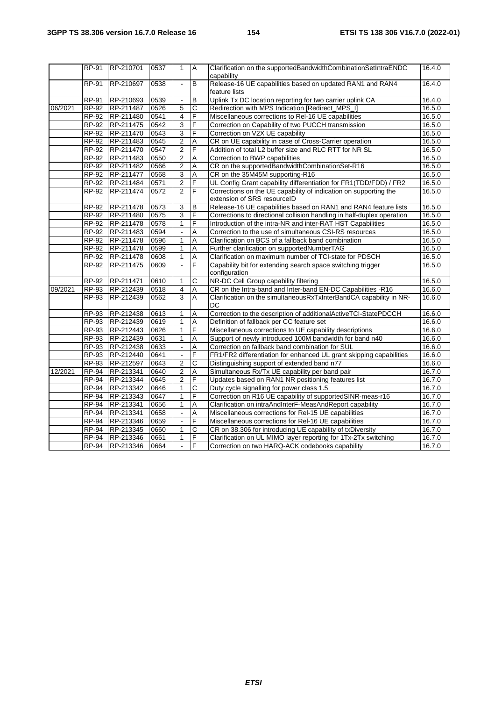|         | RP-91        | RP-210701 | 0537 | $\mathbf{1}$         | $\overline{A}$          | Clarification on the supportedBandwidthCombinationSetIntraENDC<br>capability                    | 16.4.0 |
|---------|--------------|-----------|------|----------------------|-------------------------|-------------------------------------------------------------------------------------------------|--------|
|         | RP-91        | RP-210697 | 0538 | $\mathbf{r}$         | B                       | Release-16 UE capabilities based on updated RAN1 and RAN4<br>feature lists                      | 16.4.0 |
|         | <b>RP-91</b> | RP-210693 | 0539 | $\blacksquare$       | $\mathsf B$             | Uplink Tx DC location reporting for two carrier uplink CA                                       | 16.4.0 |
| 06/2021 | RP-92        | RP-211487 | 0526 | 5                    | $\overline{\text{c}}$   | Redirection with MPS Indication [Redirect_MPS_I]                                                | 16.5.0 |
|         | RP-92        | RP-211480 | 0541 | $\overline{4}$       | F                       | Miscellaneous corrections to Rel-16 UE capabilities                                             | 16.5.0 |
|         | RP-92        | RP-211475 | 0542 | 3                    | F                       | Correction on Capability of two PUCCH transmission                                              | 16.5.0 |
|         | RP-92        | RP-211470 | 0543 | 3                    | F                       | Correction on V2X UE capability                                                                 | 16.5.0 |
|         | RP-92        | RP-211483 | 0545 | $\overline{2}$       | A                       | CR on UE capability in case of Cross-Carrier operation                                          | 16.5.0 |
|         | RP-92        | RP-211470 | 0547 | $\overline{2}$       | $\overline{\mathsf{F}}$ | Addition of total L2 buffer size and RLC RTT for NR SL                                          | 16.5.0 |
|         | RP-92        | RP-211483 | 0550 | $\overline{2}$       | A                       | Correction to BWP capabilities                                                                  | 16.5.0 |
|         | RP-92        | RP-211482 | 0566 | 2                    | Α                       | CR on the supportedBandwidthCombinationSet-R16                                                  | 16.5.0 |
|         | RP-92        | RP-211477 | 0568 | 3                    | A                       | CR on the 35M45M supporting-R16                                                                 | 16.5.0 |
|         | RP-92        | RP-211484 | 0571 | 2                    | F                       | UL Config Grant capability differentiation for FR1(TDD/FDD) / FR2                               | 16.5.0 |
|         | RP-92        | RP-211474 | 0572 | $\overline{2}$       | $\overline{\mathsf{F}}$ | Corrections on the UE capability of indication on supporting the<br>extension of SRS resourceID | 16.5.0 |
|         | RP-92        | RP-211478 | 0573 | 3                    | B                       | Release-16 UE capabilities based on RAN1 and RAN4 feature lists                                 | 16.5.0 |
|         | RP-92        | RP-211480 | 0575 | 3                    | F                       | Corrections to directional collision handling in half-duplex operation                          | 16.5.0 |
|         | RP-92        | RP-211478 | 0578 | $\mathbf{1}$         | F                       | Introduction of the intra-NR and inter-RAT HST Capabilities                                     | 16.5.0 |
|         | RP-92        | RP-211483 | 0594 | $\Box$               | A                       | Correction to the use of simultaneous CSI-RS resources                                          | 16.5.0 |
|         | RP-92        | RP-211478 | 0596 | $\mathbf{1}$         | A                       | Clarification on BCS of a fallback band combination                                             | 16.5.0 |
|         | RP-92        | RP-211478 | 0599 | $\mathbf{1}$         | A                       | Further clarification on supportedNumberTAG                                                     | 16.5.0 |
|         | RP-92        | RP-211478 | 0608 | $\mathbf{1}$         | Α                       | Clarification on maximum number of TCI-state for PDSCH                                          | 16.5.0 |
|         | RP-92        | RP-211475 | 0609 | $\blacksquare$       | F                       | Capability bit for extending search space switching trigger<br>configuration                    | 16.5.0 |
|         | <b>RP-92</b> | RP-211471 | 0610 | 1                    | $\mathsf{C}$            | NR-DC Cell Group capability filtering                                                           | 16.5.0 |
| 09/2021 | RP-93        | RP-212439 | 0518 | 4                    | $\overline{A}$          | CR on the Intra-band and Inter-band EN-DC Capabilities -R16                                     | 16.6.0 |
|         | RP-93        | RP-212439 | 0562 | 3                    | A                       | Clarification on the simultaneousRxTxInterBandCA capability in NR-<br>DC                        | 16.6.0 |
|         | RP-93        | RP-212438 | 0613 | $\mathbf{1}$         | Α                       | Correction to the description of additionalActiveTCI-StatePDCCH                                 | 16.6.0 |
|         | RP-93        | RP-212439 | 0619 | 1                    | A                       | Definition of fallback per CC feature set                                                       | 16.6.0 |
|         | RP-93        | RP-212443 | 0626 | $\mathbf{1}$         | F                       | Miscellaneous corrections to UE capability descriptions                                         | 16.6.0 |
|         | RP-93        | RP-212439 | 0631 | $\mathbf{1}$         | A                       | Support of newly introduced 100M bandwidth for band n40                                         | 16.6.0 |
|         | RP-93        | RP-212438 | 0633 |                      | A                       | Correction on fallback band combination for SUL                                                 | 16.6.0 |
|         | RP-93        | RP-212440 | 0641 | $\Box$               | F                       | FR1/FR2 differentiation for enhanced UL grant skipping capabilities                             | 16.6.0 |
|         | $RP-93$      | RP-212597 | 0643 | $\boldsymbol{2}$     | $\overline{\text{c}}$   | Distinguishing support of extended band n77                                                     | 16.6.0 |
| 12/2021 | <b>RP-94</b> | RP-213341 | 0640 | 2                    | A                       | Simultaneous Rx/Tx UE capability per band pair                                                  | 16.7.0 |
|         | $RP-94$      | RP-213344 | 0645 | $\overline{2}$       | F                       | Updates based on RAN1 NR positioning features list                                              | 16.7.0 |
|         | RP-94        | RP-213342 | 0646 | $\mathbf{1}$         | $\overline{\text{c}}$   | Duty cycle signalling for power class 1.5                                                       | 16.7.0 |
|         | <b>RP-94</b> | RP-213343 | 0647 | 1                    | F                       | Correction on R16 UE capability of supportedSINR-meas-r16                                       | 16.7.0 |
|         | RP-94        | RP-213341 | 0656 | 1                    | A                       | Clarification on intraAndInterF-MeasAndReport capability                                        | 16.7.0 |
|         | RP-94        | RP-213341 | 0658 | $\ddot{\phantom{a}}$ | A                       | Miscellaneous corrections for Rel-15 UE capabilities                                            | 16.7.0 |
|         | RP-94        | RP-213346 | 0659 | $\Box$               | F                       | Miscellaneous corrections for Rel-16 UE capabilities                                            | 16.7.0 |
|         | RP-94        | RP-213345 | 0660 | $\mathbf{1}$         | C                       | CR on 38.306 for introducing UE capability of txDiversity                                       | 16.7.0 |
|         | RP-94        | RP-213346 | 0661 | 1                    | F                       | Clarification on UL MIMO layer reporting for 1Tx-2Tx switching                                  | 16.7.0 |
|         | RP-94        | RP-213346 | 0664 | $\blacksquare$       | F                       | Correction on two HARQ-ACK codebooks capability                                                 | 16.7.0 |